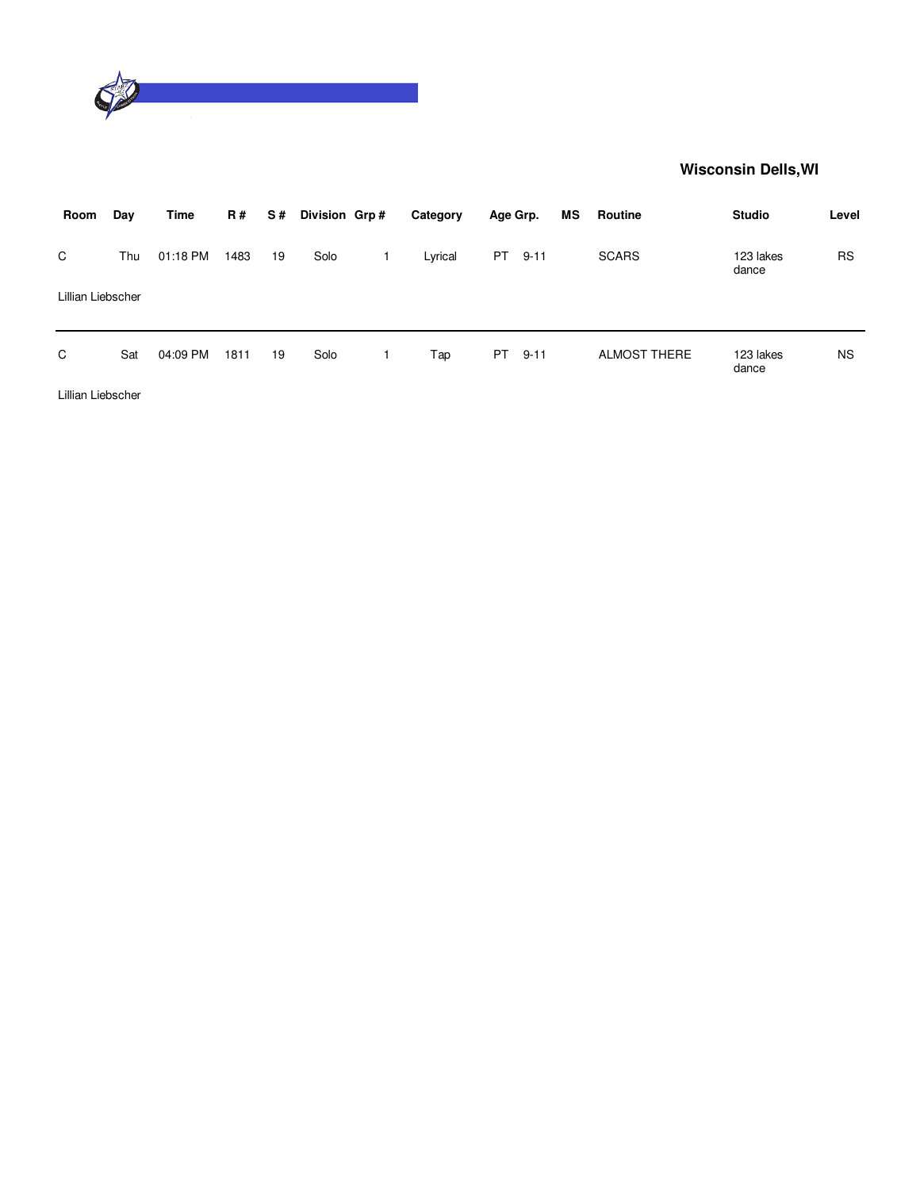

| Room              | Day | Time     | <b>R#</b> | S # | Division Grp# | Category | Age Grp. |          | MS | Routine             | <b>Studio</b>      | Level     |
|-------------------|-----|----------|-----------|-----|---------------|----------|----------|----------|----|---------------------|--------------------|-----------|
| C                 | Thu | 01:18 PM | 1483      | 19  | Solo          | Lyrical  | PT       | $9 - 11$ |    | <b>SCARS</b>        | 123 lakes<br>dance | <b>RS</b> |
| Lillian Liebscher |     |          |           |     |               |          |          |          |    |                     |                    |           |
| C                 | Sat | 04:09 PM | 1811      | 19  | Solo          | Tap      | PT.      | $9 - 11$ |    | <b>ALMOST THERE</b> | 123 lakes<br>dance | <b>NS</b> |
|                   |     |          |           |     |               |          |          |          |    |                     |                    |           |

Lillian Liebscher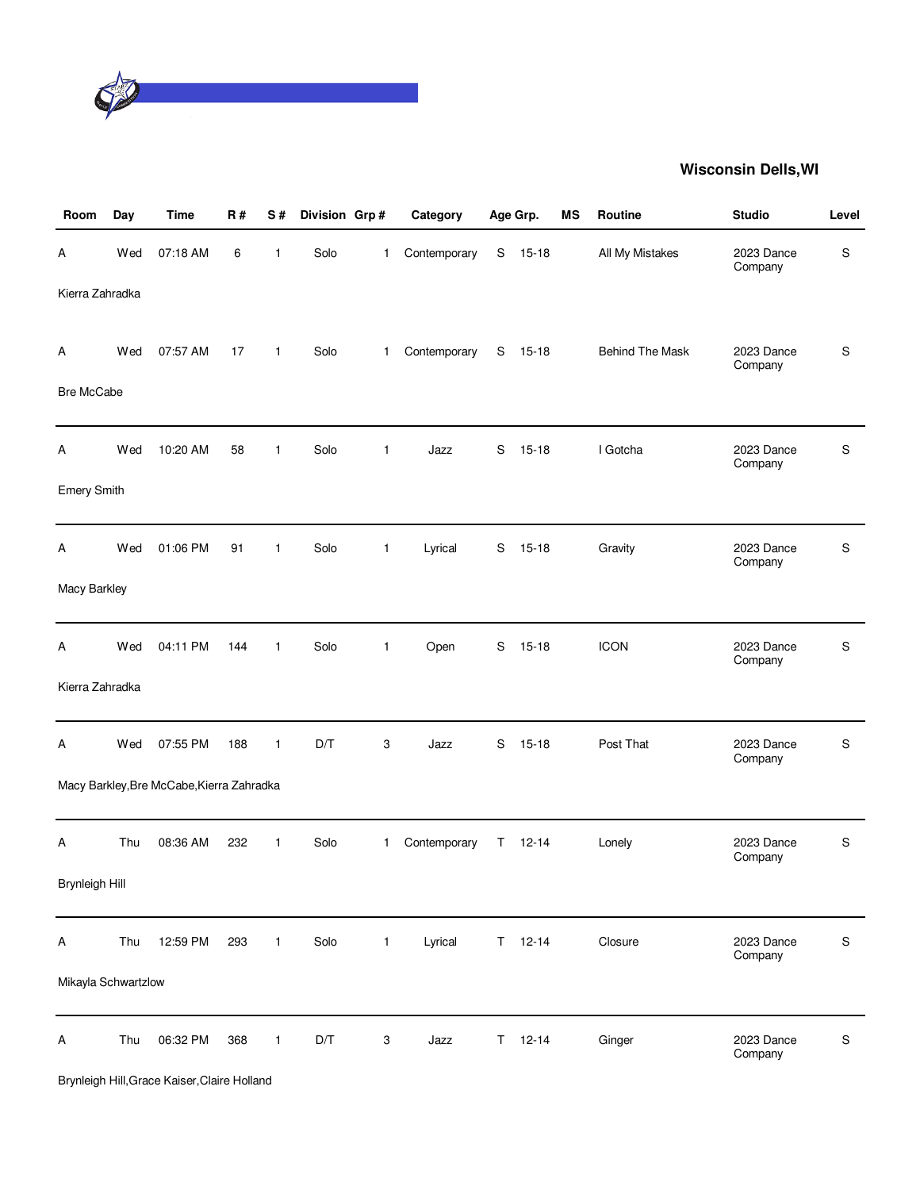

| Room                  | Day | <b>Time</b>                               | <b>R#</b> | S#           | Division Grp# |                           | Category     |   | Age Grp.      | <b>MS</b> | Routine                | <b>Studio</b>         | Level     |
|-----------------------|-----|-------------------------------------------|-----------|--------------|---------------|---------------------------|--------------|---|---------------|-----------|------------------------|-----------------------|-----------|
| Α                     | Wed | 07:18 AM                                  | 6         | 1            | Solo          | 1                         | Contemporary | S | $15 - 18$     |           | All My Mistakes        | 2023 Dance<br>Company | S         |
| Kierra Zahradka       |     |                                           |           |              |               |                           |              |   |               |           |                        |                       |           |
| Α                     | Wed | 07:57 AM                                  | 17        | $\mathbf{1}$ | Solo          | 1                         | Contemporary | S | 15-18         |           | <b>Behind The Mask</b> | 2023 Dance<br>Company | S         |
| <b>Bre McCabe</b>     |     |                                           |           |              |               |                           |              |   |               |           |                        |                       |           |
| Α                     | Wed | 10:20 AM                                  | 58        | $\mathbf{1}$ | Solo          | $\mathbf{1}$              | Jazz         | S | $15 - 18$     |           | I Gotcha               | 2023 Dance<br>Company | S         |
| <b>Emery Smith</b>    |     |                                           |           |              |               |                           |              |   |               |           |                        |                       |           |
| Α                     | Wed | 01:06 PM                                  | 91        | $\mathbf{1}$ | Solo          | $\mathbf{1}$              | Lyrical      | S | $15 - 18$     |           | Gravity                | 2023 Dance<br>Company | S         |
| Macy Barkley          |     |                                           |           |              |               |                           |              |   |               |           |                        |                       |           |
| Α                     | Wed | 04:11 PM                                  | 144       | $\mathbf{1}$ | Solo          | $\mathbf{1}$              | Open         | S | $15 - 18$     |           | <b>ICON</b>            | 2023 Dance<br>Company | S         |
| Kierra Zahradka       |     |                                           |           |              |               |                           |              |   |               |           |                        |                       |           |
| Α                     | Wed | 07:55 PM                                  | 188       | $\mathbf{1}$ | D/T           | $\ensuremath{\mathsf{3}}$ | Jazz         | S | $15 - 18$     |           | Post That              | 2023 Dance<br>Company | S         |
|                       |     | Macy Barkley, Bre McCabe, Kierra Zahradka |           |              |               |                           |              |   |               |           |                        |                       |           |
| Α                     | Thu | 08:36 AM                                  | 232       | $\mathbf{1}$ | Solo          | $\mathbf{1}$              | Contemporary | T | $12 - 14$     |           | Lonely                 | 2023 Dance<br>Company | S         |
| <b>Brynleigh Hill</b> |     |                                           |           |              |               |                           |              |   |               |           |                        |                       |           |
| A                     | Thu | 12:59 PM                                  | 293       | $\mathbf{1}$ | Solo          | $\mathbf{1}$              | Lyrical      |   | $T = 12 - 14$ |           | Closure                | 2023 Dance<br>Company | S         |
| Mikayla Schwartzlow   |     |                                           |           |              |               |                           |              |   |               |           |                        |                       |           |
| Α                     | Thu | 06:32 PM                                  | 368       | $\mathbf{1}$ | D/T           | $\ensuremath{\mathsf{3}}$ | Jazz         |   | $T = 12 - 14$ |           | Ginger                 | 2023 Dance<br>Company | ${\sf S}$ |

Brynleigh Hill,Grace Kaiser,Claire Holland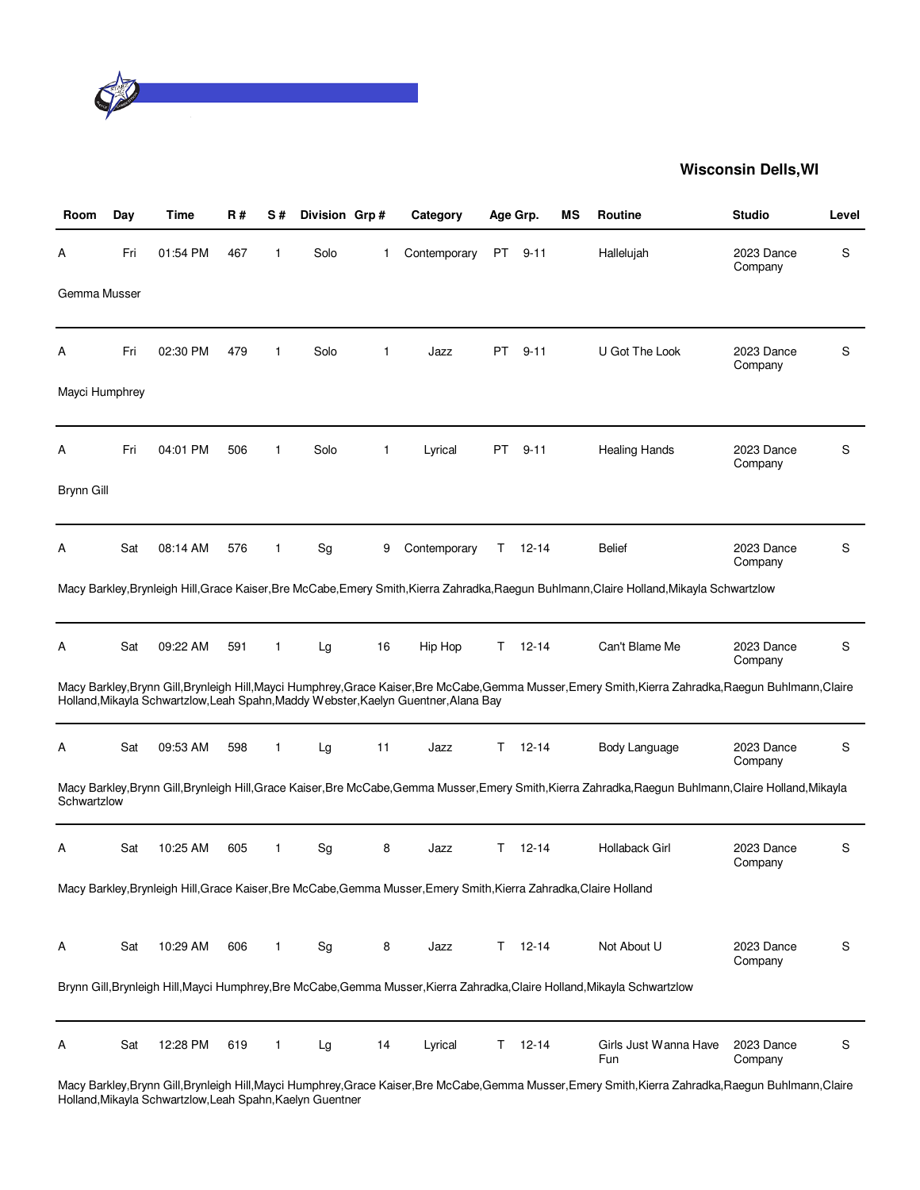

| Room           | Day | Time     | <b>R#</b> | S#           | Division Grp# |              | Category                                                                                                           |     | Age Grp.      | <b>MS</b> | Routine                                                                                                                                                 | <b>Studio</b>         | Level |
|----------------|-----|----------|-----------|--------------|---------------|--------------|--------------------------------------------------------------------------------------------------------------------|-----|---------------|-----------|---------------------------------------------------------------------------------------------------------------------------------------------------------|-----------------------|-------|
| А              | Fri | 01:54 PM | 467       | 1            | Solo          | 1            | Contemporary                                                                                                       | PT  | $9 - 11$      |           | Hallelujah                                                                                                                                              | 2023 Dance<br>Company | S     |
| Gemma Musser   |     |          |           |              |               |              |                                                                                                                    |     |               |           |                                                                                                                                                         |                       |       |
| А              | Fri | 02:30 PM | 479       | $\mathbf{1}$ | Solo          | $\mathbf{1}$ | Jazz                                                                                                               | PT. | $9 - 11$      |           | U Got The Look                                                                                                                                          | 2023 Dance<br>Company | S     |
| Mayci Humphrey |     |          |           |              |               |              |                                                                                                                    |     |               |           |                                                                                                                                                         |                       |       |
| А              | Fri | 04:01 PM | 506       | 1            | Solo          | 1            | Lyrical                                                                                                            | PT  | $9 - 11$      |           | <b>Healing Hands</b>                                                                                                                                    | 2023 Dance<br>Company | S     |
| Brynn Gill     |     |          |           |              |               |              |                                                                                                                    |     |               |           |                                                                                                                                                         |                       |       |
| А              | Sat | 08:14 AM | 576       | 1            | Sg            | 9            | Contemporary                                                                                                       | T.  | $12 - 14$     |           | <b>Belief</b>                                                                                                                                           | 2023 Dance<br>Company | S     |
|                |     |          |           |              |               |              |                                                                                                                    |     |               |           | Macy Barkley, Brynleigh Hill, Grace Kaiser, Bre McCabe, Emery Smith, Kierra Zahradka, Raegun Buhlmann, Claire Holland, Mikayla Schwartzlow              |                       |       |
| А              | Sat | 09:22 AM | 591       | 1            | Lg            | 16           | Hip Hop                                                                                                            | T.  | $12 - 14$     |           | Can't Blame Me                                                                                                                                          | 2023 Dance<br>Company | S     |
|                |     |          |           |              |               |              | Holland, Mikayla Schwartzlow, Leah Spahn, Maddy Webster, Kaelyn Guentner, Alana Bay                                |     |               |           | Macy Barkley, Brynn Gill, Brynleigh Hill, Mayci Humphrey, Grace Kaiser, Bre McCabe, Gemma Musser, Emery Smith, Kierra Zahradka, Raegun Buhlmann, Claire |                       |       |
| A              | Sat | 09:53 AM | 598       | 1            | Lg            | 11           | Jazz                                                                                                               | T.  | $12 - 14$     |           | Body Language                                                                                                                                           | 2023 Dance<br>Company | S     |
| Schwartzlow    |     |          |           |              |               |              |                                                                                                                    |     |               |           | Macy Barkley,Brynn Gill,Brynleigh Hill,Grace Kaiser,Bre McCabe,Gemma Musser,Emery Smith,Kierra Zahradka,Raegun Buhlmann,Claire Holland,Mikayla          |                       |       |
| А              | Sat | 10:25 AM | 605       | 1            | Sg            | 8            | Jazz                                                                                                               | T.  | $12 - 14$     |           | Hollaback Girl                                                                                                                                          | 2023 Dance<br>Company | S     |
|                |     |          |           |              |               |              | Macy Barkley, Brynleigh Hill, Grace Kaiser, Bre McCabe, Gemma Musser, Emery Smith, Kierra Zahradka, Claire Holland |     |               |           |                                                                                                                                                         |                       |       |
| A              | Sat | 10:29 AM | 606       | 1            | Sg            | 8            | Jazz                                                                                                               |     | $T = 12 - 14$ |           | Not About U                                                                                                                                             | 2023 Dance<br>Company | S     |
|                |     |          |           |              |               |              |                                                                                                                    |     |               |           | Brynn Gill, Brynleigh Hill, Mayci Humphrey, Bre McCabe, Gemma Musser, Kierra Zahradka, Claire Holland, Mikayla Schwartzlow                              |                       |       |
| A              | Sat | 12:28 PM | 619       | 1            | Lg            | 14           | Lyrical                                                                                                            | T.  | $12 - 14$     |           | Girls Just Wanna Have<br>Fun                                                                                                                            | 2023 Dance<br>Company | S     |

Macy Barkley,Brynn Gill,Brynleigh Hill,Mayci Humphrey,Grace Kaiser,Bre McCabe,Gemma Musser,Emery Smith,Kierra Zahradka,Raegun Buhlmann,Claire Holland,Mikayla Schwartzlow,Leah Spahn,Kaelyn Guentner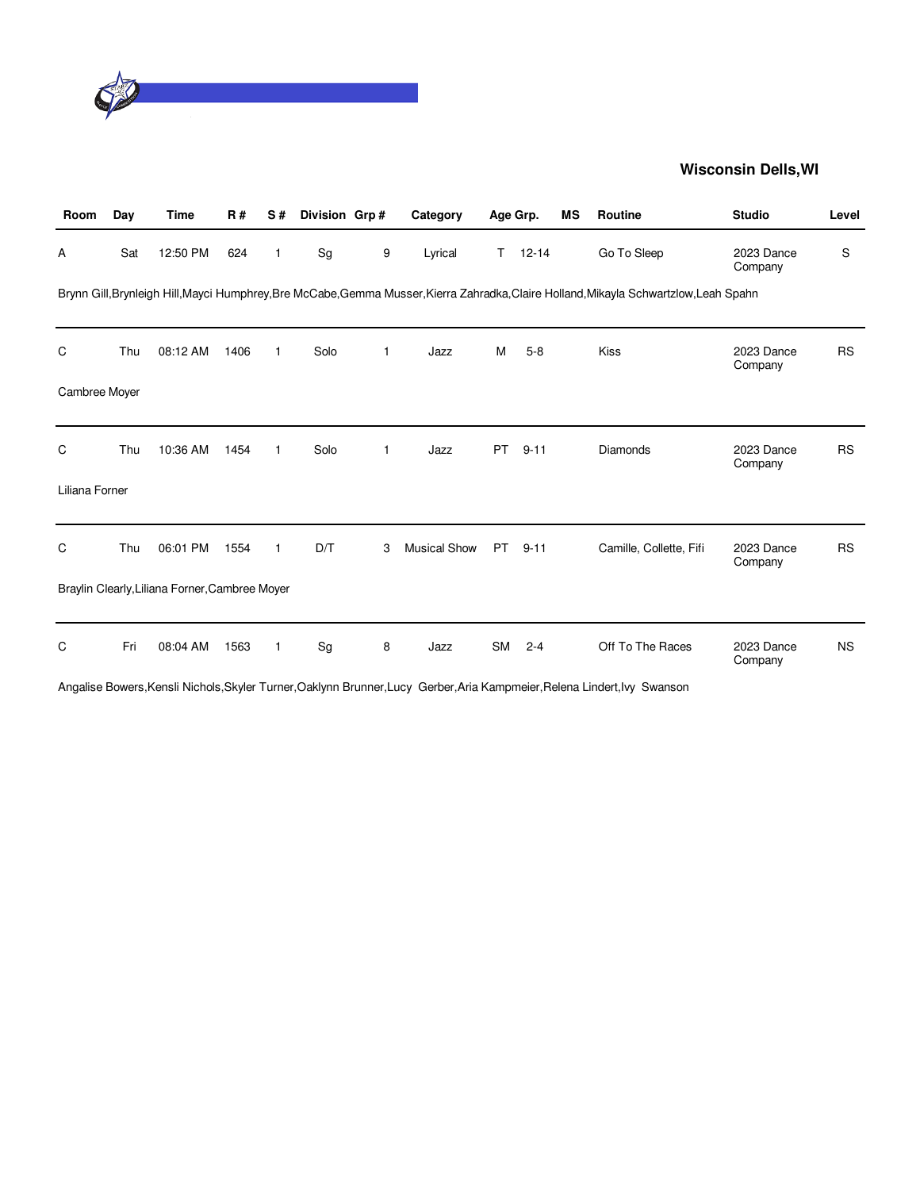

| Room           | Day | <b>Time</b>                                    | <b>R#</b> | S#           | Division Grp# |              | Category            | Age Grp.  |           | <b>MS</b> | <b>Routine</b>                                                                                                                         | <b>Studio</b>         | Level     |
|----------------|-----|------------------------------------------------|-----------|--------------|---------------|--------------|---------------------|-----------|-----------|-----------|----------------------------------------------------------------------------------------------------------------------------------------|-----------------------|-----------|
| Α              | Sat | 12:50 PM                                       | 624       | 1            | Sg            | 9            | Lyrical             | T.        | $12 - 14$ |           | Go To Sleep                                                                                                                            | 2023 Dance<br>Company | S         |
|                |     |                                                |           |              |               |              |                     |           |           |           | Brynn Gill, Brynleigh Hill, Mayci Humphrey, Bre McCabe, Gemma Musser, Kierra Zahradka, Claire Holland, Mikayla Schwartzlow, Leah Spahn |                       |           |
| C              | Thu | 08:12 AM                                       | 1406      | $\mathbf{1}$ | Solo          | 1            | Jazz                | м         | $5 - 8$   |           | Kiss                                                                                                                                   | 2023 Dance<br>Company | <b>RS</b> |
| Cambree Moyer  |     |                                                |           |              |               |              |                     |           |           |           |                                                                                                                                        |                       |           |
| C              | Thu | 10:36 AM                                       | 1454      | $\mathbf{1}$ | Solo          | $\mathbf{1}$ | Jazz                | <b>PT</b> | $9 - 11$  |           | Diamonds                                                                                                                               | 2023 Dance<br>Company | <b>RS</b> |
| Liliana Forner |     |                                                |           |              |               |              |                     |           |           |           |                                                                                                                                        |                       |           |
| C              | Thu | 06:01 PM                                       | 1554      | 1            | D/T           | 3            | <b>Musical Show</b> | <b>PT</b> | $9 - 11$  |           | Camille, Collette, Fifi                                                                                                                | 2023 Dance<br>Company | <b>RS</b> |
|                |     | Braylin Clearly, Liliana Forner, Cambree Moyer |           |              |               |              |                     |           |           |           |                                                                                                                                        |                       |           |
| C              | Fri | 08:04 AM                                       | 1563      | 1            | Sg            | 8            | Jazz                | <b>SM</b> | $2 - 4$   |           | Off To The Races                                                                                                                       | 2023 Dance<br>Company | <b>NS</b> |

Angalise Bowers,Kensli Nichols,Skyler Turner,Oaklynn Brunner,Lucy Gerber,Aria Kampmeier,Relena Lindert,Ivy Swanson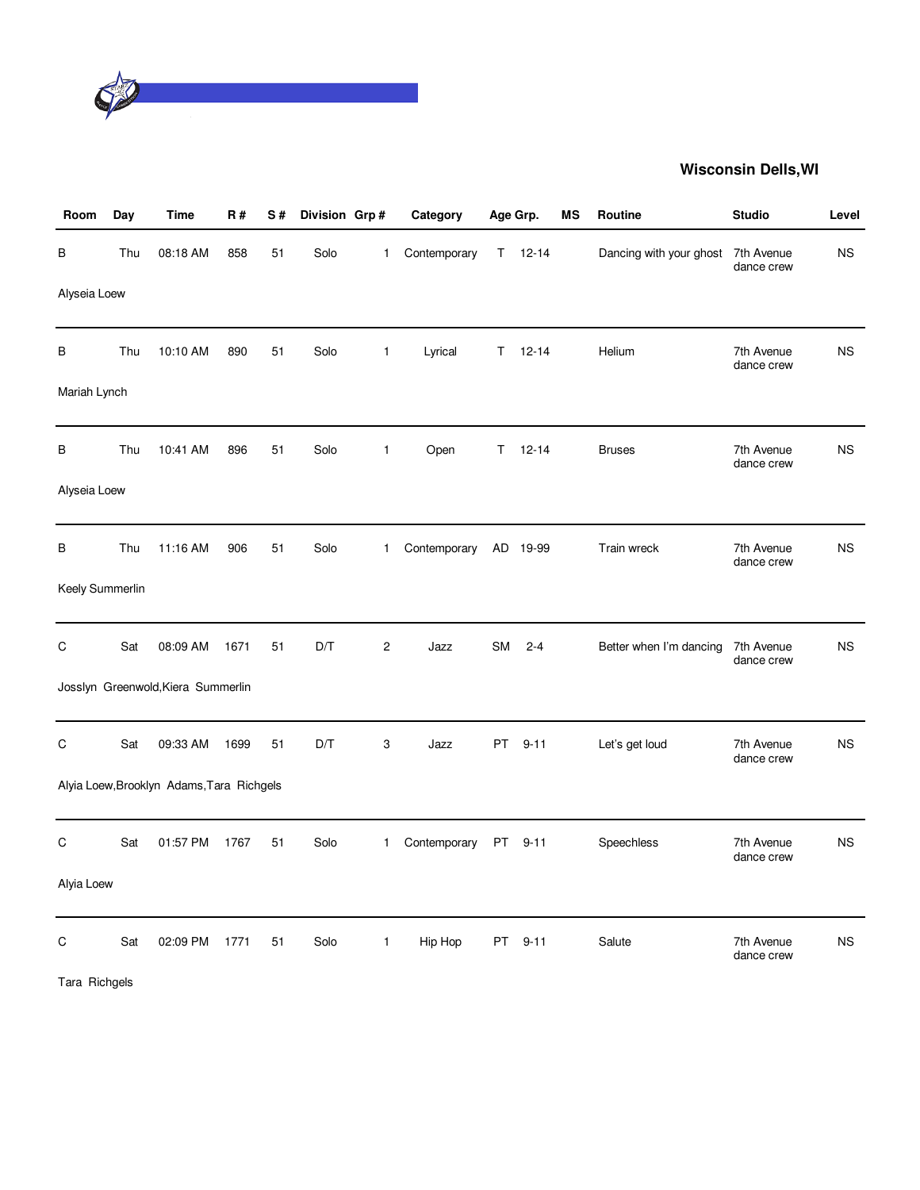

| Room            | Day | Time                                      | <b>R#</b> | S# | Division Grp# |                | Category     | Age Grp.  |           | ΜS | <b>Routine</b>          | <b>Studio</b>            | Level     |
|-----------------|-----|-------------------------------------------|-----------|----|---------------|----------------|--------------|-----------|-----------|----|-------------------------|--------------------------|-----------|
| В               | Thu | 08:18 AM                                  | 858       | 51 | Solo          | $\mathbf{1}$   | Contemporary | Τ         | $12 - 14$ |    | Dancing with your ghost | 7th Avenue<br>dance crew | <b>NS</b> |
| Alyseia Loew    |     |                                           |           |    |               |                |              |           |           |    |                         |                          |           |
| В               | Thu | 10:10 AM                                  | 890       | 51 | Solo          | $\mathbf{1}$   | Lyrical      | Τ         | $12 - 14$ |    | Helium                  | 7th Avenue<br>dance crew | <b>NS</b> |
| Mariah Lynch    |     |                                           |           |    |               |                |              |           |           |    |                         |                          |           |
| в               | Thu | 10:41 AM                                  | 896       | 51 | Solo          | $\mathbf{1}$   | Open         | T.        | $12 - 14$ |    | <b>Bruses</b>           | 7th Avenue<br>dance crew | <b>NS</b> |
| Alyseia Loew    |     |                                           |           |    |               |                |              |           |           |    |                         |                          |           |
| B               | Thu | 11:16 AM                                  | 906       | 51 | Solo          | 1              | Contemporary | AD        | 19-99     |    | Train wreck             | 7th Avenue<br>dance crew | <b>NS</b> |
| Keely Summerlin |     |                                           |           |    |               |                |              |           |           |    |                         |                          |           |
| C               | Sat | 08:09 AM                                  | 1671      | 51 | D/T           | $\overline{c}$ | Jazz         | <b>SM</b> | $2 - 4$   |    | Better when I'm dancing | 7th Avenue<br>dance crew | <b>NS</b> |
|                 |     | Josslyn Greenwold, Kiera Summerlin        |           |    |               |                |              |           |           |    |                         |                          |           |
| C               | Sat | 09:33 AM                                  | 1699      | 51 | D/T           | 3              | Jazz         | <b>PT</b> | $9 - 11$  |    | Let's get loud          | 7th Avenue<br>dance crew | <b>NS</b> |
|                 |     | Alyia Loew, Brooklyn Adams, Tara Richgels |           |    |               |                |              |           |           |    |                         |                          |           |
| C               | Sat | 01:57 PM                                  | 1767      | 51 | Solo          | $\mathbf{1}$   | Contemporary | PT.       | $9 - 11$  |    | Speechless              | 7th Avenue<br>dance crew | <b>NS</b> |
| Alyia Loew      |     |                                           |           |    |               |                |              |           |           |    |                         |                          |           |
| C               | Sat | 02:09 PM                                  | 1771      | 51 | Solo          | $\mathbf{1}$   | Hip Hop      | <b>PT</b> | $9 - 11$  |    | Salute                  | 7th Avenue<br>dance crew | <b>NS</b> |
| Tara Richgels   |     |                                           |           |    |               |                |              |           |           |    |                         |                          |           |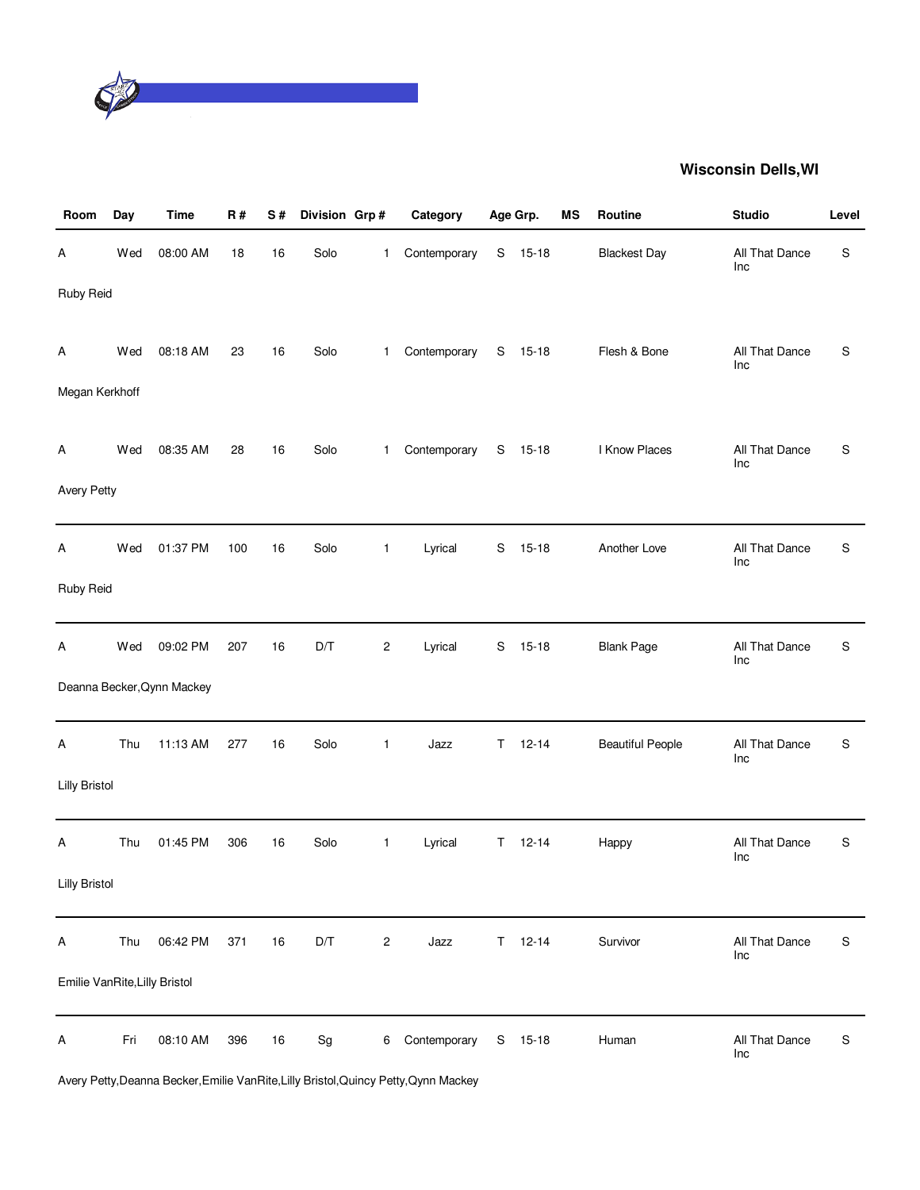

| Room                          | Day | <b>Time</b>                | R#  | S# | Division Grp#                |                | Category     |             | Age Grp.  | <b>MS</b> | Routine                 | <b>Studio</b>         | Level       |
|-------------------------------|-----|----------------------------|-----|----|------------------------------|----------------|--------------|-------------|-----------|-----------|-------------------------|-----------------------|-------------|
| Α                             | Wed | 08:00 AM                   | 18  | 16 | Solo                         | $\mathbf{1}$   | Contemporary | S           | $15 - 18$ |           | <b>Blackest Day</b>     | All That Dance<br>Inc | S           |
| Ruby Reid                     |     |                            |     |    |                              |                |              |             |           |           |                         |                       |             |
| Α                             | Wed | 08:18 AM                   | 23  | 16 | Solo                         | $\mathbf{1}$   | Contemporary |             | $S$ 15-18 |           | Flesh & Bone            | All That Dance<br>Inc | S           |
| Megan Kerkhoff                |     |                            |     |    |                              |                |              |             |           |           |                         |                       |             |
| A                             | Wed | 08:35 AM                   | 28  | 16 | Solo                         | $\mathbf{1}$   | Contemporary |             | S 15-18   |           | I Know Places           | All That Dance<br>Inc | S           |
| <b>Avery Petty</b>            |     |                            |     |    |                              |                |              |             |           |           |                         |                       |             |
| Α                             | Wed | 01:37 PM                   | 100 | 16 | Solo                         | $\mathbf{1}$   | Lyrical      | S           | $15 - 18$ |           | Another Love            | All That Dance<br>Inc | $\mathsf S$ |
| Ruby Reid                     |     |                            |     |    |                              |                |              |             |           |           |                         |                       |             |
| A                             | Wed | 09:02 PM                   | 207 | 16 | D/T                          | $\overline{c}$ | Lyrical      | S           | $15 - 18$ |           | <b>Blank Page</b>       | All That Dance<br>Inc | S           |
|                               |     | Deanna Becker, Qynn Mackey |     |    |                              |                |              |             |           |           |                         |                       |             |
| A                             | Thu | 11:13 AM                   | 277 | 16 | Solo                         | $\mathbf{1}$   | Jazz         | $\mathsf T$ | $12 - 14$ |           | <b>Beautiful People</b> | All That Dance<br>Inc | S           |
| <b>Lilly Bristol</b>          |     |                            |     |    |                              |                |              |             |           |           |                         |                       |             |
| Α                             | Thu | 01:45 PM                   | 306 | 16 | Solo                         | $\mathbf{1}$   | Lyrical      | Τ           | $12 - 14$ |           | Happy                   | All That Dance<br>Inc | S           |
| <b>Lilly Bristol</b>          |     |                            |     |    |                              |                |              |             |           |           |                         |                       |             |
| A                             | Thu | 06:42 PM                   | 371 | 16 | D/T                          | $\sqrt{2}$     | Jazz         | T.          | $12 - 14$ |           | Survivor                | All That Dance<br>Inc | $\mathsf S$ |
| Emilie VanRite, Lilly Bristol |     |                            |     |    |                              |                |              |             |           |           |                         |                       |             |
| A                             | Fri | 08:10 AM                   | 396 | 16 | $\operatorname{\mathsf{Sg}}$ | 6              | Contemporary |             | S 15-18   |           | Human                   | All That Dance<br>Inc | $\mathbb S$ |

Avery Petty,Deanna Becker,Emilie VanRite,Lilly Bristol,Quincy Petty,Qynn Mackey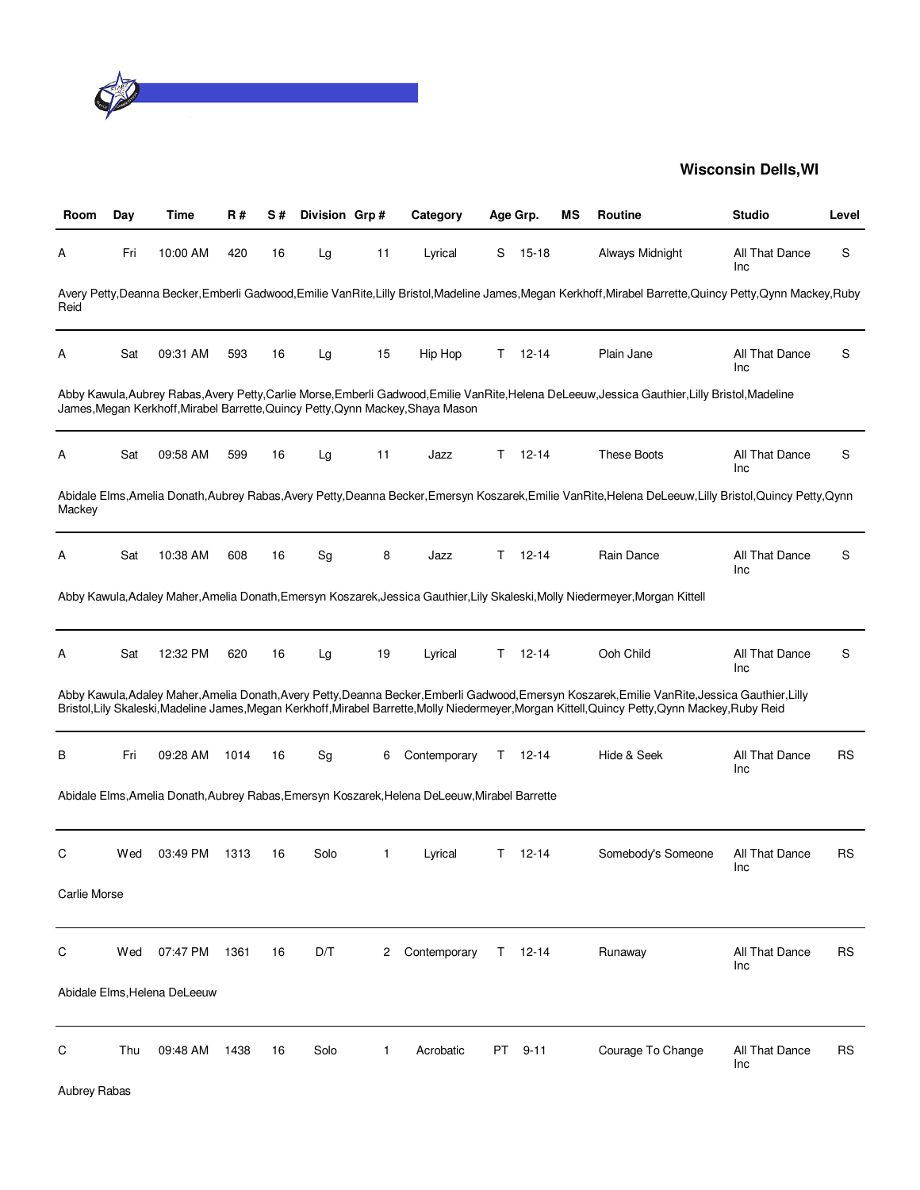

| Room         | Day | Time                         | R#   | S# | Division Grp#                |              | Category                                                                                      |    | Age Grp.    | ΜS | <b>Routine</b>                                                                                                                                                                                                                                                                                        | <b>Studio</b>         | Level     |
|--------------|-----|------------------------------|------|----|------------------------------|--------------|-----------------------------------------------------------------------------------------------|----|-------------|----|-------------------------------------------------------------------------------------------------------------------------------------------------------------------------------------------------------------------------------------------------------------------------------------------------------|-----------------------|-----------|
| A            | Fri | 10:00 AM                     | 420  | 16 | Lg                           | 11           | Lyrical                                                                                       | S  | $15 - 18$   |    | Always Midnight                                                                                                                                                                                                                                                                                       | All That Dance<br>Inc | S         |
| Reid         |     |                              |      |    |                              |              |                                                                                               |    |             |    | Avery Petty,Deanna Becker,Emberli Gadwood,Emilie VanRite,Lilly Bristol,Madeline James,Megan Kerkhoff,Mirabel Barrette,Quincy Petty,Qynn Mackey,Ruby                                                                                                                                                   |                       |           |
| Α            | Sat | 09:31 AM                     | 593  | 16 | Lg                           | 15           | Hip Hop                                                                                       | T. | $12 - 14$   |    | Plain Jane                                                                                                                                                                                                                                                                                            | All That Dance<br>Inc | S         |
|              |     |                              |      |    |                              |              | James, Megan Kerkhoff, Mirabel Barrette, Quincy Petty, Qynn Mackey, Shaya Mason               |    |             |    | Abby Kawula,Aubrey Rabas,Avery Petty,Carlie Morse,Emberli Gadwood,Emilie VanRite,Helena DeLeeuw,Jessica Gauthier,Lilly Bristol,Madeline                                                                                                                                                               |                       |           |
| Α            | Sat | 09:58 AM                     | 599  | 16 | Lg                           | 11           | Jazz                                                                                          | T. | $12 - 14$   |    | <b>These Boots</b>                                                                                                                                                                                                                                                                                    | All That Dance<br>Inc | S         |
| Mackey       |     |                              |      |    |                              |              |                                                                                               |    |             |    | Abidale Elms, Amelia Donath, Aubrey Rabas, Avery Petty, Deanna Becker, Emersyn Koszarek, Emilie VanRite, Helena DeLeeuw, Lilly Bristol, Quincy Petty, Qynn                                                                                                                                            |                       |           |
| A            | Sat | 10:38 AM                     | 608  | 16 | $\operatorname{\mathsf{Sg}}$ | 8            | Jazz                                                                                          | T. | $12 - 14$   |    | Rain Dance                                                                                                                                                                                                                                                                                            | All That Dance<br>Inc | S         |
|              |     |                              |      |    |                              |              |                                                                                               |    |             |    | Abby Kawula,Adaley Maher,Amelia Donath,Emersyn Koszarek,Jessica Gauthier,Lily Skaleski,Molly Niedermeyer,Morgan Kittell                                                                                                                                                                               |                       |           |
| А            | Sat | 12:32 PM                     | 620  | 16 | Lg                           | 19           | Lyrical                                                                                       | T. | $12 - 14$   |    | Ooh Child                                                                                                                                                                                                                                                                                             | All That Dance<br>Inc | S         |
|              |     |                              |      |    |                              |              |                                                                                               |    |             |    | Abby Kawula, Adaley Maher, Amelia Donath, Avery Petty, Deanna Becker, Emberli Gadwood, Emersyn Koszarek, Emilie VanRite, Jessica Gauthier, Lilly<br>Bristol, Lily Skaleski, Madeline James, Megan Kerkhoff, Mirabel Barrette, Molly Niedermeyer, Morgan Kittell, Quincy Petty, Qynn Mackey, Ruby Reid |                       |           |
| В            | Fri | 09:28 AM                     | 1014 | 16 | Sg                           | 6            | Contemporary                                                                                  | Τ  | $12 - 14$   |    | Hide & Seek                                                                                                                                                                                                                                                                                           | All That Dance<br>Inc | <b>RS</b> |
|              |     |                              |      |    |                              |              | Abidale Elms, Amelia Donath, Aubrey Rabas, Emersyn Koszarek, Helena DeLeeuw, Mirabel Barrette |    |             |    |                                                                                                                                                                                                                                                                                                       |                       |           |
| С            | Wed | 03:49 PM                     | 1313 | 16 | Solo                         | 1            | Lyrical                                                                                       | T. | $12 - 14$   |    | Somebody's Someone                                                                                                                                                                                                                                                                                    | All That Dance<br>Inc | <b>RS</b> |
| Carlie Morse |     |                              |      |    |                              |              |                                                                                               |    |             |    |                                                                                                                                                                                                                                                                                                       |                       |           |
| С            | Wed | 07:47 PM                     | 1361 | 16 | D/T                          | 2            | Contemporary                                                                                  |    | $T = 12-14$ |    | Runaway                                                                                                                                                                                                                                                                                               | All That Dance<br>Inc | <b>RS</b> |
|              |     | Abidale Elms, Helena DeLeeuw |      |    |                              |              |                                                                                               |    |             |    |                                                                                                                                                                                                                                                                                                       |                       |           |
| С            | Thu | 09:48 AM                     | 1438 | 16 | Solo                         | $\mathbf{1}$ | Acrobatic                                                                                     | PT | $9 - 11$    |    | Courage To Change                                                                                                                                                                                                                                                                                     | All That Dance<br>Inc | <b>RS</b> |
| Aubrey Rabas |     |                              |      |    |                              |              |                                                                                               |    |             |    |                                                                                                                                                                                                                                                                                                       |                       |           |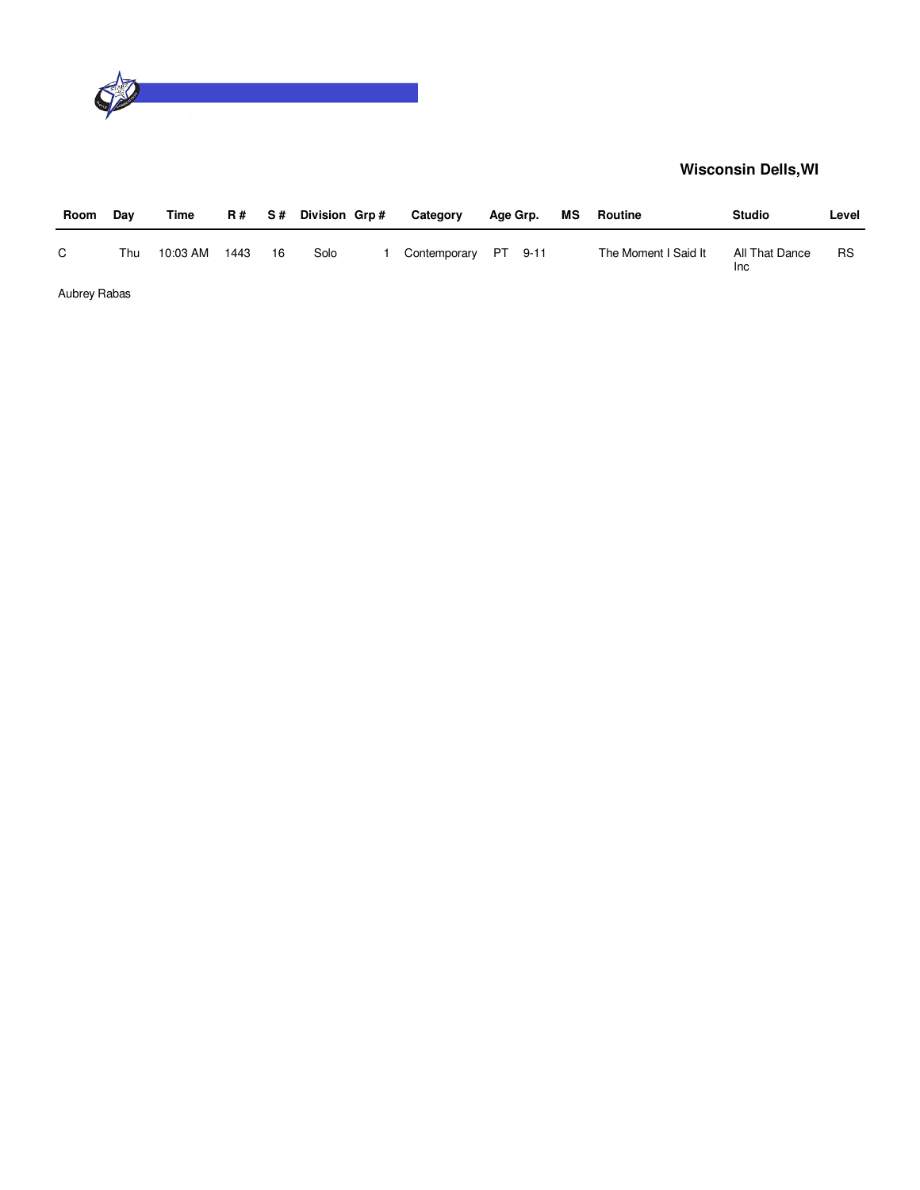

| Room         | Day | Time     |      |    | R# S# Division Grp# | Category             | Age Grp. | MS | Routine              | <b>Studio</b>                | Level     |
|--------------|-----|----------|------|----|---------------------|----------------------|----------|----|----------------------|------------------------------|-----------|
| C.           | Thu | 10:03 AM | 1443 | 16 | Solo                | Contemporary PT 9-11 |          |    | The Moment I Said It | All That Dance<br><b>Inc</b> | <b>RS</b> |
| Aubrey Rabas |     |          |      |    |                     |                      |          |    |                      |                              |           |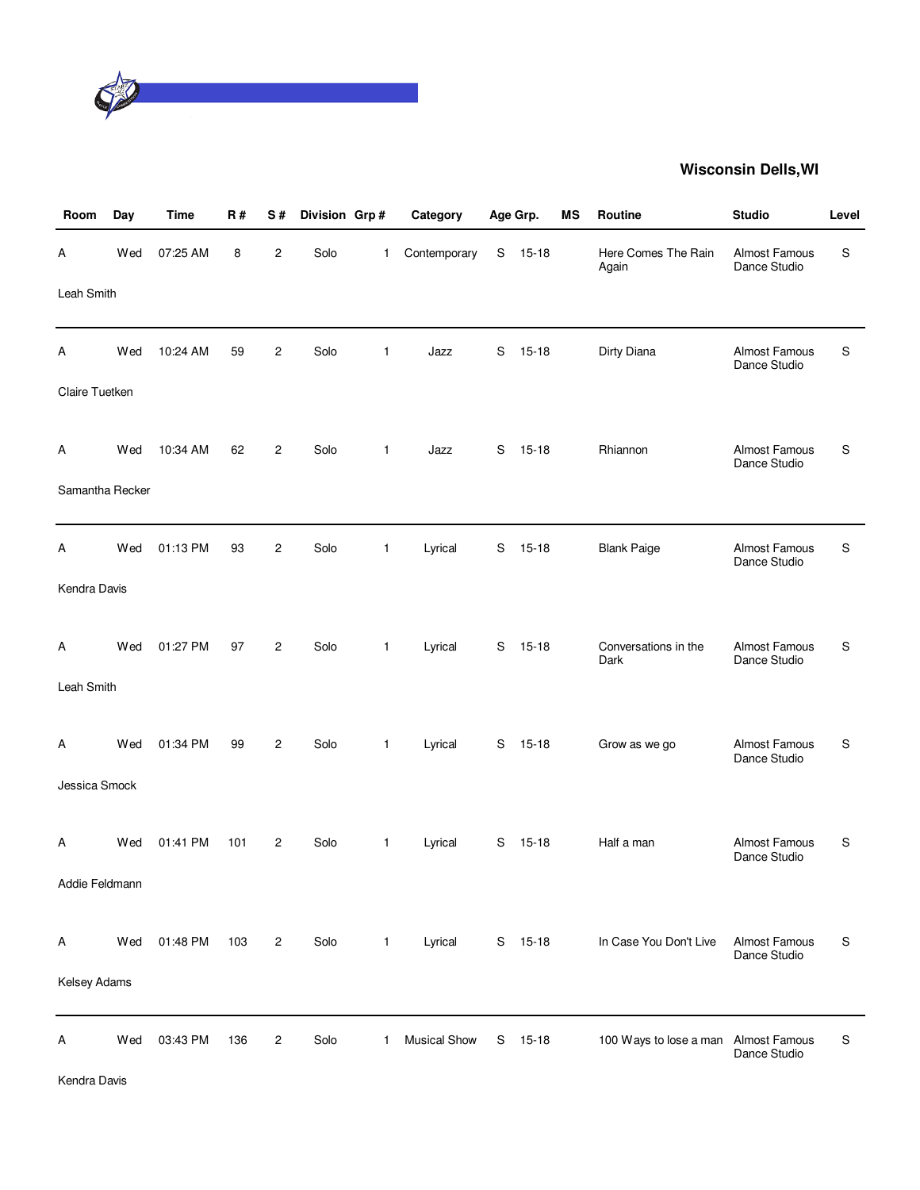

| Room            | Day | <b>Time</b> | <b>R#</b> | S#             | Division Grp# |              | Category            |   | Age Grp.  | MS | Routine                              | <b>Studio</b>                        | Level |
|-----------------|-----|-------------|-----------|----------------|---------------|--------------|---------------------|---|-----------|----|--------------------------------------|--------------------------------------|-------|
| Α               | Wed | 07:25 AM    | 8         | 2              | Solo          | $\mathbf{1}$ | Contemporary        | S | $15 - 18$ |    | Here Comes The Rain<br>Again         | Almost Famous<br>Dance Studio        | S     |
| Leah Smith      |     |             |           |                |               |              |                     |   |           |    |                                      |                                      |       |
| Α               | Wed | 10:24 AM    | 59        | $\overline{c}$ | Solo          | $\mathbf{1}$ | Jazz                | S | $15 - 18$ |    | Dirty Diana                          | Almost Famous<br>Dance Studio        | S     |
| Claire Tuetken  |     |             |           |                |               |              |                     |   |           |    |                                      |                                      |       |
| A               | Wed | 10:34 AM    | 62        | $\overline{2}$ | Solo          | 1            | Jazz                | S | $15 - 18$ |    | Rhiannon                             | Almost Famous<br>Dance Studio        | S     |
| Samantha Recker |     |             |           |                |               |              |                     |   |           |    |                                      |                                      |       |
| Α               | Wed | 01:13 PM    | 93        | $\overline{c}$ | Solo          | $\mathbf{1}$ | Lyrical             | S | $15 - 18$ |    | <b>Blank Paige</b>                   | <b>Almost Famous</b><br>Dance Studio | S     |
| Kendra Davis    |     |             |           |                |               |              |                     |   |           |    |                                      |                                      |       |
| A               | Wed | 01:27 PM    | 97        | $\overline{2}$ | Solo          | 1            | Lyrical             | S | $15 - 18$ |    | Conversations in the<br>Dark         | <b>Almost Famous</b><br>Dance Studio | S     |
| Leah Smith      |     |             |           |                |               |              |                     |   |           |    |                                      |                                      |       |
| A               | Wed | 01:34 PM    | 99        | $\overline{c}$ | Solo          | $\mathbf{1}$ | Lyrical             | S | $15 - 18$ |    | Grow as we go                        | Almost Famous<br>Dance Studio        | S     |
| Jessica Smock   |     |             |           |                |               |              |                     |   |           |    |                                      |                                      |       |
| Α               | Wed | 01:41 PM    | 101       | $\overline{2}$ | Solo          | $\mathbf{1}$ | Lyrical             | S | $15 - 18$ |    | Half a man                           | <b>Almost Famous</b><br>Dance Studio | S     |
| Addie Feldmann  |     |             |           |                |               |              |                     |   |           |    |                                      |                                      |       |
| Α               | Wed | 01:48 PM    | 103       | $\overline{c}$ | Solo          | $\mathbf{1}$ | Lyrical             |   | S 15-18   |    | In Case You Don't Live               | <b>Almost Famous</b><br>Dance Studio | S     |
| Kelsey Adams    |     |             |           |                |               |              |                     |   |           |    |                                      |                                      |       |
| А               | Wed | 03:43 PM    | 136       | $\overline{c}$ | Solo          | 1            | <b>Musical Show</b> | S | $15 - 18$ |    | 100 Ways to lose a man Almost Famous | Dance Studio                         | S     |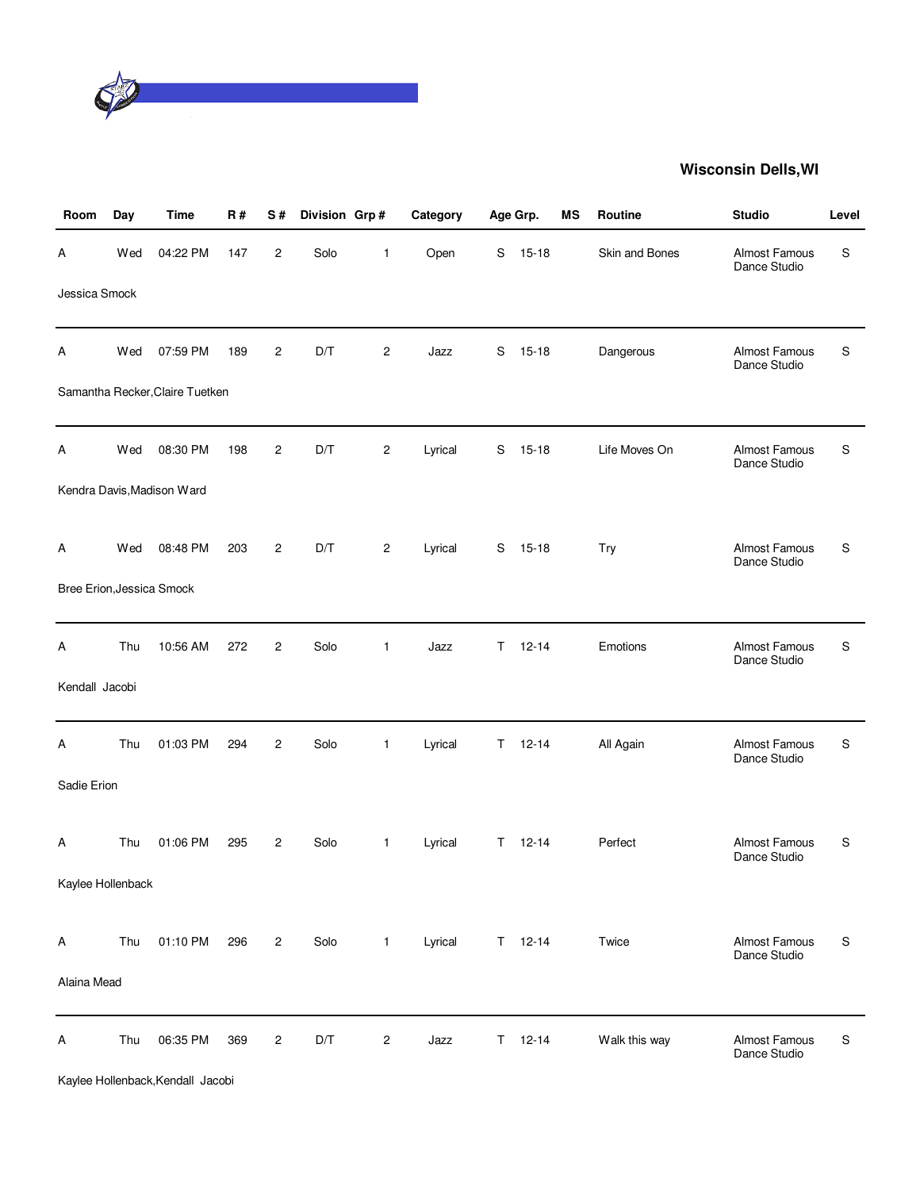

| Room              | Day | <b>Time</b>                     | R#  | S#             | Division Grp# |                | Category |    | Age Grp.      | МS | <b>Routine</b> | <b>Studio</b>                 | Level     |
|-------------------|-----|---------------------------------|-----|----------------|---------------|----------------|----------|----|---------------|----|----------------|-------------------------------|-----------|
| A                 | Wed | 04:22 PM                        | 147 | $\overline{c}$ | Solo          | 1              | Open     | S  | $15 - 18$     |    | Skin and Bones | Almost Famous<br>Dance Studio | S         |
| Jessica Smock     |     |                                 |     |                |               |                |          |    |               |    |                |                               |           |
| Α                 | Wed | 07:59 PM                        | 189 | 2              | D/T           | 2              | Jazz     | S  | $15 - 18$     |    | Dangerous      | Almost Famous<br>Dance Studio | S         |
|                   |     | Samantha Recker, Claire Tuetken |     |                |               |                |          |    |               |    |                |                               |           |
| A                 | Wed | 08:30 PM                        | 198 | $\overline{c}$ | D/T           | 2              | Lyrical  | S  | $15 - 18$     |    | Life Moves On  | Almost Famous<br>Dance Studio | S         |
|                   |     | Kendra Davis, Madison Ward      |     |                |               |                |          |    |               |    |                |                               |           |
| A                 | Wed | 08:48 PM                        | 203 | $\overline{c}$ | D/T           | $\overline{c}$ | Lyrical  | S  | 15-18         |    | Try            | Almost Famous<br>Dance Studio | S         |
|                   |     | Bree Erion, Jessica Smock       |     |                |               |                |          |    |               |    |                |                               |           |
| Α                 | Thu | 10:56 AM                        | 272 | $\overline{2}$ | Solo          | 1              | Jazz     | T. | $12 - 14$     |    | Emotions       | Almost Famous<br>Dance Studio | S         |
| Kendall Jacobi    |     |                                 |     |                |               |                |          |    |               |    |                |                               |           |
| Α                 | Thu | 01:03 PM                        | 294 | $\overline{c}$ | Solo          | 1              | Lyrical  | T. | $12 - 14$     |    | All Again      | Almost Famous<br>Dance Studio | S         |
| Sadie Erion       |     |                                 |     |                |               |                |          |    |               |    |                |                               |           |
| Α                 | Thu | 01:06 PM                        | 295 | $\overline{c}$ | Solo          | $\mathbf{1}$   | Lyrical  | T. | $12 - 14$     |    | Perfect        | Almost Famous<br>Dance Studio | S         |
| Kaylee Hollenback |     |                                 |     |                |               |                |          |    |               |    |                |                               |           |
| Α                 | Thu | 01:10 PM                        | 296 | $\overline{c}$ | Solo          | $\mathbf{1}$   | Lyrical  |    | $T = 12 - 14$ |    | Twice          | Almost Famous<br>Dance Studio | S         |
| Alaina Mead       |     |                                 |     |                |               |                |          |    |               |    |                |                               |           |
| Α                 | Thu | 06:35 PM                        | 369 | $\overline{c}$ | D/T           | 2              | Jazz     | T. | $12 - 14$     |    | Walk this way  | Almost Famous<br>Dance Studio | ${\sf S}$ |

Kaylee Hollenback,Kendall Jacobi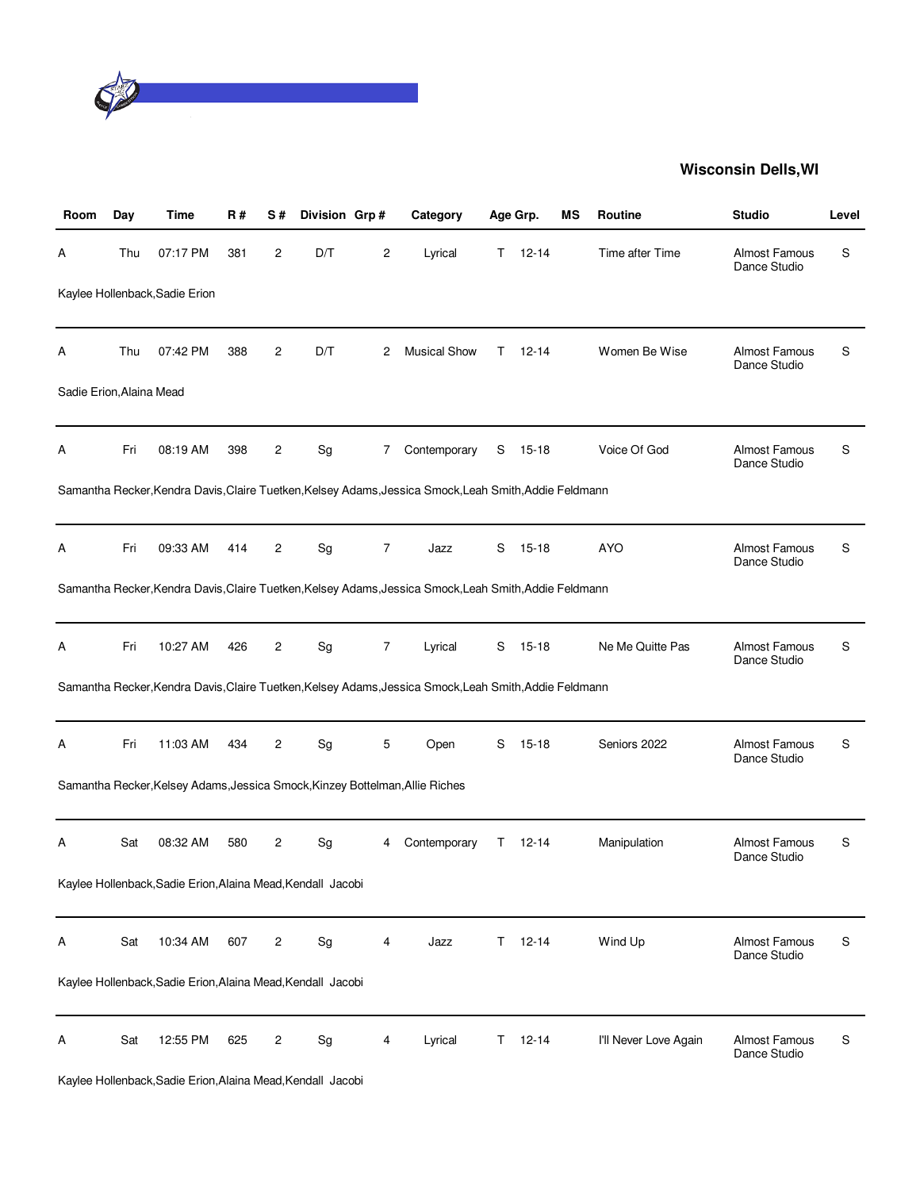

| Room                     | Day | Time                                                        | R#  | S#             | Division Grp# |                | Category                                                                                               |    | Age Grp.  | ΜS | <b>Routine</b>        | <b>Studio</b>                        | Level |
|--------------------------|-----|-------------------------------------------------------------|-----|----------------|---------------|----------------|--------------------------------------------------------------------------------------------------------|----|-----------|----|-----------------------|--------------------------------------|-------|
| А                        | Thu | 07:17 PM                                                    | 381 | 2              | D/T           | 2              | Lyrical                                                                                                | T. | $12 - 14$ |    | Time after Time       | <b>Almost Famous</b><br>Dance Studio | S     |
|                          |     | Kaylee Hollenback, Sadie Erion                              |     |                |               |                |                                                                                                        |    |           |    |                       |                                      |       |
| А                        | Thu | 07:42 PM                                                    | 388 | 2              | D/T           | 2              | <b>Musical Show</b>                                                                                    | T. | $12 - 14$ |    | Women Be Wise         | <b>Almost Famous</b><br>Dance Studio | S     |
| Sadie Erion, Alaina Mead |     |                                                             |     |                |               |                |                                                                                                        |    |           |    |                       |                                      |       |
| А                        | Fri | 08:19 AM                                                    | 398 | 2              | Sg            | 7              | Contemporary                                                                                           | S  | 15-18     |    | Voice Of God          | <b>Almost Famous</b><br>Dance Studio | S     |
|                          |     |                                                             |     |                |               |                | Samantha Recker, Kendra Davis, Claire Tuetken, Kelsey Adams, Jessica Smock, Leah Smith, Addie Feldmann |    |           |    |                       |                                      |       |
| Α                        | Fri | 09:33 AM                                                    | 414 | 2              | Sg            | $\overline{7}$ | Jazz                                                                                                   | S  | $15 - 18$ |    | <b>AYO</b>            | <b>Almost Famous</b><br>Dance Studio | S     |
|                          |     |                                                             |     |                |               |                | Samantha Recker, Kendra Davis, Claire Tuetken, Kelsey Adams, Jessica Smock, Leah Smith, Addie Feldmann |    |           |    |                       |                                      |       |
| Α                        | Fri | 10:27 AM                                                    | 426 | 2              | Sg            | 7              | Lyrical                                                                                                | S  | $15 - 18$ |    | Ne Me Quitte Pas      | <b>Almost Famous</b><br>Dance Studio | S     |
|                          |     |                                                             |     |                |               |                | Samantha Recker, Kendra Davis, Claire Tuetken, Kelsey Adams, Jessica Smock, Leah Smith, Addie Feldmann |    |           |    |                       |                                      |       |
| А                        | Fri | 11:03 AM                                                    | 434 | 2              | Sg            | 5              | Open                                                                                                   | S  | $15 - 18$ |    | Seniors 2022          | <b>Almost Famous</b><br>Dance Studio | S     |
|                          |     |                                                             |     |                |               |                | Samantha Recker, Kelsey Adams, Jessica Smock, Kinzey Bottelman, Allie Riches                           |    |           |    |                       |                                      |       |
| Α                        | Sat | 08:32 AM                                                    | 580 | 2              | Sg            | 4              | Contemporary                                                                                           | T. | 12-14     |    | Manipulation          | <b>Almost Famous</b><br>Dance Studio | S     |
|                          |     | Kaylee Hollenback, Sadie Erion, Alaina Mead, Kendall Jacobi |     |                |               |                |                                                                                                        |    |           |    |                       |                                      |       |
| А                        | Sat | 10:34 AM                                                    | 607 | $\overline{c}$ | Sg            | 4              | Jazz                                                                                                   | T. | $12 - 14$ |    | Wind Up               | <b>Almost Famous</b><br>Dance Studio | S     |
|                          |     | Kaylee Hollenback, Sadie Erion, Alaina Mead, Kendall Jacobi |     |                |               |                |                                                                                                        |    |           |    |                       |                                      |       |
| Α                        | Sat | 12:55 PM                                                    | 625 | 2              | Sg            | 4              | Lyrical                                                                                                | T. | $12 - 14$ |    | I'll Never Love Again | Almost Famous<br>Dance Studio        | S     |

Kaylee Hollenback,Sadie Erion,Alaina Mead,Kendall Jacobi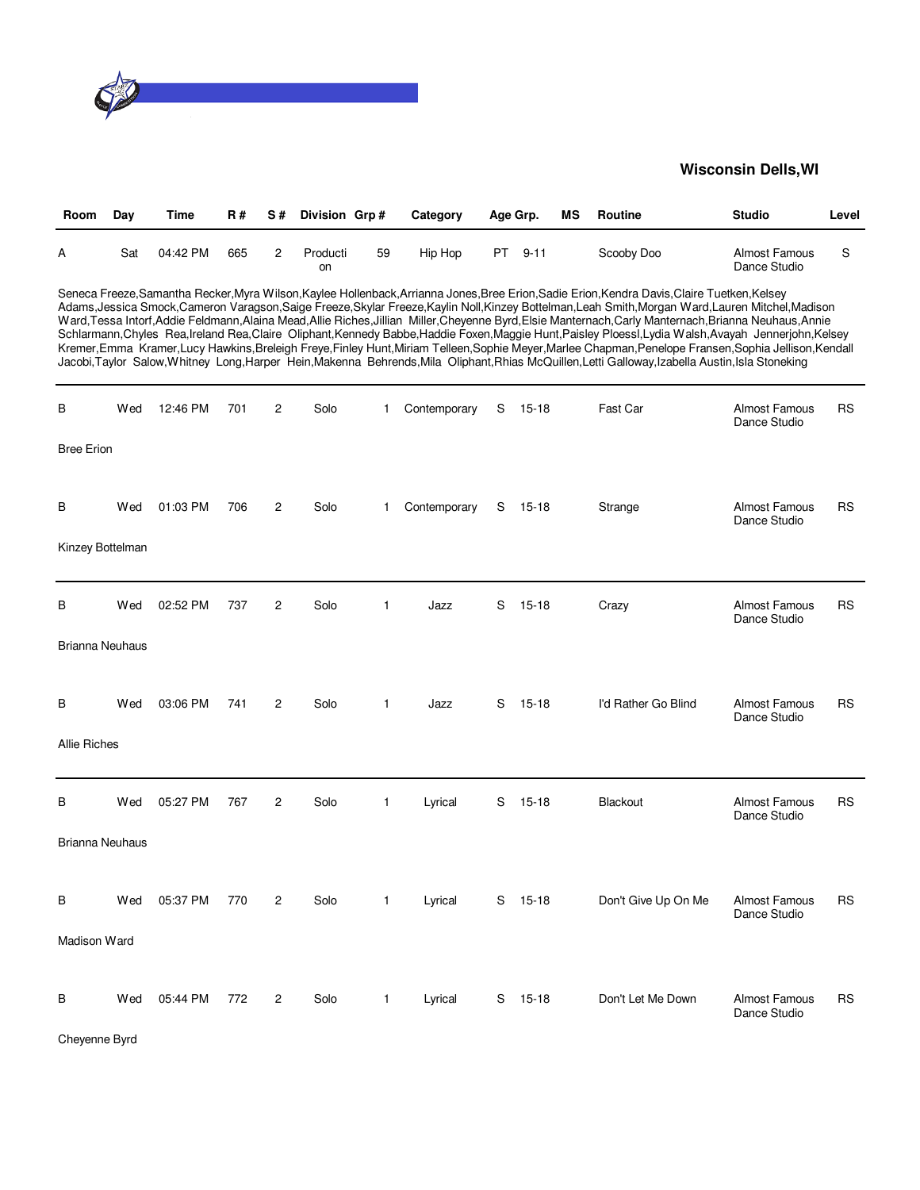

| Room | Day | Time     | <b>R#</b> | S# Division Grp# |    | Category | Age Grp. |        | MS | Routine    | <b>Studio</b>                 | Level |
|------|-----|----------|-----------|------------------|----|----------|----------|--------|----|------------|-------------------------------|-------|
| А    | Sat | 04:42 PM | 665       | Producti<br>on   | 59 | Hip Hop  | PT.      | $9-11$ |    | Scooby Doo | Almost Famous<br>Dance Studio |       |

Seneca Freeze,Samantha Recker,Myra Wilson,Kaylee Hollenback,Arrianna Jones,Bree Erion,Sadie Erion,Kendra Davis,Claire Tuetken,Kelsey Adams,Jessica Smock,Cameron Varagson,Saige Freeze,Skylar Freeze,Kaylin Noll,Kinzey Bottelman,Leah Smith,Morgan Ward,Lauren Mitchel,Madison Ward,Tessa Intorf,Addie Feldmann,Alaina Mead,Allie Riches,Jillian Miller,Cheyenne Byrd,Elsie Manternach,Carly Manternach,Brianna Neuhaus,Annie Schlarmann,Chyles Rea,Ireland Rea,Claire Oliphant,Kennedy Babbe,Haddie Foxen,Maggie Hunt,Paisley Ploessl,Lydia Walsh,Avayah Jennerjohn,Kelsey Kremer,Emma Kramer,Lucy Hawkins,Breleigh Freye,Finley Hunt,Miriam Telleen,Sophie Meyer,Marlee Chapman,Penelope Fransen,Sophia Jellison,Kendall Jacobi,Taylor Salow,Whitney Long,Harper Hein,Makenna Behrends,Mila Oliphant,Rhias McQuillen,Letti Galloway,Izabella Austin,Isla Stoneking

| B                      | Wed | 12:46 PM | 701 | $\overline{c}$ | Solo | 1            | Contemporary | S | $15 - 18$ | Fast Car            | <b>Almost Famous</b><br>Dance Studio | <b>RS</b> |
|------------------------|-----|----------|-----|----------------|------|--------------|--------------|---|-----------|---------------------|--------------------------------------|-----------|
| <b>Bree Erion</b>      |     |          |     |                |      |              |              |   |           |                     |                                      |           |
| В                      | Wed | 01:03 PM | 706 | 2              | Solo | $\mathbf{1}$ | Contemporary | S | $15 - 18$ | Strange             | <b>Almost Famous</b><br>Dance Studio | <b>RS</b> |
| Kinzey Bottelman       |     |          |     |                |      |              |              |   |           |                     |                                      |           |
| В                      | Wed | 02:52 PM | 737 | $\overline{c}$ | Solo | $\mathbf{1}$ | Jazz         | S | $15 - 18$ | Crazy               | Almost Famous<br>Dance Studio        | <b>RS</b> |
| <b>Brianna Neuhaus</b> |     |          |     |                |      |              |              |   |           |                     |                                      |           |
| В                      | Wed | 03:06 PM | 741 | $\mathbf{2}$   | Solo | $\mathbf{1}$ | Jazz         | S | $15 - 18$ | I'd Rather Go Blind | Almost Famous<br>Dance Studio        | <b>RS</b> |
| <b>Allie Riches</b>    |     |          |     |                |      |              |              |   |           |                     |                                      |           |
| B                      | Wed | 05:27 PM | 767 | $\overline{c}$ | Solo | $\mathbf{1}$ | Lyrical      | S | $15 - 18$ | Blackout            | <b>Almost Famous</b><br>Dance Studio | <b>RS</b> |
| <b>Brianna Neuhaus</b> |     |          |     |                |      |              |              |   |           |                     |                                      |           |
| В                      | Wed | 05:37 PM | 770 | $\overline{c}$ | Solo | $\mathbf{1}$ | Lyrical      | S | $15 - 18$ | Don't Give Up On Me | Almost Famous<br>Dance Studio        | <b>RS</b> |
| Madison Ward           |     |          |     |                |      |              |              |   |           |                     |                                      |           |
| B                      | Wed | 05:44 PM | 772 | $\overline{c}$ | Solo | $\mathbf{1}$ | Lyrical      | S | $15 - 18$ | Don't Let Me Down   | <b>Almost Famous</b><br>Dance Studio | <b>RS</b> |

Cheyenne Byrd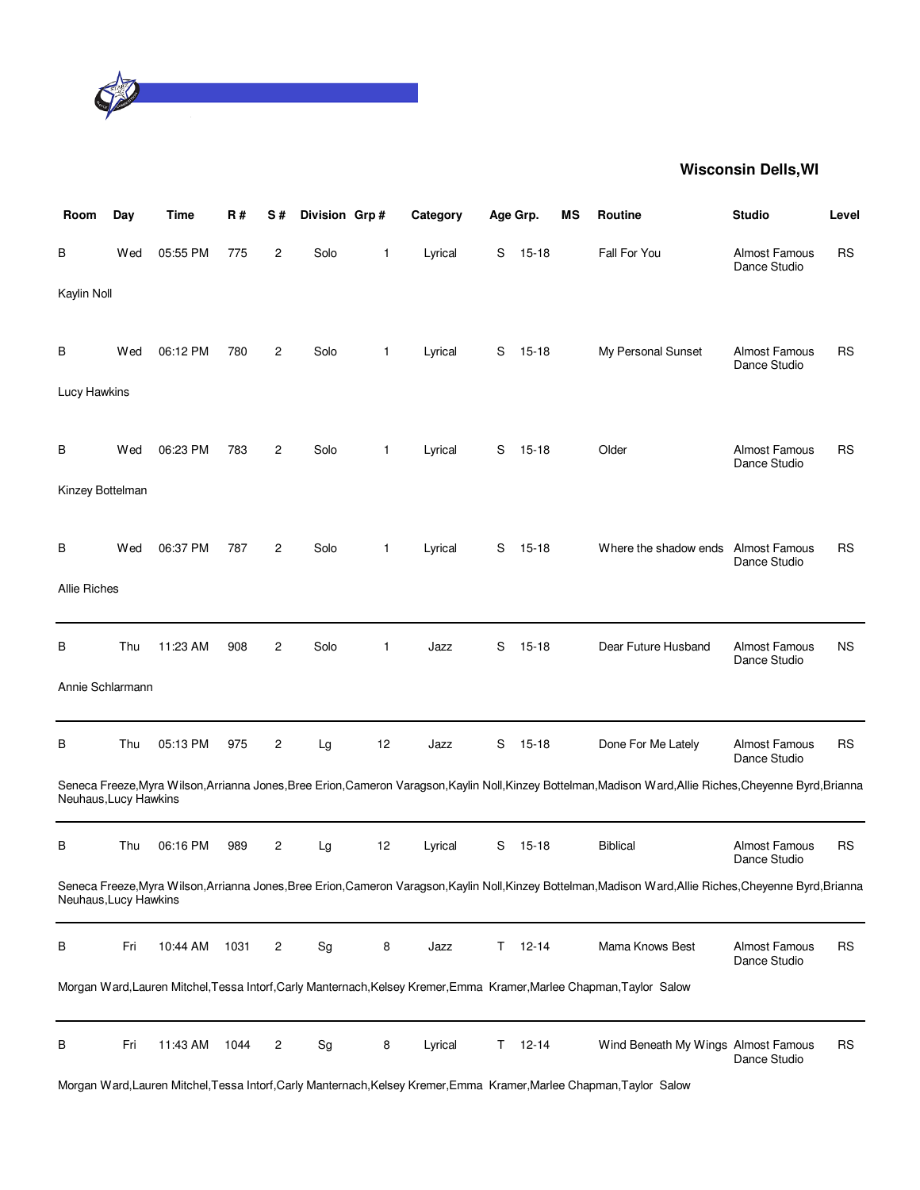

| Room                  | Day | Time     | R#   | S#             | Division Grp#                |              | Category | Age Grp. |           | <b>MS</b> | <b>Routine</b>                                                                                                                                              | <b>Studio</b>                        | Level     |
|-----------------------|-----|----------|------|----------------|------------------------------|--------------|----------|----------|-----------|-----------|-------------------------------------------------------------------------------------------------------------------------------------------------------------|--------------------------------------|-----------|
| В                     | Wed | 05:55 PM | 775  | $\overline{c}$ | Solo                         | 1            | Lyrical  | S        | $15 - 18$ |           | Fall For You                                                                                                                                                | <b>Almost Famous</b><br>Dance Studio | <b>RS</b> |
| Kaylin Noll           |     |          |      |                |                              |              |          |          |           |           |                                                                                                                                                             |                                      |           |
| В                     | Wed | 06:12 PM | 780  | 2              | Solo                         | $\mathbf{1}$ | Lyrical  | S        | $15 - 18$ |           | My Personal Sunset                                                                                                                                          | <b>Almost Famous</b><br>Dance Studio | <b>RS</b> |
| Lucy Hawkins          |     |          |      |                |                              |              |          |          |           |           |                                                                                                                                                             |                                      |           |
| В                     | Wed | 06:23 PM | 783  | 2              | Solo                         | 1            | Lyrical  | S        | $15 - 18$ |           | Older                                                                                                                                                       | <b>Almost Famous</b><br>Dance Studio | <b>RS</b> |
| Kinzey Bottelman      |     |          |      |                |                              |              |          |          |           |           |                                                                                                                                                             |                                      |           |
| В                     | Wed | 06:37 PM | 787  | $\overline{c}$ | Solo                         | $\mathbf{1}$ | Lyrical  | S        | $15 - 18$ |           | Where the shadow ends Almost Famous                                                                                                                         | Dance Studio                         | <b>RS</b> |
| <b>Allie Riches</b>   |     |          |      |                |                              |              |          |          |           |           |                                                                                                                                                             |                                      |           |
| В                     | Thu | 11:23 AM | 908  | 2              | Solo                         | $\mathbf{1}$ | Jazz     | S        | $15 - 18$ |           | Dear Future Husband                                                                                                                                         | <b>Almost Famous</b><br>Dance Studio | <b>NS</b> |
| Annie Schlarmann      |     |          |      |                |                              |              |          |          |           |           |                                                                                                                                                             |                                      |           |
| В                     | Thu | 05:13 PM | 975  | 2              | Lg                           | 12           | Jazz     | S        | $15 - 18$ |           | Done For Me Lately                                                                                                                                          | <b>Almost Famous</b><br>Dance Studio | <b>RS</b> |
| Neuhaus, Lucy Hawkins |     |          |      |                |                              |              |          |          |           |           | Seneca Freeze, Myra Wilson, Arrianna Jones, Bree Erion, Cameron Varagson, Kaylin Noll, Kinzey Bottelman, Madison Ward, Allie Riches, Cheyenne Byrd, Brianna |                                      |           |
| В                     | Thu | 06:16 PM | 989  | 2              | Lg                           | 12           | Lyrical  | S        | $15 - 18$ |           | <b>Biblical</b>                                                                                                                                             | <b>Almost Famous</b><br>Dance Studio | <b>RS</b> |
| Neuhaus, Lucy Hawkins |     |          |      |                |                              |              |          |          |           |           | Seneca Freeze, Myra Wilson, Arrianna Jones, Bree Erion, Cameron Varagson, Kaylin Noll, Kinzey Bottelman, Madison Ward, Allie Riches, Cheyenne Byrd, Brianna |                                      |           |
| В                     | Fri | 10:44 AM | 1031 | 2              | Sg                           | 8            | Jazz     | T.       | $12 - 14$ |           | Mama Knows Best                                                                                                                                             | <b>Almost Famous</b><br>Dance Studio | <b>RS</b> |
|                       |     |          |      |                |                              |              |          |          |           |           | Morgan Ward, Lauren Mitchel, Tessa Intorf, Carly Manternach, Kelsey Kremer, Emma Kramer, Marlee Chapman, Taylor Salow                                       |                                      |           |
| В                     | Fri | 11:43 AM | 1044 | 2              | $\operatorname{\mathsf{Sg}}$ | 8            | Lyrical  | T.       | $12 - 14$ |           | Wind Beneath My Wings Almost Famous                                                                                                                         | Dance Studio                         | <b>RS</b> |

Morgan Ward,Lauren Mitchel,Tessa Intorf,Carly Manternach,Kelsey Kremer,Emma Kramer,Marlee Chapman,Taylor Salow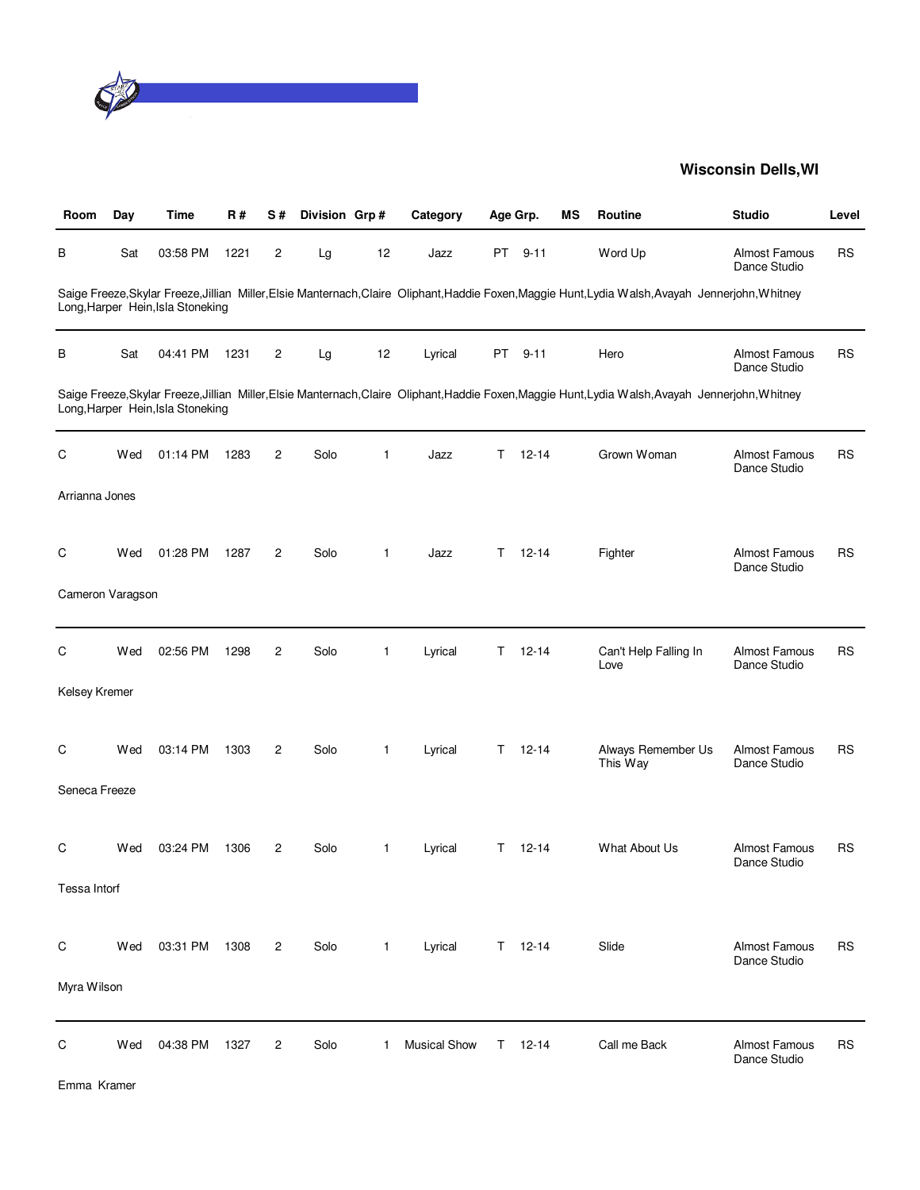

| Room             | Day | <b>Time</b>                       | R#   | S#             | Division Grp# |              | Category            |    | Age Grp.      | ΜS | Routine                                                                                                                                            | <b>Studio</b>                        | Level     |
|------------------|-----|-----------------------------------|------|----------------|---------------|--------------|---------------------|----|---------------|----|----------------------------------------------------------------------------------------------------------------------------------------------------|--------------------------------------|-----------|
| В                | Sat | 03:58 PM                          | 1221 | 2              | Lg            | 12           | Jazz                | PT | $9 - 11$      |    | Word Up                                                                                                                                            | <b>Almost Famous</b><br>Dance Studio | RS        |
|                  |     | Long, Harper Hein, Isla Stoneking |      |                |               |              |                     |    |               |    | Saige Freeze,Skylar Freeze,Jillian Miller,Elsie Manternach,Claire Oliphant,Haddie Foxen,Maggie Hunt,Lydia Walsh,Avayah Jennerjohn,Whitney          |                                      |           |
| В                | Sat | 04:41 PM                          | 1231 | 2              | Lg            | 12           | Lyrical             |    | PT 9-11       |    | Hero                                                                                                                                               | <b>Almost Famous</b><br>Dance Studio | <b>RS</b> |
|                  |     | Long, Harper Hein, Isla Stoneking |      |                |               |              |                     |    |               |    | Saige Freeze, Skylar Freeze, Jillian Miller, Elsie Manternach, Claire Oliphant, Haddie Foxen, Maggie Hunt, Lydia Walsh, Avayah Jennerjohn, Whitney |                                      |           |
| С                | Wed | 01:14 PM                          | 1283 | $\mathbf{2}$   | Solo          | $\mathbf{1}$ | Jazz                | T  | $12 - 14$     |    | Grown Woman                                                                                                                                        | Almost Famous<br>Dance Studio        | <b>RS</b> |
| Arrianna Jones   |     |                                   |      |                |               |              |                     |    |               |    |                                                                                                                                                    |                                      |           |
| C                | Wed | 01:28 PM                          | 1287 | $\overline{c}$ | Solo          | $\mathbf{1}$ | Jazz                | T. | $12 - 14$     |    | Fighter                                                                                                                                            | <b>Almost Famous</b><br>Dance Studio | RS        |
| Cameron Varagson |     |                                   |      |                |               |              |                     |    |               |    |                                                                                                                                                    |                                      |           |
| С                | Wed | 02:56 PM                          | 1298 | $\overline{c}$ | Solo          | $\mathbf{1}$ | Lyrical             | T. | $12 - 14$     |    | Can't Help Falling In<br>Love                                                                                                                      | Almost Famous<br>Dance Studio        | <b>RS</b> |
| Kelsey Kremer    |     |                                   |      |                |               |              |                     |    |               |    |                                                                                                                                                    |                                      |           |
| C                | Wed | 03:14 PM                          | 1303 | 2              | Solo          | $\mathbf{1}$ | Lyrical             | T. | $12 - 14$     |    | Always Remember Us<br>This Way                                                                                                                     | <b>Almost Famous</b><br>Dance Studio | <b>RS</b> |
| Seneca Freeze    |     |                                   |      |                |               |              |                     |    |               |    |                                                                                                                                                    |                                      |           |
| C                | Wed | 03:24 PM                          | 1306 | $\overline{c}$ | Solo          | $\mathbf{1}$ | Lyrical             | Τ  | $12 - 14$     |    | What About Us                                                                                                                                      | <b>Almost Famous</b><br>Dance Studio | RS        |
| Tessa Intorf     |     |                                   |      |                |               |              |                     |    |               |    |                                                                                                                                                    |                                      |           |
| С                | Wed | 03:31 PM                          | 1308 | 2              | Solo          | $\mathbf{1}$ | Lyrical             |    | $T = 12 - 14$ |    | Slide                                                                                                                                              | <b>Almost Famous</b><br>Dance Studio | <b>RS</b> |
| Myra Wilson      |     |                                   |      |                |               |              |                     |    |               |    |                                                                                                                                                    |                                      |           |
| C                | Wed | 04:38 PM                          | 1327 | $\overline{c}$ | Solo          | 1            | <b>Musical Show</b> | T. | $12 - 14$     |    | Call me Back                                                                                                                                       | <b>Almost Famous</b><br>Dance Studio | <b>RS</b> |

Emma Kramer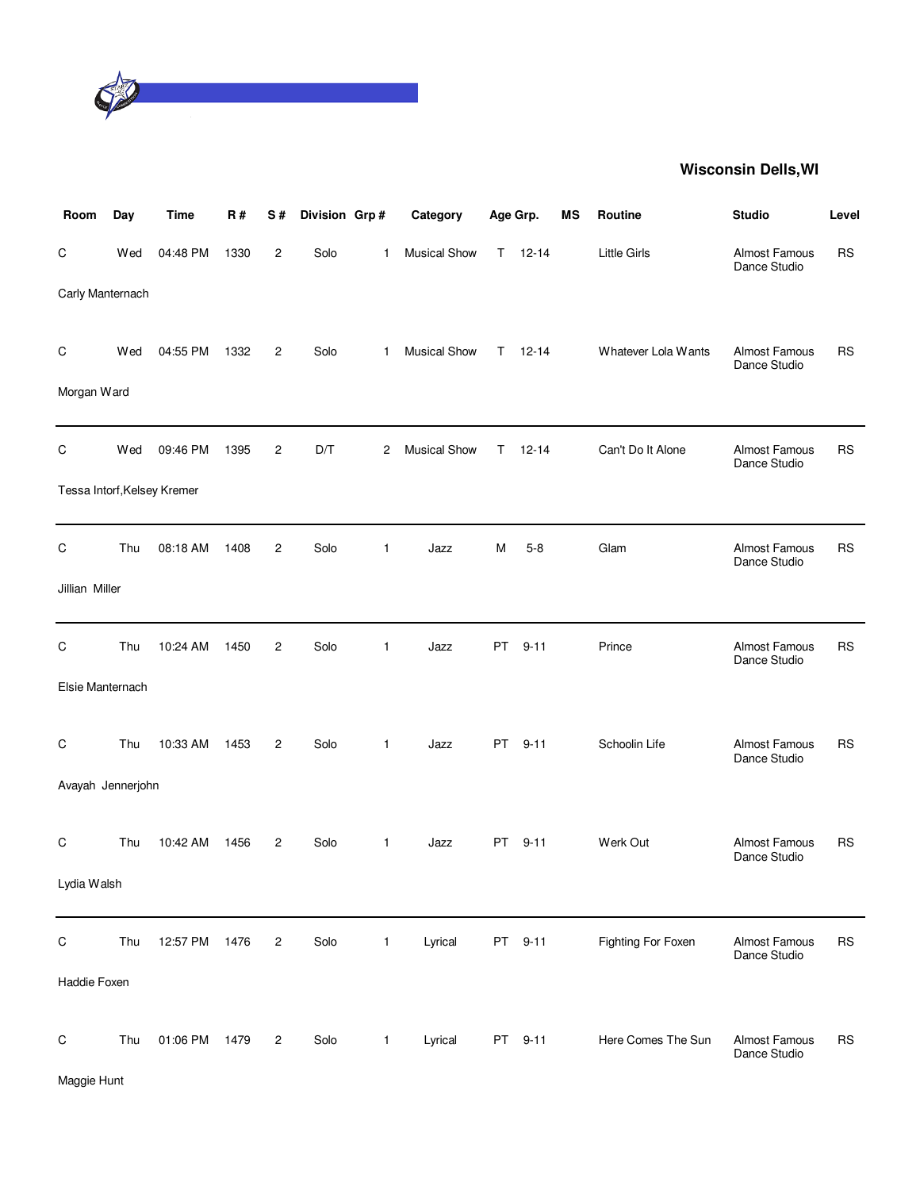

| Room              | Day | Time                        | R#   | S#             | Division Grp# |              | Category            | Age Grp. |           | МS | <b>Routine</b>      | <b>Studio</b>                        | Level     |
|-------------------|-----|-----------------------------|------|----------------|---------------|--------------|---------------------|----------|-----------|----|---------------------|--------------------------------------|-----------|
| C                 | Wed | 04:48 PM                    | 1330 | 2              | Solo          | 1            | <b>Musical Show</b> | T.       | $12 - 14$ |    | <b>Little Girls</b> | Almost Famous<br>Dance Studio        | <b>RS</b> |
| Carly Manternach  |     |                             |      |                |               |              |                     |          |           |    |                     |                                      |           |
| $\mathsf C$       | Wed | 04:55 PM                    | 1332 | $\overline{c}$ | Solo          | 1            | <b>Musical Show</b> | T.       | $12 - 14$ |    | Whatever Lola Wants | Almost Famous<br>Dance Studio        | <b>RS</b> |
| Morgan Ward       |     |                             |      |                |               |              |                     |          |           |    |                     |                                      |           |
| $\mathsf C$       | Wed | 09:46 PM                    | 1395 | 2              | D/T           | 2            | <b>Musical Show</b> | Τ        | $12 - 14$ |    | Can't Do It Alone   | Almost Famous<br>Dance Studio        | <b>RS</b> |
|                   |     | Tessa Intorf, Kelsey Kremer |      |                |               |              |                     |          |           |    |                     |                                      |           |
| $\mathsf C$       | Thu | 08:18 AM                    | 1408 | $\overline{c}$ | Solo          | 1            | Jazz                | м        | $5 - 8$   |    | Glam                | Almost Famous<br>Dance Studio        | RS        |
| Jillian Miller    |     |                             |      |                |               |              |                     |          |           |    |                     |                                      |           |
| C                 | Thu | 10:24 AM                    | 1450 | $\overline{2}$ | Solo          | 1            | Jazz                | PT       | $9 - 11$  |    | Prince              | Almost Famous<br>Dance Studio        | <b>RS</b> |
| Elsie Manternach  |     |                             |      |                |               |              |                     |          |           |    |                     |                                      |           |
| C                 | Thu | 10:33 AM                    | 1453 | $\overline{2}$ | Solo          | 1            | Jazz                | PT       | $9 - 11$  |    | Schoolin Life       | <b>Almost Famous</b><br>Dance Studio | <b>RS</b> |
| Avayah Jennerjohn |     |                             |      |                |               |              |                     |          |           |    |                     |                                      |           |
| C                 | Thu | 10:42 AM                    | 1456 | 2              | Solo          | 1            | Jazz                | PT       | $9 - 11$  |    | Werk Out            | <b>Almost Famous</b><br>Dance Studio | <b>RS</b> |
| Lydia Walsh       |     |                             |      |                |               |              |                     |          |           |    |                     |                                      |           |
| $\mathsf C$       | Thu | 12:57 PM                    | 1476 | $\overline{c}$ | Solo          | $\mathbf{1}$ | Lyrical             |          | PT 9-11   |    | Fighting For Foxen  | Almost Famous<br>Dance Studio        | <b>RS</b> |
| Haddie Foxen      |     |                             |      |                |               |              |                     |          |           |    |                     |                                      |           |
| $\mathsf C$       | Thu | 01:06 PM                    | 1479 | $\overline{c}$ | Solo          | $\mathbf{1}$ | Lyrical             |          | PT 9-11   |    | Here Comes The Sun  | Almost Famous<br>Dance Studio        | <b>RS</b> |
| Maggie Hunt       |     |                             |      |                |               |              |                     |          |           |    |                     |                                      |           |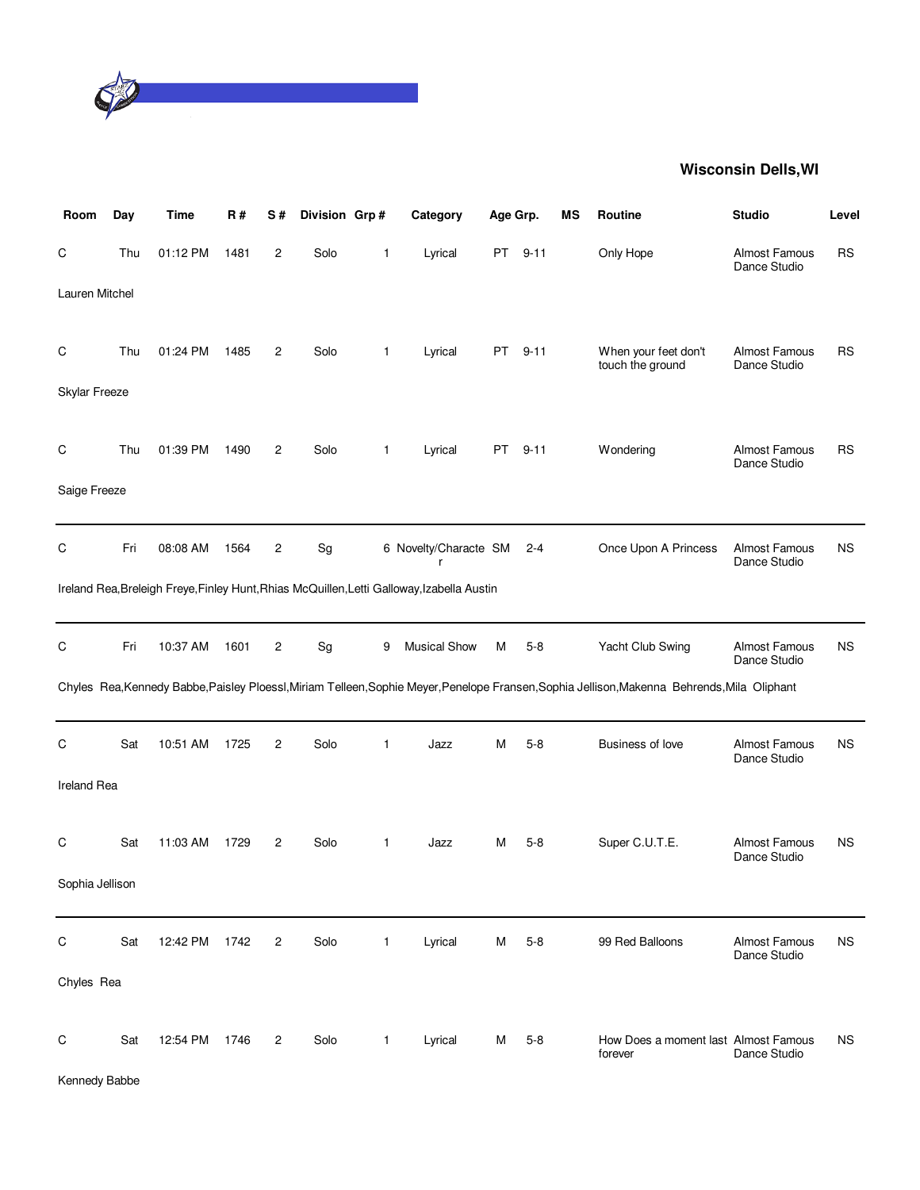

| Room            | Day | <b>Time</b> | R#   | S#             | Division Grp# |              | Category                                                                                   | Age Grp. |          | MS | Routine                                                                                                                                      | <b>Studio</b>                        | Level     |
|-----------------|-----|-------------|------|----------------|---------------|--------------|--------------------------------------------------------------------------------------------|----------|----------|----|----------------------------------------------------------------------------------------------------------------------------------------------|--------------------------------------|-----------|
| C               | Thu | 01:12 PM    | 1481 | $\overline{c}$ | Solo          | 1            | Lyrical                                                                                    | PT -     | $9 - 11$ |    | Only Hope                                                                                                                                    | <b>Almost Famous</b><br>Dance Studio | <b>RS</b> |
| Lauren Mitchel  |     |             |      |                |               |              |                                                                                            |          |          |    |                                                                                                                                              |                                      |           |
| C               | Thu | 01:24 PM    | 1485 | 2              | Solo          | $\mathbf{1}$ | Lyrical                                                                                    | PT       | $9 - 11$ |    | When your feet don't<br>touch the ground                                                                                                     | <b>Almost Famous</b><br>Dance Studio | <b>RS</b> |
| Skylar Freeze   |     |             |      |                |               |              |                                                                                            |          |          |    |                                                                                                                                              |                                      |           |
| C               | Thu | 01:39 PM    | 1490 | 2              | Solo          | 1            | Lyrical                                                                                    | PT.      | $9 - 11$ |    | Wondering                                                                                                                                    | Almost Famous<br>Dance Studio        | <b>RS</b> |
| Saige Freeze    |     |             |      |                |               |              |                                                                                            |          |          |    |                                                                                                                                              |                                      |           |
| C               | Fri | 08:08 AM    | 1564 | 2              | Sg            |              | 6 Novelty/Characte SM<br>r                                                                 |          | $2 - 4$  |    | Once Upon A Princess                                                                                                                         | <b>Almost Famous</b><br>Dance Studio | ΝS        |
|                 |     |             |      |                |               |              | Ireland Rea, Breleigh Freye, Finley Hunt, Rhias McQuillen, Letti Galloway, Izabella Austin |          |          |    |                                                                                                                                              |                                      |           |
| C               | Fri | 10:37 AM    | 1601 | 2              | Sg            | 9            | <b>Musical Show</b>                                                                        | M        | 5-8      |    | Yacht Club Swing                                                                                                                             | <b>Almost Famous</b><br>Dance Studio | ΝS        |
|                 |     |             |      |                |               |              |                                                                                            |          |          |    | Chyles Rea, Kennedy Babbe, Paisley Ploessl, Miriam Telleen, Sophie Meyer, Penelope Fransen, Sophia Jellison, Makenna Behrends, Mila Oliphant |                                      |           |
| C               | Sat | 10:51 AM    | 1725 | $\overline{c}$ | Solo          | 1            | Jazz                                                                                       | M        | $5 - 8$  |    | Business of love                                                                                                                             | Almost Famous<br>Dance Studio        | <b>NS</b> |
| Ireland Rea     |     |             |      |                |               |              |                                                                                            |          |          |    |                                                                                                                                              |                                      |           |
| C               | Sat | 11:03 AM    | 1729 | $\overline{c}$ | Solo          | $\mathbf{1}$ | Jazz                                                                                       | м        | $5-8$    |    | Super C.U.T.E.                                                                                                                               | <b>Almost Famous</b><br>Dance Studio | ΝS        |
| Sophia Jellison |     |             |      |                |               |              |                                                                                            |          |          |    |                                                                                                                                              |                                      |           |
| $\mathsf C$     | Sat | 12:42 PM    | 1742 | $\overline{c}$ | Solo          | $\mathbf{1}$ | Lyrical                                                                                    | м        | $5 - 8$  |    | 99 Red Balloons                                                                                                                              | Almost Famous<br>Dance Studio        | <b>NS</b> |
| Chyles Rea      |     |             |      |                |               |              |                                                                                            |          |          |    |                                                                                                                                              |                                      |           |
| C               | Sat | 12:54 PM    | 1746 | 2              | Solo          | 1            | Lyrical                                                                                    | M        | $5 - 8$  |    | How Does a moment last Almost Famous<br>forever                                                                                              | Dance Studio                         | <b>NS</b> |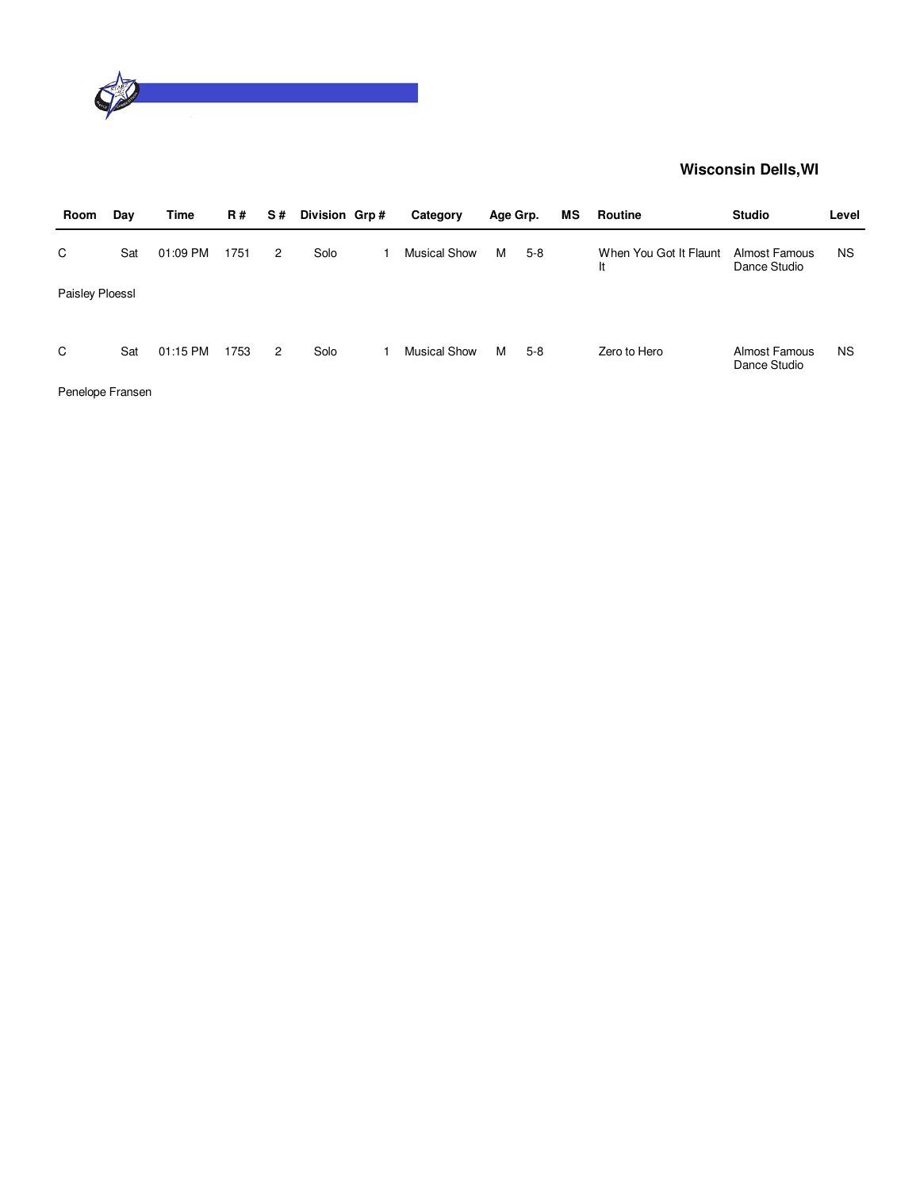

| Room            | Day | Time     | <b>R#</b> | S# | Division Grp# | Category            | Age Grp. |       | ΜS | Routine                      | <b>Studio</b>                 | Level     |
|-----------------|-----|----------|-----------|----|---------------|---------------------|----------|-------|----|------------------------------|-------------------------------|-----------|
| C               | Sat | 01:09 PM | 1751      | 2  | Solo          | <b>Musical Show</b> | м        | $5-8$ |    | When You Got It Flaunt<br>It | Almost Famous<br>Dance Studio | <b>NS</b> |
| Paisley Ploessl |     |          |           |    |               |                     |          |       |    |                              |                               |           |
|                 |     |          |           |    |               |                     |          |       |    |                              |                               |           |
| C               | Sat | 01:15 PM | 1753      | 2  | Solo          | <b>Musical Show</b> | м        | $5-8$ |    | Zero to Hero                 | Almost Famous<br>Dance Studio | <b>NS</b> |

Penelope Fransen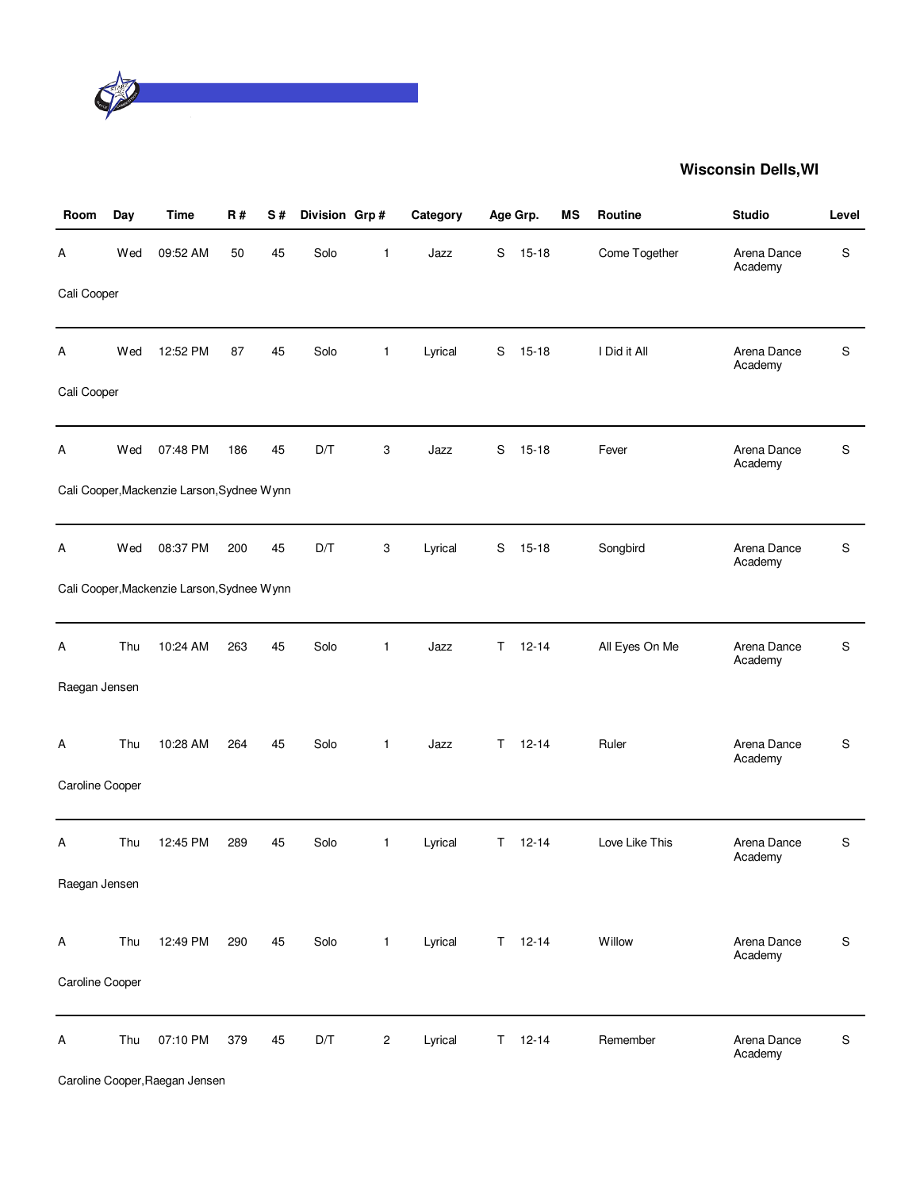

| Room            | Day | <b>Time</b>                                | <b>R#</b> | S# | Division Grp# |              | Category |    | Age Grp.      | MS | <b>Routine</b> | <b>Studio</b>          | Level |
|-----------------|-----|--------------------------------------------|-----------|----|---------------|--------------|----------|----|---------------|----|----------------|------------------------|-------|
| Α               | Wed | 09:52 AM                                   | 50        | 45 | Solo          | 1            | Jazz     | S  | $15 - 18$     |    | Come Together  | Arena Dance<br>Academy | S     |
| Cali Cooper     |     |                                            |           |    |               |              |          |    |               |    |                |                        |       |
| А               | Wed | 12:52 PM                                   | 87        | 45 | Solo          | $\mathbf{1}$ | Lyrical  | S  | $15 - 18$     |    | I Did it All   | Arena Dance<br>Academy | S     |
| Cali Cooper     |     |                                            |           |    |               |              |          |    |               |    |                |                        |       |
| А               | Wed | 07:48 PM                                   | 186       | 45 | D/T           | 3            | Jazz     | S  | $15 - 18$     |    | Fever          | Arena Dance<br>Academy | S     |
|                 |     | Cali Cooper, Mackenzie Larson, Sydnee Wynn |           |    |               |              |          |    |               |    |                |                        |       |
| А               | Wed | 08:37 PM                                   | 200       | 45 | D/T           | 3            | Lyrical  | S  | $15 - 18$     |    | Songbird       | Arena Dance<br>Academy | S     |
|                 |     | Cali Cooper, Mackenzie Larson, Sydnee Wynn |           |    |               |              |          |    |               |    |                |                        |       |
| Α               | Thu | 10:24 AM                                   | 263       | 45 | Solo          | 1            | Jazz     | T. | $12 - 14$     |    | All Eyes On Me | Arena Dance<br>Academy | S     |
| Raegan Jensen   |     |                                            |           |    |               |              |          |    |               |    |                |                        |       |
| Α               | Thu | 10:28 AM                                   | 264       | 45 | Solo          | $\mathbf{1}$ | Jazz     | T  | $12 - 14$     |    | Ruler          | Arena Dance<br>Academy | S     |
| Caroline Cooper |     |                                            |           |    |               |              |          |    |               |    |                |                        |       |
| Α               | Thu | 12:45 PM                                   | 289       | 45 | Solo          | $\mathbf{1}$ | Lyrical  | T. | $12 - 14$     |    | Love Like This | Arena Dance<br>Academy | S     |
| Raegan Jensen   |     |                                            |           |    |               |              |          |    |               |    |                |                        |       |
| A               | Thu | 12:49 PM                                   | 290       | 45 | Solo          | $\mathbf{1}$ | Lyrical  |    | $T = 12 - 14$ |    | Willow         | Arena Dance<br>Academy | S     |
| Caroline Cooper |     |                                            |           |    |               |              |          |    |               |    |                |                        |       |
| Α               | Thu | 07:10 PM                                   | 379       | 45 | D/T           | $\sqrt{2}$   | Lyrical  |    | $T = 12 - 14$ |    | Remember       | Arena Dance<br>Academy | S     |

Caroline Cooper,Raegan Jensen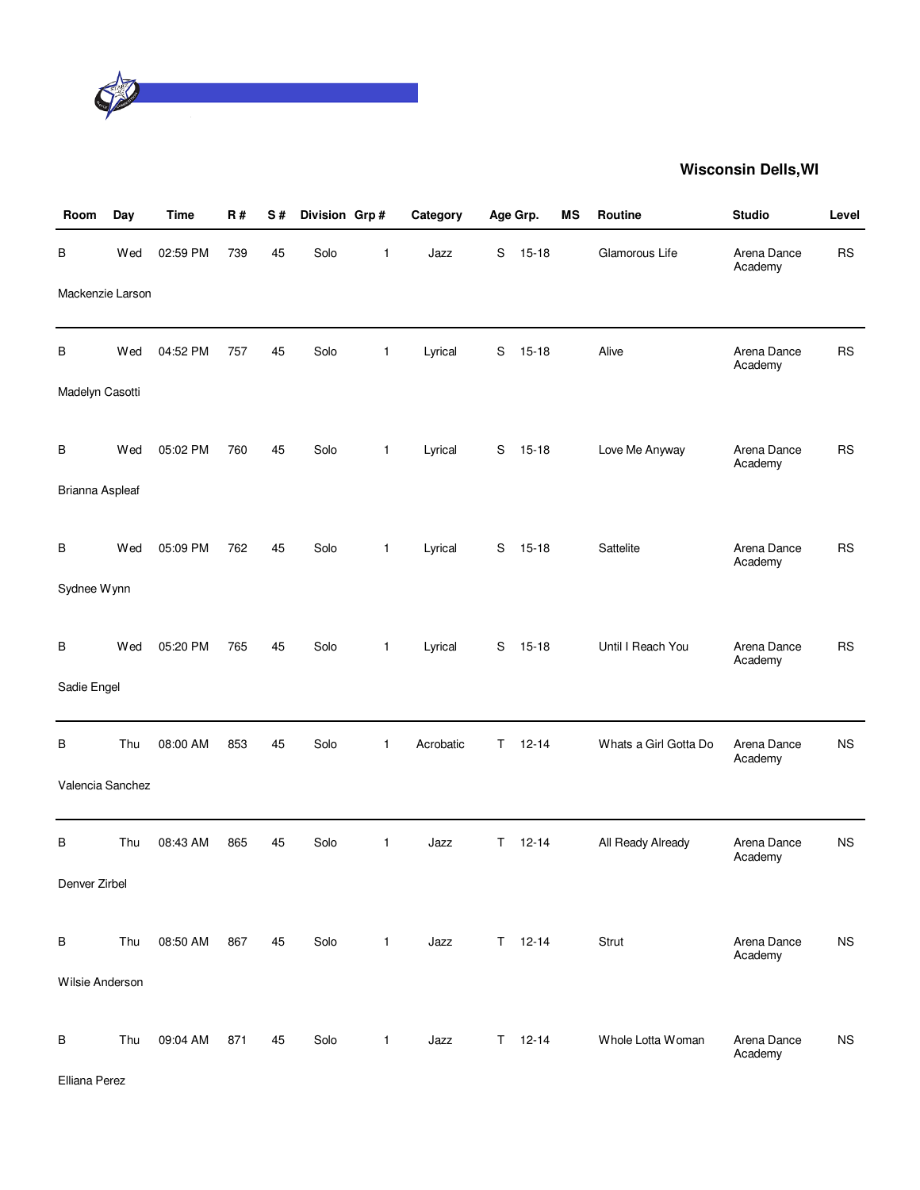

| Room             | Day | <b>Time</b> | R#  | S# | Division Grp# |              | Category  | Age Grp. |               | <b>MS</b> | Routine               | <b>Studio</b>          | Level     |
|------------------|-----|-------------|-----|----|---------------|--------------|-----------|----------|---------------|-----------|-----------------------|------------------------|-----------|
| В                | Wed | 02:59 PM    | 739 | 45 | Solo          | 1            | Jazz      | S        | $15 - 18$     |           | Glamorous Life        | Arena Dance<br>Academy | <b>RS</b> |
| Mackenzie Larson |     |             |     |    |               |              |           |          |               |           |                       |                        |           |
| В                | Wed | 04:52 PM    | 757 | 45 | Solo          | $\mathbf{1}$ | Lyrical   | S        | $15 - 18$     |           | Alive                 | Arena Dance<br>Academy | <b>RS</b> |
| Madelyn Casotti  |     |             |     |    |               |              |           |          |               |           |                       |                        |           |
| B                | Wed | 05:02 PM    | 760 | 45 | Solo          | $\mathbf{1}$ | Lyrical   | S        | $15 - 18$     |           | Love Me Anyway        | Arena Dance<br>Academy | <b>RS</b> |
| Brianna Aspleaf  |     |             |     |    |               |              |           |          |               |           |                       |                        |           |
| В                | Wed | 05:09 PM    | 762 | 45 | Solo          | $\mathbf{1}$ | Lyrical   | S        | $15 - 18$     |           | Sattelite             | Arena Dance<br>Academy | <b>RS</b> |
| Sydnee Wynn      |     |             |     |    |               |              |           |          |               |           |                       |                        |           |
| B                | Wed | 05:20 PM    | 765 | 45 | Solo          | $\mathbf{1}$ | Lyrical   | S        | $15 - 18$     |           | Until I Reach You     | Arena Dance<br>Academy | <b>RS</b> |
| Sadie Engel      |     |             |     |    |               |              |           |          |               |           |                       |                        |           |
| В                | Thu | 08:00 AM    | 853 | 45 | Solo          | $\mathbf{1}$ | Acrobatic | T.       | $12 - 14$     |           | Whats a Girl Gotta Do | Arena Dance<br>Academy | <b>NS</b> |
| Valencia Sanchez |     |             |     |    |               |              |           |          |               |           |                       |                        |           |
| B                | Thu | 08:43 AM    | 865 | 45 | Solo          | $\mathbf{1}$ | Jazz      | T.       | $12 - 14$     |           | All Ready Already     | Arena Dance<br>Academy | <b>NS</b> |
| Denver Zirbel    |     |             |     |    |               |              |           |          |               |           |                       |                        |           |
| В                | Thu | 08:50 AM    | 867 | 45 | Solo          | $\mathbf{1}$ | Jazz      | T.       | $12 - 14$     |           | Strut                 | Arena Dance<br>Academy | <b>NS</b> |
| Wilsie Anderson  |     |             |     |    |               |              |           |          |               |           |                       |                        |           |
| В                | Thu | 09:04 AM    | 871 | 45 | Solo          | $\mathbf{1}$ | Jazz      |          | $T = 12 - 14$ |           | Whole Lotta Woman     | Arena Dance<br>Academy | <b>NS</b> |

Elliana Perez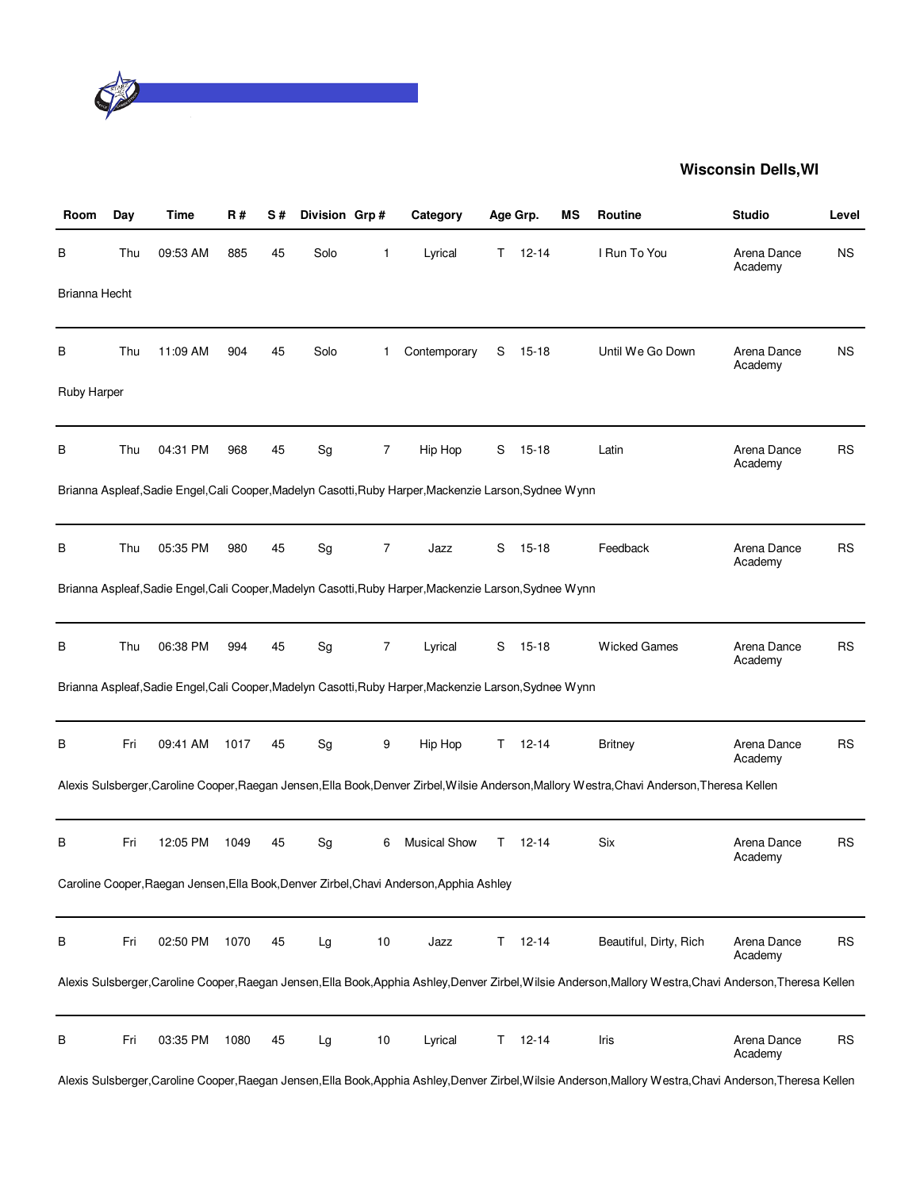

| Room               | Day | Time     | R#   | S# | Division Grp# |                | Category                                                                                               |    | Age Grp.  | ΜS | <b>Routine</b>                                                                                                                                     | <b>Studio</b>          | Level     |
|--------------------|-----|----------|------|----|---------------|----------------|--------------------------------------------------------------------------------------------------------|----|-----------|----|----------------------------------------------------------------------------------------------------------------------------------------------------|------------------------|-----------|
| В                  | Thu | 09:53 AM | 885  | 45 | Solo          | 1              | Lyrical                                                                                                | T. | $12 - 14$ |    | I Run To You                                                                                                                                       | Arena Dance<br>Academy | <b>NS</b> |
| Brianna Hecht      |     |          |      |    |               |                |                                                                                                        |    |           |    |                                                                                                                                                    |                        |           |
| В                  | Thu | 11:09 AM | 904  | 45 | Solo          | 1              | Contemporary                                                                                           | S  | $15 - 18$ |    | Until We Go Down                                                                                                                                   | Arena Dance<br>Academy | <b>NS</b> |
| <b>Ruby Harper</b> |     |          |      |    |               |                |                                                                                                        |    |           |    |                                                                                                                                                    |                        |           |
| в                  | Thu | 04:31 PM | 968  | 45 | Sg            | 7              | Hip Hop                                                                                                | S  | $15 - 18$ |    | Latin                                                                                                                                              | Arena Dance<br>Academy | <b>RS</b> |
|                    |     |          |      |    |               |                | Brianna Aspleaf, Sadie Engel, Cali Cooper, Madelyn Casotti, Ruby Harper, Mackenzie Larson, Sydnee Wynn |    |           |    |                                                                                                                                                    |                        |           |
| В                  | Thu | 05:35 PM | 980  | 45 | Sg            | $\overline{7}$ | Jazz                                                                                                   | S  | $15 - 18$ |    | Feedback                                                                                                                                           | Arena Dance<br>Academy | <b>RS</b> |
|                    |     |          |      |    |               |                | Brianna Aspleaf, Sadie Engel, Cali Cooper, Madelyn Casotti, Ruby Harper, Mackenzie Larson, Sydnee Wynn |    |           |    |                                                                                                                                                    |                        |           |
| В                  | Thu | 06:38 PM | 994  | 45 | Sg            | 7              | Lyrical                                                                                                | S  | $15 - 18$ |    | <b>Wicked Games</b>                                                                                                                                | Arena Dance<br>Academy | <b>RS</b> |
|                    |     |          |      |    |               |                | Brianna Aspleaf, Sadie Engel, Cali Cooper, Madelyn Casotti, Ruby Harper, Mackenzie Larson, Sydnee Wynn |    |           |    |                                                                                                                                                    |                        |           |
| в                  | Fri | 09:41 AM | 1017 | 45 | Sg            | 9              | Hip Hop                                                                                                | T. | $12 - 14$ |    | <b>Britney</b>                                                                                                                                     | Arena Dance<br>Academy | <b>RS</b> |
|                    |     |          |      |    |               |                |                                                                                                        |    |           |    | Alexis Sulsberger,Caroline Cooper,Raegan Jensen,Ella Book,Denver Zirbel,Wilsie Anderson,Mallory Westra,Chavi Anderson,Theresa Kellen               |                        |           |
| В                  | Fri | 12:05 PM | 1049 | 45 | Sg            | 6              | <b>Musical Show</b>                                                                                    | Τ  | 12-14     |    | Six                                                                                                                                                | Arena Dance<br>Academy | <b>RS</b> |
|                    |     |          |      |    |               |                | Caroline Cooper, Raegan Jensen, Ella Book, Denver Zirbel, Chavi Anderson, Apphia Ashley                |    |           |    |                                                                                                                                                    |                        |           |
| В                  | Fri | 02:50 PM | 1070 | 45 | Lg            | 10             | Jazz                                                                                                   | T. | $12 - 14$ |    | Beautiful, Dirty, Rich                                                                                                                             | Arena Dance<br>Academy | <b>RS</b> |
|                    |     |          |      |    |               |                |                                                                                                        |    |           |    | Alexis Sulsberger,Caroline Cooper,Raegan Jensen,Ella Book,Apphia Ashley,Denver Zirbel,Wilsie Anderson,Mallory Westra,Chavi Anderson,Theresa Kellen |                        |           |
| В                  | Fri | 03:35 PM | 1080 | 45 | Lg            | 10             | Lyrical                                                                                                | T. | $12 - 14$ |    | Iris                                                                                                                                               | Arena Dance<br>Academy | <b>RS</b> |

Alexis Sulsberger,Caroline Cooper,Raegan Jensen,Ella Book,Apphia Ashley,Denver Zirbel,Wilsie Anderson,Mallory Westra,Chavi Anderson,Theresa Kellen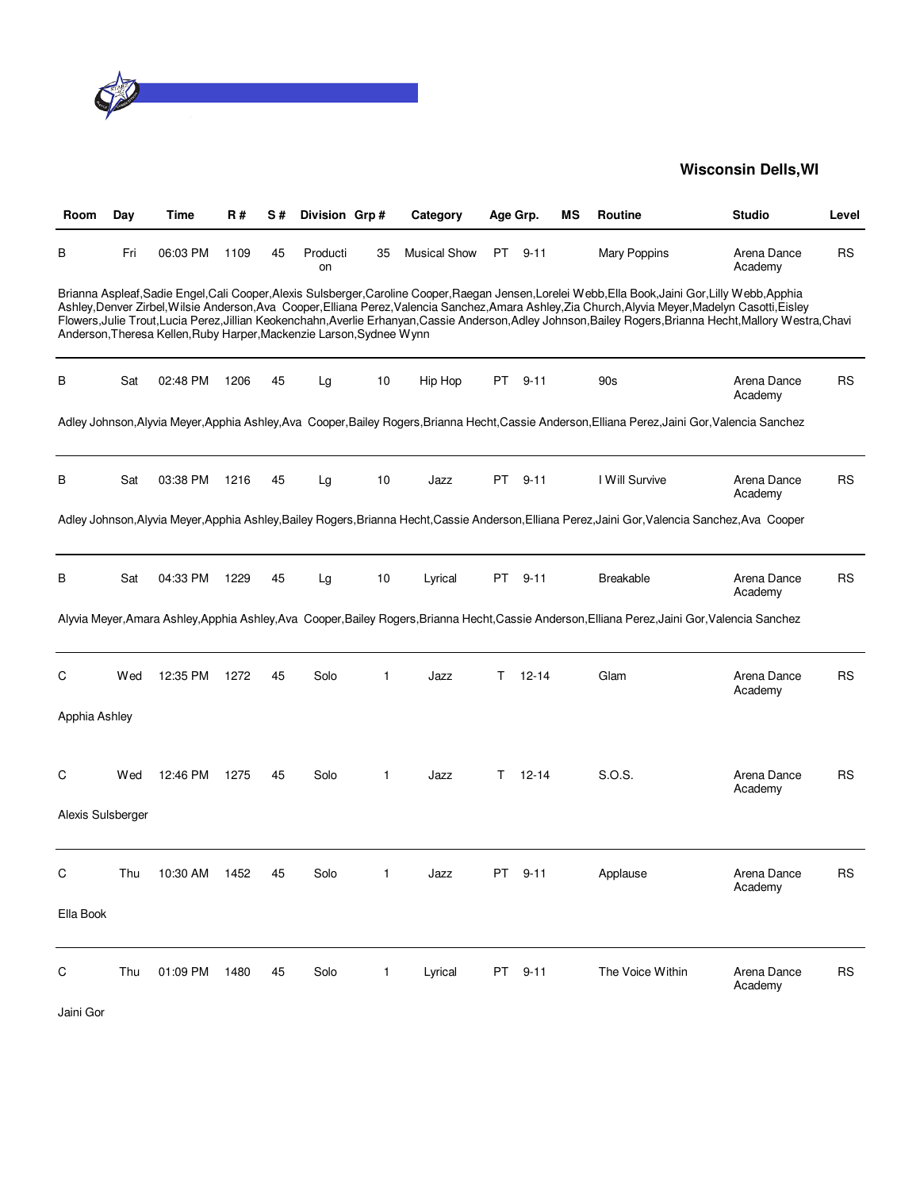

| Room              | Day | Time                                                                 | R#   | S# | Division Grp#  |    | Category            |     | Age Grp.  | ΜS | <b>Routine</b>                                                                                                                                                                                                                                                                                                                                                                                                                                                                | <b>Studio</b>          | Level     |
|-------------------|-----|----------------------------------------------------------------------|------|----|----------------|----|---------------------|-----|-----------|----|-------------------------------------------------------------------------------------------------------------------------------------------------------------------------------------------------------------------------------------------------------------------------------------------------------------------------------------------------------------------------------------------------------------------------------------------------------------------------------|------------------------|-----------|
| в                 | Fri | 06:03 PM                                                             | 1109 | 45 | Producti<br>on | 35 | <b>Musical Show</b> | PT  | $9 - 11$  |    | Mary Poppins                                                                                                                                                                                                                                                                                                                                                                                                                                                                  | Arena Dance<br>Academy | <b>RS</b> |
|                   |     | Anderson, Theresa Kellen, Ruby Harper, Mackenzie Larson, Sydnee Wynn |      |    |                |    |                     |     |           |    | Brianna Aspleaf, Sadie Engel, Cali Cooper, Alexis Sulsberger, Caroline Cooper, Raegan Jensen, Lorelei Webb, Ella Book, Jaini Gor, Lilly Webb, Apphia<br>Ashley, Denver Zirbel, Wilsie Anderson, Ava Cooper, Elliana Perez, Valencia Sanchez, Amara Ashley, Zia Church, Alyvia Meyer, Madelyn Casotti, Eisley<br>Flowers, Julie Trout, Lucia Perez, Jillian Keokenchahn, Averlie Erhanyan, Cassie Anderson, Adley Johnson, Bailey Rogers, Brianna Hecht, Mallory Westra, Chavi |                        |           |
| В                 | Sat | 02:48 PM                                                             | 1206 | 45 | Lg             | 10 | Hip Hop             | PT  | $9 - 11$  |    | 90s                                                                                                                                                                                                                                                                                                                                                                                                                                                                           | Arena Dance<br>Academy | <b>RS</b> |
|                   |     |                                                                      |      |    |                |    |                     |     |           |    | Adley Johnson, Alyvia Meyer, Apphia Ashley, Ava Cooper, Bailey Rogers, Brianna Hecht, Cassie Anderson, Elliana Perez, Jaini Gor, Valencia Sanchez                                                                                                                                                                                                                                                                                                                             |                        |           |
| В                 | Sat | 03:38 PM                                                             | 1216 | 45 | Lg             | 10 | Jazz                | PT. | $9 - 11$  |    | I Will Survive                                                                                                                                                                                                                                                                                                                                                                                                                                                                | Arena Dance<br>Academy | RS        |
|                   |     |                                                                      |      |    |                |    |                     |     |           |    | Adley Johnson, Alyvia Meyer, Apphia Ashley, Bailey Rogers, Brianna Hecht, Cassie Anderson, Elliana Perez, Jaini Gor, Valencia Sanchez, Ava Cooper                                                                                                                                                                                                                                                                                                                             |                        |           |
| В                 | Sat | 04:33 PM                                                             | 1229 | 45 | Lg             | 10 | Lyrical             | PT  | $9 - 11$  |    | <b>Breakable</b>                                                                                                                                                                                                                                                                                                                                                                                                                                                              | Arena Dance<br>Academy | <b>RS</b> |
|                   |     |                                                                      |      |    |                |    |                     |     |           |    | Alyvia Meyer, Amara Ashley, Apphia Ashley, Ava Cooper, Bailey Rogers, Brianna Hecht, Cassie Anderson, Elliana Perez, Jaini Gor, Valencia Sanchez                                                                                                                                                                                                                                                                                                                              |                        |           |
| C                 | Wed | 12:35 PM                                                             | 1272 | 45 | Solo           | 1  | Jazz                | T   | $12 - 14$ |    | Glam                                                                                                                                                                                                                                                                                                                                                                                                                                                                          | Arena Dance<br>Academy | <b>RS</b> |
| Apphia Ashley     |     |                                                                      |      |    |                |    |                     |     |           |    |                                                                                                                                                                                                                                                                                                                                                                                                                                                                               |                        |           |
| C                 | Wed | 12:46 PM                                                             | 1275 | 45 | Solo           | 1  | Jazz                | T.  | $12 - 14$ |    | S.O.S.                                                                                                                                                                                                                                                                                                                                                                                                                                                                        | Arena Dance<br>Academy | RS        |
| Alexis Sulsberger |     |                                                                      |      |    |                |    |                     |     |           |    |                                                                                                                                                                                                                                                                                                                                                                                                                                                                               |                        |           |
| C                 | Thu | 10:30 AM                                                             | 1452 | 45 | Solo           | 1  | Jazz                | PT  | $9 - 11$  |    | Applause                                                                                                                                                                                                                                                                                                                                                                                                                                                                      | Arena Dance<br>Academy | <b>RS</b> |
| Ella Book         |     |                                                                      |      |    |                |    |                     |     |           |    |                                                                                                                                                                                                                                                                                                                                                                                                                                                                               |                        |           |
| C                 | Thu | 01:09 PM                                                             | 1480 | 45 | Solo           | 1  | Lyrical             | PT  | $9 - 11$  |    | The Voice Within                                                                                                                                                                                                                                                                                                                                                                                                                                                              | Arena Dance<br>Academy | <b>RS</b> |

Jaini Gor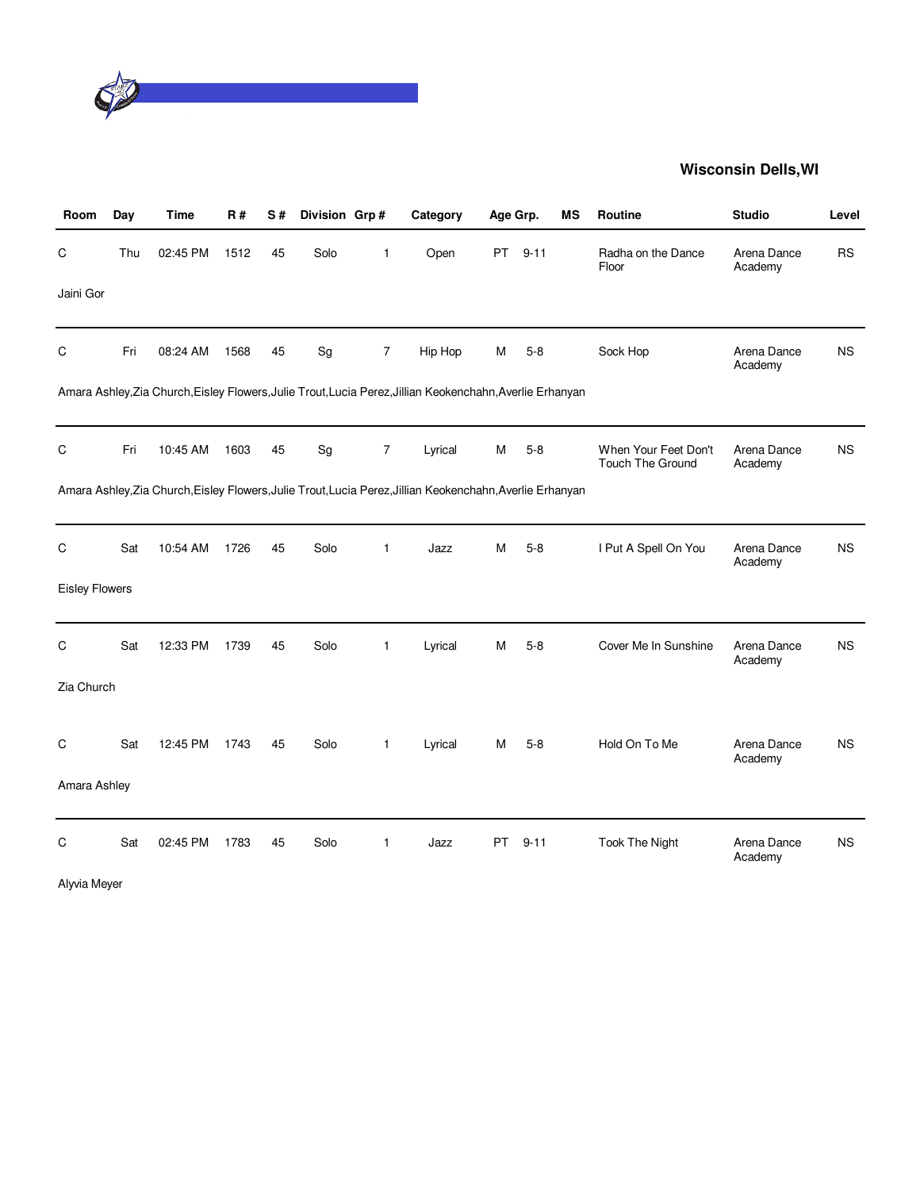

| Room                  | Day | Time     | R#   | S# | Division Grp# |                | Category                                                                                                  | Age Grp. |          | МS | <b>Routine</b>                           | <b>Studio</b>          | Level     |
|-----------------------|-----|----------|------|----|---------------|----------------|-----------------------------------------------------------------------------------------------------------|----------|----------|----|------------------------------------------|------------------------|-----------|
| С                     | Thu | 02:45 PM | 1512 | 45 | Solo          | $\mathbf 1$    | Open                                                                                                      | PT       | $9 - 11$ |    | Radha on the Dance<br>Floor              | Arena Dance<br>Academy | <b>RS</b> |
| Jaini Gor             |     |          |      |    |               |                |                                                                                                           |          |          |    |                                          |                        |           |
| $\mathsf C$           | Fri | 08:24 AM | 1568 | 45 | Sg            | $\overline{7}$ | Hip Hop                                                                                                   | М        | $5 - 8$  |    | Sock Hop                                 | Arena Dance<br>Academy | <b>NS</b> |
|                       |     |          |      |    |               |                | Amara Ashley, Zia Church, Eisley Flowers, Julie Trout, Lucia Perez, Jillian Keokenchahn, Averlie Erhanyan |          |          |    |                                          |                        |           |
| C                     | Fri | 10:45 AM | 1603 | 45 | Sg            | 7              | Lyrical                                                                                                   | M        | $5-8$    |    | When Your Feet Don't<br>Touch The Ground | Arena Dance<br>Academy | <b>NS</b> |
|                       |     |          |      |    |               |                | Amara Ashley, Zia Church, Eisley Flowers, Julie Trout, Lucia Perez, Jillian Keokenchahn, Averlie Erhanyan |          |          |    |                                          |                        |           |
| $\mathsf C$           | Sat | 10:54 AM | 1726 | 45 | Solo          | $\mathbf{1}$   | Jazz                                                                                                      | M        | $5 - 8$  |    | I Put A Spell On You                     | Arena Dance<br>Academy | <b>NS</b> |
| <b>Eisley Flowers</b> |     |          |      |    |               |                |                                                                                                           |          |          |    |                                          |                        |           |
| C                     | Sat | 12:33 PM | 1739 | 45 | Solo          | 1              | Lyrical                                                                                                   | M        | $5 - 8$  |    | Cover Me In Sunshine                     | Arena Dance<br>Academy | <b>NS</b> |
| Zia Church            |     |          |      |    |               |                |                                                                                                           |          |          |    |                                          |                        |           |
| C                     | Sat | 12:45 PM | 1743 | 45 | Solo          | $\mathbf{1}$   | Lyrical                                                                                                   | м        | $5-8$    |    | Hold On To Me                            | Arena Dance<br>Academy | <b>NS</b> |
| Amara Ashley          |     |          |      |    |               |                |                                                                                                           |          |          |    |                                          |                        |           |
| C                     | Sat | 02:45 PM | 1783 | 45 | Solo          | 1              | Jazz                                                                                                      | PT.      | $9 - 11$ |    | <b>Took The Night</b>                    | Arena Dance<br>Academy | <b>NS</b> |

Alyvia Meyer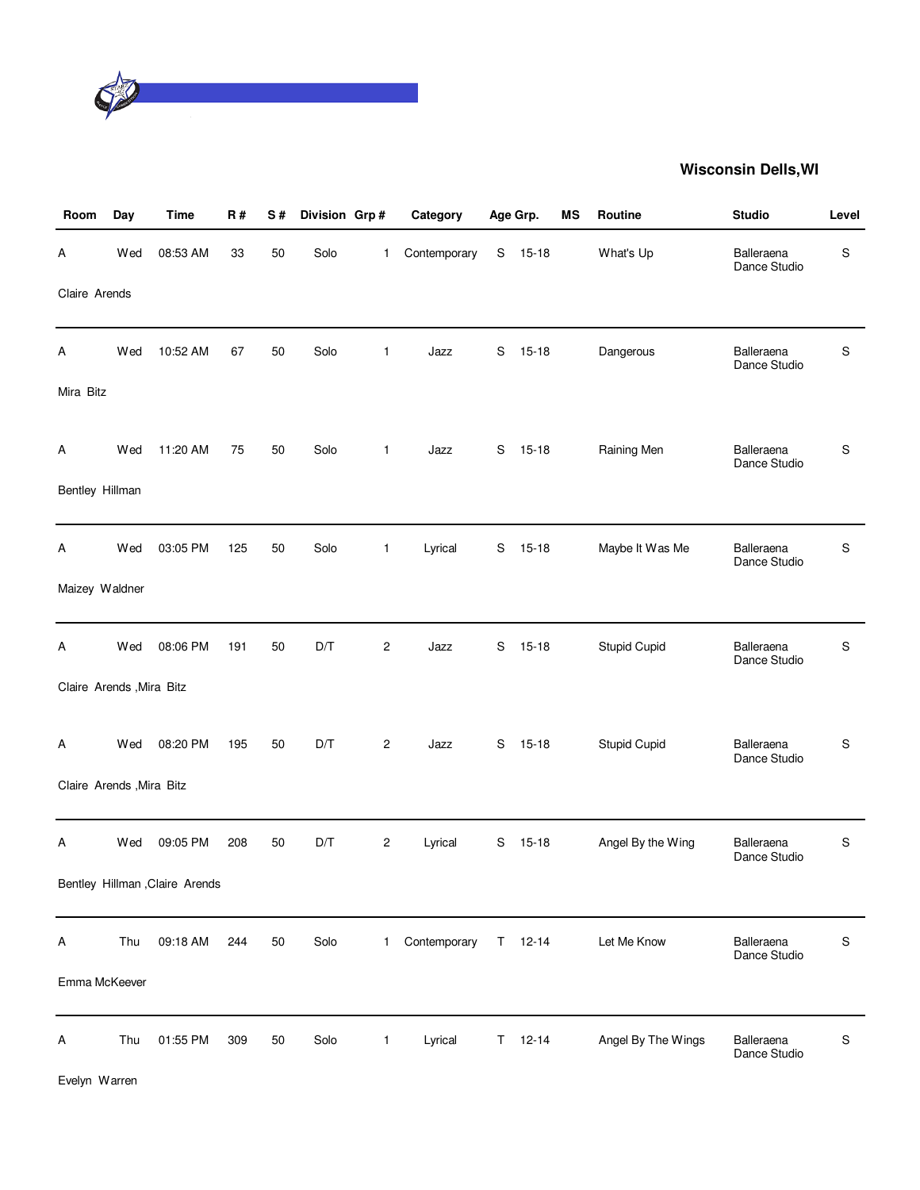

| Room                      | Day | <b>Time</b>                     | R#  | S# | Division Grp# |                | Category     |    | Age Grp.  | MS | Routine             | <b>Studio</b>              | Level     |
|---------------------------|-----|---------------------------------|-----|----|---------------|----------------|--------------|----|-----------|----|---------------------|----------------------------|-----------|
| Α                         | Wed | 08:53 AM                        | 33  | 50 | Solo          | 1              | Contemporary | S  | $15 - 18$ |    | What's Up           | Balleraena<br>Dance Studio | S         |
| Claire Arends             |     |                                 |     |    |               |                |              |    |           |    |                     |                            |           |
| Α                         | Wed | 10:52 AM                        | 67  | 50 | Solo          | $\mathbf{1}$   | Jazz         | S  | $15 - 18$ |    | Dangerous           | Balleraena<br>Dance Studio | S         |
| Mira Bitz                 |     |                                 |     |    |               |                |              |    |           |    |                     |                            |           |
| Α                         | Wed | 11:20 AM                        | 75  | 50 | Solo          | $\mathbf{1}$   | Jazz         | S  | $15 - 18$ |    | Raining Men         | Balleraena<br>Dance Studio | S         |
| Bentley Hillman           |     |                                 |     |    |               |                |              |    |           |    |                     |                            |           |
| Α                         | Wed | 03:05 PM                        | 125 | 50 | Solo          | $\mathbf{1}$   | Lyrical      | S  | $15 - 18$ |    | Maybe It Was Me     | Balleraena<br>Dance Studio | S         |
| Maizey Waldner            |     |                                 |     |    |               |                |              |    |           |    |                     |                            |           |
| Α                         | Wed | 08:06 PM                        | 191 | 50 | D/T           | $\overline{c}$ | Jazz         | S  | $15 - 18$ |    | <b>Stupid Cupid</b> | Balleraena<br>Dance Studio | S         |
| Claire Arends , Mira Bitz |     |                                 |     |    |               |                |              |    |           |    |                     |                            |           |
| A                         | Wed | 08:20 PM                        | 195 | 50 | D/T           | $\overline{c}$ | Jazz         | S  | $15 - 18$ |    | <b>Stupid Cupid</b> | Balleraena<br>Dance Studio | S         |
| Claire Arends , Mira Bitz |     |                                 |     |    |               |                |              |    |           |    |                     |                            |           |
| Α                         | Wed | 09:05 PM                        | 208 | 50 | D/T           | 2              | Lyrical      | S  | $15 - 18$ |    | Angel By the Wing   | Balleraena<br>Dance Studio | S         |
|                           |     | Bentley Hillman , Claire Arends |     |    |               |                |              |    |           |    |                     |                            |           |
| Α                         | Thu | 09:18 AM                        | 244 | 50 | Solo          | 1.             | Contemporary | T. | $12 - 14$ |    | Let Me Know         | Balleraena<br>Dance Studio | S         |
| Emma McKeever             |     |                                 |     |    |               |                |              |    |           |    |                     |                            |           |
| Α                         | Thu | 01:55 PM                        | 309 | 50 | Solo          | $\mathbf{1}$   | Lyrical      | T. | $12 - 14$ |    | Angel By The Wings  | Balleraena<br>Dance Studio | ${\sf S}$ |

Evelyn Warren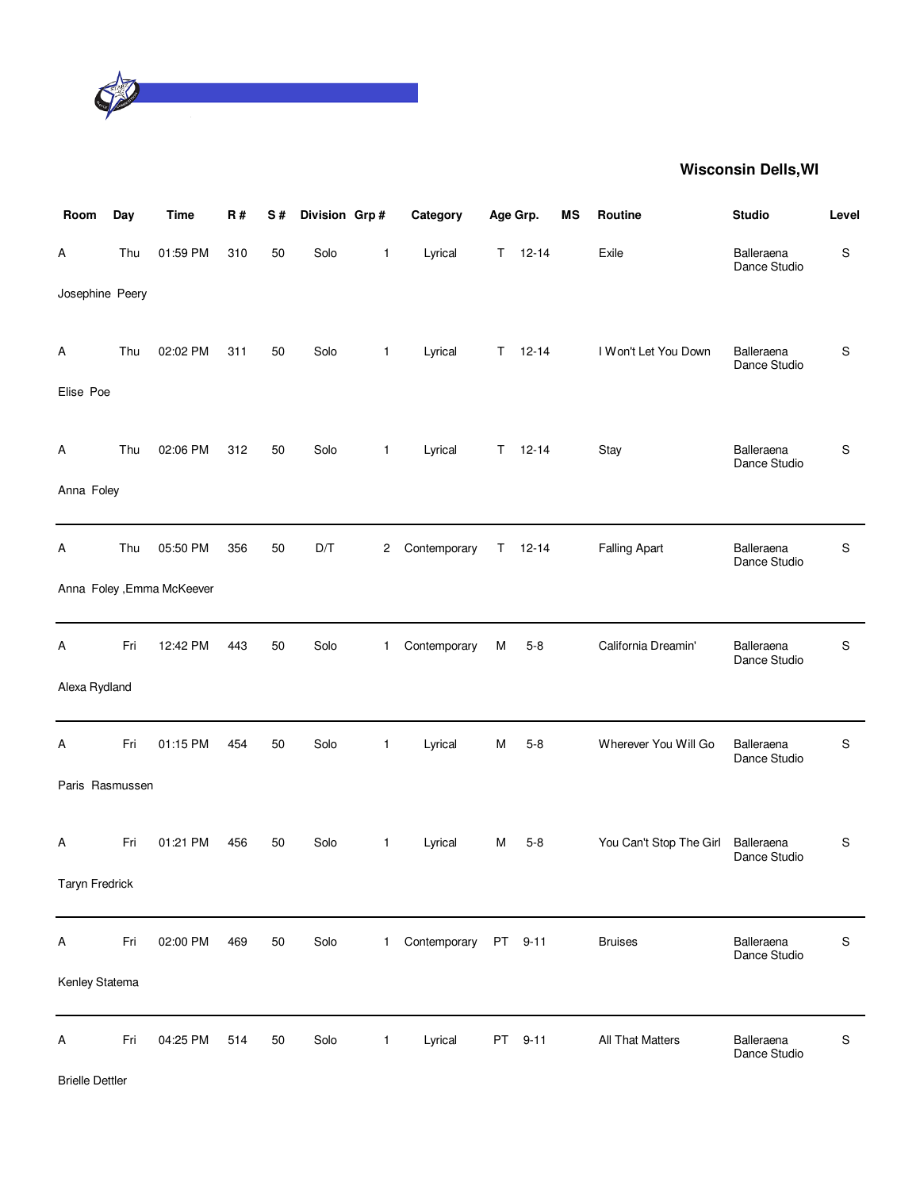

| Room            | Day | <b>Time</b>                | R#  | S# | Division Grp# |              | Category     | Age Grp. |               | <b>MS</b> | Routine                 | <b>Studio</b>              | Level     |
|-----------------|-----|----------------------------|-----|----|---------------|--------------|--------------|----------|---------------|-----------|-------------------------|----------------------------|-----------|
| Α               | Thu | 01:59 PM                   | 310 | 50 | Solo          | $\mathbf{1}$ | Lyrical      |          | $T = 12 - 14$ |           | Exile                   | Balleraena<br>Dance Studio | S         |
| Josephine Peery |     |                            |     |    |               |              |              |          |               |           |                         |                            |           |
| Α               | Thu | 02:02 PM                   | 311 | 50 | Solo          | $\mathbf{1}$ | Lyrical      | T.       | $12 - 14$     |           | I Won't Let You Down    | Balleraena<br>Dance Studio | S         |
| Elise Poe       |     |                            |     |    |               |              |              |          |               |           |                         |                            |           |
| Α               | Thu | 02:06 PM                   | 312 | 50 | Solo          | $\mathbf{1}$ | Lyrical      | T.       | $12 - 14$     |           | Stay                    | Balleraena<br>Dance Studio | S         |
| Anna Foley      |     |                            |     |    |               |              |              |          |               |           |                         |                            |           |
| Α               | Thu | 05:50 PM                   | 356 | 50 | D/T           | 2            | Contemporary | T        | $12 - 14$     |           | <b>Falling Apart</b>    | Balleraena<br>Dance Studio | S         |
|                 |     | Anna Foley , Emma McKeever |     |    |               |              |              |          |               |           |                         |                            |           |
| Α               | Fri | 12:42 PM                   | 443 | 50 | Solo          | $\mathbf{1}$ | Contemporary | Μ        | $5 - 8$       |           | California Dreamin'     | Balleraena<br>Dance Studio | S         |
| Alexa Rydland   |     |                            |     |    |               |              |              |          |               |           |                         |                            |           |
| Α               | Fri | 01:15 PM                   | 454 | 50 | Solo          | $\mathbf{1}$ | Lyrical      | M        | $5 - 8$       |           | Wherever You Will Go    | Balleraena<br>Dance Studio | S         |
| Paris Rasmussen |     |                            |     |    |               |              |              |          |               |           |                         |                            |           |
| Α               | Fri | 01:21 PM                   | 456 | 50 | Solo          | $\mathbf{1}$ | Lyrical      | М        | $5 - 8$       |           | You Can't Stop The Girl | Balleraena<br>Dance Studio | S         |
| Taryn Fredrick  |     |                            |     |    |               |              |              |          |               |           |                         |                            |           |
| Α               | Fri | 02:00 PM                   | 469 | 50 | Solo          | $\mathbf{1}$ | Contemporary |          | PT 9-11       |           | <b>Bruises</b>          | Balleraena<br>Dance Studio | S         |
| Kenley Statema  |     |                            |     |    |               |              |              |          |               |           |                         |                            |           |
| Α               | Fri | 04:25 PM                   | 514 | 50 | Solo          | $\mathbf{1}$ | Lyrical      | PT       | $9 - 11$      |           | All That Matters        | Balleraena<br>Dance Studio | ${\sf S}$ |

Brielle Dettler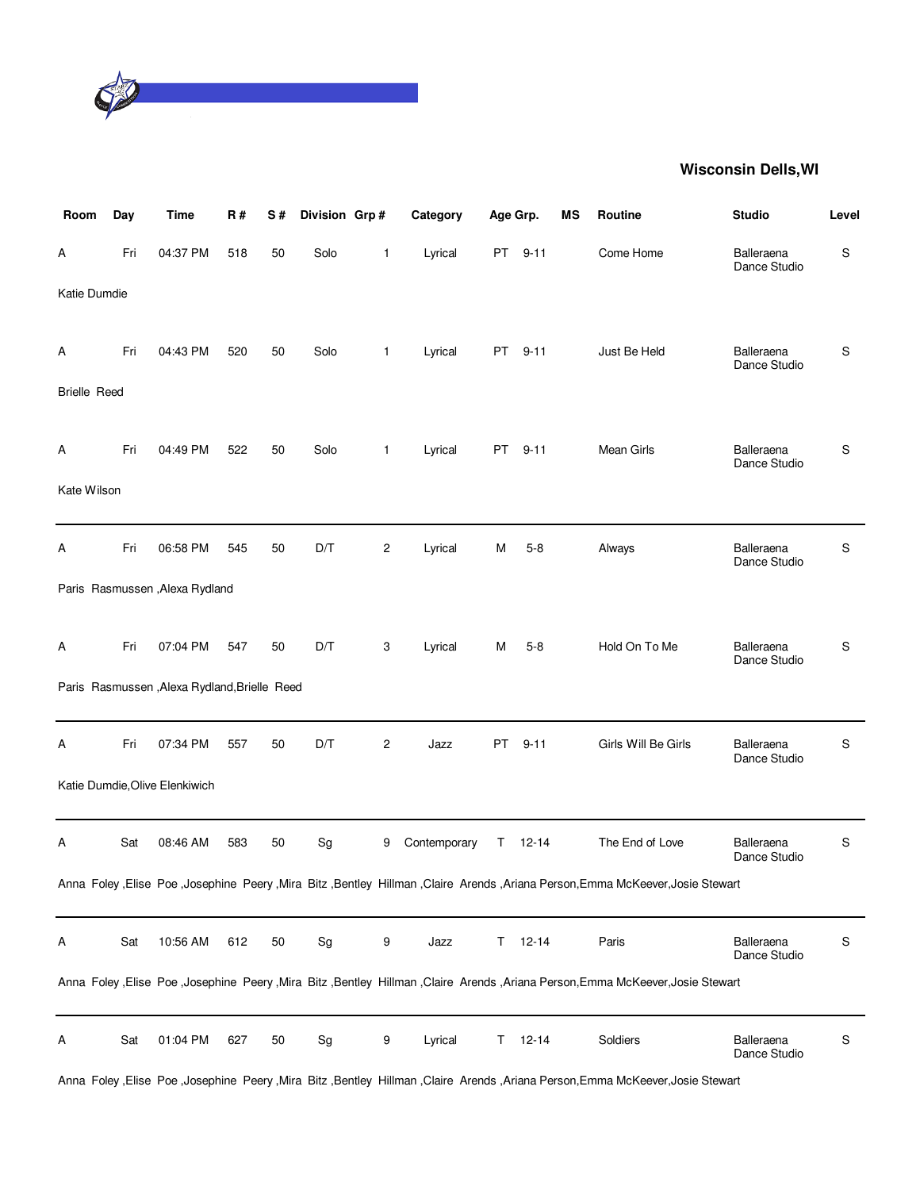

| Room                | Day | <b>Time</b>                                  | R#  | S# | Division Grp#                |                         | Category     | Age Grp. |           | <b>MS</b> | <b>Routine</b>                                                                                                                       | <b>Studio</b>              | Level |
|---------------------|-----|----------------------------------------------|-----|----|------------------------------|-------------------------|--------------|----------|-----------|-----------|--------------------------------------------------------------------------------------------------------------------------------------|----------------------------|-------|
| А                   | Fri | 04:37 PM                                     | 518 | 50 | Solo                         | 1                       | Lyrical      |          | PT 9-11   |           | Come Home                                                                                                                            | Balleraena<br>Dance Studio | S     |
| Katie Dumdie        |     |                                              |     |    |                              |                         |              |          |           |           |                                                                                                                                      |                            |       |
| Α                   | Fri | 04:43 PM                                     | 520 | 50 | Solo                         | 1                       | Lyrical      |          | PT 9-11   |           | Just Be Held                                                                                                                         | Balleraena<br>Dance Studio | S     |
| <b>Brielle Reed</b> |     |                                              |     |    |                              |                         |              |          |           |           |                                                                                                                                      |                            |       |
| A                   | Fri | 04:49 PM                                     | 522 | 50 | Solo                         | 1                       | Lyrical      | PT       | $9 - 11$  |           | Mean Girls                                                                                                                           | Balleraena<br>Dance Studio | S     |
| Kate Wilson         |     |                                              |     |    |                              |                         |              |          |           |           |                                                                                                                                      |                            |       |
| Α                   | Fri | 06:58 PM                                     | 545 | 50 | D/T                          | $\overline{\mathbf{c}}$ | Lyrical      | M        | $5 - 8$   |           | Always                                                                                                                               | Balleraena<br>Dance Studio | S     |
|                     |     | Paris Rasmussen, Alexa Rydland               |     |    |                              |                         |              |          |           |           |                                                                                                                                      |                            |       |
| Α                   | Fri | 07:04 PM                                     | 547 | 50 | D/T                          | 3                       | Lyrical      | М        | $5-8$     |           | Hold On To Me                                                                                                                        | Balleraena<br>Dance Studio | S     |
|                     |     | Paris Rasmussen, Alexa Rydland, Brielle Reed |     |    |                              |                         |              |          |           |           |                                                                                                                                      |                            |       |
| Α                   | Fri | 07:34 PM                                     | 557 | 50 | D/T                          | $\mathbf{2}$            | Jazz         | PT       | $9 - 11$  |           | Girls Will Be Girls                                                                                                                  | Balleraena<br>Dance Studio | S     |
|                     |     | Katie Dumdie, Olive Elenkiwich               |     |    |                              |                         |              |          |           |           |                                                                                                                                      |                            |       |
| Α                   | Sat | 08:46 AM                                     | 583 | 50 | Sg                           | 9                       | Contemporary | Τ        | $12 - 14$ |           | The End of Love                                                                                                                      | Balleraena<br>Dance Studio | S     |
|                     |     |                                              |     |    |                              |                         |              |          |           |           | Anna Foley , Elise Poe , Josephine Peery , Mira Bitz , Bentley Hillman , Claire Arends , Ariana Person, Emma McKeever, Josie Stewart |                            |       |
| Α                   | Sat | 10:56 AM                                     | 612 | 50 | Sg                           | 9                       | Jazz         | T.       | $12 - 14$ |           | Paris                                                                                                                                | Balleraena<br>Dance Studio | S     |
|                     |     |                                              |     |    |                              |                         |              |          |           |           | Anna Foley , Elise Poe , Josephine Peery , Mira Bitz , Bentley Hillman , Claire Arends , Ariana Person, Emma McKeever, Josie Stewart |                            |       |
| Α                   | Sat | 01:04 PM                                     | 627 | 50 | $\operatorname{\mathsf{Sg}}$ | 9                       | Lyrical      | T.       | $12 - 14$ |           | Soldiers                                                                                                                             | Balleraena<br>Dance Studio | S     |

Anna Foley ,Elise Poe ,Josephine Peery ,Mira Bitz ,Bentley Hillman ,Claire Arends ,Ariana Person,Emma McKeever,Josie Stewart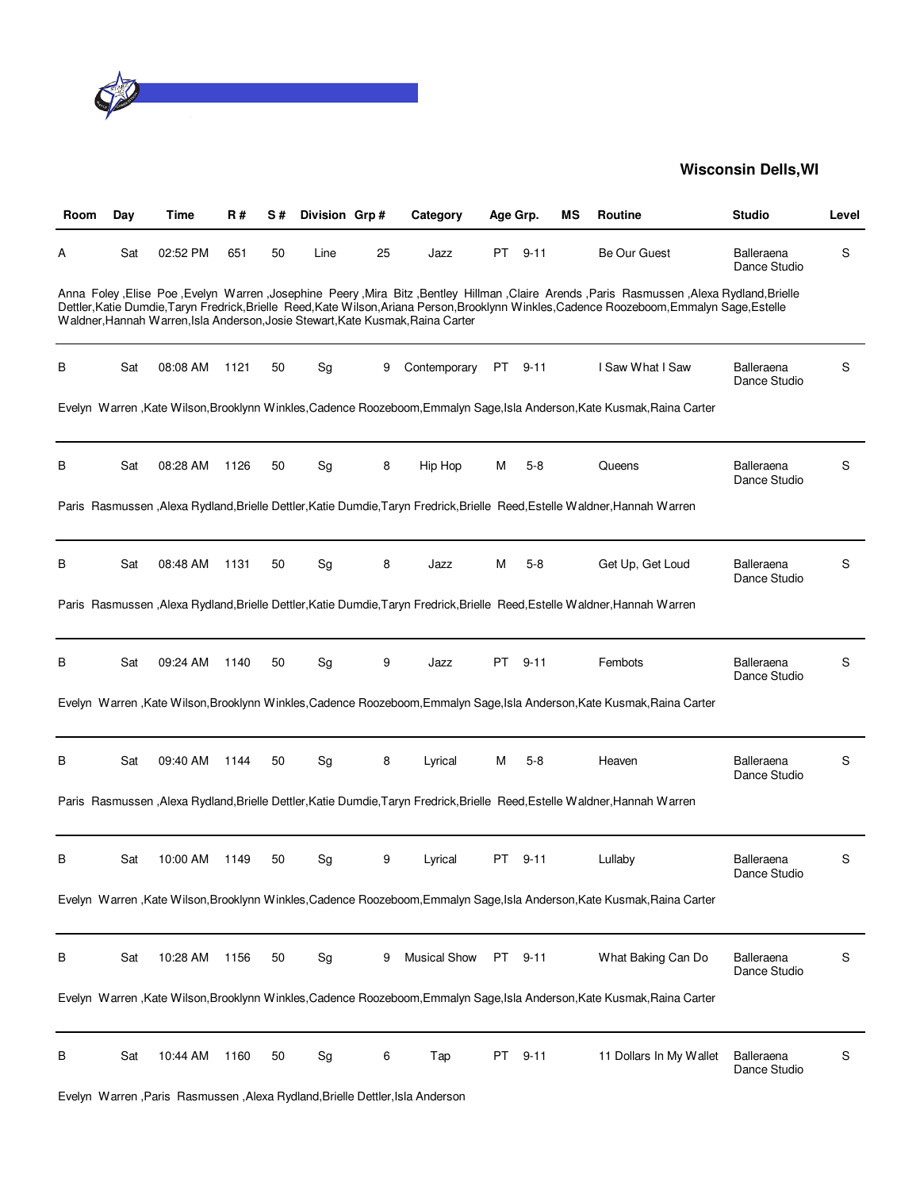

| Room | Day | Time     | R#   | S# | Division Grp# |    | Category                                                                        | Age Grp. |          | ΜS | Routine                                                                                                                                                                                                                                                                                        | <b>Studio</b>              | Level |
|------|-----|----------|------|----|---------------|----|---------------------------------------------------------------------------------|----------|----------|----|------------------------------------------------------------------------------------------------------------------------------------------------------------------------------------------------------------------------------------------------------------------------------------------------|----------------------------|-------|
| A    | Sat | 02:52 PM | 651  | 50 | Line          | 25 | Jazz                                                                            | PT       | $9 - 11$ |    | Be Our Guest                                                                                                                                                                                                                                                                                   | Balleraena<br>Dance Studio | S     |
|      |     |          |      |    |               |    | Waldner, Hannah Warren, Isla Anderson, Josie Stewart, Kate Kusmak, Raina Carter |          |          |    | Alexa Rydland, Brielle Poe, Evelyn Warren, Josephine Peery, Mira Bitz, Bentley Hillman, Claire Arends, Paris Rasmussen, Alexa Rydland, Brielle<br>Dettler, Katie Dumdie, Taryn Fredrick, Brielle Reed, Kate Wilson, Ariana Person, Brooklynn Winkles, Cadence Roozeboom, Emmalyn Sage, Estelle |                            |       |
| в    | Sat | 08:08 AM | 1121 | 50 | Sg            | 9  | Contemporary                                                                    |          | PT 9-11  |    | I Saw What I Saw                                                                                                                                                                                                                                                                               | Balleraena<br>Dance Studio | S     |
|      |     |          |      |    |               |    |                                                                                 |          |          |    | Evelyn Warren , Kate Wilson, Brooklynn Winkles, Cadence Roozeboom, Emmalyn Sage, Isla Anderson, Kate Kusmak, Raina Carter                                                                                                                                                                      |                            |       |
| в    | Sat | 08:28 AM | 1126 | 50 | Sg            | 8  | Hip Hop                                                                         | M        | $5-8$    |    | Queens                                                                                                                                                                                                                                                                                         | Balleraena<br>Dance Studio | S     |
|      |     |          |      |    |               |    |                                                                                 |          |          |    | Paris Rasmussen , Alexa Rydland, Brielle Dettler, Katie Dumdie, Taryn Fredrick, Brielle Reed, Estelle Waldner, Hannah Warren                                                                                                                                                                   |                            |       |
| В    | Sat | 08:48 AM | 1131 | 50 | Sg            | 8  | Jazz                                                                            | M        | $5 - 8$  |    | Get Up, Get Loud                                                                                                                                                                                                                                                                               | Balleraena<br>Dance Studio | S     |
|      |     |          |      |    |               |    |                                                                                 |          |          |    | Paris Rasmussen , Alexa Rydland, Brielle Dettler, Katie Dumdie, Taryn Fredrick, Brielle Reed, Estelle Waldner, Hannah Warren                                                                                                                                                                   |                            |       |
| В    | Sat | 09:24 AM | 1140 | 50 | Sg            | 9  | Jazz                                                                            | PT       | $9 - 11$ |    | Fembots                                                                                                                                                                                                                                                                                        | Balleraena<br>Dance Studio | S     |
|      |     |          |      |    |               |    |                                                                                 |          |          |    | Evelyn Warren, Kate Wilson, Brooklynn Winkles, Cadence Roozeboom, Emmalyn Sage, Isla Anderson, Kate Kusmak, Raina Carter                                                                                                                                                                       |                            |       |
| В    | Sat | 09:40 AM | 1144 | 50 | Sg            | 8  | Lyrical                                                                         | м        | $5-8$    |    | Heaven                                                                                                                                                                                                                                                                                         | Balleraena<br>Dance Studio | S     |
|      |     |          |      |    |               |    |                                                                                 |          |          |    | Paris Rasmussen , Alexa Rydland, Brielle Dettler, Katie Dumdie, Taryn Fredrick, Brielle Reed, Estelle Waldner, Hannah Warren                                                                                                                                                                   |                            |       |
| B    | Sat | 10:00 AM | 1149 | 50 | Sg            | 9  | Lyrical                                                                         | PT.      | 9-11     |    | Lullaby                                                                                                                                                                                                                                                                                        | Balleraena<br>Dance Studio | S     |
|      |     |          |      |    |               |    |                                                                                 |          |          |    | Evelyn Warren , Kate Wilson, Brooklynn Winkles, Cadence Roozeboom, Emmalyn Sage, Isla Anderson, Kate Kusmak, Raina Carter                                                                                                                                                                      |                            |       |
| В    | Sat | 10:28 AM | 1156 | 50 | Sg            | 9  | <b>Musical Show</b>                                                             | PT       | $9 - 11$ |    | What Baking Can Do                                                                                                                                                                                                                                                                             | Balleraena<br>Dance Studio | S     |
|      |     |          |      |    |               |    |                                                                                 |          |          |    | Evelyn Warren, Kate Wilson, Brooklynn Winkles, Cadence Roozeboom, Emmalyn Sage, Isla Anderson, Kate Kusmak, Raina Carter                                                                                                                                                                       |                            |       |
| B    | Sat | 10:44 AM | 1160 | 50 | Sg            | 6  | Tap                                                                             | PT       | $9 - 11$ |    | 11 Dollars In My Wallet                                                                                                                                                                                                                                                                        | Balleraena<br>Dance Studio | S     |
|      |     |          |      |    |               |    | Evelyn Warren, Paris Rasmussen, Alexa Rydland, Brielle Dettler, Isla Anderson   |          |          |    |                                                                                                                                                                                                                                                                                                |                            |       |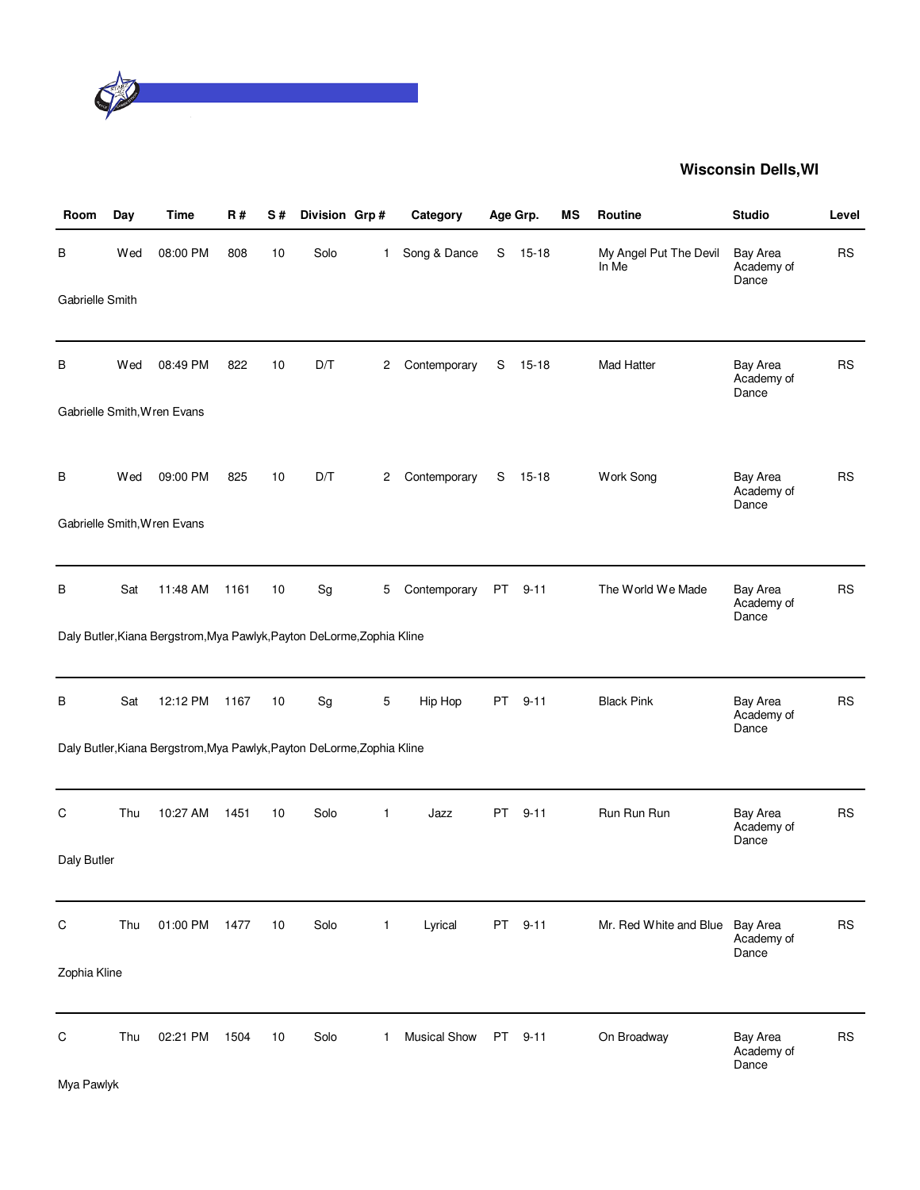

| Room            | Day | Time                                                                   | <b>R#</b> | S# | Division Grp# |              | Category            |      | Age Grp.  | MS | Routine                         | <b>Studio</b>                          | Level     |
|-----------------|-----|------------------------------------------------------------------------|-----------|----|---------------|--------------|---------------------|------|-----------|----|---------------------------------|----------------------------------------|-----------|
| В               | Wed | 08:00 PM                                                               | 808       | 10 | Solo          | $\mathbf{1}$ | Song & Dance        | S    | $15 - 18$ |    | My Angel Put The Devil<br>In Me | Bay Area<br>Academy of<br>Dance        | <b>RS</b> |
| Gabrielle Smith |     |                                                                        |           |    |               |              |                     |      |           |    |                                 |                                        |           |
| В               | Wed | 08:49 PM                                                               | 822       | 10 | D/T           | 2            | Contemporary        | S    | $15 - 18$ |    | Mad Hatter                      | Bay Area<br>Academy of<br>Dance        | <b>RS</b> |
|                 |     | Gabrielle Smith, Wren Evans                                            |           |    |               |              |                     |      |           |    |                                 |                                        |           |
| в               | Wed | 09:00 PM                                                               | 825       | 10 | D/T           | 2            | Contemporary        | S    | 15-18     |    | Work Song                       | Bay Area<br>Academy of<br>Dance        | <b>RS</b> |
|                 |     | Gabrielle Smith, Wren Evans                                            |           |    |               |              |                     |      |           |    |                                 |                                        |           |
| в               | Sat | 11:48 AM                                                               | 1161      | 10 | Sg            | 5            | Contemporary        | PT   | $9 - 11$  |    | The World We Made               | Bay Area<br>Academy of<br>Dance        | <b>RS</b> |
|                 |     | Daly Butler, Kiana Bergstrom, Mya Pawlyk, Payton DeLorme, Zophia Kline |           |    |               |              |                     |      |           |    |                                 |                                        |           |
| B               | Sat | 12:12 PM                                                               | 1167      | 10 | Sg            | 5            | Hip Hop             | PT   | $9 - 11$  |    | <b>Black Pink</b>               | Bay Area<br>Academy of<br>Dance        | <b>RS</b> |
|                 |     | Daly Butler, Kiana Bergstrom, Mya Pawlyk, Payton DeLorme, Zophia Kline |           |    |               |              |                     |      |           |    |                                 |                                        |           |
| С               | Thu | 10:27 AM                                                               | 1451      | 10 | Solo          | $\mathbf{1}$ | Jazz                | PT.  | $9 - 11$  |    | Run Run Run                     | Bay Area<br>Academy of<br>Dance        | <b>RS</b> |
| Daly Butler     |     |                                                                        |           |    |               |              |                     |      |           |    |                                 |                                        |           |
| $\mathsf C$     | Thu | 01:00 PM                                                               | 1477      | 10 | Solo          | 1            | Lyrical             | PT   | $9 - 11$  |    | Mr. Red White and Blue          | Bay Area<br>Academy of<br>Dance        | <b>RS</b> |
| Zophia Kline    |     |                                                                        |           |    |               |              |                     |      |           |    |                                 |                                        |           |
| $\mathsf C$     | Thu | 02:21 PM                                                               | 1504      | 10 | Solo          | 1            | <b>Musical Show</b> | PT . | $9 - 11$  |    | On Broadway                     | <b>Bay Area</b><br>Academy of<br>Dance | <b>RS</b> |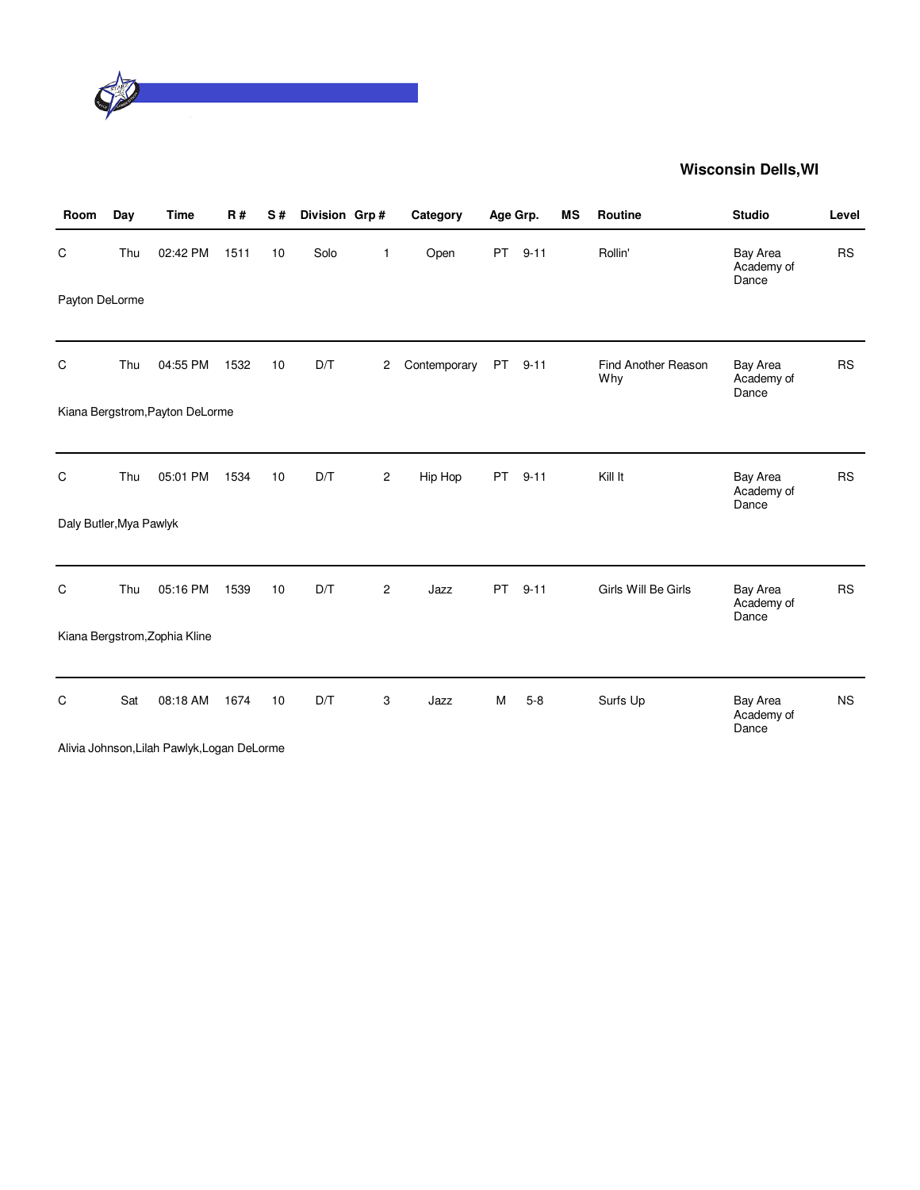

| Room                    | Day | <b>Time</b>                                 | R#   | S# | Division Grp# |                | Category     | Age Grp.  |          | <b>MS</b> | Routine                    | <b>Studio</b>                          | Level     |
|-------------------------|-----|---------------------------------------------|------|----|---------------|----------------|--------------|-----------|----------|-----------|----------------------------|----------------------------------------|-----------|
| C                       | Thu | 02:42 PM                                    | 1511 | 10 | Solo          | 1              | Open         | PT.       | $9 - 11$ |           | Rollin'                    | <b>Bay Area</b><br>Academy of<br>Dance | <b>RS</b> |
| Payton DeLorme          |     |                                             |      |    |               |                |              |           |          |           |                            |                                        |           |
| C                       | Thu | 04:55 PM                                    | 1532 | 10 | D/T           | 2              | Contemporary | <b>PT</b> | $9 - 11$ |           | Find Another Reason<br>Why | <b>Bay Area</b><br>Academy of<br>Dance | <b>RS</b> |
|                         |     | Kiana Bergstrom, Payton DeLorme             |      |    |               |                |              |           |          |           |                            |                                        |           |
| C                       | Thu | 05:01 PM                                    | 1534 | 10 | D/T           | $\overline{c}$ | Hip Hop      | PT        | $9 - 11$ |           | Kill It                    | Bay Area<br>Academy of<br>Dance        | <b>RS</b> |
| Daly Butler, Mya Pawlyk |     |                                             |      |    |               |                |              |           |          |           |                            |                                        |           |
| C                       | Thu | 05:16 PM                                    | 1539 | 10 | D/T           | $\mathbf{2}$   | Jazz         | <b>PT</b> | $9 - 11$ |           | Girls Will Be Girls        | <b>Bay Area</b><br>Academy of<br>Dance | <b>RS</b> |
|                         |     | Kiana Bergstrom, Zophia Kline               |      |    |               |                |              |           |          |           |                            |                                        |           |
| C                       | Sat | 08:18 AM                                    | 1674 | 10 | D/T           | 3              | Jazz         | M         | $5 - 8$  |           | Surfs Up                   | <b>Bay Area</b><br>Academy of<br>Dance | <b>NS</b> |
|                         |     | Alivia Johnson, Lilah Pawlyk, Logan DeLorme |      |    |               |                |              |           |          |           |                            |                                        |           |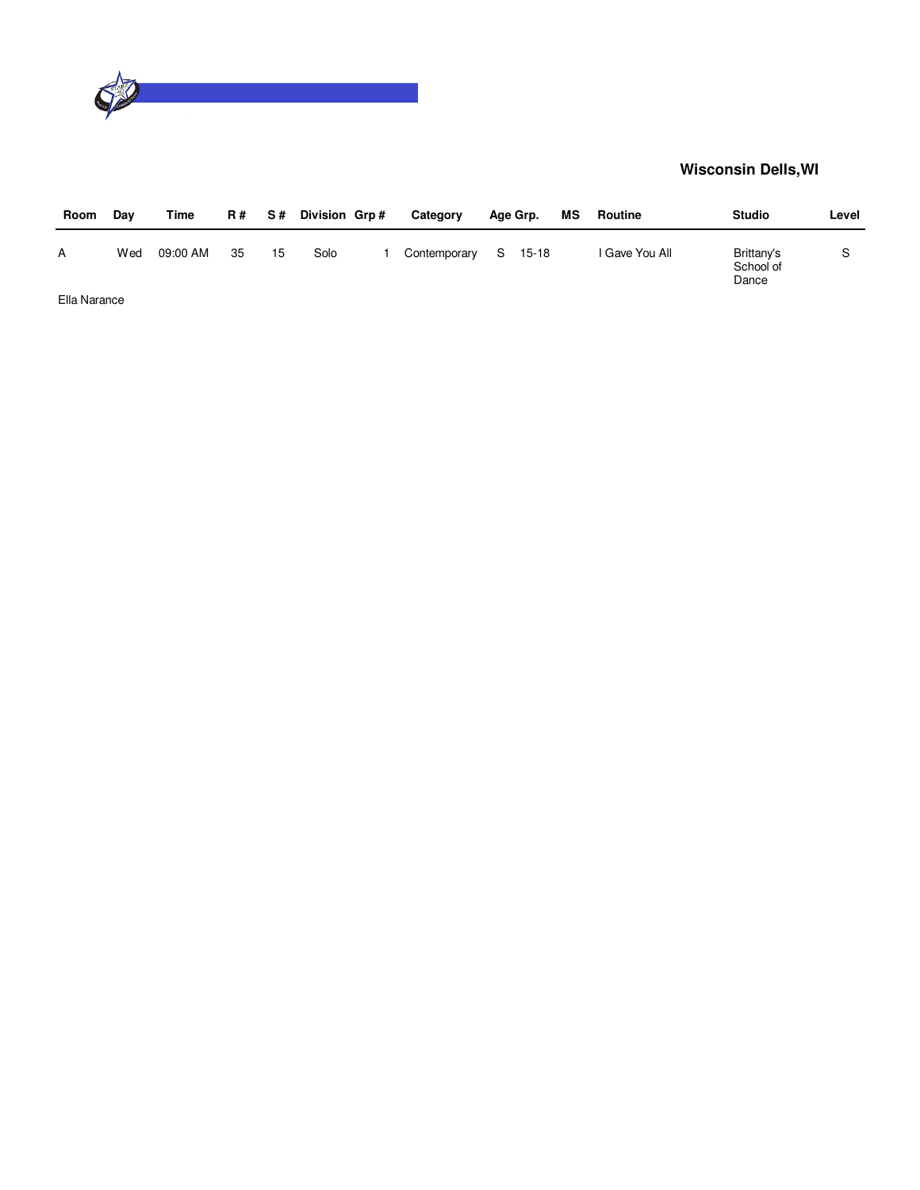

| Room | Dav | Time     | <b>R#</b> | S # | Division Grp# | Category     | Age Grp. | МS | Routine        | <b>Studio</b>                    | Level |
|------|-----|----------|-----------|-----|---------------|--------------|----------|----|----------------|----------------------------------|-------|
| А    | Wed | 09:00 AM | 35        | 15  | Solo          | Contemporary | S 15-18  |    | I Gave You All | Brittany's<br>School of<br>Dance |       |
| _    |     |          |           |     |               |              |          |    |                |                                  |       |

Ella Narance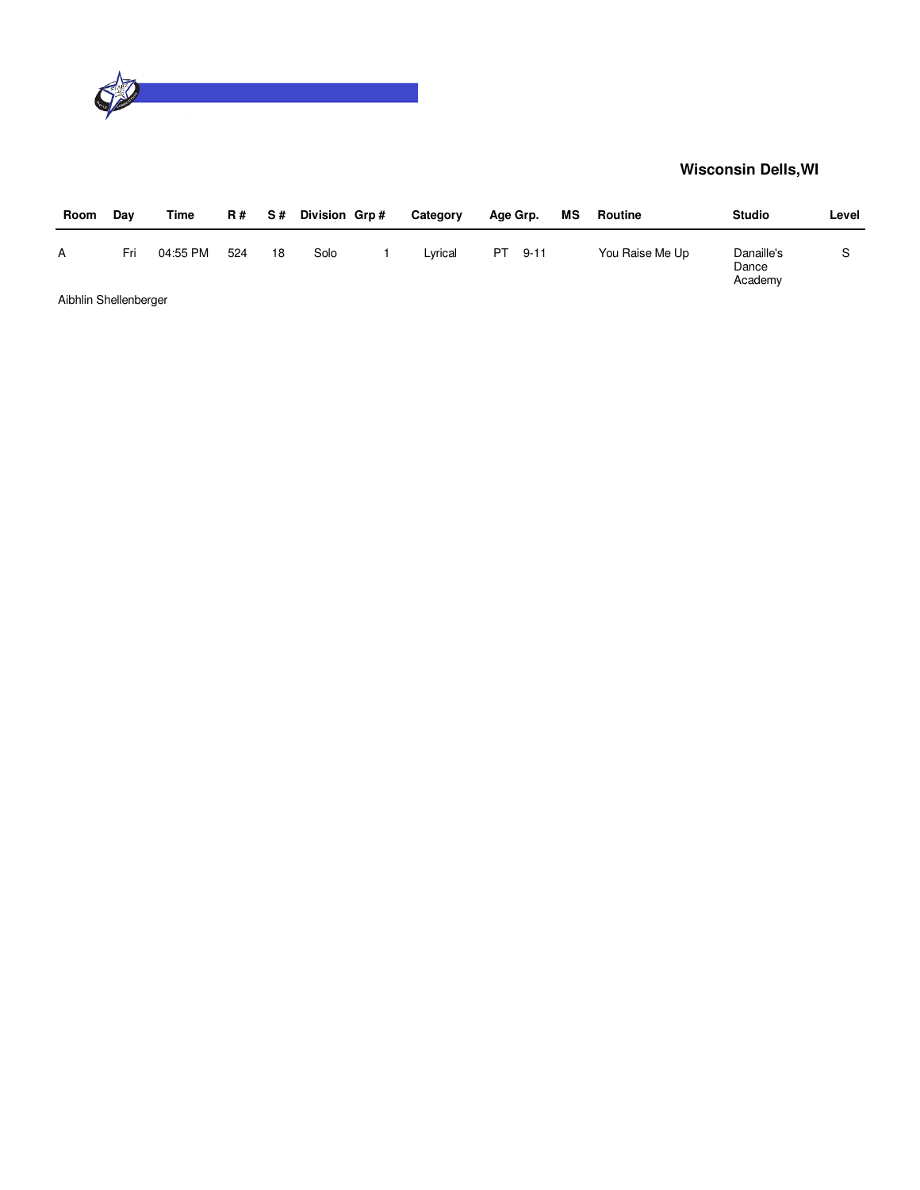

| Room                  | Day | Time     | <b>R#</b> | S# | Division Grp# | Category | Age Grp. |          | МS | Routine         | <b>Studio</b>                  | Level |
|-----------------------|-----|----------|-----------|----|---------------|----------|----------|----------|----|-----------------|--------------------------------|-------|
| A                     | Fri | 04:55 PM | 524       | 18 | Solo          | Lvrical  | PT.      | $9 - 11$ |    | You Raise Me Up | Danaille's<br>Dance<br>Academy |       |
| Aibhlin Shellenberger |     |          |           |    |               |          |          |          |    |                 |                                |       |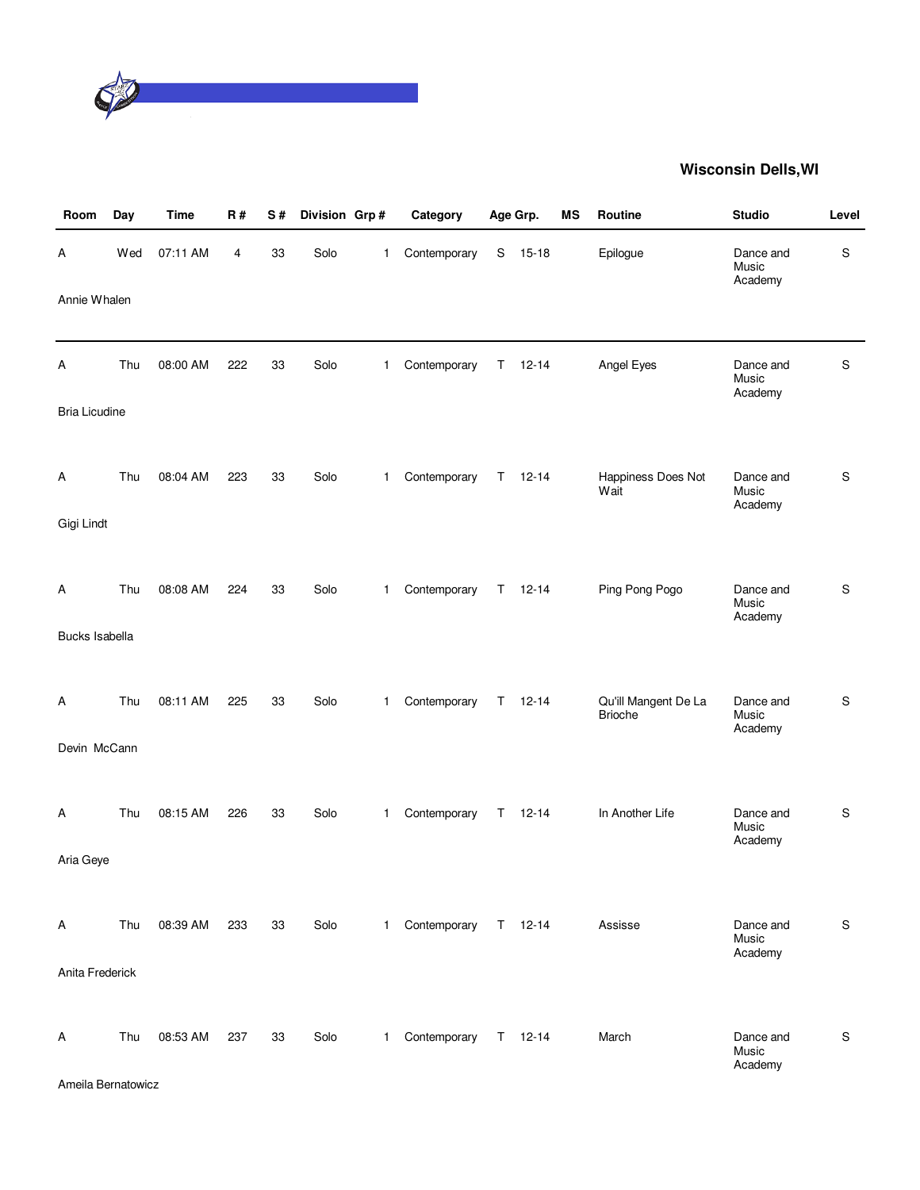

| Room                 | Day | <b>Time</b> | <b>R#</b> | S# | Division Grp# |              | Category     |    | Age Grp.      | MS | Routine                                | <b>Studio</b>                 | Level         |
|----------------------|-----|-------------|-----------|----|---------------|--------------|--------------|----|---------------|----|----------------------------------------|-------------------------------|---------------|
| Α                    | Wed | 07:11 AM    | 4         | 33 | Solo          | 1            | Contemporary | S  | $15 - 18$     |    | Epilogue                               | Dance and<br>Music<br>Academy | S             |
| Annie Whalen         |     |             |           |    |               |              |              |    |               |    |                                        |                               |               |
| Α                    | Thu | 08:00 AM    | 222       | 33 | Solo          | 1            | Contemporary | Τ  | $12 - 14$     |    | Angel Eyes                             | Dance and<br>Music<br>Academy | S             |
| <b>Bria Licudine</b> |     |             |           |    |               |              |              |    |               |    |                                        |                               |               |
| Α                    | Thu | 08:04 AM    | 223       | 33 | Solo          | $\mathbf{1}$ | Contemporary | T. | $12 - 14$     |    | Happiness Does Not<br>Wait             | Dance and<br>Music<br>Academy | S             |
| Gigi Lindt           |     |             |           |    |               |              |              |    |               |    |                                        |                               |               |
| Α                    | Thu | 08:08 AM    | 224       | 33 | Solo          | 1            | Contemporary | T. | $12 - 14$     |    | Ping Pong Pogo                         | Dance and<br>Music<br>Academy | S             |
| Bucks Isabella       |     |             |           |    |               |              |              |    |               |    |                                        |                               |               |
| Α                    | Thu | 08:11 AM    | 225       | 33 | Solo          | $\mathbf{1}$ | Contemporary | T. | $12 - 14$     |    | Qu'ill Mangent De La<br><b>Brioche</b> | Dance and<br>Music<br>Academy | $\mathsf S$   |
| Devin McCann         |     |             |           |    |               |              |              |    |               |    |                                        |                               |               |
| Α                    | Thu | 08:15 AM    | 226       | 33 | Solo          | $\mathbf{1}$ | Contemporary | T. | $12 - 14$     |    | In Another Life                        | Dance and<br>Music<br>Academy | ${\mathsf S}$ |
| Aria Geye            |     |             |           |    |               |              |              |    |               |    |                                        |                               |               |
| A                    | Thu | 08:39 AM    | 233       | 33 | Solo          | $\mathbf{1}$ | Contemporary |    | $T = 12 - 14$ |    | Assisse                                | Dance and<br>Music<br>Academy | S             |
| Anita Frederick      |     |             |           |    |               |              |              |    |               |    |                                        |                               |               |
| Α                    | Thu | 08:53 AM    | 237       | 33 | Solo          | $\mathbf 1$  | Contemporary |    | $T = 12-14$   |    | March                                  | Dance and<br>Music<br>Academy | S             |
| Ameila Bernatowicz   |     |             |           |    |               |              |              |    |               |    |                                        |                               |               |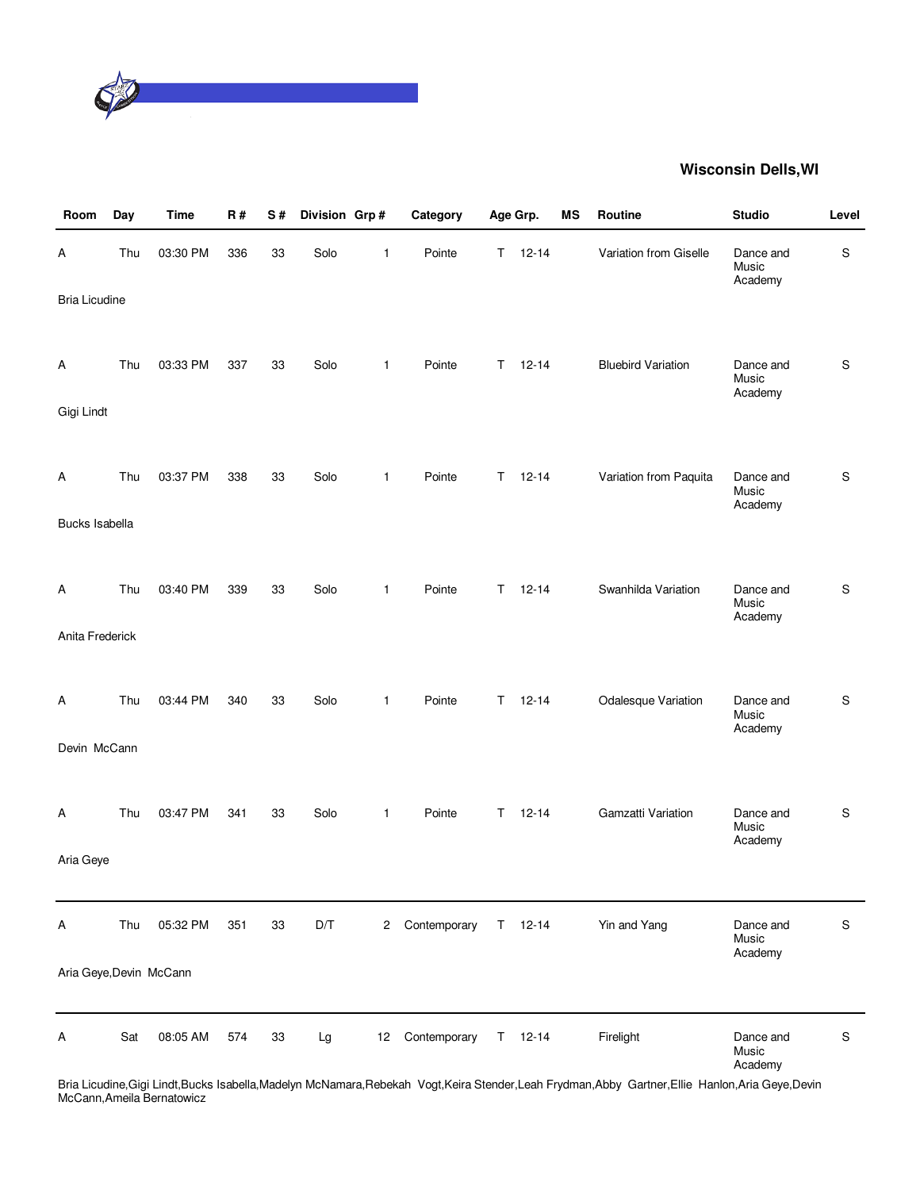

| Room                    | Day | <b>Time</b> | <b>R#</b> | S# | Division Grp# |                 | Category     |    | Age Grp.      | MS | Routine                   | <b>Studio</b>                 | Level       |
|-------------------------|-----|-------------|-----------|----|---------------|-----------------|--------------|----|---------------|----|---------------------------|-------------------------------|-------------|
| Α                       | Thu | 03:30 PM    | 336       | 33 | Solo          | 1               | Pointe       | T. | $12 - 14$     |    | Variation from Giselle    | Dance and<br>Music<br>Academy | S           |
| <b>Bria Licudine</b>    |     |             |           |    |               |                 |              |    |               |    |                           |                               |             |
| Α                       | Thu | 03:33 PM    | 337       | 33 | Solo          | $\mathbf{1}$    | Pointe       | T. | $12 - 14$     |    | <b>Bluebird Variation</b> | Dance and<br>Music<br>Academy | S           |
| Gigi Lindt              |     |             |           |    |               |                 |              |    |               |    |                           |                               |             |
| A                       | Thu | 03:37 PM    | 338       | 33 | Solo          | $\mathbf{1}$    | Pointe       | T. | $12 - 14$     |    | Variation from Paquita    | Dance and<br>Music<br>Academy | S           |
| <b>Bucks Isabella</b>   |     |             |           |    |               |                 |              |    |               |    |                           |                               |             |
| A                       | Thu | 03:40 PM    | 339       | 33 | Solo          | $\mathbf{1}$    | Pointe       | T. | $12 - 14$     |    | Swanhilda Variation       | Dance and<br>Music<br>Academy | S           |
| Anita Frederick         |     |             |           |    |               |                 |              |    |               |    |                           |                               |             |
| A                       | Thu | 03:44 PM    | 340       | 33 | Solo          | $\mathbf{1}$    | Pointe       | T. | $12 - 14$     |    | Odalesque Variation       | Dance and<br>Music<br>Academy | S           |
| Devin McCann            |     |             |           |    |               |                 |              |    |               |    |                           |                               |             |
| A                       | Thu | 03:47 PM    | 341       | 33 | Solo          | $\mathbf{1}$    | Pointe       | T. | $12 - 14$     |    | Gamzatti Variation        | Dance and<br>Music<br>Academy | $\mathsf S$ |
| Aria Geye               |     |             |           |    |               |                 |              |    |               |    |                           |                               |             |
| A                       | Thu | 05:32 PM    | 351       | 33 | D/T           | $\mathbf{2}$    | Contemporary |    | $T = 12-14$   |    | Yin and Yang              | Dance and<br>Music<br>Academy | $\mathsf S$ |
| Aria Geye, Devin McCann |     |             |           |    |               |                 |              |    |               |    |                           |                               |             |
| Α                       | Sat | 08:05 AM    | 574       | 33 | Lg            | 12 <sup>2</sup> | Contemporary |    | $T = 12 - 14$ |    | Firelight                 | Dance and<br>Music<br>Academy | $\mathsf S$ |

Bria Licudine,Gigi Lindt,Bucks Isabella,Madelyn McNamara,Rebekah Vogt,Keira Stender,Leah Frydman,Abby Gartner,Ellie Hanlon,Aria Geye,Devin McCann,Ameila Bernatowicz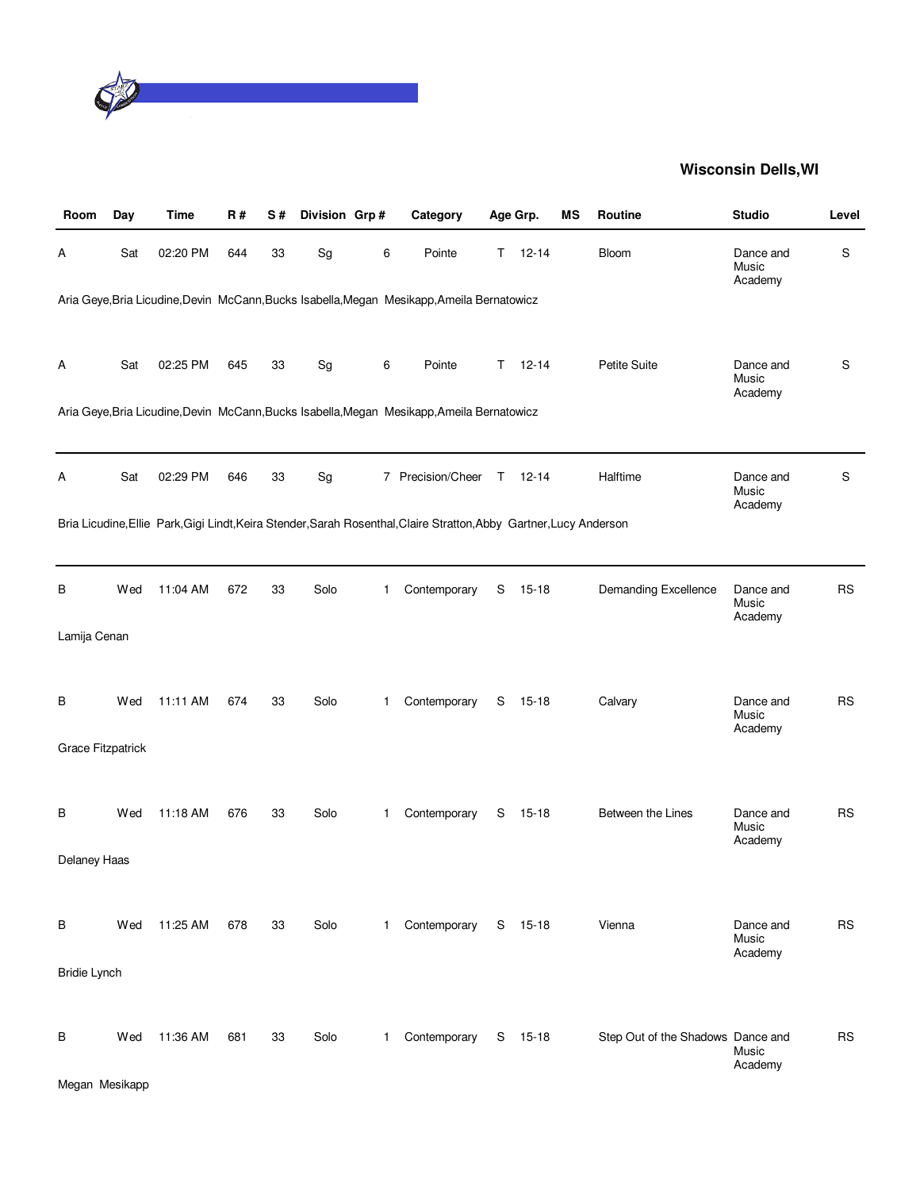

| Room                | Day | <b>Time</b> | <b>R#</b> | S# | Division Grp# |   | Category                                                                                                            |    | Age Grp.      | ΜS | Routine                           | <b>Studio</b>                 | Level     |
|---------------------|-----|-------------|-----------|----|---------------|---|---------------------------------------------------------------------------------------------------------------------|----|---------------|----|-----------------------------------|-------------------------------|-----------|
| A                   | Sat | 02:20 PM    | 644       | 33 | Sg            | 6 | Pointe                                                                                                              |    | $T = 12 - 14$ |    | Bloom                             | Dance and<br>Music<br>Academy | S         |
|                     |     |             |           |    |               |   | Aria Geye, Bria Licudine, Devin McCann, Bucks Isabella, Megan Mesikapp, Ameila Bernatowicz                          |    |               |    |                                   |                               |           |
| Α                   | Sat | 02:25 PM    | 645       | 33 | Sg            | 6 | Pointe                                                                                                              | T. | $12 - 14$     |    | Petite Suite                      | Dance and<br>Music<br>Academy | S         |
|                     |     |             |           |    |               |   | Aria Geye, Bria Licudine, Devin McCann, Bucks Isabella, Megan Mesikapp, Ameila Bernatowicz                          |    |               |    |                                   |                               |           |
| Α                   | Sat | 02:29 PM    | 646       | 33 | Sg            |   | 7 Precision/Cheer                                                                                                   | T. | 12-14         |    | Halftime                          | Dance and<br>Music<br>Academy | S         |
|                     |     |             |           |    |               |   | Bria Licudine, Ellie Park, Gigi Lindt, Keira Stender, Sarah Rosenthal, Claire Stratton, Abby Gartner, Lucy Anderson |    |               |    |                                   |                               |           |
|                     |     |             |           |    |               |   |                                                                                                                     |    |               |    |                                   |                               |           |
| В                   | Wed | 11:04 AM    | 672       | 33 | Solo          | 1 | Contemporary                                                                                                        | S  | $15 - 18$     |    | <b>Demanding Excellence</b>       | Dance and<br>Music<br>Academy | <b>RS</b> |
| Lamija Cenan        |     |             |           |    |               |   |                                                                                                                     |    |               |    |                                   |                               |           |
|                     |     |             |           |    |               |   |                                                                                                                     |    |               |    |                                   |                               |           |
| В                   | Wed | 11:11 AM    | 674       | 33 | Solo          | 1 | Contemporary                                                                                                        | S  | $15-18$       |    | Calvary                           | Dance and<br>Music            | <b>RS</b> |
| Grace Fitzpatrick   |     |             |           |    |               |   |                                                                                                                     |    |               |    |                                   | Academy                       |           |
|                     |     |             |           |    |               |   |                                                                                                                     |    |               |    |                                   |                               |           |
| В                   | Wed | 11:18 AM    | 676       | 33 | Solo          | 1 | Contemporary                                                                                                        | S  | $15 - 18$     |    | Between the Lines                 | Dance and<br>Music            | <b>RS</b> |
| Delaney Haas        |     |             |           |    |               |   |                                                                                                                     |    |               |    |                                   | Academy                       |           |
|                     |     |             |           |    |               |   |                                                                                                                     |    |               |    |                                   |                               |           |
| В                   | Wed | 11:25 AM    | 678       | 33 | Solo          | 1 | Contemporary                                                                                                        |    | $S$ 15-18     |    | Vienna                            | Dance and<br>Music            | <b>RS</b> |
| <b>Bridie Lynch</b> |     |             |           |    |               |   |                                                                                                                     |    |               |    |                                   | Academy                       |           |
|                     |     |             |           |    |               |   |                                                                                                                     |    |               |    |                                   |                               |           |
| В                   | Wed | 11:36 AM    | 681       | 33 | Solo          | 1 | Contemporary                                                                                                        | S  | $15 - 18$     |    | Step Out of the Shadows Dance and | Music<br>Academy              | <b>RS</b> |
| Megan Mesikapp      |     |             |           |    |               |   |                                                                                                                     |    |               |    |                                   |                               |           |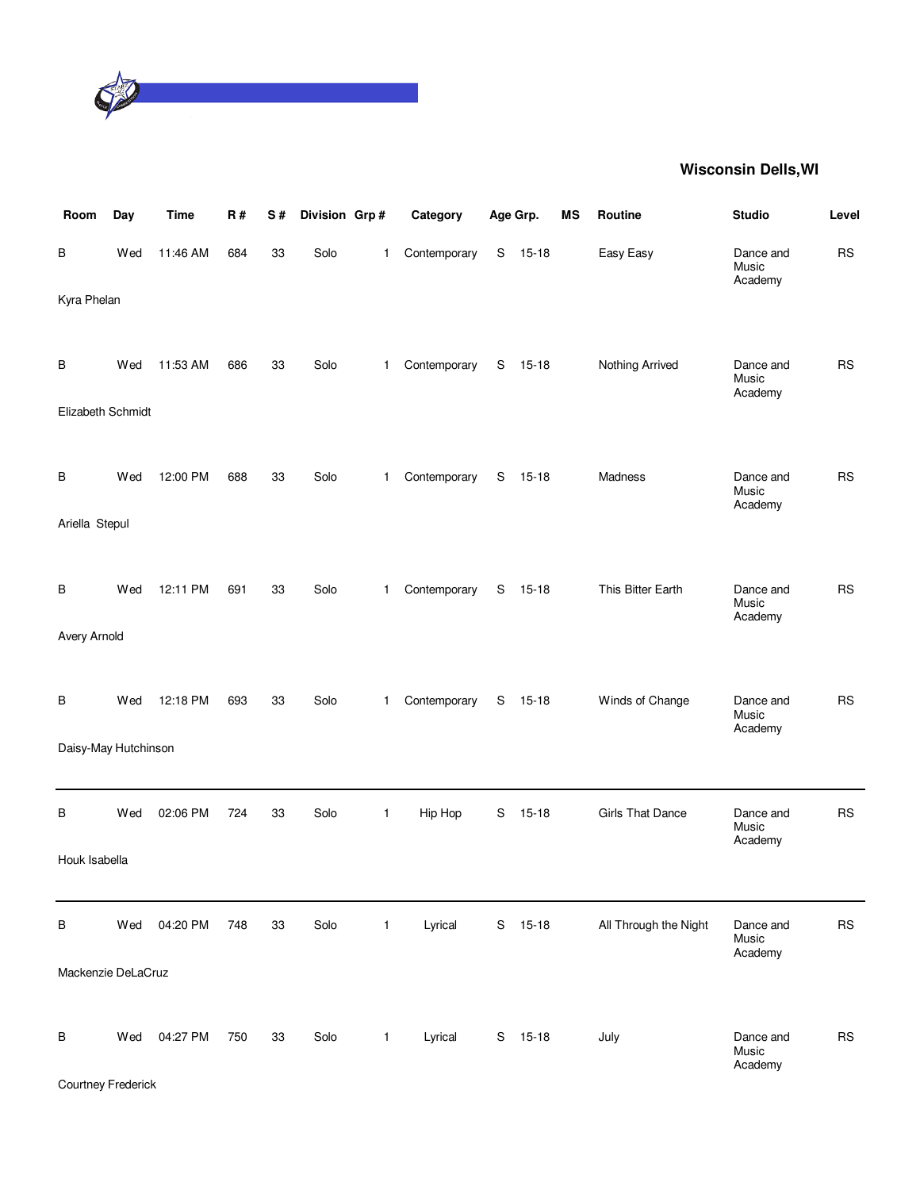

| Room                      | Day | <b>Time</b> | R#  | S# | Division Grp# |              | Category     |   | Age Grp.  | <b>MS</b> | Routine                 | <b>Studio</b>                 | Level     |
|---------------------------|-----|-------------|-----|----|---------------|--------------|--------------|---|-----------|-----------|-------------------------|-------------------------------|-----------|
| В                         | Wed | 11:46 AM    | 684 | 33 | Solo          | $\mathbf{1}$ | Contemporary | S | $15 - 18$ |           | Easy Easy               | Dance and<br>Music<br>Academy | <b>RS</b> |
| Kyra Phelan               |     |             |     |    |               |              |              |   |           |           |                         |                               |           |
| В                         | Wed | 11:53 AM    | 686 | 33 | Solo          | $\mathbf{1}$ | Contemporary | S | $15 - 18$ |           | Nothing Arrived         | Dance and<br>Music<br>Academy | <b>RS</b> |
| Elizabeth Schmidt         |     |             |     |    |               |              |              |   |           |           |                         |                               |           |
| В                         | Wed | 12:00 PM    | 688 | 33 | Solo          | -1           | Contemporary | S | $15 - 18$ |           | Madness                 | Dance and<br>Music<br>Academy | <b>RS</b> |
| Ariella Stepul            |     |             |     |    |               |              |              |   |           |           |                         |                               |           |
| В                         | Wed | 12:11 PM    | 691 | 33 | Solo          | $\mathbf{1}$ | Contemporary | S | $15 - 18$ |           | This Bitter Earth       | Dance and<br>Music<br>Academy | <b>RS</b> |
| Avery Arnold              |     |             |     |    |               |              |              |   |           |           |                         |                               |           |
| B                         | Wed | 12:18 PM    | 693 | 33 | Solo          | -1           | Contemporary | S | $15 - 18$ |           | Winds of Change         | Dance and<br>Music<br>Academy | <b>RS</b> |
| Daisy-May Hutchinson      |     |             |     |    |               |              |              |   |           |           |                         |                               |           |
| В                         | Wed | 02:06 PM    | 724 | 33 | Solo          | $\mathbf{1}$ | Hip Hop      | S | $15 - 18$ |           | <b>Girls That Dance</b> | Dance and<br>Music<br>Academy | <b>RS</b> |
| Houk Isabella             |     |             |     |    |               |              |              |   |           |           |                         |                               |           |
| В                         | Wed | 04:20 PM    | 748 | 33 | Solo          | $\mathbf{1}$ | Lyrical      |   | S 15-18   |           | All Through the Night   | Dance and<br>Music<br>Academy | <b>RS</b> |
| Mackenzie DeLaCruz        |     |             |     |    |               |              |              |   |           |           |                         |                               |           |
| B                         | Wed | 04:27 PM    | 750 | 33 | Solo          | $\mathbf{1}$ | Lyrical      |   | S 15-18   |           | July                    | Dance and<br>Music            | <b>RS</b> |
| <b>Courtney Frederick</b> |     |             |     |    |               |              |              |   |           |           |                         | Academy                       |           |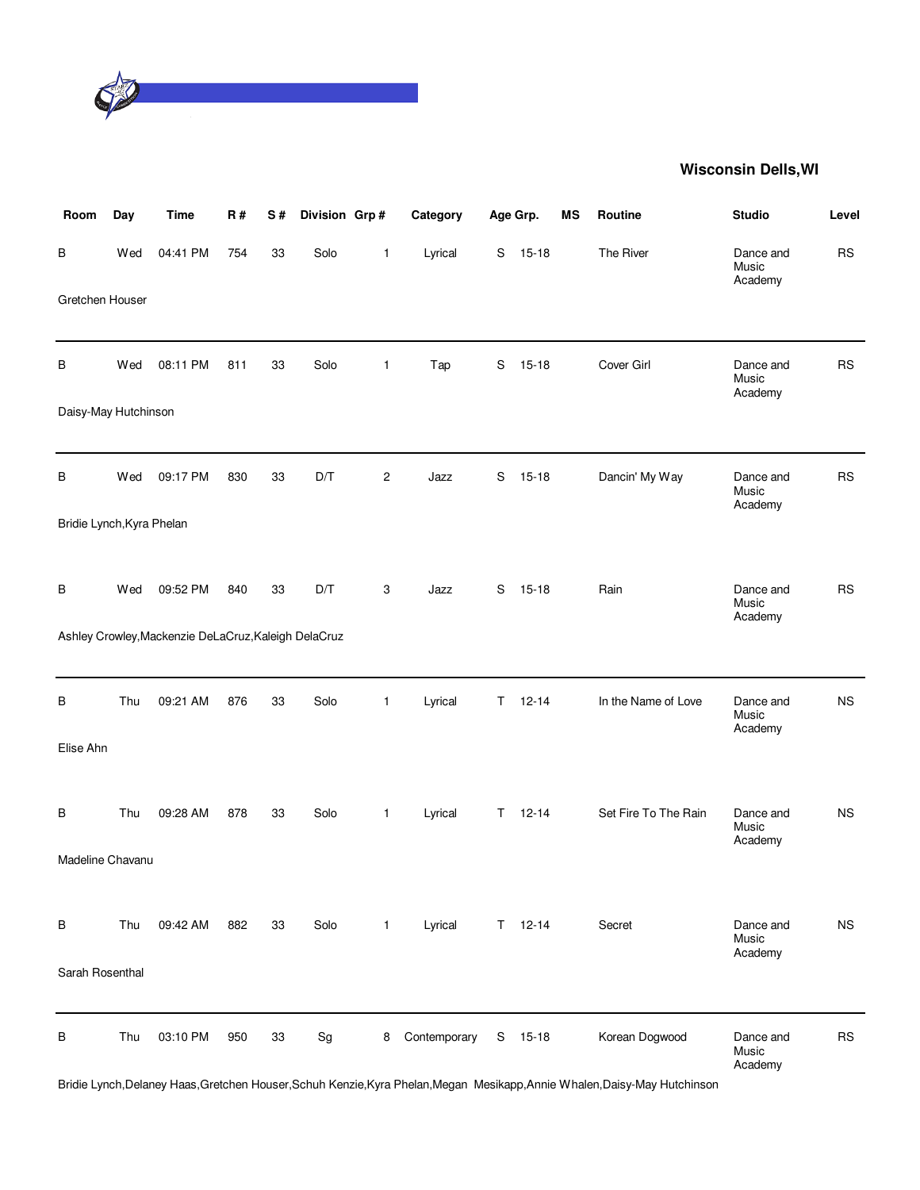

| Room                      | Day | <b>Time</b>                                          | <b>R#</b> | S# | Division Grp# |                | Category     |   | Age Grp.      | ΜS | <b>Routine</b>                                                                                                             | <b>Studio</b>                 | Level     |
|---------------------------|-----|------------------------------------------------------|-----------|----|---------------|----------------|--------------|---|---------------|----|----------------------------------------------------------------------------------------------------------------------------|-------------------------------|-----------|
| В                         | Wed | 04:41 PM                                             | 754       | 33 | Solo          | $\mathbf{1}$   | Lyrical      | S | $15 - 18$     |    | The River                                                                                                                  | Dance and<br>Music<br>Academy | <b>RS</b> |
| Gretchen Houser           |     |                                                      |           |    |               |                |              |   |               |    |                                                                                                                            |                               |           |
| В                         | Wed | 08:11 PM                                             | 811       | 33 | Solo          | $\mathbf{1}$   | Tap          | S | $15 - 18$     |    | Cover Girl                                                                                                                 | Dance and<br>Music<br>Academy | <b>RS</b> |
| Daisy-May Hutchinson      |     |                                                      |           |    |               |                |              |   |               |    |                                                                                                                            |                               |           |
| B                         | Wed | 09:17 PM                                             | 830       | 33 | D/T           | $\overline{c}$ | Jazz         | S | $15 - 18$     |    | Dancin' My Way                                                                                                             | Dance and<br>Music<br>Academy | <b>RS</b> |
| Bridie Lynch, Kyra Phelan |     |                                                      |           |    |               |                |              |   |               |    |                                                                                                                            |                               |           |
| В                         | Wed | 09:52 PM                                             | 840       | 33 | D/T           | 3              | Jazz         | S | $15 - 18$     |    | Rain                                                                                                                       | Dance and<br>Music<br>Academy | <b>RS</b> |
|                           |     | Ashley Crowley, Mackenzie DeLaCruz, Kaleigh DelaCruz |           |    |               |                |              |   |               |    |                                                                                                                            |                               |           |
| В                         | Thu | 09:21 AM                                             | 876       | 33 | Solo          | 1              | Lyrical      | Т | $12 - 14$     |    | In the Name of Love                                                                                                        | Dance and<br>Music<br>Academy | <b>NS</b> |
| Elise Ahn                 |     |                                                      |           |    |               |                |              |   |               |    |                                                                                                                            |                               |           |
| В                         | Thu | 09:28 AM                                             | 878       | 33 | Solo          | $\mathbf{1}$   | Lyrical      | Τ | $12 - 14$     |    | Set Fire To The Rain                                                                                                       | Dance and<br>Music<br>Academy | <b>NS</b> |
| Madeline Chavanu          |     |                                                      |           |    |               |                |              |   |               |    |                                                                                                                            |                               |           |
| В                         | Thu | 09:42 AM                                             | 882       | 33 | Solo          | $\mathbf{1}$   | Lyrical      |   | $T = 12 - 14$ |    | Secret                                                                                                                     | Dance and<br>Music<br>Academy | <b>NS</b> |
| Sarah Rosenthal           |     |                                                      |           |    |               |                |              |   |               |    |                                                                                                                            |                               |           |
| В                         | Thu | 03:10 PM                                             | 950       | 33 | Sg            | 8              | Contemporary |   | S 15-18       |    | Korean Dogwood                                                                                                             | Dance and<br>Music<br>Academy | <b>RS</b> |
|                           |     |                                                      |           |    |               |                |              |   |               |    | Bridie Lynch, Delaney Haas, Gretchen Houser, Schuh Kenzie, Kyra Phelan, Megan Mesikapp, Annie Whalen, Daisy-May Hutchinson |                               |           |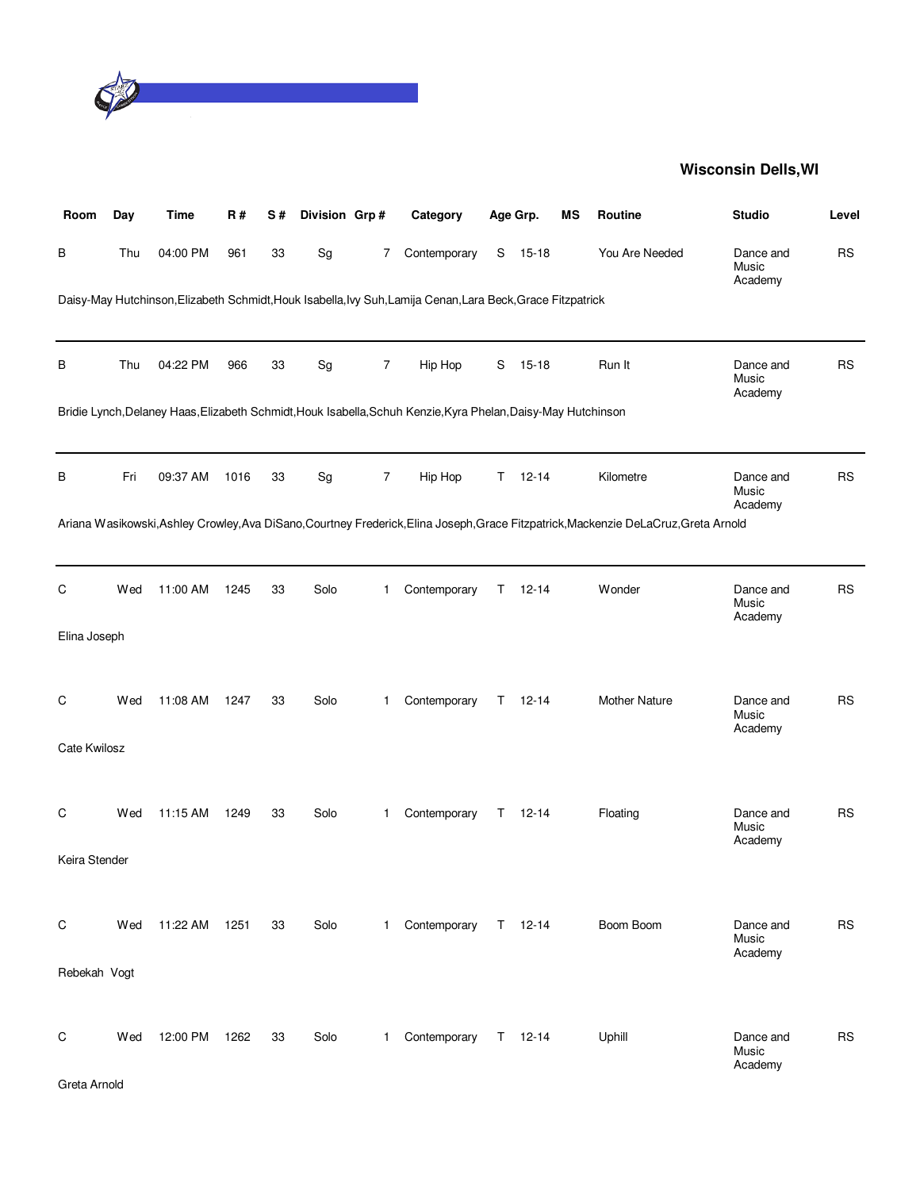

| Room          | Day | <b>Time</b> | R#   | S# | Division Grp#                |                | Category                                                                                                      |    | Age Grp.      | <b>MS</b> | Routine                                                                                                                              | <b>Studio</b>                 | Level     |
|---------------|-----|-------------|------|----|------------------------------|----------------|---------------------------------------------------------------------------------------------------------------|----|---------------|-----------|--------------------------------------------------------------------------------------------------------------------------------------|-------------------------------|-----------|
| В             | Thu | 04:00 PM    | 961  | 33 | $\operatorname{\mathsf{Sg}}$ | 7              | Contemporary                                                                                                  | S  | 15-18         |           | You Are Needed                                                                                                                       | Dance and<br>Music<br>Academy | <b>RS</b> |
|               |     |             |      |    |                              |                | Daisy-May Hutchinson, Elizabeth Schmidt, Houk Isabella, Ivy Suh, Lamija Cenan, Lara Beck, Grace Fitzpatrick   |    |               |           |                                                                                                                                      |                               |           |
| В             | Thu | 04:22 PM    | 966  | 33 | Sg                           | $\overline{7}$ | Hip Hop                                                                                                       | S  | $15 - 18$     |           | Run It                                                                                                                               | Dance and<br>Music<br>Academy | <b>RS</b> |
|               |     |             |      |    |                              |                | Bridie Lynch, Delaney Haas, Elizabeth Schmidt, Houk Isabella, Schuh Kenzie, Kyra Phelan, Daisy-May Hutchinson |    |               |           |                                                                                                                                      |                               |           |
| В             | Fri | 09:37 AM    | 1016 | 33 | Sg                           | $\overline{7}$ | Hip Hop                                                                                                       | T. | $12 - 14$     |           | Kilometre                                                                                                                            | Dance and<br>Music<br>Academy | <b>RS</b> |
|               |     |             |      |    |                              |                |                                                                                                               |    |               |           | Ariana Wasikowski, Ashley Crowley, Ava DiSano, Courtney Frederick, Elina Joseph, Grace Fitzpatrick, Mackenzie DeLaCruz, Greta Arnold |                               |           |
| C             | Wed | 11:00 AM    | 1245 | 33 | Solo                         | 1.             | Contemporary                                                                                                  | Τ  | $12 - 14$     |           | Wonder                                                                                                                               | Dance and<br>Music<br>Academy | <b>RS</b> |
| Elina Joseph  |     |             |      |    |                              |                |                                                                                                               |    |               |           |                                                                                                                                      |                               |           |
| C             | Wed | 11:08 AM    | 1247 | 33 | Solo                         | 1              | Contemporary                                                                                                  | Τ  | $12 - 14$     |           | Mother Nature                                                                                                                        | Dance and<br>Music<br>Academy | <b>RS</b> |
| Cate Kwilosz  |     |             |      |    |                              |                |                                                                                                               |    |               |           |                                                                                                                                      |                               |           |
| С             | Wed | 11:15 AM    | 1249 | 33 | Solo                         | 1              | Contemporary                                                                                                  | T  | $12 - 14$     |           | Floating                                                                                                                             | Dance and<br>Music<br>Academy | <b>RS</b> |
| Keira Stender |     |             |      |    |                              |                |                                                                                                               |    |               |           |                                                                                                                                      |                               |           |
| C             | Wed | 11:22 AM    | 1251 | 33 | Solo                         | $\mathbf{1}$   | Contemporary                                                                                                  | T. | $12 - 14$     |           | Boom Boom                                                                                                                            | Dance and<br>Music<br>Academy | <b>RS</b> |
| Rebekah Vogt  |     |             |      |    |                              |                |                                                                                                               |    |               |           |                                                                                                                                      |                               |           |
| C             | Wed | 12:00 PM    | 1262 | 33 | Solo                         | $\mathbf{1}$   | Contemporary                                                                                                  |    | $T = 12 - 14$ |           | Uphill                                                                                                                               | Dance and<br>Music<br>Academy | <b>RS</b> |
| Greta Arnold  |     |             |      |    |                              |                |                                                                                                               |    |               |           |                                                                                                                                      |                               |           |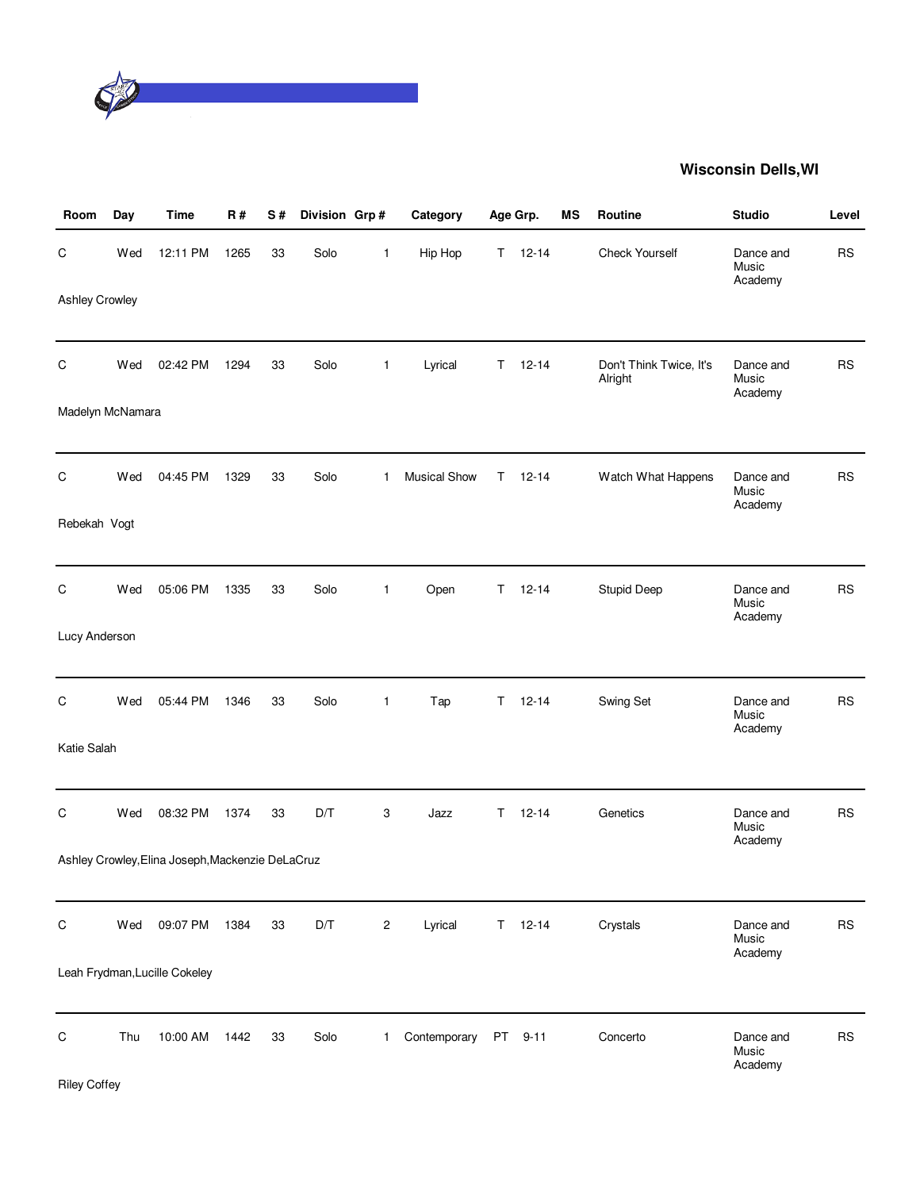

| Room                  | Day | <b>Time</b>                                      | <b>R#</b> | S# | Division Grp# |                | Category            |           | Age Grp.      | MS | Routine                            | <b>Studio</b>                 | Level     |
|-----------------------|-----|--------------------------------------------------|-----------|----|---------------|----------------|---------------------|-----------|---------------|----|------------------------------------|-------------------------------|-----------|
| С                     | Wed | 12:11 PM                                         | 1265      | 33 | Solo          | $\mathbf{1}$   | Hip Hop             | T.        | $12 - 14$     |    | <b>Check Yourself</b>              | Dance and<br>Music<br>Academy | <b>RS</b> |
| <b>Ashley Crowley</b> |     |                                                  |           |    |               |                |                     |           |               |    |                                    |                               |           |
| C                     | Wed | 02:42 PM                                         | 1294      | 33 | Solo          | $\mathbf{1}$   | Lyrical             | Τ         | $12 - 14$     |    | Don't Think Twice, It's<br>Alright | Dance and<br>Music<br>Academy | <b>RS</b> |
| Madelyn McNamara      |     |                                                  |           |    |               |                |                     |           |               |    |                                    |                               |           |
| С                     | Wed | 04:45 PM                                         | 1329      | 33 | Solo          | $\mathbf{1}$   | <b>Musical Show</b> | T.        | $12 - 14$     |    | Watch What Happens                 | Dance and<br>Music<br>Academy | <b>RS</b> |
| Rebekah Vogt          |     |                                                  |           |    |               |                |                     |           |               |    |                                    |                               |           |
| C                     | Wed | 05:06 PM                                         | 1335      | 33 | Solo          | $\mathbf{1}$   | Open                | T.        | $12 - 14$     |    | <b>Stupid Deep</b>                 | Dance and<br>Music<br>Academy | <b>RS</b> |
| Lucy Anderson         |     |                                                  |           |    |               |                |                     |           |               |    |                                    |                               |           |
| С                     | Wed | 05:44 PM                                         | 1346      | 33 | Solo          | 1              | Tap                 | T.        | $12 - 14$     |    | Swing Set                          | Dance and<br>Music<br>Academy | <b>RS</b> |
| Katie Salah           |     |                                                  |           |    |               |                |                     |           |               |    |                                    |                               |           |
| С                     | Wed | 08:32 PM                                         | 1374      | 33 | D/T           | 3              | Jazz                | T.        | $12 - 14$     |    | Genetics                           | Dance and<br>Music<br>Academy | <b>RS</b> |
|                       |     | Ashley Crowley, Elina Joseph, Mackenzie DeLaCruz |           |    |               |                |                     |           |               |    |                                    |                               |           |
| С                     | Wed | 09:07 PM                                         | 1384      | 33 | D/T           | $\overline{c}$ | Lyrical             |           | $T = 12 - 14$ |    | Crystals                           | Dance and<br>Music<br>Academy | <b>RS</b> |
|                       |     | Leah Frydman, Lucille Cokeley                    |           |    |               |                |                     |           |               |    |                                    |                               |           |
| С                     | Thu | 10:00 AM                                         | 1442      | 33 | Solo          | $\mathbf 1$    | Contemporary        | <b>PT</b> | $9 - 11$      |    | Concerto                           | Dance and<br>Music<br>Academy | <b>RS</b> |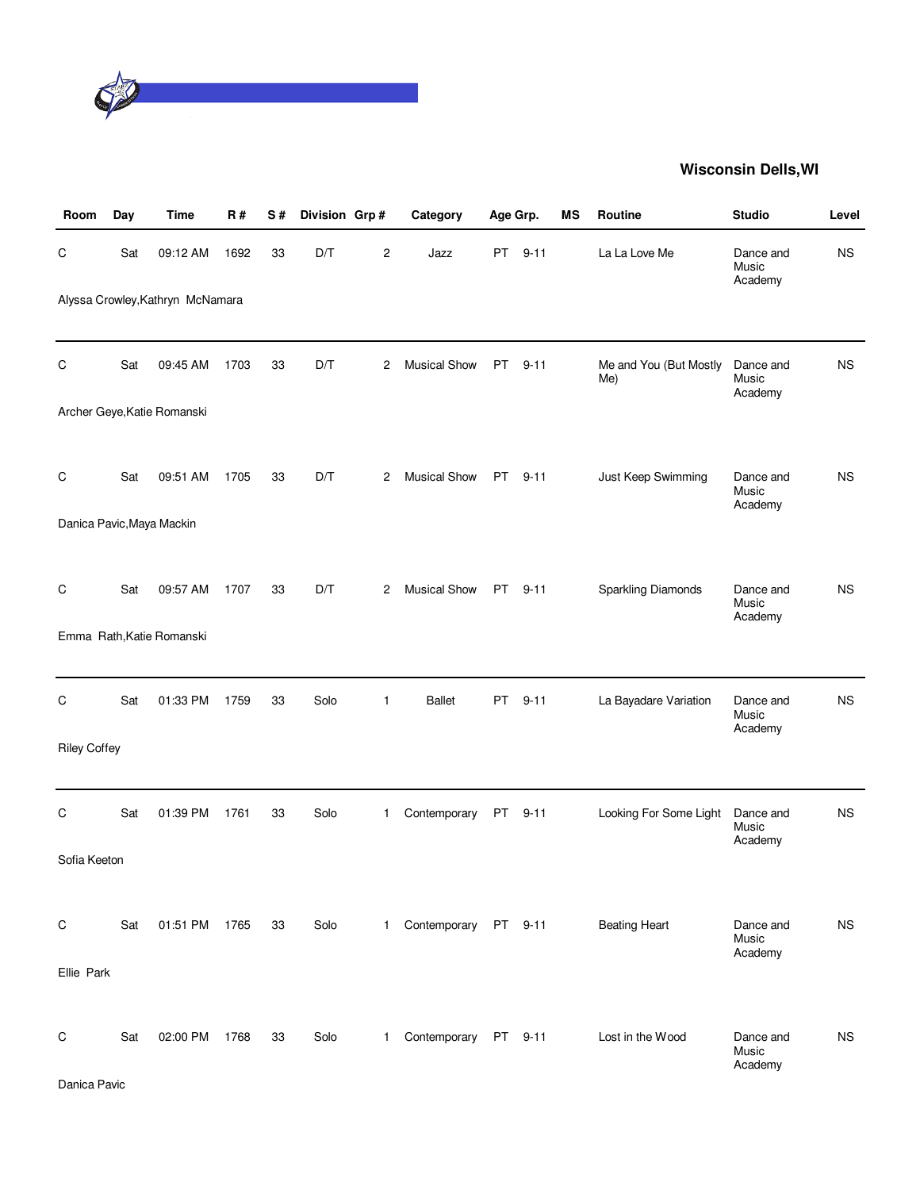

| Room                | Day | <b>Time</b>                      | <b>R#</b> | S# | Division Grp# |              | Category             | Age Grp.  |          | MS | Routine                       | <b>Studio</b>                 | Level     |
|---------------------|-----|----------------------------------|-----------|----|---------------|--------------|----------------------|-----------|----------|----|-------------------------------|-------------------------------|-----------|
| С                   | Sat | 09:12 AM                         | 1692      | 33 | D/T           | 2            | Jazz                 | <b>PT</b> | $9 - 11$ |    | La La Love Me                 | Dance and<br>Music<br>Academy | <b>NS</b> |
|                     |     | Alyssa Crowley, Kathryn McNamara |           |    |               |              |                      |           |          |    |                               |                               |           |
| С                   | Sat | 09:45 AM                         | 1703      | 33 | D/T           | 2            | <b>Musical Show</b>  | PT        | $9 - 11$ |    | Me and You (But Mostly<br>Me) | Dance and<br>Music<br>Academy | <b>NS</b> |
|                     |     | Archer Geye, Katie Romanski      |           |    |               |              |                      |           |          |    |                               |                               |           |
| С                   | Sat | 09:51 AM                         | 1705      | 33 | D/T           | 2            | <b>Musical Show</b>  | PT        | $9 - 11$ |    | Just Keep Swimming            | Dance and<br>Music<br>Academy | <b>NS</b> |
|                     |     | Danica Pavic, Maya Mackin        |           |    |               |              |                      |           |          |    |                               |                               |           |
| C                   | Sat | 09:57 AM                         | 1707      | 33 | D/T           | 2            | <b>Musical Show</b>  | PT        | $9 - 11$ |    | Sparkling Diamonds            | Dance and<br>Music<br>Academy | <b>NS</b> |
|                     |     | Emma Rath, Katie Romanski        |           |    |               |              |                      |           |          |    |                               |                               |           |
| C                   | Sat | 01:33 PM                         | 1759      | 33 | Solo          | 1            | <b>Ballet</b>        | PT        | $9 - 11$ |    | La Bayadare Variation         | Dance and<br>Music<br>Academy | <b>NS</b> |
| <b>Riley Coffey</b> |     |                                  |           |    |               |              |                      |           |          |    |                               |                               |           |
| С                   | Sat | 01:39 PM                         | 1761      | 33 | Solo          | 1            | Contemporary         | PT        | $9 - 11$ |    | Looking For Some Light        | Dance and<br>Music<br>Academy | <b>NS</b> |
| Sofia Keeton        |     |                                  |           |    |               |              |                      |           |          |    |                               |                               |           |
| C                   | Sat | 01:51 PM 1765                    |           | 33 | Solo          | 1            | Contemporary PT 9-11 |           |          |    | <b>Beating Heart</b>          | Dance and<br>Music<br>Academy | <b>NS</b> |
| Ellie Park          |     |                                  |           |    |               |              |                      |           |          |    |                               |                               |           |
| С                   | Sat | 02:00 PM                         | 1768      | 33 | Solo          | $\mathbf{1}$ | Contemporary PT 9-11 |           |          |    | Lost in the Wood              | Dance and<br>Music<br>Academy | <b>NS</b> |
| Danica Pavic        |     |                                  |           |    |               |              |                      |           |          |    |                               |                               |           |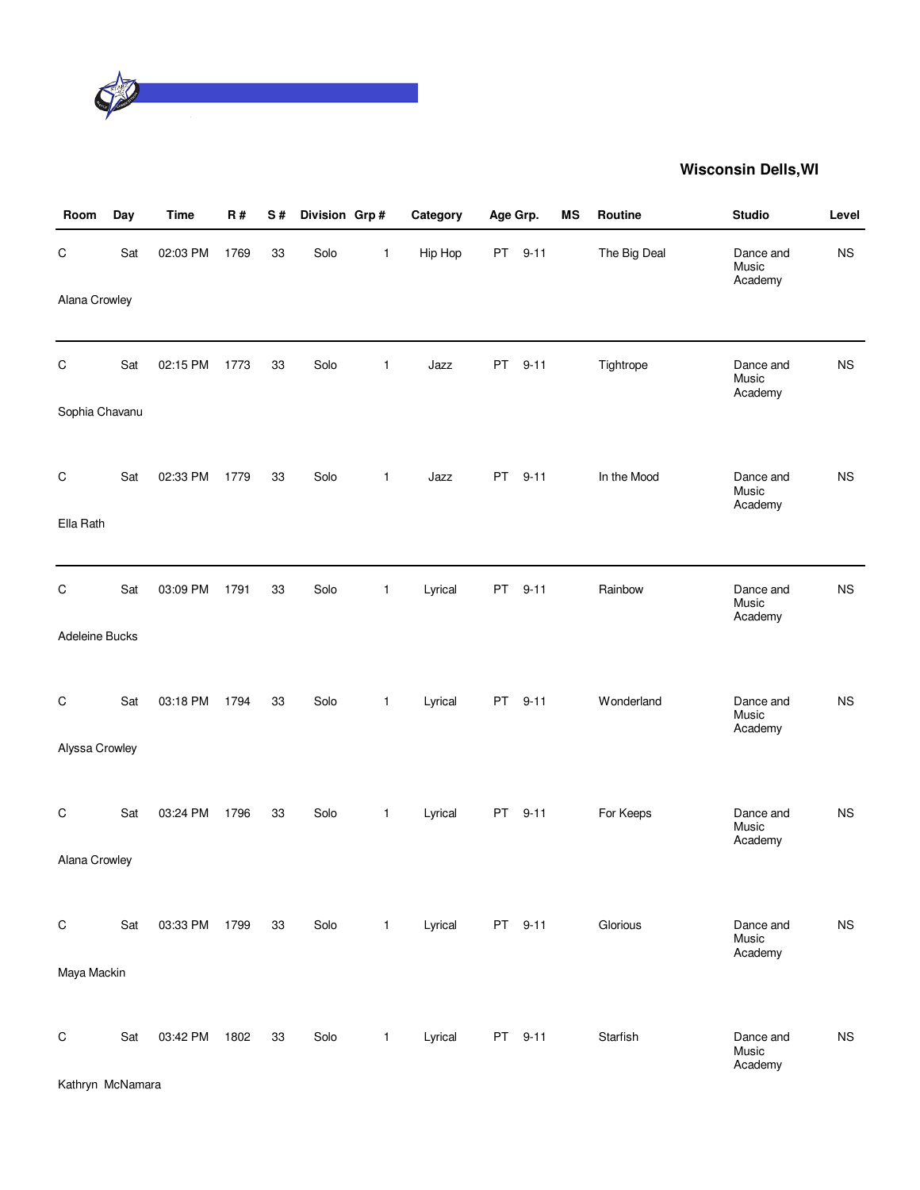

| Room           | Day | <b>Time</b> | R#   | S# | Division Grp# |              | Category | Age Grp.  |          | MS | Routine      | <b>Studio</b>                 | Level       |
|----------------|-----|-------------|------|----|---------------|--------------|----------|-----------|----------|----|--------------|-------------------------------|-------------|
| $\mathsf C$    | Sat | 02:03 PM    | 1769 | 33 | Solo          | $\mathbf{1}$ | Hip Hop  | PT        | $9 - 11$ |    | The Big Deal | Dance and<br>Music<br>Academy | <b>NS</b>   |
| Alana Crowley  |     |             |      |    |               |              |          |           |          |    |              |                               |             |
| $\mathsf C$    | Sat | 02:15 PM    | 1773 | 33 | Solo          | $\mathbf{1}$ | Jazz     | PT        | $9 - 11$ |    | Tightrope    | Dance and<br>Music<br>Academy | <b>NS</b>   |
| Sophia Chavanu |     |             |      |    |               |              |          |           |          |    |              |                               |             |
| $\mathsf C$    | Sat | 02:33 PM    | 1779 | 33 | Solo          | $\mathbf{1}$ | Jazz     | <b>PT</b> | $9 - 11$ |    | In the Mood  | Dance and<br>Music<br>Academy | <b>NS</b>   |
| Ella Rath      |     |             |      |    |               |              |          |           |          |    |              |                               |             |
| $\mathsf C$    | Sat | 03:09 PM    | 1791 | 33 | Solo          | $\mathbf{1}$ | Lyrical  | <b>PT</b> | $9 - 11$ |    | Rainbow      | Dance and<br>Music<br>Academy | <b>NS</b>   |
| Adeleine Bucks |     |             |      |    |               |              |          |           |          |    |              |                               |             |
| C              | Sat | 03:18 PM    | 1794 | 33 | Solo          | $\mathbf{1}$ | Lyrical  | <b>PT</b> | $9 - 11$ |    | Wonderland   | Dance and<br>Music<br>Academy | <b>NS</b>   |
| Alyssa Crowley |     |             |      |    |               |              |          |           |          |    |              |                               |             |
| $\mathsf C$    | Sat | 03:24 PM    | 1796 | 33 | Solo          | $\mathbf{1}$ | Lyrical  | <b>PT</b> | $9 - 11$ |    | For Keeps    | Dance and<br>Music<br>Academy | <b>NS</b>   |
| Alana Crowley  |     |             |      |    |               |              |          |           |          |    |              |                               |             |
| $\mathsf C$    | Sat | 03:33 PM    | 1799 | 33 | Solo          | $\mathbf{1}$ | Lyrical  |           | PT 9-11  |    | Glorious     | Dance and<br>Music<br>Academy | <b>NS</b>   |
| Maya Mackin    |     |             |      |    |               |              |          |           |          |    |              |                               |             |
| $\mathsf C$    | Sat | 03:42 PM    | 1802 | 33 | Solo          | $\mathbf{1}$ | Lyrical  |           | PT 9-11  |    | Starfish     | Dance and<br>Music<br>Academy | $_{\rm NS}$ |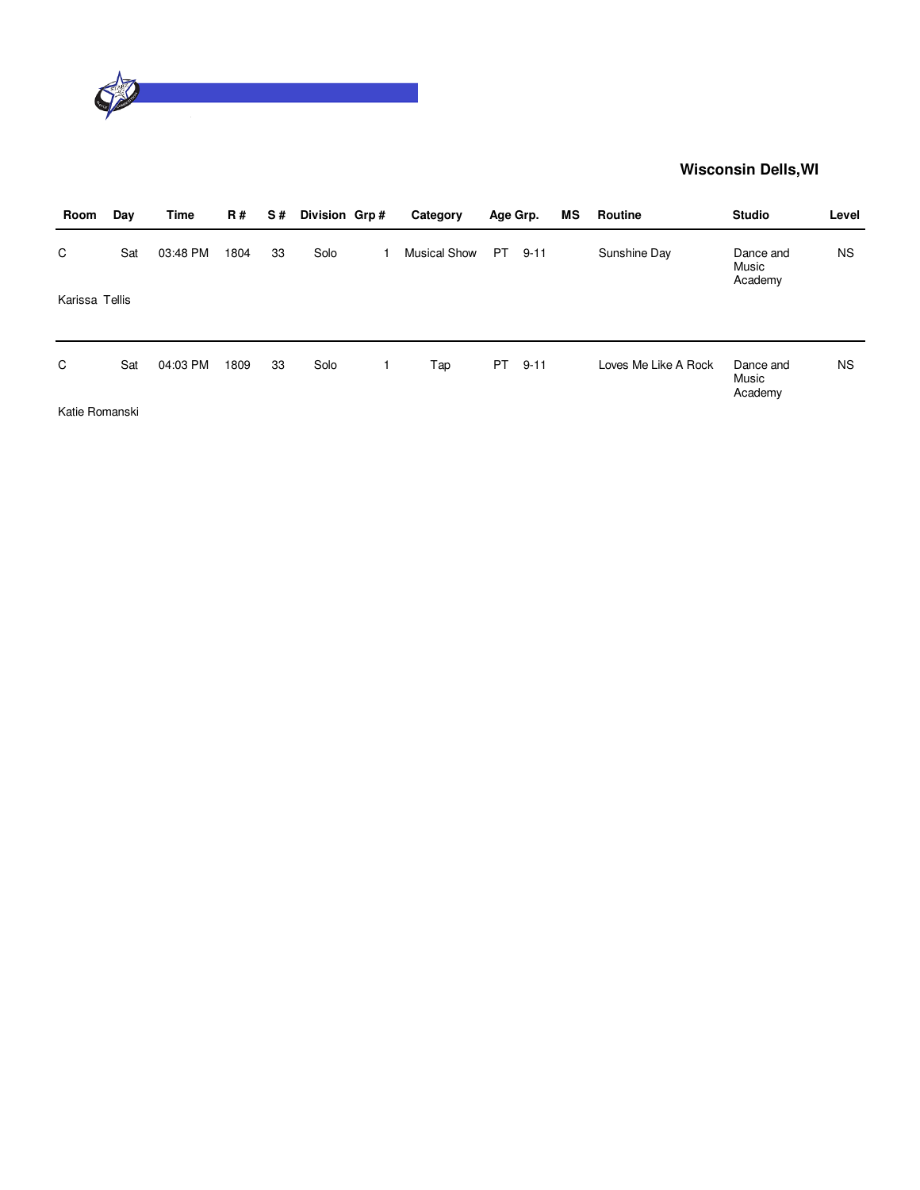

| Room           | Day | Time     | <b>R#</b> | S# | Division Grp# | Category            | Age Grp. |          | МS | Routine              | <b>Studio</b>                 | Level     |
|----------------|-----|----------|-----------|----|---------------|---------------------|----------|----------|----|----------------------|-------------------------------|-----------|
| C              | Sat | 03:48 PM | 1804      | 33 | Solo          | <b>Musical Show</b> | PT.      | $9 - 11$ |    | Sunshine Day         | Dance and<br>Music<br>Academy | <b>NS</b> |
| Karissa Tellis |     |          |           |    |               |                     |          |          |    |                      |                               |           |
| C              | Sat | 04:03 PM | 1809      | 33 | Solo          | Tap                 | PT.      | $9 - 11$ |    | Loves Me Like A Rock | Dance and<br>Music<br>Academy | <b>NS</b> |
| $\cdots$       | .   |          |           |    |               |                     |          |          |    |                      |                               |           |

Katie Romanski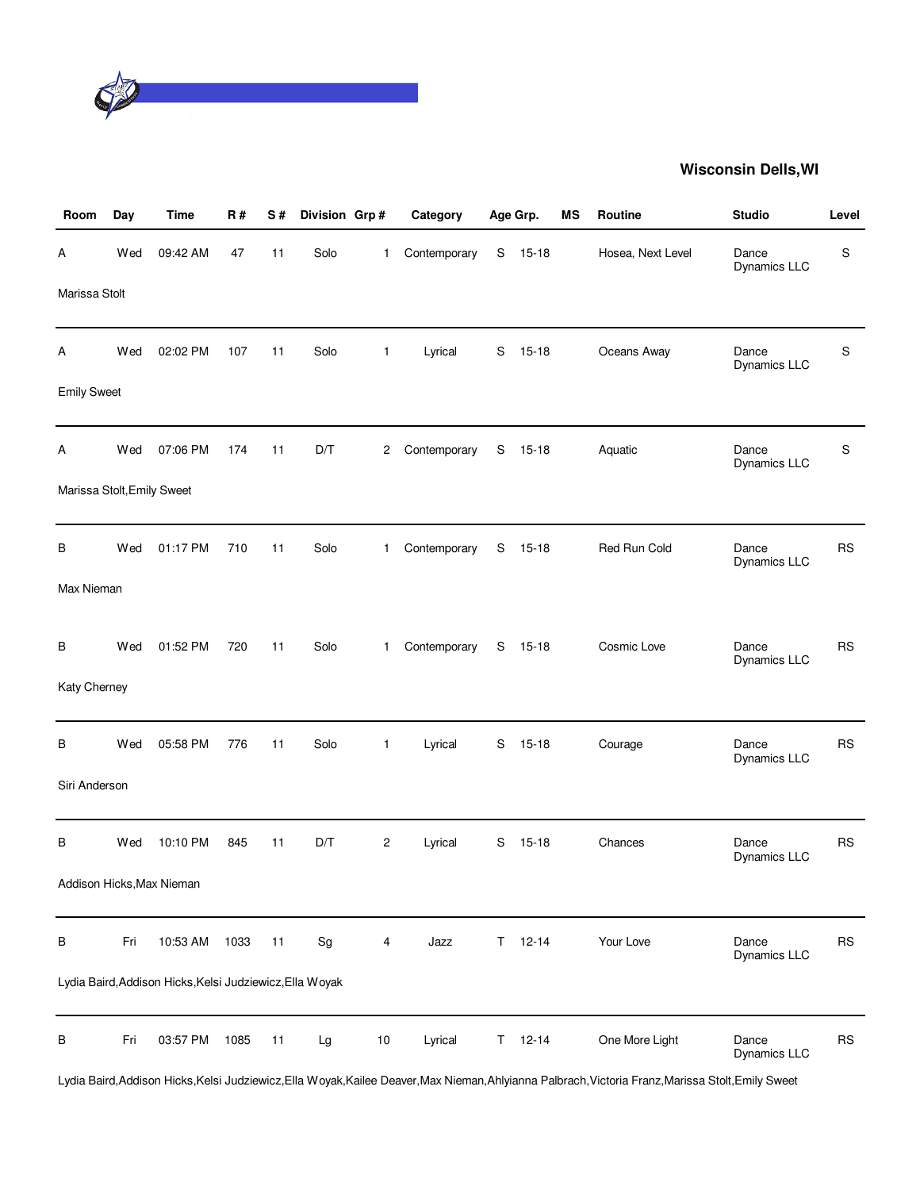

| Room                       | Day | Time                                                     | R#   | S# | Division Grp#                |                | Category     |             | Age Grp.  | <b>MS</b> | Routine           | <b>Studio</b>         | Level     |
|----------------------------|-----|----------------------------------------------------------|------|----|------------------------------|----------------|--------------|-------------|-----------|-----------|-------------------|-----------------------|-----------|
| А                          | Wed | 09:42 AM                                                 | 47   | 11 | Solo                         | 1              | Contemporary | S           | $15 - 18$ |           | Hosea, Next Level | Dance<br>Dynamics LLC | S         |
| Marissa Stolt              |     |                                                          |      |    |                              |                |              |             |           |           |                   |                       |           |
| A                          | Wed | 02:02 PM                                                 | 107  | 11 | Solo                         | $\mathbf{1}$   | Lyrical      | S           | $15 - 18$ |           | Oceans Away       | Dance<br>Dynamics LLC | S         |
| <b>Emily Sweet</b>         |     |                                                          |      |    |                              |                |              |             |           |           |                   |                       |           |
| Α                          | Wed | 07:06 PM                                                 | 174  | 11 | D/T                          | $\mathbf{2}$   | Contemporary | S           | $15 - 18$ |           | Aquatic           | Dance<br>Dynamics LLC | S         |
| Marissa Stolt, Emily Sweet |     |                                                          |      |    |                              |                |              |             |           |           |                   |                       |           |
| В                          | Wed | 01:17 PM                                                 | 710  | 11 | Solo                         | $\mathbf{1}$   | Contemporary | $\mathbb S$ | $15 - 18$ |           | Red Run Cold      | Dance<br>Dynamics LLC | <b>RS</b> |
| Max Nieman                 |     |                                                          |      |    |                              |                |              |             |           |           |                   |                       |           |
| В                          | Wed | 01:52 PM                                                 | 720  | 11 | Solo                         | $\mathbf{1}$   | Contemporary | S           | $15 - 18$ |           | Cosmic Love       | Dance<br>Dynamics LLC | <b>RS</b> |
| Katy Cherney               |     |                                                          |      |    |                              |                |              |             |           |           |                   |                       |           |
| В                          | Wed | 05:58 PM                                                 | 776  | 11 | Solo                         | $\mathbf{1}$   | Lyrical      | S           | $15 - 18$ |           | Courage           | Dance<br>Dynamics LLC | <b>RS</b> |
| Siri Anderson              |     |                                                          |      |    |                              |                |              |             |           |           |                   |                       |           |
| В                          | Wed | 10:10 PM                                                 | 845  | 11 | D/T                          | $\overline{c}$ | Lyrical      | S           | $15 - 18$ |           | Chances           | Dance<br>Dynamics LLC | <b>RS</b> |
|                            |     | Addison Hicks, Max Nieman                                |      |    |                              |                |              |             |           |           |                   |                       |           |
| В                          | Fri | 10:53 AM                                                 | 1033 | 11 | $\operatorname{\mathsf{Sg}}$ | 4              | Jazz         | T.          | $12 - 14$ |           | Your Love         | Dance<br>Dynamics LLC | <b>RS</b> |
|                            |     | Lydia Baird, Addison Hicks, Kelsi Judziewicz, Ella Woyak |      |    |                              |                |              |             |           |           |                   |                       |           |
| B                          | Fri | 03:57 PM                                                 | 1085 | 11 | Lg                           | $10$           | Lyrical      | T.          | $12 - 14$ |           | One More Light    | Dance<br>Dynamics LLC | <b>RS</b> |

Lydia Baird,Addison Hicks,Kelsi Judziewicz,Ella Woyak,Kailee Deaver,Max Nieman,Ahlyianna Palbrach,Victoria Franz,Marissa Stolt,Emily Sweet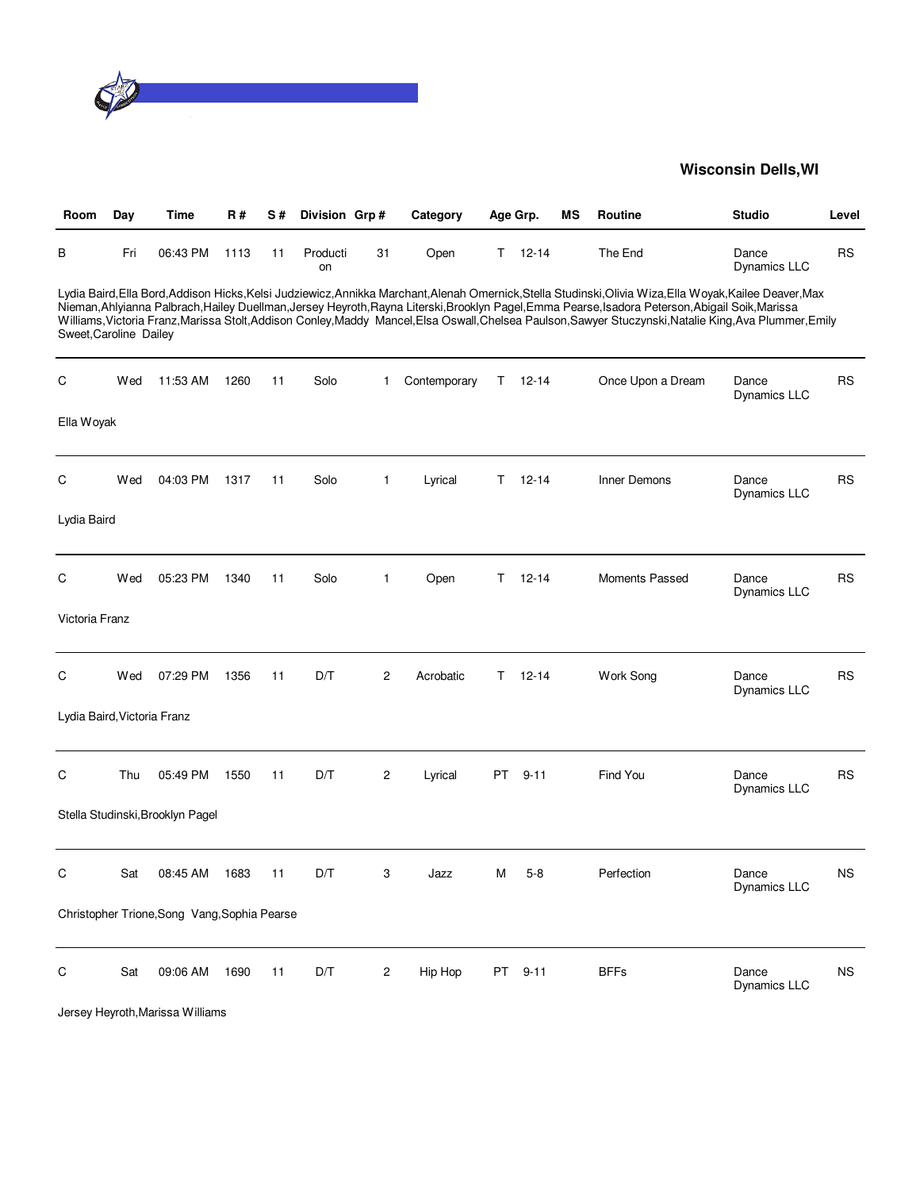

| Room                        | Day | Time                                         | <b>R#</b> | S# | Division Grp#  |    | Category     |    | Age Grp.      | МS | <b>Routine</b>                                                                                                                                                                                                                                                                                                                                                                                                                                                   | <b>Studio</b>         | Level     |
|-----------------------------|-----|----------------------------------------------|-----------|----|----------------|----|--------------|----|---------------|----|------------------------------------------------------------------------------------------------------------------------------------------------------------------------------------------------------------------------------------------------------------------------------------------------------------------------------------------------------------------------------------------------------------------------------------------------------------------|-----------------------|-----------|
| в                           | Fri | 06:43 PM                                     | 1113      | 11 | Producti<br>on | 31 | Open         |    | $T = 12 - 14$ |    | The End                                                                                                                                                                                                                                                                                                                                                                                                                                                          | Dance<br>Dynamics LLC | <b>RS</b> |
| Sweet, Caroline Dailey      |     |                                              |           |    |                |    |              |    |               |    | Lydia Baird,Ella Bord,Addison Hicks,Kelsi Judziewicz,Annikka Marchant,Alenah Omernick,Stella Studinski,Olivia Wiza,Ella Woyak,Kailee Deaver,Max<br>Nieman, Ahlyianna Palbrach, Hailey Duellman, Jersey Heyroth, Rayna Literski, Brooklyn Pagel, Emma Pearse, Isadora Peterson, Abigail Soik, Marissa<br>Williams, Victoria Franz, Marissa Stolt, Addison Conley, Maddy Mancel, Elsa Oswall, Chelsea Paulson, Sawyer Stuczynski, Natalie King, Ava Plummer, Emily |                       |           |
| С                           | Wed | 11:53 AM                                     | 1260      | 11 | Solo           | 1  | Contemporary | Τ  | $12 - 14$     |    | Once Upon a Dream                                                                                                                                                                                                                                                                                                                                                                                                                                                | Dance<br>Dynamics LLC | RS        |
| Ella Woyak                  |     |                                              |           |    |                |    |              |    |               |    |                                                                                                                                                                                                                                                                                                                                                                                                                                                                  |                       |           |
| C                           | Wed | 04:03 PM                                     | 1317      | 11 | Solo           | 1  | Lyrical      | Τ  | $12 - 14$     |    | Inner Demons                                                                                                                                                                                                                                                                                                                                                                                                                                                     | Dance<br>Dynamics LLC | <b>RS</b> |
| Lydia Baird                 |     |                                              |           |    |                |    |              |    |               |    |                                                                                                                                                                                                                                                                                                                                                                                                                                                                  |                       |           |
| С                           | Wed | 05:23 PM                                     | 1340      | 11 | Solo           | 1  | Open         | Τ  | $12 - 14$     |    | Moments Passed                                                                                                                                                                                                                                                                                                                                                                                                                                                   | Dance<br>Dynamics LLC | <b>RS</b> |
| Victoria Franz              |     |                                              |           |    |                |    |              |    |               |    |                                                                                                                                                                                                                                                                                                                                                                                                                                                                  |                       |           |
| C                           | Wed | 07:29 PM                                     | 1356      | 11 | D/T            | 2  | Acrobatic    | T. | $12 - 14$     |    | Work Song                                                                                                                                                                                                                                                                                                                                                                                                                                                        | Dance<br>Dynamics LLC | <b>RS</b> |
| Lydia Baird, Victoria Franz |     |                                              |           |    |                |    |              |    |               |    |                                                                                                                                                                                                                                                                                                                                                                                                                                                                  |                       |           |
| C                           | Thu | 05:49 PM                                     | 1550      | 11 | D/T            | 2  | Lyrical      | PT | $9 - 11$      |    | Find You                                                                                                                                                                                                                                                                                                                                                                                                                                                         | Dance<br>Dynamics LLC | <b>RS</b> |
|                             |     | Stella Studinski, Brooklyn Pagel             |           |    |                |    |              |    |               |    |                                                                                                                                                                                                                                                                                                                                                                                                                                                                  |                       |           |
| С                           | Sat | 08:45 AM                                     | 1683      | 11 | D/T            | 3  | Jazz         | M  | $5-8$         |    | Perfection                                                                                                                                                                                                                                                                                                                                                                                                                                                       | Dance<br>Dynamics LLC | <b>NS</b> |
|                             |     | Christopher Trione, Song Vang, Sophia Pearse |           |    |                |    |              |    |               |    |                                                                                                                                                                                                                                                                                                                                                                                                                                                                  |                       |           |
| С                           | Sat | 09:06 AM                                     | 1690      | 11 | D/T            | 2  | Hip Hop      | PT | $9 - 11$      |    | <b>BFFs</b>                                                                                                                                                                                                                                                                                                                                                                                                                                                      | Dance<br>Dynamics LLC | <b>NS</b> |

Jersey Heyroth,Marissa Williams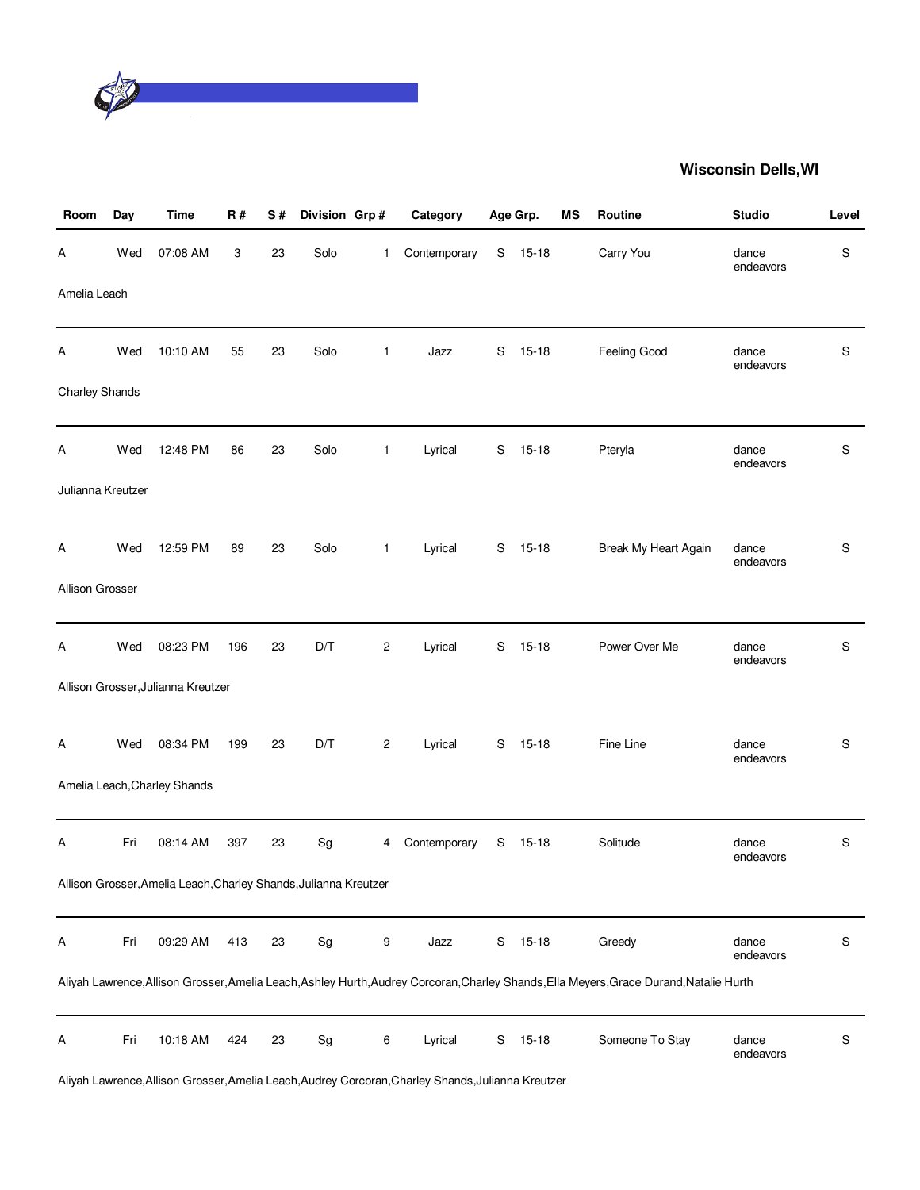

| Room                  | Day | <b>Time</b>                                                      | R#  | S# | Division Grp#                |                | Category     |               | Age Grp.  | MS | Routine                                                                                                                                 | <b>Studio</b>      | Level         |
|-----------------------|-----|------------------------------------------------------------------|-----|----|------------------------------|----------------|--------------|---------------|-----------|----|-----------------------------------------------------------------------------------------------------------------------------------------|--------------------|---------------|
| Α                     | Wed | 07:08 AM                                                         | 3   | 23 | Solo                         | 1              | Contemporary | S             | $15 - 18$ |    | Carry You                                                                                                                               | dance<br>endeavors | S             |
| Amelia Leach          |     |                                                                  |     |    |                              |                |              |               |           |    |                                                                                                                                         |                    |               |
| A                     | Wed | 10:10 AM                                                         | 55  | 23 | Solo                         | $\mathbf{1}$   | Jazz         | S             | $15 - 18$ |    | Feeling Good                                                                                                                            | dance<br>endeavors | S             |
| <b>Charley Shands</b> |     |                                                                  |     |    |                              |                |              |               |           |    |                                                                                                                                         |                    |               |
| Α                     | Wed | 12:48 PM                                                         | 86  | 23 | Solo                         | $\mathbf{1}$   | Lyrical      | S             | $15 - 18$ |    | Pteryla                                                                                                                                 | dance<br>endeavors | S             |
| Julianna Kreutzer     |     |                                                                  |     |    |                              |                |              |               |           |    |                                                                                                                                         |                    |               |
| A                     | Wed | 12:59 PM                                                         | 89  | 23 | Solo                         | $\mathbf{1}$   | Lyrical      |               | S 15-18   |    | Break My Heart Again                                                                                                                    | dance<br>endeavors | S             |
| Allison Grosser       |     |                                                                  |     |    |                              |                |              |               |           |    |                                                                                                                                         |                    |               |
| A                     | Wed | 08:23 PM                                                         | 196 | 23 | D/T                          | $\overline{c}$ | Lyrical      | S             | $15-18$   |    | Power Over Me                                                                                                                           | dance<br>endeavors | S             |
|                       |     | Allison Grosser, Julianna Kreutzer                               |     |    |                              |                |              |               |           |    |                                                                                                                                         |                    |               |
| A                     | Wed | 08:34 PM                                                         | 199 | 23 | D/T                          | $\overline{c}$ | Lyrical      |               | S 15-18   |    | Fine Line                                                                                                                               | dance<br>endeavors | S             |
|                       |     | Amelia Leach, Charley Shands                                     |     |    |                              |                |              |               |           |    |                                                                                                                                         |                    |               |
| Α                     | Fri | 08:14 AM                                                         | 397 | 23 | Sg                           | 4              | Contemporary | S             | $15 - 18$ |    | Solitude                                                                                                                                | dance<br>endeavors | S             |
|                       |     | Allison Grosser, Amelia Leach, Charley Shands, Julianna Kreutzer |     |    |                              |                |              |               |           |    |                                                                                                                                         |                    |               |
| A                     | Fri | 09:29 AM                                                         | 413 | 23 | Sg                           | 9              | Jazz         | ${\mathsf S}$ | $15 - 18$ |    | Greedy                                                                                                                                  | dance<br>endeavors | ${\mathsf S}$ |
|                       |     |                                                                  |     |    |                              |                |              |               |           |    | Aliyah Lawrence, Allison Grosser, Amelia Leach, Ashley Hurth, Audrey Corcoran, Charley Shands, Ella Meyers, Grace Durand, Natalie Hurth |                    |               |
| Α                     | Fri | 10:18 AM                                                         | 424 | 23 | $\operatorname{\mathsf{Sg}}$ | 6              | Lyrical      | S             | $15 - 18$ |    | Someone To Stay                                                                                                                         | dance<br>endeavors | S             |

Aliyah Lawrence,Allison Grosser,Amelia Leach,Audrey Corcoran,Charley Shands,Julianna Kreutzer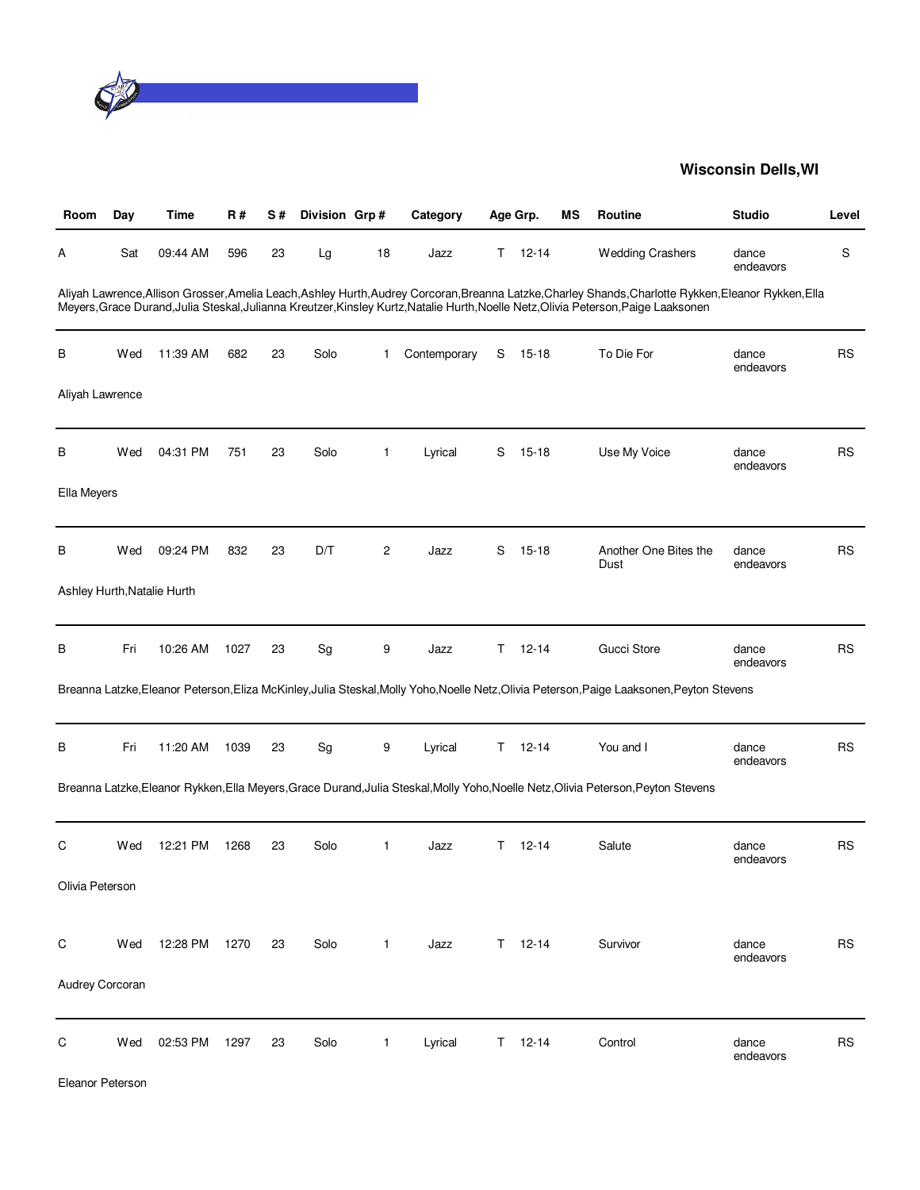

| Room            | Day | Time                        | R#   | S# | Division Grp# |              | Category     |    | Age Grp.      | МS | <b>Routine</b>                                                                                                                                                                                                                                                                               | <b>Studio</b>      | Level     |
|-----------------|-----|-----------------------------|------|----|---------------|--------------|--------------|----|---------------|----|----------------------------------------------------------------------------------------------------------------------------------------------------------------------------------------------------------------------------------------------------------------------------------------------|--------------------|-----------|
| A               | Sat | 09:44 AM                    | 596  | 23 | Lg            | 18           | Jazz         | T. | $12 - 14$     |    | <b>Wedding Crashers</b>                                                                                                                                                                                                                                                                      | dance<br>endeavors | S         |
|                 |     |                             |      |    |               |              |              |    |               |    | Aliyah Lawrence, Allison Grosser, Amelia Leach, Ashley Hurth, Audrey Corcoran, Breanna Latzke, Charley Shands, Charlotte Rykken, Eleanor Rykken, Ella<br>Meyers, Grace Durand, Julia Steskal, Julianna Kreutzer, Kinsley Kurtz, Natalie Hurth, Noelle Netz, Olivia Peterson, Paige Laaksonen |                    |           |
| В               | Wed | 11:39 AM                    | 682  | 23 | Solo          | 1            | Contemporary | S  | $15 - 18$     |    | To Die For                                                                                                                                                                                                                                                                                   | dance<br>endeavors | <b>RS</b> |
| Aliyah Lawrence |     |                             |      |    |               |              |              |    |               |    |                                                                                                                                                                                                                                                                                              |                    |           |
| в               | Wed | 04:31 PM                    | 751  | 23 | Solo          | 1            | Lyrical      | S  | $15 - 18$     |    | Use My Voice                                                                                                                                                                                                                                                                                 | dance<br>endeavors | <b>RS</b> |
| Ella Meyers     |     |                             |      |    |               |              |              |    |               |    |                                                                                                                                                                                                                                                                                              |                    |           |
| В               | Wed | 09:24 PM                    | 832  | 23 | D/T           | 2            | Jazz         | S  | $15 - 18$     |    | Another One Bites the<br>Dust                                                                                                                                                                                                                                                                | dance<br>endeavors | <b>RS</b> |
|                 |     | Ashley Hurth, Natalie Hurth |      |    |               |              |              |    |               |    |                                                                                                                                                                                                                                                                                              |                    |           |
| В               | Fri | 10:26 AM                    | 1027 | 23 | Sg            | 9            | Jazz         | Τ  | $12 - 14$     |    | <b>Gucci Store</b>                                                                                                                                                                                                                                                                           | dance<br>endeavors | <b>RS</b> |
|                 |     |                             |      |    |               |              |              |    |               |    | Breanna Latzke, Eleanor Peterson, Eliza McKinley, Julia Steskal, Molly Yoho, Noelle Netz, Olivia Peterson, Paige Laaksonen, Peyton Stevens                                                                                                                                                   |                    |           |
| в               | Fri | 11:20 AM                    | 1039 | 23 | Sg            | 9            | Lyrical      | T. | $12 - 14$     |    | You and I                                                                                                                                                                                                                                                                                    | dance<br>endeavors | <b>RS</b> |
|                 |     |                             |      |    |               |              |              |    |               |    | Breanna Latzke, Eleanor Rykken, Ella Meyers, Grace Durand, Julia Steskal, Molly Yoho, Noelle Netz, Olivia Peterson, Peyton Stevens                                                                                                                                                           |                    |           |
| C               | Wed | 12:21 PM                    | 1268 | 23 | Solo          | 1            | Jazz         | т  | $12 - 14$     |    | Salute                                                                                                                                                                                                                                                                                       | dance<br>endeavors | <b>RS</b> |
| Olivia Peterson |     |                             |      |    |               |              |              |    |               |    |                                                                                                                                                                                                                                                                                              |                    |           |
| $\mathsf C$     | Wed | 12:28 PM                    | 1270 | 23 | Solo          | $\mathbf{1}$ | Jazz         |    | $T = 12-14$   |    | Survivor                                                                                                                                                                                                                                                                                     | dance<br>endeavors | <b>RS</b> |
| Audrey Corcoran |     |                             |      |    |               |              |              |    |               |    |                                                                                                                                                                                                                                                                                              |                    |           |
| C               | Wed | 02:53 PM                    | 1297 | 23 | Solo          | $\mathbf{1}$ | Lyrical      |    | $T = 12 - 14$ |    | Control                                                                                                                                                                                                                                                                                      | dance<br>endeavors | RS        |

Eleanor Peterson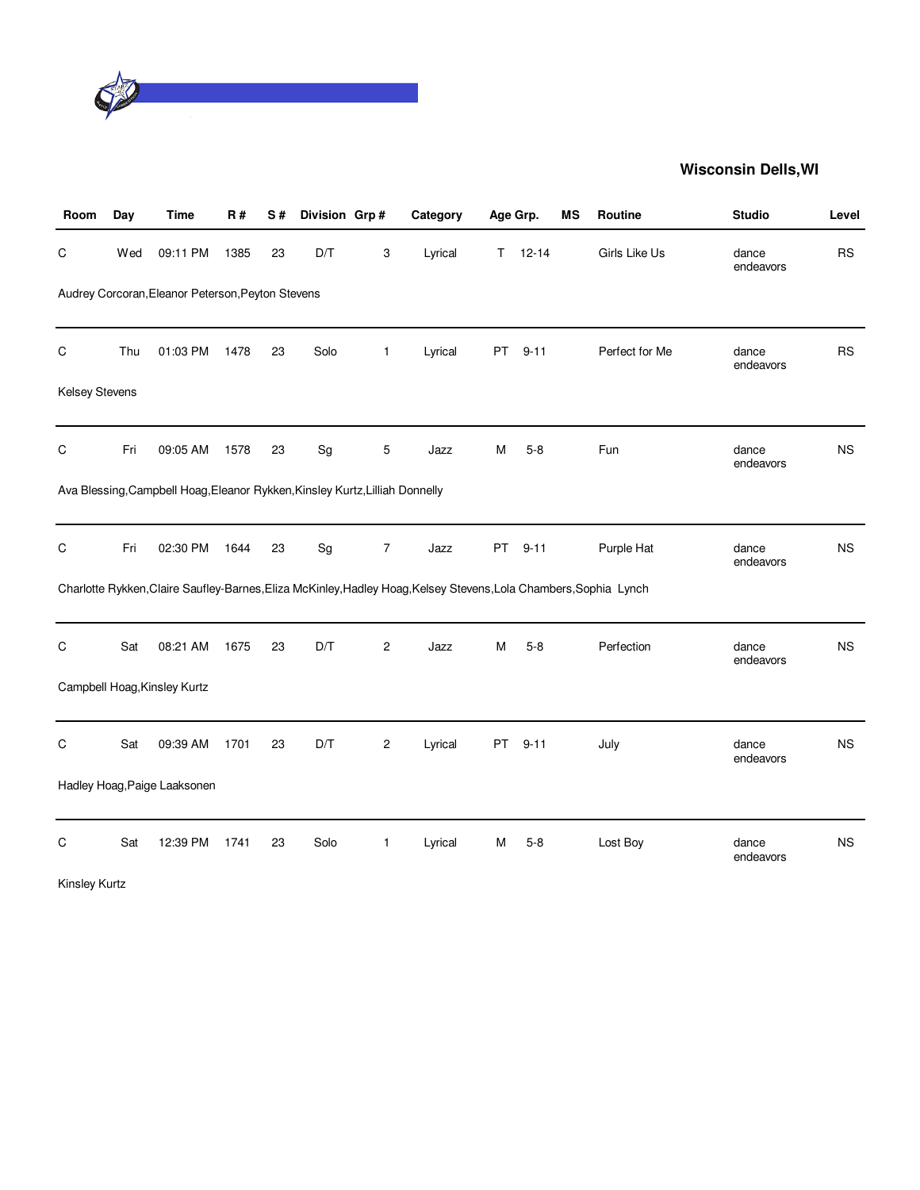

| Room                  | Day | <b>Time</b>                                                                  | R#   | S# | Division Grp# |                | Category                                                                                                          | Age Grp. |           | ΜS | Routine        | <b>Studio</b>      | Level     |
|-----------------------|-----|------------------------------------------------------------------------------|------|----|---------------|----------------|-------------------------------------------------------------------------------------------------------------------|----------|-----------|----|----------------|--------------------|-----------|
| C                     | Wed | 09:11 PM                                                                     | 1385 | 23 | D/T           | 3              | Lyrical                                                                                                           | T.       | $12 - 14$ |    | Girls Like Us  | dance<br>endeavors | RS        |
|                       |     | Audrey Corcoran, Eleanor Peterson, Peyton Stevens                            |      |    |               |                |                                                                                                                   |          |           |    |                |                    |           |
|                       |     |                                                                              |      |    |               |                |                                                                                                                   |          |           |    |                |                    |           |
| C                     | Thu | 01:03 PM                                                                     | 1478 | 23 | Solo          | $\mathbf{1}$   | Lyrical                                                                                                           | PT       | $9 - 11$  |    | Perfect for Me | dance<br>endeavors | <b>RS</b> |
| <b>Kelsey Stevens</b> |     |                                                                              |      |    |               |                |                                                                                                                   |          |           |    |                |                    |           |
|                       |     |                                                                              |      |    |               |                |                                                                                                                   |          |           |    |                |                    |           |
| C                     | Fri | 09:05 AM                                                                     | 1578 | 23 | Sg            | 5              | Jazz                                                                                                              | М        | $5 - 8$   |    | Fun            | dance<br>endeavors | <b>NS</b> |
|                       |     | Ava Blessing, Campbell Hoag, Eleanor Rykken, Kinsley Kurtz, Lilliah Donnelly |      |    |               |                |                                                                                                                   |          |           |    |                |                    |           |
|                       |     |                                                                              |      |    |               |                |                                                                                                                   |          |           |    |                |                    |           |
| C                     | Fri | 02:30 PM                                                                     | 1644 | 23 | Sg            | $\overline{7}$ | Jazz                                                                                                              | PT       | $9 - 11$  |    | Purple Hat     | dance<br>endeavors | <b>NS</b> |
|                       |     |                                                                              |      |    |               |                | Charlotte Rykken, Claire Saufley-Barnes, Eliza McKinley, Hadley Hoag, Kelsey Stevens, Lola Chambers, Sophia Lynch |          |           |    |                |                    |           |
|                       |     |                                                                              |      |    |               |                |                                                                                                                   |          |           |    |                |                    |           |
| C                     | Sat | 08:21 AM                                                                     | 1675 | 23 | D/T           | $\mathbf{2}$   | Jazz                                                                                                              | М        | $5 - 8$   |    | Perfection     | dance<br>endeavors | <b>NS</b> |
|                       |     | Campbell Hoag, Kinsley Kurtz                                                 |      |    |               |                |                                                                                                                   |          |           |    |                |                    |           |
|                       |     |                                                                              |      |    |               |                |                                                                                                                   |          |           |    |                |                    |           |
| C                     | Sat | 09:39 AM                                                                     | 1701 | 23 | D/T           | 2              | Lyrical                                                                                                           | PT.      | $9 - 11$  |    | July           | dance<br>endeavors | NS.       |
|                       |     | Hadley Hoag, Paige Laaksonen                                                 |      |    |               |                |                                                                                                                   |          |           |    |                |                    |           |
| C                     | Sat | 12:39 PM                                                                     | 1741 | 23 | Solo          | $\mathbf{1}$   | Lyrical                                                                                                           | M        | $5 - 8$   |    | Lost Boy       | dance              | NS        |
|                       |     |                                                                              |      |    |               |                |                                                                                                                   |          |           |    |                | endeavors          |           |
| <b>Kinsley Kurtz</b>  |     |                                                                              |      |    |               |                |                                                                                                                   |          |           |    |                |                    |           |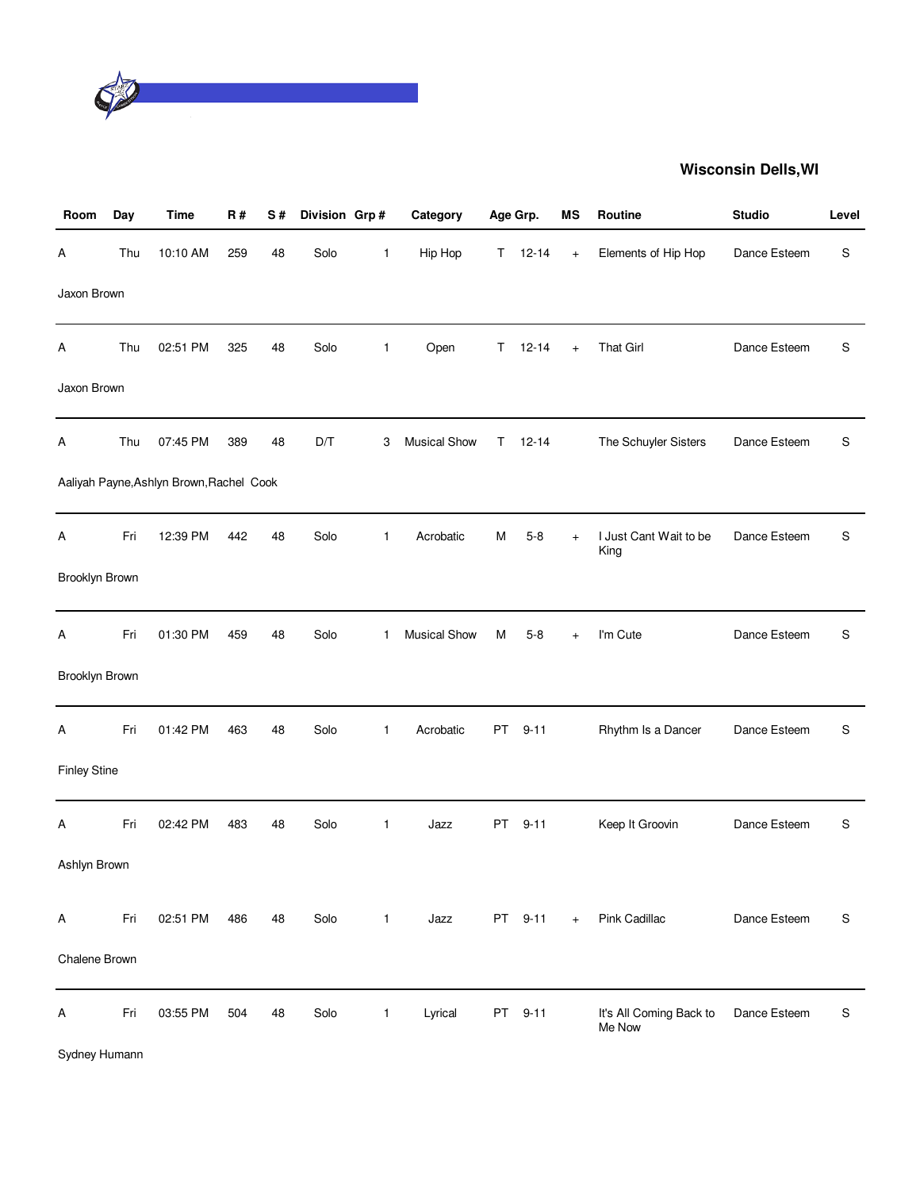

| Room                | Day | <b>Time</b>                              | R#  | S# | Division Grp# |              | Category            |    | Age Grp.  | ΜS        | Routine                           | <b>Studio</b> | Level |
|---------------------|-----|------------------------------------------|-----|----|---------------|--------------|---------------------|----|-----------|-----------|-----------------------------------|---------------|-------|
| Α                   | Thu | 10:10 AM                                 | 259 | 48 | Solo          | 1            | Hip Hop             | T. | $12 - 14$ | $+$       | Elements of Hip Hop               | Dance Esteem  | S     |
| Jaxon Brown         |     |                                          |     |    |               |              |                     |    |           |           |                                   |               |       |
| Α                   | Thu | 02:51 PM                                 | 325 | 48 | Solo          | $\mathbf{1}$ | Open                | T. | $12 - 14$ | $+$       | <b>That Girl</b>                  | Dance Esteem  | S     |
| Jaxon Brown         |     |                                          |     |    |               |              |                     |    |           |           |                                   |               |       |
| Α                   | Thu | 07:45 PM                                 | 389 | 48 | D/T           | 3            | <b>Musical Show</b> | Τ  | $12 - 14$ |           | The Schuyler Sisters              | Dance Esteem  | S     |
|                     |     | Aaliyah Payne, Ashlyn Brown, Rachel Cook |     |    |               |              |                     |    |           |           |                                   |               |       |
| А                   | Fri | 12:39 PM                                 | 442 | 48 | Solo          | $\mathbf{1}$ | Acrobatic           | Μ  | $5-8$     | $\ddot{}$ | I Just Cant Wait to be<br>King    | Dance Esteem  | S     |
| Brooklyn Brown      |     |                                          |     |    |               |              |                     |    |           |           |                                   |               |       |
| Α                   | Fri | 01:30 PM                                 | 459 | 48 | Solo          | 1            | <b>Musical Show</b> | M  | $5 - 8$   | $+$       | I'm Cute                          | Dance Esteem  | S     |
| Brooklyn Brown      |     |                                          |     |    |               |              |                     |    |           |           |                                   |               |       |
| Α                   | Fri | 01:42 PM                                 | 463 | 48 | Solo          | $\mathbf{1}$ | Acrobatic           | PT | $9 - 11$  |           | Rhythm Is a Dancer                | Dance Esteem  | S     |
| <b>Finley Stine</b> |     |                                          |     |    |               |              |                     |    |           |           |                                   |               |       |
| Α                   | Fri | 02:42 PM                                 | 483 | 48 | Solo          | 1            | Jazz                | PT | $9 - 11$  |           | Keep It Groovin                   | Dance Esteem  | S     |
| Ashlyn Brown        |     |                                          |     |    |               |              |                     |    |           |           |                                   |               |       |
| Α                   | Fri | 02:51 PM                                 | 486 | 48 | Solo          | $\mathbf{1}$ | Jazz                |    | PT 9-11   | $+$       | Pink Cadillac                     | Dance Esteem  | S     |
| Chalene Brown       |     |                                          |     |    |               |              |                     |    |           |           |                                   |               |       |
| Α                   | Fri | 03:55 PM                                 | 504 | 48 | Solo          | $\mathbf{1}$ | Lyrical             | PT | $9 - 11$  |           | It's All Coming Back to<br>Me Now | Dance Esteem  | S     |

Sydney Humann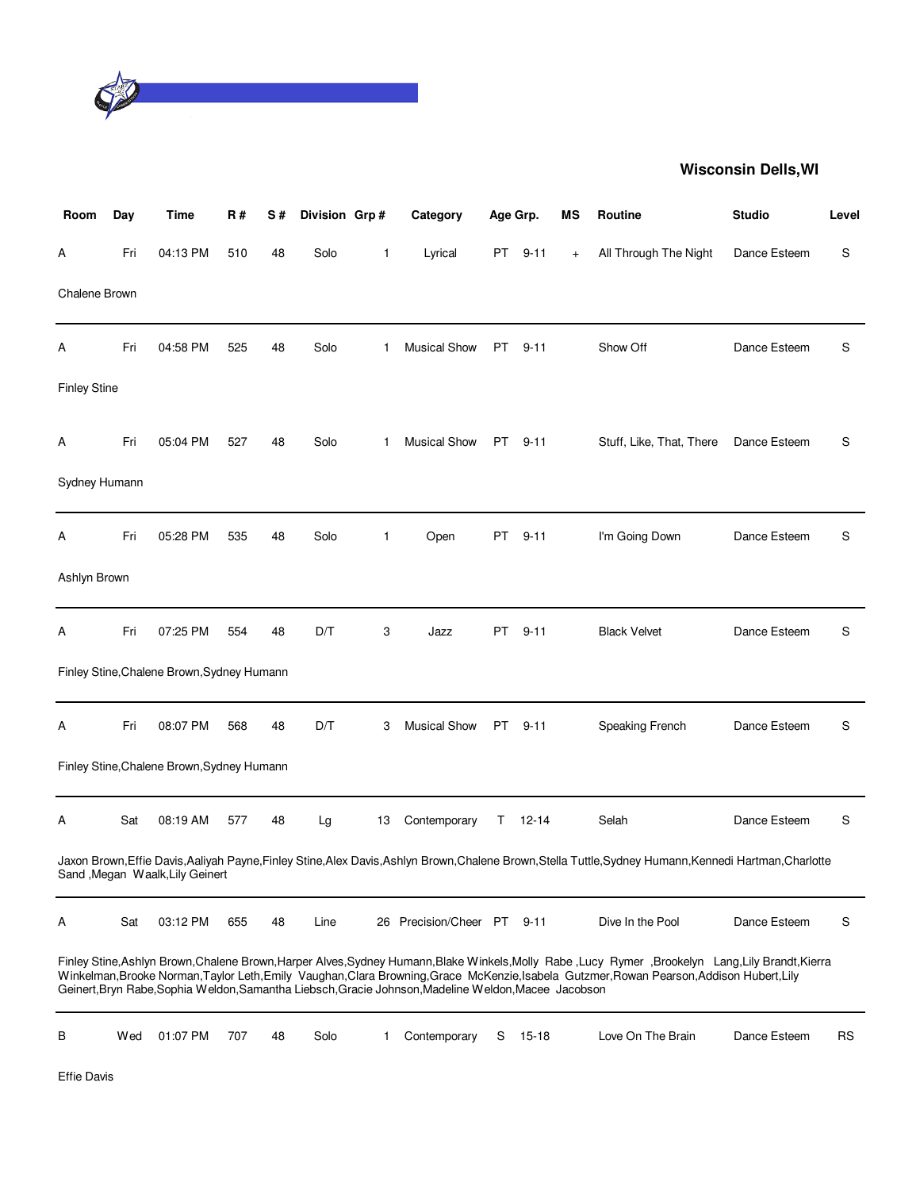

| Room                | Day | Time                                       | R#  | S# | Division Grp# |    | Category                                                                                             | Age Grp. |           | ΜS  | <b>Routine</b>                                                                                                                                                                                                                                                                                   | <b>Studio</b> | Level     |
|---------------------|-----|--------------------------------------------|-----|----|---------------|----|------------------------------------------------------------------------------------------------------|----------|-----------|-----|--------------------------------------------------------------------------------------------------------------------------------------------------------------------------------------------------------------------------------------------------------------------------------------------------|---------------|-----------|
| А                   | Fri | 04:13 PM                                   | 510 | 48 | Solo          | 1  | Lyrical                                                                                              | PT       | $9 - 11$  | $+$ | All Through The Night                                                                                                                                                                                                                                                                            | Dance Esteem  | S         |
| Chalene Brown       |     |                                            |     |    |               |    |                                                                                                      |          |           |     |                                                                                                                                                                                                                                                                                                  |               |           |
| А                   | Fri | 04:58 PM                                   | 525 | 48 | Solo          | 1  | <b>Musical Show</b>                                                                                  | PT       | $9 - 11$  |     | Show Off                                                                                                                                                                                                                                                                                         | Dance Esteem  | S         |
| <b>Finley Stine</b> |     |                                            |     |    |               |    |                                                                                                      |          |           |     |                                                                                                                                                                                                                                                                                                  |               |           |
| Α                   | Fri | 05:04 PM                                   | 527 | 48 | Solo          | 1  | <b>Musical Show</b>                                                                                  | PT       | $9 - 11$  |     | Stuff, Like, That, There                                                                                                                                                                                                                                                                         | Dance Esteem  | S         |
| Sydney Humann       |     |                                            |     |    |               |    |                                                                                                      |          |           |     |                                                                                                                                                                                                                                                                                                  |               |           |
| А                   | Fri | 05:28 PM                                   | 535 | 48 | Solo          | 1  | Open                                                                                                 | PT       | $9 - 11$  |     | I'm Going Down                                                                                                                                                                                                                                                                                   | Dance Esteem  | S         |
| Ashlyn Brown        |     |                                            |     |    |               |    |                                                                                                      |          |           |     |                                                                                                                                                                                                                                                                                                  |               |           |
| А                   | Fri | 07:25 PM                                   | 554 | 48 | D/T           | 3  | Jazz                                                                                                 | PT       | $9 - 11$  |     | <b>Black Velvet</b>                                                                                                                                                                                                                                                                              | Dance Esteem  | S         |
|                     |     | Finley Stine, Chalene Brown, Sydney Humann |     |    |               |    |                                                                                                      |          |           |     |                                                                                                                                                                                                                                                                                                  |               |           |
| А                   | Fri | 08:07 PM                                   | 568 | 48 | D/T           | 3  | <b>Musical Show</b>                                                                                  | PT .     | $9 - 11$  |     | Speaking French                                                                                                                                                                                                                                                                                  | Dance Esteem  | S         |
|                     |     | Finley Stine, Chalene Brown, Sydney Humann |     |    |               |    |                                                                                                      |          |           |     |                                                                                                                                                                                                                                                                                                  |               |           |
| А                   | Sat | 08:19 AM                                   | 577 | 48 | Lg            | 13 | Contemporary                                                                                         | T.       | $12 - 14$ |     | Selah                                                                                                                                                                                                                                                                                            | Dance Esteem  | S         |
|                     |     | Sand , Megan Waalk, Lily Geinert           |     |    |               |    |                                                                                                      |          |           |     | Jaxon Brown,Effie Davis,Aaliyah Payne,Finley Stine,Alex Davis,Ashlyn Brown,Chalene Brown,Stella Tuttle,Sydney Humann,Kennedi Hartman,Charlotte                                                                                                                                                   |               |           |
| Α                   | Sat | 03:12 PM                                   | 655 | 48 | Line          |    | 26 Precision/Cheer PT 9-11                                                                           |          |           |     | Dive In the Pool                                                                                                                                                                                                                                                                                 | Dance Esteem  | S         |
|                     |     |                                            |     |    |               |    | Geinert, Bryn Rabe, Sophia Weldon, Samantha Liebsch, Gracie Johnson, Madeline Weldon, Macee Jacobson |          |           |     | Finley Stine, Ashlyn Brown, Chalene Brown, Harper Alves, Sydney Humann, Blake Winkels, Molly Rabe, Lucy Rymer, Brookelyn Lang, Lily Brandt, Kierra<br>Winkelman, Brooke Norman, Taylor Leth, Emily Vaughan, Clara Browning, Grace McKenzie, Isabela Gutzmer, Rowan Pearson, Addison Hubert, Lily |               |           |
| В                   | Wed | 01:07 PM                                   | 707 | 48 | Solo          | 1  | Contemporary                                                                                         | S        | $15-18$   |     | Love On The Brain                                                                                                                                                                                                                                                                                | Dance Esteem  | <b>RS</b> |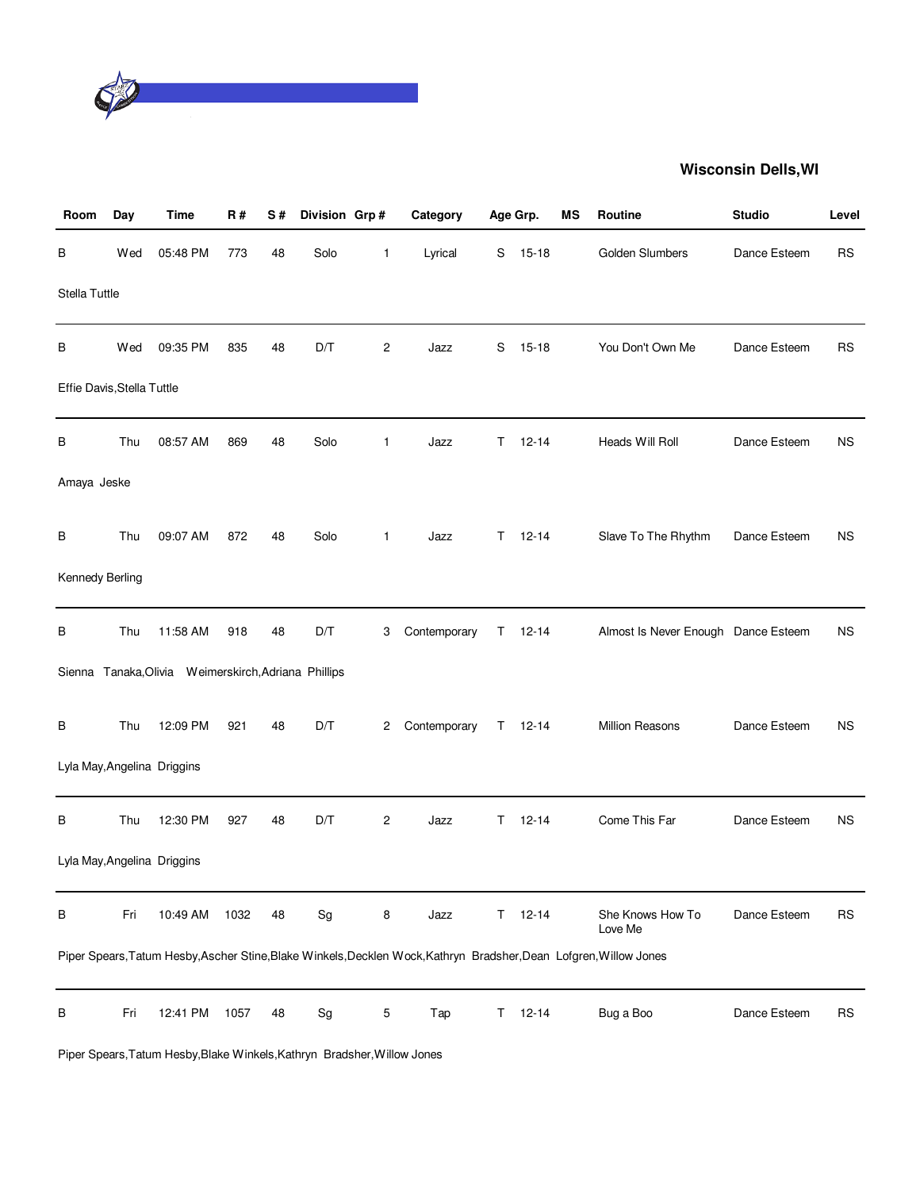

| Room                       | Day | <b>Time</b>                                          | <b>R#</b> | S# | Division Grp#                |                | Category                                                                                                           |    | Age Grp.    | ΜS | Routine                             | <b>Studio</b> | Level     |
|----------------------------|-----|------------------------------------------------------|-----------|----|------------------------------|----------------|--------------------------------------------------------------------------------------------------------------------|----|-------------|----|-------------------------------------|---------------|-----------|
| В                          | Wed | 05:48 PM                                             | 773       | 48 | Solo                         | $\mathbf{1}$   | Lyrical                                                                                                            | S  | $15 - 18$   |    | Golden Slumbers                     | Dance Esteem  | <b>RS</b> |
| Stella Tuttle              |     |                                                      |           |    |                              |                |                                                                                                                    |    |             |    |                                     |               |           |
| В                          | Wed | 09:35 PM                                             | 835       | 48 | D/T                          | 2              | Jazz                                                                                                               | S  | $15 - 18$   |    | You Don't Own Me                    | Dance Esteem  | <b>RS</b> |
| Effie Davis, Stella Tuttle |     |                                                      |           |    |                              |                |                                                                                                                    |    |             |    |                                     |               |           |
| В                          | Thu | 08:57 AM                                             | 869       | 48 | Solo                         | $\mathbf{1}$   | Jazz                                                                                                               | T. | $12 - 14$   |    | Heads Will Roll                     | Dance Esteem  | <b>NS</b> |
| Amaya Jeske                |     |                                                      |           |    |                              |                |                                                                                                                    |    |             |    |                                     |               |           |
| В                          | Thu | 09:07 AM                                             | 872       | 48 | Solo                         | $\mathbf{1}$   | Jazz                                                                                                               | T. | $12 - 14$   |    | Slave To The Rhythm                 | Dance Esteem  | <b>NS</b> |
| Kennedy Berling            |     |                                                      |           |    |                              |                |                                                                                                                    |    |             |    |                                     |               |           |
| В                          | Thu | 11:58 AM                                             | 918       | 48 | D/T                          | 3              | Contemporary                                                                                                       | T. | $12 - 14$   |    | Almost Is Never Enough Dance Esteem |               | <b>NS</b> |
|                            |     | Sienna Tanaka, Olivia Weimerskirch, Adriana Phillips |           |    |                              |                |                                                                                                                    |    |             |    |                                     |               |           |
| В                          | Thu | 12:09 PM                                             | 921       | 48 | D/T                          | 2              | Contemporary                                                                                                       |    | $T = 12-14$ |    | Million Reasons                     | Dance Esteem  | <b>NS</b> |
|                            |     | Lyla May, Angelina Driggins                          |           |    |                              |                |                                                                                                                    |    |             |    |                                     |               |           |
| В                          | Thu | 12:30 PM                                             | 927       | 48 | D/T                          | $\overline{c}$ | Jazz                                                                                                               | T. | $12 - 14$   |    | Come This Far                       | Dance Esteem  | <b>NS</b> |
|                            |     | Lyla May, Angelina Driggins                          |           |    |                              |                |                                                                                                                    |    |             |    |                                     |               |           |
| В                          | Fri | 10:49 AM                                             | 1032      | 48 | $\operatorname{\mathsf{Sg}}$ | 8              | Jazz                                                                                                               | T. | $12 - 14$   |    | She Knows How To<br>Love Me         | Dance Esteem  | <b>RS</b> |
|                            |     |                                                      |           |    |                              |                | Piper Spears, Tatum Hesby, Ascher Stine, Blake Winkels, Decklen Wock, Kathryn Bradsher, Dean Lofgren, Willow Jones |    |             |    |                                     |               |           |
| В                          | Fri | 12:41 PM                                             | 1057      | 48 | Sg                           | 5              | Tap                                                                                                                | T. | $12 - 14$   |    | Bug a Boo                           | Dance Esteem  | <b>RS</b> |

Piper Spears,Tatum Hesby,Blake Winkels,Kathryn Bradsher,Willow Jones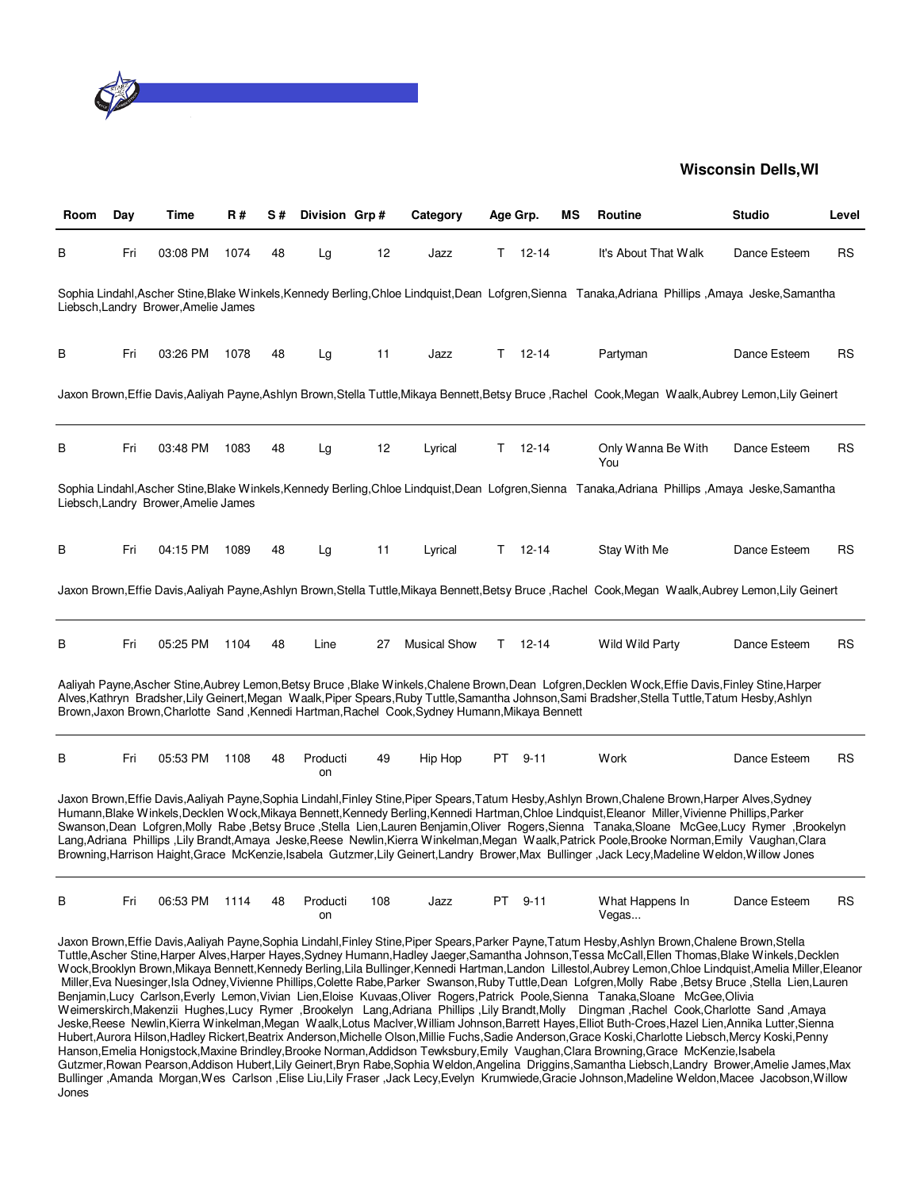

| Room | Day | Time                                 | <b>R#</b> | S# | Division Grp#  |     | Category                                                                                        |    | Age Grp.      | МS | Routine                                                                                                                                                                                                                                                                                                                                                                                                                                                                                                                                                                                                                                                                                                                           | <b>Studio</b> | Level     |
|------|-----|--------------------------------------|-----------|----|----------------|-----|-------------------------------------------------------------------------------------------------|----|---------------|----|-----------------------------------------------------------------------------------------------------------------------------------------------------------------------------------------------------------------------------------------------------------------------------------------------------------------------------------------------------------------------------------------------------------------------------------------------------------------------------------------------------------------------------------------------------------------------------------------------------------------------------------------------------------------------------------------------------------------------------------|---------------|-----------|
| В    | Fri | 03:08 PM                             | 1074      | 48 | Lg             | 12  | Jazz                                                                                            | T. | $12 - 14$     |    | It's About That Walk                                                                                                                                                                                                                                                                                                                                                                                                                                                                                                                                                                                                                                                                                                              | Dance Esteem  | <b>RS</b> |
|      |     | Liebsch, Landry Brower, Amelie James |           |    |                |     |                                                                                                 |    |               |    | Sophia Lindahl,Ascher Stine,Blake Winkels,Kennedy Berling,Chloe Lindquist,Dean Lofgren,Sienna Tanaka,Adriana Phillips ,Amaya Jeske,Samantha                                                                                                                                                                                                                                                                                                                                                                                                                                                                                                                                                                                       |               |           |
| В    | Fri | 03:26 PM                             | 1078      | 48 | Lg             | 11  | Jazz                                                                                            |    | $T = 12 - 14$ |    | Partyman                                                                                                                                                                                                                                                                                                                                                                                                                                                                                                                                                                                                                                                                                                                          | Dance Esteem  | RS        |
|      |     |                                      |           |    |                |     |                                                                                                 |    |               |    | Jaxon Brown,Effie Davis,Aaliyah Payne,Ashlyn Brown,Stella Tuttle,Mikaya Bennett,Betsy Bruce ,Rachel Cook,Megan Waalk,Aubrey Lemon,Lily Geinert                                                                                                                                                                                                                                                                                                                                                                                                                                                                                                                                                                                    |               |           |
| B    | Fri | 03:48 PM                             | 1083      | 48 | Lg             | 12  | Lyrical                                                                                         |    | $T = 12 - 14$ |    | Only Wanna Be With<br>You                                                                                                                                                                                                                                                                                                                                                                                                                                                                                                                                                                                                                                                                                                         | Dance Esteem  | <b>RS</b> |
|      |     | Liebsch, Landry Brower, Amelie James |           |    |                |     |                                                                                                 |    |               |    | Sophia Lindahl,Ascher Stine,Blake Winkels,Kennedy Berling,Chloe Lindquist,Dean Lofgren,Sienna Tanaka,Adriana Phillips ,Amaya Jeske,Samantha                                                                                                                                                                                                                                                                                                                                                                                                                                                                                                                                                                                       |               |           |
| В    | Fri | 04:15 PM                             | 1089      | 48 | Lg             | 11  | Lyrical                                                                                         | T. | 12-14         |    | Stay With Me                                                                                                                                                                                                                                                                                                                                                                                                                                                                                                                                                                                                                                                                                                                      | Dance Esteem  | RS        |
|      |     |                                      |           |    |                |     |                                                                                                 |    |               |    | Jaxon Brown,Effie Davis,Aaliyah Payne,Ashlyn Brown,Stella Tuttle,Mikaya Bennett,Betsy Bruce ,Rachel Cook,Megan Waalk,Aubrey Lemon,Lily Geinert                                                                                                                                                                                                                                                                                                                                                                                                                                                                                                                                                                                    |               |           |
| В    | Fri | 05:25 PM                             | 1104      | 48 | Line           | 27  | <b>Musical Show</b>                                                                             | T. | 12-14         |    | Wild Wild Party                                                                                                                                                                                                                                                                                                                                                                                                                                                                                                                                                                                                                                                                                                                   | Dance Esteem  | RS        |
|      |     |                                      |           |    |                |     | Brown, Jaxon Brown, Charlotte Sand, Kennedi Hartman, Rachel Cook, Sydney Humann, Mikaya Bennett |    |               |    | Aaliyah Payne,Ascher Stine,Aubrey Lemon,Betsy Bruce ,Blake Winkels,Chalene Brown,Dean Lofgren,Decklen Wock,Effie Davis,Finley Stine,Harper<br>Alves,Kathryn Bradsher,Lily Geinert,Megan Waalk,Piper Spears,Ruby Tuttle,Samantha Johnson,Sami Bradsher,Stella Tuttle,Tatum Hesby,Ashlyn                                                                                                                                                                                                                                                                                                                                                                                                                                            |               |           |
| B    | Fri | 05:53 PM                             | 1108      | 48 | Producti<br>on | 49  | Hip Hop                                                                                         |    | PT 9-11       |    | Work                                                                                                                                                                                                                                                                                                                                                                                                                                                                                                                                                                                                                                                                                                                              | Dance Esteem  | <b>RS</b> |
|      |     |                                      |           |    |                |     |                                                                                                 |    |               |    | Jaxon Brown,Effie Davis,Aaliyah Payne,Sophia Lindahl,Finley Stine,Piper Spears,Tatum Hesby,Ashlyn Brown,Chalene Brown,Harper Alves,Sydney<br>Humann,Blake Winkels,Decklen Wock,Mikaya Bennett,Kennedy Berling,Kennedi Hartman,Chloe Lindquist,Eleanor Miller,Vivienne Phillips,Parker<br>Swanson,Dean Lofgren,Molly Rabe ,Betsy Bruce ,Stella Lien,Lauren Benjamin,Oliver Rogers,Sienna Tanaka,Sloane McGee,Lucy Rymer ,Brookelyn<br>Lang,Adriana Phillips ,Lily Brandt,Amaya Jeske,Reese Newlin,Kierra Winkelman,Megan Waalk,Patrick Poole,Brooke Norman,Emily Vaughan,Clara<br>Browning, Harrison Haight, Grace McKenzie, Isabela Gutzmer, Lily Geinert, Landry Brower, Max Bullinger, Jack Lecy, Madeline Weldon, Willow Jones |               |           |
| В    | Fri | 06:53 PM                             | 1114      | 48 | Producti<br>on | 108 | Jazz                                                                                            |    | PT 9-11       |    | What Happens In<br>Vegas                                                                                                                                                                                                                                                                                                                                                                                                                                                                                                                                                                                                                                                                                                          | Dance Esteem  | <b>RS</b> |
|      |     |                                      |           |    |                |     |                                                                                                 |    |               |    | Jaxon Brown,Effie Davis,Aaliyah Payne,Sophia Lindahl,Finley Stine,Piper Spears,Parker Payne,Tatum Hesby,Ashlyn Brown,Chalene Brown,Stella<br>Tuttle,Ascher Stine,Harper Alves,Harper Hayes,Sydney Humann,Hadley Jaeger,Samantha Johnson,Tessa McCall,Ellen Thomas,Blake Winkels,Decklen<br>Wock,Brooklyn Brown,Mikaya Bennett,Kennedy Berling,Lila Bullinger,Kennedi Hartman,Landon Lillestol,Aubrey Lemon,Chloe Lindquist,Amelia Miller,Eleanor<br>Miller, Eva Nuesinger, Isla Odney, Vivienne Phillips, Colette Rabe, Parker Swanson, Ruby Tuttle, Dean Lofgren, Molly Rabe, Betsy Bruce, Stella Lien, Lauren                                                                                                                   |               |           |

Benjamin,Lucy Carlson,Everly Lemon,Vivian Lien,Eloise Kuvaas,Oliver Rogers,Patrick Poole,Sienna Tanaka,Sloane McGee,Olivia Weimerskirch,Makenzii Hughes,Lucy Rymer ,Brookelyn Lang,Adriana Phillips ,Lily Brandt,Molly Dingman ,Rachel Cook,Charlotte Sand ,Amaya Jeske,Reese Newlin,Kierra Winkelman,Megan Waalk,Lotus Maclver,William Johnson,Barrett Hayes,Elliot Buth-Croes,Hazel Lien,Annika Lutter,Sienna Hubert,Aurora Hilson,Hadley Rickert,Beatrix Anderson,Michelle Olson,Millie Fuchs,Sadie Anderson,Grace Koski,Charlotte Liebsch,Mercy Koski,Penny Hanson,Emelia Honigstock,Maxine Brindley,Brooke Norman,Addidson Tewksbury,Emily Vaughan,Clara Browning,Grace McKenzie,Isabela Gutzmer,Rowan Pearson,Addison Hubert,Lily Geinert,Bryn Rabe,Sophia Weldon,Angelina Driggins,Samantha Liebsch,Landry Brower,Amelie James,Max Bullinger ,Amanda Morgan,Wes Carlson ,Elise Liu,Lily Fraser ,Jack Lecy,Evelyn Krumwiede,Gracie Johnson,Madeline Weldon,Macee Jacobson,Willow **Jones**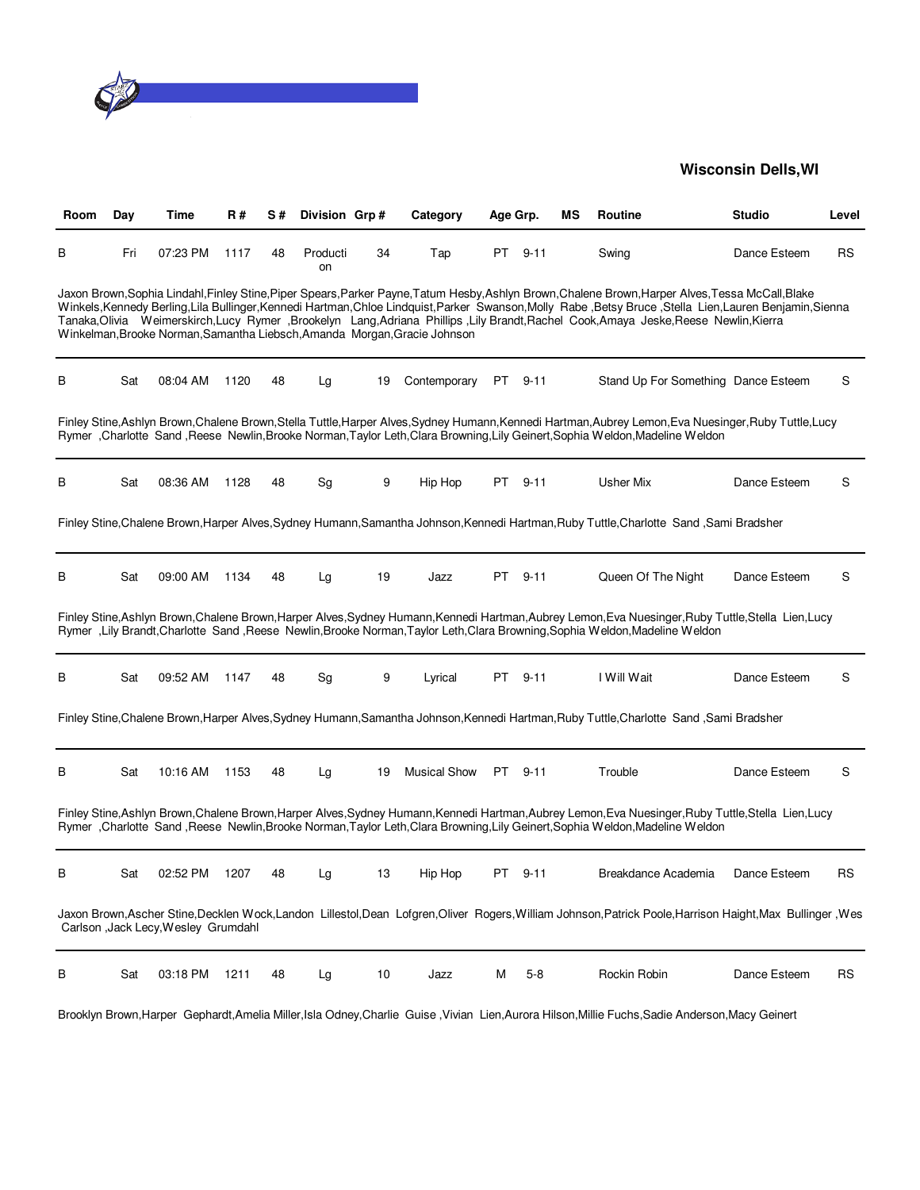

| Room | Day | Time                                 | R#   | S# | Division Grp#                |    | Category                                                                  | Age Grp. |          | мs | Routine                                                                                                                                                                                                                                                                                                                                                                                                                                            | Studio       | Level     |
|------|-----|--------------------------------------|------|----|------------------------------|----|---------------------------------------------------------------------------|----------|----------|----|----------------------------------------------------------------------------------------------------------------------------------------------------------------------------------------------------------------------------------------------------------------------------------------------------------------------------------------------------------------------------------------------------------------------------------------------------|--------------|-----------|
| В    | Fri | 07:23 PM                             | 1117 | 48 | Producti<br>on               | 34 | Tap                                                                       | PT       | $9 - 11$ |    | Swing                                                                                                                                                                                                                                                                                                                                                                                                                                              | Dance Esteem | <b>RS</b> |
|      |     |                                      |      |    |                              |    | Winkelman, Brooke Norman, Samantha Liebsch, Amanda Morgan, Gracie Johnson |          |          |    | Jaxon Brown, Sophia Lindahl, Finley Stine, Piper Spears, Parker Payne, Tatum Hesby, Ashlyn Brown, Chalene Brown, Harper Alves, Tessa McCall, Blake<br>Winkels, Kennedy Berling, Lila Bullinger, Kennedi Hartman, Chloe Lindquist, Parker Swanson, Molly Rabe, Betsy Bruce, Stella Lien, Lauren Benjamin, Sienna<br>Tanaka,Olivia Weimerskirch,Lucy Rymer ,Brookelyn Lang,Adriana Phillips ,Lily Brandt,Rachel Cook,Amaya Jeske,Reese Newlin,Kierra |              |           |
| В    | Sat | 08:04 AM                             | 1120 | 48 | Lg                           | 19 | Contemporary                                                              | PT .     | $9 - 11$ |    | Stand Up For Something Dance Esteem                                                                                                                                                                                                                                                                                                                                                                                                                |              | S         |
|      |     |                                      |      |    |                              |    |                                                                           |          |          |    | Finley Stine, Ashlyn Brown, Chalene Brown, Stella Tuttle, Harper Alves, Sydney Humann, Kennedi Hartman, Aubrey Lemon, Eva Nuesinger, Ruby Tuttle, Lucy<br>Rymer, Charlotte Sand, Reese Newlin, Brooke Norman, Taylor Leth, Clara Browning, Lily Geinert, Sophia Weldon, Madeline Weldon                                                                                                                                                            |              |           |
| В    | Sat | 08:36 AM                             | 1128 | 48 | Sg                           | 9  | Hip Hop                                                                   | PT       | $9 - 11$ |    | Usher Mix                                                                                                                                                                                                                                                                                                                                                                                                                                          | Dance Esteem | S         |
|      |     |                                      |      |    |                              |    |                                                                           |          |          |    | Finley Stine, Chalene Brown, Harper Alves, Sydney Humann, Samantha Johnson, Kennedi Hartman, Ruby Tuttle, Charlotte Sand, Sami Bradsher                                                                                                                                                                                                                                                                                                            |              |           |
| В    | Sat | 09:00 AM                             | 1134 | 48 | Lg                           | 19 | Jazz                                                                      | PT       | $9 - 11$ |    | Queen Of The Night                                                                                                                                                                                                                                                                                                                                                                                                                                 | Dance Esteem | S         |
|      |     |                                      |      |    |                              |    |                                                                           |          |          |    | Finley Stine, Ashlyn Brown, Chalene Brown, Harper Alves, Sydney Humann, Kennedi Hartman, Aubrey Lemon, Eva Nuesinger, Ruby Tuttle, Stella Lien, Lucy<br>Rymer, Lily Brandt, Charlotte Sand, Reese Newlin, Brooke Norman, Taylor Leth, Clara Browning, Sophia Weldon, Madeline Weldon                                                                                                                                                               |              |           |
| В    | Sat | 09:52 AM                             | 1147 | 48 | $\operatorname{\mathsf{Sg}}$ | 9  | Lyrical                                                                   | PT       | $9 - 11$ |    | I Will Wait                                                                                                                                                                                                                                                                                                                                                                                                                                        | Dance Esteem | S         |
|      |     |                                      |      |    |                              |    |                                                                           |          |          |    | Finley Stine, Chalene Brown, Harper Alves, Sydney Humann, Samantha Johnson, Kennedi Hartman, Ruby Tuttle, Charlotte Sand, Sami Bradsher                                                                                                                                                                                                                                                                                                            |              |           |
| В    | Sat | 10:16 AM                             | 1153 | 48 | Lg                           | 19 | <b>Musical Show</b>                                                       | PT -     | $9 - 11$ |    | Trouble                                                                                                                                                                                                                                                                                                                                                                                                                                            | Dance Esteem | S         |
|      |     |                                      |      |    |                              |    |                                                                           |          |          |    | Finley Stine, Ashlyn Brown, Chalene Brown, Harper Alves, Sydney Humann, Kennedi Hartman, Aubrey Lemon, Eva Nuesinger, Ruby Tuttle, Stella Lien, Lucy<br>Rymer, Charlotte Sand, Reese Newlin, Brooke Norman, Taylor Leth, Clara Browning, Lily Geinert, Sophia Weldon, Madeline Weldon                                                                                                                                                              |              |           |
| в    | Sat | 02:52 PM                             | 1207 | 48 | La                           | 13 | Hip Hop                                                                   | PT       | $9 - 11$ |    | Breakdance Academia                                                                                                                                                                                                                                                                                                                                                                                                                                | Dance Esteem | RS        |
|      |     | Carlson , Jack Lecy, Wesley Grumdahl |      |    |                              |    |                                                                           |          |          |    | Jaxon Brown, Ascher Stine, Decklen Wock, Landon Lillestol, Dean Lofgren, Oliver Rogers, William Johnson, Patrick Poole, Harrison Haight, Max Bullinger, Wes                                                                                                                                                                                                                                                                                        |              |           |
| B    | Sat | 03:18 PM                             | 1211 | 48 | Lg                           | 10 | Jazz                                                                      | Μ        | $5 - 8$  |    | Rockin Robin                                                                                                                                                                                                                                                                                                                                                                                                                                       | Dance Esteem | <b>RS</b> |

Brooklyn Brown,Harper Gephardt,Amelia Miller,Isla Odney,Charlie Guise ,Vivian Lien,Aurora Hilson,Millie Fuchs,Sadie Anderson,Macy Geinert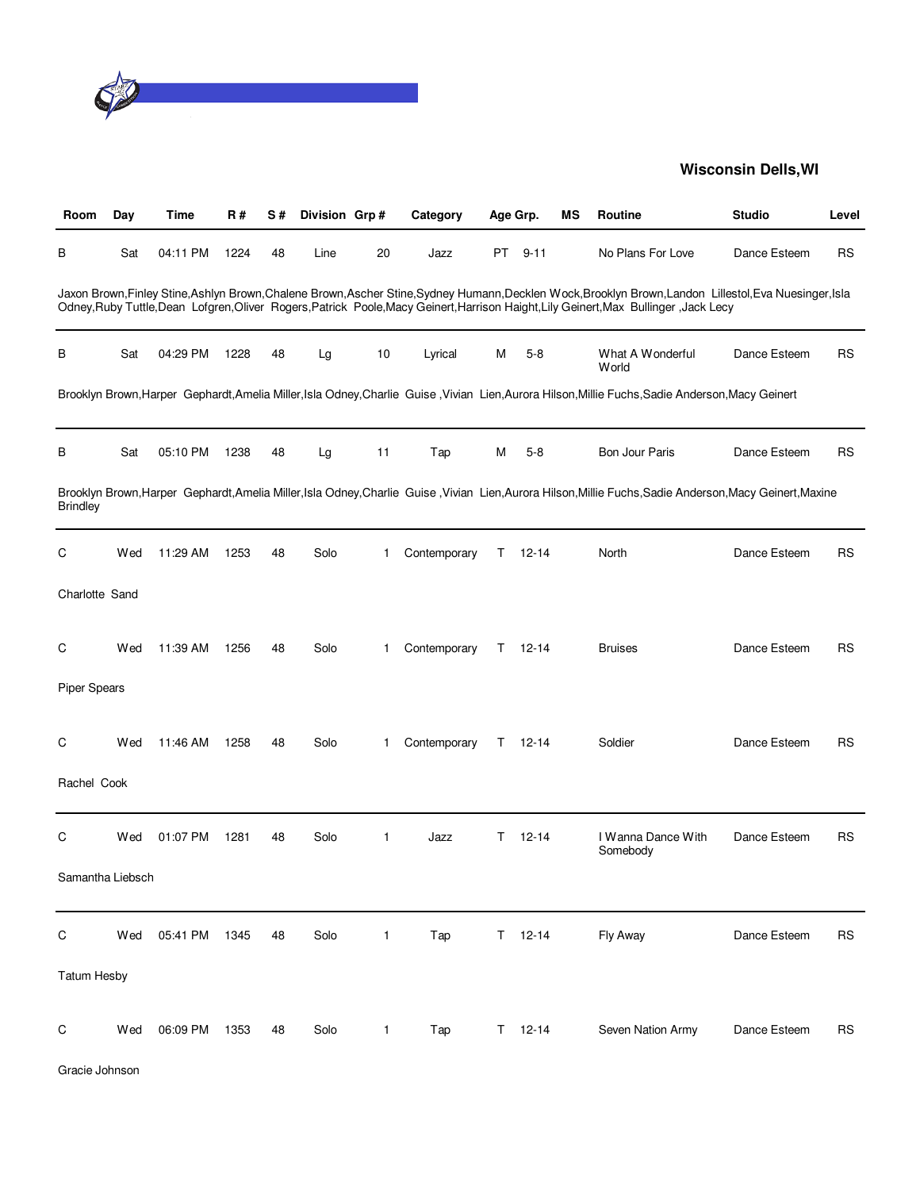

| Room                | Day | Time     | <b>R#</b> | S# | Division Grp# |              | Category     | Age Grp. |               | MS | Routine                                                                                                                                                                                                                                                                                           | <b>Studio</b> | Level     |
|---------------------|-----|----------|-----------|----|---------------|--------------|--------------|----------|---------------|----|---------------------------------------------------------------------------------------------------------------------------------------------------------------------------------------------------------------------------------------------------------------------------------------------------|---------------|-----------|
| В                   | Sat | 04:11 PM | 1224      | 48 | Line          | 20           | Jazz         |          | PT 9-11       |    | No Plans For Love                                                                                                                                                                                                                                                                                 | Dance Esteem  | <b>RS</b> |
|                     |     |          |           |    |               |              |              |          |               |    | Jaxon Brown, Finley Stine, Ashlyn Brown, Chalene Brown, Ascher Stine, Sydney Humann, Decklen Wock, Brooklyn Brown, Landon Lillestol, Eva Nuesinger, Isla<br>Odney, Ruby Tuttle, Dean Lofgren, Oliver Rogers, Patrick Poole, Macy Geinert, Harrison Haight, Lily Geinert, Max Bullinger, Jack Lecy |               |           |
| В                   | Sat | 04:29 PM | 1228      | 48 | Lg            | 10           | Lyrical      | м        | $5-8$         |    | What A Wonderful<br>World                                                                                                                                                                                                                                                                         | Dance Esteem  | <b>RS</b> |
|                     |     |          |           |    |               |              |              |          |               |    | Brooklyn Brown, Harper Gephardt, Amelia Miller, Isla Odney, Charlie Guise, Vivian Lien, Aurora Hilson, Millie Fuchs, Sadie Anderson, Macy Geinert                                                                                                                                                 |               |           |
| В                   | Sat | 05:10 PM | 1238      | 48 | Lg            | 11           | Tap          | М        | $5-8$         |    | <b>Bon Jour Paris</b>                                                                                                                                                                                                                                                                             | Dance Esteem  | <b>RS</b> |
| <b>Brindley</b>     |     |          |           |    |               |              |              |          |               |    | Brooklyn Brown, Harper Gephardt, Amelia Miller, Isla Odney, Charlie Guise, Vivian Lien, Aurora Hilson, Millie Fuchs, Sadie Anderson, Macy Geinert, Maxine                                                                                                                                         |               |           |
| C                   | Wed | 11:29 AM | 1253      | 48 | Solo          | 1            | Contemporary | T.       | $12 - 14$     |    | North                                                                                                                                                                                                                                                                                             | Dance Esteem  | <b>RS</b> |
| Charlotte Sand      |     |          |           |    |               |              |              |          |               |    |                                                                                                                                                                                                                                                                                                   |               |           |
| C                   | Wed | 11:39 AM | 1256      | 48 | Solo          | 1            | Contemporary | T.       | $12 - 14$     |    | <b>Bruises</b>                                                                                                                                                                                                                                                                                    | Dance Esteem  | <b>RS</b> |
| <b>Piper Spears</b> |     |          |           |    |               |              |              |          |               |    |                                                                                                                                                                                                                                                                                                   |               |           |
| C                   | Wed | 11:46 AM | 1258      | 48 | Solo          | 1            | Contemporary | T.       | $12 - 14$     |    | Soldier                                                                                                                                                                                                                                                                                           | Dance Esteem  | <b>RS</b> |
| Rachel Cook         |     |          |           |    |               |              |              |          |               |    |                                                                                                                                                                                                                                                                                                   |               |           |
| C                   | Wed | 01:07 PM | 1281      | 48 | Solo          | $\mathbf{1}$ | Jazz         | T.       | $12 - 14$     |    | I Wanna Dance With<br>Somebody                                                                                                                                                                                                                                                                    | Dance Esteem  | <b>RS</b> |
| Samantha Liebsch    |     |          |           |    |               |              |              |          |               |    |                                                                                                                                                                                                                                                                                                   |               |           |
| $\mathsf C$         | Wed | 05:41 PM | 1345      | 48 | Solo          | $\mathbf{1}$ | Tap          |          | $T = 12 - 14$ |    | Fly Away                                                                                                                                                                                                                                                                                          | Dance Esteem  | <b>RS</b> |
| <b>Tatum Hesby</b>  |     |          |           |    |               |              |              |          |               |    |                                                                                                                                                                                                                                                                                                   |               |           |
| $\mathsf C$         | Wed | 06:09 PM | 1353      | 48 | Solo          | $\mathbf{1}$ | Tap          | T.       | $12 - 14$     |    | Seven Nation Army                                                                                                                                                                                                                                                                                 | Dance Esteem  | <b>RS</b> |

Gracie Johnson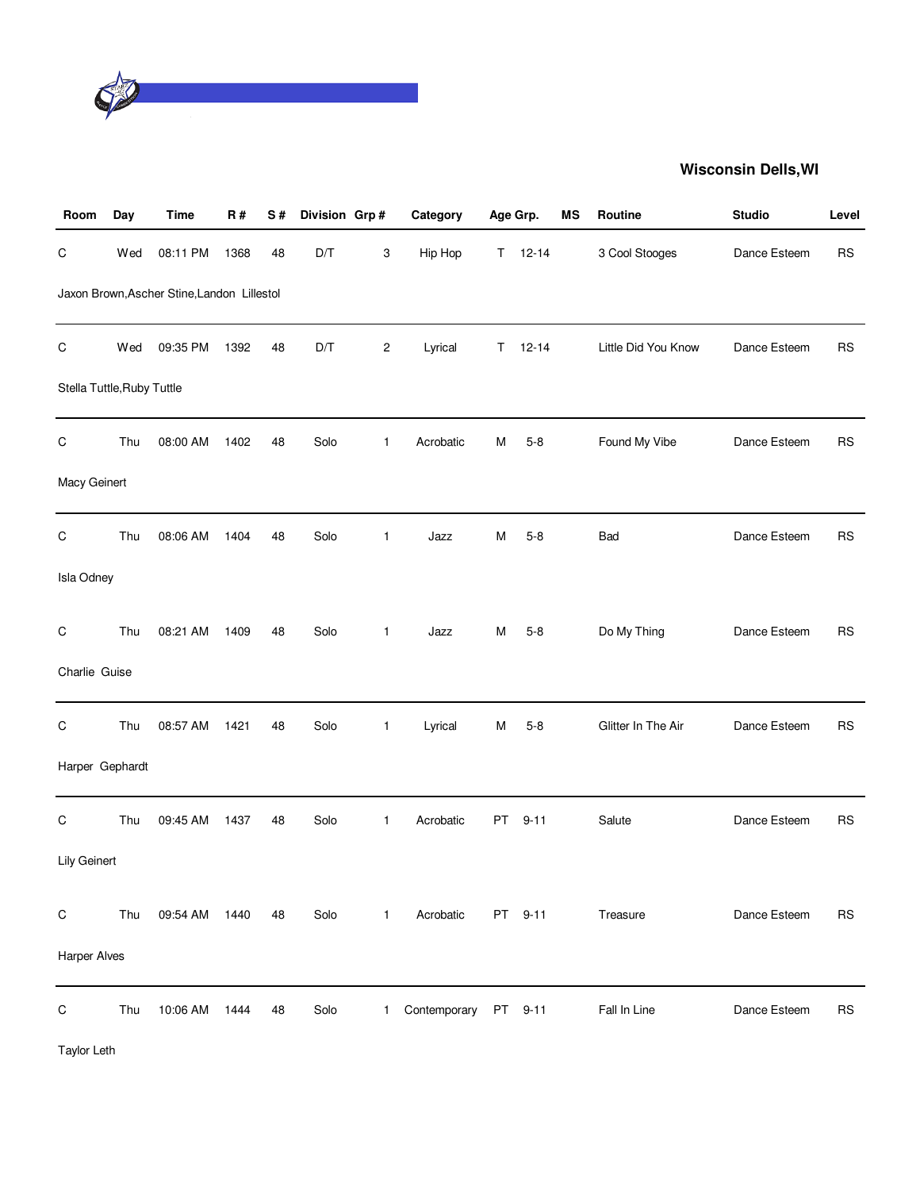

| Room                       | Day | <b>Time</b>                                 | R#   | S# | Division Grp# |              | Category     |    | Age Grp.  | ΜS | Routine             | <b>Studio</b> | Level     |
|----------------------------|-----|---------------------------------------------|------|----|---------------|--------------|--------------|----|-----------|----|---------------------|---------------|-----------|
| С                          | Wed | 08:11 PM                                    | 1368 | 48 | D/T           | 3            | Hip Hop      | T. | $12 - 14$ |    | 3 Cool Stooges      | Dance Esteem  | <b>RS</b> |
|                            |     | Jaxon Brown, Ascher Stine, Landon Lillestol |      |    |               |              |              |    |           |    |                     |               |           |
| C                          | Wed | 09:35 PM                                    | 1392 | 48 | D/T           | 2            | Lyrical      | Τ  | $12 - 14$ |    | Little Did You Know | Dance Esteem  | <b>RS</b> |
| Stella Tuttle, Ruby Tuttle |     |                                             |      |    |               |              |              |    |           |    |                     |               |           |
| С                          | Thu | 08:00 AM                                    | 1402 | 48 | Solo          | $\mathbf{1}$ | Acrobatic    | M  | $5 - 8$   |    | Found My Vibe       | Dance Esteem  | <b>RS</b> |
| Macy Geinert               |     |                                             |      |    |               |              |              |    |           |    |                     |               |           |
| C                          | Thu | 08:06 AM                                    | 1404 | 48 | Solo          | 1            | Jazz         | M  | $5 - 8$   |    | Bad                 | Dance Esteem  | <b>RS</b> |
| Isla Odney                 |     |                                             |      |    |               |              |              |    |           |    |                     |               |           |
| $\mathsf C$                | Thu | 08:21 AM                                    | 1409 | 48 | Solo          | 1            | Jazz         | M  | $5 - 8$   |    | Do My Thing         | Dance Esteem  | <b>RS</b> |
| Charlie Guise              |     |                                             |      |    |               |              |              |    |           |    |                     |               |           |
| $\mathsf C$                | Thu | 08:57 AM                                    | 1421 | 48 | Solo          | $\mathbf{1}$ | Lyrical      | M  | $5 - 8$   |    | Glitter In The Air  | Dance Esteem  | <b>RS</b> |
| Harper Gephardt            |     |                                             |      |    |               |              |              |    |           |    |                     |               |           |
| $\mathsf C$                | Thu | 09:45 AM                                    | 1437 | 48 | Solo          | $\mathbf{1}$ | Acrobatic    | PT | $9 - 11$  |    | Salute              | Dance Esteem  | <b>RS</b> |
| Lily Geinert               |     |                                             |      |    |               |              |              |    |           |    |                     |               |           |
| $\mathsf C$                | Thu | 09:54 AM                                    | 1440 | 48 | Solo          | $\mathbf{1}$ | Acrobatic    |    | PT 9-11   |    | Treasure            | Dance Esteem  | <b>RS</b> |
| <b>Harper Alves</b>        |     |                                             |      |    |               |              |              |    |           |    |                     |               |           |
| С                          | Thu | 10:06 AM                                    | 1444 | 48 | Solo          | 1            | Contemporary | PT | $9 - 11$  |    | Fall In Line        | Dance Esteem  | <b>RS</b> |

Taylor Leth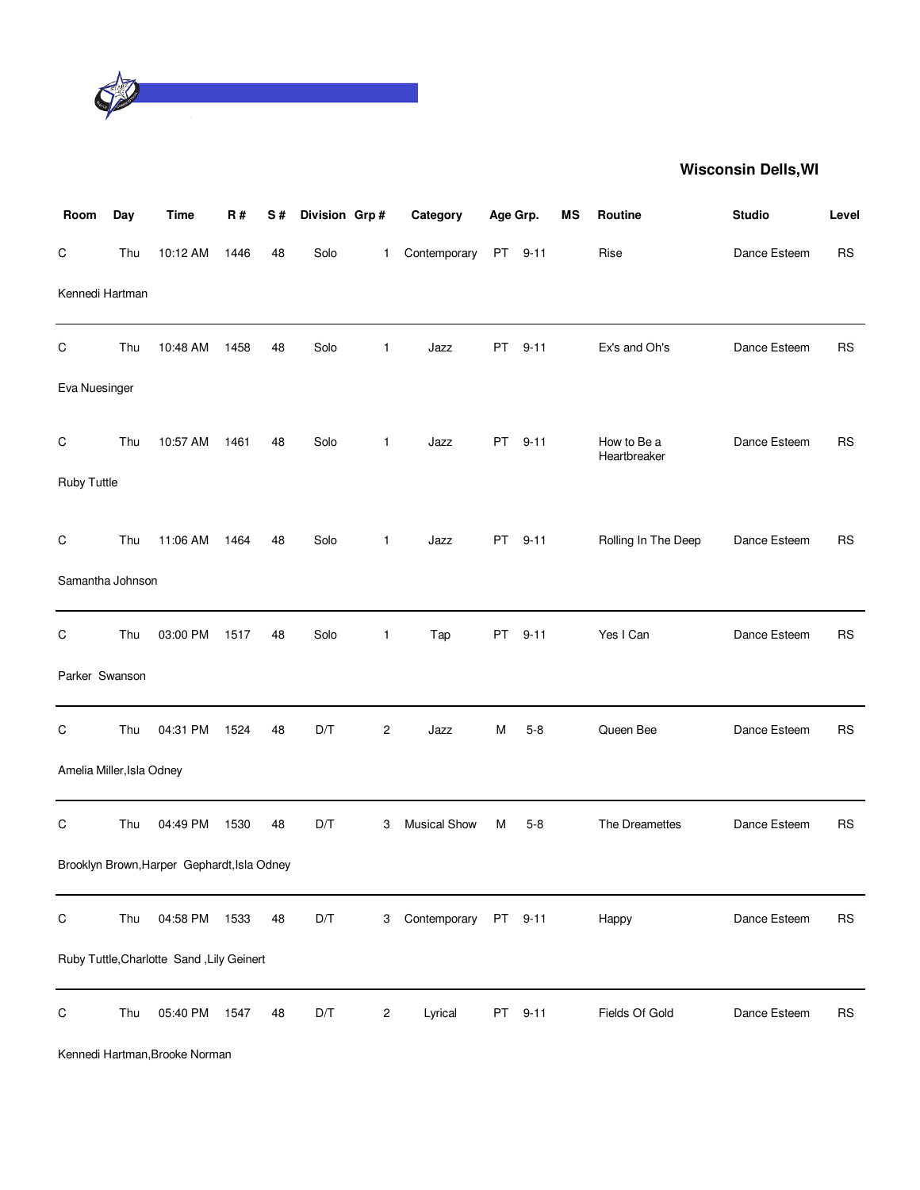

| Room                      | Day | <b>Time</b>                                 | R#   | S# | Division Grp# |                | Category            | Age Grp.  |          | ΜS | Routine                     | <b>Studio</b> | Level     |
|---------------------------|-----|---------------------------------------------|------|----|---------------|----------------|---------------------|-----------|----------|----|-----------------------------|---------------|-----------|
| $\mathsf C$               | Thu | 10:12 AM                                    | 1446 | 48 | Solo          | $\mathbf{1}$   | Contemporary        | <b>PT</b> | $9 - 11$ |    | Rise                        | Dance Esteem  | <b>RS</b> |
| Kennedi Hartman           |     |                                             |      |    |               |                |                     |           |          |    |                             |               |           |
| $\mathsf C$               | Thu | 10:48 AM                                    | 1458 | 48 | Solo          | $\mathbf{1}$   | Jazz                | PT        | $9 - 11$ |    | Ex's and Oh's               | Dance Esteem  | <b>RS</b> |
| Eva Nuesinger             |     |                                             |      |    |               |                |                     |           |          |    |                             |               |           |
| C                         | Thu | 10:57 AM                                    | 1461 | 48 | Solo          | $\mathbf{1}$   | Jazz                | <b>PT</b> | $9 - 11$ |    | How to Be a<br>Heartbreaker | Dance Esteem  | <b>RS</b> |
| Ruby Tuttle               |     |                                             |      |    |               |                |                     |           |          |    |                             |               |           |
| $\mathsf C$               | Thu | 11:06 AM                                    | 1464 | 48 | Solo          | $\mathbf{1}$   | Jazz                | PT        | $9 - 11$ |    | Rolling In The Deep         | Dance Esteem  | <b>RS</b> |
| Samantha Johnson          |     |                                             |      |    |               |                |                     |           |          |    |                             |               |           |
| $\mathsf C$               | Thu | 03:00 PM                                    | 1517 | 48 | Solo          | $\mathbf{1}$   | Tap                 | PT        | $9 - 11$ |    | Yes I Can                   | Dance Esteem  | <b>RS</b> |
| Parker Swanson            |     |                                             |      |    |               |                |                     |           |          |    |                             |               |           |
| C                         | Thu | 04:31 PM                                    | 1524 | 48 | D/T           | $\overline{c}$ | Jazz                | М         | $5 - 8$  |    | Queen Bee                   | Dance Esteem  | <b>RS</b> |
| Amelia Miller, Isla Odney |     |                                             |      |    |               |                |                     |           |          |    |                             |               |           |
| C                         | Thu | 04:49 PM                                    | 1530 | 48 | D/T           | 3              | <b>Musical Show</b> | М         | $5-8$    |    | The Dreamettes              | Dance Esteem  | <b>RS</b> |
|                           |     | Brooklyn Brown, Harper Gephardt, Isla Odney |      |    |               |                |                     |           |          |    |                             |               |           |
| $\mathsf C$               | Thu | 04:58 PM                                    | 1533 | 48 | D/T           | 3              | Contemporary        |           | PT 9-11  |    | Happy                       | Dance Esteem  | <b>RS</b> |
|                           |     | Ruby Tuttle, Charlotte Sand, Lily Geinert   |      |    |               |                |                     |           |          |    |                             |               |           |
| $\mathsf C$               | Thu | 05:40 PM                                    | 1547 | 48 | D/T           | $\overline{c}$ | Lyrical             | PT        | $9 - 11$ |    | Fields Of Gold              | Dance Esteem  | <b>RS</b> |

Kennedi Hartman,Brooke Norman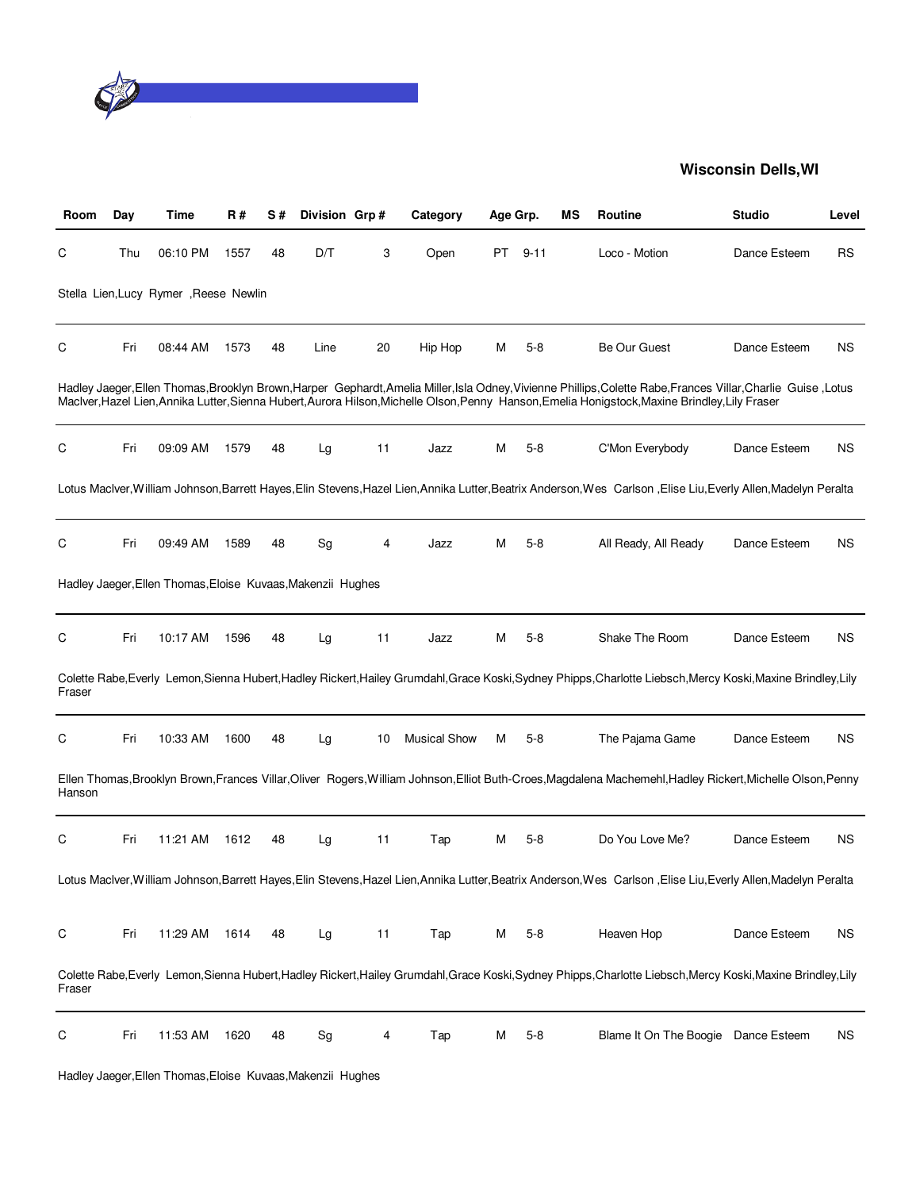

| Room   | Day | Time                                                        | R#   | S# | Division Grp# |    | Category            | Age Grp. |          | ΜS | Routine                                                                                                                                                                                                                                                                                                           | <b>Studio</b> | Level     |
|--------|-----|-------------------------------------------------------------|------|----|---------------|----|---------------------|----------|----------|----|-------------------------------------------------------------------------------------------------------------------------------------------------------------------------------------------------------------------------------------------------------------------------------------------------------------------|---------------|-----------|
| С      | Thu | 06:10 PM                                                    | 1557 | 48 | D/T           | 3  | Open                | PT       | $9 - 11$ |    | Loco - Motion                                                                                                                                                                                                                                                                                                     | Dance Esteem  | <b>RS</b> |
|        |     | Stella Lien, Lucy Rymer, Reese Newlin                       |      |    |               |    |                     |          |          |    |                                                                                                                                                                                                                                                                                                                   |               |           |
| С      | Fri | 08:44 AM                                                    | 1573 | 48 | Line          | 20 | Hip Hop             | М        | $5-8$    |    | <b>Be Our Guest</b>                                                                                                                                                                                                                                                                                               | Dance Esteem  | NS.       |
|        |     |                                                             |      |    |               |    |                     |          |          |    | Hadley Jaeger, Ellen Thomas, Brooklyn Brown, Harper Gephardt, Amelia Miller, Isla Odney, Vivienne Phillips, Colette Rabe, Frances Villar, Charlie Guise, Lotus<br>MacIver, Hazel Lien, Annika Lutter, Sienna Hubert, Aurora Hilson, Michelle Olson, Penny Hanson, Emelia Honigstock, Maxine Brindley, Lily Fraser |               |           |
| С      | Fri | 09:09 AM                                                    | 1579 | 48 | Lg            | 11 | Jazz                | м        | $5-8$    |    | C'Mon Everybody                                                                                                                                                                                                                                                                                                   | Dance Esteem  | <b>NS</b> |
|        |     |                                                             |      |    |               |    |                     |          |          |    | Lotus Maclver, William Johnson, Barrett Hayes, Elin Stevens, Hazel Lien, Annika Lutter, Beatrix Anderson, Wes Carlson, Elise Liu, Everly Allen, Madelyn Peralta                                                                                                                                                   |               |           |
| С      | Fri | 09:49 AM                                                    | 1589 | 48 | Sg            | 4  | Jazz                | М        | $5 - 8$  |    | All Ready, All Ready                                                                                                                                                                                                                                                                                              | Dance Esteem  | NS.       |
|        |     | Hadley Jaeger, Ellen Thomas, Eloise Kuvaas, Makenzii Hughes |      |    |               |    |                     |          |          |    |                                                                                                                                                                                                                                                                                                                   |               |           |
| С      | Fri | 10:17 AM                                                    | 1596 | 48 | Lg            | 11 | Jazz                | М        | $5 - 8$  |    | Shake The Room                                                                                                                                                                                                                                                                                                    | Dance Esteem  | <b>NS</b> |
| Fraser |     |                                                             |      |    |               |    |                     |          |          |    | Colette Rabe, Everly Lemon, Sienna Hubert, Hadley Rickert, Hailey Grumdahl, Grace Koski, Sydney Phipps, Charlotte Liebsch, Mercy Koski, Maxine Brindley, Lily                                                                                                                                                     |               |           |
| С      | Fri | 10:33 AM                                                    | 1600 | 48 | Lg            | 10 | <b>Musical Show</b> | М        | $5-8$    |    | The Pajama Game                                                                                                                                                                                                                                                                                                   | Dance Esteem  | <b>NS</b> |
| Hanson |     |                                                             |      |    |               |    |                     |          |          |    | Ellen Thomas, Brooklyn Brown, Frances Villar, Oliver Rogers, William Johnson, Elliot Buth-Croes, Magdalena Machemehl, Hadley Rickert, Michelle Olson, Penny                                                                                                                                                       |               |           |
| С      | Fri | 11:21 AM                                                    | 1612 | 48 | Lg            | 11 | Tap                 | М        | $5 - 8$  |    | Do You Love Me?                                                                                                                                                                                                                                                                                                   | Dance Esteem  | NS.       |
|        |     |                                                             |      |    |               |    |                     |          |          |    | Lotus MacIver,William Johnson,Barrett Hayes,Elin Stevens,Hazel Lien,Annika Lutter,Beatrix Anderson,Wes Carlson ,Elise Liu,Everly Allen,Madelyn Peralta                                                                                                                                                            |               |           |
| С      | Fri | 11:29 AM                                                    | 1614 | 48 | Lg            | 11 | Tap                 | M        | $5 - 8$  |    | Heaven Hop                                                                                                                                                                                                                                                                                                        | Dance Esteem  | <b>NS</b> |
| Fraser |     |                                                             |      |    |               |    |                     |          |          |    | Colette Rabe, Everly Lemon, Sienna Hubert, Hadley Rickert, Hailey Grumdahl, Grace Koski, Sydney Phipps, Charlotte Liebsch, Mercy Koski, Maxine Brindley, Lily                                                                                                                                                     |               |           |
| C      | Fri | 11:53 AM                                                    | 1620 | 48 | Sg            | 4  | Tap                 | Μ        | $5 - 8$  |    | Blame It On The Boogie Dance Esteem                                                                                                                                                                                                                                                                               |               | <b>NS</b> |

Hadley Jaeger,Ellen Thomas,Eloise Kuvaas,Makenzii Hughes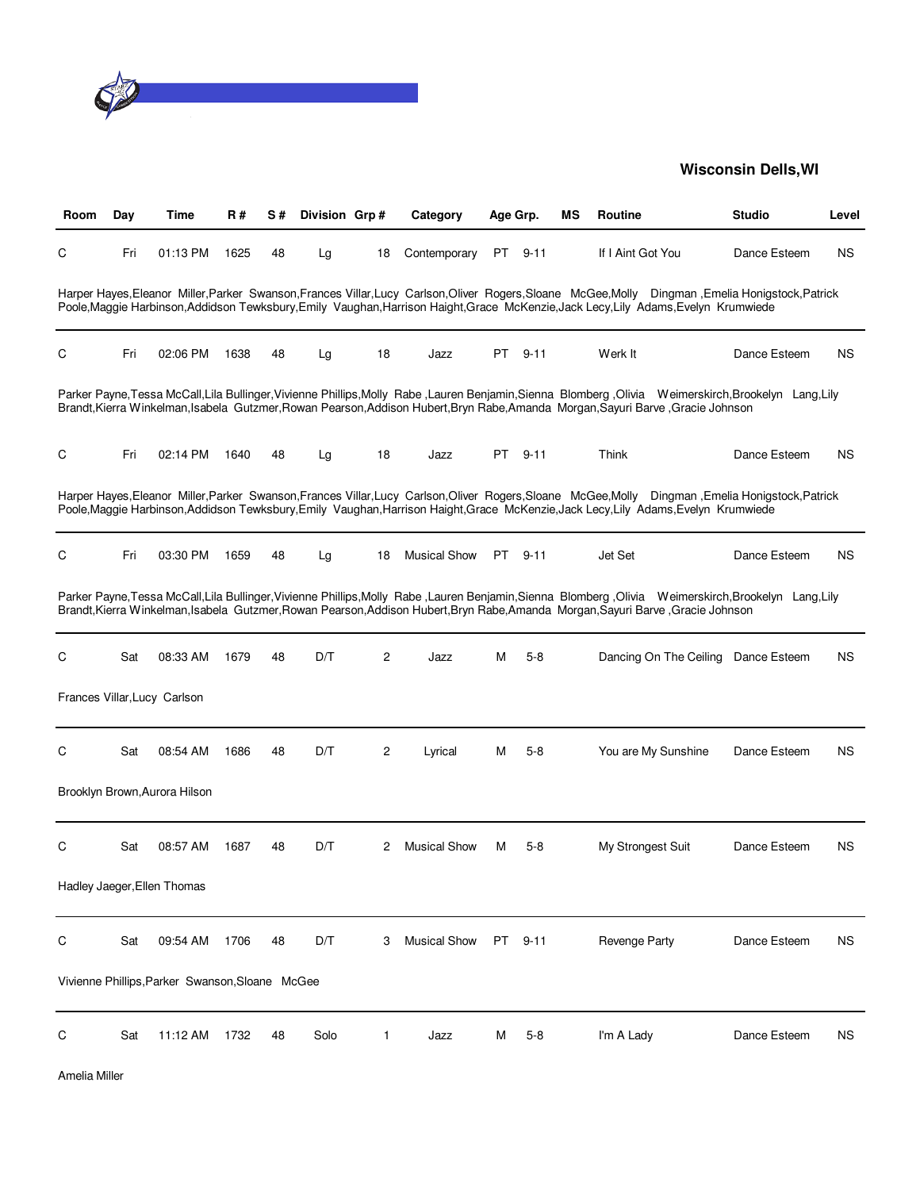

| Room | Day | Time                                            | R#   | S# | Division Grp# |                | Category            | Age Grp. |          | ΜS | Routine                                                                                                                                                                                                                                                                                    | <b>Studio</b> | Level     |
|------|-----|-------------------------------------------------|------|----|---------------|----------------|---------------------|----------|----------|----|--------------------------------------------------------------------------------------------------------------------------------------------------------------------------------------------------------------------------------------------------------------------------------------------|---------------|-----------|
| С    | Fri | 01:13 PM                                        | 1625 | 48 | Lg            | 18             | Contemporary        | PT       | $9 - 11$ |    | If I Aint Got You                                                                                                                                                                                                                                                                          | Dance Esteem  | ΝS        |
|      |     |                                                 |      |    |               |                |                     |          |          |    | Harper Hayes, Eleanor Miller, Parker Swanson, Frances Villar, Lucy Carlson, Oliver Rogers, Sloane McGee, Molly Dingman, Emelia Honigstock, Patrick<br>Poole, Maggie Harbinson, Addidson Tewksbury, Emily Vaughan, Harrison Haight, Grace McKenzie, Jack Lecy, Lily Adams, Evelyn Krumwiede |               |           |
| С    | Fri | 02:06 PM                                        | 1638 | 48 | Lg            | 18             | Jazz                | PT       | $9 - 11$ |    | Werk It                                                                                                                                                                                                                                                                                    | Dance Esteem  | ΝS        |
|      |     |                                                 |      |    |               |                |                     |          |          |    | Parker Payne, Tessa McCall, Lila Bullinger, Vivienne Phillips, Molly Rabe, Lauren Benjamin, Sienna Blomberg, Olivia Weimerskirch, Brookelyn Lang, Lily<br>Brandt, Kierra Winkelman, Isabela Gutzmer, Rowan Pearson, Addison Hubert, Bryn Rabe, Amanda Morgan, Sayuri Barve, Gracie Johnson |               |           |
| С    | Fri | 02:14 PM                                        | 1640 | 48 | Lg            | 18             | Jazz                | PT       | $9 - 11$ |    | Think                                                                                                                                                                                                                                                                                      | Dance Esteem  | <b>NS</b> |
|      |     |                                                 |      |    |               |                |                     |          |          |    | Harper Hayes, Eleanor Miller, Parker Swanson, Frances Villar, Lucy Carlson, Oliver Rogers, Sloane McGee, Molly Dingman, Emelia Honigstock, Patrick<br>Poole, Maggie Harbinson, Addidson Tewksbury, Emily Vaughan, Harrison Haight, Grace McKenzie, Jack Lecy, Lily Adams, Evelyn Krumwiede |               |           |
| С    | Fri | 03:30 PM                                        | 1659 | 48 | Lg            | 18             | <b>Musical Show</b> |          | PT 9-11  |    | Jet Set                                                                                                                                                                                                                                                                                    | Dance Esteem  | <b>NS</b> |
|      |     |                                                 |      |    |               |                |                     |          |          |    | Parker Payne, Tessa McCall, Lila Bullinger, Vivienne Phillips, Molly Rabe, Lauren Benjamin, Sienna Blomberg, Olivia Weimerskirch, Brookelyn Lang, Lily<br>Brandt, Kierra Winkelman, Isabela Gutzmer, Rowan Pearson, Addison Hubert, Bryn Rabe, Amanda Morgan, Sayuri Barve, Gracie Johnson |               |           |
| С    | Sat | 08:33 AM                                        | 1679 | 48 | D/T           | $\overline{c}$ | Jazz                | М        | $5 - 8$  |    | Dancing On The Ceiling                                                                                                                                                                                                                                                                     | Dance Esteem  | NS.       |
|      |     | Frances Villar, Lucy Carlson                    |      |    |               |                |                     |          |          |    |                                                                                                                                                                                                                                                                                            |               |           |
| С    | Sat | 08:54 AM                                        | 1686 | 48 | D/T           | 2              | Lyrical             | м        | $5-8$    |    | You are My Sunshine                                                                                                                                                                                                                                                                        | Dance Esteem  | NS.       |
|      |     | Brooklyn Brown, Aurora Hilson                   |      |    |               |                |                     |          |          |    |                                                                                                                                                                                                                                                                                            |               |           |
| С    | Sat | 08:57 AM                                        | 1687 | 48 | D/T           | 2              | <b>Musical Show</b> | м        | 5-8      |    | My Strongest Suit                                                                                                                                                                                                                                                                          | Dance Esteem  | NS.       |
|      |     | Hadley Jaeger, Ellen Thomas                     |      |    |               |                |                     |          |          |    |                                                                                                                                                                                                                                                                                            |               |           |
| С    | Sat | 09:54 AM                                        | 1706 | 48 | D/T           | 3              | <b>Musical Show</b> | PT       | $9 - 11$ |    | <b>Revenge Party</b>                                                                                                                                                                                                                                                                       | Dance Esteem  | NS.       |
|      |     | Vivienne Phillips, Parker Swanson, Sloane McGee |      |    |               |                |                     |          |          |    |                                                                                                                                                                                                                                                                                            |               |           |
| С    | Sat | 11:12 AM                                        | 1732 | 48 | Solo          | 1              | Jazz                | M        | 5-8      |    | I'm A Lady                                                                                                                                                                                                                                                                                 | Dance Esteem  | ΝS        |

Amelia Miller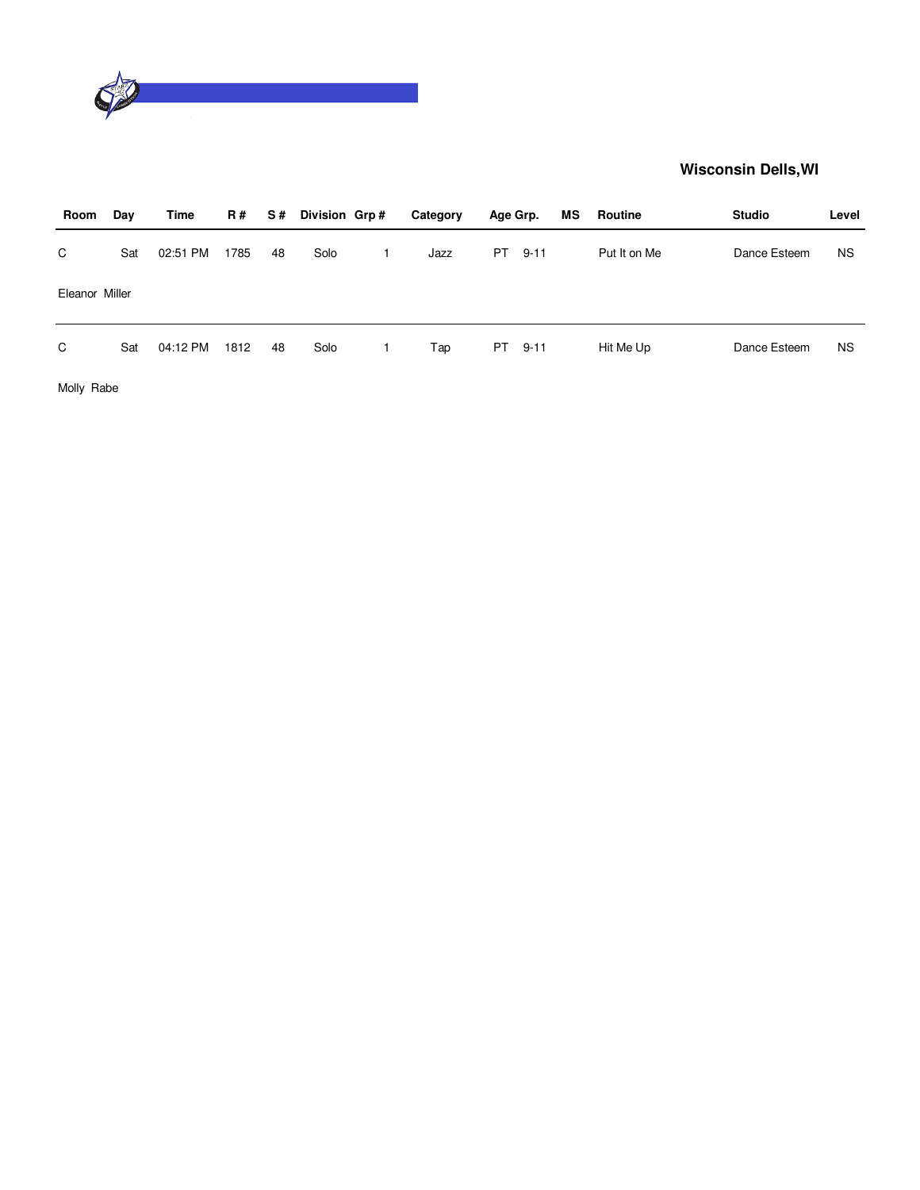

| Room           | Day | Time     | <b>R#</b> | S# | Division Grp# | Category | Age Grp. |          | MS | Routine      | <b>Studio</b> | Level     |
|----------------|-----|----------|-----------|----|---------------|----------|----------|----------|----|--------------|---------------|-----------|
| C              | Sat | 02:51 PM | 1785      | 48 | Solo          | Jazz     | PT.      | $9 - 11$ |    | Put It on Me | Dance Esteem  | <b>NS</b> |
| Eleanor Miller |     |          |           |    |               |          |          |          |    |              |               |           |
| C              | Sat | 04:12 PM | 1812      | 48 | Solo          | Tap      | PT       | $9 - 11$ |    | Hit Me Up    | Dance Esteem  | <b>NS</b> |

Molly Rabe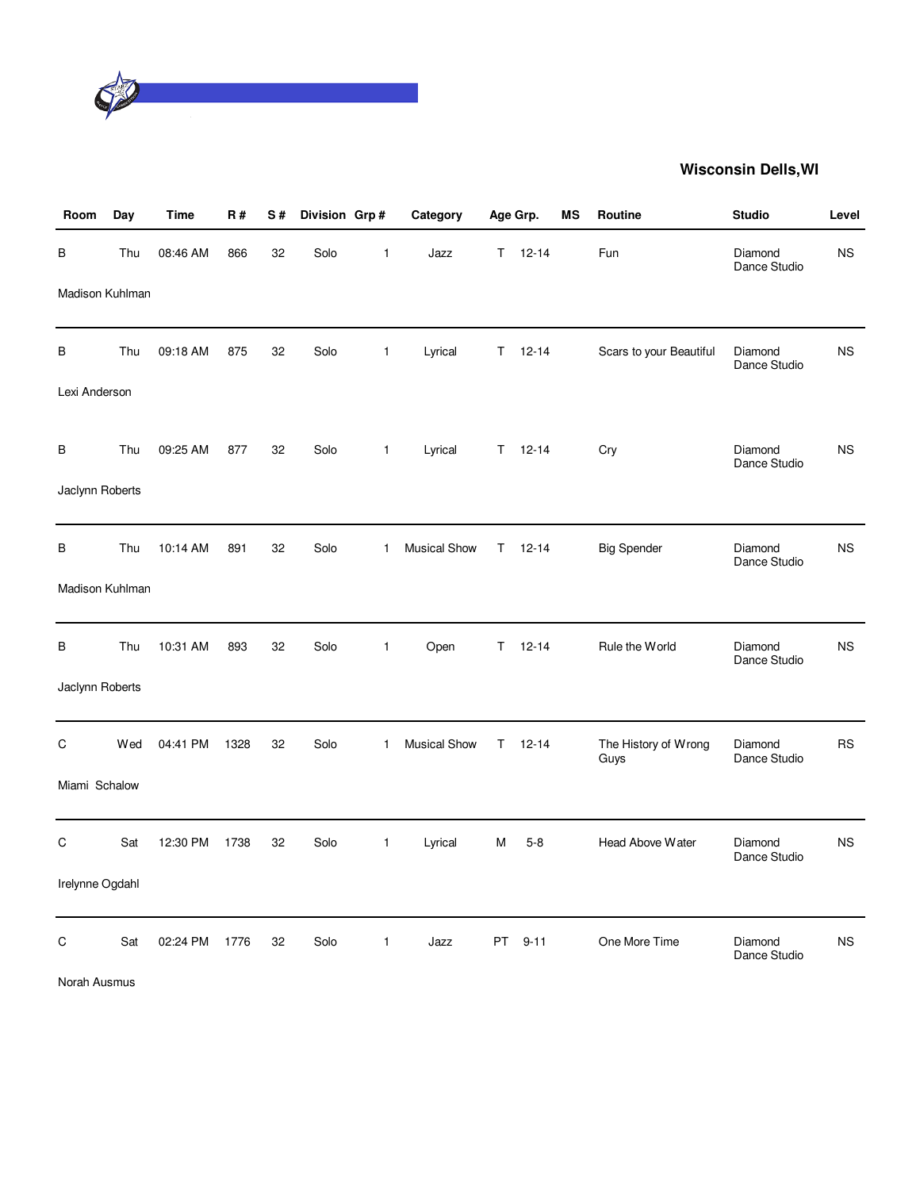

| Room            | Day | <b>Time</b> | R#   | S# | Division Grp# |              | Category            |     | Age Grp.      | MS | <b>Routine</b>               | <b>Studio</b>           | Level     |
|-----------------|-----|-------------|------|----|---------------|--------------|---------------------|-----|---------------|----|------------------------------|-------------------------|-----------|
| В               | Thu | 08:46 AM    | 866  | 32 | Solo          | $\mathbf{1}$ | Jazz                |     | $T = 12 - 14$ |    | Fun                          | Diamond<br>Dance Studio | <b>NS</b> |
| Madison Kuhlman |     |             |      |    |               |              |                     |     |               |    |                              |                         |           |
| В               | Thu | 09:18 AM    | 875  | 32 | Solo          | $\mathbf{1}$ | Lyrical             |     | $T = 12 - 14$ |    | Scars to your Beautiful      | Diamond<br>Dance Studio | <b>NS</b> |
| Lexi Anderson   |     |             |      |    |               |              |                     |     |               |    |                              |                         |           |
| В               | Thu | 09:25 AM    | 877  | 32 | Solo          | $\mathbf{1}$ | Lyrical             | T.  | $12 - 14$     |    | Cry                          | Diamond<br>Dance Studio | <b>NS</b> |
| Jaclynn Roberts |     |             |      |    |               |              |                     |     |               |    |                              |                         |           |
| В               | Thu | 10:14 AM    | 891  | 32 | Solo          | $\mathbf{1}$ | <b>Musical Show</b> | T.  | $12 - 14$     |    | <b>Big Spender</b>           | Diamond<br>Dance Studio | <b>NS</b> |
| Madison Kuhlman |     |             |      |    |               |              |                     |     |               |    |                              |                         |           |
| B               | Thu | 10:31 AM    | 893  | 32 | Solo          | $\mathbf{1}$ | Open                | T.  | $12 - 14$     |    | Rule the World               | Diamond<br>Dance Studio | <b>NS</b> |
| Jaclynn Roberts |     |             |      |    |               |              |                     |     |               |    |                              |                         |           |
| C               | Wed | 04:41 PM    | 1328 | 32 | Solo          | $\mathbf{1}$ | <b>Musical Show</b> | Τ   | $12 - 14$     |    | The History of Wrong<br>Guys | Diamond<br>Dance Studio | <b>RS</b> |
| Miami Schalow   |     |             |      |    |               |              |                     |     |               |    |                              |                         |           |
| C               | Sat | 12:30 PM    | 1738 | 32 | Solo          | $\mathbf{1}$ | Lyrical             | M   | $5-8$         |    | Head Above Water             | Diamond<br>Dance Studio | <b>NS</b> |
| Irelynne Ogdahl |     |             |      |    |               |              |                     |     |               |    |                              |                         |           |
| C               | Sat | 02:24 PM    | 1776 | 32 | Solo          | $\mathbf{1}$ | Jazz                | PT. | $9 - 11$      |    | One More Time                | Diamond<br>Dance Studio | <b>NS</b> |

Norah Ausmus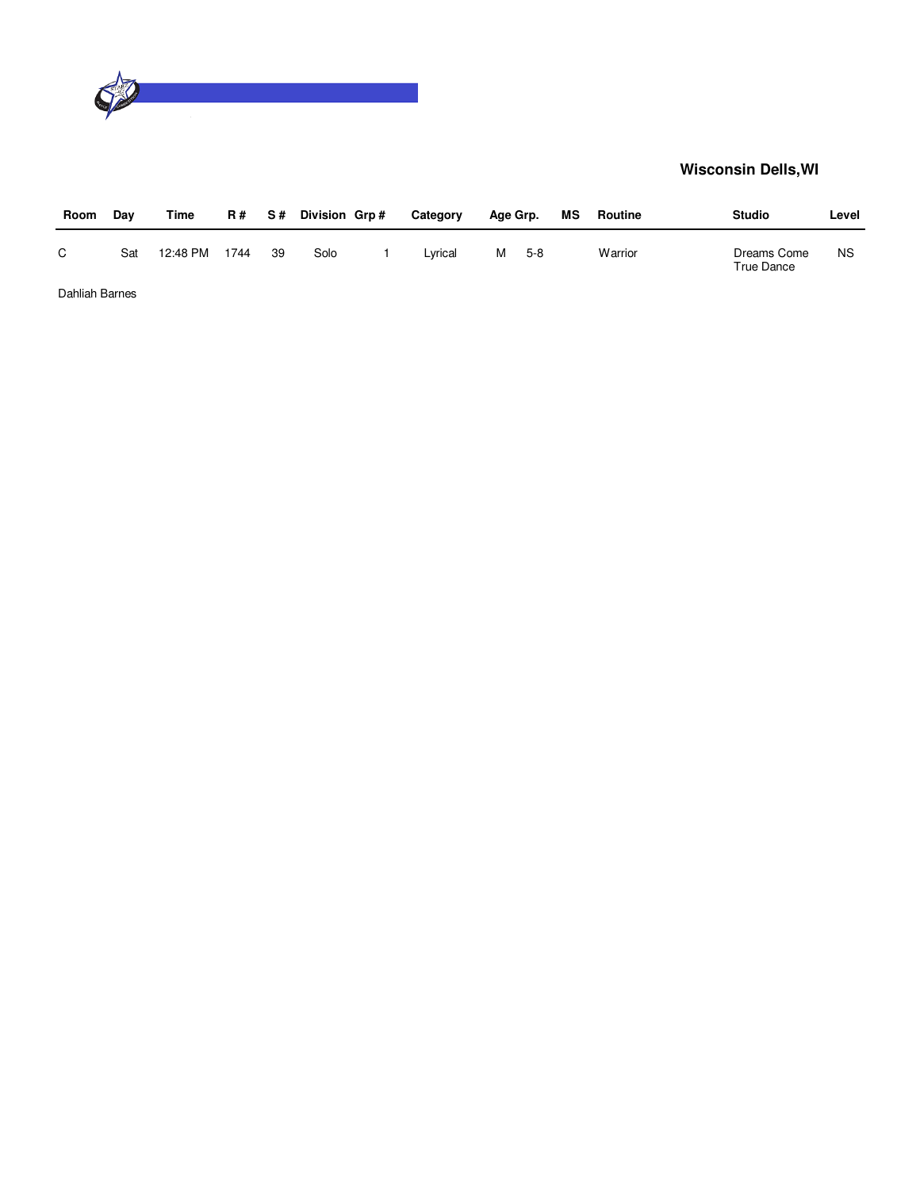

| Room           | Dav | Time     | <b>R#</b> | S# | Division Grp# | Category | Age Grp. |       | МS | Routine | <b>Studio</b>             | Level     |
|----------------|-----|----------|-----------|----|---------------|----------|----------|-------|----|---------|---------------------------|-----------|
| C              | Sat | 12:48 PM | 1744      | 39 | Solo          | Lvrical  | м        | $5-8$ |    | Warrior | Dreams Come<br>True Dance | <b>NS</b> |
| Dahliah Barnes |     |          |           |    |               |          |          |       |    |         |                           |           |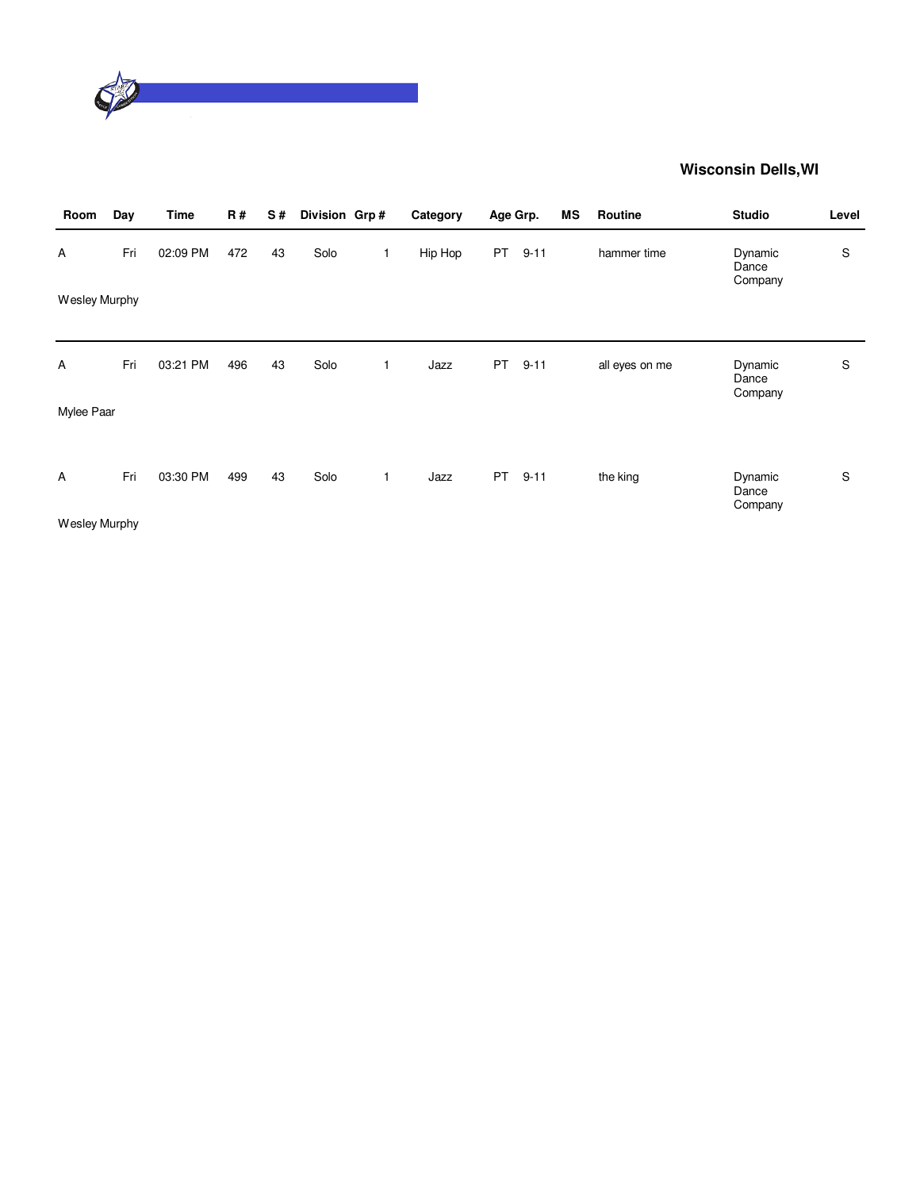

| Room          | Day | <b>Time</b> | <b>R#</b> | S# | Division Grp# |   | Category | Age Grp.  |          | ΜS | Routine        | <b>Studio</b>               | Level |
|---------------|-----|-------------|-----------|----|---------------|---|----------|-----------|----------|----|----------------|-----------------------------|-------|
| Α             | Fri | 02:09 PM    | 472       | 43 | Solo          | 1 | Hip Hop  | <b>PT</b> | $9 - 11$ |    | hammer time    | Dynamic<br>Dance<br>Company | S     |
| Wesley Murphy |     |             |           |    |               |   |          |           |          |    |                |                             |       |
| Α             | Fri | 03:21 PM    | 496       | 43 | Solo          | 1 | Jazz     | <b>PT</b> | $9 - 11$ |    | all eyes on me | Dynamic<br>Dance<br>Company | S     |
| Mylee Paar    |     |             |           |    |               |   |          |           |          |    |                |                             |       |
| Α             | Fri | 03:30 PM    | 499       | 43 | Solo          | 1 | Jazz     | <b>PT</b> | $9 - 11$ |    | the king       | Dynamic<br>Dance            | S     |
| Wesley Murphy |     |             |           |    |               |   |          |           |          |    |                | Company                     |       |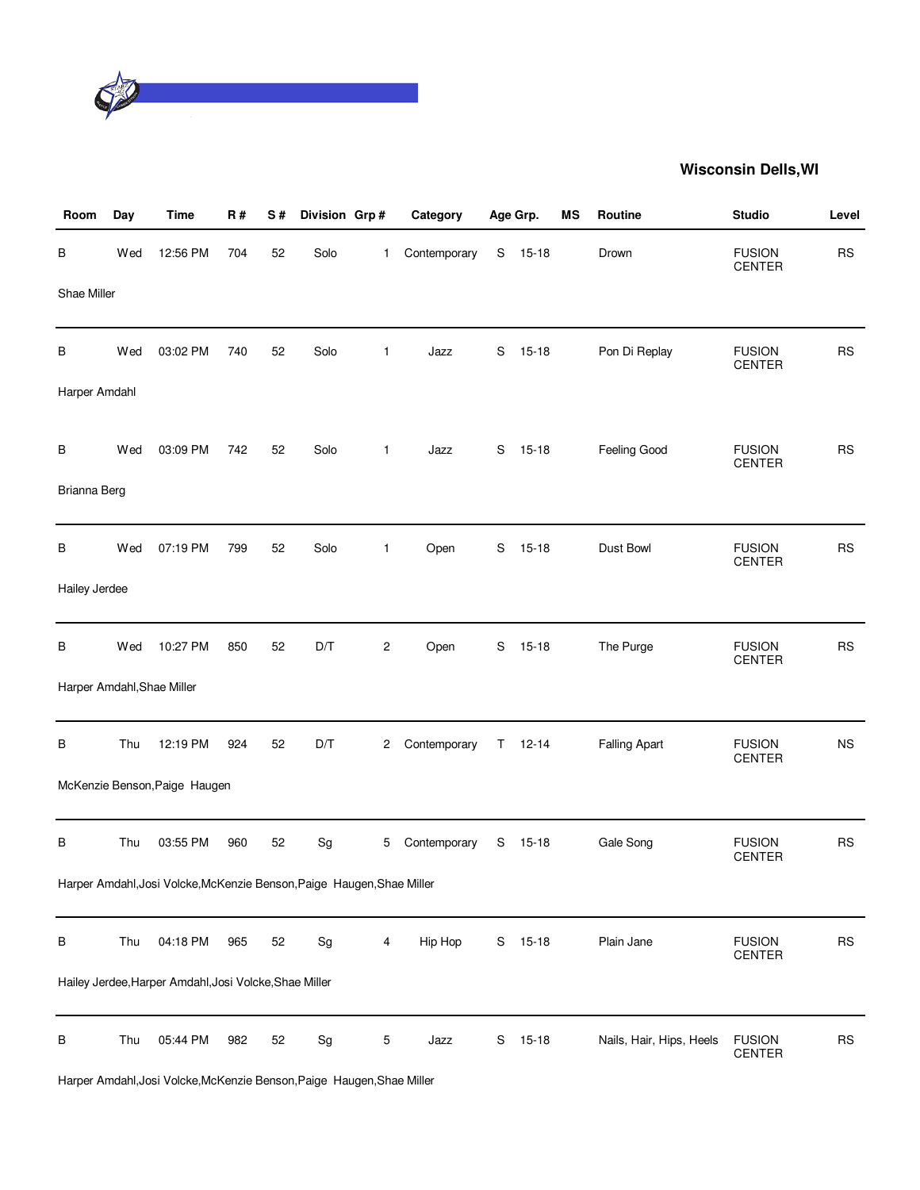

| Room          | Day | <b>Time</b>                                                            | R#  | S# | Division Grp# |                | Category     |             | Age Grp.      | MS | Routine                  | <b>Studio</b>                  | Level     |
|---------------|-----|------------------------------------------------------------------------|-----|----|---------------|----------------|--------------|-------------|---------------|----|--------------------------|--------------------------------|-----------|
| В             | Wed | 12:56 PM                                                               | 704 | 52 | Solo          | 1.             | Contemporary | S           | $15 - 18$     |    | Drown                    | <b>FUSION</b><br><b>CENTER</b> | <b>RS</b> |
| Shae Miller   |     |                                                                        |     |    |               |                |              |             |               |    |                          |                                |           |
| В             | Wed | 03:02 PM                                                               | 740 | 52 | Solo          | $\mathbf{1}$   | Jazz         | $\mathbf S$ | $15 - 18$     |    | Pon Di Replay            | <b>FUSION</b><br><b>CENTER</b> | <b>RS</b> |
| Harper Amdahl |     |                                                                        |     |    |               |                |              |             |               |    |                          |                                |           |
| В             | Wed | 03:09 PM                                                               | 742 | 52 | Solo          | $\mathbf{1}$   | Jazz         | S           | $15 - 18$     |    | Feeling Good             | <b>FUSION</b><br><b>CENTER</b> | <b>RS</b> |
| Brianna Berg  |     |                                                                        |     |    |               |                |              |             |               |    |                          |                                |           |
| в             | Wed | 07:19 PM                                                               | 799 | 52 | Solo          | $\mathbf{1}$   | Open         | S           | $15 - 18$     |    | Dust Bowl                | <b>FUSION</b><br><b>CENTER</b> | <b>RS</b> |
| Hailey Jerdee |     |                                                                        |     |    |               |                |              |             |               |    |                          |                                |           |
| В             | Wed | 10:27 PM                                                               | 850 | 52 | D/T           | $\overline{c}$ | Open         | S           | $15 - 18$     |    | The Purge                | <b>FUSION</b><br><b>CENTER</b> | <b>RS</b> |
|               |     | Harper Amdahl, Shae Miller                                             |     |    |               |                |              |             |               |    |                          |                                |           |
| В             | Thu | 12:19 PM                                                               | 924 | 52 | D/T           | $\overline{c}$ | Contemporary |             | $T = 12 - 14$ |    | <b>Falling Apart</b>     | <b>FUSION</b><br><b>CENTER</b> | <b>NS</b> |
|               |     | McKenzie Benson, Paige Haugen                                          |     |    |               |                |              |             |               |    |                          |                                |           |
| В             | Thu | 03:55 PM                                                               | 960 | 52 | Sg            | 5              | Contemporary | S           | $15 - 18$     |    | Gale Song                | <b>FUSION</b><br><b>CENTER</b> | <b>RS</b> |
|               |     | Harper Amdahl, Josi Volcke, McKenzie Benson, Paige Haugen, Shae Miller |     |    |               |                |              |             |               |    |                          |                                |           |
| B             | Thu | 04:18 PM                                                               | 965 | 52 | Sg            | 4              | Hip Hop      | S           | $15 - 18$     |    | Plain Jane               | <b>FUSION</b><br><b>CENTER</b> | <b>RS</b> |
|               |     | Hailey Jerdee, Harper Amdahl, Josi Volcke, Shae Miller                 |     |    |               |                |              |             |               |    |                          |                                |           |
| В             | Thu | 05:44 PM                                                               | 982 | 52 | Sg            | 5              | Jazz         | ${\sf S}$   | $15 - 18$     |    | Nails, Hair, Hips, Heels | <b>FUSION</b><br>CENTER        | <b>RS</b> |

Harper Amdahl,Josi Volcke,McKenzie Benson,Paige Haugen,Shae Miller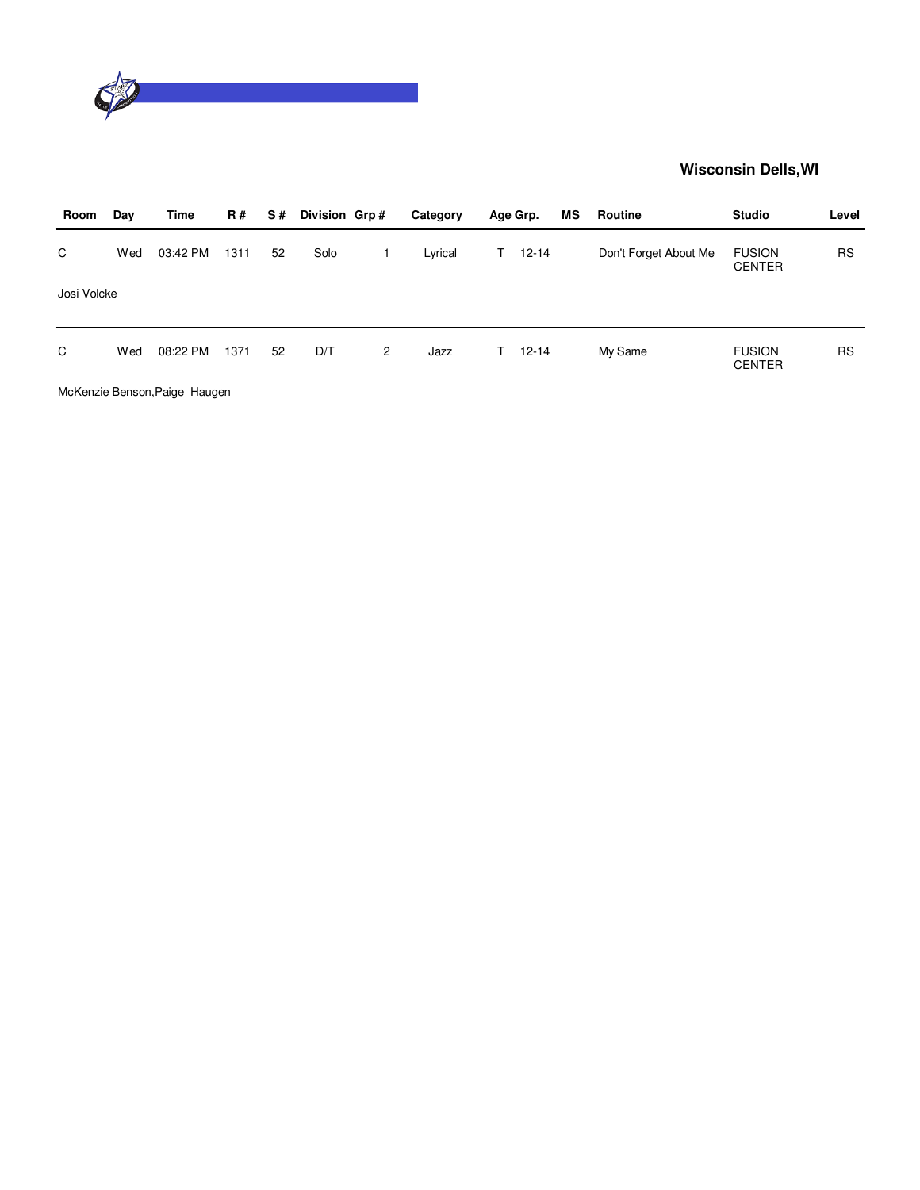

| Room        | Day | Time     | <b>R#</b> | S# | Division Grp# |                | Category | Age Grp.        | MS | Routine               | <b>Studio</b>                  | Level     |
|-------------|-----|----------|-----------|----|---------------|----------------|----------|-----------------|----|-----------------------|--------------------------------|-----------|
| C           | Wed | 03:42 PM | 1311      | 52 | Solo          |                | Lyrical  | $12 - 14$<br>T. |    | Don't Forget About Me | <b>FUSION</b><br><b>CENTER</b> | <b>RS</b> |
| Josi Volcke |     |          |           |    |               |                |          |                 |    |                       |                                |           |
| C           | Wed | 08:22 PM | 1371      | 52 | D/T           | $\overline{2}$ | Jazz     | $12 - 14$<br>T. |    | My Same               | <b>FUSION</b><br><b>CENTER</b> | <b>RS</b> |
| $\cdots$    |     | - - -    |           |    |               |                |          |                 |    |                       |                                |           |

McKenzie Benson,Paige Haugen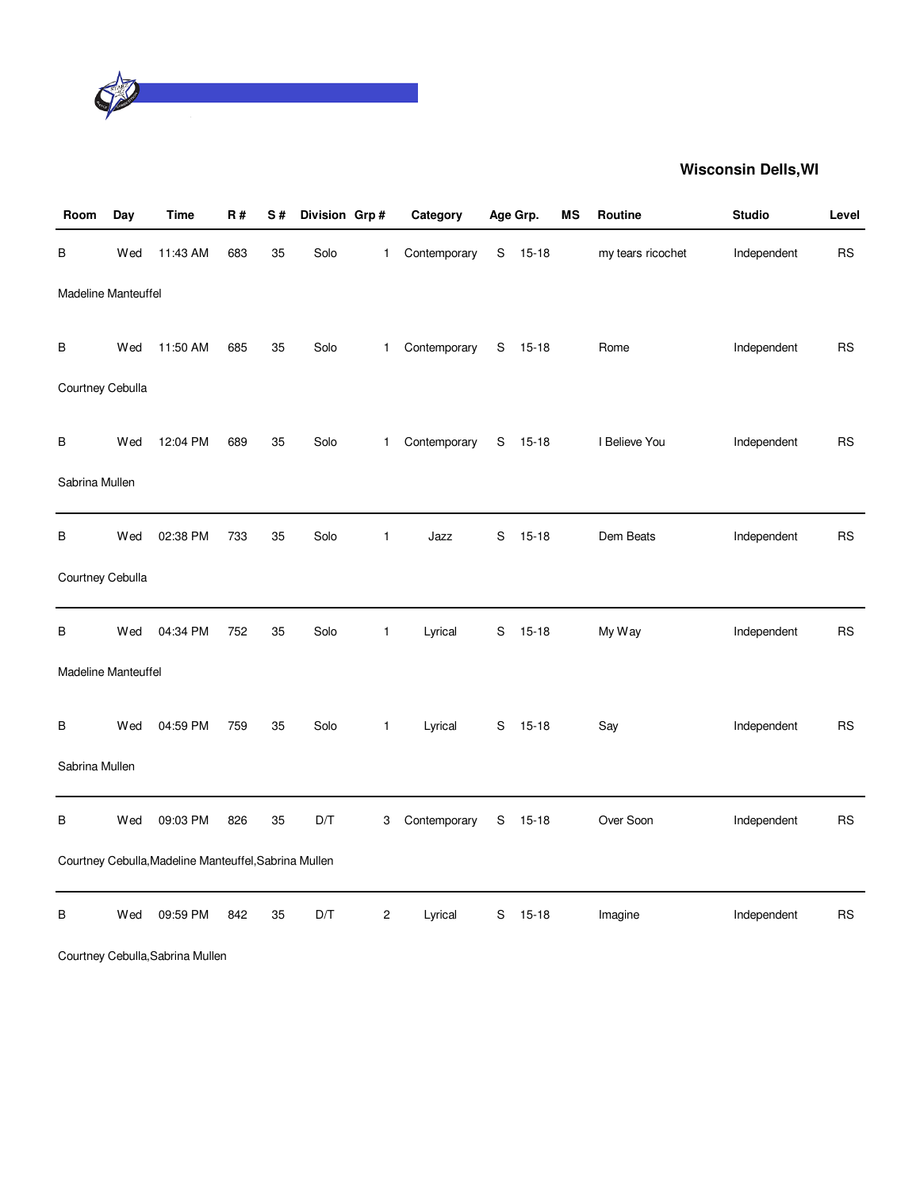

| Room                | Day | Time                                                  | <b>R#</b> | S# | Division Grp# |                         | Category     |               | Age Grp.  | MS | Routine           | <b>Studio</b> | Level     |
|---------------------|-----|-------------------------------------------------------|-----------|----|---------------|-------------------------|--------------|---------------|-----------|----|-------------------|---------------|-----------|
| В                   | Wed | 11:43 AM                                              | 683       | 35 | Solo          | 1                       | Contemporary | S             | $15 - 18$ |    | my tears ricochet | Independent   | <b>RS</b> |
| Madeline Manteuffel |     |                                                       |           |    |               |                         |              |               |           |    |                   |               |           |
| В                   | Wed | 11:50 AM                                              | 685       | 35 | Solo          | $\mathbf{1}$            | Contemporary |               | $S$ 15-18 |    | Rome              | Independent   | <b>RS</b> |
| Courtney Cebulla    |     |                                                       |           |    |               |                         |              |               |           |    |                   |               |           |
| B                   | Wed | 12:04 PM                                              | 689       | 35 | Solo          | $\mathbf{1}$            | Contemporary |               | S 15-18   |    | I Believe You     | Independent   | <b>RS</b> |
| Sabrina Mullen      |     |                                                       |           |    |               |                         |              |               |           |    |                   |               |           |
| В                   | Wed | 02:38 PM                                              | 733       | 35 | Solo          | $\mathbf{1}$            | Jazz         | S             | $15 - 18$ |    | Dem Beats         | Independent   | <b>RS</b> |
| Courtney Cebulla    |     |                                                       |           |    |               |                         |              |               |           |    |                   |               |           |
| В                   | Wed | 04:34 PM                                              | 752       | 35 | Solo          | $\mathbf{1}$            | Lyrical      | S             | $15 - 18$ |    | My Way            | Independent   | <b>RS</b> |
| Madeline Manteuffel |     |                                                       |           |    |               |                         |              |               |           |    |                   |               |           |
| B                   | Wed | 04:59 PM                                              | 759       | 35 | Solo          | $\mathbf{1}$            | Lyrical      |               | S 15-18   |    | Say               | Independent   | <b>RS</b> |
| Sabrina Mullen      |     |                                                       |           |    |               |                         |              |               |           |    |                   |               |           |
| B                   | Wed | 09:03 PM                                              | 826       | 35 | D/T           | 3                       | Contemporary | ${\mathsf S}$ | $15 - 18$ |    | Over Soon         | Independent   | <b>RS</b> |
|                     |     | Courtney Cebulla, Madeline Manteuffel, Sabrina Mullen |           |    |               |                         |              |               |           |    |                   |               |           |
| В                   | Wed | 09:59 PM                                              | 842       | 35 | D/T           | $\overline{\mathbf{c}}$ | Lyrical      | S             | $15 - 18$ |    | Imagine           | Independent   | <b>RS</b> |

Courtney Cebulla,Sabrina Mullen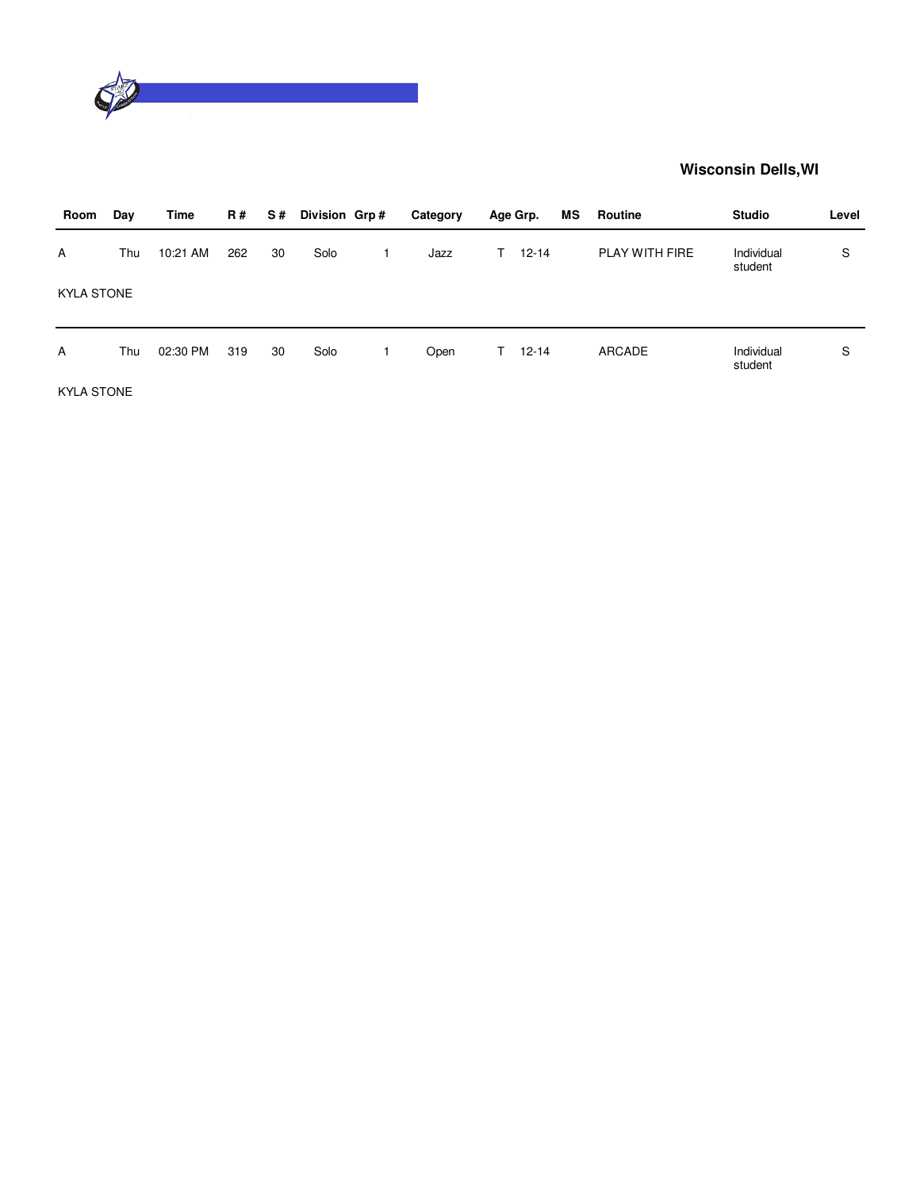

| Room              | Day | Time     | R#  | S# | Division Grp# | Category |    | Age Grp.  | МS | Routine        | <b>Studio</b>         | Level |
|-------------------|-----|----------|-----|----|---------------|----------|----|-----------|----|----------------|-----------------------|-------|
| A                 | Thu | 10:21 AM | 262 | 30 | Solo          | Jazz     | T. | $12 - 14$ |    | PLAY WITH FIRE | Individual<br>student | S     |
| <b>KYLA STONE</b> |     |          |     |    |               |          |    |           |    |                |                       |       |
| A                 | Thu | 02:30 PM | 319 | 30 | Solo          | Open     | T. | $12 - 14$ |    | <b>ARCADE</b>  | Individual<br>student | S     |
| <b>KYLA STONE</b> |     |          |     |    |               |          |    |           |    |                |                       |       |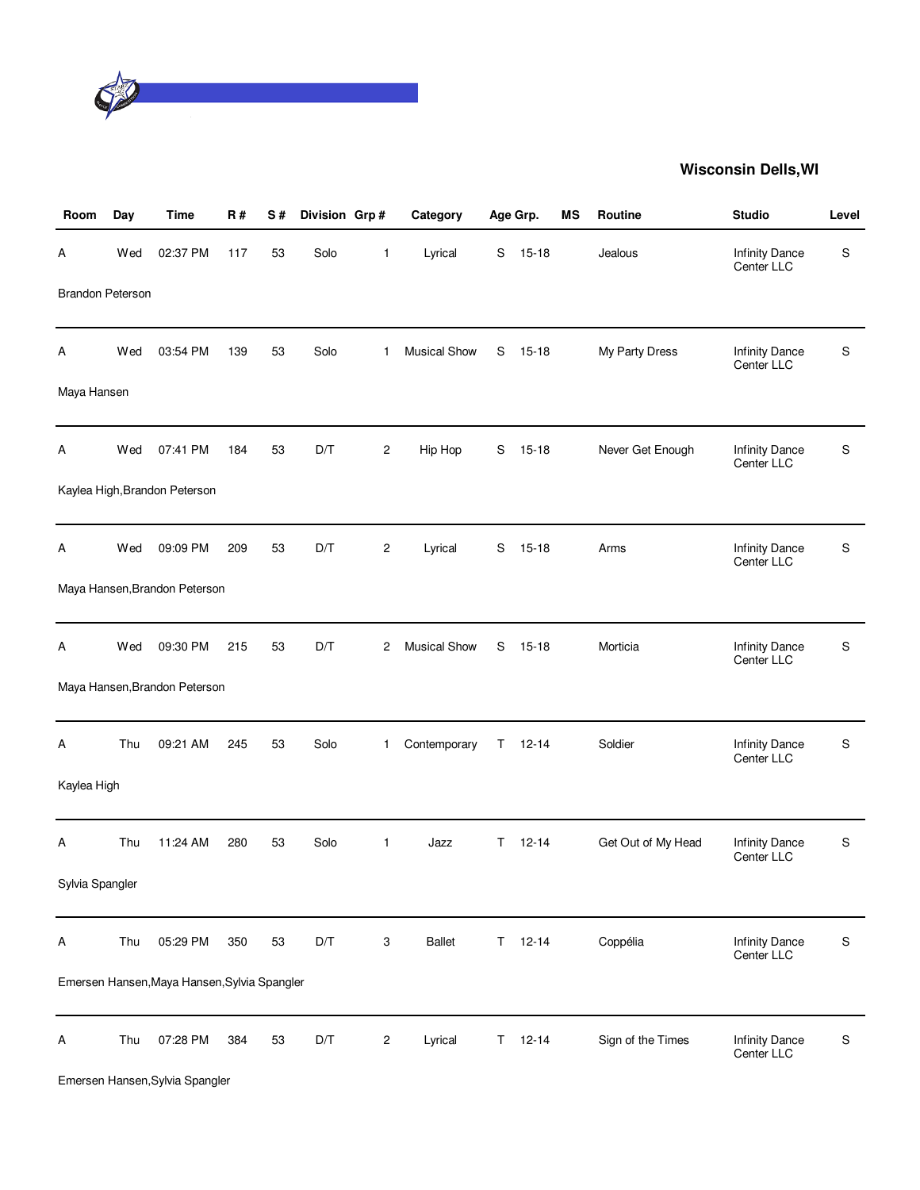

| Room                    | Day | <b>Time</b>                                  | <b>R#</b> | S# | Division Grp# |                         | Category            |    | Age Grp.  | MS | Routine            | <b>Studio</b>                       | Level     |
|-------------------------|-----|----------------------------------------------|-----------|----|---------------|-------------------------|---------------------|----|-----------|----|--------------------|-------------------------------------|-----------|
| Α                       | Wed | 02:37 PM                                     | 117       | 53 | Solo          | 1                       | Lyrical             | S  | $15 - 18$ |    | Jealous            | <b>Infinity Dance</b><br>Center LLC | S         |
| <b>Brandon Peterson</b> |     |                                              |           |    |               |                         |                     |    |           |    |                    |                                     |           |
| Α                       | Wed | 03:54 PM                                     | 139       | 53 | Solo          | 1                       | <b>Musical Show</b> | S  | $15 - 18$ |    | My Party Dress     | <b>Infinity Dance</b><br>Center LLC | S         |
| Maya Hansen             |     |                                              |           |    |               |                         |                     |    |           |    |                    |                                     |           |
| A                       | Wed | 07:41 PM                                     | 184       | 53 | D/T           | 2                       | Hip Hop             | S  | $15 - 18$ |    | Never Get Enough   | <b>Infinity Dance</b><br>Center LLC | S         |
|                         |     | Kaylea High, Brandon Peterson                |           |    |               |                         |                     |    |           |    |                    |                                     |           |
| А                       | Wed | 09:09 PM                                     | 209       | 53 | D/T           | 2                       | Lyrical             | S  | $15 - 18$ |    | Arms               | <b>Infinity Dance</b><br>Center LLC | S         |
|                         |     | Maya Hansen, Brandon Peterson                |           |    |               |                         |                     |    |           |    |                    |                                     |           |
| Α                       | Wed | 09:30 PM                                     | 215       | 53 | D/T           | 2                       | <b>Musical Show</b> | S  | $15 - 18$ |    | Morticia           | <b>Infinity Dance</b><br>Center LLC | S         |
|                         |     | Maya Hansen, Brandon Peterson                |           |    |               |                         |                     |    |           |    |                    |                                     |           |
| А                       | Thu | 09:21 AM                                     | 245       | 53 | Solo          | 1.                      | Contemporary        | T. | $12 - 14$ |    | Soldier            | <b>Infinity Dance</b><br>Center LLC | S         |
| Kaylea High             |     |                                              |           |    |               |                         |                     |    |           |    |                    |                                     |           |
| Α                       | Thu | 11:24 AM                                     | 280       | 53 | Solo          | 1                       | Jazz                | T. | $12 - 14$ |    | Get Out of My Head | <b>Infinity Dance</b><br>Center LLC | S         |
| Sylvia Spangler         |     |                                              |           |    |               |                         |                     |    |           |    |                    |                                     |           |
| Α                       | Thu | 05:29 PM                                     | 350       | 53 | D/T           | 3                       | Ballet              | Τ  | $12 - 14$ |    | Coppélia           | <b>Infinity Dance</b><br>Center LLC | ${\sf S}$ |
|                         |     | Emersen Hansen, Maya Hansen, Sylvia Spangler |           |    |               |                         |                     |    |           |    |                    |                                     |           |
| Α                       | Thu | 07:28 PM                                     | 384       | 53 | D/T           | $\overline{\mathbf{c}}$ | Lyrical             | Τ  | $12 - 14$ |    | Sign of the Times  | <b>Infinity Dance</b><br>Center LLC | ${\sf S}$ |

Emersen Hansen,Sylvia Spangler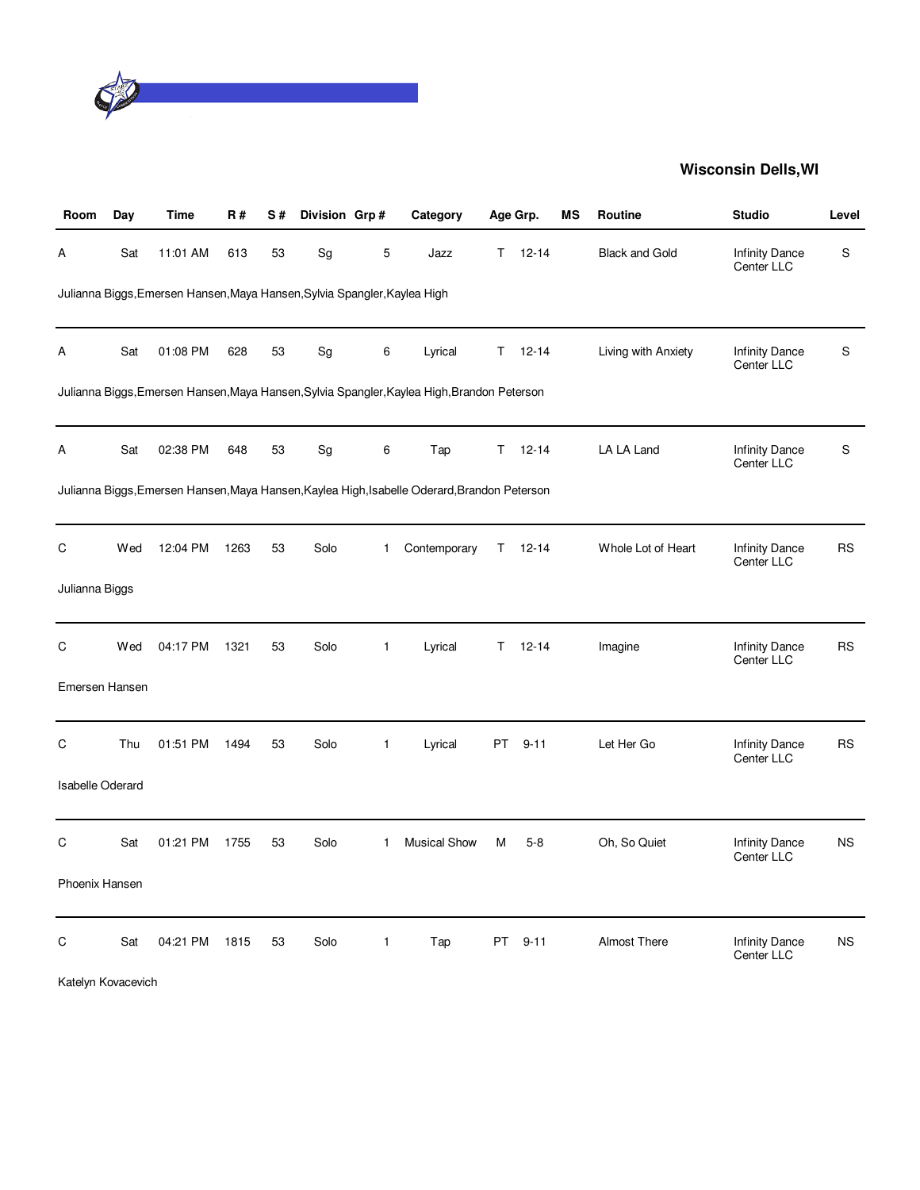

| Room                    | Day | Time                                                                      | <b>R#</b> | S# | Division Grp# |              | Category                                                                                     |           | Age Grp.  | МS | <b>Routine</b>        | <b>Studio</b>                       | Level     |
|-------------------------|-----|---------------------------------------------------------------------------|-----------|----|---------------|--------------|----------------------------------------------------------------------------------------------|-----------|-----------|----|-----------------------|-------------------------------------|-----------|
| Α                       | Sat | 11:01 AM                                                                  | 613       | 53 | Sg            | 5            | Jazz                                                                                         | T.        | $12 - 14$ |    | <b>Black and Gold</b> | <b>Infinity Dance</b><br>Center LLC | S         |
|                         |     | Julianna Biggs, Emersen Hansen, Maya Hansen, Sylvia Spangler, Kaylea High |           |    |               |              |                                                                                              |           |           |    |                       |                                     |           |
| А                       | Sat | 01:08 PM                                                                  | 628       | 53 | Sg            | 6            | Lyrical                                                                                      | T.        | $12 - 14$ |    | Living with Anxiety   | <b>Infinity Dance</b><br>Center LLC | S         |
|                         |     |                                                                           |           |    |               |              | Julianna Biggs,Emersen Hansen,Maya Hansen,Sylvia Spangler,Kaylea High,Brandon Peterson       |           |           |    |                       |                                     |           |
| А                       | Sat | 02:38 PM                                                                  | 648       | 53 | Sg            | 6            | Tap                                                                                          | T         | $12 - 14$ |    | LA LA Land            | Infinity Dance<br>Center LLC        | S         |
|                         |     |                                                                           |           |    |               |              | Julianna Biggs, Emersen Hansen, Maya Hansen, Kaylea High, Isabelle Oderard, Brandon Peterson |           |           |    |                       |                                     |           |
| С                       | Wed | 12:04 PM                                                                  | 1263      | 53 | Solo          | $\mathbf{1}$ | Contemporary                                                                                 | T.        | $12 - 14$ |    | Whole Lot of Heart    | <b>Infinity Dance</b><br>Center LLC | <b>RS</b> |
| Julianna Biggs          |     |                                                                           |           |    |               |              |                                                                                              |           |           |    |                       |                                     |           |
| C                       | Wed | 04:17 PM                                                                  | 1321      | 53 | Solo          | $\mathbf{1}$ | Lyrical                                                                                      | T         | $12 - 14$ |    | Imagine               | <b>Infinity Dance</b><br>Center LLC | <b>RS</b> |
| Emersen Hansen          |     |                                                                           |           |    |               |              |                                                                                              |           |           |    |                       |                                     |           |
| С                       | Thu | 01:51 PM                                                                  | 1494      | 53 | Solo          | $\mathbf{1}$ | Lyrical                                                                                      | <b>PT</b> | $9 - 11$  |    | Let Her Go            | <b>Infinity Dance</b><br>Center LLC | <b>RS</b> |
| <b>Isabelle Oderard</b> |     |                                                                           |           |    |               |              |                                                                                              |           |           |    |                       |                                     |           |
| C                       | Sat | 01:21 PM                                                                  | 1755      | 53 | Solo          | $\mathbf{1}$ | <b>Musical Show</b>                                                                          | M         | $5-8$     |    | Oh, So Quiet          | <b>Infinity Dance</b><br>Center LLC | <b>NS</b> |
| Phoenix Hansen          |     |                                                                           |           |    |               |              |                                                                                              |           |           |    |                       |                                     |           |
| С                       | Sat | 04:21 PM                                                                  | 1815      | 53 | Solo          | $\mathbf{1}$ | Tap                                                                                          | PT.       | $9 - 11$  |    | Almost There          | <b>Infinity Dance</b><br>Center LLC | <b>NS</b> |

Katelyn Kovacevich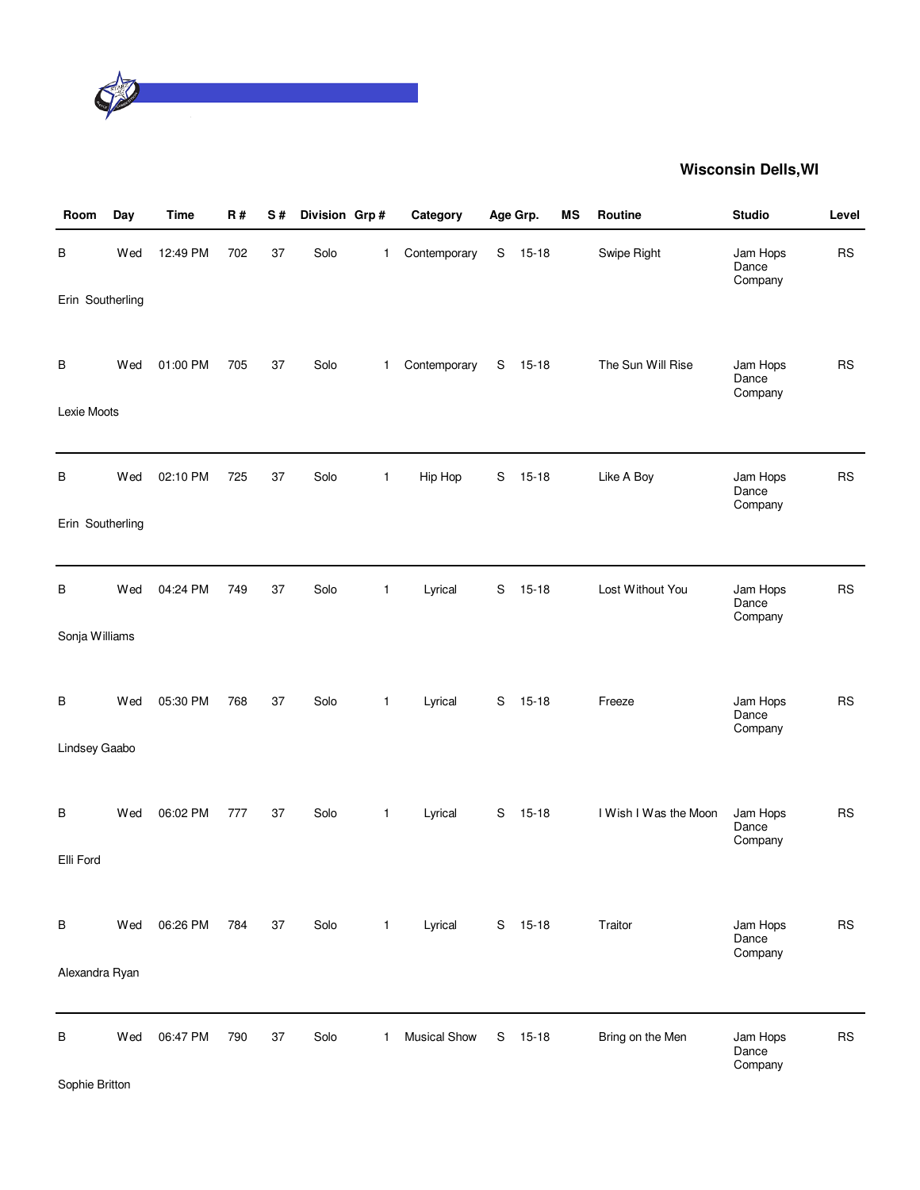

| Room             | Day | <b>Time</b> | R#  | S# | Division Grp# |              | Category            |   | Age Grp.  | MS | Routine               | <b>Studio</b>                | Level     |
|------------------|-----|-------------|-----|----|---------------|--------------|---------------------|---|-----------|----|-----------------------|------------------------------|-----------|
| В                | Wed | 12:49 PM    | 702 | 37 | Solo          | 1            | Contemporary        | S | $15 - 18$ |    | Swipe Right           | Jam Hops<br>Dance<br>Company | <b>RS</b> |
| Erin Southerling |     |             |     |    |               |              |                     |   |           |    |                       |                              |           |
| В                | Wed | 01:00 PM    | 705 | 37 | Solo          | 1            | Contemporary        | S | $15 - 18$ |    | The Sun Will Rise     | Jam Hops<br>Dance<br>Company | <b>RS</b> |
| Lexie Moots      |     |             |     |    |               |              |                     |   |           |    |                       |                              |           |
|                  |     |             |     |    |               |              |                     |   |           |    |                       |                              |           |
| В                | Wed | 02:10 PM    | 725 | 37 | Solo          | $\mathbf{1}$ | Hip Hop             | S | $15 - 18$ |    | Like A Boy            | Jam Hops<br>Dance<br>Company | <b>RS</b> |
| Erin Southerling |     |             |     |    |               |              |                     |   |           |    |                       |                              |           |
|                  |     |             |     |    |               |              |                     |   |           |    |                       |                              |           |
| В                | Wed | 04:24 PM    | 749 | 37 | Solo          | $\mathbf{1}$ | Lyrical             | S | $15 - 18$ |    | Lost Without You      | Jam Hops<br>Dance<br>Company | <b>RS</b> |
| Sonja Williams   |     |             |     |    |               |              |                     |   |           |    |                       |                              |           |
|                  |     |             |     |    |               |              |                     |   |           |    |                       |                              |           |
| В                | Wed | 05:30 PM    | 768 | 37 | Solo          | 1            | Lyrical             | S | $15 - 18$ |    | Freeze                | Jam Hops<br>Dance<br>Company | <b>RS</b> |
| Lindsey Gaabo    |     |             |     |    |               |              |                     |   |           |    |                       |                              |           |
|                  |     |             |     |    |               |              |                     |   |           |    |                       |                              |           |
| B                | Wed | 06:02 PM    | 777 | 37 | Solo          | $\mathbf{1}$ | Lyrical             | S | $15 - 18$ |    | I Wish I Was the Moon | Jam Hops<br>Dance<br>Company | <b>RS</b> |
| Elli Ford        |     |             |     |    |               |              |                     |   |           |    |                       |                              |           |
|                  |     |             |     |    |               |              |                     |   |           |    |                       |                              |           |
| В                | Wed | 06:26 PM    | 784 | 37 | Solo          | 1            | Lyrical             |   | S 15-18   |    | Traitor               | Jam Hops<br>Dance            | RS        |
| Alexandra Ryan   |     |             |     |    |               |              |                     |   |           |    |                       | Company                      |           |
|                  |     |             |     |    |               |              |                     |   |           |    |                       |                              |           |
| B                | Wed | 06:47 PM    | 790 | 37 | Solo          | 1            | <b>Musical Show</b> | S | $15 - 18$ |    | Bring on the Men      | Jam Hops<br>Dance<br>Company | <b>RS</b> |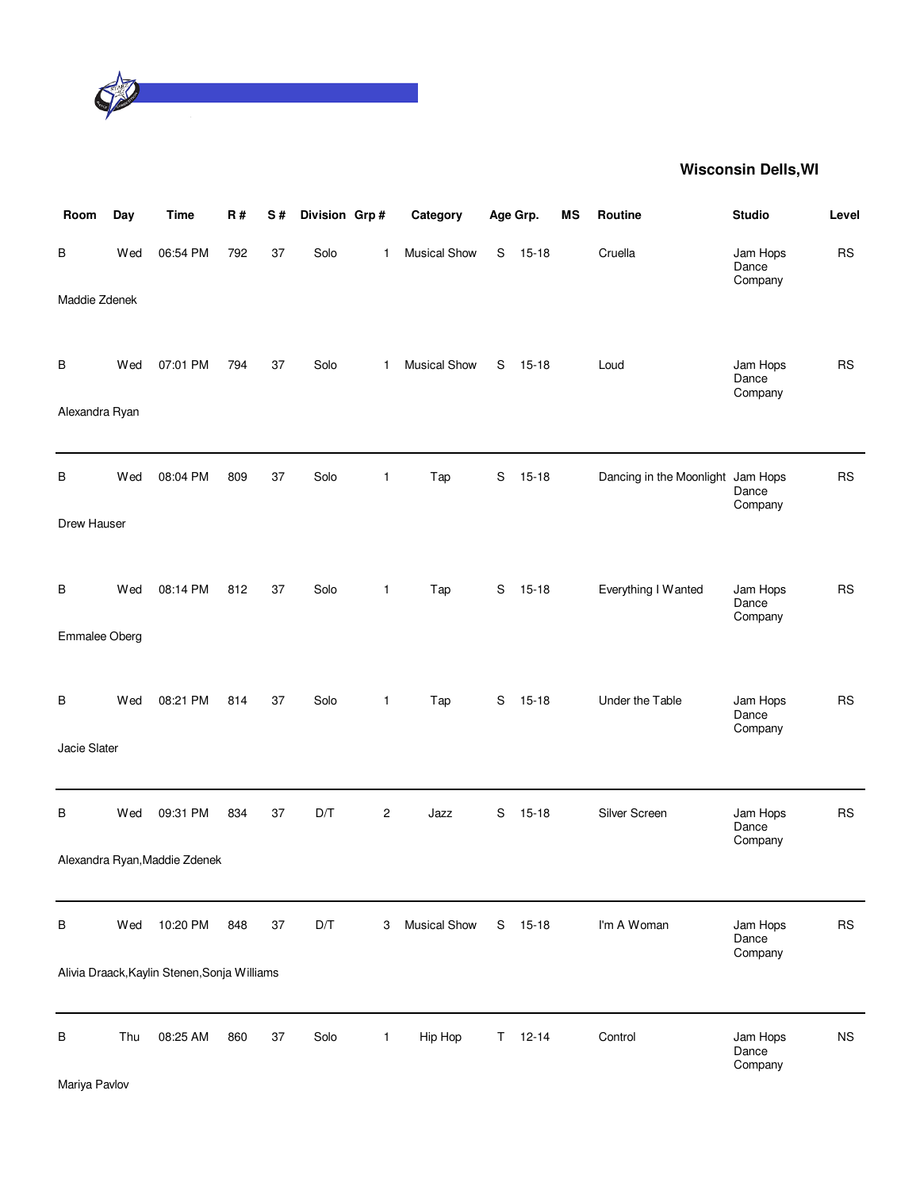

| Room           | Day | <b>Time</b>                                  | <b>R#</b> | S#     | Division Grp# |                | Category            |    | Age Grp.  | MS | Routine                           | <b>Studio</b>                | Level     |
|----------------|-----|----------------------------------------------|-----------|--------|---------------|----------------|---------------------|----|-----------|----|-----------------------------------|------------------------------|-----------|
| В              | Wed | 06:54 PM                                     | 792       | 37     | Solo          | $\mathbf{1}$   | <b>Musical Show</b> | S  | $15 - 18$ |    | Cruella                           | Jam Hops<br>Dance<br>Company | <b>RS</b> |
| Maddie Zdenek  |     |                                              |           |        |               |                |                     |    |           |    |                                   |                              |           |
| В              | Wed | 07:01 PM                                     | 794       | 37     | Solo          | 1              | <b>Musical Show</b> | S  | $15 - 18$ |    | Loud                              | Jam Hops<br>Dance<br>Company | <b>RS</b> |
| Alexandra Ryan |     |                                              |           |        |               |                |                     |    |           |    |                                   |                              |           |
| B              | Wed | 08:04 PM                                     | 809       | 37     | Solo          | $\mathbf{1}$   | Tap                 | S  | $15 - 18$ |    | Dancing in the Moonlight Jam Hops | Dance<br>Company             | <b>RS</b> |
| Drew Hauser    |     |                                              |           |        |               |                |                     |    |           |    |                                   |                              |           |
| В              | Wed | 08:14 PM                                     | 812       | 37     | Solo          | $\mathbf{1}$   | Tap                 | S  | $15 - 18$ |    | Everything I Wanted               | Jam Hops<br>Dance<br>Company | <b>RS</b> |
| Emmalee Oberg  |     |                                              |           |        |               |                |                     |    |           |    |                                   |                              |           |
| В              | Wed | 08:21 PM                                     | 814       | 37     | Solo          | $\mathbf{1}$   | Tap                 | S  | $15 - 18$ |    | Under the Table                   | Jam Hops<br>Dance<br>Company | <b>RS</b> |
| Jacie Slater   |     |                                              |           |        |               |                |                     |    |           |    |                                   |                              |           |
| В              | Wed | 09:31 PM                                     | 834       | 37     | D/T           | $\overline{c}$ | Jazz                | S  | $15 - 18$ |    | Silver Screen                     | Jam Hops<br>Dance<br>Company | <b>RS</b> |
|                |     | Alexandra Ryan, Maddie Zdenek                |           |        |               |                |                     |    |           |    |                                   |                              |           |
| $\sf B$        | Wed | 10:20 PM                                     | 848       | $37\,$ | D/T           | 3              | <b>Musical Show</b> | S  | $15 - 18$ |    | I'm A Woman                       | Jam Hops<br>Dance<br>Company | <b>RS</b> |
|                |     | Alivia Draack, Kaylin Stenen, Sonja Williams |           |        |               |                |                     |    |           |    |                                   |                              |           |
| B              | Thu | 08:25 AM                                     | 860       | 37     | Solo          | $\mathbf{1}$   | Hip Hop             | T. | $12 - 14$ |    | Control                           | Jam Hops<br>Dance<br>Company | <b>NS</b> |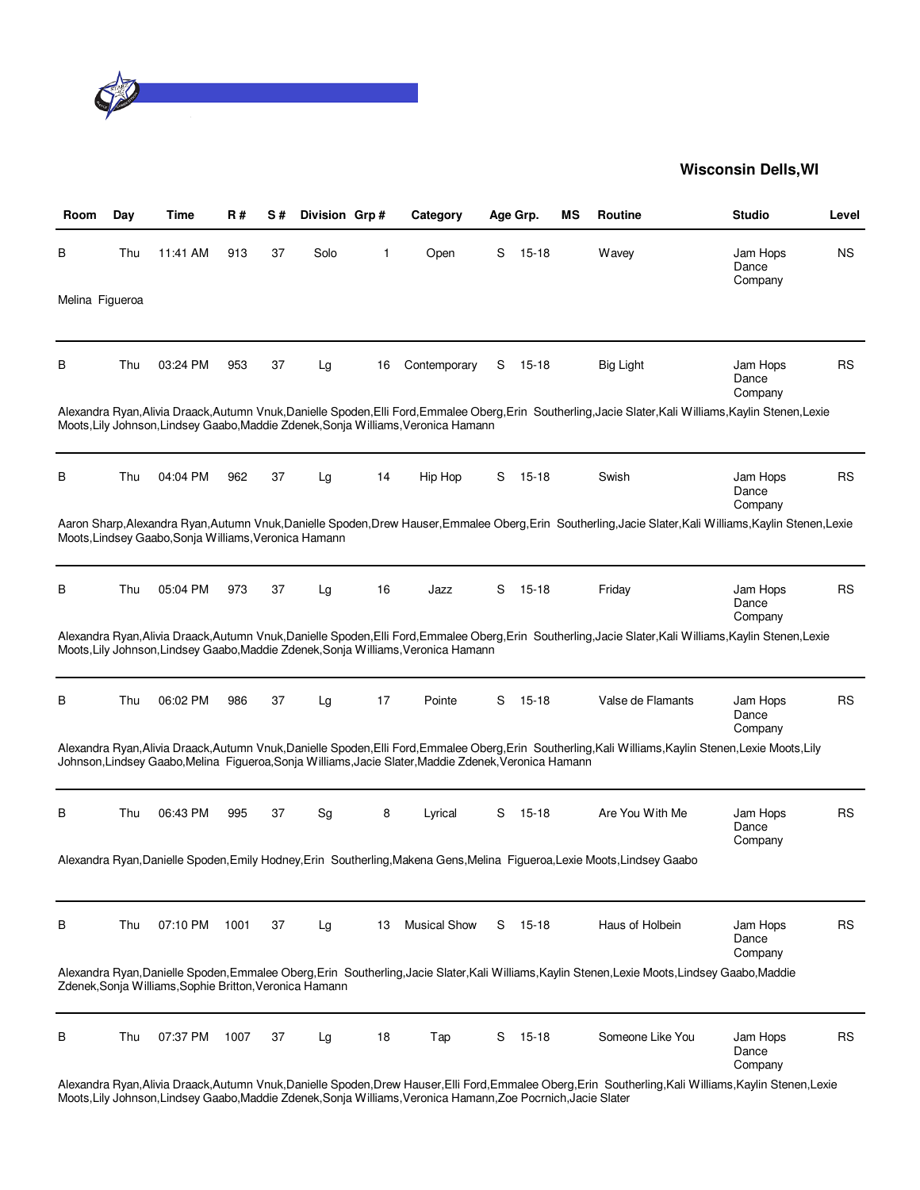

| Room            | Day | Time                                                    | R#   | S# | Division Grp# |    | Category                                                                                              |   | Age Grp.  | ΜS | Routine                                                                                                                                                    | <b>Studio</b>                | Level     |
|-----------------|-----|---------------------------------------------------------|------|----|---------------|----|-------------------------------------------------------------------------------------------------------|---|-----------|----|------------------------------------------------------------------------------------------------------------------------------------------------------------|------------------------------|-----------|
| В               | Thu | 11:41 AM                                                | 913  | 37 | Solo          | 1  | Open                                                                                                  | S | $15 - 18$ |    | Wavey                                                                                                                                                      | Jam Hops<br>Dance<br>Company | <b>NS</b> |
| Melina Figueroa |     |                                                         |      |    |               |    |                                                                                                       |   |           |    |                                                                                                                                                            |                              |           |
| в               | Thu | 03:24 PM                                                | 953  | 37 | Lg            | 16 | Contemporary                                                                                          | S | 15-18     |    | <b>Big Light</b>                                                                                                                                           | Jam Hops<br>Dance<br>Company | <b>RS</b> |
|                 |     |                                                         |      |    |               |    | Moots, Lily Johnson, Lindsey Gaabo, Maddie Zdenek, Sonja Williams, Veronica Hamann                    |   |           |    | Alexandra Ryan, Alivia Draack, Autumn Vnuk, Danielle Spoden, Elli Ford, Emmalee Oberg, Erin Southerling, Jacie Slater, Kali Williams, Kaylin Stenen, Lexie |                              |           |
| В               | Thu | 04:04 PM                                                | 962  | 37 | Lg            | 14 | Hip Hop                                                                                               | S | $15 - 18$ |    | Swish                                                                                                                                                      | Jam Hops<br>Dance<br>Company | RS        |
|                 |     | Moots, Lindsey Gaabo, Sonja Williams, Veronica Hamann   |      |    |               |    |                                                                                                       |   |           |    | Aaron Sharp, Alexandra Ryan, Autumn Vnuk, Danielle Spoden, Drew Hauser, Emmalee Oberg, Erin Southerling, Jacie Slater, Kali Williams, Kaylin Stenen, Lexie |                              |           |
| B               | Thu | 05:04 PM                                                | 973  | 37 | Lg            | 16 | Jazz                                                                                                  | S | 15-18     |    | Friday                                                                                                                                                     | Jam Hops<br>Dance<br>Company | RS        |
|                 |     |                                                         |      |    |               |    | Moots, Lily Johnson, Lindsey Gaabo, Maddie Zdenek, Sonja Williams, Veronica Hamann                    |   |           |    | Alexandra Ryan, Alivia Draack, Autumn Vnuk, Danielle Spoden, Elli Ford, Emmalee Oberg, Erin Southerling, Jacie Slater, Kali Williams, Kaylin Stenen, Lexie |                              |           |
| В               | Thu | 06:02 PM                                                | 986  | 37 | Lg            | 17 | Pointe                                                                                                | S | $15 - 18$ |    | Valse de Flamants                                                                                                                                          | Jam Hops<br>Dance<br>Company | <b>RS</b> |
|                 |     |                                                         |      |    |               |    | Johnson, Lindsey Gaabo, Melina Figueroa, Sonja Williams, Jacie Slater, Maddie Zdenek, Veronica Hamann |   |           |    | Alexandra Ryan, Alivia Draack, Autumn Vnuk, Danielle Spoden, Elli Ford, Emmalee Oberg, Erin Southerling, Kali Williams, Kaylin Stenen, Lexie Moots, Lily   |                              |           |
| В               | Thu | 06:43 PM                                                | 995  | 37 | Sg            | 8  | Lyrical                                                                                               | S | $15 - 18$ |    | Are You With Me                                                                                                                                            | Jam Hops<br>Dance<br>Company | <b>RS</b> |
|                 |     |                                                         |      |    |               |    |                                                                                                       |   |           |    | Alexandra Ryan,Danielle Spoden,Emily Hodney,Erin Southerling,Makena Gens,Melina Figueroa,Lexie Moots,Lindsey Gaabo                                         |                              |           |
| В               | Thu | 07:10 PM                                                | 1001 | 37 | Lg            | 13 | <b>Musical Show</b>                                                                                   | S | 15-18     |    | Haus of Holbein                                                                                                                                            | Jam Hops<br>Dance<br>Company | <b>RS</b> |
|                 |     | Zdenek, Sonja Williams, Sophie Britton, Veronica Hamann |      |    |               |    |                                                                                                       |   |           |    | Alexandra Ryan, Danielle Spoden, Emmalee Oberg, Erin Southerling, Jacie Slater, Kali Williams, Kaylin Stenen, Lexie Moots, Lindsey Gaabo, Maddie           |                              |           |
| В               | Thu | 07:37 PM                                                | 1007 | 37 | Lg            | 18 | Tap                                                                                                   | S | $15 - 18$ |    | Someone Like You                                                                                                                                           | Jam Hops<br>Dance<br>Company | <b>RS</b> |
|                 |     |                                                         |      |    |               |    |                                                                                                       |   |           |    | Alexandra Ryan, Alivia Draack, Autumn Vnuk, Danielle Spoden, Drew Hauser, Elli Ford, Emmalee Oberg, Erin Southerling, Kali Williams, Kaylin Stenen, Lexie  |                              |           |

Moots,Lily Johnson,Lindsey Gaabo,Maddie Zdenek,Sonja Williams,Veronica Hamann,Zoe Pocrnich,Jacie Slater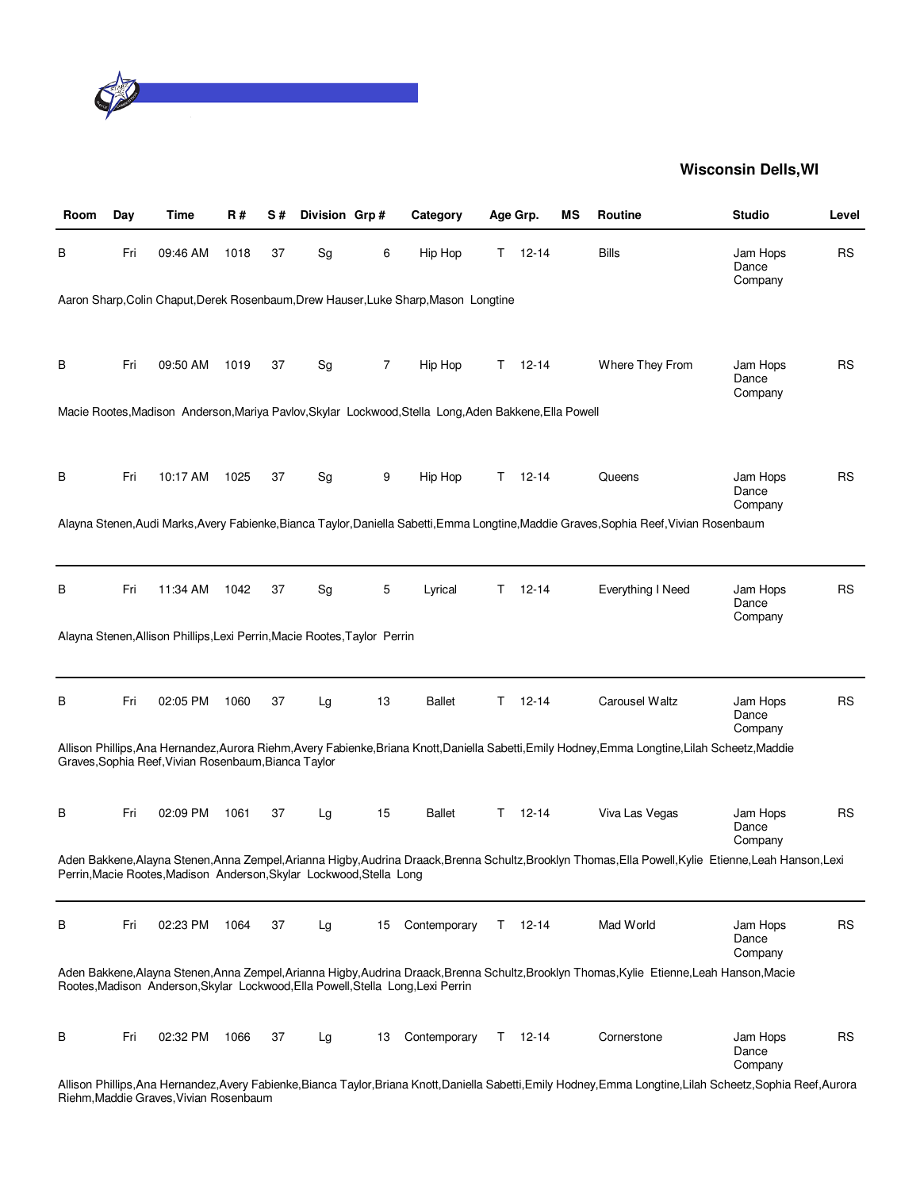

| Room | Day | Time                                                                      | R#   | S# | Division Grp# |    | Category                                                                                               |    | Age Grp.      | МS | <b>Routine</b>                                                                                                                                                  | <b>Studio</b>                | Level     |
|------|-----|---------------------------------------------------------------------------|------|----|---------------|----|--------------------------------------------------------------------------------------------------------|----|---------------|----|-----------------------------------------------------------------------------------------------------------------------------------------------------------------|------------------------------|-----------|
| В    | Fri | 09:46 AM                                                                  | 1018 | 37 | Sg            | 6  | Hip Hop                                                                                                | T. | $12 - 14$     |    | <b>Bills</b>                                                                                                                                                    | Jam Hops<br>Dance<br>Company | <b>RS</b> |
|      |     |                                                                           |      |    |               |    | Aaron Sharp, Colin Chaput, Derek Rosenbaum, Drew Hauser, Luke Sharp, Mason Longtine                    |    |               |    |                                                                                                                                                                 |                              |           |
| В    | Fri | 09:50 AM                                                                  | 1019 | 37 | Sg            | 7  | Hip Hop                                                                                                | T. | $12 - 14$     |    | Where They From                                                                                                                                                 | Jam Hops<br>Dance<br>Company | <b>RS</b> |
|      |     |                                                                           |      |    |               |    | Macie Rootes, Madison Anderson, Mariya Pavlov, Skylar Lockwood, Stella Long, Aden Bakkene, Ella Powell |    |               |    |                                                                                                                                                                 |                              |           |
| В    | Fri | 10:17 AM                                                                  | 1025 | 37 | Sg            | 9  | Hip Hop                                                                                                |    | $T = 12 - 14$ |    | Queens                                                                                                                                                          | Jam Hops<br>Dance<br>Company | RS        |
|      |     |                                                                           |      |    |               |    |                                                                                                        |    |               |    | Alayna Stenen, Audi Marks, Avery Fabienke, Bianca Taylor, Daniella Sabetti, Emma Longtine, Maddie Graves, Sophia Reef, Vivian Rosenbaum                         |                              |           |
| В    | Fri | 11:34 AM                                                                  | 1042 | 37 | Sg            | 5  | Lyrical                                                                                                | T. | $12 - 14$     |    | Everything I Need                                                                                                                                               | Jam Hops<br>Dance<br>Company | <b>RS</b> |
|      |     | Alayna Stenen, Allison Phillips, Lexi Perrin, Macie Rootes, Taylor Perrin |      |    |               |    |                                                                                                        |    |               |    |                                                                                                                                                                 |                              |           |
| В    | Fri | 02:05 PM                                                                  | 1060 | 37 | Lg            | 13 | <b>Ballet</b>                                                                                          | T. | $12 - 14$     |    | Carousel Waltz                                                                                                                                                  | Jam Hops<br>Dance<br>Company | <b>RS</b> |
|      |     | Graves, Sophia Reef, Vivian Rosenbaum, Bianca Taylor                      |      |    |               |    |                                                                                                        |    |               |    | Allison Phillips, Ana Hernandez, Aurora Riehm, Avery Fabienke, Briana Knott, Daniella Sabetti, Emily Hodney, Emma Longtine, Lilah Scheetz, Maddie               |                              |           |
| В    | Fri | 02:09 PM                                                                  | 1061 | 37 | Lg            | 15 | <b>Ballet</b>                                                                                          | T. | $12 - 14$     |    | Viva Las Vegas                                                                                                                                                  | Jam Hops<br>Dance<br>Company | <b>RS</b> |
|      |     | Perrin, Macie Rootes, Madison Anderson, Skylar Lockwood, Stella Long      |      |    |               |    |                                                                                                        |    |               |    | Aden Bakkene, Alayna Stenen, Anna Zempel, Arianna Higby, Audrina Draack, Brenna Schultz, Brooklyn Thomas, Ella Powell, Kylie Etienne, Leah Hanson, Lexi         |                              |           |
| В    | Fri | 02:23 PM                                                                  | 1064 | 37 | Lg            | 15 | Contemporary                                                                                           | T. | 12-14         |    | Mad World                                                                                                                                                       | Jam Hops<br>Dance<br>Company | <b>RS</b> |
|      |     |                                                                           |      |    |               |    | Rootes, Madison Anderson, Skylar Lockwood, Ella Powell, Stella Long, Lexi Perrin                       |    |               |    | Aden Bakkene, Alayna Stenen, Anna Zempel, Arianna Higby, Audrina Draack, Brenna Schultz, Brooklyn Thomas, Kylie Etienne, Leah Hanson, Macie                     |                              |           |
| В    | Fri | 02:32 PM                                                                  | 1066 | 37 | Lg            | 13 | Contemporary                                                                                           | T. | 12-14         |    | Cornerstone                                                                                                                                                     | Jam Hops<br>Dance<br>Company | <b>RS</b> |
|      |     |                                                                           |      |    |               |    |                                                                                                        |    |               |    | Allison Phillips, Ana Hernandez, Avery Fabienke, Bianca Taylor, Briana Knott, Daniella Sabetti, Emily Hodney, Emma Longtine, Lilah Scheetz, Sophia Reef, Aurora |                              |           |

Riehm,Maddie Graves,Vivian Rosenbaum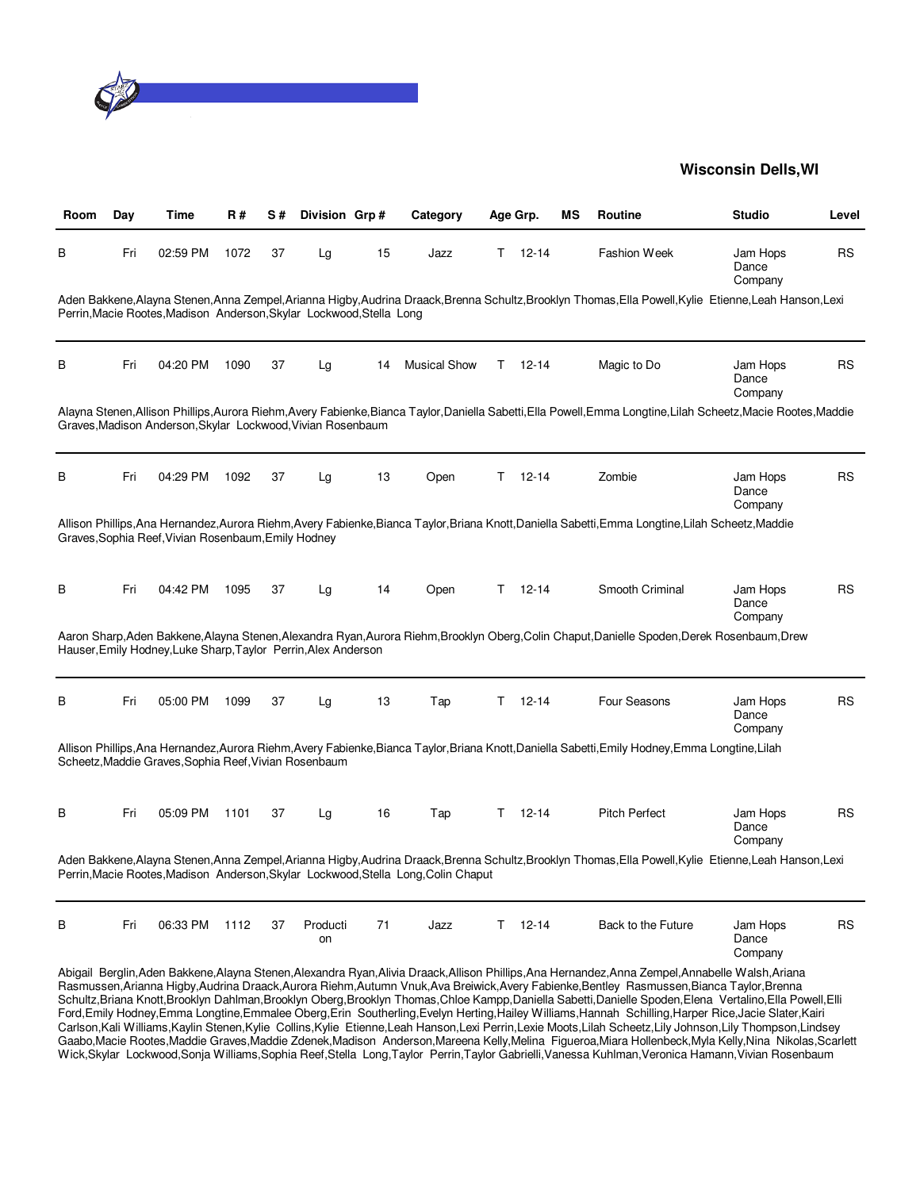

| Room | Day | Time                                                                 | R#   | S# | Division Grp#  |    | Category                                                                           |    | Age Grp.      | ΜS | Routine                                                                                                                                                                                                                                                                                                                                                                                                                                                                                                                                                                                                                                                                                                                                                                                                                                                                                                                                                                                                                                                                                           | <b>Studio</b>                | Level     |
|------|-----|----------------------------------------------------------------------|------|----|----------------|----|------------------------------------------------------------------------------------|----|---------------|----|---------------------------------------------------------------------------------------------------------------------------------------------------------------------------------------------------------------------------------------------------------------------------------------------------------------------------------------------------------------------------------------------------------------------------------------------------------------------------------------------------------------------------------------------------------------------------------------------------------------------------------------------------------------------------------------------------------------------------------------------------------------------------------------------------------------------------------------------------------------------------------------------------------------------------------------------------------------------------------------------------------------------------------------------------------------------------------------------------|------------------------------|-----------|
| В    | Fri | 02:59 PM                                                             | 1072 | 37 | Lg             | 15 | Jazz                                                                               | T. | $12 - 14$     |    | Fashion Week                                                                                                                                                                                                                                                                                                                                                                                                                                                                                                                                                                                                                                                                                                                                                                                                                                                                                                                                                                                                                                                                                      | Jam Hops<br>Dance<br>Company | <b>RS</b> |
|      |     | Perrin, Macie Rootes, Madison Anderson, Skylar Lockwood, Stella Long |      |    |                |    |                                                                                    |    |               |    | Aden Bakkene, Alayna Stenen, Anna Zempel, Arianna Higby, Audrina Draack, Brenna Schultz, Brooklyn Thomas, Ella Powell, Kylie Etienne, Leah Hanson, Lexi                                                                                                                                                                                                                                                                                                                                                                                                                                                                                                                                                                                                                                                                                                                                                                                                                                                                                                                                           |                              |           |
| В    | Fri | 04:20 PM                                                             | 1090 | 37 | Lg             | 14 | <b>Musical Show</b>                                                                | T. | $12 - 14$     |    | Magic to Do                                                                                                                                                                                                                                                                                                                                                                                                                                                                                                                                                                                                                                                                                                                                                                                                                                                                                                                                                                                                                                                                                       | Jam Hops<br>Dance<br>Company | <b>RS</b> |
|      |     | Graves, Madison Anderson, Skylar Lockwood, Vivian Rosenbaum          |      |    |                |    |                                                                                    |    |               |    | Alayna Stenen, Allison Phillips, Aurora Riehm, Avery Fabienke, Bianca Taylor, Daniella Sabetti, Ella Powell, Emma Longtine, Lilah Scheetz, Macie Rootes, Maddie                                                                                                                                                                                                                                                                                                                                                                                                                                                                                                                                                                                                                                                                                                                                                                                                                                                                                                                                   |                              |           |
| В    | Fri | 04:29 PM                                                             | 1092 | 37 | Lg             | 13 | Open                                                                               | T. | $12 - 14$     |    | Zombie                                                                                                                                                                                                                                                                                                                                                                                                                                                                                                                                                                                                                                                                                                                                                                                                                                                                                                                                                                                                                                                                                            | Jam Hops<br>Dance<br>Company | <b>RS</b> |
|      |     | Graves, Sophia Reef, Vivian Rosenbaum, Emily Hodney                  |      |    |                |    |                                                                                    |    |               |    | Allison Phillips, Ana Hernandez, Aurora Riehm, Avery Fabienke, Bianca Taylor, Briana Knott, Daniella Sabetti, Emma Longtine, Lilah Scheetz, Maddie                                                                                                                                                                                                                                                                                                                                                                                                                                                                                                                                                                                                                                                                                                                                                                                                                                                                                                                                                |                              |           |
| В    | Fri | 04:42 PM                                                             | 1095 | 37 | Lg             | 14 | Open                                                                               | T. | $12 - 14$     |    | Smooth Criminal                                                                                                                                                                                                                                                                                                                                                                                                                                                                                                                                                                                                                                                                                                                                                                                                                                                                                                                                                                                                                                                                                   | Jam Hops<br>Dance<br>Company | <b>RS</b> |
|      |     | Hauser, Emily Hodney, Luke Sharp, Taylor Perrin, Alex Anderson       |      |    |                |    |                                                                                    |    |               |    | Aaron Sharp, Aden Bakkene, Alayna Stenen, Alexandra Ryan, Aurora Riehm, Brooklyn Oberg, Colin Chaput, Danielle Spoden, Derek Rosenbaum, Drew                                                                                                                                                                                                                                                                                                                                                                                                                                                                                                                                                                                                                                                                                                                                                                                                                                                                                                                                                      |                              |           |
| В    | Fri | 05:00 PM                                                             | 1099 | 37 | Lg             | 13 | Tap                                                                                | T. | $12 - 14$     |    | Four Seasons                                                                                                                                                                                                                                                                                                                                                                                                                                                                                                                                                                                                                                                                                                                                                                                                                                                                                                                                                                                                                                                                                      | Jam Hops<br>Dance<br>Company | <b>RS</b> |
|      |     | Scheetz, Maddie Graves, Sophia Reef, Vivian Rosenbaum                |      |    |                |    |                                                                                    |    |               |    | Allison Phillips, Ana Hernandez, Aurora Riehm, Avery Fabienke, Bianca Taylor, Briana Knott, Daniella Sabetti, Emily Hodney, Emma Longtine, Lilah                                                                                                                                                                                                                                                                                                                                                                                                                                                                                                                                                                                                                                                                                                                                                                                                                                                                                                                                                  |                              |           |
| В    | Fri | 05:09 PM                                                             | 1101 | 37 | Lg             | 16 | Tap                                                                                | T. | $12 - 14$     |    | <b>Pitch Perfect</b>                                                                                                                                                                                                                                                                                                                                                                                                                                                                                                                                                                                                                                                                                                                                                                                                                                                                                                                                                                                                                                                                              | Jam Hops<br>Dance<br>Company | <b>RS</b> |
|      |     |                                                                      |      |    |                |    | Perrin, Macie Rootes, Madison Anderson, Skylar Lockwood, Stella Long, Colin Chaput |    |               |    | Aden Bakkene, Alayna Stenen, Anna Zempel, Arianna Higby, Audrina Draack, Brenna Schultz, Brooklyn Thomas, Ella Powell, Kylie Etienne, Leah Hanson, Lexi                                                                                                                                                                                                                                                                                                                                                                                                                                                                                                                                                                                                                                                                                                                                                                                                                                                                                                                                           |                              |           |
| В    | Fri | 06:33 PM                                                             | 1112 | 37 | Producti<br>on | 71 | Jazz                                                                               |    | $T = 12 - 14$ |    | Back to the Future                                                                                                                                                                                                                                                                                                                                                                                                                                                                                                                                                                                                                                                                                                                                                                                                                                                                                                                                                                                                                                                                                | Jam Hops<br>Dance<br>Company | <b>RS</b> |
|      |     |                                                                      |      |    |                |    |                                                                                    |    |               |    | Abigail Berglin, Aden Bakkene, Alayna Stenen, Alexandra Ryan, Alivia Draack, Allison Phillips, Ana Hernandez, Anna Zempel, Annabelle Walsh, Ariana<br>Rasmussen, Arianna Higby, Audrina Draack, Aurora Riehm, Autumn Vnuk, Ava Breiwick, Avery Fabienke, Bentley Rasmussen, Bianca Taylor, Brenna<br>Schultz, Briana Knott, Brooklyn Dahlman, Brooklyn Oberg, Brooklyn Thomas, Chloe Kampp, Daniella Sabetti, Danielle Spoden, Elena Vertalino, Ella Powell, Elli<br>Ford, Emily Hodney, Emma Longtine, Emmalee Oberg, Erin Southerling, Evelyn Herting, Hailey Williams, Hannah Schilling, Harper Rice, Jacie Slater, Kairi<br>Carlson, Kali Williams, Kaylin Stenen, Kylie Collins, Kylie Etienne, Leah Hanson, Lexi Perrin, Lexie Moots, Lilah Scheetz, Lily Johnson, Lily Thompson, Lindsey<br>Gaabo,Macie Rootes,Maddie Graves,Maddie Zdenek,Madison Anderson,Mareena Kelly,Melina Figueroa,Miara Hollenbeck,Myla Kelly,Nina Nikolas,Scarlett<br>Wick,Skylar Lockwood,Sonja Williams,Sophia Reef,Stella Long,Taylor Perrin,Taylor Gabrielli,Vanessa Kuhlman,Veronica Hamann,Vivian Rosenbaum |                              |           |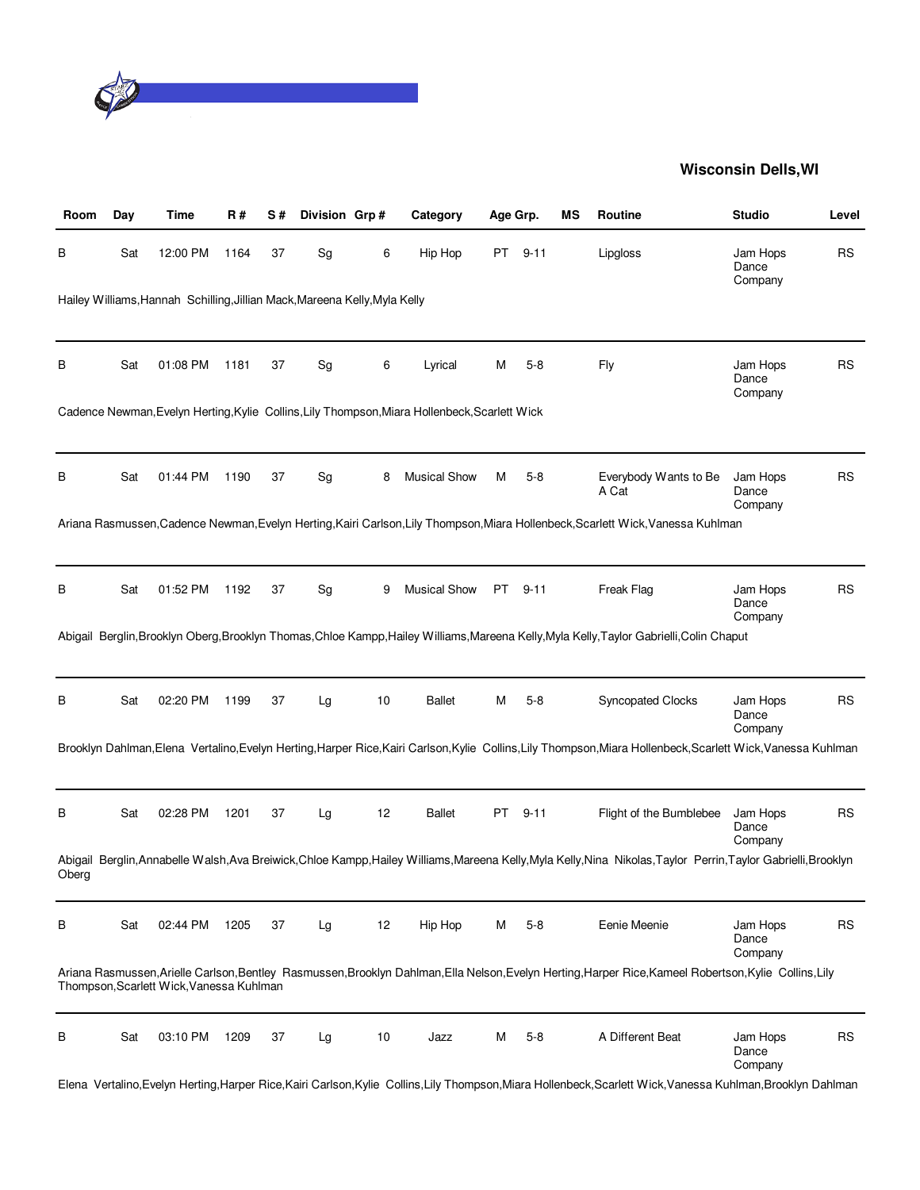

| Room  | Day | Time                                                                       | R#   | S# | Division Grp# |    | Category                                                                                      | Age Grp. |          | ΜS | Routine                                                                                                                                                          | <b>Studio</b>                | Level     |
|-------|-----|----------------------------------------------------------------------------|------|----|---------------|----|-----------------------------------------------------------------------------------------------|----------|----------|----|------------------------------------------------------------------------------------------------------------------------------------------------------------------|------------------------------|-----------|
| В     | Sat | 12:00 PM                                                                   | 1164 | 37 | Sg            | 6  | Hip Hop                                                                                       | PT       | $9 - 11$ |    | Lipgloss                                                                                                                                                         | Jam Hops<br>Dance<br>Company | <b>RS</b> |
|       |     | Hailey Williams, Hannah Schilling, Jillian Mack, Mareena Kelly, Myla Kelly |      |    |               |    |                                                                                               |          |          |    |                                                                                                                                                                  |                              |           |
| В     | Sat | 01:08 PM                                                                   | 1181 | 37 | Sg            | 6  | Lyrical                                                                                       | M        | $5 - 8$  |    | Fly                                                                                                                                                              | Jam Hops<br>Dance<br>Company | <b>RS</b> |
|       |     |                                                                            |      |    |               |    | Cadence Newman, Evelyn Herting, Kylie Collins, Lily Thompson, Miara Hollenbeck, Scarlett Wick |          |          |    |                                                                                                                                                                  |                              |           |
| В     | Sat | 01:44 PM                                                                   | 1190 | 37 | Sg            | 8  | <b>Musical Show</b>                                                                           | M        | $5-8$    |    | Everybody Wants to Be<br>A Cat                                                                                                                                   | Jam Hops<br>Dance<br>Company | RS        |
|       |     |                                                                            |      |    |               |    |                                                                                               |          |          |    | Ariana Rasmussen, Cadence Newman, Evelyn Herting, Kairi Carlson, Lily Thompson, Miara Hollenbeck, Scarlett Wick, Vanessa Kuhlman                                 |                              |           |
| В     | Sat | 01:52 PM                                                                   | 1192 | 37 | Sg            | 9  | <b>Musical Show</b>                                                                           | PT       | $9 - 11$ |    | Freak Flag                                                                                                                                                       | Jam Hops<br>Dance<br>Company | RS        |
|       |     |                                                                            |      |    |               |    |                                                                                               |          |          |    | Abigail Berglin, Brooklyn Oberg, Brooklyn Thomas, Chloe Kampp, Hailey Williams, Mareena Kelly, Myla Kelly, Taylor Gabrielli, Colin Chaput                        |                              |           |
| В     | Sat | 02:20 PM                                                                   | 1199 | 37 | Lg            | 10 | <b>Ballet</b>                                                                                 | M        | $5-8$    |    | <b>Syncopated Clocks</b>                                                                                                                                         | Jam Hops<br>Dance<br>Company | <b>RS</b> |
|       |     |                                                                            |      |    |               |    |                                                                                               |          |          |    | Brooklyn Dahlman, Elena Vertalino, Evelyn Herting, Harper Rice, Kairi Carlson, Kylie Collins, Lily Thompson, Miara Hollenbeck, Scarlett Wick, Vanessa Kuhlman    |                              |           |
| В     | Sat | 02:28 PM                                                                   | 1201 | 37 | Lg            | 12 | <b>Ballet</b>                                                                                 | PT       | $9 - 11$ |    | Flight of the Bumblebee                                                                                                                                          | Jam Hops<br>Dance<br>Company | <b>RS</b> |
| Oberg |     |                                                                            |      |    |               |    |                                                                                               |          |          |    | Abigail Berglin, Annabelle Walsh, Ava Breiwick, Chloe Kampp, Hailey Williams, Mareena Kelly, Myla Kelly, Nina Nikolas, Taylor Perrin, Taylor Gabrielli, Brooklyn |                              |           |
| В     | Sat | 02:44 PM                                                                   | 1205 | 37 | Lg            | 12 | Hip Hop                                                                                       | м        | $5 - 8$  |    | Eenie Meenie                                                                                                                                                     | Jam Hops<br>Dance<br>Company | <b>RS</b> |
|       |     | Thompson, Scarlett Wick, Vanessa Kuhlman                                   |      |    |               |    |                                                                                               |          |          |    | Ariana Rasmussen, Arielle Carlson, Bentley Rasmussen, Brooklyn Dahlman, Ella Nelson, Evelyn Herting, Harper Rice, Kameel Robertson, Kylie Collins, Lily          |                              |           |
| В     | Sat | 03:10 PM                                                                   | 1209 | 37 | Lg            | 10 | Jazz                                                                                          | м        | 5-8      |    | A Different Beat                                                                                                                                                 | Jam Hops<br>Dance<br>Company | <b>RS</b> |
|       |     |                                                                            |      |    |               |    |                                                                                               |          |          |    | Elena Vertalino, Evelyn Herting, Harper Rice, Kairi Carlson, Kylie Collins, Lily Thompson, Miara Hollenbeck, Scarlett Wick, Vanessa Kuhlman, Brooklyn Dahlman    |                              |           |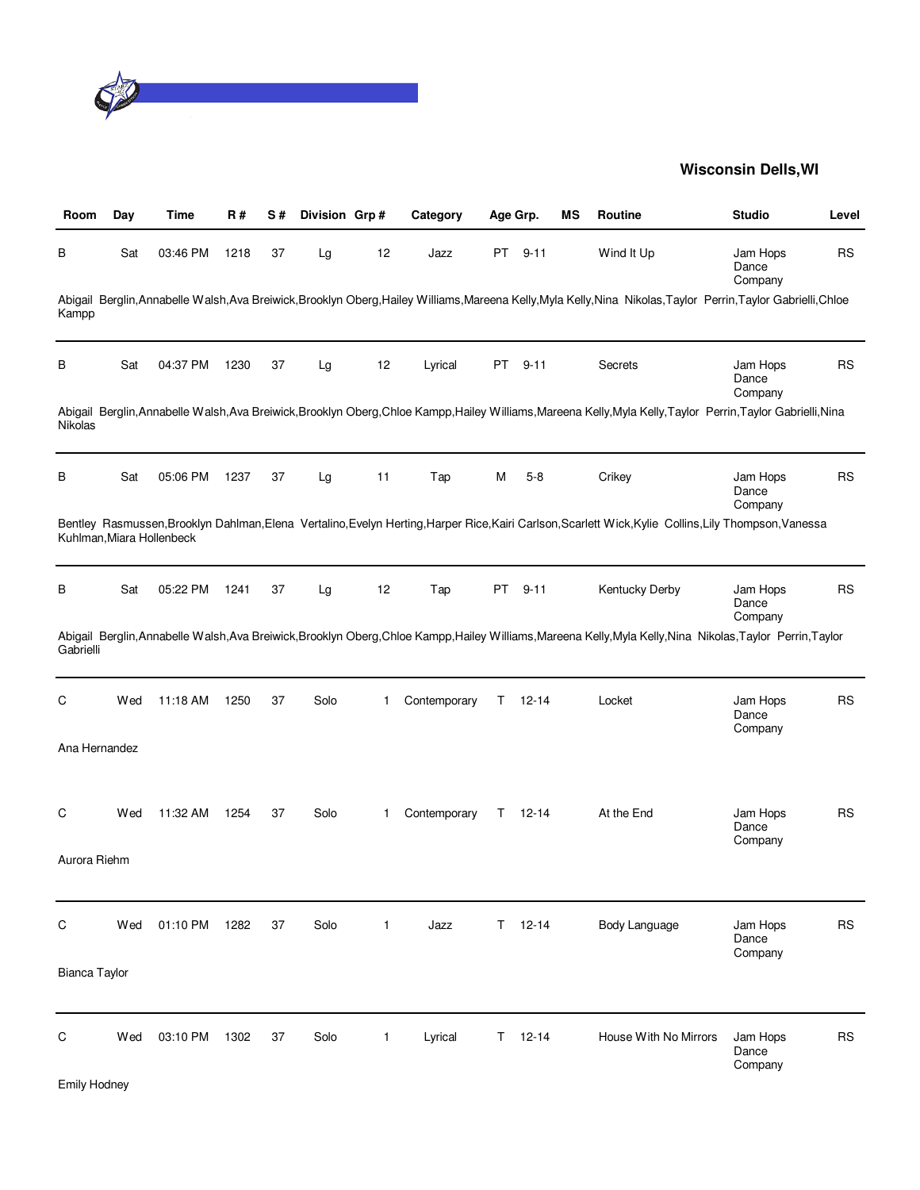

| Room                 | Day | Time                      | R#   | S# | Division Grp# |              | Category     |    | Age Grp.  | ΜS | Routine                                                                                                                                                          | <b>Studio</b>                | Level     |
|----------------------|-----|---------------------------|------|----|---------------|--------------|--------------|----|-----------|----|------------------------------------------------------------------------------------------------------------------------------------------------------------------|------------------------------|-----------|
| В                    | Sat | 03:46 PM                  | 1218 | 37 | Lg            | 12           | Jazz         | PT | $9 - 11$  |    | Wind It Up                                                                                                                                                       | Jam Hops<br>Dance<br>Company | <b>RS</b> |
| Kampp                |     |                           |      |    |               |              |              |    |           |    | Abigail Berglin, Annabelle Walsh, Ava Breiwick, Brooklyn Oberg, Hailey Williams, Mareena Kelly, Myla Kelly, Nina Nikolas, Taylor Perrin, Taylor Gabrielli, Chloe |                              |           |
| В                    | Sat | 04:37 PM                  | 1230 | 37 | Lg            | 12           | Lyrical      | PT | $9 - 11$  |    | <b>Secrets</b>                                                                                                                                                   | Jam Hops<br>Dance<br>Company | <b>RS</b> |
| Nikolas              |     |                           |      |    |               |              |              |    |           |    | Abigail Berglin, Annabelle Walsh, Ava Breiwick, Brooklyn Oberg, Chloe Kampp, Hailey Williams, Mareena Kelly, Myla Kelly, Taylor Perrin, Taylor Gabrielli, Nina   |                              |           |
| В                    | Sat | 05:06 PM                  | 1237 | 37 | Lg            | 11           | Tap          | м  | $5 - 8$   |    | Crikey                                                                                                                                                           | Jam Hops<br>Dance<br>Company | <b>RS</b> |
|                      |     | Kuhlman, Miara Hollenbeck |      |    |               |              |              |    |           |    | Bentley Rasmussen, Brooklyn Dahlman, Elena Vertalino, Evelyn Herting, Harper Rice, Kairi Carlson, Scarlett Wick, Kylie Collins, Lily Thompson, Vanessa           |                              |           |
| B                    | Sat | 05:22 PM                  | 1241 | 37 | Lg            | 12           | Tap          | PT | $9 - 11$  |    | <b>Kentucky Derby</b>                                                                                                                                            | Jam Hops<br>Dance<br>Company | <b>RS</b> |
| Gabrielli            |     |                           |      |    |               |              |              |    |           |    | Abigail Berglin, Annabelle Walsh, Ava Breiwick, Brooklyn Oberg, Chloe Kampp, Hailey Williams, Mareena Kelly, Myla Kelly, Nina Nikolas, Taylor Perrin, Taylor     |                              |           |
| С                    | Wed | 11:18 AM                  | 1250 | 37 | Solo          | 1            | Contemporary | Τ  | $12 - 14$ |    | Locket                                                                                                                                                           | Jam Hops<br>Dance<br>Company | <b>RS</b> |
| Ana Hernandez        |     |                           |      |    |               |              |              |    |           |    |                                                                                                                                                                  |                              |           |
| С                    | Wed | 11:32 AM                  | 1254 | 37 | Solo          | 1            | Contemporary | T  | $12 - 14$ |    | At the End                                                                                                                                                       | Jam Hops<br>Dance<br>Company | <b>RS</b> |
| Aurora Riehm         |     |                           |      |    |               |              |              |    |           |    |                                                                                                                                                                  |                              |           |
| C                    | Wed | 01:10 PM                  | 1282 | 37 | Solo          | 1            | Jazz         | T. | $12 - 14$ |    | Body Language                                                                                                                                                    | Jam Hops<br>Dance<br>Company | <b>RS</b> |
| <b>Bianca Taylor</b> |     |                           |      |    |               |              |              |    |           |    |                                                                                                                                                                  |                              |           |
| C                    | Wed | 03:10 PM                  | 1302 | 37 | Solo          | $\mathbf{1}$ | Lyrical      | T. | $12 - 14$ |    | House With No Mirrors                                                                                                                                            | Jam Hops<br>Dance<br>Company | <b>RS</b> |
| <b>Emily Hodney</b>  |     |                           |      |    |               |              |              |    |           |    |                                                                                                                                                                  |                              |           |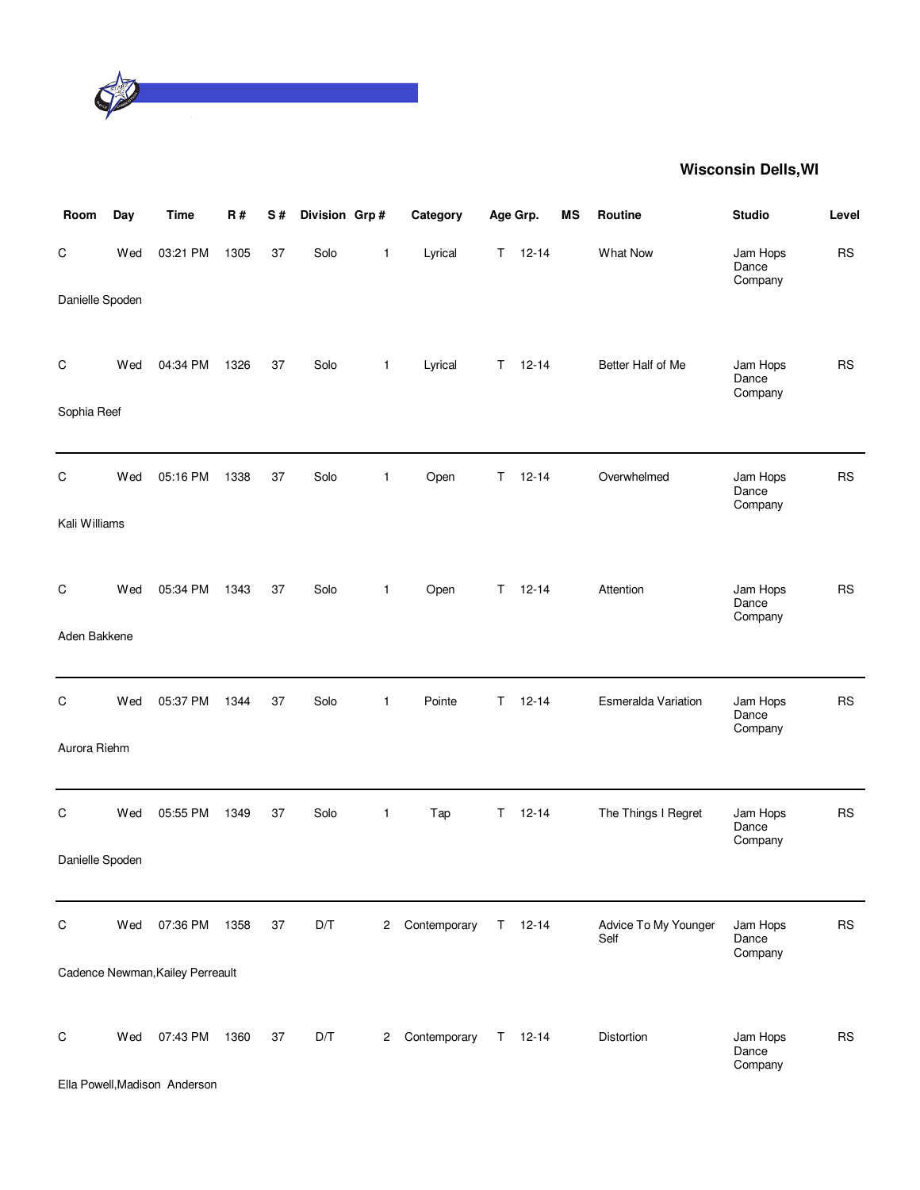

| Room            | Day | <b>Time</b>                      | R#   | S# | Division Grp# |              | Category     |    | Age Grp.      | MS | Routine                      | <b>Studio</b>                | Level     |
|-----------------|-----|----------------------------------|------|----|---------------|--------------|--------------|----|---------------|----|------------------------------|------------------------------|-----------|
| $\mathsf C$     | Wed | 03:21 PM                         | 1305 | 37 | Solo          | $\mathbf{1}$ | Lyrical      | T. | $12 - 14$     |    | <b>What Now</b>              | Jam Hops<br>Dance<br>Company | <b>RS</b> |
| Danielle Spoden |     |                                  |      |    |               |              |              |    |               |    |                              |                              |           |
| C               | Wed | 04:34 PM                         | 1326 | 37 | Solo          | $\mathbf{1}$ | Lyrical      | T. | $12 - 14$     |    | Better Half of Me            | Jam Hops<br>Dance<br>Company | <b>RS</b> |
| Sophia Reef     |     |                                  |      |    |               |              |              |    |               |    |                              |                              |           |
|                 |     |                                  |      |    |               |              |              |    |               |    |                              |                              |           |
| C               | Wed | 05:16 PM                         | 1338 | 37 | Solo          | $\mathbf{1}$ | Open         | T. | $12 - 14$     |    | Overwhelmed                  | Jam Hops<br>Dance<br>Company | <b>RS</b> |
| Kali Williams   |     |                                  |      |    |               |              |              |    |               |    |                              |                              |           |
|                 |     |                                  |      |    |               |              |              |    |               |    |                              |                              |           |
| C               | Wed | 05:34 PM                         | 1343 | 37 | Solo          | $\mathbf{1}$ | Open         | T. | $12 - 14$     |    | Attention                    | Jam Hops<br>Dance<br>Company | <b>RS</b> |
| Aden Bakkene    |     |                                  |      |    |               |              |              |    |               |    |                              |                              |           |
|                 |     |                                  |      |    |               |              |              |    |               |    |                              |                              |           |
| C               | Wed | 05:37 PM                         | 1344 | 37 | Solo          | $\mathbf{1}$ | Pointe       | T  | $12 - 14$     |    | Esmeralda Variation          | Jam Hops<br>Dance<br>Company | <b>RS</b> |
| Aurora Riehm    |     |                                  |      |    |               |              |              |    |               |    |                              |                              |           |
|                 |     |                                  |      |    |               |              |              |    |               |    |                              |                              |           |
| C               | Wed | 05:55 PM                         | 1349 | 37 | Solo          | $\mathbf{1}$ | Tap          | Τ  | $12 - 14$     |    | The Things I Regret          | Jam Hops<br>Dance<br>Company | <b>RS</b> |
| Danielle Spoden |     |                                  |      |    |               |              |              |    |               |    |                              |                              |           |
|                 |     |                                  |      |    |               |              |              |    |               |    |                              |                              |           |
| $\mathsf C$     | Wed | 07:36 PM                         | 1358 | 37 | D/T           | $^{2}$       | Contemporary | T. | $12 - 14$     |    | Advice To My Younger<br>Self | Jam Hops<br>Dance<br>Company | <b>RS</b> |
|                 |     | Cadence Newman, Kailey Perreault |      |    |               |              |              |    |               |    |                              |                              |           |
|                 |     |                                  |      |    |               |              |              |    |               |    |                              |                              |           |
| $\mathsf C$     | Wed | 07:43 PM                         | 1360 | 37 | D/T           | 2            | Contemporary |    | $T = 12 - 14$ |    | Distortion                   | Jam Hops<br>Dance<br>Company | <b>RS</b> |
|                 |     | Ella Powell, Madison Anderson    |      |    |               |              |              |    |               |    |                              |                              |           |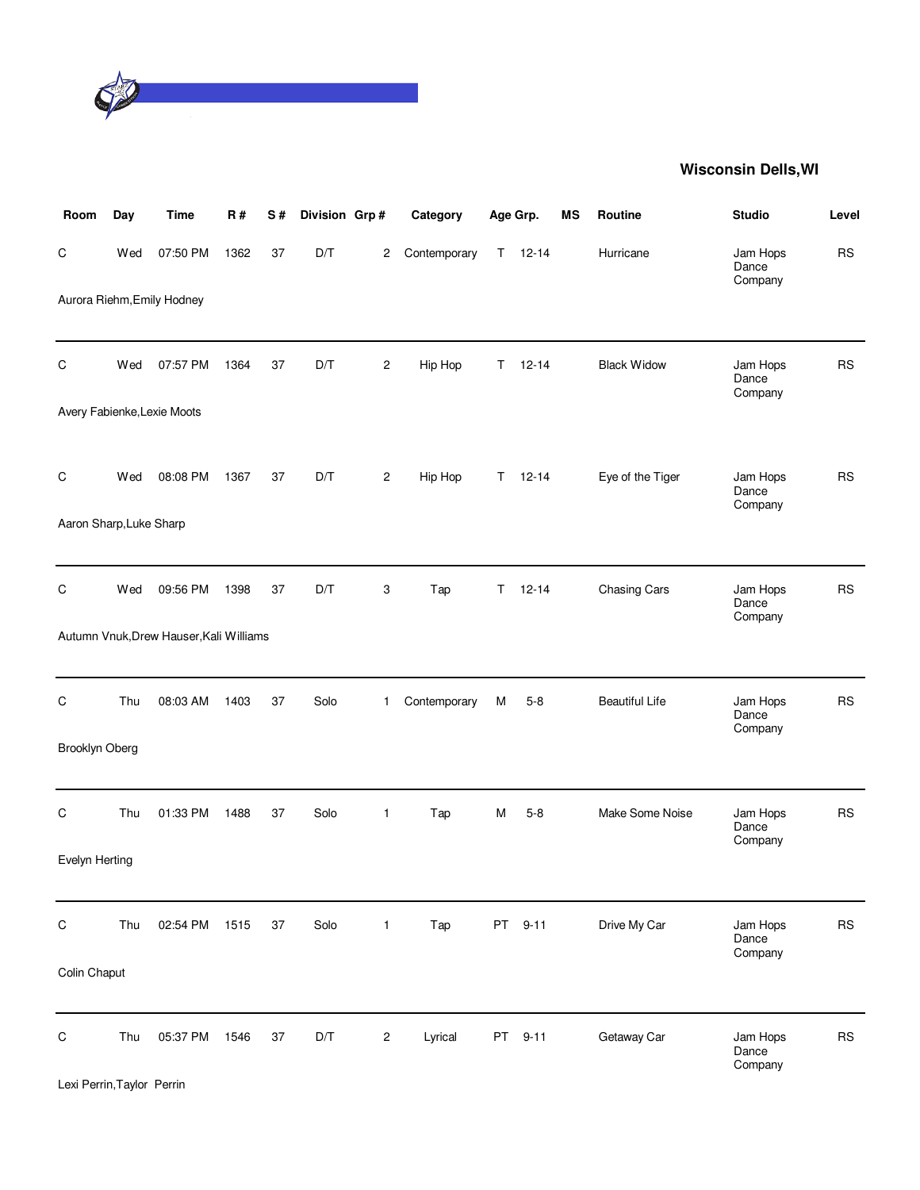

| Room                    | Day | <b>Time</b>                             | <b>R#</b> | S# | Division Grp# |                | Category     |    | Age Grp.  | MS | Routine               | <b>Studio</b>                | Level      |
|-------------------------|-----|-----------------------------------------|-----------|----|---------------|----------------|--------------|----|-----------|----|-----------------------|------------------------------|------------|
| C                       | Wed | 07:50 PM                                | 1362      | 37 | D/T           | $\overline{2}$ | Contemporary | T. | $12 - 14$ |    | Hurricane             | Jam Hops<br>Dance<br>Company | <b>RS</b>  |
|                         |     | Aurora Riehm, Emily Hodney              |           |    |               |                |              |    |           |    |                       |                              |            |
| С                       | Wed | 07:57 PM                                | 1364      | 37 | D/T           | $\overline{c}$ | Hip Hop      | T. | $12 - 14$ |    | <b>Black Widow</b>    | Jam Hops<br>Dance<br>Company | <b>RS</b>  |
|                         |     | Avery Fabienke, Lexie Moots             |           |    |               |                |              |    |           |    |                       |                              |            |
| С                       | Wed | 08:08 PM                                | 1367      | 37 | D/T           | $\overline{c}$ | Hip Hop      | T. | $12 - 14$ |    | Eye of the Tiger      | Jam Hops<br>Dance<br>Company | <b>RS</b>  |
| Aaron Sharp, Luke Sharp |     |                                         |           |    |               |                |              |    |           |    |                       |                              |            |
| C                       | Wed | 09:56 PM                                | 1398      | 37 | D/T           | 3              | Tap          | T. | $12 - 14$ |    | <b>Chasing Cars</b>   | Jam Hops<br>Dance<br>Company | RS         |
|                         |     | Autumn Vnuk, Drew Hauser, Kali Williams |           |    |               |                |              |    |           |    |                       |                              |            |
| C                       | Thu | 08:03 AM                                | 1403      | 37 | Solo          | $\mathbf{1}$   | Contemporary | M  | $5 - 8$   |    | <b>Beautiful Life</b> | Jam Hops<br>Dance<br>Company | <b>RS</b>  |
| Brooklyn Oberg          |     |                                         |           |    |               |                |              |    |           |    |                       |                              |            |
| С                       | Thu | 01:33 PM                                | 1488      | 37 | Solo          | $\mathbf{1}$   | Tap          | M  | $5-8$     |    | Make Some Noise       | Jam Hops<br>Dance<br>Company | <b>RS</b>  |
| Evelyn Herting          |     |                                         |           |    |               |                |              |    |           |    |                       |                              |            |
| ${\rm C}$               | Thu | 02:54 PM                                | 1515      | 37 | Solo          | $\mathbf{1}$   | Tap          |    | PT 9-11   |    | Drive My Car          | Jam Hops<br>Dance            | <b>RS</b>  |
| Colin Chaput            |     |                                         |           |    |               |                |              |    |           |    |                       | Company                      |            |
| $\mathsf C$             | Thu | 05:37 PM                                | 1546      | 37 | D/T           | 2              | Lyrical      |    | PT 9-11   |    | Getaway Car           | Jam Hops<br>Dance<br>Company | ${\sf RS}$ |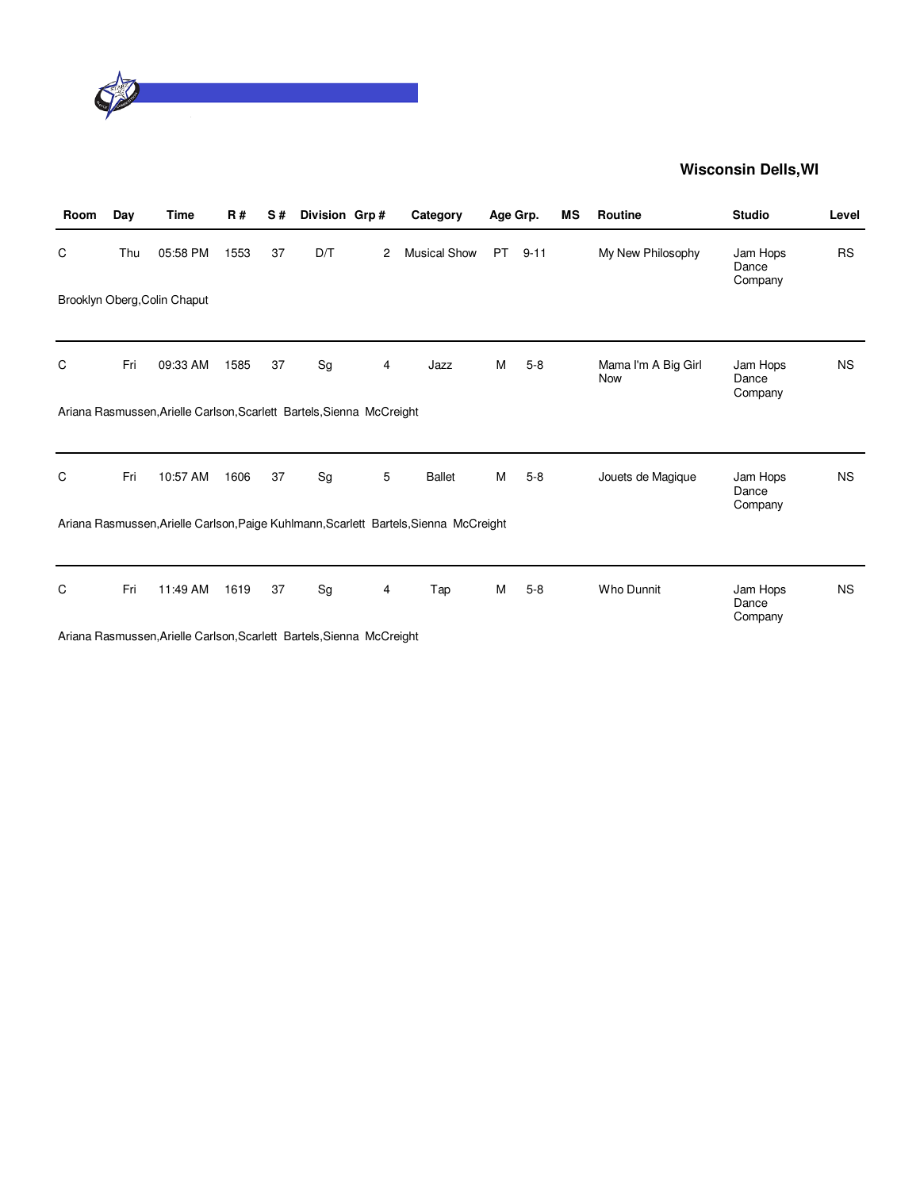

| Room | Day | <b>Time</b>                                                           | <b>R#</b> | S# | Division Grp# |   | Category                                                                              |     | Age Grp. | MS | <b>Routine</b>             | <b>Studio</b>                | Level     |
|------|-----|-----------------------------------------------------------------------|-----------|----|---------------|---|---------------------------------------------------------------------------------------|-----|----------|----|----------------------------|------------------------------|-----------|
| C    | Thu | 05:58 PM                                                              | 1553      | 37 | D/T           | 2 | <b>Musical Show</b>                                                                   | PT. | $9 - 11$ |    | My New Philosophy          | Jam Hops<br>Dance<br>Company | <b>RS</b> |
|      |     | Brooklyn Oberg, Colin Chaput                                          |           |    |               |   |                                                                                       |     |          |    |                            |                              |           |
| C    | Fri | 09:33 AM                                                              | 1585      | 37 | Sg            | 4 | Jazz                                                                                  | М   | $5 - 8$  |    | Mama I'm A Big Girl<br>Now | Jam Hops<br>Dance<br>Company | <b>NS</b> |
|      |     | Ariana Rasmussen, Arielle Carlson, Scarlett Bartels, Sienna McCreight |           |    |               |   |                                                                                       |     |          |    |                            |                              |           |
| C    | Fri | 10:57 AM                                                              | 1606      | 37 | Sg            | 5 | <b>Ballet</b>                                                                         | M   | $5-8$    |    | Jouets de Magique          | Jam Hops<br>Dance<br>Company | <b>NS</b> |
|      |     |                                                                       |           |    |               |   | Ariana Rasmussen, Arielle Carlson, Paige Kuhlmann, Scarlett Bartels, Sienna McCreight |     |          |    |                            |                              |           |
| C    | Fri | 11:49 AM                                                              | 1619      | 37 | Sg            | 4 | Tap                                                                                   | M   | $5-8$    |    | <b>Who Dunnit</b>          | Jam Hops<br>Dance<br>Company | <b>NS</b> |

Ariana Rasmussen,Arielle Carlson,Scarlett Bartels,Sienna McCreight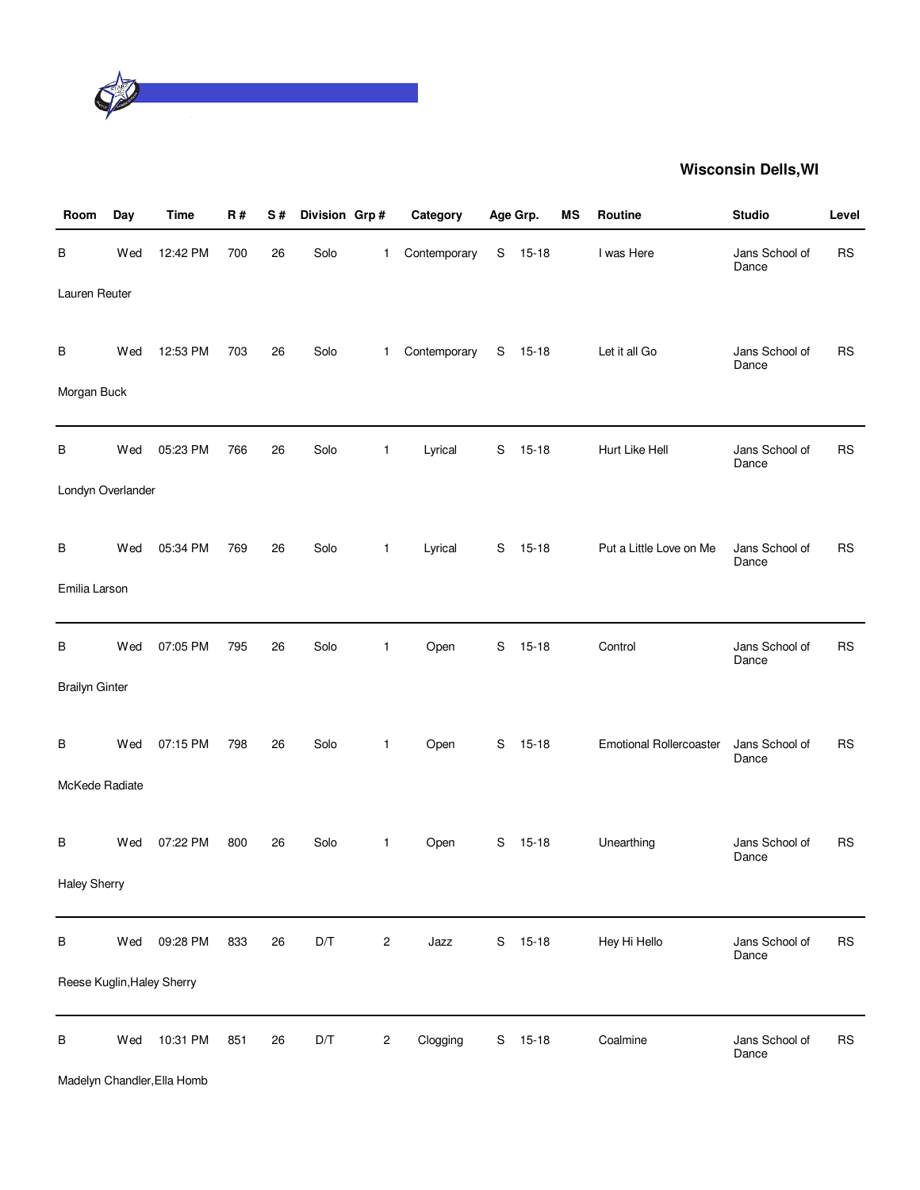

| Room                  | Day | <b>Time</b>                | <b>R#</b> | S# | Division Grp# |                | Category     |   | Age Grp.  | MS | Routine                        | <b>Studio</b>           | Level     |
|-----------------------|-----|----------------------------|-----------|----|---------------|----------------|--------------|---|-----------|----|--------------------------------|-------------------------|-----------|
| В                     | Wed | 12:42 PM                   | 700       | 26 | Solo          | $\mathbf{1}$   | Contemporary | S | $15 - 18$ |    | I was Here                     | Jans School of<br>Dance | <b>RS</b> |
| Lauren Reuter         |     |                            |           |    |               |                |              |   |           |    |                                |                         |           |
| В                     | Wed | 12:53 PM                   | 703       | 26 | Solo          | $\mathbf{1}$   | Contemporary |   | S 15-18   |    | Let it all Go                  | Jans School of<br>Dance | <b>RS</b> |
| Morgan Buck           |     |                            |           |    |               |                |              |   |           |    |                                |                         |           |
| В                     | Wed | 05:23 PM                   | 766       | 26 | Solo          | $\mathbf{1}$   | Lyrical      | S | $15 - 18$ |    | Hurt Like Hell                 | Jans School of<br>Dance | <b>RS</b> |
| Londyn Overlander     |     |                            |           |    |               |                |              |   |           |    |                                |                         |           |
| В                     | Wed | 05:34 PM                   | 769       | 26 | Solo          | $\mathbf{1}$   | Lyrical      | S | $15 - 18$ |    | Put a Little Love on Me        | Jans School of<br>Dance | <b>RS</b> |
| Emilia Larson         |     |                            |           |    |               |                |              |   |           |    |                                |                         |           |
| B                     | Wed | 07:05 PM                   | 795       | 26 | Solo          | $\mathbf{1}$   | Open         | S | $15 - 18$ |    | Control                        | Jans School of<br>Dance | <b>RS</b> |
| <b>Brailyn Ginter</b> |     |                            |           |    |               |                |              |   |           |    |                                |                         |           |
| В                     | Wed | 07:15 PM                   | 798       | 26 | Solo          | $\mathbf{1}$   | Open         | S | $15 - 18$ |    | <b>Emotional Rollercoaster</b> | Jans School of<br>Dance | <b>RS</b> |
| McKede Radiate        |     |                            |           |    |               |                |              |   |           |    |                                |                         |           |
| В                     | Wed | 07:22 PM                   | 800       | 26 | Solo          | $\mathbf{1}$   | Open         | S | $15 - 18$ |    | Unearthing                     | Jans School of<br>Dance | <b>RS</b> |
| <b>Haley Sherry</b>   |     |                            |           |    |               |                |              |   |           |    |                                |                         |           |
| В                     | Wed | 09:28 PM                   | 833       | 26 | D/T           | $\sqrt{2}$     | Jazz         | S | $15-18$   |    | Hey Hi Hello                   | Jans School of<br>Dance | <b>RS</b> |
|                       |     | Reese Kuglin, Haley Sherry |           |    |               |                |              |   |           |    |                                |                         |           |
| B                     | Wed | 10:31 PM                   | 851       | 26 | D/T           | $\overline{c}$ | Clogging     | S | $15 - 18$ |    | Coalmine                       | Jans School of<br>Dance | <b>RS</b> |

Madelyn Chandler,Ella Homb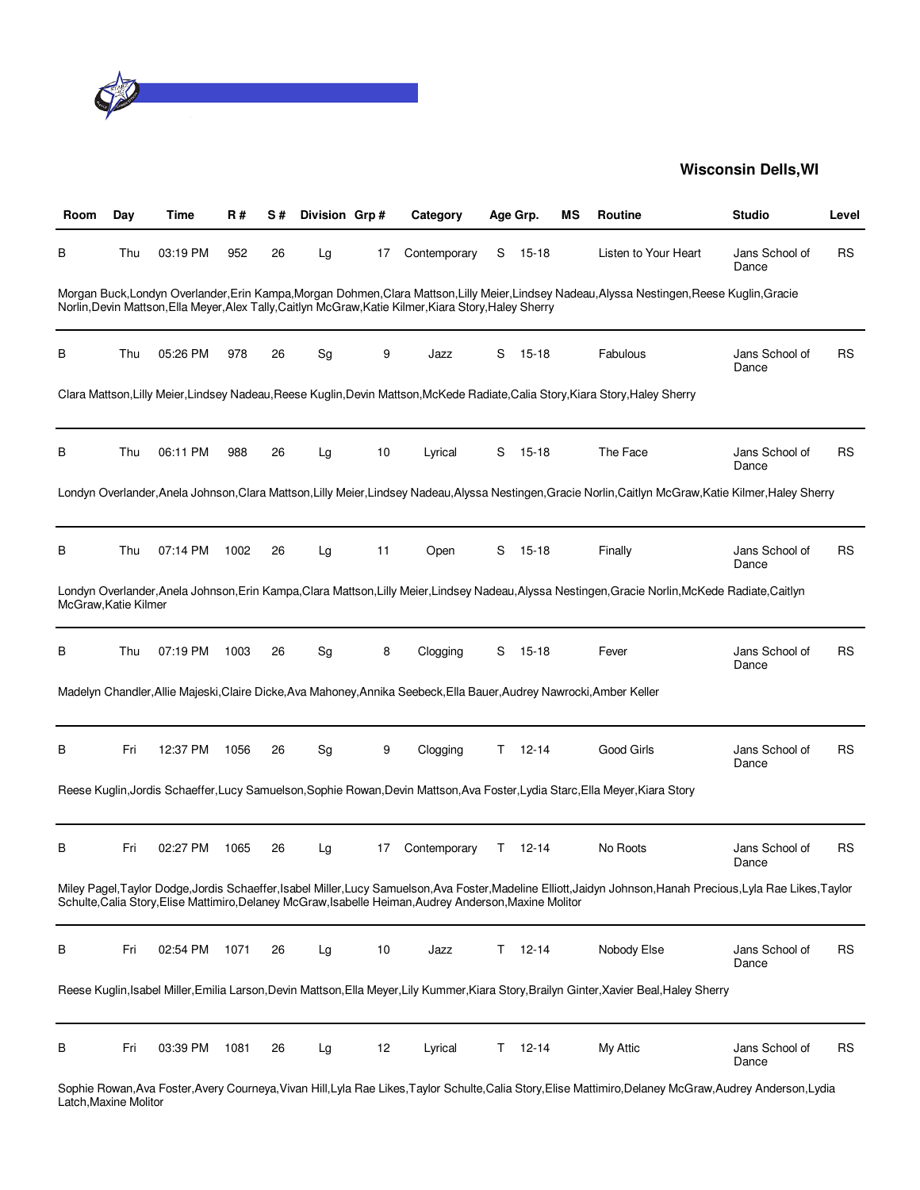

| Room                | Day | Time     | R#   | S# | Division Grp# |    | Category                                                                                                              |    | Age Grp.  | ΜS | Routine                                                                                                                                                   | <b>Studio</b>           | Level     |
|---------------------|-----|----------|------|----|---------------|----|-----------------------------------------------------------------------------------------------------------------------|----|-----------|----|-----------------------------------------------------------------------------------------------------------------------------------------------------------|-------------------------|-----------|
| в                   | Thu | 03:19 PM | 952  | 26 | Lg            | 17 | Contemporary                                                                                                          | S  | $15 - 18$ |    | Listen to Your Heart                                                                                                                                      | Jans School of<br>Dance | <b>RS</b> |
|                     |     |          |      |    |               |    | Norlin, Devin Mattson, Ella Meyer, Alex Tally, Caitlyn McGraw, Katie Kilmer, Kiara Story, Haley Sherry                |    |           |    | Morgan Buck, Londyn Overlander, Erin Kampa, Morgan Dohmen, Clara Mattson, Lilly Meier, Lindsey Nadeau, Alyssa Nestingen, Reese Kuglin, Gracie             |                         |           |
| В                   | Thu | 05:26 PM | 978  | 26 | Sg            | 9  | Jazz                                                                                                                  | S  | $15 - 18$ |    | Fabulous                                                                                                                                                  | Jans School of<br>Dance | RS        |
|                     |     |          |      |    |               |    |                                                                                                                       |    |           |    | Clara Mattson, Lilly Meier, Lindsey Nadeau, Reese Kuglin, Devin Mattson, McKede Radiate, Calia Story, Kiara Story, Haley Sherry                           |                         |           |
| в                   | Thu | 06:11 PM | 988  | 26 | Lg            | 10 | Lyrical                                                                                                               | S  | $15 - 18$ |    | The Face                                                                                                                                                  | Jans School of<br>Dance | RS        |
|                     |     |          |      |    |               |    |                                                                                                                       |    |           |    | Londyn Overlander, Anela Johnson, Clara Mattson, Lilly Meier, Lindsey Nadeau, Alyssa Nestingen, Gracie Norlin, Caitlyn McGraw, Katie Kilmer, Haley Sherry |                         |           |
| B                   | Thu | 07:14 PM | 1002 | 26 | Lg            | 11 | Open                                                                                                                  | S  | $15 - 18$ |    | Finally                                                                                                                                                   | Jans School of<br>Dance | RS        |
| McGraw.Katie Kilmer |     |          |      |    |               |    |                                                                                                                       |    |           |    | Londyn Overlander, Anela Johnson, Erin Kampa, Clara Mattson, Lilly Meier, Lindsey Nadeau, Alyssa Nestingen, Gracie Norlin, McKede Radiate, Caitlyn        |                         |           |
| в                   | Thu | 07:19 PM | 1003 | 26 | Sg            | 8  | Clogging                                                                                                              | S  | $15 - 18$ |    | Fever                                                                                                                                                     | Jans School of<br>Dance | RS        |
|                     |     |          |      |    |               |    | Madelyn Chandler, Allie Majeski, Claire Dicke, Ava Mahoney, Annika Seebeck, Ella Bauer, Audrey Nawrocki, Amber Keller |    |           |    |                                                                                                                                                           |                         |           |
| B                   | Fri | 12:37 PM | 1056 | 26 | Sg            | 9  | Clogging                                                                                                              | T. | $12 - 14$ |    | Good Girls                                                                                                                                                | Jans School of<br>Dance | RS        |
|                     |     |          |      |    |               |    |                                                                                                                       |    |           |    | Reese Kuglin, Jordis Schaeffer, Lucy Samuelson, Sophie Rowan, Devin Mattson, Ava Foster, Lydia Starc, Ella Meyer, Kiara Story                             |                         |           |
| в                   | Fri | 02:27 PM | 1065 | 26 | Lg            | 17 | Contemporary                                                                                                          | Τ  | 12-14     |    | No Roots                                                                                                                                                  | Jans School of<br>Dance | RS        |
|                     |     |          |      |    |               |    | Schulte, Calia Story, Elise Mattimiro, Delaney McGraw, Isabelle Heiman, Audrey Anderson, Maxine Molitor               |    |           |    | Miley Pagel,Taylor Dodge,Jordis Schaeffer,Isabel Miller,Lucy Samuelson,Ava Foster,Madeline Elliott,Jaidyn Johnson,Hanah Precious,Lyla Rae Likes,Taylor    |                         |           |
| В                   | Fri | 02:54 PM | 1071 | 26 | Lg            | 10 | Jazz                                                                                                                  | T. | $12 - 14$ |    | Nobody Else                                                                                                                                               | Jans School of<br>Dance | <b>RS</b> |
|                     |     |          |      |    |               |    |                                                                                                                       |    |           |    | Reese Kuglin, Isabel Miller, Emilia Larson, Devin Mattson, Ella Meyer, Lily Kummer, Kiara Story, Brailyn Ginter, Xavier Beal, Haley Sherry                |                         |           |
| В                   | Fri | 03:39 PM | 1081 | 26 | Lg            | 12 | Lyrical                                                                                                               | T. | $12 - 14$ |    | My Attic                                                                                                                                                  | Jans School of<br>Dance | <b>RS</b> |

Sophie Rowan,Ava Foster,Avery Courneya,Vivan Hill,Lyla Rae Likes,Taylor Schulte,Calia Story,Elise Mattimiro,Delaney McGraw,Audrey Anderson,Lydia Latch,Maxine Molitor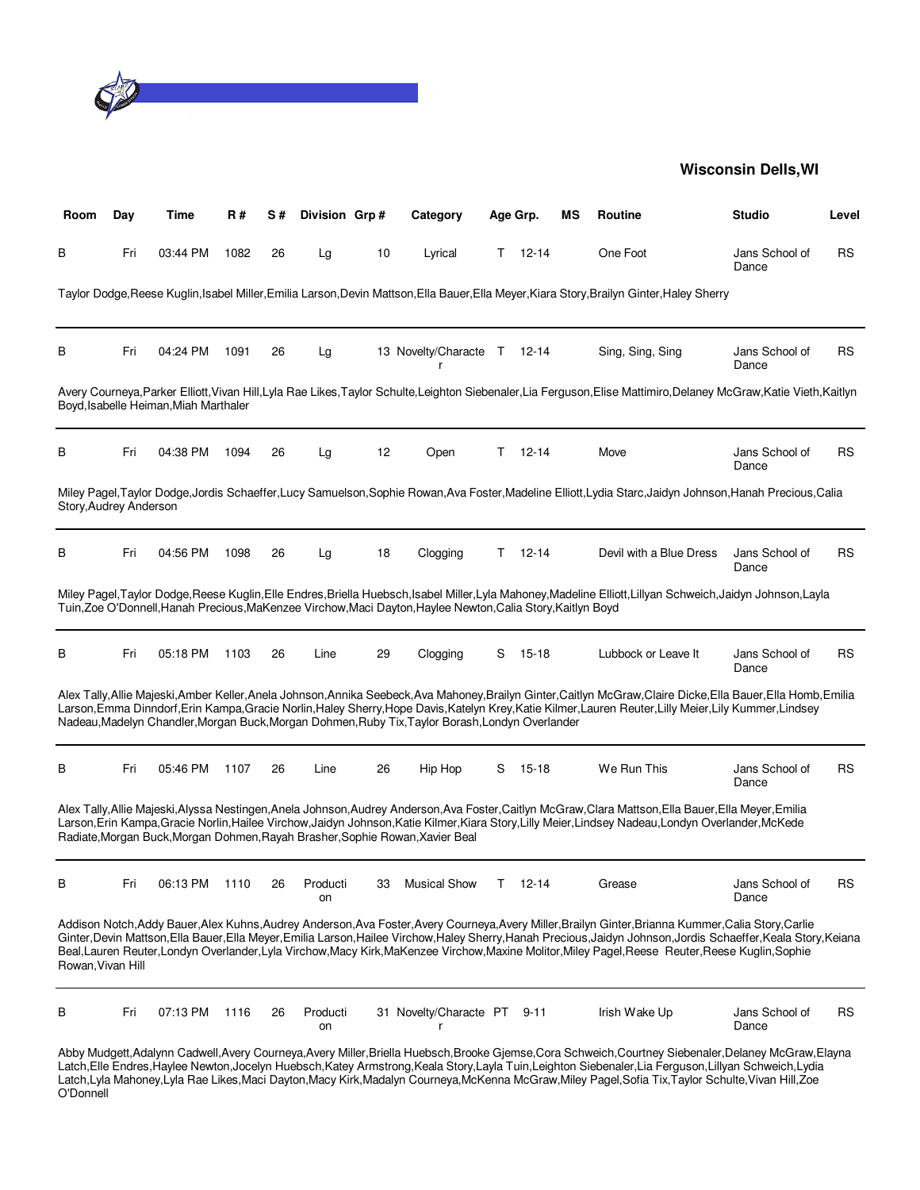

| Room                   | Day | Time                                  | <b>R#</b> | S# | Division Grp#  |    | Category                                                                                                     |    | Age Grp.  | ΜS | <b>Routine</b>                                                                                                                                                                                                                                                                                                                                                                                                                                                                   | <b>Studio</b>           | Level |
|------------------------|-----|---------------------------------------|-----------|----|----------------|----|--------------------------------------------------------------------------------------------------------------|----|-----------|----|----------------------------------------------------------------------------------------------------------------------------------------------------------------------------------------------------------------------------------------------------------------------------------------------------------------------------------------------------------------------------------------------------------------------------------------------------------------------------------|-------------------------|-------|
| В                      | Fri | 03:44 PM                              | 1082      | 26 | Lg             | 10 | Lyrical                                                                                                      | T. | 12-14     |    | One Foot                                                                                                                                                                                                                                                                                                                                                                                                                                                                         | Jans School of<br>Dance | RS    |
|                        |     |                                       |           |    |                |    |                                                                                                              |    |           |    | Taylor Dodge, Reese Kuglin, Isabel Miller, Emilia Larson, Devin Mattson, Ella Bauer, Ella Meyer, Kiara Story, Brailyn Ginter, Haley Sherry                                                                                                                                                                                                                                                                                                                                       |                         |       |
| В                      | Fri | 04:24 PM                              | 1091      | 26 | Lg             |    | 13 Novelty/Characte T 12-14<br>r                                                                             |    |           |    | Sing, Sing, Sing                                                                                                                                                                                                                                                                                                                                                                                                                                                                 | Jans School of<br>Dance | RS    |
|                        |     | Boyd, Isabelle Heiman, Miah Marthaler |           |    |                |    |                                                                                                              |    |           |    | Avery Courneya,Parker Elliott,Vivan Hill,Lyla Rae Likes,Taylor Schulte,Leighton Siebenaler,Lia Ferguson,Elise Mattimiro,Delaney McGraw,Katie Vieth,Kaitlyn                                                                                                                                                                                                                                                                                                                       |                         |       |
| В                      | Fri | 04:38 PM                              | 1094      | 26 | Lg             | 12 | Open                                                                                                         | T. | $12 - 14$ |    | Move                                                                                                                                                                                                                                                                                                                                                                                                                                                                             | Jans School of<br>Dance | RS    |
| Story, Audrey Anderson |     |                                       |           |    |                |    |                                                                                                              |    |           |    | Miley Pagel,Taylor Dodge,Jordis Schaeffer,Lucy Samuelson,Sophie Rowan,Ava Foster,Madeline Elliott,Lydia Starc,Jaidyn Johnson,Hanah Precious,Calia                                                                                                                                                                                                                                                                                                                                |                         |       |
| В                      | Fri | 04:56 PM                              | 1098      | 26 | Lg             | 18 | Clogging                                                                                                     | T. | $12 - 14$ |    | Devil with a Blue Dress                                                                                                                                                                                                                                                                                                                                                                                                                                                          | Jans School of<br>Dance | RS    |
|                        |     |                                       |           |    |                |    | Tuin, Zoe O'Donnell, Hanah Precious, MaKenzee Virchow, Maci Dayton, Haylee Newton, Calia Story, Kaitlyn Boyd |    |           |    | Miley Pagel,Taylor Dodge,Reese Kuglin,Elle Endres,Briella Huebsch,Isabel Miller,Lyla Mahoney,Madeline Elliott,Lillyan Schweich,Jaidyn Johnson,Layla                                                                                                                                                                                                                                                                                                                              |                         |       |
| В                      | Fri | 05:18 PM                              | 1103      | 26 | Line           | 29 | Clogging                                                                                                     | S  | $15 - 18$ |    | Lubbock or Leave It                                                                                                                                                                                                                                                                                                                                                                                                                                                              | Jans School of<br>Dance | RS    |
|                        |     |                                       |           |    |                |    | Nadeau, Madelyn Chandler, Morgan Buck, Morgan Dohmen, Ruby Tix, Taylor Borash, Londyn Overlander             |    |           |    | Alex Tally,Allie Majeski,Amber Keller,Anela Johnson,Annika Seebeck,Ava Mahoney,Brailyn Ginter,Caitlyn McGraw,Claire Dicke,Ella Bauer,Ella Homb,Emilia<br>Larson, Emma Dinndorf, Erin Kampa, Gracie Norlin, Haley Sherry, Hope Davis, Katelyn Krey, Katie Kilmer, Lauren Reuter, Lilly Meier, Lily Kummer, Lindsey                                                                                                                                                                |                         |       |
| в                      | Fri | 05:46 PM                              | 1107      | 26 | Line           | 26 | Hip Hop                                                                                                      | S  | 15-18     |    | We Run This                                                                                                                                                                                                                                                                                                                                                                                                                                                                      | Jans School of<br>Dance | RS    |
|                        |     |                                       |           |    |                |    | Radiate, Morgan Buck, Morgan Dohmen, Rayah Brasher, Sophie Rowan, Xavier Beal                                |    |           |    | Alex Tally, Allie Majeski, Alyssa Nestingen, Anela Johnson, Audrey Anderson, Ava Foster, Caitlyn McGraw, Clara Mattson, Ella Bauer, Ella Meyer, Emilia<br>Larson, Erin Kampa, Gracie Norlin, Hailee Virchow, Jaidyn Johnson, Katie Kilmer, Kiara Story, Lilly Meier, Lindsey Nadeau, Londyn Overlander, McKede                                                                                                                                                                   |                         |       |
| В                      | Fri | 06:13 PM                              | 1110      | 26 | Producti<br>on | 33 | <b>Musical Show</b>                                                                                          | T. | 12-14     |    | Grease                                                                                                                                                                                                                                                                                                                                                                                                                                                                           | Jans School of<br>Dance | RS    |
| Rowan, Vivan Hill      |     |                                       |           |    |                |    |                                                                                                              |    |           |    | Addison Notch, Addy Bauer, Alex Kuhns, Audrey Anderson, Ava Foster, Avery Courneya, Avery Miller, Brailyn Ginter, Brianna Kummer, Calia Story, Carlie<br>Ginter, Devin Mattson, Ella Bauer, Ella Meyer, Emilia Larson, Hailee Virchow, Haley Sherry, Hanah Precious, Jaidyn Johnson, Jordis Schaeffer, Keala Story, Keiana<br>Beal, Lauren Reuter, Londyn Overlander, Lyla Virchow, Macy Kirk, MaKenzee Virchow, Maxine Molitor, Miley Pagel, Reese Reuter, Reese Kuglin, Sophie |                         |       |
| В                      | Fri | 07:13 PM                              | 1116      | 26 | Producti<br>on |    | 31 Novelty/Characte PT                                                                                       |    | 9-11      |    | Irish Wake Up                                                                                                                                                                                                                                                                                                                                                                                                                                                                    | Jans School of<br>Dance | RS    |
|                        |     |                                       |           |    |                |    |                                                                                                              |    |           |    | Abby Mudgett, Adalynn Cadwell, Avery Courneya, Avery Miller, Briella Huebsch, Brooke Gjemse, Cora Schweich, Courtney Siebenaler, Delaney McGraw, Elayna<br>Latch,Elle Endres,Haylee Newton,Jocelyn Huebsch,Katey Armstrong,Keala Story,Layla Tuin,Leighton Siebenaler,Lia Ferguson,Lillyan Schweich,Lydia<br>Latch, Lyla Mahoney, Lyla Rae Likes, Maci Dayton, Macy Kirk, Madalyn Courneya, McKenna McGraw, Miley Pagel, Sofia Tix, Taylor Schulte, Vivan Hill, Zoe              |                         |       |

O'Donnell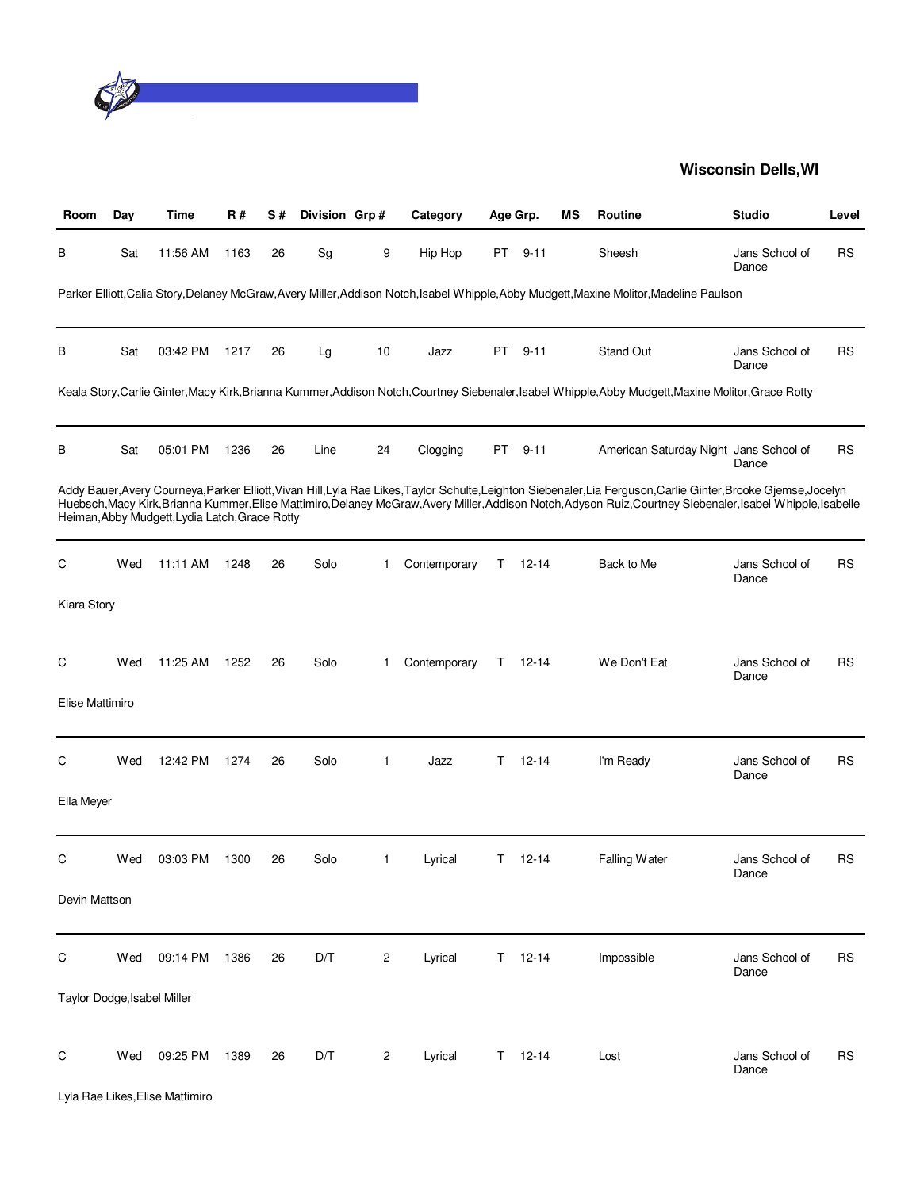

| Room                        | Day | Time                                           | <b>R#</b> | S# | Division Grp# |    | Category     |    | Age Grp.      | <b>MS</b> | Routine                                                                                                                                                                                                                                                                                                                          | <b>Studio</b>           | Level     |
|-----------------------------|-----|------------------------------------------------|-----------|----|---------------|----|--------------|----|---------------|-----------|----------------------------------------------------------------------------------------------------------------------------------------------------------------------------------------------------------------------------------------------------------------------------------------------------------------------------------|-------------------------|-----------|
| В                           | Sat | 11:56 AM                                       | 1163      | 26 | Sg            | 9  | Hip Hop      | PT | $9 - 11$      |           | Sheesh                                                                                                                                                                                                                                                                                                                           | Jans School of<br>Dance | RS        |
|                             |     |                                                |           |    |               |    |              |    |               |           | Parker Elliott, Calia Story, Delaney McGraw, Avery Miller, Addison Notch, Isabel Whipple, Abby Mudgett, Maxine Molitor, Madeline Paulson                                                                                                                                                                                         |                         |           |
| в                           | Sat | 03:42 PM                                       | 1217      | 26 | Lg            | 10 | Jazz         | PT | $9 - 11$      |           | Stand Out                                                                                                                                                                                                                                                                                                                        | Jans School of<br>Dance | <b>RS</b> |
|                             |     |                                                |           |    |               |    |              |    |               |           | Keala Story,Carlie Ginter,Macy Kirk,Brianna Kummer,Addison Notch,Courtney Siebenaler,Isabel Whipple,Abby Mudgett,Maxine Molitor,Grace Rotty                                                                                                                                                                                      |                         |           |
| в                           | Sat | 05:01 PM                                       | 1236      | 26 | Line          | 24 | Clogging     | PT | $9 - 11$      |           | American Saturday Night Jans School of                                                                                                                                                                                                                                                                                           | Dance                   | <b>RS</b> |
|                             |     | Heiman, Abby Mudgett, Lydia Latch, Grace Rotty |           |    |               |    |              |    |               |           | Addy Bauer, Avery Courneya, Parker Elliott, Vivan Hill, Lyla Rae Likes, Taylor Schulte, Leighton Siebenaler, Lia Ferguson, Carlie Ginter, Brooke Gjemse, Jocelyn<br>Huebsch, Macy Kirk, Brianna Kummer, Elise Mattimiro, Delaney McGraw, Avery Miller, Addison Notch, Adyson Ruiz, Courtney Siebenaler, Isabel Whipple, Isabelle |                         |           |
| С                           | Wed | 11:11 AM                                       | 1248      | 26 | Solo          | 1  | Contemporary | T. | $12 - 14$     |           | Back to Me                                                                                                                                                                                                                                                                                                                       | Jans School of<br>Dance | RS        |
| Kiara Story                 |     |                                                |           |    |               |    |              |    |               |           |                                                                                                                                                                                                                                                                                                                                  |                         |           |
| С                           | Wed | 11:25 AM                                       | 1252      | 26 | Solo          | 1  | Contemporary | T. | 12-14         |           | We Don't Eat                                                                                                                                                                                                                                                                                                                     | Jans School of<br>Dance | RS        |
| Elise Mattimiro             |     |                                                |           |    |               |    |              |    |               |           |                                                                                                                                                                                                                                                                                                                                  |                         |           |
| С                           | Wed | 12:42 PM                                       | 1274      | 26 | Solo          | 1  | Jazz         | Τ  | $12 - 14$     |           | I'm Ready                                                                                                                                                                                                                                                                                                                        | Jans School of<br>Dance | <b>RS</b> |
| Ella Meyer                  |     |                                                |           |    |               |    |              |    |               |           |                                                                                                                                                                                                                                                                                                                                  |                         |           |
| С                           | Wed | 03:03 PM                                       | 1300      | 26 | Solo          | 1  | Lyrical      | Τ  | $12 - 14$     |           | Falling Water                                                                                                                                                                                                                                                                                                                    | Jans School of<br>Dance | RS        |
| Devin Mattson               |     |                                                |           |    |               |    |              |    |               |           |                                                                                                                                                                                                                                                                                                                                  |                         |           |
| $\mathsf C$                 | Wed | 09:14 PM                                       | 1386      | 26 | D/T           | 2  | Lyrical      | T. | $12 - 14$     |           | Impossible                                                                                                                                                                                                                                                                                                                       | Jans School of<br>Dance | <b>RS</b> |
| Taylor Dodge, Isabel Miller |     |                                                |           |    |               |    |              |    |               |           |                                                                                                                                                                                                                                                                                                                                  |                         |           |
| С                           | Wed | 09:25 PM                                       | 1389      | 26 | D/T           | 2  | Lyrical      |    | $T = 12 - 14$ |           | Lost                                                                                                                                                                                                                                                                                                                             | Jans School of<br>Dance | <b>RS</b> |
|                             |     | Lyla Rae Likes, Elise Mattimiro                |           |    |               |    |              |    |               |           |                                                                                                                                                                                                                                                                                                                                  |                         |           |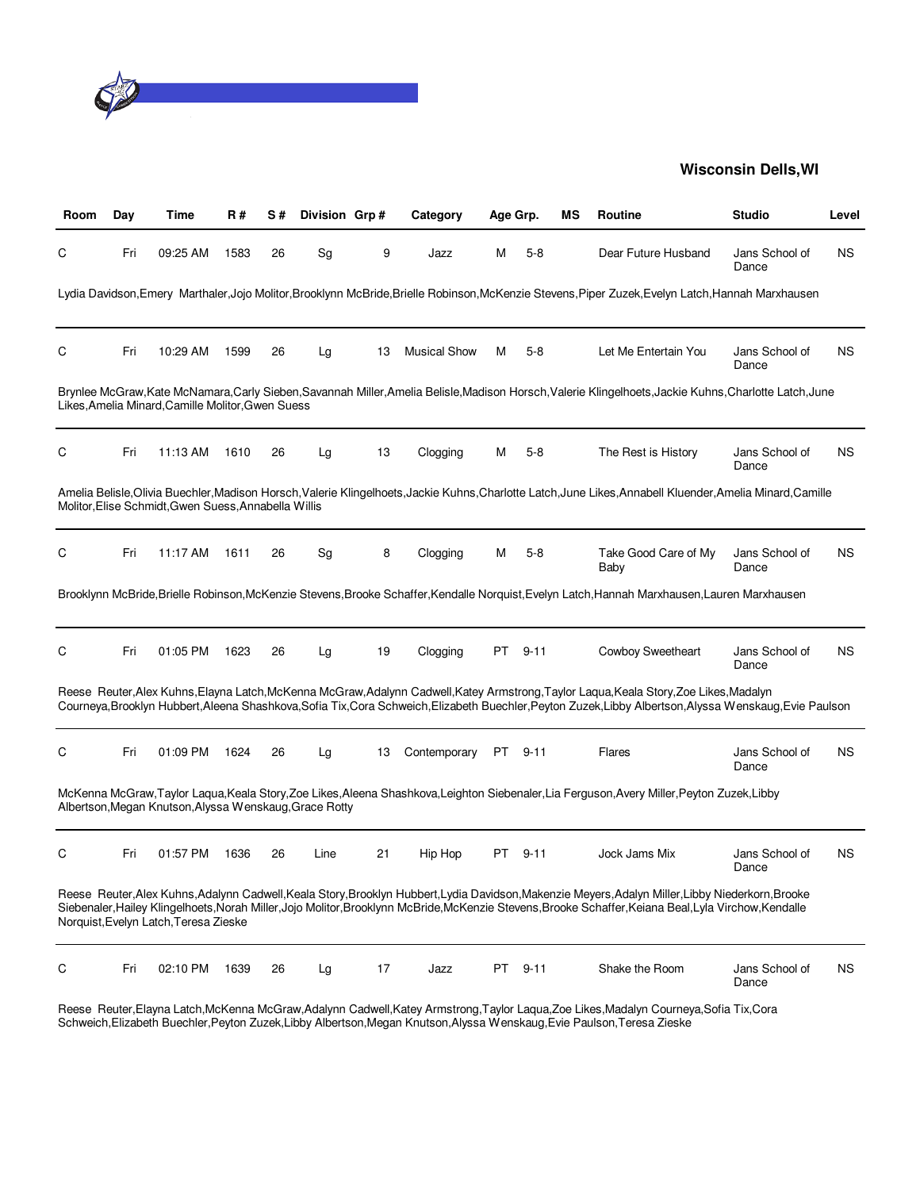

| Room | Day | Time                                                   | R#   | S# | Division Grp# |    | Category            | Age Grp. |          | мs | Routine                                                                                                                                                                                                                                                                                                      | <b>Studio</b>           | Level     |
|------|-----|--------------------------------------------------------|------|----|---------------|----|---------------------|----------|----------|----|--------------------------------------------------------------------------------------------------------------------------------------------------------------------------------------------------------------------------------------------------------------------------------------------------------------|-------------------------|-----------|
| С    | Fri | 09:25 AM                                               | 1583 | 26 | Sg            | 9  | Jazz                | М        | $5-8$    |    | Dear Future Husband                                                                                                                                                                                                                                                                                          | Jans School of<br>Dance | <b>NS</b> |
|      |     |                                                        |      |    |               |    |                     |          |          |    | Lydia Davidson, Emery Marthaler, Jojo Molitor, Brooklynn McBride, Brielle Robinson, McKenzie Stevens, Piper Zuzek, Evelyn Latch, Hannah Marxhausen                                                                                                                                                           |                         |           |
| С    | Fri | 10:29 AM                                               | 1599 | 26 | Lg            | 13 | <b>Musical Show</b> | М        | $5-8$    |    | Let Me Entertain You                                                                                                                                                                                                                                                                                         | Jans School of<br>Dance | ΝS        |
|      |     | Likes, Amelia Minard, Camille Molitor, Gwen Suess      |      |    |               |    |                     |          |          |    | Brynlee McGraw,Kate McNamara,Carly Sieben,Savannah Miller,Amelia Belisle,Madison Horsch,Valerie Klingelhoets,Jackie Kuhns,Charlotte Latch,June                                                                                                                                                               |                         |           |
| С    | Fri | 11:13 AM                                               | 1610 | 26 | Lg            | 13 | Clogging            | м        | $5-8$    |    | The Rest is History                                                                                                                                                                                                                                                                                          | Jans School of<br>Dance | ΝS        |
|      |     | Molitor, Elise Schmidt, Gwen Suess, Annabella Willis   |      |    |               |    |                     |          |          |    | Amelia Belisle, Olivia Buechler, Madison Horsch, Valerie Klingelhoets, Jackie Kuhns, Charlotte Latch, June Likes, Annabell Kluender, Amelia Minard, Camille                                                                                                                                                  |                         |           |
| С    | Fri | 11:17 AM                                               | 1611 | 26 | Sg            | 8  | Clogging            | м        | $5-8$    |    | Take Good Care of My<br>Baby                                                                                                                                                                                                                                                                                 | Jans School of<br>Dance | <b>NS</b> |
|      |     |                                                        |      |    |               |    |                     |          |          |    | Brooklynn McBride,Brielle Robinson,McKenzie Stevens,Brooke Schaffer,Kendalle Norguist,Evelyn Latch,Hannah Marxhausen,Lauren Marxhausen                                                                                                                                                                       |                         |           |
| С    | Fri | 01:05 PM                                               | 1623 | 26 | Lg            | 19 | Clogging            | PT       | $9 - 11$ |    | Cowboy Sweetheart                                                                                                                                                                                                                                                                                            | Jans School of<br>Dance | <b>NS</b> |
|      |     |                                                        |      |    |               |    |                     |          |          |    | Reese Reuter, Alex Kuhns, Elayna Latch, McKenna McGraw, Adalynn Cadwell, Katey Armstrong, Taylor Laqua, Keala Story, Zoe Likes, Madalyn<br>Courneya, Brooklyn Hubbert, Aleena Shashkova, Sofia Tix, Cora Schweich, Elizabeth Buechler, Peyton Zuzek, Libby Albertson, Alyssa Wenskaug, Evie Paulson          |                         |           |
| С    | Fri | 01:09 PM                                               | 1624 | 26 | Lg            | 13 | Contemporary        | PT       | $9 - 11$ |    | Flares                                                                                                                                                                                                                                                                                                       | Jans School of<br>Dance | ΝS        |
|      |     | Albertson, Megan Knutson, Alyssa Wenskaug, Grace Rotty |      |    |               |    |                     |          |          |    | McKenna McGraw, Taylor Lagua, Keala Story, Zoe Likes, Aleena Shashkova, Leighton Siebenaler, Lia Ferguson, Avery Miller, Peyton Zuzek, Libby                                                                                                                                                                 |                         |           |
| С    | Fri | 01:57 PM                                               | 1636 | 26 | Line          | 21 | Hip Hop             | PT       | $9 - 11$ |    | Jock Jams Mix                                                                                                                                                                                                                                                                                                | Jans School of<br>Dance | ΝS        |
|      |     | Norguist, Evelyn Latch, Teresa Zieske                  |      |    |               |    |                     |          |          |    | Reese Reuter, Alex Kuhns, Adalynn Cadwell, Keala Story, Brooklyn Hubbert, Lydia Davidson, Makenzie Meyers, Adalyn Miller, Libby Niederkorn, Brooke<br>Siebenaler, Hailey Klingelhoets, Norah Miller, Jojo Molitor, Brooklynn McBride, McKenzie Stevens, Brooke Schaffer, Keiana Beal, Lyla Virchow, Kendalle |                         |           |
| С    | Fri | 02:10 PM                                               | 1639 | 26 | Lg            | 17 | Jazz                | PT       | $9 - 11$ |    | Shake the Room                                                                                                                                                                                                                                                                                               | Jans School of<br>Dance | <b>NS</b> |

Reese Reuter,Elayna Latch,McKenna McGraw,Adalynn Cadwell,Katey Armstrong,Taylor Laqua,Zoe Likes,Madalyn Courneya,Sofia Tix,Cora Schweich,Elizabeth Buechler,Peyton Zuzek,Libby Albertson,Megan Knutson,Alyssa Wenskaug,Evie Paulson,Teresa Zieske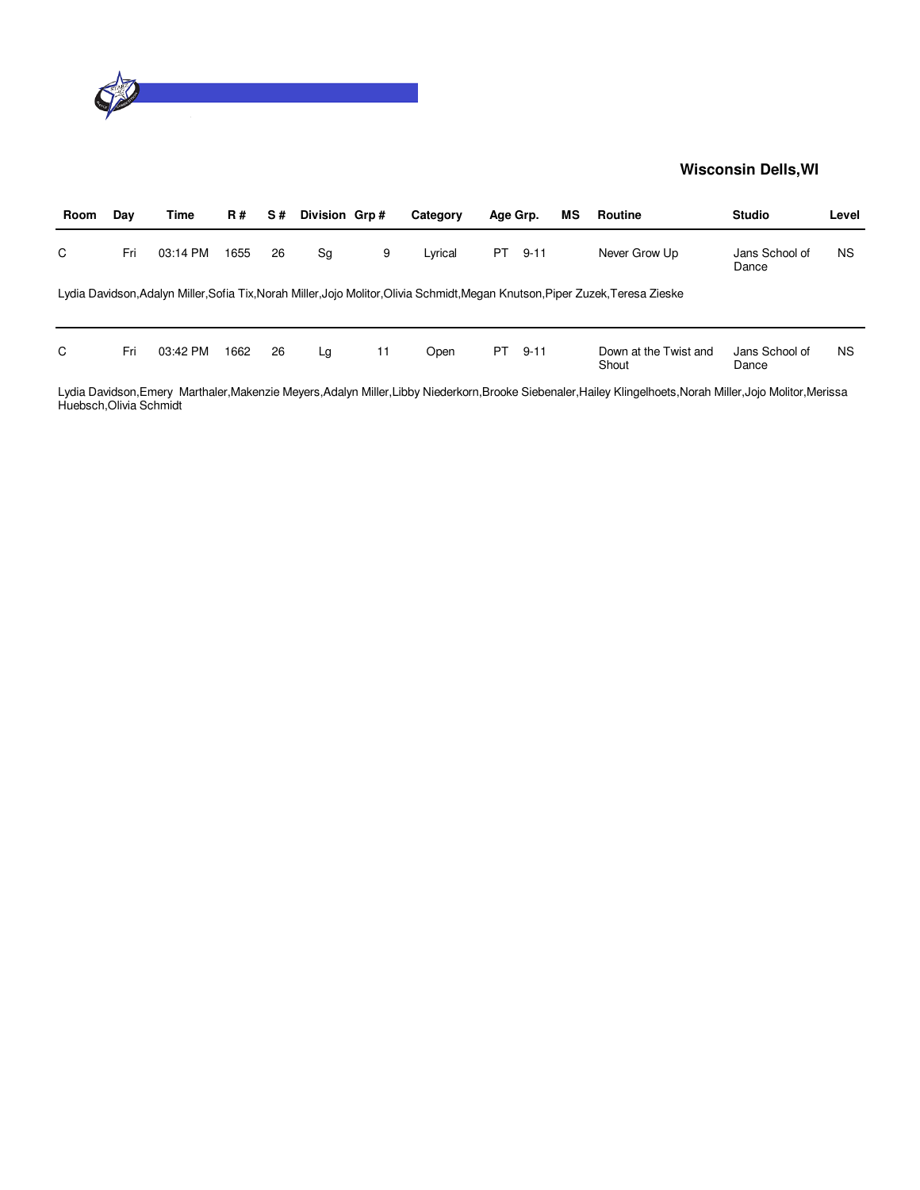

| Room | Day | Time     | <b>R#</b> | S# | Division Grp# |    | Category | Age Grp. |          | ΜS | Routine                                                                                                                         | <b>Studio</b>           | Level     |
|------|-----|----------|-----------|----|---------------|----|----------|----------|----------|----|---------------------------------------------------------------------------------------------------------------------------------|-------------------------|-----------|
| C    | Fri | 03:14 PM | 1655      | 26 | Sg            | 9  | Lyrical  | PT.      | $9 - 11$ |    | Never Grow Up                                                                                                                   | Jans School of<br>Dance | <b>NS</b> |
|      |     |          |           |    |               |    |          |          |          |    | Lydia Davidson, Adalyn Miller, Sofia Tix, Norah Miller, Jojo Molitor, Olivia Schmidt, Megan Knutson, Piper Zuzek, Teresa Zieske |                         |           |
|      |     |          |           |    |               |    |          |          |          |    |                                                                                                                                 |                         |           |
| C    | Fri | 03:42 PM | 1662      | 26 | Lg            | 11 | Open     | PT       | $9 - 11$ |    | Down at the Twist and<br>Shout                                                                                                  | Jans School of<br>Dance | <b>NS</b> |

Lydia Davidson,Emery Marthaler,Makenzie Meyers,Adalyn Miller,Libby Niederkorn,Brooke Siebenaler,Hailey Klingelhoets,Norah Miller,Jojo Molitor,Merissa Huebsch,Olivia Schmidt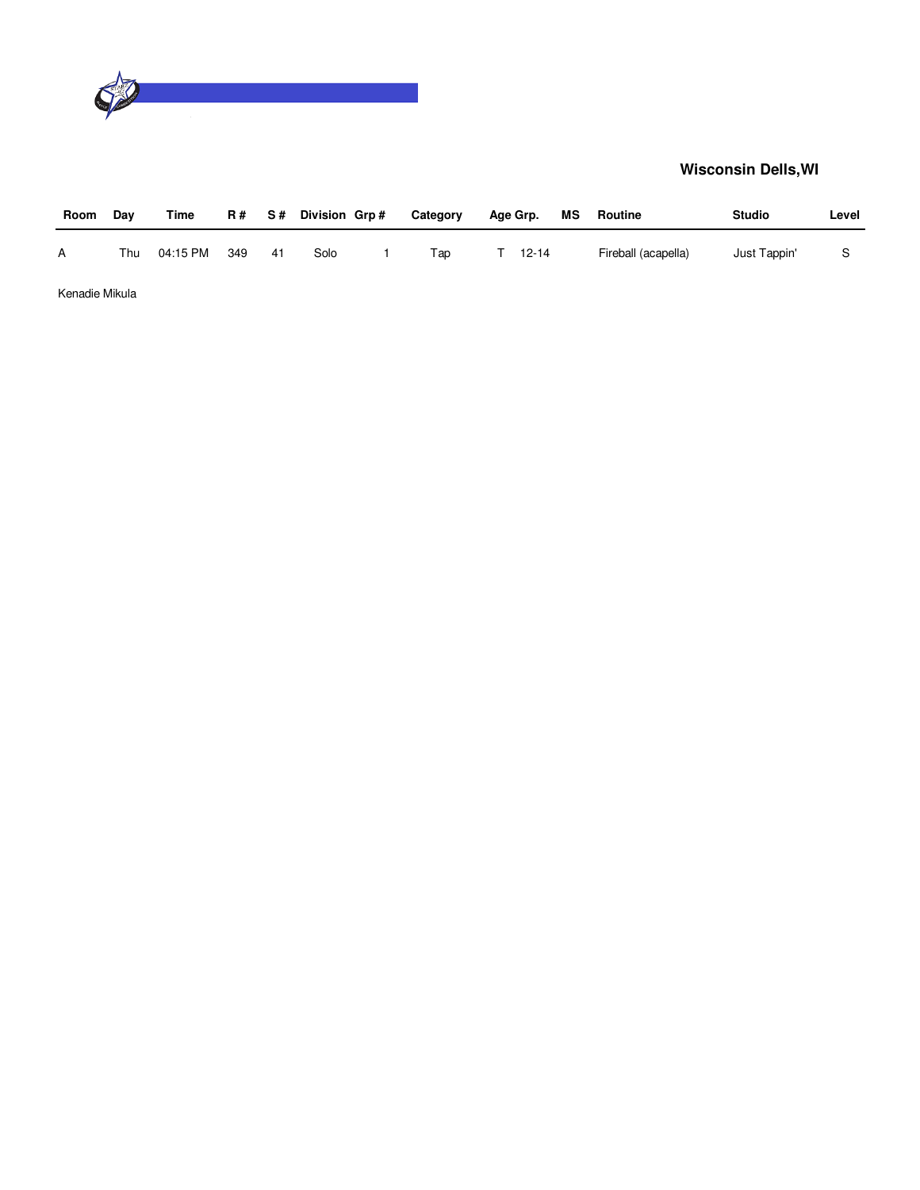

| Room           | Dav | Time     | R # | S#  | Division Grp# | Category | Age Grp.  | МS | Routine             | <b>Studio</b> | Level |
|----------------|-----|----------|-----|-----|---------------|----------|-----------|----|---------------------|---------------|-------|
| A              | Thu | 04:15 PM | 349 | -41 | Solo          | Tap      | $12 - 14$ |    | Fireball (acapella) | Just Tappin'  |       |
| Kenadie Mikula |     |          |     |     |               |          |           |    |                     |               |       |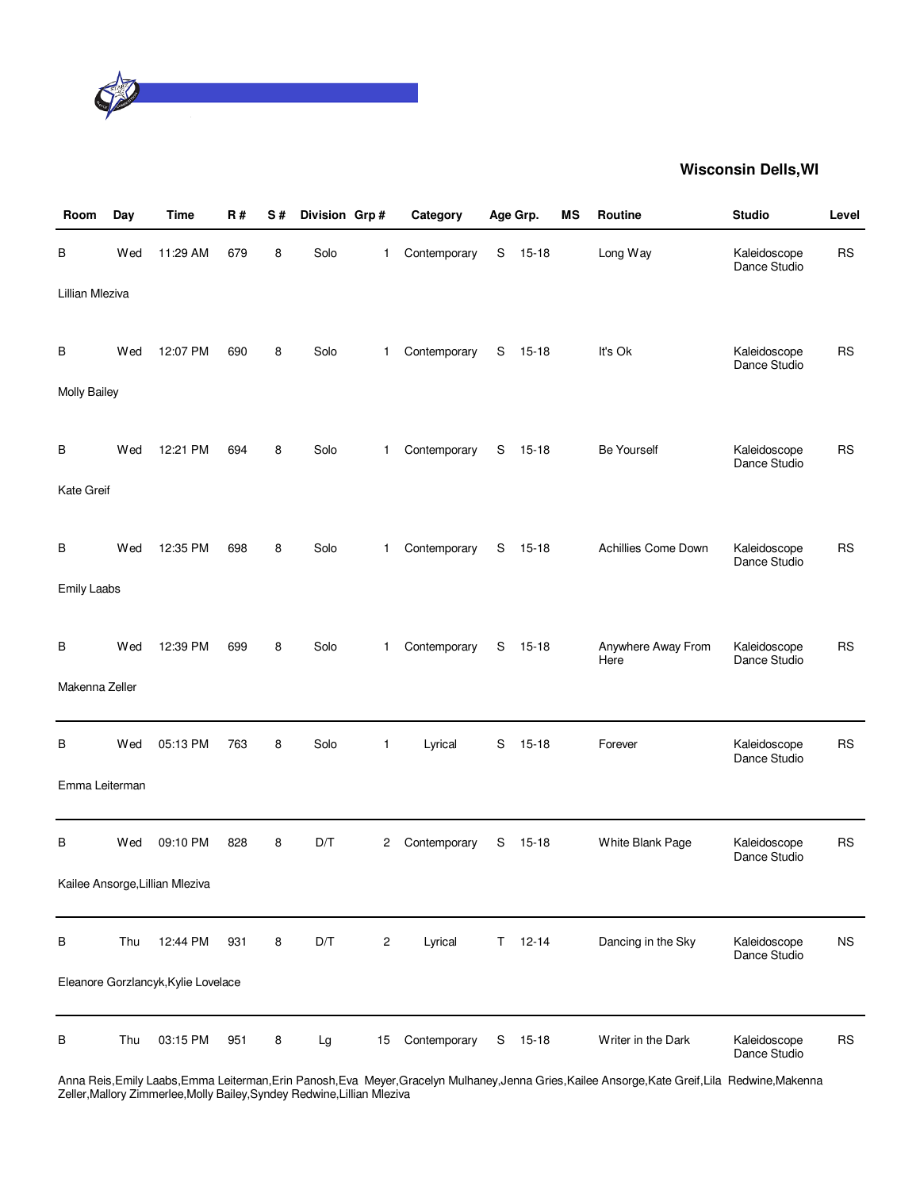

| Room                     | Day | <b>Time</b>                         | <b>R#</b> | S# | Division Grp# |                | Category     |   | Age Grp.    | MS | Routine                    | <b>Studio</b>                | Level     |
|--------------------------|-----|-------------------------------------|-----------|----|---------------|----------------|--------------|---|-------------|----|----------------------------|------------------------------|-----------|
| В                        | Wed | 11:29 AM                            | 679       | 8  | Solo          | $\mathbf{1}$   | Contemporary | S | $15 - 18$   |    | Long Way                   | Kaleidoscope<br>Dance Studio | <b>RS</b> |
| Lillian Mleziva          |     |                                     |           |    |               |                |              |   |             |    |                            |                              |           |
| В<br><b>Molly Bailey</b> | Wed | 12:07 PM                            | 690       | 8  | Solo          | $\mathbf{1}$   | Contemporary | S | $15 - 18$   |    | It's Ok                    | Kaleidoscope<br>Dance Studio | <b>RS</b> |
|                          |     |                                     |           |    |               |                |              |   |             |    |                            |                              |           |
| В                        | Wed | 12:21 PM                            | 694       | 8  | Solo          | $\mathbf{1}$   | Contemporary | S | $15 - 18$   |    | <b>Be Yourself</b>         | Kaleidoscope<br>Dance Studio | <b>RS</b> |
| Kate Greif               |     |                                     |           |    |               |                |              |   |             |    |                            |                              |           |
| В                        | Wed | 12:35 PM                            | 698       | 8  | Solo          | $\mathbf{1}$   | Contemporary | S | $15 - 18$   |    | Achillies Come Down        | Kaleidoscope<br>Dance Studio | <b>RS</b> |
| <b>Emily Laabs</b>       |     |                                     |           |    |               |                |              |   |             |    |                            |                              |           |
| B                        | Wed | 12:39 PM                            | 699       | 8  | Solo          | $\mathbf{1}$   | Contemporary | S | $15 - 18$   |    | Anywhere Away From<br>Here | Kaleidoscope<br>Dance Studio | <b>RS</b> |
| Makenna Zeller           |     |                                     |           |    |               |                |              |   |             |    |                            |                              |           |
| В                        | Wed | 05:13 PM                            | 763       | 8  | Solo          | $\mathbf{1}$   | Lyrical      | S | $15 - 18$   |    | Forever                    | Kaleidoscope<br>Dance Studio | <b>RS</b> |
| Emma Leiterman           |     |                                     |           |    |               |                |              |   |             |    |                            |                              |           |
| В                        | Wed | 09:10 PM                            | 828       | 8  | D/T           | 2              | Contemporary | S | $15 - 18$   |    | White Blank Page           | Kaleidoscope<br>Dance Studio | <b>RS</b> |
|                          |     | Kailee Ansorge, Lillian Mleziva     |           |    |               |                |              |   |             |    |                            |                              |           |
| В                        | Thu | 12:44 PM                            | 931       | 8  | D/T           | $\overline{c}$ | Lyrical      |   | $T = 12-14$ |    | Dancing in the Sky         | Kaleidoscope<br>Dance Studio | <b>NS</b> |
|                          |     | Eleanore Gorzlancyk, Kylie Lovelace |           |    |               |                |              |   |             |    |                            |                              |           |
| В                        | Thu | 03:15 PM                            | 951       | 8  | Lg            | 15             | Contemporary | S | $15 - 18$   |    | Writer in the Dark         | Kaleidoscope<br>Dance Studio | <b>RS</b> |

Anna Reis,Emily Laabs,Emma Leiterman,Erin Panosh,Eva Meyer,Gracelyn Mulhaney,Jenna Gries,Kailee Ansorge,Kate Greif,Lila Redwine,Makenna Zeller,Mallory Zimmerlee,Molly Bailey,Syndey Redwine,Lillian Mleziva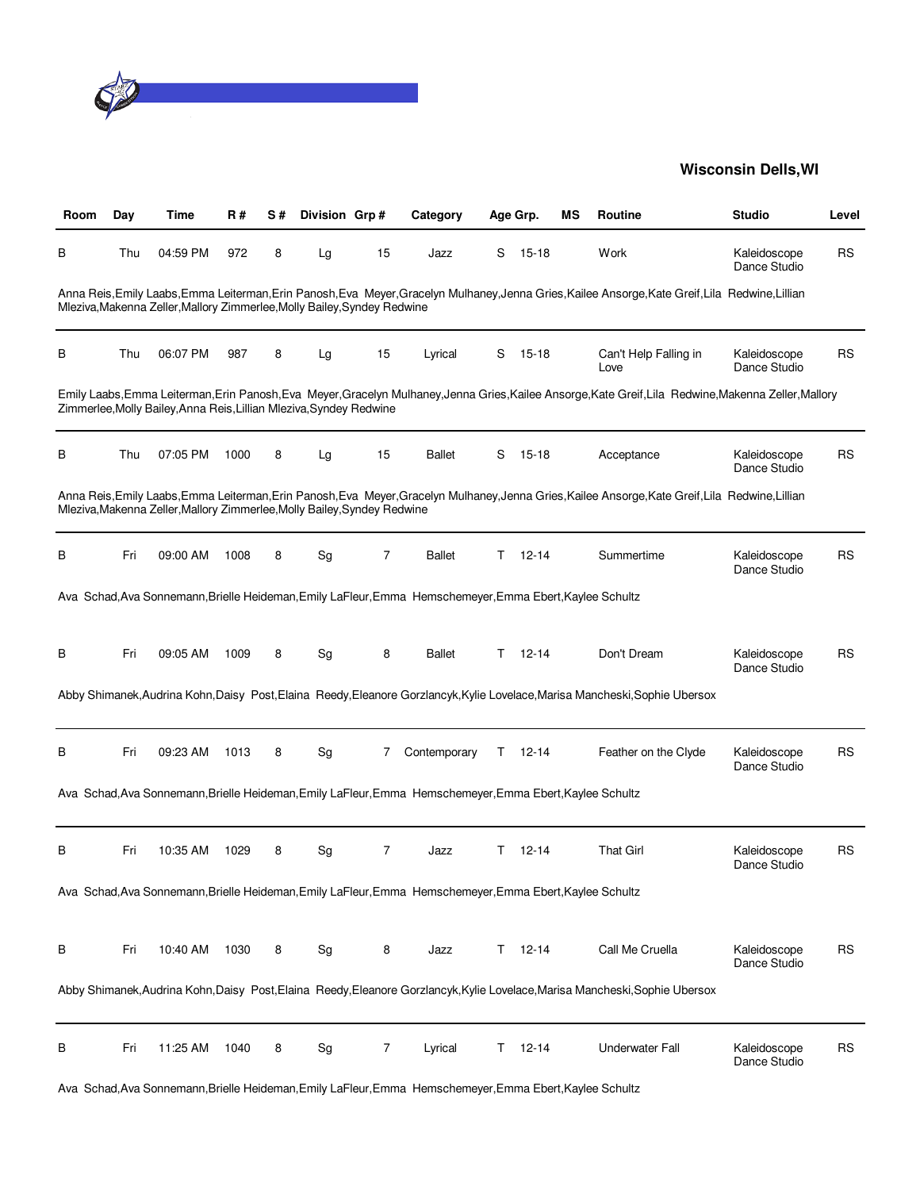

| Room | Day | Time                                                                     | <b>R#</b> | S# | Division Grp#                |    | Category                                                                                                 |    | Age Grp.  | ΜS | <b>Routine</b>                                                                                                                                         | <b>Studio</b>                | Level     |
|------|-----|--------------------------------------------------------------------------|-----------|----|------------------------------|----|----------------------------------------------------------------------------------------------------------|----|-----------|----|--------------------------------------------------------------------------------------------------------------------------------------------------------|------------------------------|-----------|
| в    | Thu | 04:59 PM                                                                 | 972       | 8  | Lg                           | 15 | Jazz                                                                                                     | S  | 15-18     |    | Work                                                                                                                                                   | Kaleidoscope<br>Dance Studio | <b>RS</b> |
|      |     | Mleziva, Makenna Zeller, Mallory Zimmerlee, Molly Bailey, Syndey Redwine |           |    |                              |    |                                                                                                          |    |           |    | Anna Reis, Emily Laabs, Emma Leiterman, Erin Panosh, Eva Meyer, Gracelyn Mulhaney, Jenna Gries, Kailee Ansorge, Kate Greif, Lila Redwine, Lillian      |                              |           |
| в    | Thu | 06:07 PM                                                                 | 987       | 8  | Lg                           | 15 | Lyrical                                                                                                  | S  | 15-18     |    | Can't Help Falling in<br>Love                                                                                                                          | Kaleidoscope<br>Dance Studio | <b>RS</b> |
|      |     | Zimmerlee, Molly Bailey, Anna Reis, Lillian Mleziva, Syndey Redwine      |           |    |                              |    |                                                                                                          |    |           |    | Emily Laabs, Emma Leiterman, Erin Panosh, Eva Meyer, Gracelyn Mulhaney, Jenna Gries, Kailee Ansorge, Kate Greif, Lila Redwine, Makenna Zeller, Mallory |                              |           |
| В    | Thu | 07:05 PM                                                                 | 1000      | 8  | Lg                           | 15 | <b>Ballet</b>                                                                                            | S  | $15 - 18$ |    | Acceptance                                                                                                                                             | Kaleidoscope<br>Dance Studio | <b>RS</b> |
|      |     | Mleziva, Makenna Zeller, Mallory Zimmerlee, Molly Bailey, Syndey Redwine |           |    |                              |    |                                                                                                          |    |           |    | Anna Reis, Emily Laabs, Emma Leiterman, Erin Panosh, Eva Meyer, Gracelyn Mulhaney, Jenna Gries, Kailee Ansorge, Kate Greif, Lila Redwine, Lillian      |                              |           |
| в    | Fri | 09:00 AM                                                                 | 1008      | 8  | Sg                           | 7  | <b>Ballet</b>                                                                                            | Τ  | 12-14     |    | Summertime                                                                                                                                             | Kaleidoscope<br>Dance Studio | RS        |
|      |     |                                                                          |           |    |                              |    | Ava Schad, Ava Sonnemann, Brielle Heideman, Emily LaFleur, Emma Hemschemeyer, Emma Ebert, Kaylee Schultz |    |           |    |                                                                                                                                                        |                              |           |
| в    | Fri | 09:05 AM                                                                 | 1009      | 8  | Sg                           | 8  | <b>Ballet</b>                                                                                            | T. | $12 - 14$ |    | Don't Dream                                                                                                                                            | Kaleidoscope<br>Dance Studio | <b>RS</b> |
|      |     |                                                                          |           |    |                              |    |                                                                                                          |    |           |    | Abby Shimanek, Audrina Kohn, Daisy Post, Elaina Reedy, Eleanore Gorzlancyk, Kylie Lovelace, Marisa Mancheski, Sophie Ubersox                           |                              |           |
| В    | Fri | 09:23 AM                                                                 | 1013      | 8  | Sg                           | 7  | Contemporary                                                                                             | T. | 12-14     |    | Feather on the Clyde                                                                                                                                   | Kaleidoscope<br>Dance Studio | <b>RS</b> |
|      |     |                                                                          |           |    |                              |    | Ava Schad, Ava Sonnemann, Brielle Heideman, Emily LaFleur, Emma Hemschemeyer, Emma Ebert, Kaylee Schultz |    |           |    |                                                                                                                                                        |                              |           |
| B    | Fri | 10:35 AM                                                                 | 1029      | 8  | Sg                           | 7  | Jazz                                                                                                     | т  | $12 - 14$ |    | <b>That Girl</b>                                                                                                                                       | Kaleidoscope<br>Dance Studio | <b>RS</b> |
|      |     |                                                                          |           |    |                              |    | Ava Schad, Ava Sonnemann, Brielle Heideman, Emily LaFleur, Emma Hemschemeyer, Emma Ebert, Kaylee Schultz |    |           |    |                                                                                                                                                        |                              |           |
| B    | Fri | 10:40 AM                                                                 | 1030      | 8  | Sg                           | 8  | Jazz                                                                                                     | Τ  | $12 - 14$ |    | Call Me Cruella                                                                                                                                        | Kaleidoscope<br>Dance Studio | <b>RS</b> |
|      |     |                                                                          |           |    |                              |    |                                                                                                          |    |           |    | Abby Shimanek, Audrina Kohn, Daisy Post, Elaina Reedy, Eleanore Gorzlancyk, Kylie Lovelace, Marisa Mancheski, Sophie Ubersox                           |                              |           |
| В    | Fri | 11:25 AM                                                                 | 1040      | 8  | $\operatorname{\mathsf{Sg}}$ | 7  | Lyrical                                                                                                  | Τ  | $12 - 14$ |    | <b>Underwater Fall</b>                                                                                                                                 | Kaleidoscope<br>Dance Studio | <b>RS</b> |

Ava Schad,Ava Sonnemann,Brielle Heideman,Emily LaFleur,Emma Hemschemeyer,Emma Ebert,Kaylee Schultz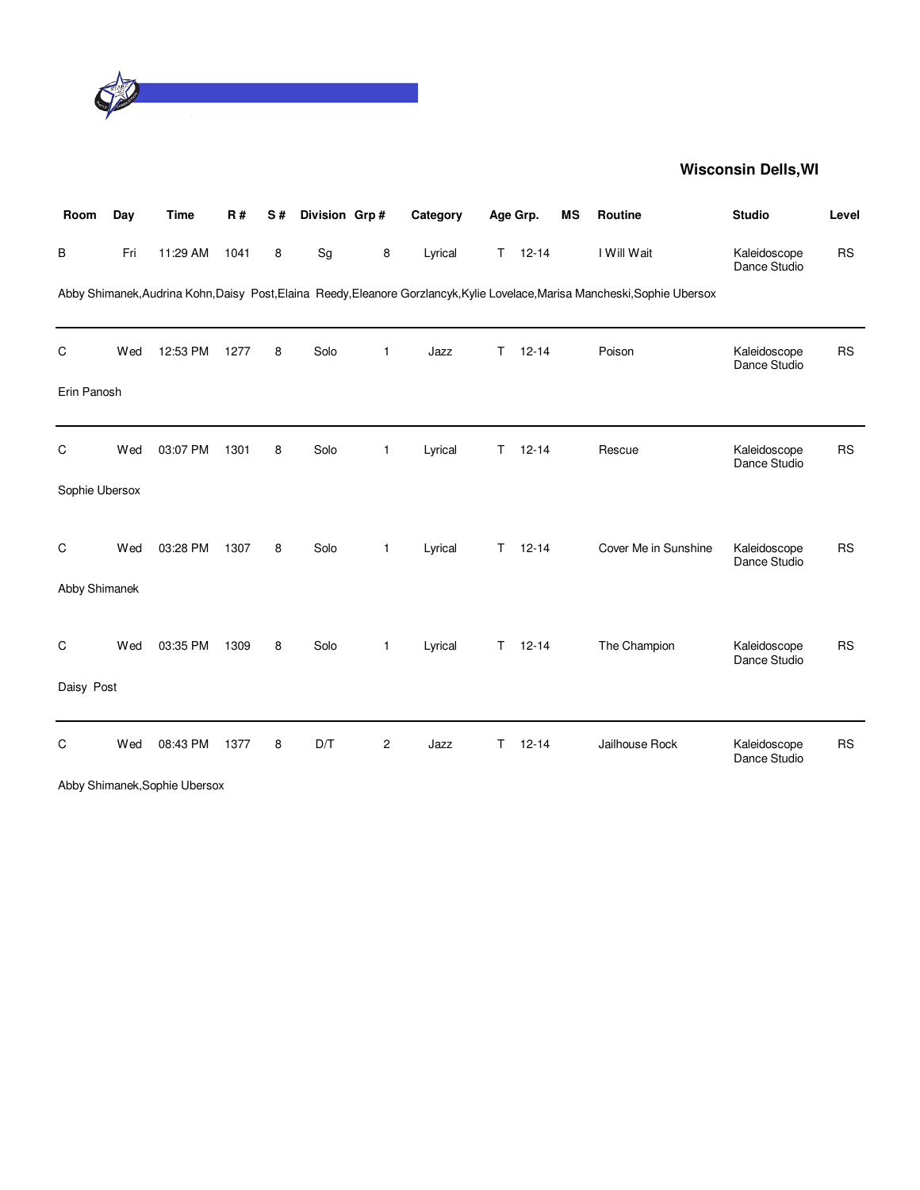

| Room           | Day | <b>Time</b>                   | <b>R#</b> | S# | Division Grp# |                | Category |              | Age Grp.  | <b>MS</b> | Routine                                                                                                                      | <b>Studio</b>                | Level     |
|----------------|-----|-------------------------------|-----------|----|---------------|----------------|----------|--------------|-----------|-----------|------------------------------------------------------------------------------------------------------------------------------|------------------------------|-----------|
| В              | Fri | 11:29 AM                      | 1041      | 8  | Sg            | 8              | Lyrical  | T.           | $12 - 14$ |           | I Will Wait                                                                                                                  | Kaleidoscope<br>Dance Studio | <b>RS</b> |
|                |     |                               |           |    |               |                |          |              |           |           | Abby Shimanek, Audrina Kohn, Daisy Post, Elaina Reedy, Eleanore Gorzlancyk, Kylie Lovelace, Marisa Mancheski, Sophie Ubersox |                              |           |
| C              | Wed | 12:53 PM                      | 1277      | 8  | Solo          | 1              | Jazz     | T.           | $12 - 14$ |           | Poison                                                                                                                       | Kaleidoscope<br>Dance Studio | <b>RS</b> |
| Erin Panosh    |     |                               |           |    |               |                |          |              |           |           |                                                                                                                              |                              |           |
| C              | Wed | 03:07 PM                      | 1301      | 8  | Solo          | 1              | Lyrical  | T            | $12 - 14$ |           | Rescue                                                                                                                       | Kaleidoscope<br>Dance Studio | <b>RS</b> |
| Sophie Ubersox |     |                               |           |    |               |                |          |              |           |           |                                                                                                                              |                              |           |
| C              | Wed | 03:28 PM                      | 1307      | 8  | Solo          | 1              | Lyrical  | T.           | $12 - 14$ |           | Cover Me in Sunshine                                                                                                         | Kaleidoscope<br>Dance Studio | <b>RS</b> |
| Abby Shimanek  |     |                               |           |    |               |                |          |              |           |           |                                                                                                                              |                              |           |
| C              | Wed | 03:35 PM                      | 1309      | 8  | Solo          | $\mathbf{1}$   | Lyrical  | T.           | $12 - 14$ |           | The Champion                                                                                                                 | Kaleidoscope<br>Dance Studio | <b>RS</b> |
| Daisy Post     |     |                               |           |    |               |                |          |              |           |           |                                                                                                                              |                              |           |
| C              | Wed | 08:43 PM                      | 1377      | 8  | D/T           | $\overline{2}$ | Jazz     | $\mathsf{T}$ | $12 - 14$ |           | Jailhouse Rock                                                                                                               | Kaleidoscope<br>Dance Studio | <b>RS</b> |
|                |     | Abby Shimanek, Sophie Ubersox |           |    |               |                |          |              |           |           |                                                                                                                              |                              |           |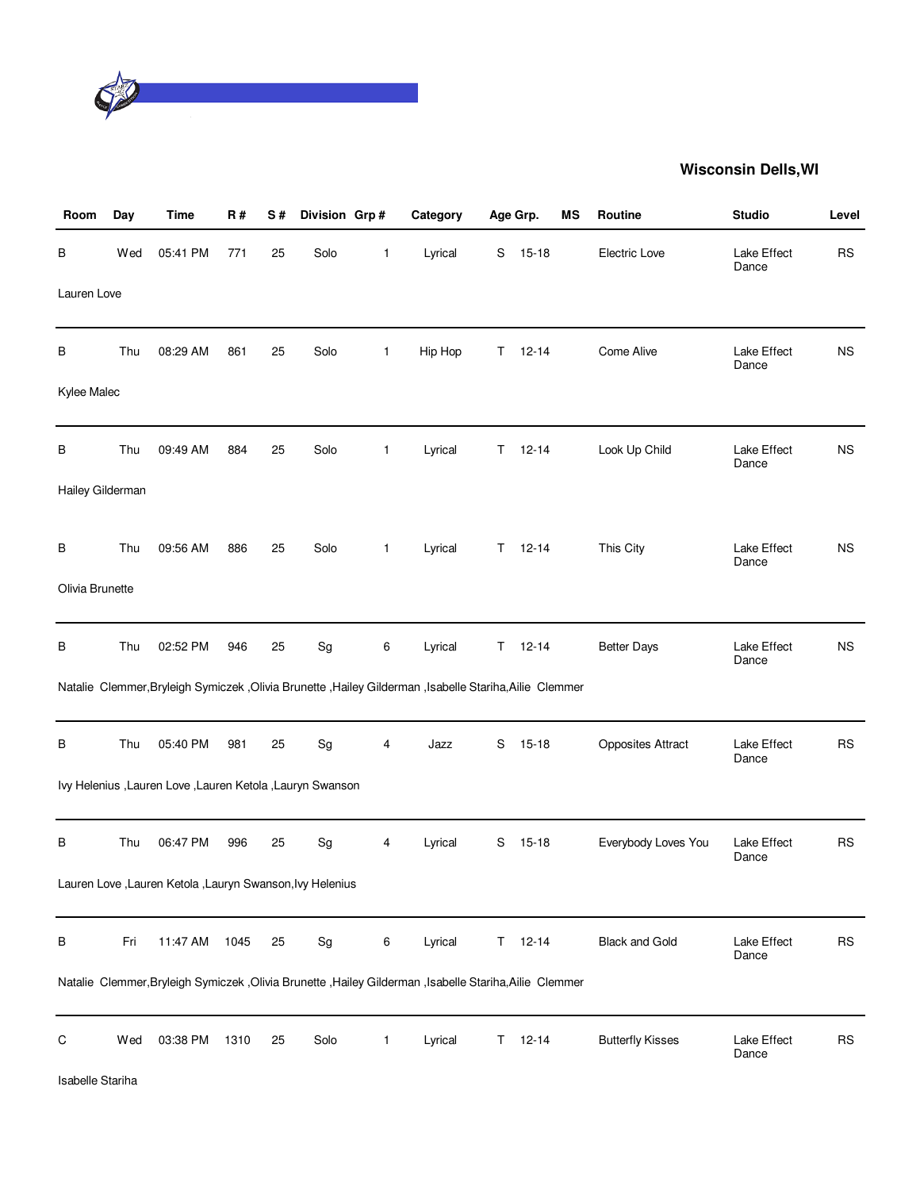

| Room             | Day | Time                                                        | <b>R#</b> | S# | Division Grp# |              | Category                                                                                                  | Age Grp. |           | MS | Routine                  | <b>Studio</b>        | Level     |
|------------------|-----|-------------------------------------------------------------|-----------|----|---------------|--------------|-----------------------------------------------------------------------------------------------------------|----------|-----------|----|--------------------------|----------------------|-----------|
| В                | Wed | 05:41 PM                                                    | 771       | 25 | Solo          | $\mathbf{1}$ | Lyrical                                                                                                   | S        | $15 - 18$ |    | Electric Love            | Lake Effect<br>Dance | <b>RS</b> |
| Lauren Love      |     |                                                             |           |    |               |              |                                                                                                           |          |           |    |                          |                      |           |
| В                | Thu | 08:29 AM                                                    | 861       | 25 | Solo          | $\mathbf{1}$ | Hip Hop                                                                                                   | T.       | $12 - 14$ |    | Come Alive               | Lake Effect<br>Dance | <b>NS</b> |
| Kylee Malec      |     |                                                             |           |    |               |              |                                                                                                           |          |           |    |                          |                      |           |
| В                | Thu | 09:49 AM                                                    | 884       | 25 | Solo          | $\mathbf{1}$ | Lyrical                                                                                                   | Τ        | $12 - 14$ |    | Look Up Child            | Lake Effect<br>Dance | <b>NS</b> |
| Hailey Gilderman |     |                                                             |           |    |               |              |                                                                                                           |          |           |    |                          |                      |           |
| В                | Thu | 09:56 AM                                                    | 886       | 25 | Solo          | $\mathbf{1}$ | Lyrical                                                                                                   | T.       | $12 - 14$ |    | This City                | Lake Effect<br>Dance | <b>NS</b> |
| Olivia Brunette  |     |                                                             |           |    |               |              |                                                                                                           |          |           |    |                          |                      |           |
| В                | Thu | 02:52 PM                                                    | 946       | 25 | Sg            | 6            | Lyrical                                                                                                   | T.       | $12 - 14$ |    | <b>Better Days</b>       | Lake Effect<br>Dance | <b>NS</b> |
|                  |     |                                                             |           |    |               |              | Natalie Clemmer, Bryleigh Symiczek , Olivia Brunette , Hailey Gilderman , Isabelle Stariha, Ailie Clemmer |          |           |    |                          |                      |           |
| В                | Thu | 05:40 PM                                                    | 981       | 25 | Sg            | 4            | Jazz                                                                                                      | S        | $15 - 18$ |    | <b>Opposites Attract</b> | Lake Effect<br>Dance | <b>RS</b> |
|                  |     | Ivy Helenius , Lauren Love , Lauren Ketola , Lauryn Swanson |           |    |               |              |                                                                                                           |          |           |    |                          |                      |           |
| В                | Thu | 06:47 PM                                                    | 996       | 25 | Sg            | 4            | Lyrical                                                                                                   | S        | $15 - 18$ |    | Everybody Loves You      | Lake Effect<br>Dance | <b>RS</b> |
|                  |     | Lauren Love , Lauren Ketola , Lauryn Swanson, Ivy Helenius  |           |    |               |              |                                                                                                           |          |           |    |                          |                      |           |
| В                | Fri | 11:47 AM                                                    | 1045      | 25 | Sg            | 6            | Lyrical                                                                                                   | T.       | $12 - 14$ |    | <b>Black and Gold</b>    | Lake Effect<br>Dance | <b>RS</b> |
|                  |     |                                                             |           |    |               |              | Natalie Clemmer, Bryleigh Symiczek , Olivia Brunette , Hailey Gilderman , Isabelle Stariha, Ailie Clemmer |          |           |    |                          |                      |           |
| C                | Wed | 03:38 PM                                                    | 1310      | 25 | Solo          | $\mathbf{1}$ | Lyrical                                                                                                   | T.       | $12 - 14$ |    | <b>Butterfly Kisses</b>  | Lake Effect<br>Dance | <b>RS</b> |
| Isabelle Stariha |     |                                                             |           |    |               |              |                                                                                                           |          |           |    |                          |                      |           |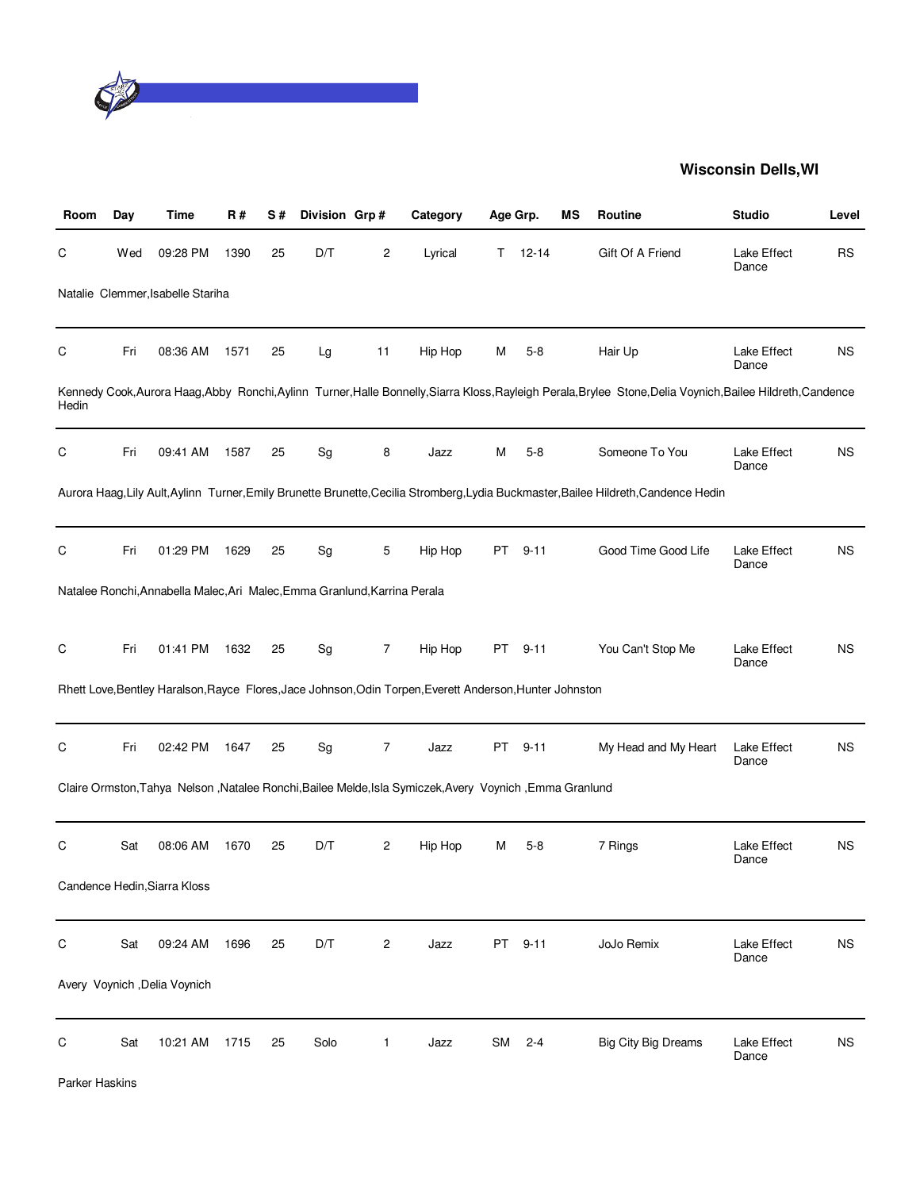

| Room  | Day | Time                                                                      | R#   | S# | Division Grp# |                | Category                                                                                                 | Age Grp.  |           | ΜS | Routine                                                                                                                                                      | <b>Studio</b>        | Level     |
|-------|-----|---------------------------------------------------------------------------|------|----|---------------|----------------|----------------------------------------------------------------------------------------------------------|-----------|-----------|----|--------------------------------------------------------------------------------------------------------------------------------------------------------------|----------------------|-----------|
| С     | Wed | 09:28 PM                                                                  | 1390 | 25 | D/T           | 2              | Lyrical                                                                                                  | Τ         | $12 - 14$ |    | Gift Of A Friend                                                                                                                                             | Lake Effect<br>Dance | <b>RS</b> |
|       |     | Natalie Clemmer, Isabelle Stariha                                         |      |    |               |                |                                                                                                          |           |           |    |                                                                                                                                                              |                      |           |
| С     | Fri | 08:36 AM                                                                  | 1571 | 25 | Lg            | 11             | Hip Hop                                                                                                  | M         | $5 - 8$   |    | Hair Up                                                                                                                                                      | Lake Effect<br>Dance | <b>NS</b> |
| Hedin |     |                                                                           |      |    |               |                |                                                                                                          |           |           |    | Kennedy Cook, Aurora Haag, Abby Ronchi, Aylinn Turner, Halle Bonnelly, Siarra Kloss, Rayleigh Perala, Brylee Stone, Delia Voynich, Bailee Hildreth, Candence |                      |           |
| С     | Fri | 09:41 AM                                                                  | 1587 | 25 | Sg            | 8              | Jazz                                                                                                     | M         | $5 - 8$   |    | Someone To You                                                                                                                                               | Lake Effect<br>Dance | <b>NS</b> |
|       |     |                                                                           |      |    |               |                |                                                                                                          |           |           |    | Aurora Haag, Lily Ault, Aylinn Turner, Emily Brunette Brunette, Cecilia Stromberg, Lydia Buckmaster, Bailee Hildreth, Candence Hedin                         |                      |           |
| С     | Fri | 01:29 PM                                                                  | 1629 | 25 | Sg            | 5              | Hip Hop                                                                                                  | PT        | $9 - 11$  |    | Good Time Good Life                                                                                                                                          | Lake Effect<br>Dance | <b>NS</b> |
|       |     | Natalee Ronchi, Annabella Malec, Ari Malec, Emma Granlund, Karrina Perala |      |    |               |                |                                                                                                          |           |           |    |                                                                                                                                                              |                      |           |
| C     | Fri | 01:41 PM                                                                  | 1632 | 25 | Sg            | 7              | Hip Hop                                                                                                  | PT        | $9 - 11$  |    | You Can't Stop Me                                                                                                                                            | Lake Effect<br>Dance | <b>NS</b> |
|       |     |                                                                           |      |    |               |                | Rhett Love, Bentley Haralson, Rayce Flores, Jace Johnson, Odin Torpen, Everett Anderson, Hunter Johnston |           |           |    |                                                                                                                                                              |                      |           |
| C     | Fri | 02:42 PM                                                                  | 1647 | 25 | Sg            | $\overline{7}$ | Jazz                                                                                                     | PT        | $9 - 11$  |    | My Head and My Heart                                                                                                                                         | Lake Effect<br>Dance | <b>NS</b> |
|       |     |                                                                           |      |    |               |                | Claire Ormston, Tahya Nelson , Natalee Ronchi, Bailee Melde, Isla Symiczek, Avery Voynich, Emma Granlund |           |           |    |                                                                                                                                                              |                      |           |
| С     | Sat | 08:06 AM                                                                  | 1670 | 25 | D/T           | 2              | Hip Hop                                                                                                  | м         | 5-8       |    | 7 Rings                                                                                                                                                      | Lake Effect<br>Dance | <b>NS</b> |
|       |     | Candence Hedin, Siarra Kloss                                              |      |    |               |                |                                                                                                          |           |           |    |                                                                                                                                                              |                      |           |
| С     | Sat | 09:24 AM                                                                  | 1696 | 25 | D/T           | 2              | Jazz                                                                                                     | <b>PT</b> | $9 - 11$  |    | JoJo Remix                                                                                                                                                   | Lake Effect<br>Dance | <b>NS</b> |
|       |     | Avery Voynich , Delia Voynich                                             |      |    |               |                |                                                                                                          |           |           |    |                                                                                                                                                              |                      |           |
| С     | Sat | 10:21 AM                                                                  | 1715 | 25 | Solo          | $\mathbf{1}$   | Jazz                                                                                                     | SM        | $2 - 4$   |    | <b>Big City Big Dreams</b>                                                                                                                                   | Lake Effect<br>Dance | <b>NS</b> |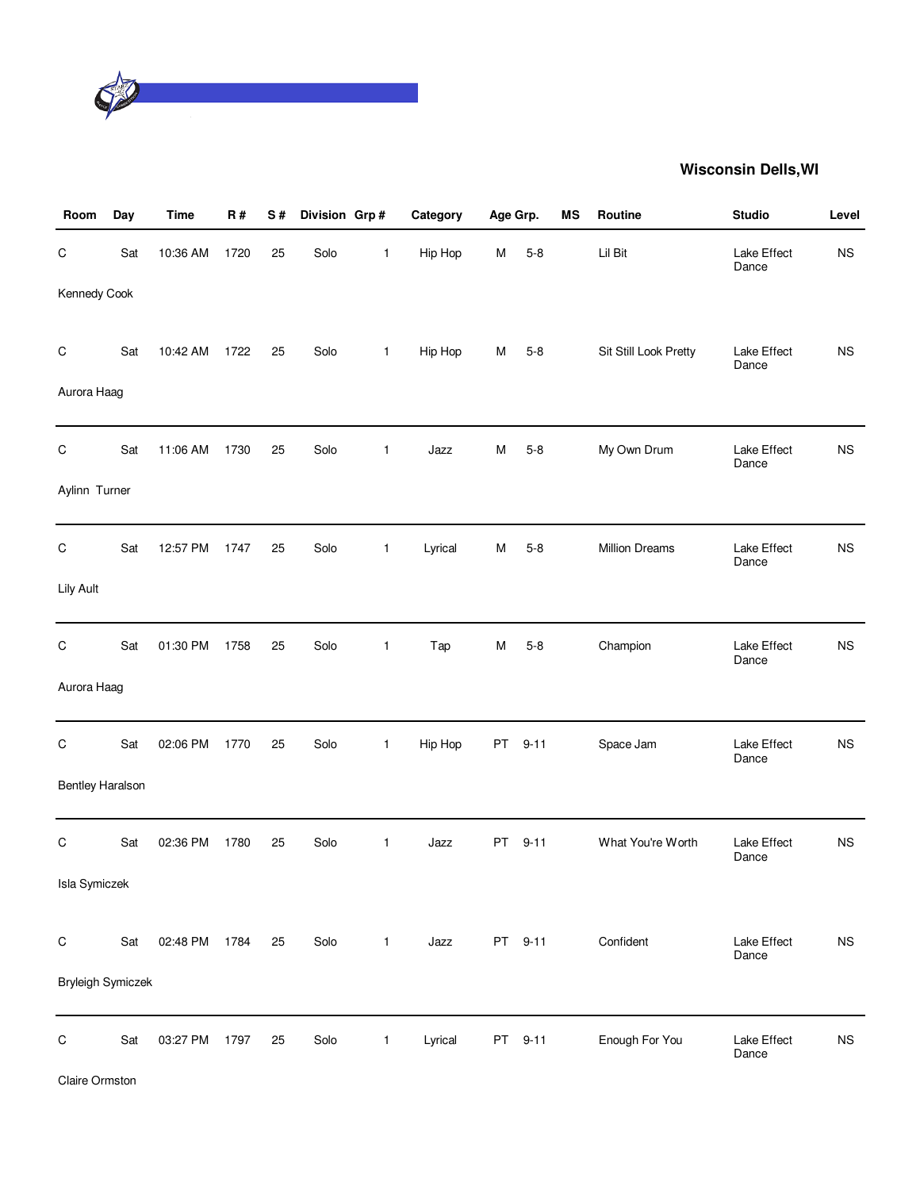

| Room                    | Day | <b>Time</b>   | R#   | S# | Division Grp # |              | Category | Age Grp. |          | <b>MS</b> | Routine               | <b>Studio</b>        | Level       |
|-------------------------|-----|---------------|------|----|----------------|--------------|----------|----------|----------|-----------|-----------------------|----------------------|-------------|
| C                       | Sat | 10:36 AM      | 1720 | 25 | Solo           | 1            | Hip Hop  | M        | $5 - 8$  |           | Lil Bit               | Lake Effect<br>Dance | <b>NS</b>   |
| Kennedy Cook            |     |               |      |    |                |              |          |          |          |           |                       |                      |             |
| $\mathsf C$             | Sat | 10:42 AM      | 1722 | 25 | Solo           | $\mathbf{1}$ | Hip Hop  | M        | $5 - 8$  |           | Sit Still Look Pretty | Lake Effect<br>Dance | <b>NS</b>   |
| Aurora Haag             |     |               |      |    |                |              |          |          |          |           |                       |                      |             |
| $\mathsf C$             | Sat | 11:06 AM      | 1730 | 25 | Solo           | 1            | Jazz     | M        | $5 - 8$  |           | My Own Drum           | Lake Effect<br>Dance | <b>NS</b>   |
| Aylinn Turner           |     |               |      |    |                |              |          |          |          |           |                       |                      |             |
| C                       | Sat | 12:57 PM      | 1747 | 25 | Solo           | $\mathbf{1}$ | Lyrical  | M        | $5 - 8$  |           | <b>Million Dreams</b> | Lake Effect<br>Dance | <b>NS</b>   |
| Lily Ault               |     |               |      |    |                |              |          |          |          |           |                       |                      |             |
| C                       | Sat | 01:30 PM      | 1758 | 25 | Solo           | $\mathbf{1}$ | Tap      | M        | $5 - 8$  |           | Champion              | Lake Effect<br>Dance | <b>NS</b>   |
| Aurora Haag             |     |               |      |    |                |              |          |          |          |           |                       |                      |             |
| $\mathsf C$             | Sat | 02:06 PM      | 1770 | 25 | Solo           | $\mathbf{1}$ | Hip Hop  | PT       | $9 - 11$ |           | Space Jam             | Lake Effect<br>Dance | <b>NS</b>   |
| <b>Bentley Haralson</b> |     |               |      |    |                |              |          |          |          |           |                       |                      |             |
| C                       | Sat | 02:36 PM      | 1780 | 25 | Solo           | $\mathbf{1}$ | Jazz     | PT       | $9 - 11$ |           | What You're Worth     | Lake Effect<br>Dance | <b>NS</b>   |
| <b>Isla Symiczek</b>    |     |               |      |    |                |              |          |          |          |           |                       |                      |             |
| $\mathsf C$             | Sat | 02:48 PM 1784 |      | 25 | Solo           | $\mathbf{1}$ | Jazz     |          | PT 9-11  |           | Confident             | Lake Effect<br>Dance | $_{\rm NS}$ |
| Bryleigh Symiczek       |     |               |      |    |                |              |          |          |          |           |                       |                      |             |
| $\mathsf C$             | Sat | 03:27 PM      | 1797 | 25 | Solo           | $\mathbf{1}$ | Lyrical  |          | PT 9-11  |           | Enough For You        | Lake Effect<br>Dance | $_{\rm NS}$ |

Claire Ormston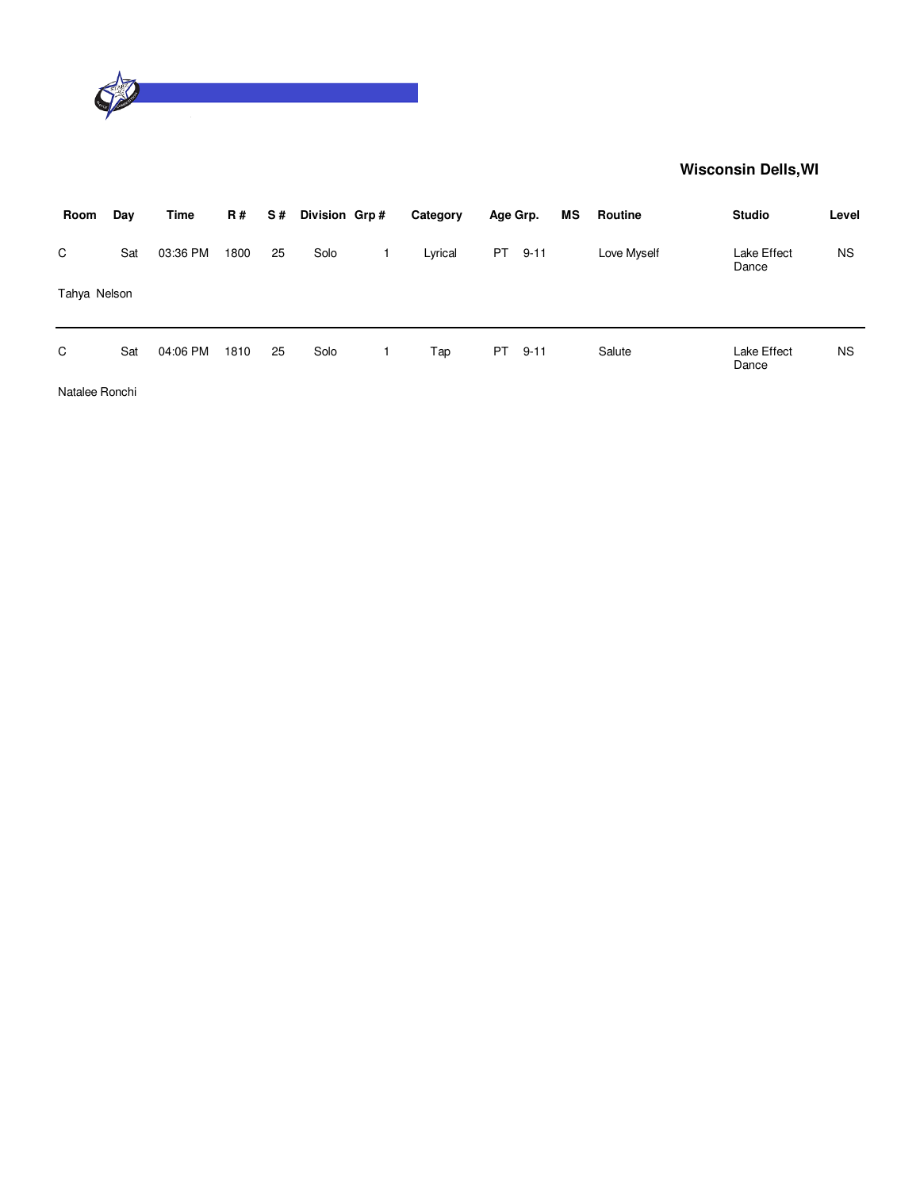

| Room         | Day | <b>Time</b> | <b>R#</b> | S# | Division Grp# | Category | Age Grp.  |          | ΜS | Routine     | <b>Studio</b>        | Level     |
|--------------|-----|-------------|-----------|----|---------------|----------|-----------|----------|----|-------------|----------------------|-----------|
| C            | Sat | 03:36 PM    | 1800      | 25 | Solo          | Lyrical  | PT        | $9 - 11$ |    | Love Myself | Lake Effect<br>Dance | NS.       |
| Tahya Nelson |     |             |           |    |               |          |           |          |    |             |                      |           |
| C            | Sat | 04:06 PM    | 1810      | 25 | Solo          | Tap      | <b>PT</b> | $9 - 11$ |    | Salute      | Lake Effect<br>Dance | <b>NS</b> |

Natalee Ronchi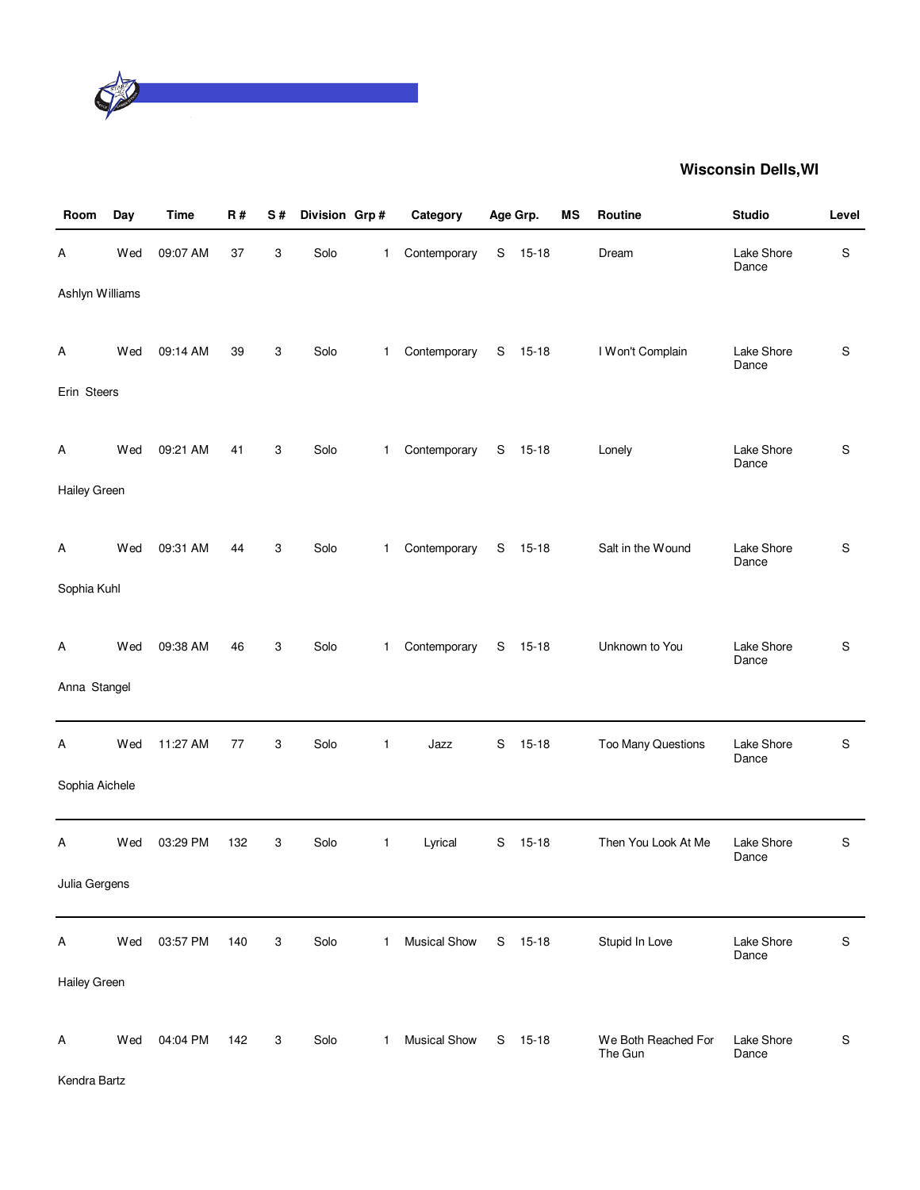

| Room            | Day | <b>Time</b> | R#  | S# | Division Grp# |              | Category            |             | Age Grp.  | ΜS | Routine                        | <b>Studio</b>       | Level       |
|-----------------|-----|-------------|-----|----|---------------|--------------|---------------------|-------------|-----------|----|--------------------------------|---------------------|-------------|
| Α               | Wed | 09:07 AM    | 37  | 3  | Solo          | 1            | Contemporary        | S           | $15 - 18$ |    | Dream                          | Lake Shore<br>Dance | S           |
| Ashlyn Williams |     |             |     |    |               |              |                     |             |           |    |                                |                     |             |
| A               | Wed | 09:14 AM    | 39  | 3  | Solo          | $\mathbf{1}$ | Contemporary        | S           | $15 - 18$ |    | I Won't Complain               | Lake Shore<br>Dance | $\mathsf S$ |
| Erin Steers     |     |             |     |    |               |              |                     |             |           |    |                                |                     |             |
| А               | Wed | 09:21 AM    | 41  | 3  | Solo          | $\mathbf{1}$ | Contemporary        | S           | $15 - 18$ |    | Lonely                         | Lake Shore<br>Dance | S           |
| Hailey Green    |     |             |     |    |               |              |                     |             |           |    |                                |                     |             |
| Α               | Wed | 09:31 AM    | 44  | 3  | Solo          | $\mathbf{1}$ | Contemporary        | S           | $15 - 18$ |    | Salt in the Wound              | Lake Shore<br>Dance | S           |
| Sophia Kuhl     |     |             |     |    |               |              |                     |             |           |    |                                |                     |             |
| A               | Wed | 09:38 AM    | 46  | 3  | Solo          | $\mathbf{1}$ | Contemporary        | $\mathbf S$ | 15-18     |    | Unknown to You                 | Lake Shore<br>Dance | S           |
| Anna Stangel    |     |             |     |    |               |              |                     |             |           |    |                                |                     |             |
| Α               | Wed | 11:27 AM    | 77  | 3  | Solo          | 1            | Jazz                | S           | $15 - 18$ |    | <b>Too Many Questions</b>      | Lake Shore<br>Dance | S           |
| Sophia Aichele  |     |             |     |    |               |              |                     |             |           |    |                                |                     |             |
| Α               | Wed | 03:29 PM    | 132 | 3  | Solo          | $\mathbf{1}$ | Lyrical             | S           | $15 - 18$ |    | Then You Look At Me            | Lake Shore<br>Dance | S           |
| Julia Gergens   |     |             |     |    |               |              |                     |             |           |    |                                |                     |             |
| Α               | Wed | 03:57 PM    | 140 | 3  | Solo          | 1            | Musical Show        | S           | $15 - 18$ |    | Stupid In Love                 | Lake Shore<br>Dance | S           |
| Hailey Green    |     |             |     |    |               |              |                     |             |           |    |                                |                     |             |
| Α               | Wed | 04:04 PM    | 142 | 3  | Solo          | 1            | <b>Musical Show</b> | S           | 15-18     |    | We Both Reached For<br>The Gun | Lake Shore<br>Dance | S           |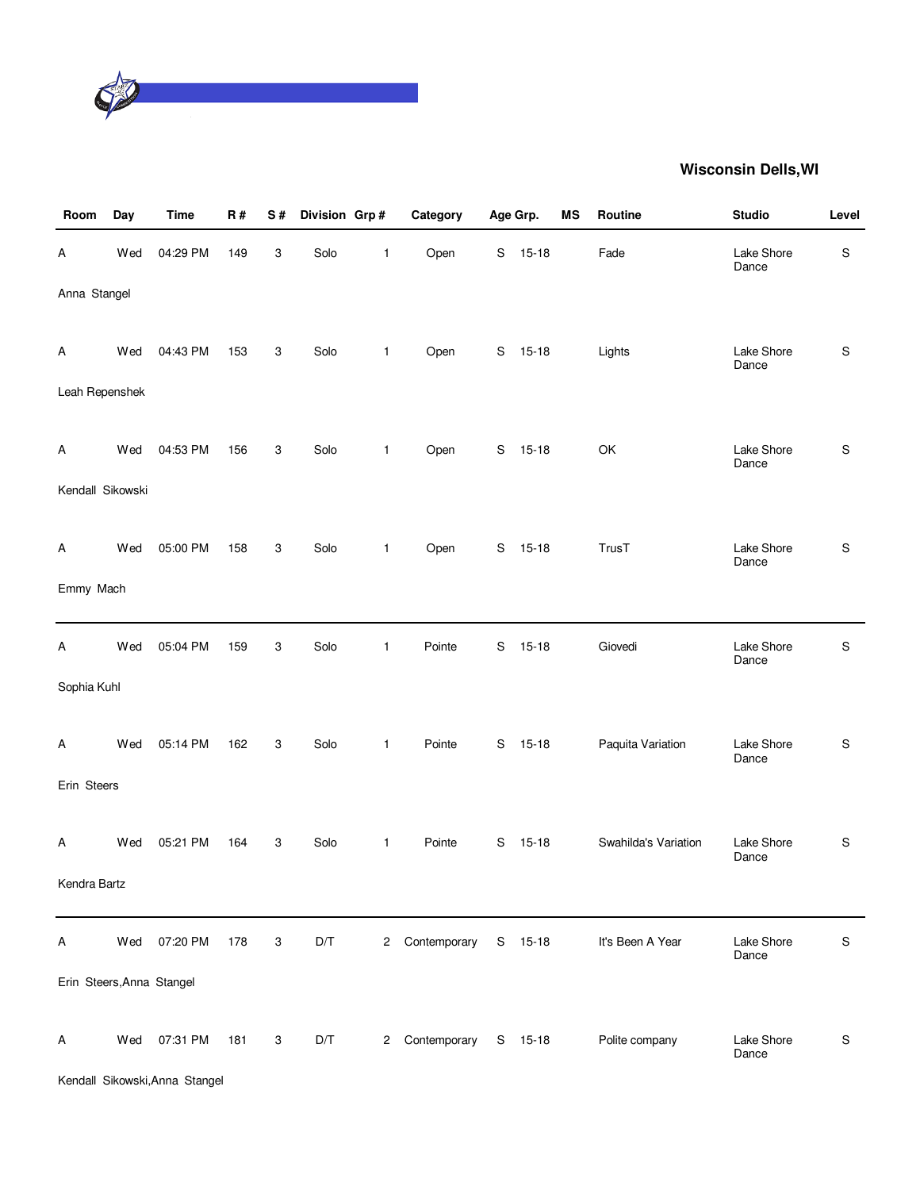

| Room                      | Day | <b>Time</b> | R#  | S# | Division Grp# |              | Category       |   | Age Grp.  | MS | Routine              | <b>Studio</b>       | Level         |
|---------------------------|-----|-------------|-----|----|---------------|--------------|----------------|---|-----------|----|----------------------|---------------------|---------------|
| Α                         | Wed | 04:29 PM    | 149 | 3  | Solo          | 1            | Open           | S | $15-18$   |    | Fade                 | Lake Shore<br>Dance | $\mathbb S$   |
| Anna Stangel              |     |             |     |    |               |              |                |   |           |    |                      |                     |               |
| A                         | Wed | 04:43 PM    | 153 | 3  | Solo          | $\mathbf{1}$ | Open           |   | S 15-18   |    | Lights               | Lake Shore<br>Dance | ${\mathbb S}$ |
| Leah Repenshek            |     |             |     |    |               |              |                |   |           |    |                      |                     |               |
| A                         | Wed | 04:53 PM    | 156 | 3  | Solo          | 1            | Open           | S | $15 - 18$ |    | OK                   | Lake Shore<br>Dance | ${\mathbb S}$ |
| Kendall Sikowski          |     |             |     |    |               |              |                |   |           |    |                      |                     |               |
| A                         | Wed | 05:00 PM    | 158 | 3  | Solo          | $\mathbf{1}$ | Open           |   | S 15-18   |    | TrusT                | Lake Shore<br>Dance | S             |
| Emmy Mach                 |     |             |     |    |               |              |                |   |           |    |                      |                     |               |
| Α                         | Wed | 05:04 PM    | 159 | 3  | Solo          | 1            | Pointe         | S | $15 - 18$ |    | Giovedi              | Lake Shore<br>Dance | S             |
| Sophia Kuhl               |     |             |     |    |               |              |                |   |           |    |                      |                     |               |
| A                         | Wed | 05:14 PM    | 162 | 3  | Solo          | $\mathbf{1}$ | Pointe         | S | $15 - 18$ |    | Paquita Variation    | Lake Shore<br>Dance | $\mathsf S$   |
| Erin Steers               |     |             |     |    |               |              |                |   |           |    |                      |                     |               |
| A                         | Wed | 05:21 PM    | 164 | 3  | Solo          | 1            | Pointe         | S | $15-18$   |    | Swahilda's Variation | Lake Shore<br>Dance | S             |
| Kendra Bartz              |     |             |     |    |               |              |                |   |           |    |                      |                     |               |
| A                         | Wed | 07:20 PM    | 178 | 3  | D/T           | $^{2}$       | Contemporary   |   | S 15-18   |    | It's Been A Year     | Lake Shore<br>Dance | ${\mathbb S}$ |
| Erin Steers, Anna Stangel |     |             |     |    |               |              |                |   |           |    |                      |                     |               |
| A                         | Wed | 07:31 PM    | 181 | 3  | D/T           |              | 2 Contemporary |   | S 15-18   |    | Polite company       | Lake Shore<br>Dance | $\mathbb S$   |

Kendall Sikowski,Anna Stangel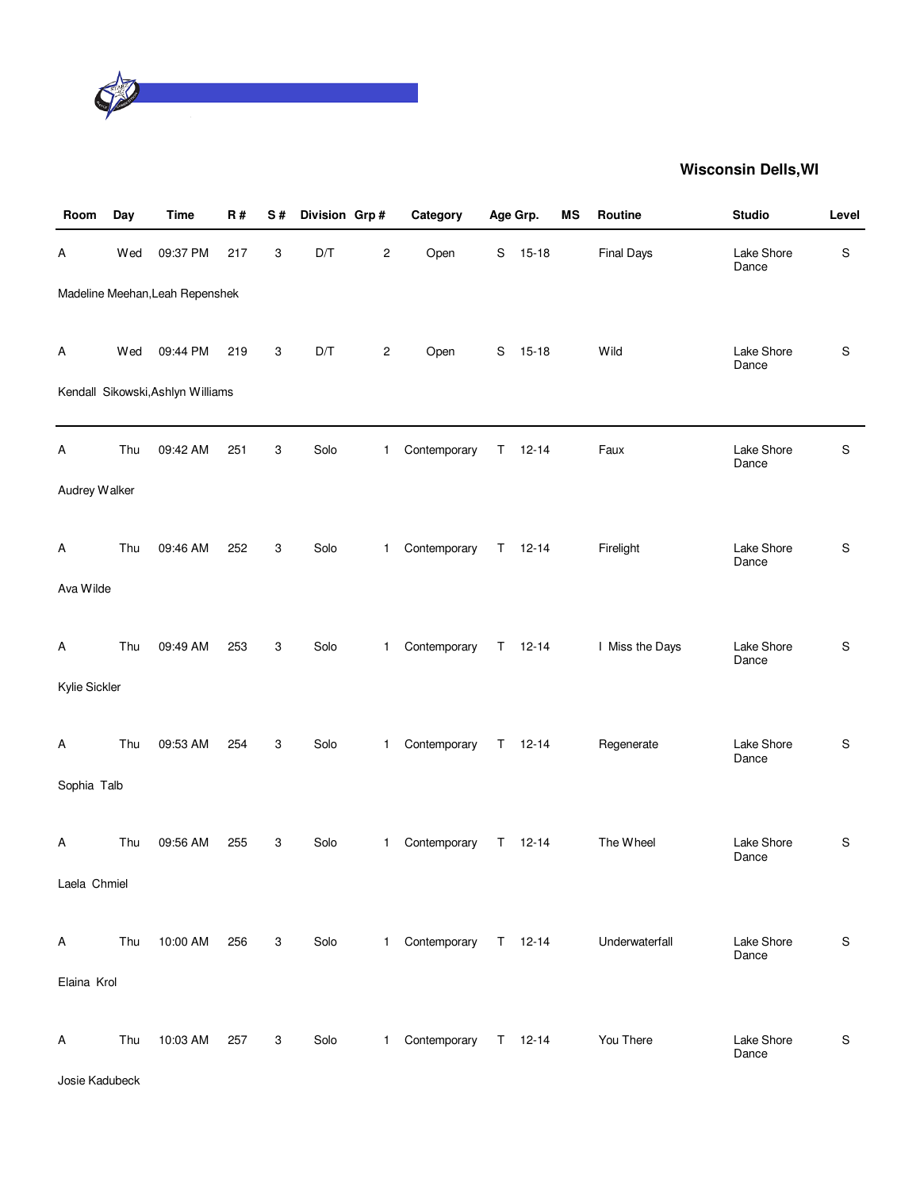

| Room           | Day | <b>Time</b>                       | <b>R#</b> | S# | Division Grp#           |                         | Category               |    | Age Grp.      | MS | Routine           | <b>Studio</b>       | Level       |
|----------------|-----|-----------------------------------|-----------|----|-------------------------|-------------------------|------------------------|----|---------------|----|-------------------|---------------------|-------------|
| Α              | Wed | 09:37 PM                          | 217       | 3  | $\mathsf{D}/\mathsf{T}$ | $\overline{\mathbf{c}}$ | Open                   | S  | $15 - 18$     |    | <b>Final Days</b> | Lake Shore<br>Dance | $\mathsf S$ |
|                |     | Madeline Meehan, Leah Repenshek   |           |    |                         |                         |                        |    |               |    |                   |                     |             |
| A              | Wed | 09:44 PM                          | 219       | 3  | D/T                     | $\overline{c}$          | Open                   |    | $S$ 15-18     |    | Wild              | Lake Shore<br>Dance | $\mathsf S$ |
|                |     | Kendall Sikowski, Ashlyn Williams |           |    |                         |                         |                        |    |               |    |                   |                     |             |
| Α              | Thu | 09:42 AM                          | 251       | 3  | Solo                    | $\mathbf{1}$            | Contemporary           |    | $T = 12 - 14$ |    | Faux              | Lake Shore<br>Dance | $\mathsf S$ |
| Audrey Walker  |     |                                   |           |    |                         |                         |                        |    |               |    |                   |                     |             |
| A              | Thu | 09:46 AM                          | 252       | 3  | Solo                    | $\mathbf{1}$            | Contemporary           |    | $T = 12-14$   |    | Firelight         | Lake Shore<br>Dance | S           |
| Ava Wilde      |     |                                   |           |    |                         |                         |                        |    |               |    |                   |                     |             |
| A              | Thu | 09:49 AM                          | 253       | 3  | Solo                    | $\mathbf{1}$            | Contemporary           |    | $T = 12 - 14$ |    | I Miss the Days   | Lake Shore<br>Dance | S           |
| Kylie Sickler  |     |                                   |           |    |                         |                         |                        |    |               |    |                   |                     |             |
| A              | Thu | 09:53 AM                          | 254       | 3  | Solo                    | $\mathbf{1}$            | Contemporary           |    | $T = 12-14$   |    | Regenerate        | Lake Shore<br>Dance | S           |
| Sophia Talb    |     |                                   |           |    |                         |                         |                        |    |               |    |                   |                     |             |
| A              | Thu | 09:56 AM                          | 255       | 3  | Solo                    | $\mathbf{1}$            | Contemporary           | T. | $12 - 14$     |    | The Wheel         | Lake Shore<br>Dance | S           |
| Laela Chmiel   |     |                                   |           |    |                         |                         |                        |    |               |    |                   |                     |             |
| A              | Thu | 10:00 AM                          | 256       | 3  | Solo                    |                         | 1 Contemporary T 12-14 |    |               |    | Underwaterfall    | Lake Shore<br>Dance | S           |
| Elaina Krol    |     |                                   |           |    |                         |                         |                        |    |               |    |                   |                     |             |
| Α              | Thu | 10:03 AM                          | 257       | 3  | Solo                    | 1                       | Contemporary T 12-14   |    |               |    | You There         | Lake Shore          | S           |
| Josie Kadubeck |     |                                   |           |    |                         |                         |                        |    |               |    |                   | Dance               |             |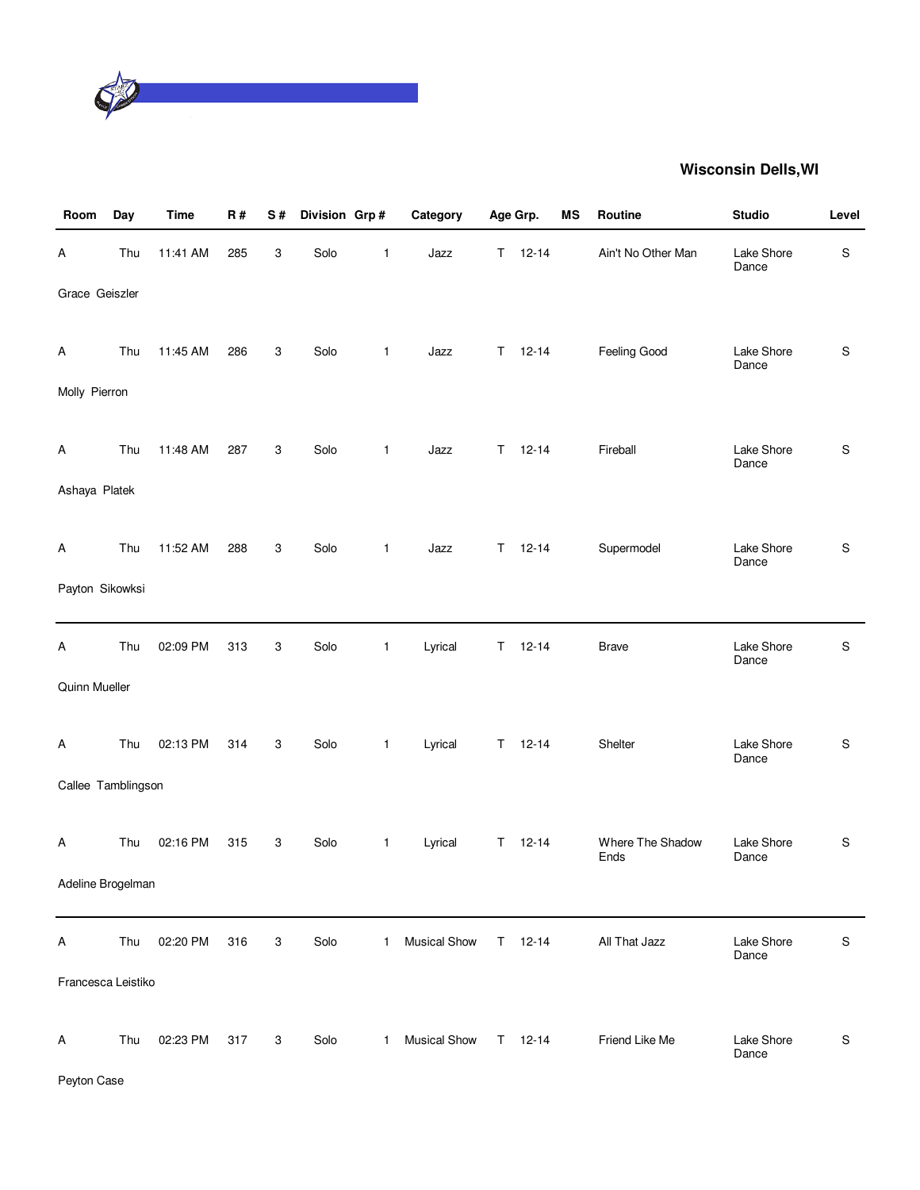

| Room               | Day | <b>Time</b> | R#  | S# | Division Grp# |              | Category            |    | Age Grp.      | ΜS | Routine                  | <b>Studio</b>       | Level         |
|--------------------|-----|-------------|-----|----|---------------|--------------|---------------------|----|---------------|----|--------------------------|---------------------|---------------|
| Α                  | Thu | 11:41 AM    | 285 | 3  | Solo          | 1            | Jazz                |    | $T = 12 - 14$ |    | Ain't No Other Man       | Lake Shore<br>Dance | S             |
| Grace Geiszler     |     |             |     |    |               |              |                     |    |               |    |                          |                     |               |
| A                  | Thu | 11:45 AM    | 286 | 3  | Solo          | $\mathbf{1}$ | Jazz                | T. | $12 - 14$     |    | Feeling Good             | Lake Shore<br>Dance | $\mathsf S$   |
| Molly Pierron      |     |             |     |    |               |              |                     |    |               |    |                          |                     |               |
| A                  | Thu | 11:48 AM    | 287 | 3  | Solo          | $\mathbf{1}$ | Jazz                | T. | $12 - 14$     |    | Fireball                 | Lake Shore<br>Dance | S             |
| Ashaya Platek      |     |             |     |    |               |              |                     |    |               |    |                          |                     |               |
| Α                  | Thu | 11:52 AM    | 288 | 3  | Solo          | $\mathbf{1}$ | Jazz                |    | $T = 12 - 14$ |    | Supermodel               | Lake Shore<br>Dance | S             |
| Payton Sikowksi    |     |             |     |    |               |              |                     |    |               |    |                          |                     |               |
| Α                  | Thu | 02:09 PM    | 313 | 3  | Solo          | 1            | Lyrical             | T. | $12 - 14$     |    | <b>Brave</b>             | Lake Shore<br>Dance | S             |
| Quinn Mueller      |     |             |     |    |               |              |                     |    |               |    |                          |                     |               |
| A                  | Thu | 02:13 PM    | 314 | 3  | Solo          | 1            | Lyrical             | Τ  | $12 - 14$     |    | Shelter                  | Lake Shore<br>Dance | S             |
| Callee Tamblingson |     |             |     |    |               |              |                     |    |               |    |                          |                     |               |
| A                  | Thu | 02:16 PM    | 315 | 3  | Solo          | $\mathbf{1}$ | Lyrical             | T. | $12 - 14$     |    | Where The Shadow<br>Ends | Lake Shore<br>Dance | S             |
| Adeline Brogelman  |     |             |     |    |               |              |                     |    |               |    |                          |                     |               |
| Α                  | Thu | 02:20 PM    | 316 | 3  | Solo          | 1            | <b>Musical Show</b> | T. | $12 - 14$     |    | All That Jazz            | Lake Shore<br>Dance | ${\mathsf S}$ |
| Francesca Leistiko |     |             |     |    |               |              |                     |    |               |    |                          |                     |               |
| Α                  | Thu | 02:23 PM    | 317 | 3  | Solo          | 1            | Musical Show        |    | $T = 12-14$   |    | Friend Like Me           | Lake Shore<br>Dance | S             |

Peyton Case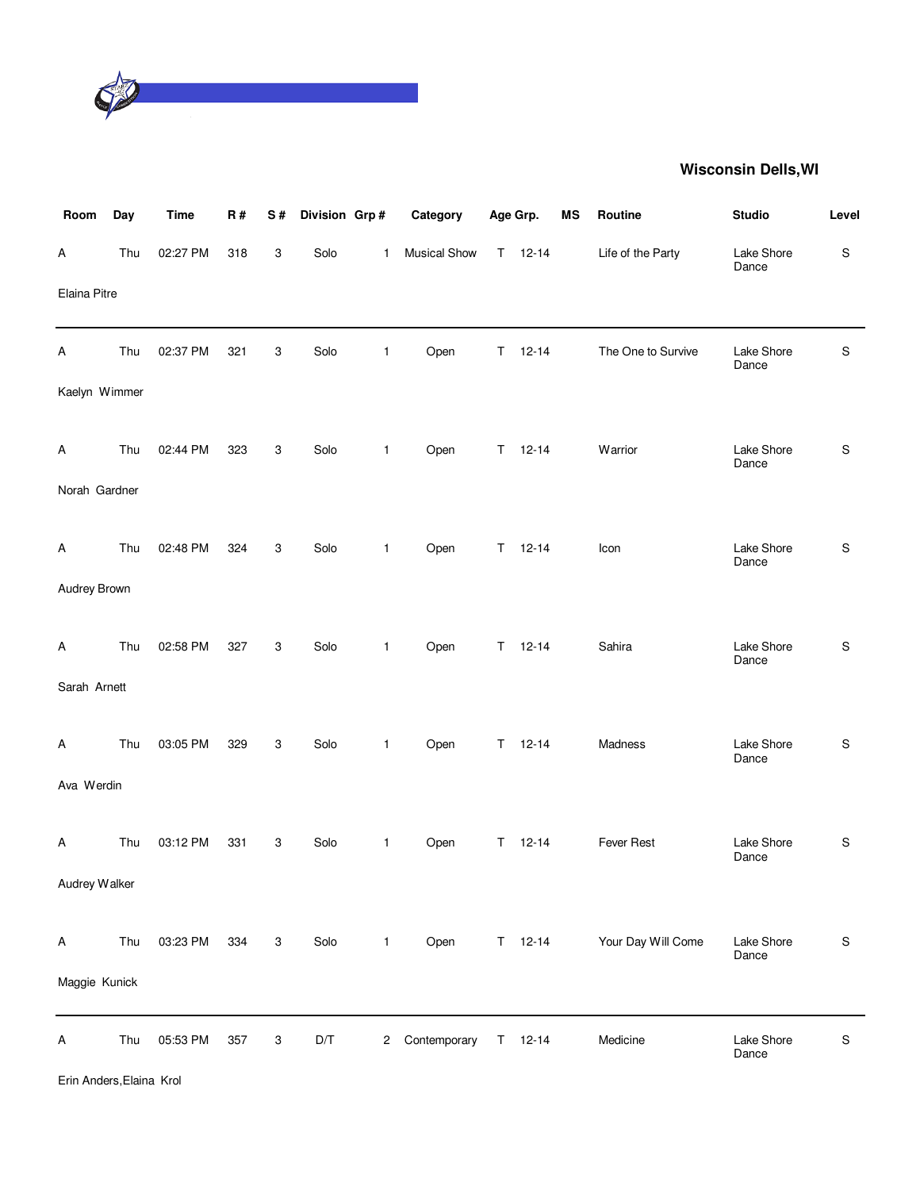

| Room          | Day | <b>Time</b> | R#  | S# | Division Grp# |                | Category            |    | Age Grp.      | <b>MS</b> | Routine            | <b>Studio</b>       | Level       |
|---------------|-----|-------------|-----|----|---------------|----------------|---------------------|----|---------------|-----------|--------------------|---------------------|-------------|
| Α             | Thu | 02:27 PM    | 318 | 3  | Solo          | $\mathbf{1}$   | <b>Musical Show</b> |    | $T = 12-14$   |           | Life of the Party  | Lake Shore<br>Dance | $\mathsf S$ |
| Elaina Pitre  |     |             |     |    |               |                |                     |    |               |           |                    |                     |             |
| A             | Thu | 02:37 PM    | 321 | 3  | Solo          | $\mathbf{1}$   | Open                | T. | $12 - 14$     |           | The One to Survive | Lake Shore<br>Dance | S           |
| Kaelyn Wimmer |     |             |     |    |               |                |                     |    |               |           |                    |                     |             |
| A             | Thu | 02:44 PM    | 323 | 3  | Solo          | 1              | Open                | T. | $12 - 14$     |           | Warrior            | Lake Shore<br>Dance | S           |
| Norah Gardner |     |             |     |    |               |                |                     |    |               |           |                    |                     |             |
| A             | Thu | 02:48 PM    | 324 | 3  | Solo          | $\mathbf{1}$   | Open                |    | $T = 12 - 14$ |           | Icon               | Lake Shore<br>Dance | $\mathsf S$ |
| Audrey Brown  |     |             |     |    |               |                |                     |    |               |           |                    |                     |             |
| A             | Thu | 02:58 PM    | 327 | 3  | Solo          | $\mathbf{1}$   | Open                |    | $T = 12 - 14$ |           | Sahira             | Lake Shore<br>Dance | $\mathsf S$ |
| Sarah Arnett  |     |             |     |    |               |                |                     |    |               |           |                    |                     |             |
| A             | Thu | 03:05 PM    | 329 | 3  | Solo          | $\mathbf{1}$   | Open                |    | $T = 12 - 14$ |           | Madness            | Lake Shore<br>Dance | S           |
| Ava Werdin    |     |             |     |    |               |                |                     |    |               |           |                    |                     |             |
| A             | Thu | 03:12 PM    | 331 | 3  | Solo          | $\mathbf{1}$   | Open                | T. | $12 - 14$     |           | Fever Rest         | Lake Shore<br>Dance | $\mathsf S$ |
| Audrey Walker |     |             |     |    |               |                |                     |    |               |           |                    |                     |             |
| A             | Thu | 03:23 PM    | 334 | 3  | Solo          | $\mathbf{1}$   | Open                |    | $T = 12 - 14$ |           | Your Day Will Come | Lake Shore<br>Dance | $\mathsf S$ |
| Maggie Kunick |     |             |     |    |               |                |                     |    |               |           |                    |                     |             |
| A             | Thu | 05:53 PM    | 357 | 3  | D/T           | $\overline{c}$ | Contemporary        | T. | $12 - 14$     |           | Medicine           | Lake Shore<br>Dance | ${\sf S}$   |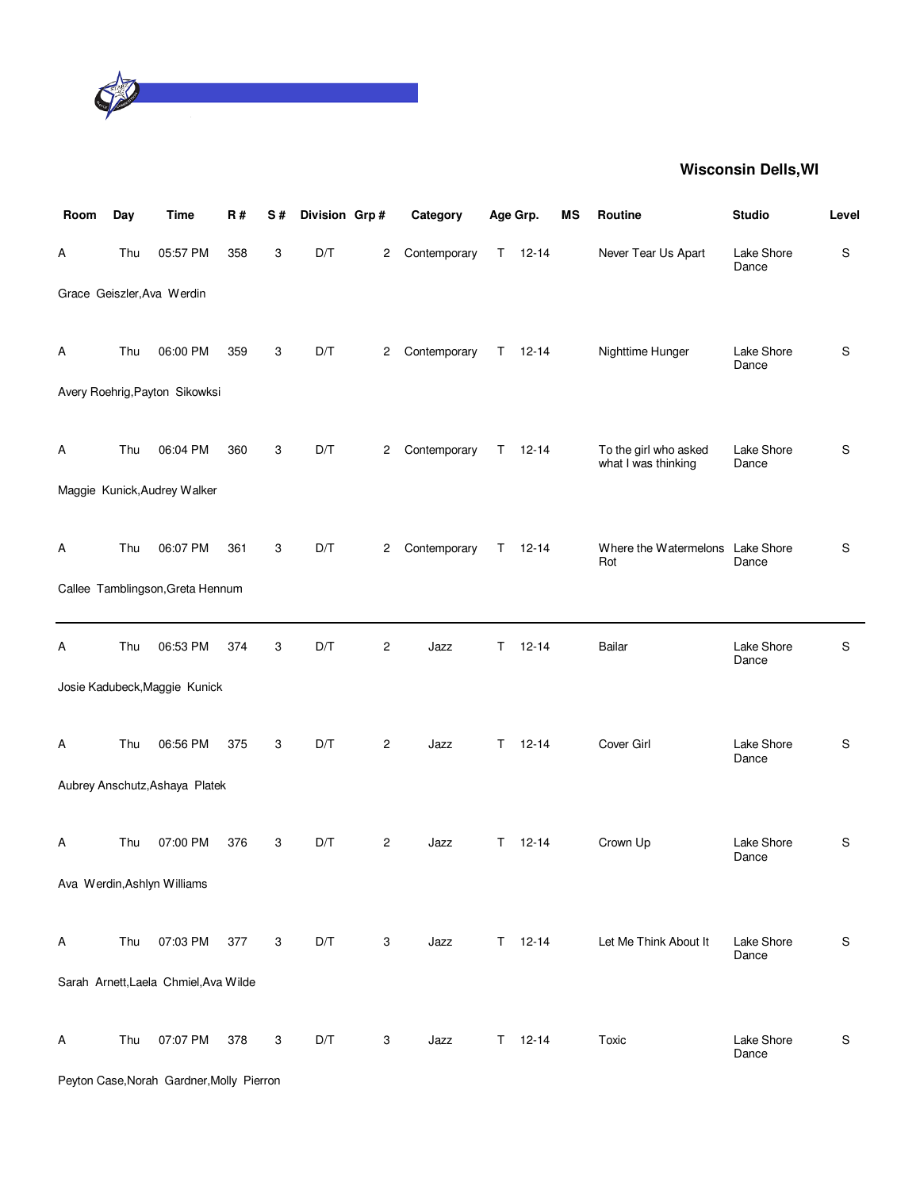

| Room | Day | <b>Time</b>                               | R#  | S# | Division Grp# |                | Category     | Age Grp. |               | MS | Routine                                      | <b>Studio</b>       | Level       |
|------|-----|-------------------------------------------|-----|----|---------------|----------------|--------------|----------|---------------|----|----------------------------------------------|---------------------|-------------|
| Α    | Thu | 05:57 PM                                  | 358 | 3  | D/T           | 2              | Contemporary |          | $T = 12 - 14$ |    | Never Tear Us Apart                          | Lake Shore<br>Dance | S           |
|      |     | Grace Geiszler, Ava Werdin                |     |    |               |                |              |          |               |    |                                              |                     |             |
| Α    | Thu | 06:00 PM                                  | 359 | 3  | D/T           | 2              | Contemporary |          | $T = 12 - 14$ |    | Nighttime Hunger                             | Lake Shore<br>Dance | S           |
|      |     | Avery Roehrig, Payton Sikowksi            |     |    |               |                |              |          |               |    |                                              |                     |             |
| A    | Thu | 06:04 PM                                  | 360 | 3  | D/T           | 2              | Contemporary |          | $T = 12 - 14$ |    | To the girl who asked<br>what I was thinking | Lake Shore<br>Dance | S           |
|      |     | Maggie Kunick, Audrey Walker              |     |    |               |                |              |          |               |    |                                              |                     |             |
| A    | Thu | 06:07 PM                                  | 361 | 3  | D/T           | $\mathbf{2}$   | Contemporary | T.       | $12 - 14$     |    | Where the Watermelons Lake Shore<br>Rot      | Dance               | S           |
|      |     | Callee Tamblingson, Greta Hennum          |     |    |               |                |              |          |               |    |                                              |                     |             |
| Α    | Thu | 06:53 PM                                  | 374 | 3  | D/T           | $\overline{c}$ | Jazz         | Τ        | $12 - 14$     |    | Bailar                                       | Lake Shore<br>Dance | S           |
|      |     | Josie Kadubeck, Maggie Kunick             |     |    |               |                |              |          |               |    |                                              |                     |             |
| Α    | Thu | 06:56 PM                                  | 375 | 3  | D/T           | $\overline{c}$ | Jazz         | T        | $12 - 14$     |    | Cover Girl                                   | Lake Shore<br>Dance | S           |
|      |     | Aubrey Anschutz, Ashaya Platek            |     |    |               |                |              |          |               |    |                                              |                     |             |
| Α    | Thu | 07:00 PM                                  | 376 | 3  | D/T           | $\overline{c}$ | Jazz         | T        | $12 - 14$     |    | Crown Up                                     | Lake Shore<br>Dance | S           |
|      |     | Ava Werdin, Ashlyn Williams               |     |    |               |                |              |          |               |    |                                              |                     |             |
| A    | Thu | 07:03 PM                                  | 377 | 3  | D/T           | 3              | Jazz         |          | $T = 12-14$   |    | Let Me Think About It                        | Lake Shore<br>Dance | $\mathsf S$ |
|      |     | Sarah Arnett, Laela Chmiel, Ava Wilde     |     |    |               |                |              |          |               |    |                                              |                     |             |
| Α    | Thu | 07:07 PM                                  | 378 | 3  | D/T           | 3              | Jazz         |          | $T = 12 - 14$ |    | Toxic                                        | Lake Shore          | S           |
|      |     | Peyton Case, Norah Gardner, Molly Pierron |     |    |               |                |              |          |               |    |                                              | Dance               |             |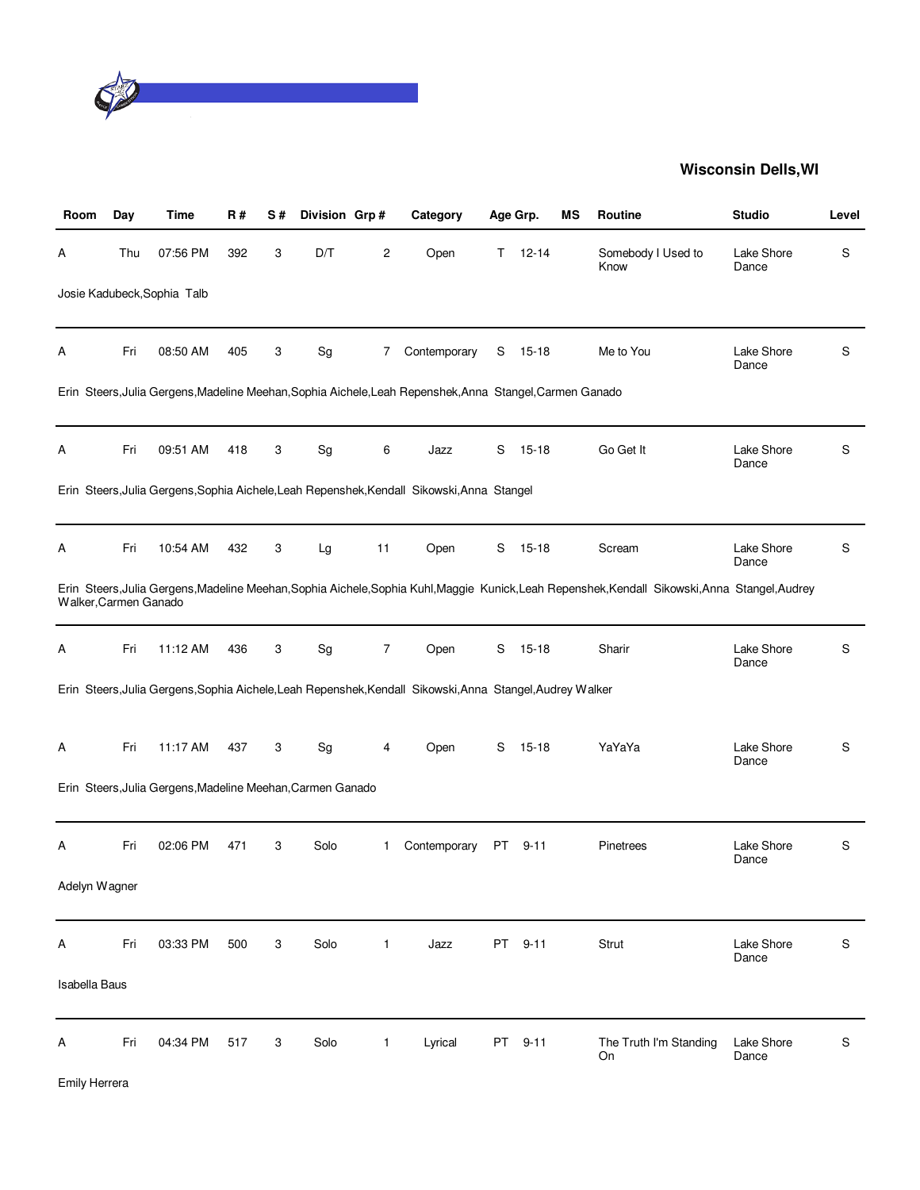

| Room                  | Day | Time                                                       | R#  | S# | Division Grp# |              | Category                                                                                                  |      | Age Grp.  | ΜS | <b>Routine</b>                                                                                                                                  | <b>Studio</b>       | Level |
|-----------------------|-----|------------------------------------------------------------|-----|----|---------------|--------------|-----------------------------------------------------------------------------------------------------------|------|-----------|----|-------------------------------------------------------------------------------------------------------------------------------------------------|---------------------|-------|
| A                     | Thu | 07:56 PM                                                   | 392 | 3  | D/T           | 2            | Open                                                                                                      | T.   | $12 - 14$ |    | Somebody I Used to<br>Know                                                                                                                      | Lake Shore<br>Dance | S     |
|                       |     | Josie Kadubeck, Sophia Talb                                |     |    |               |              |                                                                                                           |      |           |    |                                                                                                                                                 |                     |       |
| Α                     | Fri | 08:50 AM                                                   | 405 | 3  | Sg            | 7            | Contemporary                                                                                              | S    | 15-18     |    | Me to You                                                                                                                                       | Lake Shore<br>Dance | S     |
|                       |     |                                                            |     |    |               |              | Erin Steers, Julia Gergens, Madeline Meehan, Sophia Aichele, Leah Repenshek, Anna Stangel, Carmen Ganado  |      |           |    |                                                                                                                                                 |                     |       |
| Α                     | Fri | 09:51 AM                                                   | 418 | 3  | Sg            | 6            | Jazz                                                                                                      | S    | $15 - 18$ |    | Go Get It                                                                                                                                       | Lake Shore<br>Dance | S     |
|                       |     |                                                            |     |    |               |              | Erin Steers, Julia Gergens, Sophia Aichele, Leah Repenshek, Kendall Sikowski, Anna Stangel                |      |           |    |                                                                                                                                                 |                     |       |
| Α                     | Fri | 10:54 AM                                                   | 432 | 3  | Lg            | 11           | Open                                                                                                      | S    | $15 - 18$ |    | Scream                                                                                                                                          | Lake Shore<br>Dance | S     |
| Walker, Carmen Ganado |     |                                                            |     |    |               |              |                                                                                                           |      |           |    | Erin Steers, Julia Gergens, Madeline Meehan, Sophia Aichele, Sophia Kuhl, Maggie Kunick, Leah Repenshek, Kendall Sikowski, Anna Stangel, Audrey |                     |       |
| Α                     | Fri | 11:12 AM                                                   | 436 | 3  | Sg            | 7            | Open                                                                                                      | S    | $15-18$   |    | Sharir                                                                                                                                          | Lake Shore<br>Dance | S     |
|                       |     |                                                            |     |    |               |              | Erin Steers, Julia Gergens, Sophia Aichele, Leah Repenshek, Kendall Sikowski, Anna Stangel, Audrey Walker |      |           |    |                                                                                                                                                 |                     |       |
| Α                     | Fri | 11:17 AM                                                   | 437 | 3  | Sg            | 4            | Open                                                                                                      | S    | $15 - 18$ |    | YaYaYa                                                                                                                                          | Lake Shore<br>Dance | S     |
|                       |     | Erin Steers, Julia Gergens, Madeline Meehan, Carmen Ganado |     |    |               |              |                                                                                                           |      |           |    |                                                                                                                                                 |                     |       |
| A                     | Fri | 02:06 PM                                                   | 471 | 3  | Solo          | 1            | Contemporary                                                                                              | PT   | $9 - 11$  |    | Pinetrees                                                                                                                                       | Lake Shore<br>Dance | S     |
| Adelyn Wagner         |     |                                                            |     |    |               |              |                                                                                                           |      |           |    |                                                                                                                                                 |                     |       |
| Α                     | Fri | 03:33 PM                                                   | 500 | 3  | Solo          | 1            | Jazz                                                                                                      | PT   | $9 - 11$  |    | Strut                                                                                                                                           | Lake Shore<br>Dance | S     |
| <b>Isabella Baus</b>  |     |                                                            |     |    |               |              |                                                                                                           |      |           |    |                                                                                                                                                 |                     |       |
| A                     | Fri | 04:34 PM                                                   | 517 | 3  | Solo          | $\mathbf{1}$ | Lyrical                                                                                                   | PT — | $9 - 11$  |    | The Truth I'm Standing<br>On                                                                                                                    | Lake Shore<br>Dance | S     |

Emily Herrera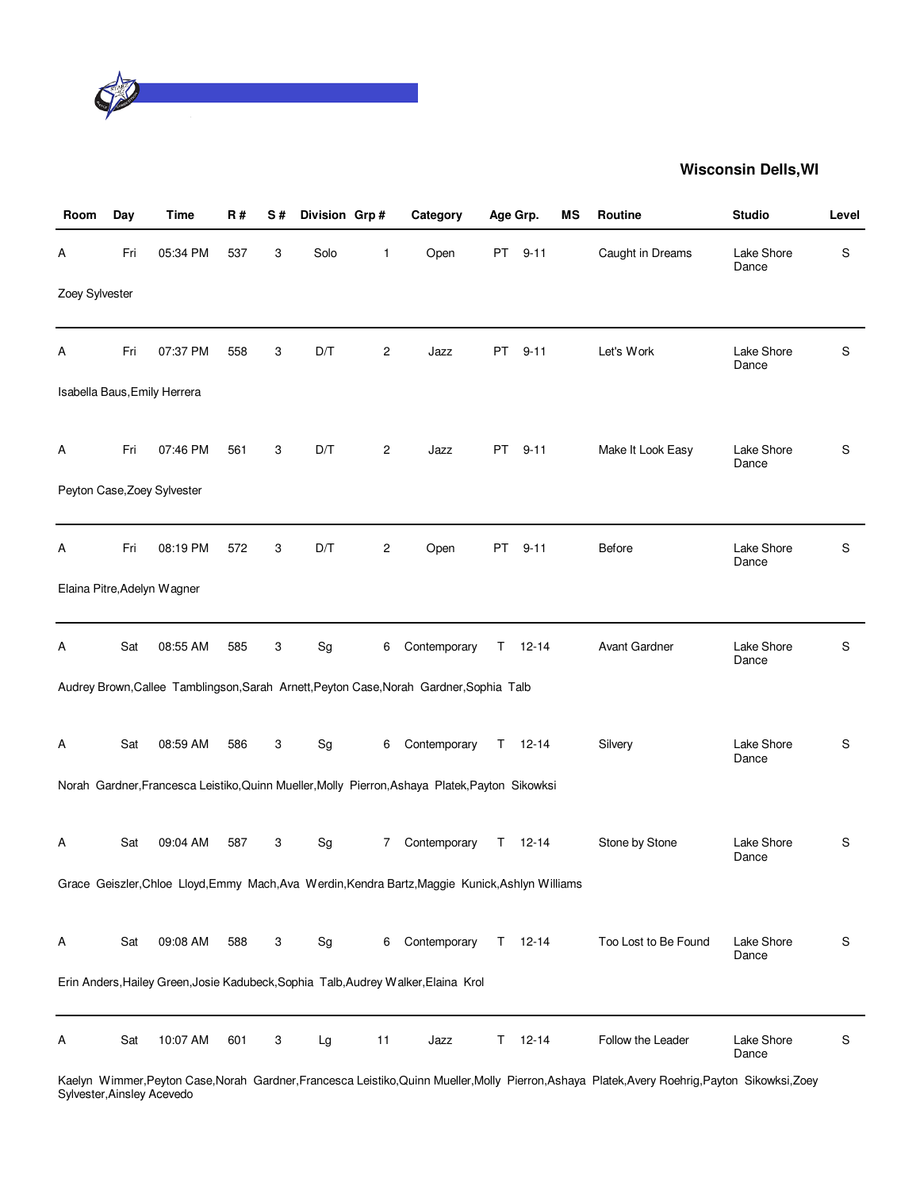

| Room           | Day | <b>Time</b>                  | R#  | S# | Division Grp# |    | Category                                                                                         |    | Age Grp.      | ΜS | Routine              | <b>Studio</b>       | Level |
|----------------|-----|------------------------------|-----|----|---------------|----|--------------------------------------------------------------------------------------------------|----|---------------|----|----------------------|---------------------|-------|
| A              | Fri | 05:34 PM                     | 537 | 3  | Solo          | 1  | Open                                                                                             | PT | $9 - 11$      |    | Caught in Dreams     | Lake Shore<br>Dance | S     |
| Zoey Sylvester |     |                              |     |    |               |    |                                                                                                  |    |               |    |                      |                     |       |
| Α              | Fri | 07:37 PM                     | 558 | 3  | D/T           | 2  | Jazz                                                                                             | PT | $9 - 11$      |    | Let's Work           | Lake Shore<br>Dance | S     |
|                |     | Isabella Baus, Emily Herrera |     |    |               |    |                                                                                                  |    |               |    |                      |                     |       |
| A              | Fri | 07:46 PM                     | 561 | 3  | D/T           | 2  | Jazz                                                                                             | PT | $9 - 11$      |    | Make It Look Easy    | Lake Shore<br>Dance | S     |
|                |     | Peyton Case, Zoey Sylvester  |     |    |               |    |                                                                                                  |    |               |    |                      |                     |       |
| А              | Fri | 08:19 PM                     | 572 | 3  | D/T           | 2  | Open                                                                                             | PT | $9 - 11$      |    | Before               | Lake Shore<br>Dance | S     |
|                |     | Elaina Pitre, Adelyn Wagner  |     |    |               |    |                                                                                                  |    |               |    |                      |                     |       |
| Α              | Sat | 08:55 AM                     | 585 | 3  | Sg            | 6  | Contemporary                                                                                     |    | $T = 12 - 14$ |    | <b>Avant Gardner</b> | Lake Shore<br>Dance | S     |
|                |     |                              |     |    |               |    | Audrey Brown, Callee Tamblingson, Sarah Arnett, Peyton Case, Norah Gardner, Sophia Talb          |    |               |    |                      |                     |       |
| Α              | Sat | 08:59 AM                     | 586 | 3  | Sg            | 6  | Contemporary                                                                                     |    | $T = 12 - 14$ |    | Silvery              | Lake Shore<br>Dance | S     |
|                |     |                              |     |    |               |    | Norah Gardner, Francesca Leistiko, Quinn Mueller, Molly Pierron, Ashaya Platek, Payton Sikowksi  |    |               |    |                      |                     |       |
| A              | Sat | 09:04 AM                     | 587 | 3  | Sg            | 7  | Contemporary                                                                                     | T. | $12 - 14$     |    | Stone by Stone       | Lake Shore<br>Dance | S     |
|                |     |                              |     |    |               |    | Grace Geiszler, Chloe Lloyd, Emmy Mach, Ava Werdin, Kendra Bartz, Maggie Kunick, Ashlyn Williams |    |               |    |                      |                     |       |
| Α              | Sat | 09:08 AM                     | 588 | 3  | Sg            | 6  | Contemporary                                                                                     | T. | $12 - 14$     |    | Too Lost to Be Found | Lake Shore<br>Dance | S     |
|                |     |                              |     |    |               |    | Erin Anders, Hailey Green, Josie Kadubeck, Sophia Talb, Audrey Walker, Elaina Krol               |    |               |    |                      |                     |       |
| A              | Sat | 10:07 AM                     | 601 | 3  | Lg            | 11 | Jazz                                                                                             | T. | $12 - 14$     |    | Follow the Leader    | Lake Shore<br>Dance | S     |

Kaelyn Wimmer,Peyton Case,Norah Gardner,Francesca Leistiko,Quinn Mueller,Molly Pierron,Ashaya Platek,Avery Roehrig,Payton Sikowksi,Zoey Sylvester,Ainsley Acevedo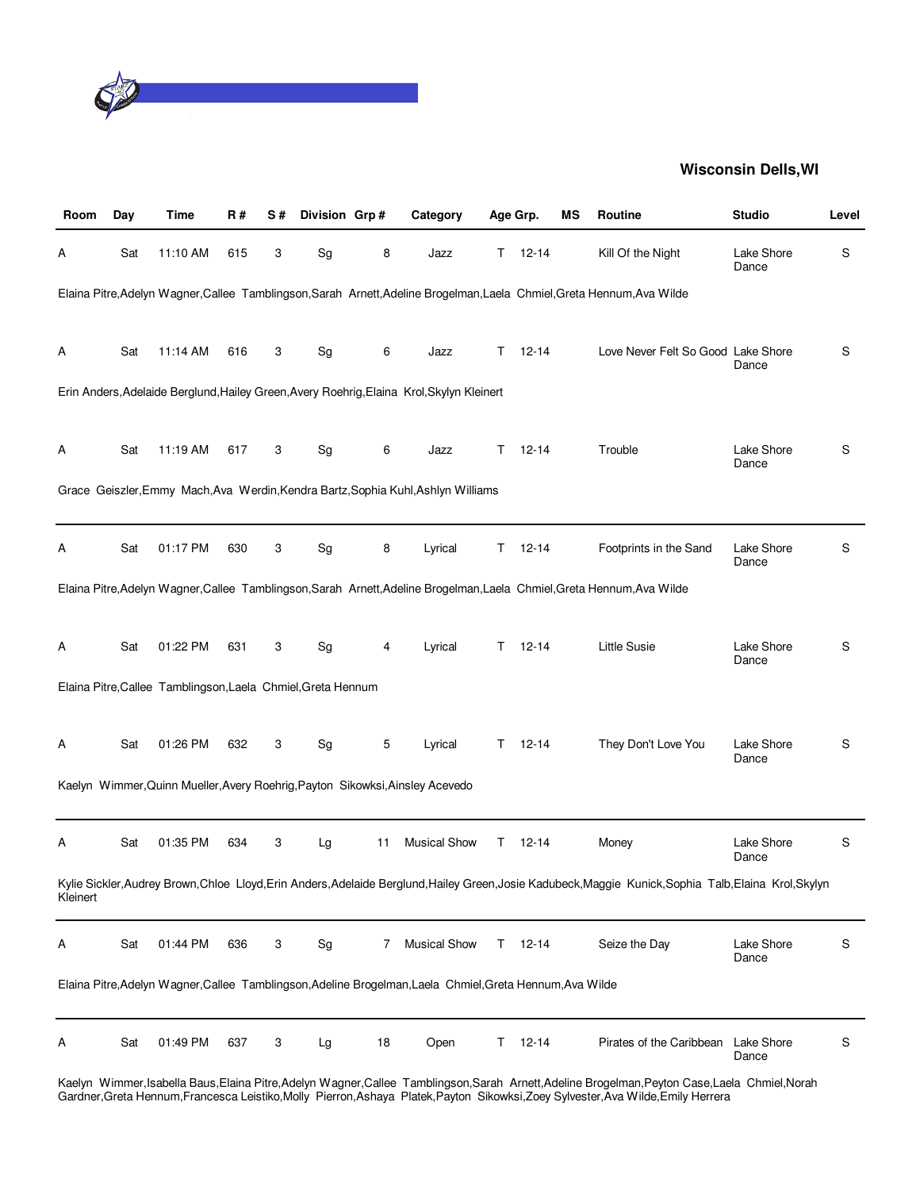

| Room     | Day | Time                                                         | R#  | S# | Division Grp# |    | Category                                                                                                  |    | Age Grp.  | ΜS | Routine                                                                                                                                                 | <b>Studio</b>       | Level |
|----------|-----|--------------------------------------------------------------|-----|----|---------------|----|-----------------------------------------------------------------------------------------------------------|----|-----------|----|---------------------------------------------------------------------------------------------------------------------------------------------------------|---------------------|-------|
| A        | Sat | 11:10 AM                                                     | 615 | 3  | Sg            | 8  | Jazz                                                                                                      | T. | $12 - 14$ |    | Kill Of the Night                                                                                                                                       | Lake Shore<br>Dance | S     |
|          |     |                                                              |     |    |               |    |                                                                                                           |    |           |    | Elaina Pitre, Adelyn Wagner, Callee Tamblingson, Sarah Arnett, Adeline Brogelman, Laela Chmiel, Greta Hennum, Ava Wilde                                 |                     |       |
| А        | Sat | 11:14 AM                                                     | 616 | 3  | Sg            | 6  | Jazz                                                                                                      | T. | 12-14     |    | Love Never Felt So Good Lake Shore                                                                                                                      | Dance               | S     |
|          |     |                                                              |     |    |               |    | Erin Anders, Adelaide Berglund, Hailey Green, Avery Roehrig, Elaina Krol, Skylyn Kleinert                 |    |           |    |                                                                                                                                                         |                     |       |
| Α        | Sat | 11:19 AM                                                     | 617 | 3  | Sg            | 6  | Jazz                                                                                                      | T. | $12 - 14$ |    | Trouble                                                                                                                                                 | Lake Shore<br>Dance | S     |
|          |     |                                                              |     |    |               |    | Grace Geiszler, Emmy Mach, Ava Werdin, Kendra Bartz, Sophia Kuhl, Ashlyn Williams                         |    |           |    |                                                                                                                                                         |                     |       |
| Α        | Sat | 01:17 PM                                                     | 630 | 3  | Sg            | 8  | Lyrical                                                                                                   | Т  | $12 - 14$ |    | Footprints in the Sand                                                                                                                                  | Lake Shore<br>Dance | S     |
|          |     |                                                              |     |    |               |    |                                                                                                           |    |           |    | Elaina Pitre, Adelyn Wagner, Callee Tamblingson, Sarah Arnett, Adeline Brogelman, Laela Chmiel, Greta Hennum, Ava Wilde                                 |                     |       |
| A        | Sat | 01:22 PM                                                     | 631 | 3  | Sg            | 4  | Lyrical                                                                                                   | Τ  | $12 - 14$ |    | <b>Little Susie</b>                                                                                                                                     | Lake Shore<br>Dance | S     |
|          |     | Elaina Pitre, Callee Tamblingson, Laela Chmiel, Greta Hennum |     |    |               |    |                                                                                                           |    |           |    |                                                                                                                                                         |                     |       |
| Α        | Sat | 01:26 PM                                                     | 632 | 3  | Sg            | 5  | Lyrical                                                                                                   | Τ  | $12 - 14$ |    | They Don't Love You                                                                                                                                     | Lake Shore<br>Dance | S     |
|          |     |                                                              |     |    |               |    | Kaelyn Wimmer, Quinn Mueller, Avery Roehrig, Payton Sikowksi, Ainsley Acevedo                             |    |           |    |                                                                                                                                                         |                     |       |
| A        | Sat | 01:35 PM                                                     | 634 | 3  | Lg            | 11 | <b>Musical Show</b>                                                                                       | Τ  | 12-14     |    | Money                                                                                                                                                   | Lake Shore<br>Dance | S     |
| Kleinert |     |                                                              |     |    |               |    |                                                                                                           |    |           |    | Kylie Sickler, Audrey Brown, Chloe Lloyd, Erin Anders, Adelaide Berglund, Hailey Green, Josie Kadubeck, Maggie Kunick, Sophia Talb, Elaina Krol, Skylyn |                     |       |
| Α        | Sat | 01:44 PM                                                     | 636 | 3  | Sg            | 7  | <b>Musical Show</b>                                                                                       | T. | $12 - 14$ |    | Seize the Day                                                                                                                                           | Lake Shore<br>Dance | S     |
|          |     |                                                              |     |    |               |    | Elaina Pitre, Adelyn Wagner, Callee Tamblingson, Adeline Brogelman, Laela Chmiel, Greta Hennum, Ava Wilde |    |           |    |                                                                                                                                                         |                     |       |
| A        | Sat | 01:49 PM                                                     | 637 | 3  | Lg            | 18 | Open                                                                                                      | Т  | $12 - 14$ |    | Pirates of the Caribbean                                                                                                                                | Lake Shore<br>Dance | S     |
|          |     |                                                              |     |    |               |    |                                                                                                           |    |           |    | Kaelyn Wimmer, Isabella Baus, Elaina Pitre, Adelyn Wagner, Callee Tamblingson, Sarah Arnett, Adeline Brogelman, Peyton Case, Laela Chmiel, Norah        |                     |       |

Gardner,Greta Hennum,Francesca Leistiko,Molly Pierron,Ashaya Platek,Payton Sikowksi,Zoey Sylvester,Ava Wilde,Emily Herrera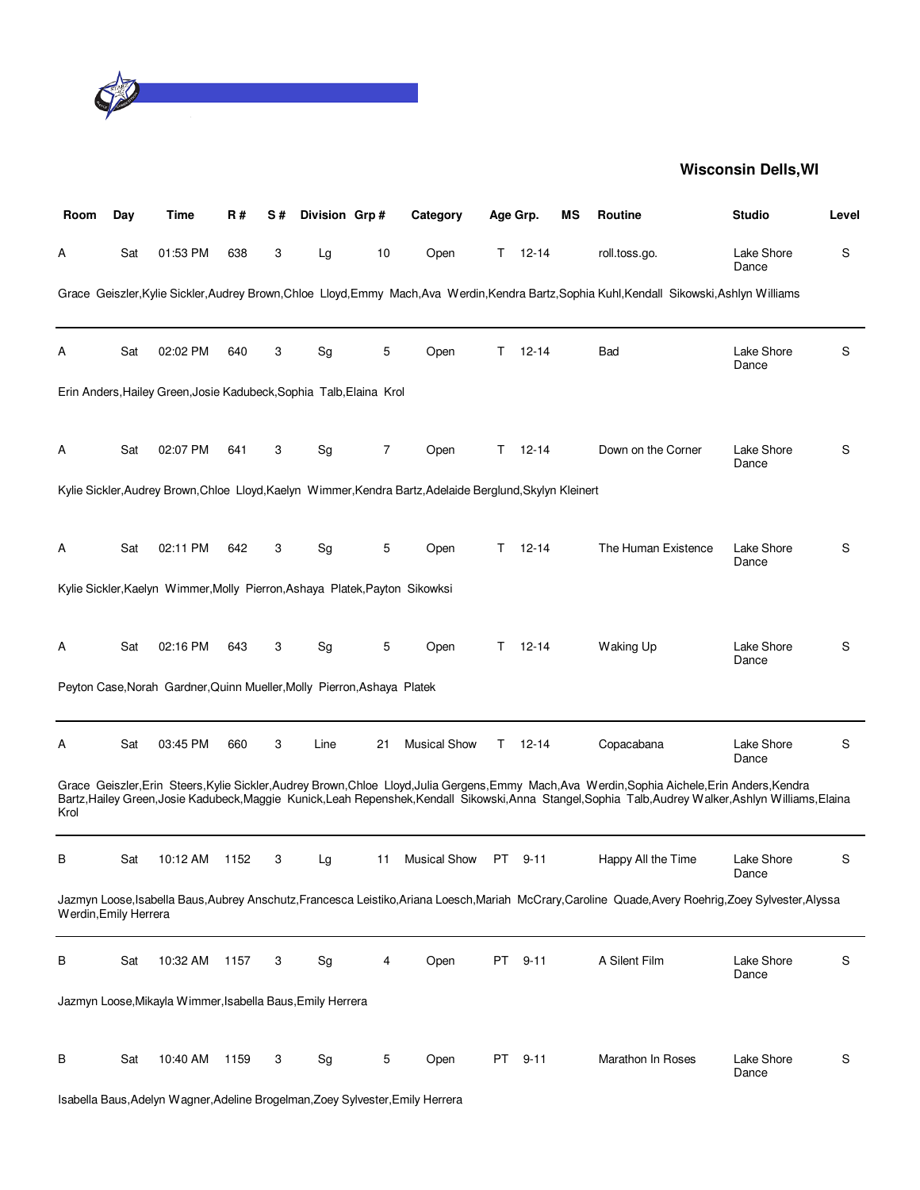

| Room                  | Day | Time                                                                        | R#   | S# | Division Grp# |    | Category                                                                                                  | Age Grp. |           | мs | Routine                                                                                                                                                                                                                                                                                                     | <b>Studio</b>       | Level |
|-----------------------|-----|-----------------------------------------------------------------------------|------|----|---------------|----|-----------------------------------------------------------------------------------------------------------|----------|-----------|----|-------------------------------------------------------------------------------------------------------------------------------------------------------------------------------------------------------------------------------------------------------------------------------------------------------------|---------------------|-------|
| A                     | Sat | 01:53 PM                                                                    | 638  | 3  | Lg            | 10 | Open                                                                                                      | T.       | $12 - 14$ |    | roll.toss.go.                                                                                                                                                                                                                                                                                               | Lake Shore<br>Dance | S     |
|                       |     |                                                                             |      |    |               |    |                                                                                                           |          |           |    | Grace Geiszler, Kylie Sickler, Audrey Brown, Chloe Lloyd, Emmy Mach, Ava Werdin, Kendra Bartz, Sophia Kuhl, Kendall Sikowski, Ashlyn Williams                                                                                                                                                               |                     |       |
| A                     | Sat | 02:02 PM                                                                    | 640  | 3  | Sg            | 5  | Open                                                                                                      | Τ        | $12 - 14$ |    | Bad                                                                                                                                                                                                                                                                                                         | Lake Shore<br>Dance | S     |
|                       |     | Erin Anders, Hailey Green, Josie Kadubeck, Sophia Talb, Elaina Krol         |      |    |               |    |                                                                                                           |          |           |    |                                                                                                                                                                                                                                                                                                             |                     |       |
| A                     | Sat | 02:07 PM                                                                    | 641  | 3  | Sg            | 7  | Open                                                                                                      | T.       | $12 - 14$ |    | Down on the Corner                                                                                                                                                                                                                                                                                          | Lake Shore<br>Dance | S     |
|                       |     |                                                                             |      |    |               |    | Kylie Sickler, Audrey Brown, Chloe Lloyd, Kaelyn Wimmer, Kendra Bartz, Adelaide Berglund, Skylyn Kleinert |          |           |    |                                                                                                                                                                                                                                                                                                             |                     |       |
| Α                     | Sat | 02:11 PM                                                                    | 642  | 3  | Sg            | 5  | Open                                                                                                      | T.       | $12 - 14$ |    | The Human Existence                                                                                                                                                                                                                                                                                         | Lake Shore<br>Dance | S     |
|                       |     | Kylie Sickler, Kaelyn Wimmer, Molly Pierron, Ashaya Platek, Payton Sikowksi |      |    |               |    |                                                                                                           |          |           |    |                                                                                                                                                                                                                                                                                                             |                     |       |
| Α                     | Sat | 02:16 PM                                                                    | 643  | 3  | Sg            | 5  | Open                                                                                                      | T.       | $12 - 14$ |    | Waking Up                                                                                                                                                                                                                                                                                                   | Lake Shore<br>Dance | S     |
|                       |     | Peyton Case, Norah Gardner, Quinn Mueller, Molly Pierron, Ashaya Platek     |      |    |               |    |                                                                                                           |          |           |    |                                                                                                                                                                                                                                                                                                             |                     |       |
| A                     | Sat | 03:45 PM                                                                    | 660  | 3  | Line          | 21 | <b>Musical Show</b>                                                                                       | Τ        | $12 - 14$ |    | Copacabana                                                                                                                                                                                                                                                                                                  | Lake Shore<br>Dance | S     |
| Krol                  |     |                                                                             |      |    |               |    |                                                                                                           |          |           |    | Grace Geiszler, Erin Steers, Kylie Sickler, Audrey Brown, Chloe Lloyd, Julia Gergens, Emmy Mach, Ava Werdin, Sophia Aichele, Erin Anders, Kendra<br>Bartz, Hailey Green, Josie Kadubeck, Maggie Kunick, Leah Repenshek, Kendall Sikowski, Anna Stangel, Sophia Talb, Audrey Walker, Ashlyn Williams, Elaina |                     |       |
| в                     | Sat | 10:12 AM                                                                    | 1152 | 3  | Lg            | 11 | <b>Musical Show</b>                                                                                       | PT .     | $9 - 11$  |    | Happy All the Time                                                                                                                                                                                                                                                                                          | Lake Shore<br>Dance | S     |
| Werdin, Emily Herrera |     |                                                                             |      |    |               |    |                                                                                                           |          |           |    | Jazmyn Loose, Isabella Baus, Aubrey Anschutz, Francesca Leistiko, Ariana Loesch, Mariah McCrary, Caroline Quade, Avery Roehrig, Zoey Sylvester, Alyssa                                                                                                                                                      |                     |       |
| В                     | Sat | 10:32 AM                                                                    | 1157 | 3  | Sg            | 4  | Open                                                                                                      | PT       | $9 - 11$  |    | A Silent Film                                                                                                                                                                                                                                                                                               | Lake Shore<br>Dance | S     |
|                       |     | Jazmyn Loose, Mikayla Wimmer, Isabella Baus, Emily Herrera                  |      |    |               |    |                                                                                                           |          |           |    |                                                                                                                                                                                                                                                                                                             |                     |       |
| В                     | Sat | 10:40 AM                                                                    | 1159 | 3  | Sg            | 5  | Open                                                                                                      | PT       | $9 - 11$  |    | Marathon In Roses                                                                                                                                                                                                                                                                                           | Lake Shore<br>Dance | S     |

Isabella Baus,Adelyn Wagner,Adeline Brogelman,Zoey Sylvester,Emily Herrera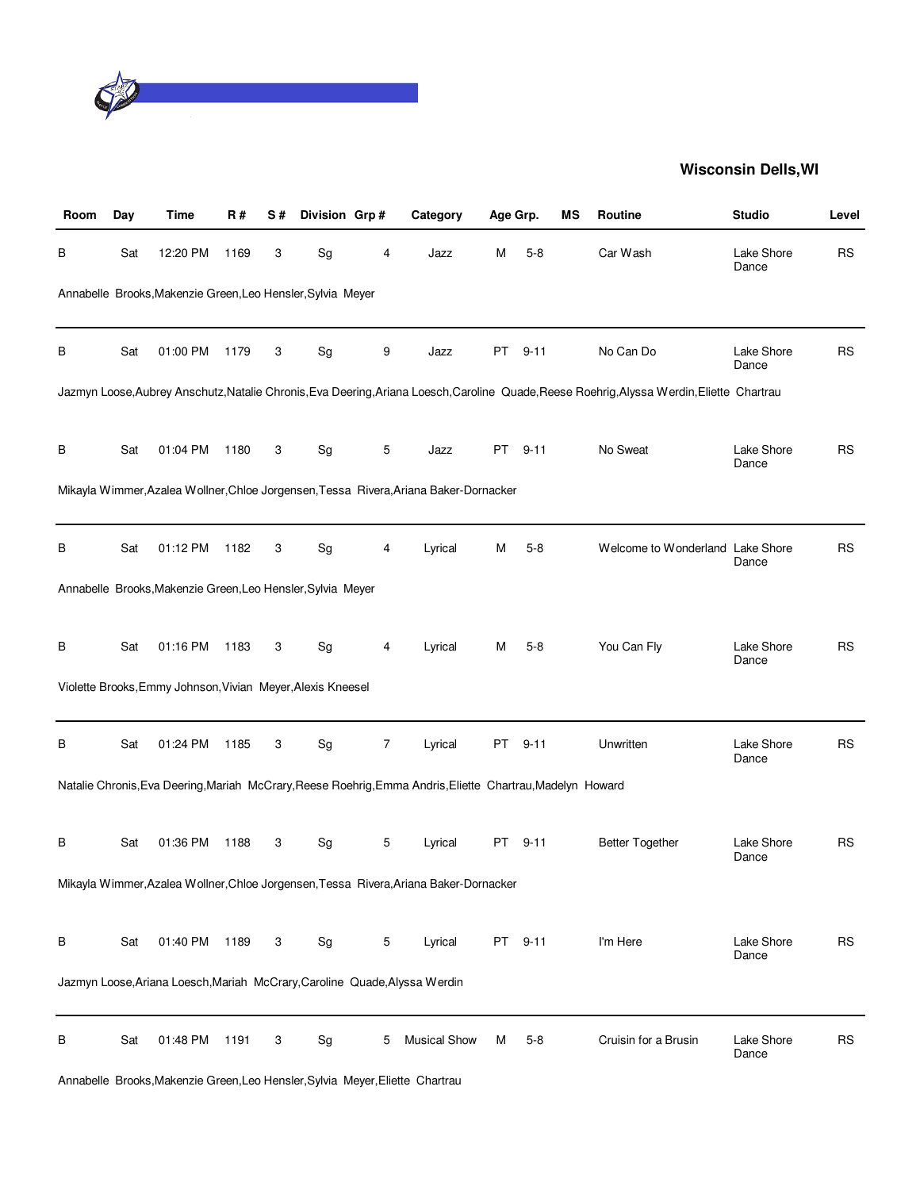

| Room | Day | Time                                                                       | R#   | S# | Division Grp# |   | Category                                                                                                   | Age Grp. |          | ΜS | Routine                                                                                                                                    | <b>Studio</b>       | Level     |
|------|-----|----------------------------------------------------------------------------|------|----|---------------|---|------------------------------------------------------------------------------------------------------------|----------|----------|----|--------------------------------------------------------------------------------------------------------------------------------------------|---------------------|-----------|
| В    | Sat | 12:20 PM                                                                   | 1169 | 3  | Sg            | 4 | Jazz                                                                                                       | Μ        | $5 - 8$  |    | Car Wash                                                                                                                                   | Lake Shore<br>Dance | <b>RS</b> |
|      |     | Annabelle Brooks, Makenzie Green, Leo Hensler, Sylvia Meyer                |      |    |               |   |                                                                                                            |          |          |    |                                                                                                                                            |                     |           |
| в    | Sat | 01:00 PM                                                                   | 1179 | 3  | Sg            | 9 | Jazz                                                                                                       | PT       | $9 - 11$ |    | No Can Do                                                                                                                                  | Lake Shore<br>Dance | <b>RS</b> |
|      |     |                                                                            |      |    |               |   |                                                                                                            |          |          |    | Jazmyn Loose, Aubrey Anschutz, Natalie Chronis, Eva Deering, Ariana Loesch, Caroline Quade, Reese Roehrig, Alyssa Werdin, Eliette Chartrau |                     |           |
| В    | Sat | 01:04 PM                                                                   | 1180 | 3  | Sg            | 5 | Jazz                                                                                                       | PT       | $9 - 11$ |    | No Sweat                                                                                                                                   | Lake Shore<br>Dance | <b>RS</b> |
|      |     |                                                                            |      |    |               |   | Mikayla Wimmer, Azalea Wollner, Chloe Jorgensen, Tessa Rivera, Ariana Baker-Dornacker                      |          |          |    |                                                                                                                                            |                     |           |
| в    | Sat | 01:12 PM                                                                   | 1182 | 3  | Sg            | 4 | Lyrical                                                                                                    | Μ        | $5 - 8$  |    | Welcome to Wonderland Lake Shore                                                                                                           | Dance               | <b>RS</b> |
|      |     | Annabelle Brooks, Makenzie Green, Leo Hensler, Sylvia Meyer                |      |    |               |   |                                                                                                            |          |          |    |                                                                                                                                            |                     |           |
| в    | Sat | 01:16 PM                                                                   | 1183 | 3  | Sg            | 4 | Lyrical                                                                                                    | М        | $5-8$    |    | You Can Fly                                                                                                                                | Lake Shore<br>Dance | <b>RS</b> |
|      |     | Violette Brooks, Emmy Johnson, Vivian Meyer, Alexis Kneesel                |      |    |               |   |                                                                                                            |          |          |    |                                                                                                                                            |                     |           |
| В    | Sat | 01:24 PM                                                                   | 1185 | 3  | Sg            | 7 | Lyrical                                                                                                    | PT       | $9 - 11$ |    | Unwritten                                                                                                                                  | Lake Shore<br>Dance | <b>RS</b> |
|      |     |                                                                            |      |    |               |   | Natalie Chronis, Eva Deering, Mariah McCrary, Reese Roehrig, Emma Andris, Eliette Chartrau, Madelyn Howard |          |          |    |                                                                                                                                            |                     |           |
| в    | Sat | 01:36 PM                                                                   | 1188 | 3  | Sg            | 5 | Lyrical                                                                                                    | PT       | $9 - 11$ |    | <b>Better Together</b>                                                                                                                     | Lake Shore<br>Dance | <b>RS</b> |
|      |     |                                                                            |      |    |               |   | Mikayla Wimmer, Azalea Wollner, Chloe Jorgensen, Tessa Rivera, Ariana Baker-Dornacker                      |          |          |    |                                                                                                                                            |                     |           |
| В    | Sat | 01:40 PM                                                                   | 1189 | 3  | Sg            | 5 | Lyrical                                                                                                    | PT       | $9 - 11$ |    | I'm Here                                                                                                                                   | Lake Shore<br>Dance | <b>RS</b> |
|      |     | Jazmyn Loose, Ariana Loesch, Mariah McCrary, Caroline Quade, Alyssa Werdin |      |    |               |   |                                                                                                            |          |          |    |                                                                                                                                            |                     |           |
| В    | Sat | 01:48 PM                                                                   | 1191 | 3  | Sg            | 5 | <b>Musical Show</b>                                                                                        | м        | $5-8$    |    | Cruisin for a Brusin                                                                                                                       | Lake Shore<br>Dance | <b>RS</b> |

Annabelle Brooks,Makenzie Green,Leo Hensler,Sylvia Meyer,Eliette Chartrau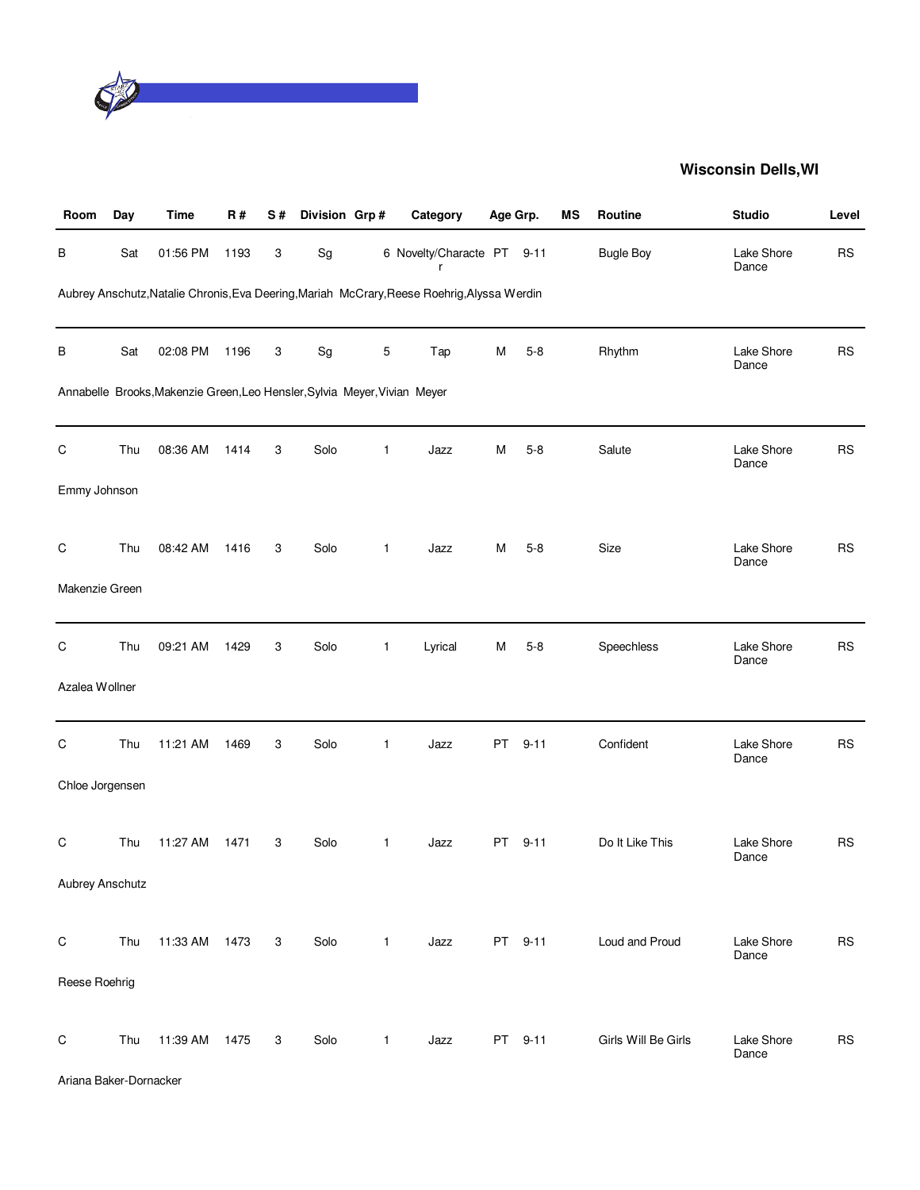

| Room            | Day | <b>Time</b>                                                               | <b>R#</b> | S# | Division Grp#                |              | Category                                                                                    | Age Grp. |          | MS | Routine             | <b>Studio</b>       | Level     |
|-----------------|-----|---------------------------------------------------------------------------|-----------|----|------------------------------|--------------|---------------------------------------------------------------------------------------------|----------|----------|----|---------------------|---------------------|-----------|
| В               | Sat | 01:56 PM                                                                  | 1193      | 3  | $\operatorname{\mathsf{Sg}}$ |              | 6 Novelty/Characte PT 9-11                                                                  |          |          |    | <b>Bugle Boy</b>    | Lake Shore<br>Dance | <b>RS</b> |
|                 |     |                                                                           |           |    |                              |              | Aubrey Anschutz, Natalie Chronis, Eva Deering, Mariah McCrary, Reese Roehrig, Alyssa Werdin |          |          |    |                     |                     |           |
| В               | Sat | 02:08 PM                                                                  | 1196      | 3  | Sg                           | 5            | Tap                                                                                         | М        | $5 - 8$  |    | Rhythm              | Lake Shore<br>Dance | <b>RS</b> |
|                 |     | Annabelle Brooks, Makenzie Green, Leo Hensler, Sylvia Meyer, Vivian Meyer |           |    |                              |              |                                                                                             |          |          |    |                     |                     |           |
| C               | Thu | 08:36 AM                                                                  | 1414      | 3  | Solo                         | 1            | Jazz                                                                                        | М        | $5 - 8$  |    | Salute              | Lake Shore<br>Dance | <b>RS</b> |
| Emmy Johnson    |     |                                                                           |           |    |                              |              |                                                                                             |          |          |    |                     |                     |           |
| $\mathsf C$     | Thu | 08:42 AM                                                                  | 1416      | 3  | Solo                         | $\mathbf{1}$ | Jazz                                                                                        | М        | $5-8$    |    | Size                | Lake Shore          | <b>RS</b> |
| Makenzie Green  |     |                                                                           |           |    |                              |              |                                                                                             |          |          |    |                     | Dance               |           |
|                 |     |                                                                           |           |    |                              |              |                                                                                             |          |          |    |                     |                     |           |
| $\mathsf C$     | Thu | 09:21 AM                                                                  | 1429      | 3  | Solo                         | $\mathbf{1}$ | Lyrical                                                                                     | М        | $5 - 8$  |    | Speechless          | Lake Shore<br>Dance | <b>RS</b> |
| Azalea Wollner  |     |                                                                           |           |    |                              |              |                                                                                             |          |          |    |                     |                     |           |
| C               | Thu | 11:21 AM                                                                  | 1469      | 3  | Solo                         | $\mathbf{1}$ | Jazz                                                                                        | PT       | $9 - 11$ |    | Confident           | Lake Shore<br>Dance | <b>RS</b> |
| Chloe Jorgensen |     |                                                                           |           |    |                              |              |                                                                                             |          |          |    |                     |                     |           |
| С               | Thu | 11:27 AM                                                                  | 1471      | 3  | Solo                         | $\mathbf{1}$ | Jazz                                                                                        | PT       | $9 - 11$ |    | Do It Like This     | Lake Shore          | <b>RS</b> |
| Aubrey Anschutz |     |                                                                           |           |    |                              |              |                                                                                             |          |          |    |                     | Dance               |           |
|                 |     |                                                                           |           |    |                              |              |                                                                                             |          |          |    |                     |                     |           |
| ${\rm C}$       | Thu | 11:33 AM                                                                  | 1473      | 3  | Solo                         | $\mathbf{1}$ | Jazz                                                                                        |          | PT 9-11  |    | Loud and Proud      | Lake Shore<br>Dance | <b>RS</b> |
| Reese Roehrig   |     |                                                                           |           |    |                              |              |                                                                                             |          |          |    |                     |                     |           |
| $\mathsf C$     | Thu | 11:39 AM                                                                  | 1475      | 3  | Solo                         | $\mathbf{1}$ | Jazz                                                                                        |          | PT 9-11  |    | Girls Will Be Girls | Lake Shore<br>Dance | <b>RS</b> |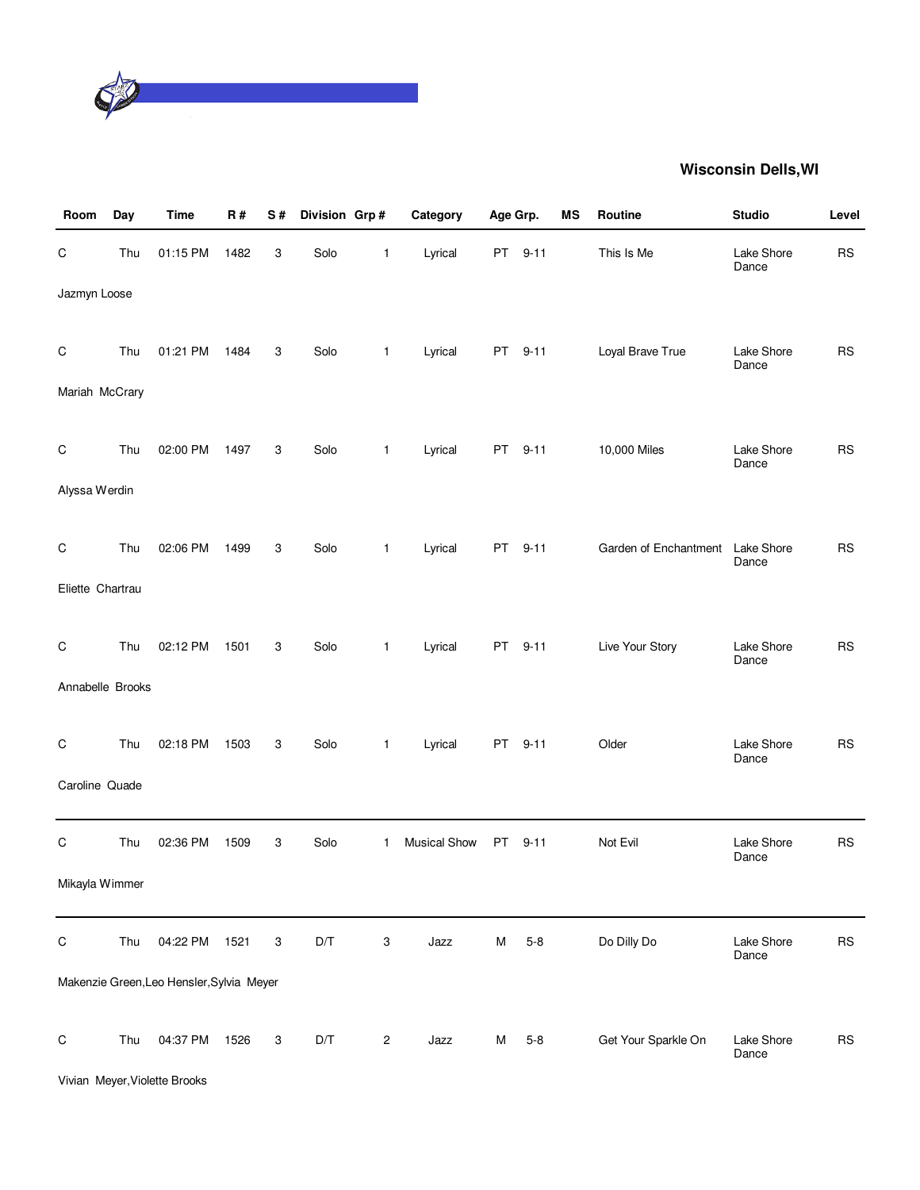

| Room             | Day | <b>Time</b>                               | R#   | S# | Division Grp# |                | Category            | Age Grp. |          | MS | Routine               | <b>Studio</b>       | Level     |
|------------------|-----|-------------------------------------------|------|----|---------------|----------------|---------------------|----------|----------|----|-----------------------|---------------------|-----------|
| $\mathsf C$      | Thu | 01:15 PM                                  | 1482 | 3  | Solo          | $\mathbf{1}$   | Lyrical             |          | PT 9-11  |    | This Is Me            | Lake Shore<br>Dance | <b>RS</b> |
| Jazmyn Loose     |     |                                           |      |    |               |                |                     |          |          |    |                       |                     |           |
| $\mathsf C$      | Thu | 01:21 PM                                  | 1484 | 3  | Solo          | $\mathbf{1}$   | Lyrical             |          | PT 9-11  |    | Loyal Brave True      | Lake Shore<br>Dance | <b>RS</b> |
| Mariah McCrary   |     |                                           |      |    |               |                |                     |          |          |    |                       |                     |           |
| $\mathsf C$      | Thu | 02:00 PM                                  | 1497 | 3  | Solo          | $\mathbf{1}$   | Lyrical             |          | PT 9-11  |    | 10,000 Miles          | Lake Shore<br>Dance | <b>RS</b> |
| Alyssa Werdin    |     |                                           |      |    |               |                |                     |          |          |    |                       |                     |           |
| $\mathsf C$      | Thu | 02:06 PM                                  | 1499 | 3  | Solo          | $\mathbf{1}$   | Lyrical             |          | PT 9-11  |    | Garden of Enchantment | Lake Shore<br>Dance | <b>RS</b> |
| Eliette Chartrau |     |                                           |      |    |               |                |                     |          |          |    |                       |                     |           |
| C                | Thu | 02:12 PM                                  | 1501 | 3  | Solo          | $\mathbf{1}$   | Lyrical             | PT       | $9 - 11$ |    | Live Your Story       | Lake Shore<br>Dance | <b>RS</b> |
| Annabelle Brooks |     |                                           |      |    |               |                |                     |          |          |    |                       |                     |           |
| $\mathsf C$      | Thu | 02:18 PM                                  | 1503 | 3  | Solo          | $\mathbf{1}$   | Lyrical             | PT       | $9 - 11$ |    | Older                 | Lake Shore<br>Dance | <b>RS</b> |
| Caroline Quade   |     |                                           |      |    |               |                |                     |          |          |    |                       |                     |           |
| C                | Thu | 02:36 PM                                  | 1509 | 3  | Solo          | 1              | <b>Musical Show</b> | PT       | $9 - 11$ |    | Not Evil              | Lake Shore<br>Dance | <b>RS</b> |
| Mikayla Wimmer   |     |                                           |      |    |               |                |                     |          |          |    |                       |                     |           |
| $\mathsf C$      | Thu | 04:22 PM                                  | 1521 | 3  | D/T           | 3              | Jazz                | М        | $5 - 8$  |    | Do Dilly Do           | Lake Shore<br>Dance | <b>RS</b> |
|                  |     | Makenzie Green, Leo Hensler, Sylvia Meyer |      |    |               |                |                     |          |          |    |                       |                     |           |
| $\mathsf C$      | Thu | 04:37 PM                                  | 1526 | 3  | D/T           | $\overline{c}$ | Jazz                | м        | $5 - 8$  |    | Get Your Sparkle On   | Lake Shore<br>Dance | <b>RS</b> |
|                  |     | Vivian Meyer, Violette Brooks             |      |    |               |                |                     |          |          |    |                       |                     |           |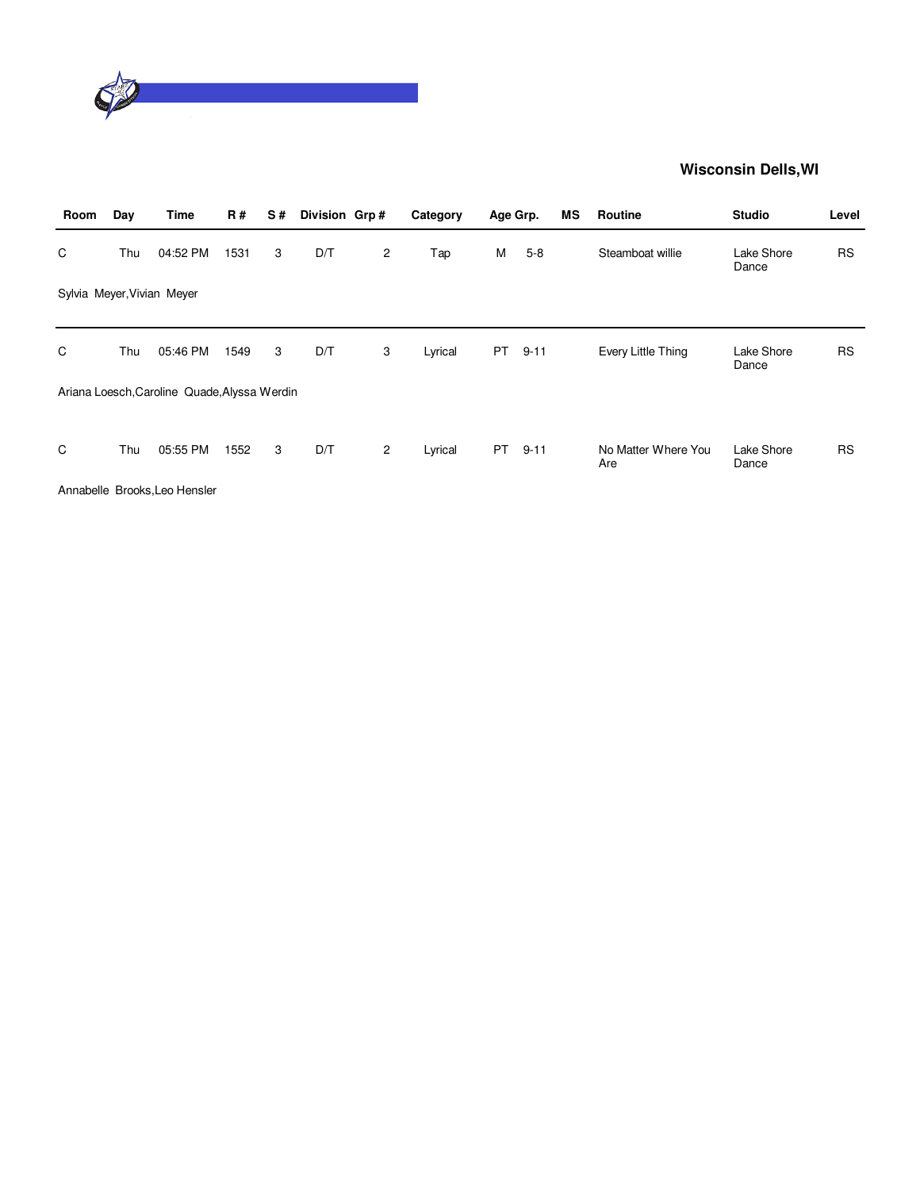

| Room | Day | Time                                         | R#   | S# | Division Grp# |              | Category | Age Grp. |          | ΜS | <b>Routine</b>             | <b>Studio</b>       | Level     |
|------|-----|----------------------------------------------|------|----|---------------|--------------|----------|----------|----------|----|----------------------------|---------------------|-----------|
| C    | Thu | 04:52 PM                                     | 1531 | 3  | D/T           | $\mathbf{2}$ | Tap      | М        | $5-8$    |    | Steamboat willie           | Lake Shore<br>Dance | <b>RS</b> |
|      |     | Sylvia Meyer, Vivian Meyer                   |      |    |               |              |          |          |          |    |                            |                     |           |
| C    | Thu | 05:46 PM                                     | 1549 | 3  | D/T           | 3            | Lyrical  | PT       | $9 - 11$ |    | Every Little Thing         | Lake Shore<br>Dance | <b>RS</b> |
|      |     | Ariana Loesch, Caroline Quade, Alyssa Werdin |      |    |               |              |          |          |          |    |                            |                     |           |
| C    | Thu | 05:55 PM                                     | 1552 | 3  | D/T           | 2            | Lyrical  | PT       | $9 - 11$ |    | No Matter Where You<br>Are | Lake Shore<br>Dance | <b>RS</b> |
|      |     | Annabelle Brooks, Leo Hensler                |      |    |               |              |          |          |          |    |                            |                     |           |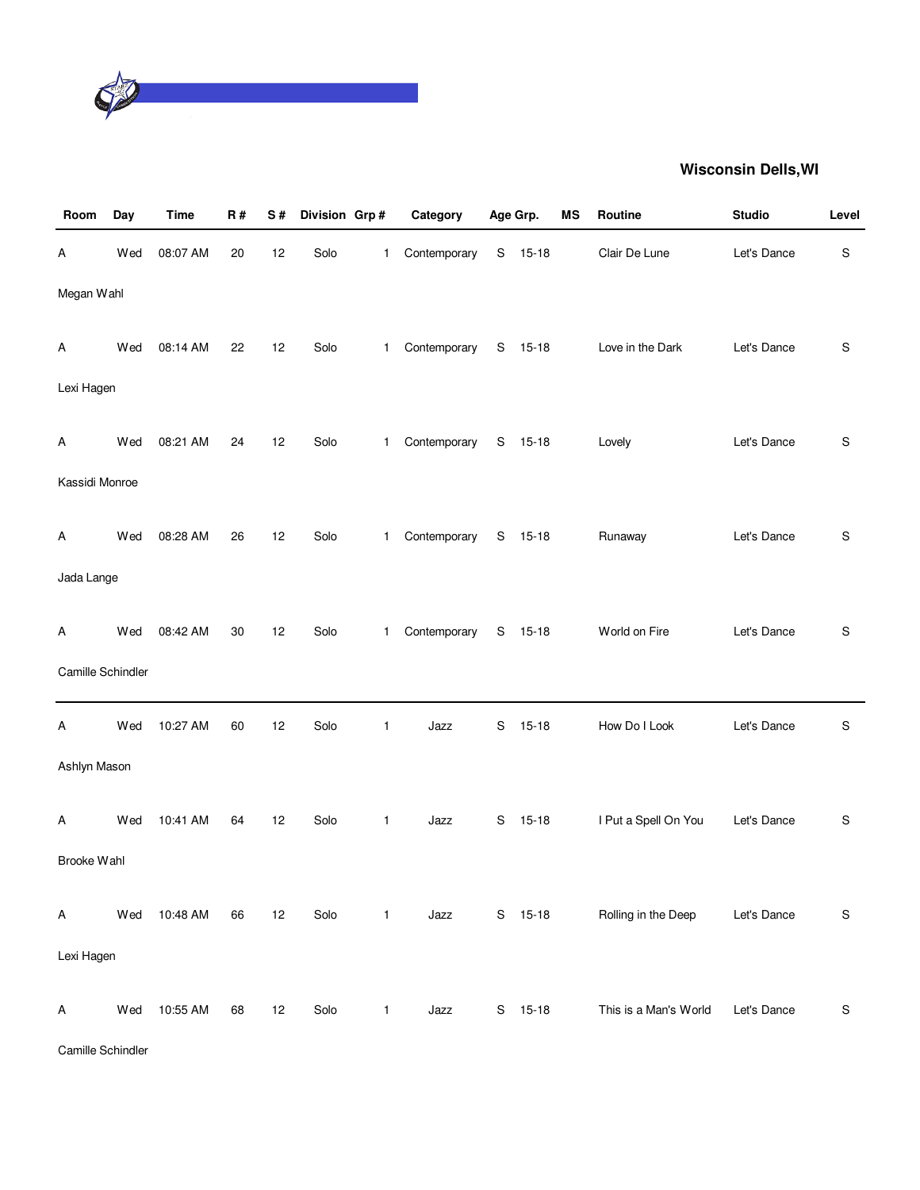

| Room              | Day | Time     | R# | S# | Division Grp# |              | Category     |               | Age Grp.  | MS | Routine               | <b>Studio</b> | Level         |
|-------------------|-----|----------|----|----|---------------|--------------|--------------|---------------|-----------|----|-----------------------|---------------|---------------|
| Α                 | Wed | 08:07 AM | 20 | 12 | Solo          | 1            | Contemporary | ${\mathsf S}$ | $15 - 18$ |    | Clair De Lune         | Let's Dance   | ${\mathsf S}$ |
| Megan Wahl        |     |          |    |    |               |              |              |               |           |    |                       |               |               |
| Α                 | Wed | 08:14 AM | 22 | 12 | Solo          | 1.           | Contemporary |               | S 15-18   |    | Love in the Dark      | Let's Dance   | S             |
| Lexi Hagen        |     |          |    |    |               |              |              |               |           |    |                       |               |               |
| Α                 | Wed | 08:21 AM | 24 | 12 | Solo          | 1            | Contemporary | S             | $15 - 18$ |    | Lovely                | Let's Dance   | S             |
| Kassidi Monroe    |     |          |    |    |               |              |              |               |           |    |                       |               |               |
| Α                 | Wed | 08:28 AM | 26 | 12 | Solo          | 1            | Contemporary | S             | $15 - 18$ |    | Runaway               | Let's Dance   | S             |
| Jada Lange        |     |          |    |    |               |              |              |               |           |    |                       |               |               |
| Α                 | Wed | 08:42 AM | 30 | 12 | Solo          | $\mathbf{1}$ | Contemporary | ${\mathsf S}$ | $15 - 18$ |    | World on Fire         | Let's Dance   | S             |
| Camille Schindler |     |          |    |    |               |              |              |               |           |    |                       |               |               |
| Α                 | Wed | 10:27 AM | 60 | 12 | Solo          | 1            | Jazz         | S             | $15 - 18$ |    | How Do I Look         | Let's Dance   | S             |
| Ashlyn Mason      |     |          |    |    |               |              |              |               |           |    |                       |               |               |
| Α                 | Wed | 10:41 AM | 64 | 12 | Solo          | $\mathbf{1}$ | Jazz         | S             | $15 - 18$ |    | I Put a Spell On You  | Let's Dance   | S             |
| Brooke Wahl       |     |          |    |    |               |              |              |               |           |    |                       |               |               |
| Α                 | Wed | 10:48 AM | 66 | 12 | Solo          | $\mathbf{1}$ | Jazz         |               | S 15-18   |    | Rolling in the Deep   | Let's Dance   | ${\mathsf S}$ |
| Lexi Hagen        |     |          |    |    |               |              |              |               |           |    |                       |               |               |
| Α                 | Wed | 10:55 AM | 68 | 12 | Solo          | $\mathbf{1}$ | Jazz         | S             | $15 - 18$ |    | This is a Man's World | Let's Dance   | ${\mathsf S}$ |

Camille Schindler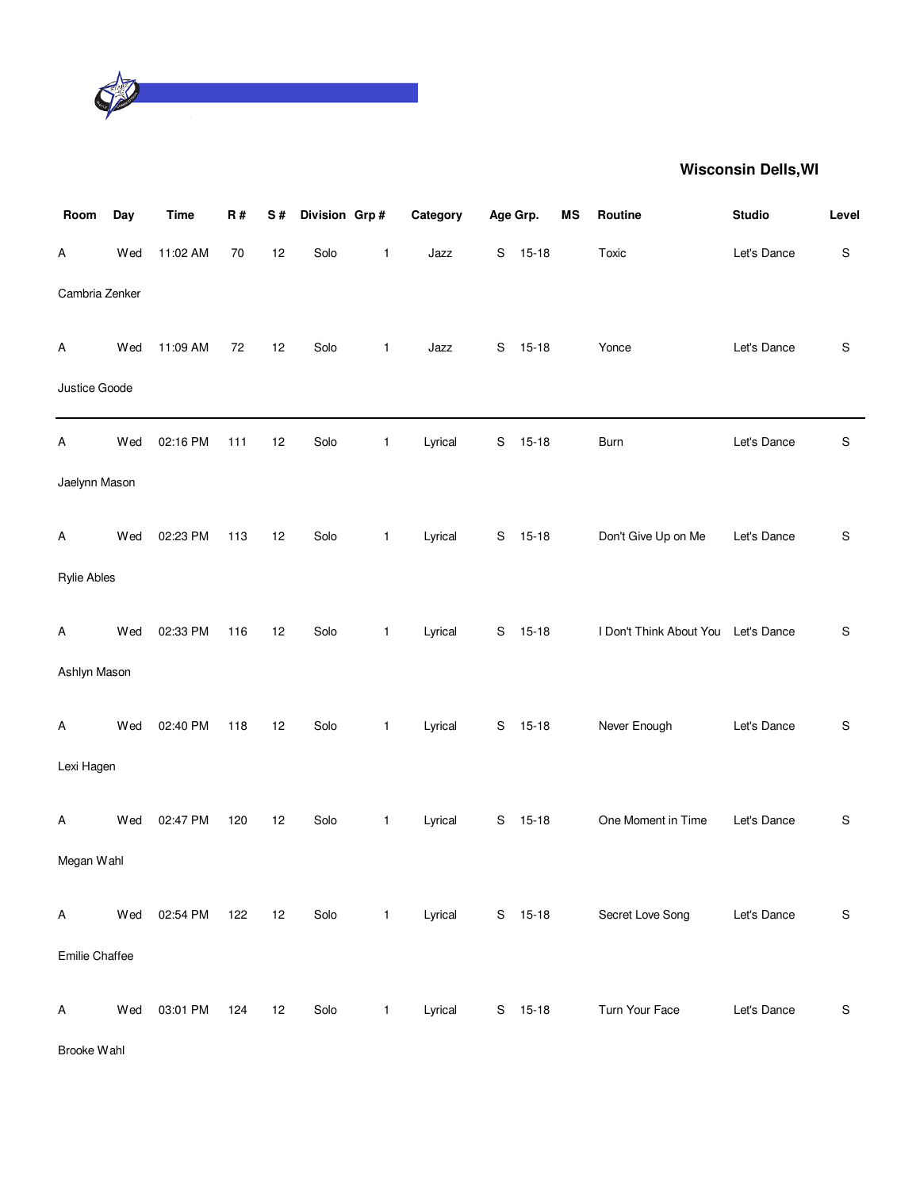

| Room               | Day | <b>Time</b> | R#  | S# | Division Grp# |              | Category | Age Grp. |           | MS | Routine                             | <b>Studio</b> | Level         |
|--------------------|-----|-------------|-----|----|---------------|--------------|----------|----------|-----------|----|-------------------------------------|---------------|---------------|
| Α                  | Wed | 11:02 AM    | 70  | 12 | Solo          | 1            | Jazz     | S        | $15 - 18$ |    | Toxic                               | Let's Dance   | ${\mathsf S}$ |
| Cambria Zenker     |     |             |     |    |               |              |          |          |           |    |                                     |               |               |
| Α                  | Wed | 11:09 AM    | 72  | 12 | Solo          | $\mathbf{1}$ | Jazz     | S        | $15 - 18$ |    | Yonce                               | Let's Dance   | ${\mathbb S}$ |
| Justice Goode      |     |             |     |    |               |              |          |          |           |    |                                     |               |               |
| Α                  | Wed | 02:16 PM    | 111 | 12 | Solo          | 1            | Lyrical  | S        | $15 - 18$ |    | <b>Burn</b>                         | Let's Dance   | $\mathsf S$   |
| Jaelynn Mason      |     |             |     |    |               |              |          |          |           |    |                                     |               |               |
| Α                  | Wed | 02:23 PM    | 113 | 12 | Solo          | 1            | Lyrical  | S        | $15 - 18$ |    | Don't Give Up on Me                 | Let's Dance   | S             |
| <b>Rylie Ables</b> |     |             |     |    |               |              |          |          |           |    |                                     |               |               |
| Α                  | Wed | 02:33 PM    | 116 | 12 | Solo          | 1            | Lyrical  | S        | $15 - 18$ |    | I Don't Think About You Let's Dance |               | ${\mathsf S}$ |
| Ashlyn Mason       |     |             |     |    |               |              |          |          |           |    |                                     |               |               |
| Α                  | Wed | 02:40 PM    | 118 | 12 | Solo          | $\mathbf{1}$ | Lyrical  | S        | $15 - 18$ |    | Never Enough                        | Let's Dance   | $\mathsf S$   |
| Lexi Hagen         |     |             |     |    |               |              |          |          |           |    |                                     |               |               |
| Α                  | Wed | 02:47 PM    | 120 | 12 | Solo          | $\mathbf{1}$ | Lyrical  | S        | $15 - 18$ |    | One Moment in Time                  | Let's Dance   | ${\mathbb S}$ |
| Megan Wahl         |     |             |     |    |               |              |          |          |           |    |                                     |               |               |
| Α                  | Wed | 02:54 PM    | 122 | 12 | Solo          | $\mathbf{1}$ | Lyrical  |          | S 15-18   |    | Secret Love Song                    | Let's Dance   | $\mathbb S$   |
| Emilie Chaffee     |     |             |     |    |               |              |          |          |           |    |                                     |               |               |
| Α                  | Wed | 03:01 PM    | 124 | 12 | Solo          | $\mathbf{1}$ | Lyrical  |          | $S$ 15-18 |    | Turn Your Face                      | Let's Dance   | $\mathbb S$   |

Brooke Wahl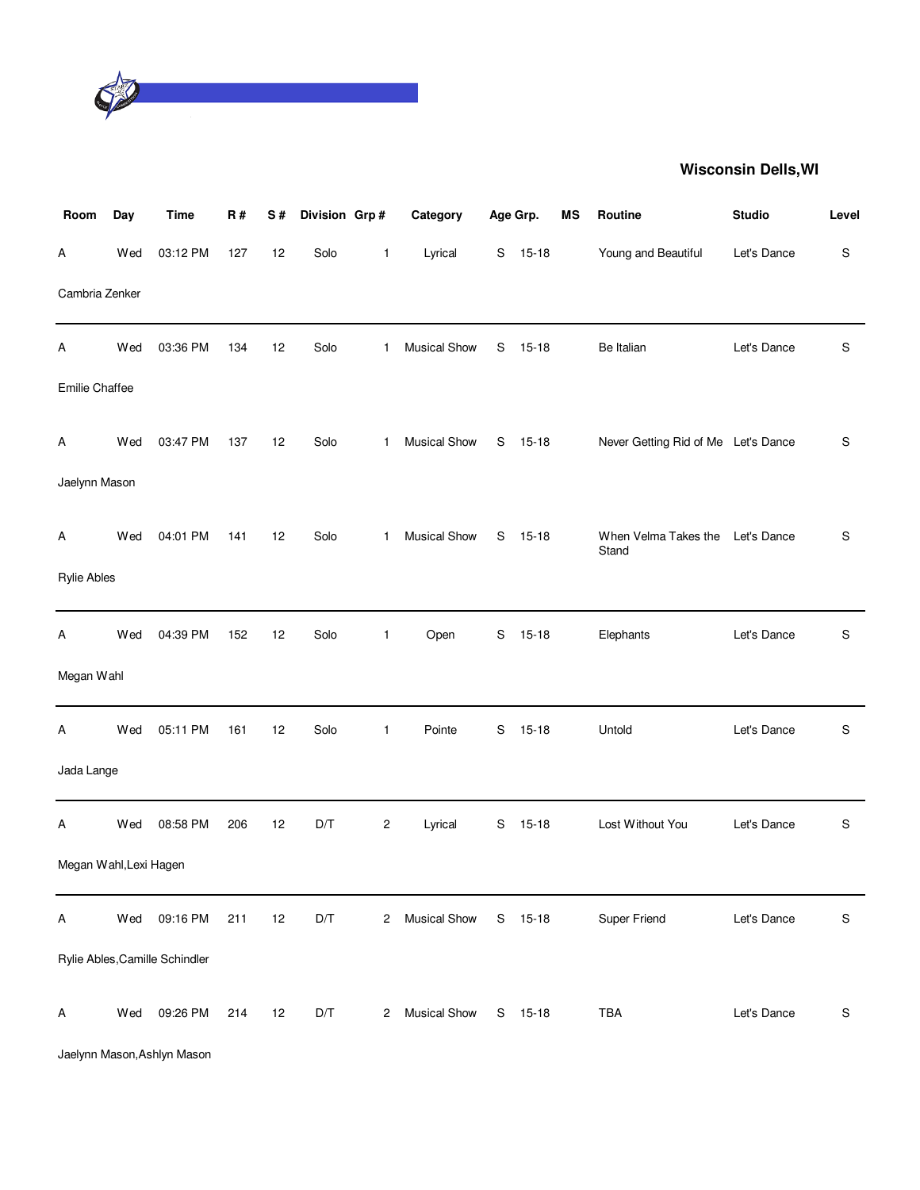

| Room                   | Day | <b>Time</b>                    | R#  | S# | Division Grp# |              | Category            |   | Age Grp.  | MS | Routine                             | <b>Studio</b> | Level |
|------------------------|-----|--------------------------------|-----|----|---------------|--------------|---------------------|---|-----------|----|-------------------------------------|---------------|-------|
| Α                      | Wed | 03:12 PM                       | 127 | 12 | Solo          | 1            | Lyrical             | S | $15 - 18$ |    | Young and Beautiful                 | Let's Dance   | S     |
| Cambria Zenker         |     |                                |     |    |               |              |                     |   |           |    |                                     |               |       |
| Α                      | Wed | 03:36 PM                       | 134 | 12 | Solo          | 1            | Musical Show        | S | $15 - 18$ |    | Be Italian                          | Let's Dance   | S     |
| Emilie Chaffee         |     |                                |     |    |               |              |                     |   |           |    |                                     |               |       |
| Α                      | Wed | 03:47 PM                       | 137 | 12 | Solo          | 1            | Musical Show        | S | $15 - 18$ |    | Never Getting Rid of Me Let's Dance |               | S     |
| Jaelynn Mason          |     |                                |     |    |               |              |                     |   |           |    |                                     |               |       |
| Α                      | Wed | 04:01 PM                       | 141 | 12 | Solo          | $\mathbf{1}$ | Musical Show        | S | $15 - 18$ |    | When Velma Takes the<br>Stand       | Let's Dance   | S     |
| <b>Rylie Ables</b>     |     |                                |     |    |               |              |                     |   |           |    |                                     |               |       |
| Α                      | Wed | 04:39 PM                       | 152 | 12 | Solo          | 1            | Open                | S | $15 - 18$ |    | Elephants                           | Let's Dance   | S     |
| Megan Wahl             |     |                                |     |    |               |              |                     |   |           |    |                                     |               |       |
| Α                      | Wed | 05:11 PM                       | 161 | 12 | Solo          | 1            | Pointe              | S | $15 - 18$ |    | Untold                              | Let's Dance   | S     |
| Jada Lange             |     |                                |     |    |               |              |                     |   |           |    |                                     |               |       |
| Α                      | Wed | 08:58 PM                       | 206 | 12 | D/T           | 2            | Lyrical             | S | $15 - 18$ |    | Lost Without You                    | Let's Dance   | S     |
| Megan Wahl, Lexi Hagen |     |                                |     |    |               |              |                     |   |           |    |                                     |               |       |
| A                      | Wed | 09:16 PM                       | 211 | 12 | D/T           | 2            | <b>Musical Show</b> | S | $15-18$   |    | Super Friend                        | Let's Dance   | S     |
|                        |     | Rylie Ables, Camille Schindler |     |    |               |              |                     |   |           |    |                                     |               |       |
| Α                      | Wed | 09:26 PM                       | 214 | 12 | D/T           | 2            | <b>Musical Show</b> |   | S 15-18   |    | TBA                                 | Let's Dance   | S     |

Jaelynn Mason,Ashlyn Mason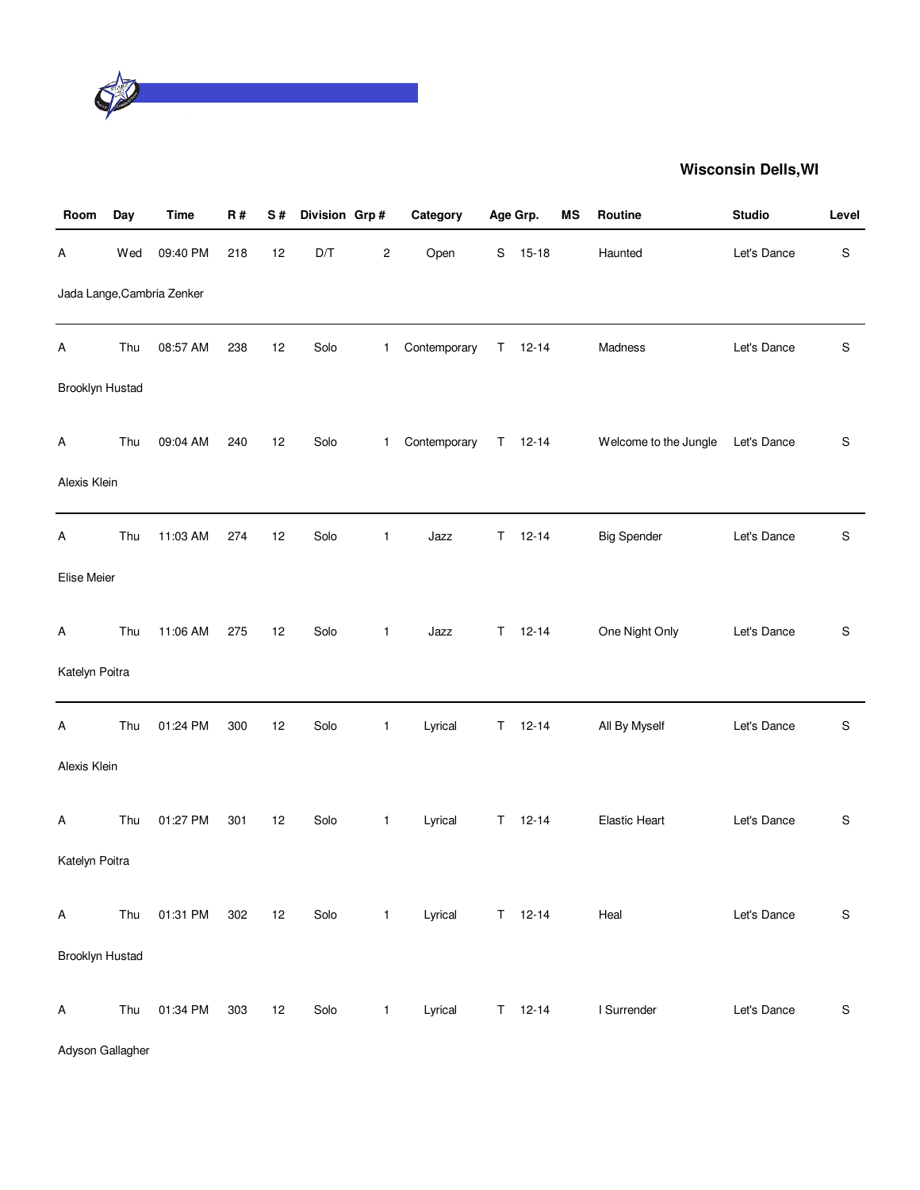

| Room            | Day | <b>Time</b>                | R#  | S# | Division Grp# |              | Category     |    | Age Grp.      | ΜS | Routine               | <b>Studio</b> | Level         |
|-----------------|-----|----------------------------|-----|----|---------------|--------------|--------------|----|---------------|----|-----------------------|---------------|---------------|
| Α               | Wed | 09:40 PM                   | 218 | 12 | D/T           | 2            | Open         | S  | $15-18$       |    | Haunted               | Let's Dance   | ${\mathsf S}$ |
|                 |     | Jada Lange, Cambria Zenker |     |    |               |              |              |    |               |    |                       |               |               |
| Α               | Thu | 08:57 AM                   | 238 | 12 | Solo          | $\mathbf{1}$ | Contemporary |    | $T = 12 - 14$ |    | Madness               | Let's Dance   | S             |
| Brooklyn Hustad |     |                            |     |    |               |              |              |    |               |    |                       |               |               |
| A               | Thu | 09:04 AM                   | 240 | 12 | Solo          | $\mathbf{1}$ | Contemporary |    | $T = 12 - 14$ |    | Welcome to the Jungle | Let's Dance   | S             |
| Alexis Klein    |     |                            |     |    |               |              |              |    |               |    |                       |               |               |
| Α               | Thu | 11:03 AM                   | 274 | 12 | Solo          | 1            | Jazz         | T. | $12 - 14$     |    | <b>Big Spender</b>    | Let's Dance   | S             |
| Elise Meier     |     |                            |     |    |               |              |              |    |               |    |                       |               |               |
| Α               | Thu | 11:06 AM                   | 275 | 12 | Solo          | $\mathbf{1}$ | Jazz         | T. | $12 - 14$     |    | One Night Only        | Let's Dance   | S             |
| Katelyn Poitra  |     |                            |     |    |               |              |              |    |               |    |                       |               |               |
| Α               | Thu | 01:24 PM                   | 300 | 12 | Solo          | 1            | Lyrical      | Τ  | $12 - 14$     |    | All By Myself         | Let's Dance   | S             |
| Alexis Klein    |     |                            |     |    |               |              |              |    |               |    |                       |               |               |
| A               | Thu | 01:27 PM                   | 301 | 12 | Solo          | $\mathbf{1}$ | Lyrical      | T. | $12 - 14$     |    | <b>Elastic Heart</b>  | Let's Dance   | S             |
| Katelyn Poitra  |     |                            |     |    |               |              |              |    |               |    |                       |               |               |
| Α               | Thu | 01:31 PM                   | 302 | 12 | Solo          | $\mathbf{1}$ | Lyrical      |    | $T = 12 - 14$ |    | Heal                  | Let's Dance   | ${\mathsf S}$ |
| Brooklyn Hustad |     |                            |     |    |               |              |              |    |               |    |                       |               |               |
| Α               | Thu | 01:34 PM                   | 303 | 12 | Solo          | $\mathbf{1}$ | Lyrical      |    | $T = 12 - 14$ |    | I Surrender           | Let's Dance   | ${\mathsf S}$ |

Adyson Gallagher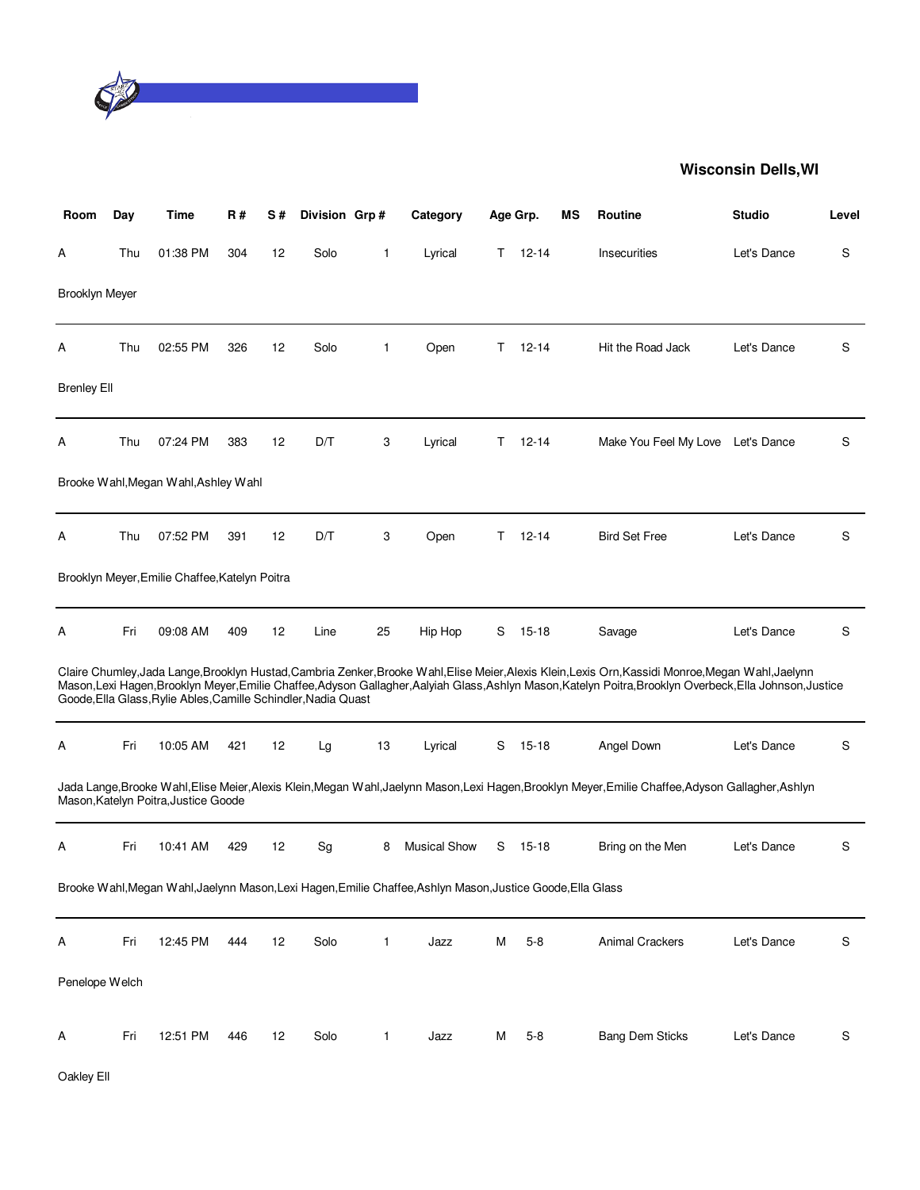

| Room                  | Day | Time                                                           | R#  | S# | Division Grp# |              | Category                                                                                                    |    | Age Grp.  | ΜS | <b>Routine</b>                                                                                                                                                                                                                                                                                | <b>Studio</b> | Level |
|-----------------------|-----|----------------------------------------------------------------|-----|----|---------------|--------------|-------------------------------------------------------------------------------------------------------------|----|-----------|----|-----------------------------------------------------------------------------------------------------------------------------------------------------------------------------------------------------------------------------------------------------------------------------------------------|---------------|-------|
| A                     | Thu | 01:38 PM                                                       | 304 | 12 | Solo          | $\mathbf{1}$ | Lyrical                                                                                                     | Τ  | $12 - 14$ |    | Insecurities                                                                                                                                                                                                                                                                                  | Let's Dance   | S     |
| <b>Brooklyn Meyer</b> |     |                                                                |     |    |               |              |                                                                                                             |    |           |    |                                                                                                                                                                                                                                                                                               |               |       |
| Α                     | Thu | 02:55 PM                                                       | 326 | 12 | Solo          | $\mathbf{1}$ | Open                                                                                                        | Т  | $12 - 14$ |    | Hit the Road Jack                                                                                                                                                                                                                                                                             | Let's Dance   | S     |
| <b>Brenley Ell</b>    |     |                                                                |     |    |               |              |                                                                                                             |    |           |    |                                                                                                                                                                                                                                                                                               |               |       |
| А                     | Thu | 07:24 PM                                                       | 383 | 12 | D/T           | 3            | Lyrical                                                                                                     | T. | $12 - 14$ |    | Make You Feel My Love                                                                                                                                                                                                                                                                         | Let's Dance   | S     |
|                       |     | Brooke Wahl, Megan Wahl, Ashley Wahl                           |     |    |               |              |                                                                                                             |    |           |    |                                                                                                                                                                                                                                                                                               |               |       |
| Α                     | Thu | 07:52 PM                                                       | 391 | 12 | D/T           | 3            | Open                                                                                                        | т  | $12 - 14$ |    | <b>Bird Set Free</b>                                                                                                                                                                                                                                                                          | Let's Dance   | S     |
|                       |     | Brooklyn Meyer, Emilie Chaffee, Katelyn Poitra                 |     |    |               |              |                                                                                                             |    |           |    |                                                                                                                                                                                                                                                                                               |               |       |
| А                     | Fri | 09:08 AM                                                       | 409 | 12 | Line          | 25           | Hip Hop                                                                                                     | S  | $15 - 18$ |    | Savage                                                                                                                                                                                                                                                                                        | Let's Dance   | S     |
|                       |     | Goode, Ella Glass, Rylie Ables, Camille Schindler, Nadia Quast |     |    |               |              |                                                                                                             |    |           |    | Claire Chumley,Jada Lange,Brooklyn Hustad,Cambria Zenker,Brooke Wahl,Elise Meier,Alexis Klein,Lexis Orn,Kassidi Monroe,Megan Wahl,Jaelynn<br>Mason,Lexi Hagen,Brooklyn Meyer,Emilie Chaffee,Adyson Gallagher,Aalyiah Glass,Ashlyn Mason,Katelyn Poitra,Brooklyn Overbeck,Ella Johnson,Justice |               |       |
| А                     | Fri | 10:05 AM                                                       | 421 | 12 | Lg            | 13           | Lyrical                                                                                                     | S  | 15-18     |    | Angel Down                                                                                                                                                                                                                                                                                    | Let's Dance   | S     |
|                       |     | Mason, Katelyn Poitra, Justice Goode                           |     |    |               |              |                                                                                                             |    |           |    | Jada Lange,Brooke Wahl,Elise Meier,Alexis Klein,Megan Wahl,Jaelynn Mason,Lexi Hagen,Brooklyn Meyer,Emilie Chaffee,Adyson Gallagher,Ashlyn                                                                                                                                                     |               |       |
| Α                     | Fri | 10:41 AM                                                       | 429 | 12 | Sg            | 8            | <b>Musical Show</b>                                                                                         | S  | $15 - 18$ |    | Bring on the Men                                                                                                                                                                                                                                                                              | Let's Dance   | S     |
|                       |     |                                                                |     |    |               |              | Brooke Wahl, Megan Wahl, Jaelynn Mason, Lexi Hagen, Emilie Chaffee, Ashlyn Mason, Justice Goode, Ella Glass |    |           |    |                                                                                                                                                                                                                                                                                               |               |       |
| Α                     | Fri | 12:45 PM                                                       | 444 | 12 | Solo          | 1            | Jazz                                                                                                        | Μ  | $5 - 8$   |    | <b>Animal Crackers</b>                                                                                                                                                                                                                                                                        | Let's Dance   | S     |
| Penelope Welch        |     |                                                                |     |    |               |              |                                                                                                             |    |           |    |                                                                                                                                                                                                                                                                                               |               |       |
| Α                     | Fri | 12:51 PM                                                       | 446 | 12 | Solo          | $\mathbf{1}$ | Jazz                                                                                                        | Μ  | $5 - 8$   |    | <b>Bang Dem Sticks</b>                                                                                                                                                                                                                                                                        | Let's Dance   | S     |

Oakley Ell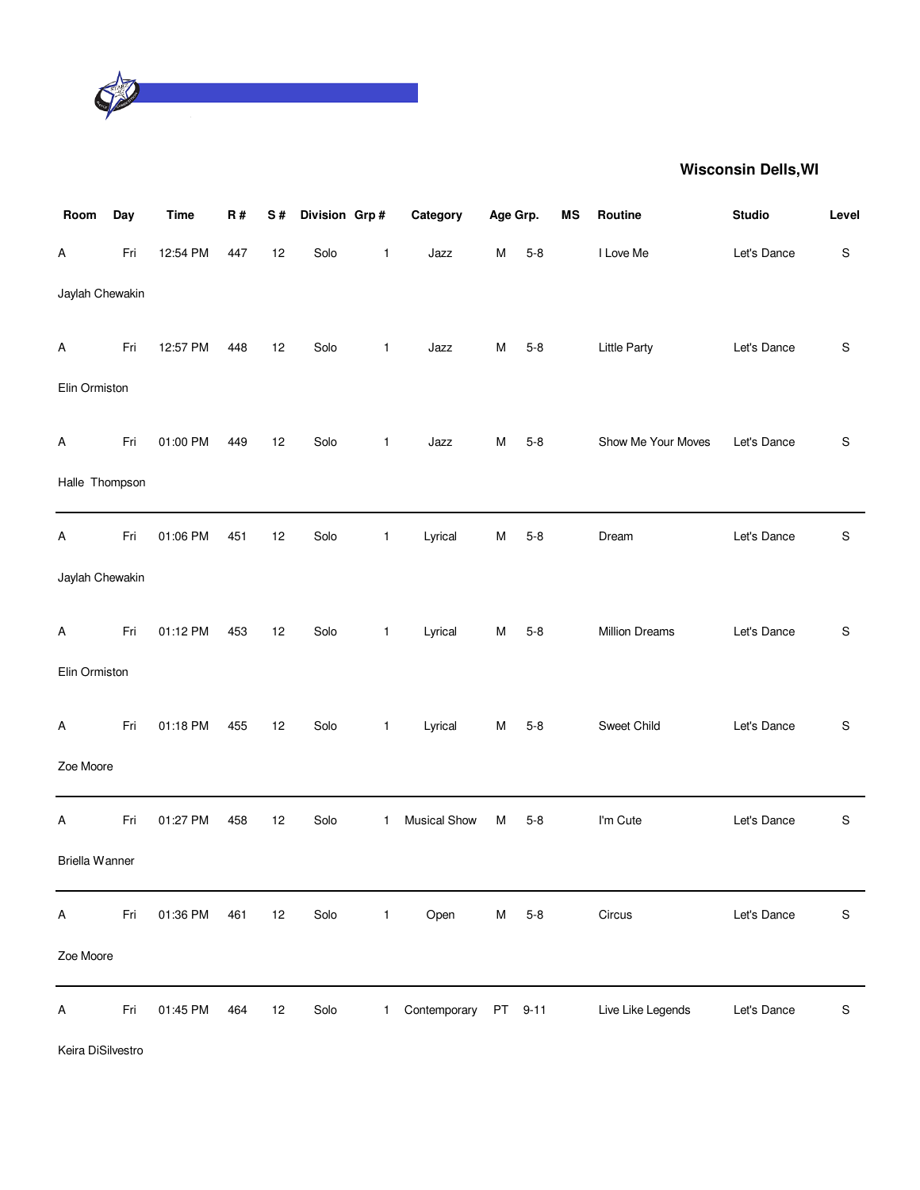

| Room            | Day | <b>Time</b> | R#  | S# | Division Grp# |              | Category            | Age Grp.  |          | MS | Routine               | <b>Studio</b> | Level |
|-----------------|-----|-------------|-----|----|---------------|--------------|---------------------|-----------|----------|----|-----------------------|---------------|-------|
| Α               | Fri | 12:54 PM    | 447 | 12 | Solo          | 1            | Jazz                | M         | $5 - 8$  |    | I Love Me             | Let's Dance   | S     |
| Jaylah Chewakin |     |             |     |    |               |              |                     |           |          |    |                       |               |       |
| Α               | Fri | 12:57 PM    | 448 | 12 | Solo          | $\mathbf{1}$ | Jazz                | M         | $5 - 8$  |    | Little Party          | Let's Dance   | S     |
| Elin Ormiston   |     |             |     |    |               |              |                     |           |          |    |                       |               |       |
| A               | Fri | 01:00 PM    | 449 | 12 | Solo          | $\mathbf{1}$ | Jazz                | M         | $5 - 8$  |    | Show Me Your Moves    | Let's Dance   | S     |
| Halle Thompson  |     |             |     |    |               |              |                     |           |          |    |                       |               |       |
| A               | Fri | 01:06 PM    | 451 | 12 | Solo          | $\mathbf{1}$ | Lyrical             | M         | $5 - 8$  |    | Dream                 | Let's Dance   | S     |
| Jaylah Chewakin |     |             |     |    |               |              |                     |           |          |    |                       |               |       |
| Α               | Fri | 01:12 PM    | 453 | 12 | Solo          | $\mathbf{1}$ | Lyrical             | M         | $5 - 8$  |    | <b>Million Dreams</b> | Let's Dance   | S     |
| Elin Ormiston   |     |             |     |    |               |              |                     |           |          |    |                       |               |       |
| A               | Fri | 01:18 PM    | 455 | 12 | Solo          | $\mathbf{1}$ | Lyrical             | M         | $5 - 8$  |    | Sweet Child           | Let's Dance   | S     |
| Zoe Moore       |     |             |     |    |               |              |                     |           |          |    |                       |               |       |
| Α               | Fri | 01:27 PM    | 458 | 12 | Solo          | $\mathbf{1}$ | <b>Musical Show</b> | M         | $5 - 8$  |    | I'm Cute              | Let's Dance   | S     |
| Briella Wanner  |     |             |     |    |               |              |                     |           |          |    |                       |               |       |
| Α               | Fri | 01:36 PM    | 461 | 12 | Solo          | $\mathbf{1}$ | Open                | M         | $5-8$    |    | Circus                | Let's Dance   | S     |
| Zoe Moore       |     |             |     |    |               |              |                     |           |          |    |                       |               |       |
| Α               | Fri | 01:45 PM    | 464 | 12 | Solo          | 1            | Contemporary        | <b>PT</b> | $9 - 11$ |    | Live Like Legends     | Let's Dance   | S     |

Keira DiSilvestro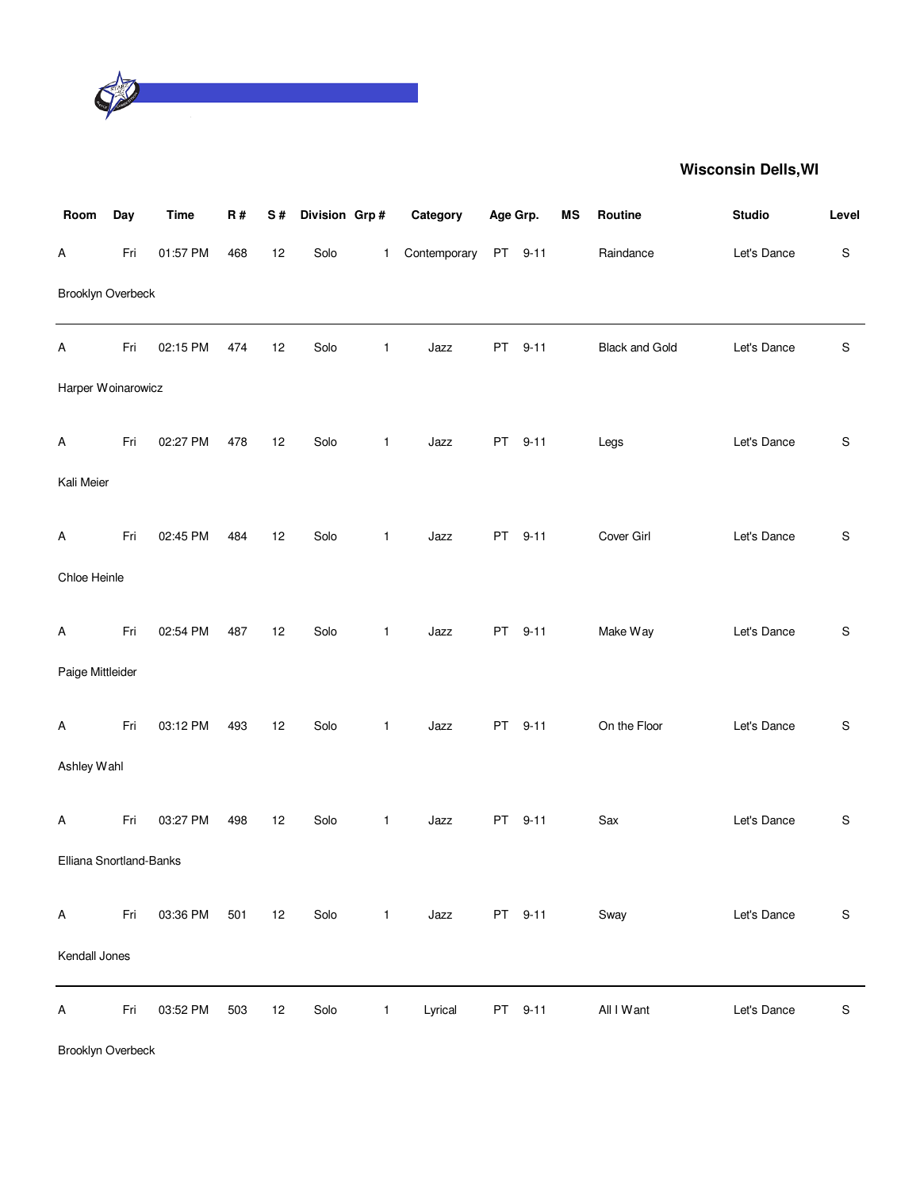

| Room                    | Day | <b>Time</b> | R#  | S# | Division Grp# |              | Category     | Age Grp.  |          | MS | Routine               | <b>Studio</b> | Level         |
|-------------------------|-----|-------------|-----|----|---------------|--------------|--------------|-----------|----------|----|-----------------------|---------------|---------------|
| Α                       | Fri | 01:57 PM    | 468 | 12 | Solo          | $\mathbf{1}$ | Contemporary |           | PT 9-11  |    | Raindance             | Let's Dance   | S             |
| Brooklyn Overbeck       |     |             |     |    |               |              |              |           |          |    |                       |               |               |
| Α                       | Fri | 02:15 PM    | 474 | 12 | Solo          | $\mathbf{1}$ | Jazz         | PT        | $9 - 11$ |    | <b>Black and Gold</b> | Let's Dance   | ${\mathbb S}$ |
| Harper Woinarowicz      |     |             |     |    |               |              |              |           |          |    |                       |               |               |
| Α                       | Fri | 02:27 PM    | 478 | 12 | Solo          | $\mathbf{1}$ | Jazz         | PT        | $9 - 11$ |    | Legs                  | Let's Dance   | S             |
| Kali Meier              |     |             |     |    |               |              |              |           |          |    |                       |               |               |
| Α                       | Fri | 02:45 PM    | 484 | 12 | Solo          | $\mathbf{1}$ | Jazz         | <b>PT</b> | $9 - 11$ |    | Cover Girl            | Let's Dance   | $\mathbb S$   |
| Chloe Heinle            |     |             |     |    |               |              |              |           |          |    |                       |               |               |
| Α                       | Fri | 02:54 PM    | 487 | 12 | Solo          | $\mathbf{1}$ | Jazz         | PT        | $9 - 11$ |    | Make Way              | Let's Dance   | S             |
| Paige Mittleider        |     |             |     |    |               |              |              |           |          |    |                       |               |               |
| Α                       | Fri | 03:12 PM    | 493 | 12 | Solo          | $\mathbf{1}$ | Jazz         | <b>PT</b> | $9 - 11$ |    | On the Floor          | Let's Dance   | S             |
| Ashley Wahl             |     |             |     |    |               |              |              |           |          |    |                       |               |               |
| Α                       | Fri | 03:27 PM    | 498 | 12 | Solo          | 1            | Jazz         | PT        | $9 - 11$ |    | Sax                   | Let's Dance   | S             |
| Elliana Snortland-Banks |     |             |     |    |               |              |              |           |          |    |                       |               |               |
| A                       | Fri | 03:36 PM    | 501 | 12 | Solo          | $\mathbf{1}$ | Jazz         |           | PT 9-11  |    | Sway                  | Let's Dance   | $\mathbb S$   |
| Kendall Jones           |     |             |     |    |               |              |              |           |          |    |                       |               |               |
| A                       | Fri | 03:52 PM    | 503 | 12 | Solo          | $\mathbf{1}$ | Lyrical      |           | PT 9-11  |    | All I Want            | Let's Dance   | $\mathbb S$   |

Brooklyn Overbeck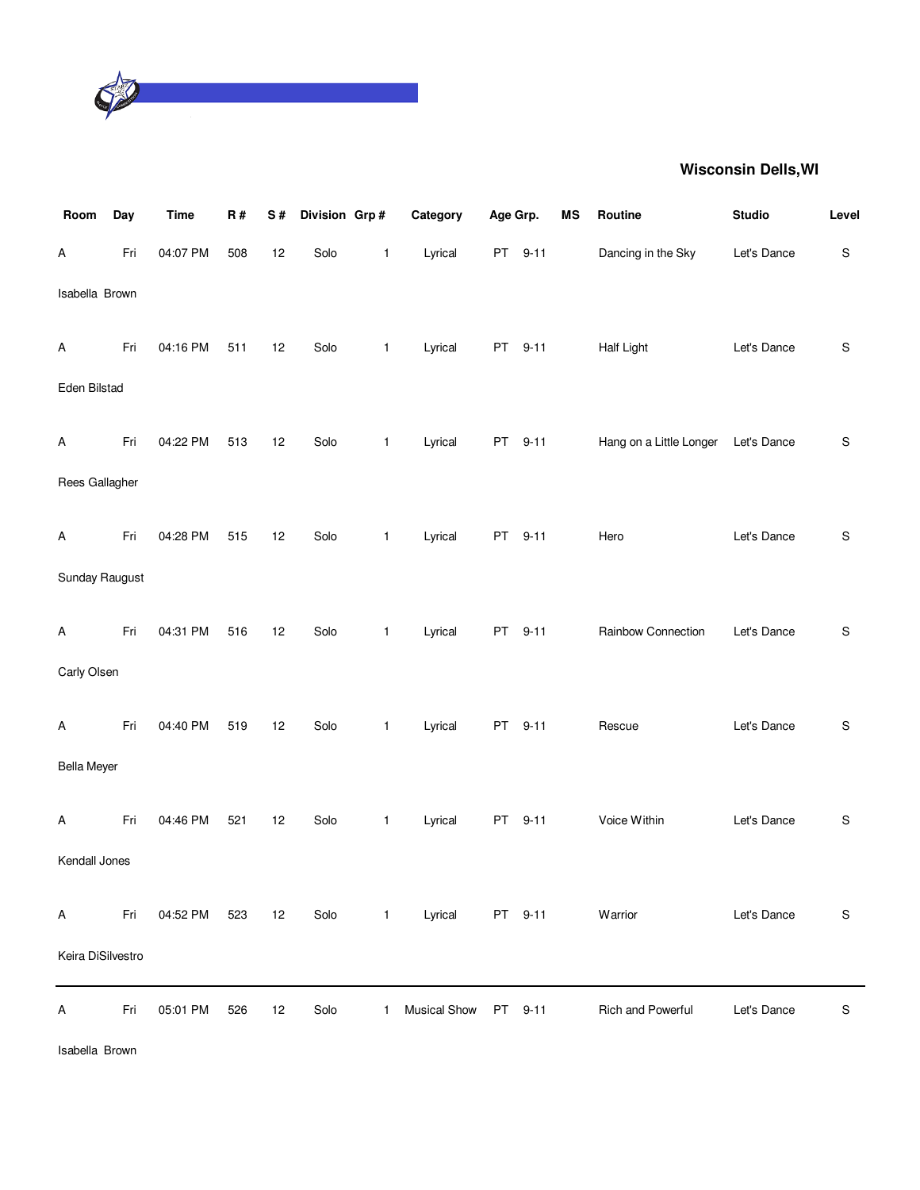

| Room               | Day | <b>Time</b> | R#  | S# | Division Grp# |              | Category            | Age Grp. |          | <b>MS</b> | Routine                 | <b>Studio</b> | Level       |
|--------------------|-----|-------------|-----|----|---------------|--------------|---------------------|----------|----------|-----------|-------------------------|---------------|-------------|
| Α                  | Fri | 04:07 PM    | 508 | 12 | Solo          | $\mathbf{1}$ | Lyrical             |          | PT 9-11  |           | Dancing in the Sky      | Let's Dance   | $\mathbf S$ |
| Isabella Brown     |     |             |     |    |               |              |                     |          |          |           |                         |               |             |
| Α                  | Fri | 04:16 PM    | 511 | 12 | Solo          | $\mathbf{1}$ | Lyrical             | PT       | $9 - 11$ |           | Half Light              | Let's Dance   | S           |
| Eden Bilstad       |     |             |     |    |               |              |                     |          |          |           |                         |               |             |
| Α                  | Fri | 04:22 PM    | 513 | 12 | Solo          | $\mathbf{1}$ | Lyrical             |          | PT 9-11  |           | Hang on a Little Longer | Let's Dance   | S           |
| Rees Gallagher     |     |             |     |    |               |              |                     |          |          |           |                         |               |             |
| Α                  | Fri | 04:28 PM    | 515 | 12 | Solo          | $\mathbf{1}$ | Lyrical             | PT       | $9 - 11$ |           | Hero                    | Let's Dance   | S           |
| Sunday Raugust     |     |             |     |    |               |              |                     |          |          |           |                         |               |             |
| Α                  | Fri | 04:31 PM    | 516 | 12 | Solo          | $\mathbf{1}$ | Lyrical             | PT       | $9 - 11$ |           | Rainbow Connection      | Let's Dance   | S           |
| Carly Olsen        |     |             |     |    |               |              |                     |          |          |           |                         |               |             |
| Α                  | Fri | 04:40 PM    | 519 | 12 | Solo          | $\mathbf{1}$ | Lyrical             | PT       | $9 - 11$ |           | Rescue                  | Let's Dance   | S           |
| <b>Bella Meyer</b> |     |             |     |    |               |              |                     |          |          |           |                         |               |             |
| Α                  | Fri | 04:46 PM    | 521 | 12 | Solo          | $\mathbf{1}$ | Lyrical             |          | PT 9-11  |           | Voice Within            | Let's Dance   | S           |
| Kendall Jones      |     |             |     |    |               |              |                     |          |          |           |                         |               |             |
| A                  | Fri | 04:52 PM    | 523 | 12 | Solo          | $\mathbf{1}$ | Lyrical             |          | PT 9-11  |           | Warrior                 | Let's Dance   | S           |
| Keira DiSilvestro  |     |             |     |    |               |              |                     |          |          |           |                         |               |             |
| А                  | Fri | 05:01 PM    | 526 | 12 | Solo          | $\mathbf{1}$ | <b>Musical Show</b> |          | PT 9-11  |           | Rich and Powerful       | Let's Dance   | S           |

Isabella Brown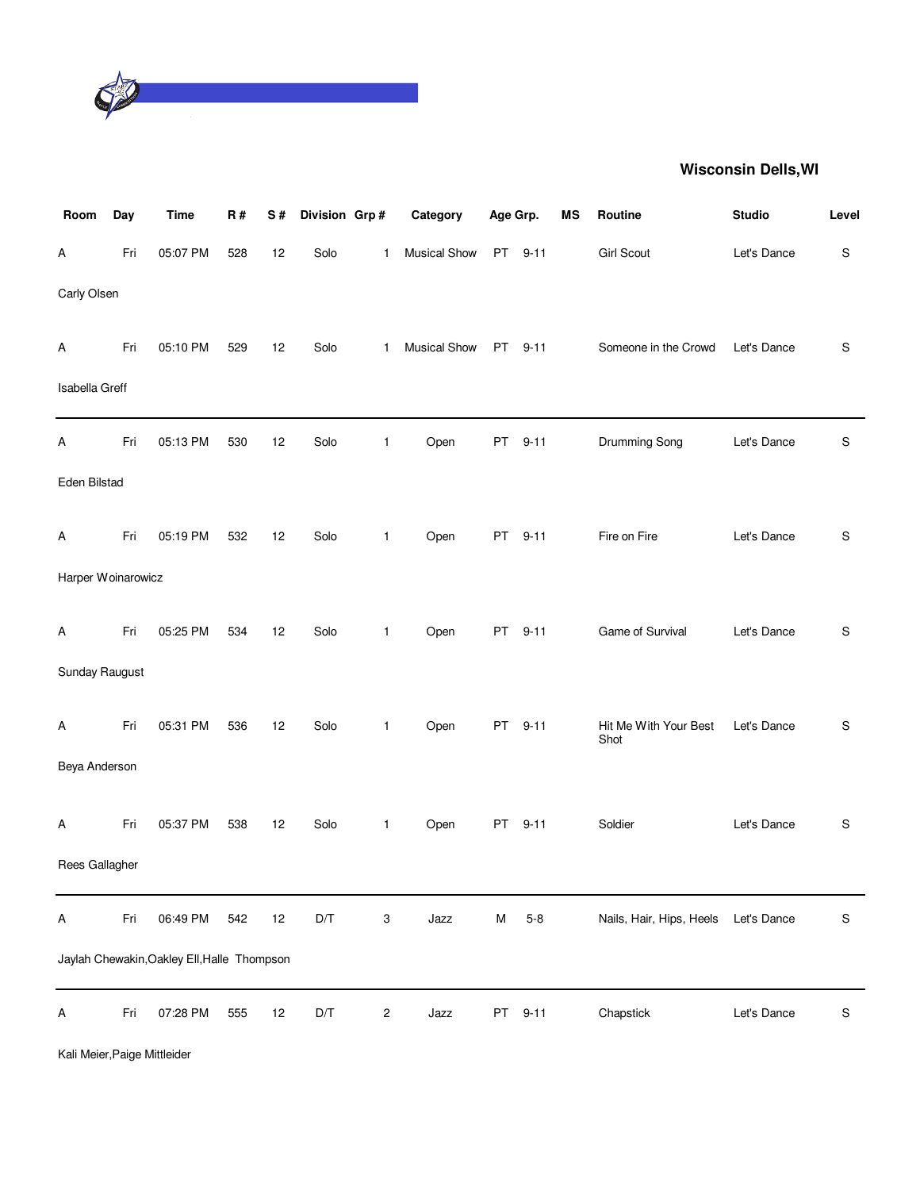

| Room               | Day | <b>Time</b>                                 | R#  | S# | Division Grp#           |              | Category     | Age Grp.  |          | <b>MS</b> | Routine                       | <b>Studio</b> | Level |
|--------------------|-----|---------------------------------------------|-----|----|-------------------------|--------------|--------------|-----------|----------|-----------|-------------------------------|---------------|-------|
| Α                  | Fri | 05:07 PM                                    | 528 | 12 | Solo                    | $\mathbf{1}$ | Musical Show | <b>PT</b> | $9 - 11$ |           | <b>Girl Scout</b>             | Let's Dance   | S     |
| Carly Olsen        |     |                                             |     |    |                         |              |              |           |          |           |                               |               |       |
| Α                  | Fri | 05:10 PM                                    | 529 | 12 | Solo                    | $\mathbf{1}$ | Musical Show |           | PT 9-11  |           | Someone in the Crowd          | Let's Dance   | S     |
| Isabella Greff     |     |                                             |     |    |                         |              |              |           |          |           |                               |               |       |
| A                  | Fri | 05:13 PM                                    | 530 | 12 | Solo                    | $\mathbf{1}$ | Open         | PT        | $9 - 11$ |           | Drumming Song                 | Let's Dance   | S     |
| Eden Bilstad       |     |                                             |     |    |                         |              |              |           |          |           |                               |               |       |
| Α                  | Fri | 05:19 PM                                    | 532 | 12 | Solo                    | $\mathbf{1}$ | Open         | <b>PT</b> | $9 - 11$ |           | Fire on Fire                  | Let's Dance   | S     |
| Harper Woinarowicz |     |                                             |     |    |                         |              |              |           |          |           |                               |               |       |
| Α                  | Fri | 05:25 PM                                    | 534 | 12 | Solo                    | $\mathbf{1}$ | Open         | PT        | $9 - 11$ |           | Game of Survival              | Let's Dance   | S     |
| Sunday Raugust     |     |                                             |     |    |                         |              |              |           |          |           |                               |               |       |
| Α                  | Fri | 05:31 PM                                    | 536 | 12 | Solo                    | $\mathbf{1}$ | Open         | <b>PT</b> | $9 - 11$ |           | Hit Me With Your Best<br>Shot | Let's Dance   | S     |
| Beya Anderson      |     |                                             |     |    |                         |              |              |           |          |           |                               |               |       |
| Α                  | Fri | 05:37 PM                                    | 538 | 12 | Solo                    | $\mathbf{1}$ | Open         | PT        | $9 - 11$ |           | Soldier                       | Let's Dance   | S     |
| Rees Gallagher     |     |                                             |     |    |                         |              |              |           |          |           |                               |               |       |
| Α                  | Fri | 06:49 PM                                    | 542 | 12 | $\mathsf{D}/\mathsf{T}$ | 3            | Jazz         | M         | $5 - 8$  |           | Nails, Hair, Hips, Heels      | Let's Dance   | S     |
|                    |     | Jaylah Chewakin, Oakley Ell, Halle Thompson |     |    |                         |              |              |           |          |           |                               |               |       |
| Α                  | Fri | 07:28 PM                                    | 555 | 12 | D/T                     | 2            | Jazz         | PT        | $9 - 11$ |           | Chapstick                     | Let's Dance   | S     |

Kali Meier,Paige Mittleider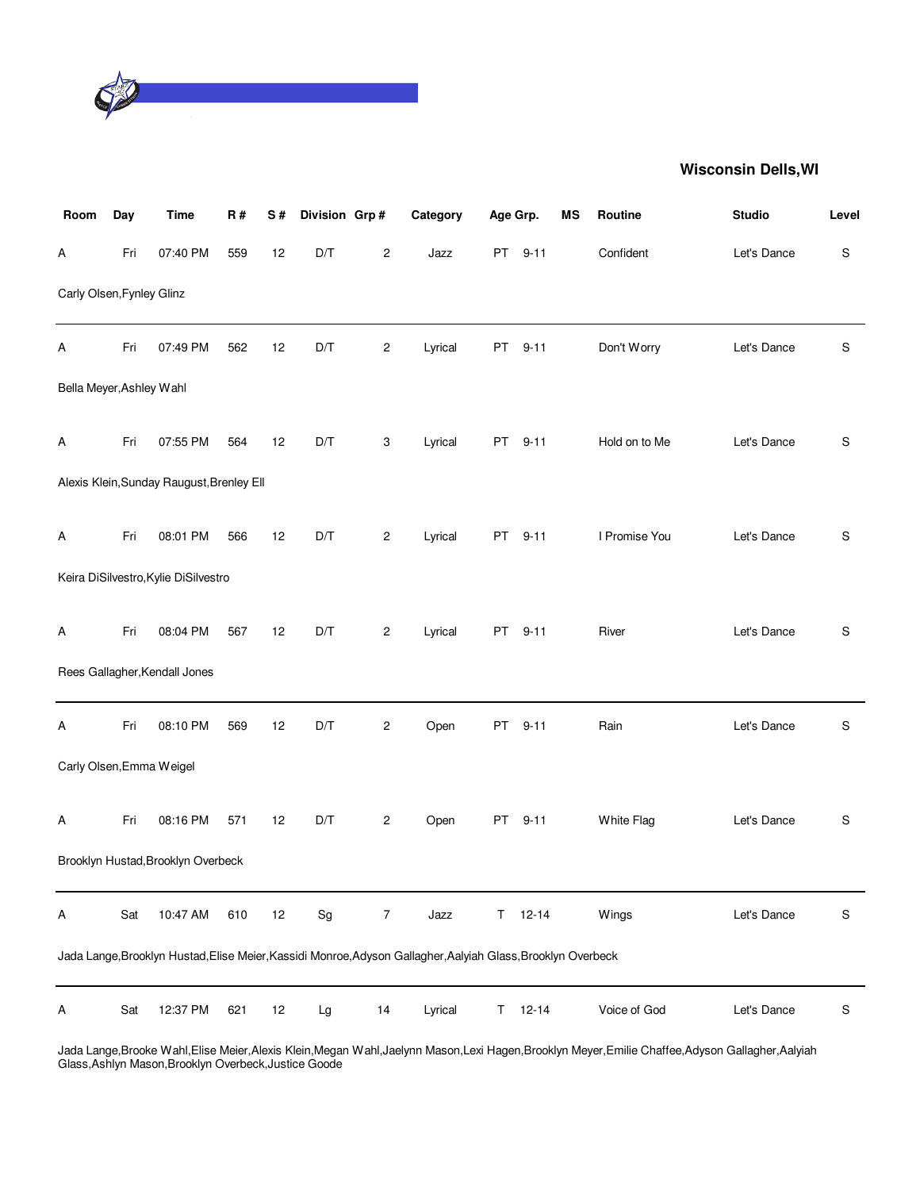

| Room                      | Day | <b>Time</b>                               | R#  | S# | Division Grp#                |                | Category                                                                                                     | Age Grp. |           | <b>MS</b> | Routine       | <b>Studio</b> | Level       |
|---------------------------|-----|-------------------------------------------|-----|----|------------------------------|----------------|--------------------------------------------------------------------------------------------------------------|----------|-----------|-----------|---------------|---------------|-------------|
| А                         | Fri | 07:40 PM                                  | 559 | 12 | D/T                          | $\overline{c}$ | Jazz                                                                                                         | PT       | $9 - 11$  |           | Confident     | Let's Dance   | $\mathbf S$ |
| Carly Olsen, Fynley Glinz |     |                                           |     |    |                              |                |                                                                                                              |          |           |           |               |               |             |
| Α                         | Fri | 07:49 PM                                  | 562 | 12 | D/T                          | 2              | Lyrical                                                                                                      | PT       | $9 - 11$  |           | Don't Worry   | Let's Dance   | S           |
| Bella Meyer, Ashley Wahl  |     |                                           |     |    |                              |                |                                                                                                              |          |           |           |               |               |             |
| Α                         | Fri | 07:55 PM                                  | 564 | 12 | D/T                          | 3              | Lyrical                                                                                                      | PT       | $9 - 11$  |           | Hold on to Me | Let's Dance   | S           |
|                           |     | Alexis Klein, Sunday Raugust, Brenley Ell |     |    |                              |                |                                                                                                              |          |           |           |               |               |             |
| Α                         | Fri | 08:01 PM                                  | 566 | 12 | D/T                          | 2              | Lyrical                                                                                                      | PT       | $9 - 11$  |           | I Promise You | Let's Dance   | S           |
|                           |     | Keira DiSilvestro, Kylie DiSilvestro      |     |    |                              |                |                                                                                                              |          |           |           |               |               |             |
| Α                         | Fri | 08:04 PM                                  | 567 | 12 | D/T                          | 2              | Lyrical                                                                                                      | PT       | $9 - 11$  |           | River         | Let's Dance   | S           |
|                           |     | Rees Gallagher, Kendall Jones             |     |    |                              |                |                                                                                                              |          |           |           |               |               |             |
| Α                         | Fri | 08:10 PM                                  | 569 | 12 | D/T                          | $\overline{c}$ | Open                                                                                                         | PT       | $9 - 11$  |           | Rain          | Let's Dance   | S           |
| Carly Olsen, Emma Weigel  |     |                                           |     |    |                              |                |                                                                                                              |          |           |           |               |               |             |
| Α                         | Fri | 08:16 PM                                  | 571 | 12 | D/T                          | $\overline{c}$ | Open                                                                                                         | PT       | $9 - 11$  |           | White Flag    | Let's Dance   | S           |
|                           |     | Brooklyn Hustad, Brooklyn Overbeck        |     |    |                              |                |                                                                                                              |          |           |           |               |               |             |
| А                         | Sat | 10:47 AM                                  | 610 | 12 | $\operatorname{\mathsf{Sg}}$ | 7              | Jazz                                                                                                         | T.       | $12 - 14$ |           | Wings         | Let's Dance   | S           |
|                           |     |                                           |     |    |                              |                | Jada Lange, Brooklyn Hustad, Elise Meier, Kassidi Monroe, Adyson Gallagher, Aalyiah Glass, Brooklyn Overbeck |          |           |           |               |               |             |
| Α                         | Sat | 12:37 PM                                  | 621 | 12 | Lg                           | 14             | Lyrical                                                                                                      | T.       | $12 - 14$ |           | Voice of God  | Let's Dance   | S           |

Jada Lange,Brooke Wahl,Elise Meier,Alexis Klein,Megan Wahl,Jaelynn Mason,Lexi Hagen,Brooklyn Meyer,Emilie Chaffee,Adyson Gallagher,Aalyiah Glass,Ashlyn Mason,Brooklyn Overbeck,Justice Goode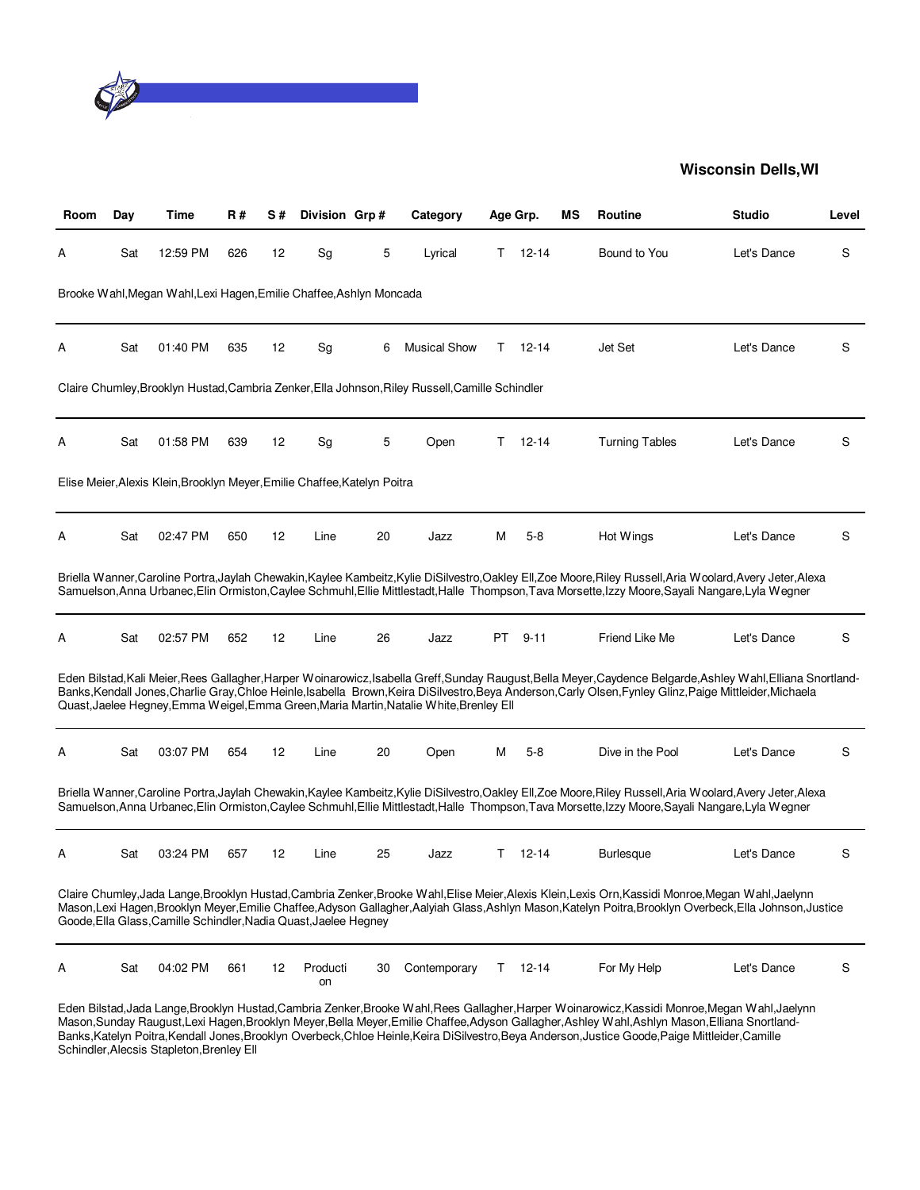

| Room | Day | Time                                                                      | <b>R#</b> | S# | Division Grp#  |    | Category                                                                                        |    | Age Grp.      | ΜS | Routine                                                                                                                                                                                                                                                                                                           | <b>Studio</b> | Level |
|------|-----|---------------------------------------------------------------------------|-----------|----|----------------|----|-------------------------------------------------------------------------------------------------|----|---------------|----|-------------------------------------------------------------------------------------------------------------------------------------------------------------------------------------------------------------------------------------------------------------------------------------------------------------------|---------------|-------|
| А    | Sat | 12:59 PM                                                                  | 626       | 12 | Sg             | 5  | Lyrical                                                                                         | T. | $12 - 14$     |    | Bound to You                                                                                                                                                                                                                                                                                                      | Let's Dance   | S     |
|      |     | Brooke Wahl, Megan Wahl, Lexi Hagen, Emilie Chaffee, Ashlyn Moncada       |           |    |                |    |                                                                                                 |    |               |    |                                                                                                                                                                                                                                                                                                                   |               |       |
| Α    | Sat | 01:40 PM                                                                  | 635       | 12 | Sg             | 6  | <b>Musical Show</b>                                                                             |    | $T = 12 - 14$ |    | Jet Set                                                                                                                                                                                                                                                                                                           | Let's Dance   | S     |
|      |     |                                                                           |           |    |                |    | Claire Chumley, Brooklyn Hustad, Cambria Zenker, Ella Johnson, Riley Russell, Camille Schindler |    |               |    |                                                                                                                                                                                                                                                                                                                   |               |       |
| А    | Sat | 01:58 PM                                                                  | 639       | 12 | Sg             | 5  | Open                                                                                            | T. | $12 - 14$     |    | <b>Turning Tables</b>                                                                                                                                                                                                                                                                                             | Let's Dance   | S     |
|      |     | Elise Meier, Alexis Klein, Brooklyn Meyer, Emilie Chaffee, Katelyn Poitra |           |    |                |    |                                                                                                 |    |               |    |                                                                                                                                                                                                                                                                                                                   |               |       |
| Α    | Sat | 02:47 PM                                                                  | 650       | 12 | Line           | 20 | Jazz                                                                                            | м  | $5-8$         |    | Hot Wings                                                                                                                                                                                                                                                                                                         | Let's Dance   | S     |
|      |     |                                                                           |           |    |                |    |                                                                                                 |    |               |    | Briella Wanner, Caroline Portra, Jaylah Chewakin, Kaylee Kambeitz, Kylie DiSilvestro, Oakley Ell, Zoe Moore, Riley Russell, Aria Woolard, Avery Jeter, Alexa<br>Samuelson, Anna Urbanec, Elin Ormiston, Caylee Schmuhl, Ellie Mittlestadt, Halle Thompson, Tava Morsette, Izzy Moore, Sayali Nangare, Lyla Wegner |               |       |
| А    | Sat | 02:57 PM                                                                  | 652       | 12 | Line           | 26 | Jazz                                                                                            |    | PT 9-11       |    | Friend Like Me                                                                                                                                                                                                                                                                                                    | Let's Dance   | S     |
|      |     |                                                                           |           |    |                |    | Quast, Jaelee Hegney, Emma Weigel, Emma Green, Maria Martin, Natalie White, Brenley Ell         |    |               |    | Eden Bilstad,Kali Meier,Rees Gallagher,Harper Woinarowicz,Isabella Greff,Sunday Raugust,Bella Meyer,Caydence Belgarde,Ashley Wahl,Elliana Snortland-<br>Banks, Kendall Jones, Charlie Gray, Chloe Heinle, Isabella Brown, Keira DiSilvestro, Beya Anderson, Carly Olsen, Fynley Glinz, Paige Mittleider, Michaela |               |       |
| Α    | Sat | 03:07 PM                                                                  | 654       | 12 | Line           | 20 | Open                                                                                            | м  | $5-8$         |    | Dive in the Pool                                                                                                                                                                                                                                                                                                  | Let's Dance   | S     |
|      |     |                                                                           |           |    |                |    |                                                                                                 |    |               |    | Briella Wanner, Caroline Portra, Jaylah Chewakin, Kaylee Kambeitz, Kylie DiSilvestro, Oakley Ell, Zoe Moore, Riley Russell, Aria Woolard, Avery Jeter, Alexa<br>Samuelson, Anna Urbanec, Elin Ormiston, Caylee Schmuhl, Ellie Mittlestadt, Halle Thompson, Tava Morsette, Izzy Moore, Sayali Nangare, Lyla Wegner |               |       |
| А    | Sat | 03:24 PM                                                                  | 657       | 12 | Line           | 25 | Jazz                                                                                            | T. | $12 - 14$     |    | <b>Burlesque</b>                                                                                                                                                                                                                                                                                                  | Let's Dance   | S     |
|      |     | Goode, Ella Glass, Camille Schindler, Nadia Quast, Jaelee Hegney          |           |    |                |    |                                                                                                 |    |               |    | Claire Chumley, Jada Lange, Brooklyn Hustad, Cambria Zenker, Brooke Wahl, Elise Meier, Alexis Klein, Lexis Orn, Kassidi Monroe, Megan Wahl, Jaelynn<br>Mason,Lexi Hagen,Brooklyn Meyer,Emilie Chaffee,Adyson Gallagher,Aalyiah Glass,Ashlyn Mason,Katelyn Poitra,Brooklyn Overbeck,Ella Johnson,Justice           |               |       |
| A    | Sat | 04:02 PM                                                                  | 661       | 12 | Producti<br>on | 30 | Contemporary                                                                                    | T. | $12 - 14$     |    | For My Help                                                                                                                                                                                                                                                                                                       | Let's Dance   | S     |

Eden Bilstad,Jada Lange,Brooklyn Hustad,Cambria Zenker,Brooke Wahl,Rees Gallagher,Harper Woinarowicz,Kassidi Monroe,Megan Wahl,Jaelynn Mason,Sunday Raugust,Lexi Hagen,Brooklyn Meyer,Bella Meyer,Emilie Chaffee,Adyson Gallagher,Ashley Wahl,Ashlyn Mason,Elliana Snortland-Banks,Katelyn Poitra,Kendall Jones,Brooklyn Overbeck,Chloe Heinle,Keira DiSilvestro,Beya Anderson,Justice Goode,Paige Mittleider,Camille Schindler,Alecsis Stapleton,Brenley Ell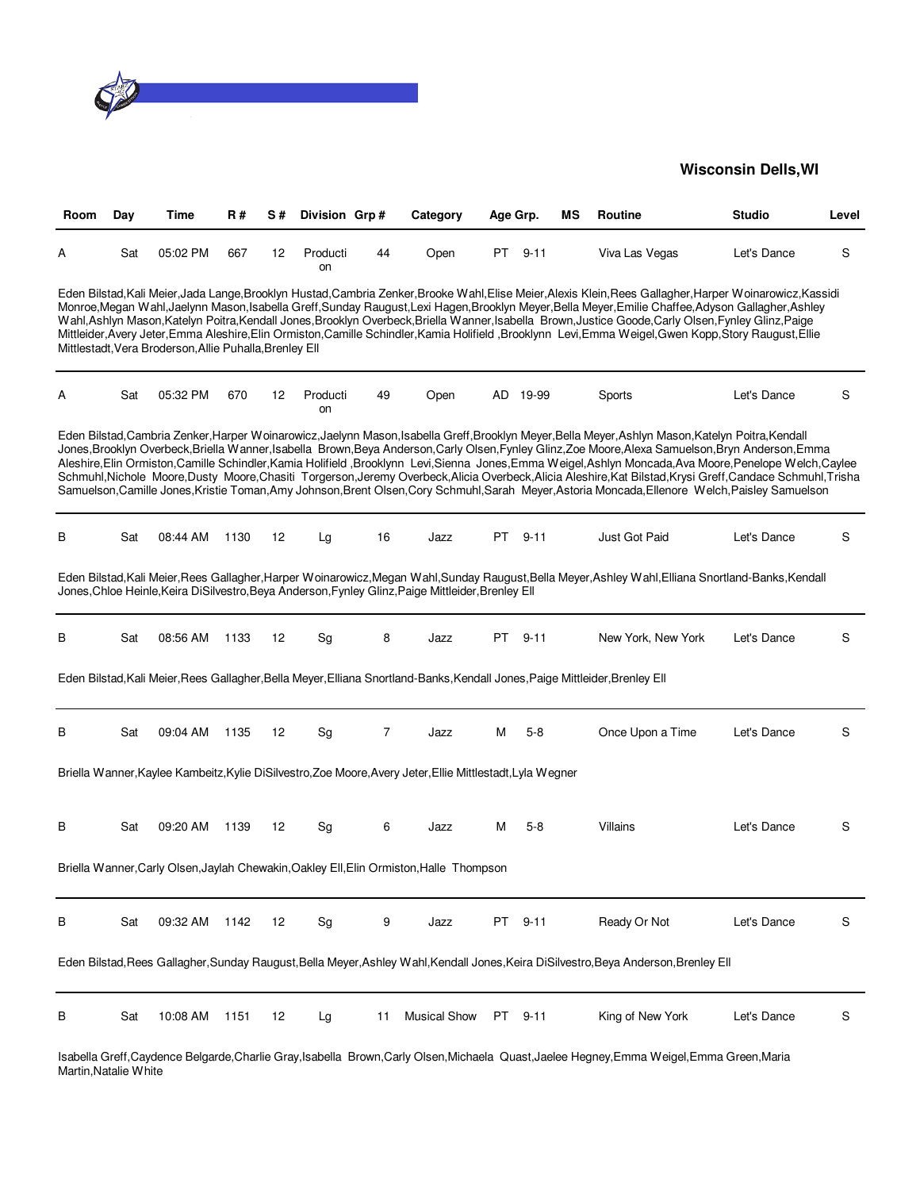

| Room | Day | Time                                                    | R#   | S# | Division Grp#  |    | Category                                                                                                                     | Age Grp. |          | ΜS | Routine                                                                                                                                                                                                                                                                                                                                                                                                                                                                                                                                                                                                                                                                                                                                                                   | <b>Studio</b> | Level |
|------|-----|---------------------------------------------------------|------|----|----------------|----|------------------------------------------------------------------------------------------------------------------------------|----------|----------|----|---------------------------------------------------------------------------------------------------------------------------------------------------------------------------------------------------------------------------------------------------------------------------------------------------------------------------------------------------------------------------------------------------------------------------------------------------------------------------------------------------------------------------------------------------------------------------------------------------------------------------------------------------------------------------------------------------------------------------------------------------------------------------|---------------|-------|
| А    | Sat | 05:02 PM                                                | 667  | 12 | Producti<br>on | 44 | Open                                                                                                                         | PT       | $9 - 11$ |    | Viva Las Vegas                                                                                                                                                                                                                                                                                                                                                                                                                                                                                                                                                                                                                                                                                                                                                            | Let's Dance   | S     |
|      |     | Mittlestadt, Vera Broderson, Allie Puhalla, Brenley Ell |      |    |                |    |                                                                                                                              |          |          |    | Eden Bilstad, Kali Meier, Jada Lange, Brooklyn Hustad, Cambria Zenker, Brooke Wahl, Elise Meier, Alexis Klein, Rees Gallagher, Harper Woinarowicz, Kassidi<br>Monroe,Megan Wahl,Jaelynn Mason,Isabella Greff,Sunday Raugust,Lexi Hagen,Brooklyn Meyer,Bella Meyer,Emilie Chaffee,Adyson Gallagher,Ashley<br>Wahl, Ashlyn Mason, Katelyn Poitra, Kendall Jones, Brooklyn Overbeck, Briella Wanner, Isabella Brown, Justice Goode, Carly Olsen, Fynley Glinz, Paige<br>Mittleider, Avery Jeter, Emma Aleshire, Elin Ormiston, Camille Schindler, Kamia Holifield, Brooklynn Levi, Emma Weigel, Gwen Kopp, Story Raugust, Ellie                                                                                                                                              |               |       |
| А    | Sat | 05:32 PM                                                | 670  | 12 | Producti<br>on | 49 | Open                                                                                                                         |          | AD 19-99 |    | Sports                                                                                                                                                                                                                                                                                                                                                                                                                                                                                                                                                                                                                                                                                                                                                                    | Let's Dance   | S     |
|      |     |                                                         |      |    |                |    |                                                                                                                              |          |          |    | Eden Bilstad,Cambria Zenker,Harper Woinarowicz,Jaelynn Mason,Isabella Greff,Brooklyn Meyer,Bella Meyer,Ashlyn Mason,Katelyn Poitra,Kendall<br>Jones, Brooklyn Overbeck, Briella Wanner, Isabella Brown, Beya Anderson, Carly Olsen, Fynley Glinz, Zoe Moore, Alexa Samuelson, Bryn Anderson, Emma<br>Aleshire,Elin Ormiston,Camille Schindler,Kamia Holifield ,Brooklynn Levi,Sienna Jones,Emma Weigel,Ashlyn Moncada,Ava Moore,Penelope Welch,Caylee<br>Schmuhl, Nichole Moore, Dusty Moore, Chasiti Torgerson, Jeremy Overbeck, Alicia Overbeck, Alicia Aleshire, Kat Bilstad, Krysi Greff, Candace Schmuhl, Trisha<br>Samuelson, Camille Jones, Kristie Toman, Amy Johnson, Brent Olsen, Cory Schmuhl, Sarah Meyer, Astoria Moncada, Ellenore Welch, Paisley Samuelson |               |       |
| В    | Sat | 08:44 AM                                                | 1130 | 12 | Lg             | 16 | Jazz                                                                                                                         | PT       | $9 - 11$ |    | Just Got Paid                                                                                                                                                                                                                                                                                                                                                                                                                                                                                                                                                                                                                                                                                                                                                             | Let's Dance   | S     |
|      |     |                                                         |      |    |                |    | Jones, Chloe Heinle, Keira DiSilvestro, Beya Anderson, Fynley Glinz, Paige Mittleider, Brenley Ell                           |          |          |    | Eden Bilstad, Kali Meier, Rees Gallagher, Harper Woinarowicz, Megan Wahl, Sunday Raugust, Bella Meyer, Ashley Wahl, Elliana Snortland-Banks, Kendall                                                                                                                                                                                                                                                                                                                                                                                                                                                                                                                                                                                                                      |               |       |
| В    | Sat | 08:56 AM                                                | 1133 | 12 | Sg             | 8  | Jazz                                                                                                                         | PT.      | $9 - 11$ |    | New York, New York                                                                                                                                                                                                                                                                                                                                                                                                                                                                                                                                                                                                                                                                                                                                                        | Let's Dance   | S     |
|      |     |                                                         |      |    |                |    | Eden Bilstad, Kali Meier, Rees Gallagher, Bella Meyer, Elliana Snortland-Banks, Kendall Jones, Paige Mittleider, Brenley Ell |          |          |    |                                                                                                                                                                                                                                                                                                                                                                                                                                                                                                                                                                                                                                                                                                                                                                           |               |       |
| В    | Sat | 09:04 AM                                                | 1135 | 12 | Sg             | 7  | Jazz                                                                                                                         | м        | $5 - 8$  |    | Once Upon a Time                                                                                                                                                                                                                                                                                                                                                                                                                                                                                                                                                                                                                                                                                                                                                          | Let's Dance   | S     |
|      |     |                                                         |      |    |                |    | Briella Wanner, Kaylee Kambeitz, Kylie DiSilvestro, Zoe Moore, Avery Jeter, Ellie Mittlestadt, Lyla Wegner                   |          |          |    |                                                                                                                                                                                                                                                                                                                                                                                                                                                                                                                                                                                                                                                                                                                                                                           |               |       |
| В    | Sat | 09:20 AM                                                | 1139 | 12 | Sg             | 6  | Jazz                                                                                                                         | М        | $5-8$    |    | Villains                                                                                                                                                                                                                                                                                                                                                                                                                                                                                                                                                                                                                                                                                                                                                                  | Let's Dance   | S     |
|      |     |                                                         |      |    |                |    | Briella Wanner, Carly Olsen, Jaylah Chewakin, Oakley Ell, Elin Ormiston, Halle Thompson                                      |          |          |    |                                                                                                                                                                                                                                                                                                                                                                                                                                                                                                                                                                                                                                                                                                                                                                           |               |       |
| В    | Sat | 09:32 AM                                                | 1142 | 12 | Sg             | 9  | Jazz                                                                                                                         | PT       | $9 - 11$ |    | Ready Or Not                                                                                                                                                                                                                                                                                                                                                                                                                                                                                                                                                                                                                                                                                                                                                              | Let's Dance   | S     |
|      |     |                                                         |      |    |                |    |                                                                                                                              |          |          |    | Eden Bilstad, Rees Gallagher, Sunday Raugust, Bella Meyer, Ashley Wahl, Kendall Jones, Keira DiSilvestro, Beya Anderson, Brenley Ell                                                                                                                                                                                                                                                                                                                                                                                                                                                                                                                                                                                                                                      |               |       |
| В    | Sat | 10:08 AM                                                | 1151 | 12 | Lg             | 11 | <b>Musical Show</b>                                                                                                          | PT       | $9 - 11$ |    | King of New York                                                                                                                                                                                                                                                                                                                                                                                                                                                                                                                                                                                                                                                                                                                                                          | Let's Dance   | S     |

Isabella Greff,Caydence Belgarde,Charlie Gray,Isabella Brown,Carly Olsen,Michaela Quast,Jaelee Hegney,Emma Weigel,Emma Green,Maria Martin,Natalie White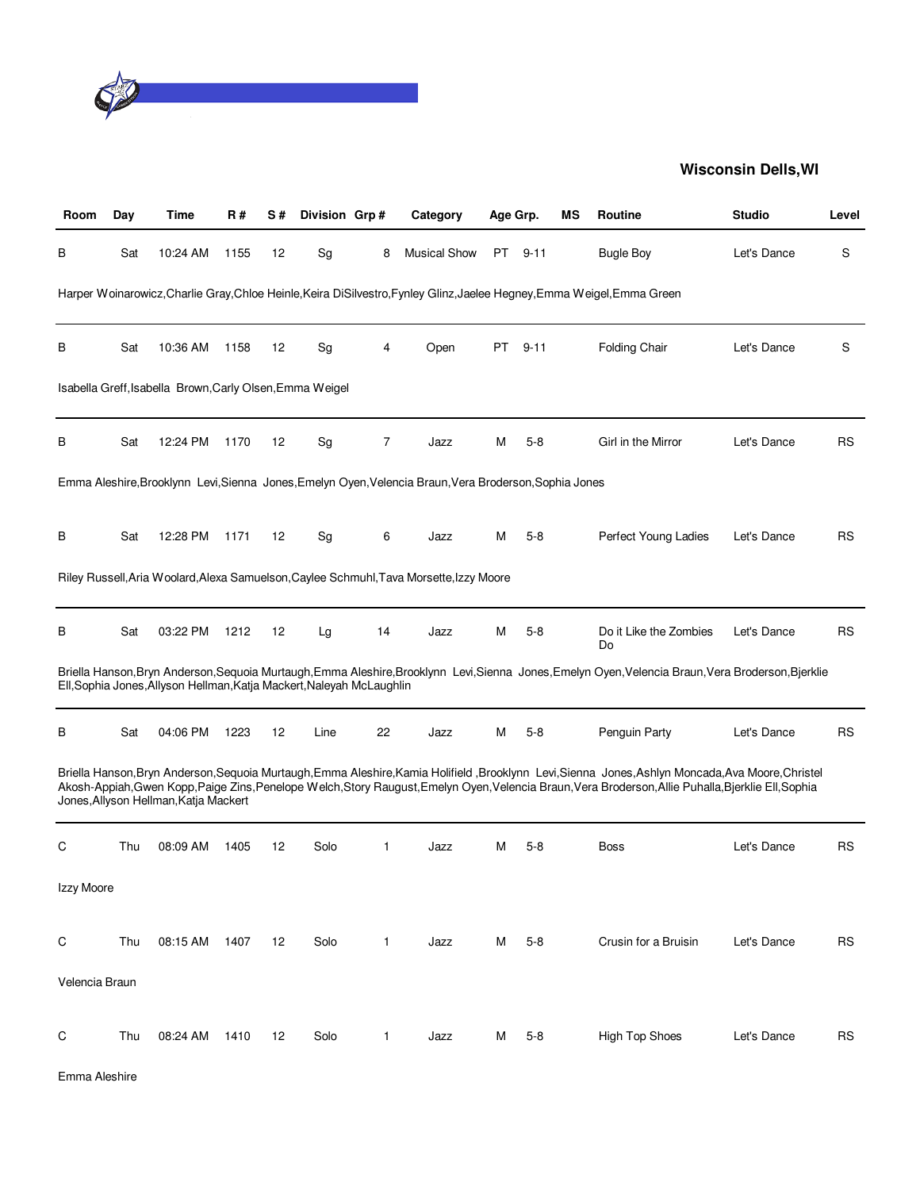

| Room           | Day | Time                                                                  | <b>R#</b> | S# | Division Grp# |              | Category                                                                                               | Age Grp. |          | ΜS | Routine                                                                                                                                                                                                                                                                                                    | <b>Studio</b> | Level      |
|----------------|-----|-----------------------------------------------------------------------|-----------|----|---------------|--------------|--------------------------------------------------------------------------------------------------------|----------|----------|----|------------------------------------------------------------------------------------------------------------------------------------------------------------------------------------------------------------------------------------------------------------------------------------------------------------|---------------|------------|
| В              | Sat | 10:24 AM                                                              | 1155      | 12 | Sg            | 8            | <b>Musical Show</b>                                                                                    | PT       | $9 - 11$ |    | <b>Bugle Boy</b>                                                                                                                                                                                                                                                                                           | Let's Dance   | S          |
|                |     |                                                                       |           |    |               |              |                                                                                                        |          |          |    | Harper Woinarowicz, Charlie Gray, Chloe Heinle, Keira DiSilvestro, Fynley Glinz, Jaelee Hegney, Emma Weigel, Emma Green                                                                                                                                                                                    |               |            |
| В              | Sat | 10:36 AM                                                              | 1158      | 12 | Sg            | 4            | Open                                                                                                   | PT       | $9 - 11$ |    | <b>Folding Chair</b>                                                                                                                                                                                                                                                                                       | Let's Dance   | S          |
|                |     | Isabella Greff, Isabella Brown, Carly Olsen, Emma Weigel              |           |    |               |              |                                                                                                        |          |          |    |                                                                                                                                                                                                                                                                                                            |               |            |
| в              | Sat | 12:24 PM                                                              | 1170      | 12 | Sg            | 7            | Jazz                                                                                                   | Μ        | $5 - 8$  |    | Girl in the Mirror                                                                                                                                                                                                                                                                                         | Let's Dance   | <b>RS</b>  |
|                |     |                                                                       |           |    |               |              | Emma Aleshire, Brooklynn Levi, Sienna Jones, Emelyn Oyen, Velencia Braun, Vera Broderson, Sophia Jones |          |          |    |                                                                                                                                                                                                                                                                                                            |               |            |
| В              | Sat | 12:28 PM                                                              | 1171      | 12 | Sg            | 6            | Jazz                                                                                                   | М        | $5-8$    |    | Perfect Young Ladies                                                                                                                                                                                                                                                                                       | Let's Dance   | <b>RS</b>  |
|                |     |                                                                       |           |    |               |              | Riley Russell, Aria Woolard, Alexa Samuelson, Caylee Schmuhl, Tava Morsette, Izzy Moore                |          |          |    |                                                                                                                                                                                                                                                                                                            |               |            |
| В              | Sat | 03:22 PM                                                              | 1212      | 12 | Lg            | 14           | Jazz                                                                                                   | М        | $5-8$    |    | Do it Like the Zombies<br>Do                                                                                                                                                                                                                                                                               | Let's Dance   | <b>RS</b>  |
|                |     | Ell, Sophia Jones, Allyson Hellman, Katja Mackert, Naleyah McLaughlin |           |    |               |              |                                                                                                        |          |          |    | Briella Hanson, Bryn Anderson, Sequoia Murtaugh, Emma Aleshire, Brooklynn Levi, Sienna Jones, Emelyn Oyen, Velencia Braun, Vera Broderson, Bjerklie                                                                                                                                                        |               |            |
| в              | Sat | 04:06 PM                                                              | 1223      | 12 | Line          | 22           | Jazz                                                                                                   | м        | $5-8$    |    | Penguin Party                                                                                                                                                                                                                                                                                              | Let's Dance   | <b>RS</b>  |
|                |     | Jones, Allyson Hellman, Katja Mackert                                 |           |    |               |              |                                                                                                        |          |          |    | Briella Hanson, Bryn Anderson, Sequoia Murtaugh, Emma Aleshire, Kamia Holifield, Brooklynn Levi, Sienna Jones, Ashlyn Moncada, Ava Moore, Christel<br>Akosh-Appiah, Gwen Kopp, Paige Zins, Penelope Welch, Story Raugust, Emelyn Oyen, Velencia Braun, Vera Broderson, Allie Puhalla, Bjerklie Ell, Sophia |               |            |
| С              | Thu | 08:09 AM                                                              | 1405      | 12 | Solo          | 1            | Jazz                                                                                                   | M        | $5 - 8$  |    | Boss                                                                                                                                                                                                                                                                                                       | Let's Dance   | <b>RS</b>  |
| Izzy Moore     |     |                                                                       |           |    |               |              |                                                                                                        |          |          |    |                                                                                                                                                                                                                                                                                                            |               |            |
| C              | Thu | 08:15 AM                                                              | 1407      | 12 | Solo          | $\mathbf{1}$ | Jazz                                                                                                   | м        | $5-8$    |    | Crusin for a Bruisin                                                                                                                                                                                                                                                                                       | Let's Dance   | <b>RS</b>  |
| Velencia Braun |     |                                                                       |           |    |               |              |                                                                                                        |          |          |    |                                                                                                                                                                                                                                                                                                            |               |            |
| С              | Thu | 08:24 AM                                                              | 1410      | 12 | Solo          | 1            | Jazz                                                                                                   | M        | $5 - 8$  |    | High Top Shoes                                                                                                                                                                                                                                                                                             | Let's Dance   | ${\sf RS}$ |

Emma Aleshire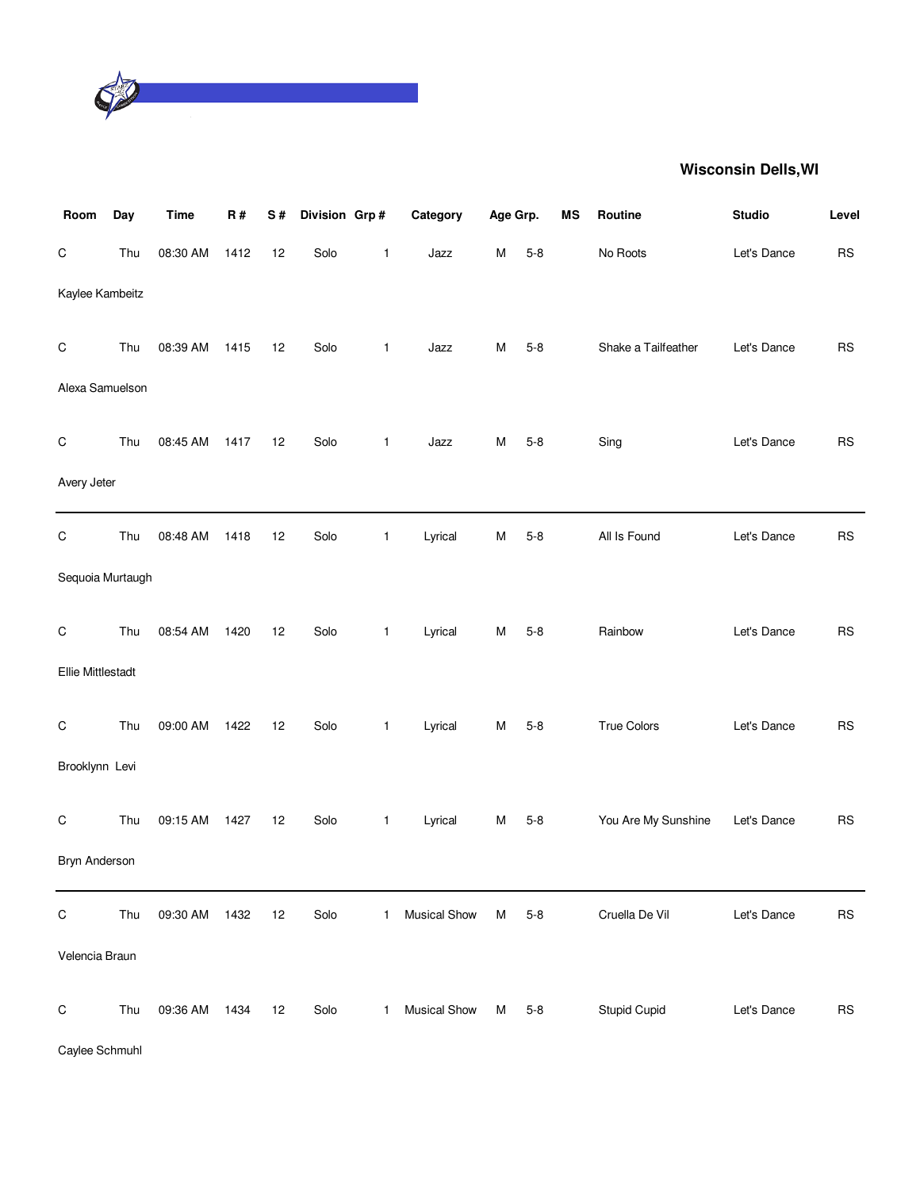

| Room                     | Day | <b>Time</b> | R#   | S# | Division Grp# |              | Category            | Age Grp. |         | <b>MS</b> | Routine             | <b>Studio</b> | Level      |
|--------------------------|-----|-------------|------|----|---------------|--------------|---------------------|----------|---------|-----------|---------------------|---------------|------------|
| $\mathsf C$              | Thu | 08:30 AM    | 1412 | 12 | Solo          | 1            | Jazz                | Μ        | $5-8$   |           | No Roots            | Let's Dance   | ${\sf RS}$ |
| Kaylee Kambeitz          |     |             |      |    |               |              |                     |          |         |           |                     |               |            |
| C                        | Thu | 08:39 AM    | 1415 | 12 | Solo          | 1            | Jazz                | M        | $5 - 8$ |           | Shake a Tailfeather | Let's Dance   | RS         |
| Alexa Samuelson          |     |             |      |    |               |              |                     |          |         |           |                     |               |            |
| С                        | Thu | 08:45 AM    | 1417 | 12 | Solo          | $\mathbf{1}$ | Jazz                | М        | $5-8$   |           | Sing                | Let's Dance   | ${\sf RS}$ |
| Avery Jeter              |     |             |      |    |               |              |                     |          |         |           |                     |               |            |
| $\mathsf C$              | Thu | 08:48 AM    | 1418 | 12 | Solo          | $\mathbf{1}$ | Lyrical             | M        | $5 - 8$ |           | All Is Found        | Let's Dance   | RS         |
| Sequoia Murtaugh         |     |             |      |    |               |              |                     |          |         |           |                     |               |            |
| C                        | Thu | 08:54 AM    | 1420 | 12 | Solo          | 1            | Lyrical             | M        | $5-8$   |           | Rainbow             | Let's Dance   | ${\sf RS}$ |
| <b>Ellie Mittlestadt</b> |     |             |      |    |               |              |                     |          |         |           |                     |               |            |
| C                        | Thu | 09:00 AM    | 1422 | 12 | Solo          | $\mathbf{1}$ | Lyrical             | M        | $5 - 8$ |           | <b>True Colors</b>  | Let's Dance   | RS         |
| Brooklynn Levi           |     |             |      |    |               |              |                     |          |         |           |                     |               |            |
| С                        | Thu | 09:15 AM    | 1427 | 12 | Solo          | 1            | Lyrical             | M        | $5 - 8$ |           | You Are My Sunshine | Let's Dance   | ${\sf RS}$ |
| Bryn Anderson            |     |             |      |    |               |              |                     |          |         |           |                     |               |            |
| C                        | Thu | 09:30 AM    | 1432 | 12 | Solo          | 1.           | <b>Musical Show</b> | М        | $5 - 8$ |           | Cruella De Vil      | Let's Dance   | <b>RS</b>  |
| Velencia Braun           |     |             |      |    |               |              |                     |          |         |           |                     |               |            |
| C                        | Thu | 09:36 AM    | 1434 | 12 | Solo          | $\mathbf{1}$ | <b>Musical Show</b> | M        | $5 - 8$ |           | <b>Stupid Cupid</b> | Let's Dance   | RS         |

Caylee Schmuhl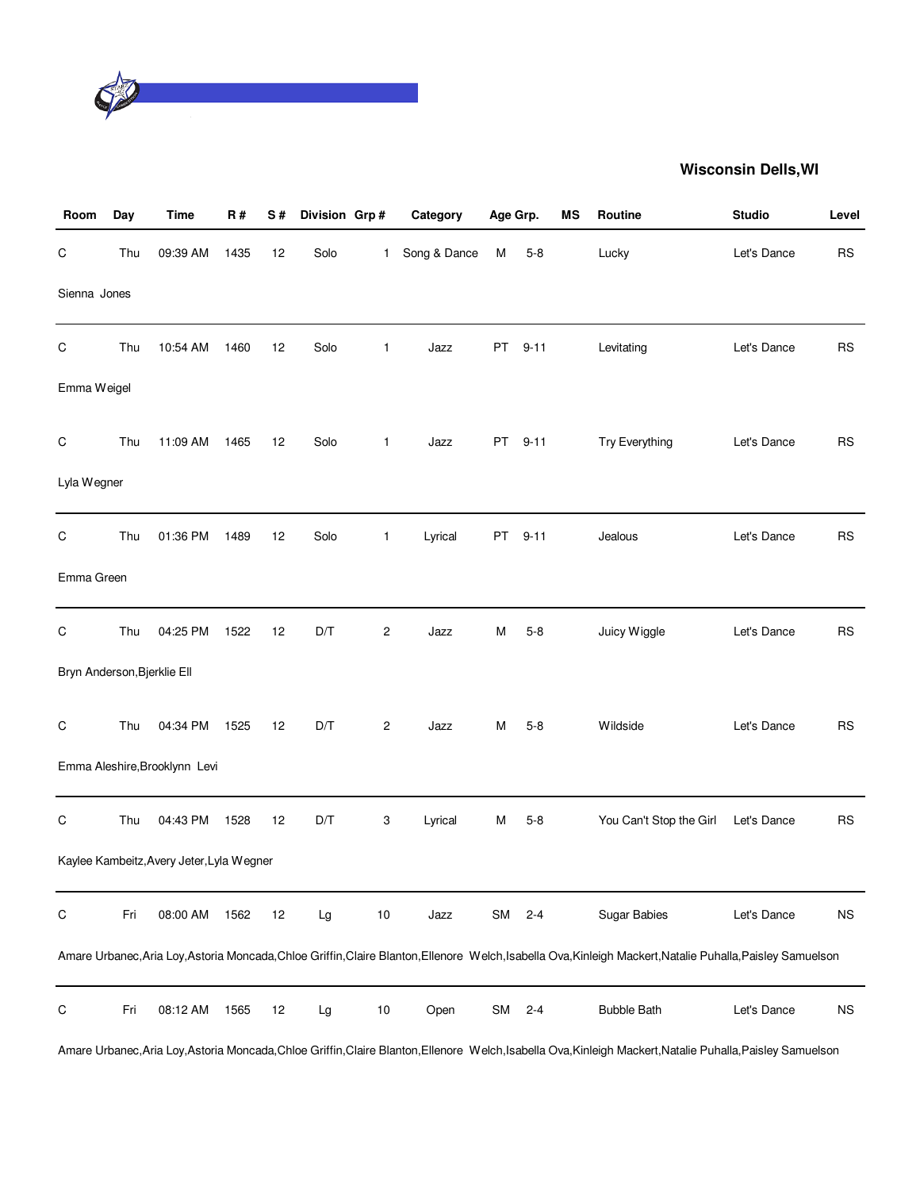

| Room                        | Day | <b>Time</b>                               | R#   | S# | Division Grp# |                | Category     | Age Grp.  |         | <b>MS</b> | Routine                                                                                                                                                     | <b>Studio</b> | Level     |
|-----------------------------|-----|-------------------------------------------|------|----|---------------|----------------|--------------|-----------|---------|-----------|-------------------------------------------------------------------------------------------------------------------------------------------------------------|---------------|-----------|
| $\mathsf C$                 | Thu | 09:39 AM                                  | 1435 | 12 | Solo          | $\mathbf{1}$   | Song & Dance | M         | $5 - 8$ |           | Lucky                                                                                                                                                       | Let's Dance   | <b>RS</b> |
| Sienna Jones                |     |                                           |      |    |               |                |              |           |         |           |                                                                                                                                                             |               |           |
| $\mathsf C$                 | Thu | 10:54 AM                                  | 1460 | 12 | Solo          | 1              | Jazz         |           | PT 9-11 |           | Levitating                                                                                                                                                  | Let's Dance   | <b>RS</b> |
| Emma Weigel                 |     |                                           |      |    |               |                |              |           |         |           |                                                                                                                                                             |               |           |
| $\mathsf C$                 | Thu | 11:09 AM                                  | 1465 | 12 | Solo          | $\mathbf{1}$   | Jazz         |           | PT 9-11 |           | Try Everything                                                                                                                                              | Let's Dance   | <b>RS</b> |
| Lyla Wegner                 |     |                                           |      |    |               |                |              |           |         |           |                                                                                                                                                             |               |           |
| $\mathsf C$                 | Thu | 01:36 PM                                  | 1489 | 12 | Solo          | 1              | Lyrical      |           | PT 9-11 |           | Jealous                                                                                                                                                     | Let's Dance   | <b>RS</b> |
| Emma Green                  |     |                                           |      |    |               |                |              |           |         |           |                                                                                                                                                             |               |           |
| С                           | Thu | 04:25 PM                                  | 1522 | 12 | D/T           | $\overline{c}$ | Jazz         | M         | $5 - 8$ |           | Juicy Wiggle                                                                                                                                                | Let's Dance   | <b>RS</b> |
| Bryn Anderson, Bjerklie Ell |     |                                           |      |    |               |                |              |           |         |           |                                                                                                                                                             |               |           |
| $\mathsf C$                 | Thu | 04:34 PM                                  | 1525 | 12 | D/T           | $\overline{c}$ | Jazz         | м         | $5 - 8$ |           | Wildside                                                                                                                                                    | Let's Dance   | <b>RS</b> |
|                             |     | Emma Aleshire, Brooklynn Levi             |      |    |               |                |              |           |         |           |                                                                                                                                                             |               |           |
| C                           | Thu | 04:43 PM                                  | 1528 | 12 | D/T           | 3              | Lyrical      | М         | $5 - 8$ |           | You Can't Stop the Girl                                                                                                                                     | Let's Dance   | <b>RS</b> |
|                             |     | Kaylee Kambeitz, Avery Jeter, Lyla Wegner |      |    |               |                |              |           |         |           |                                                                                                                                                             |               |           |
| $\mathsf C$                 | Fri | 08:00 AM                                  | 1562 | 12 | Lg            | $10$           | Jazz         | SM        | $2 - 4$ |           | Sugar Babies                                                                                                                                                | Let's Dance   | <b>NS</b> |
|                             |     |                                           |      |    |               |                |              |           |         |           | Amare Urbanec, Aria Loy, Astoria Moncada, Chloe Griffin, Claire Blanton, Ellenore Welch, Isabella Ova, Kinleigh Mackert, Natalie Puhalla, Paisley Samuelson |               |           |
| C                           | Fri | 08:12 AM                                  | 1565 | 12 | Lg            | $10$           | Open         | <b>SM</b> | $2 - 4$ |           | <b>Bubble Bath</b>                                                                                                                                          | Let's Dance   | <b>NS</b> |

Amare Urbanec,Aria Loy,Astoria Moncada,Chloe Griffin,Claire Blanton,Ellenore Welch,Isabella Ova,Kinleigh Mackert,Natalie Puhalla,Paisley Samuelson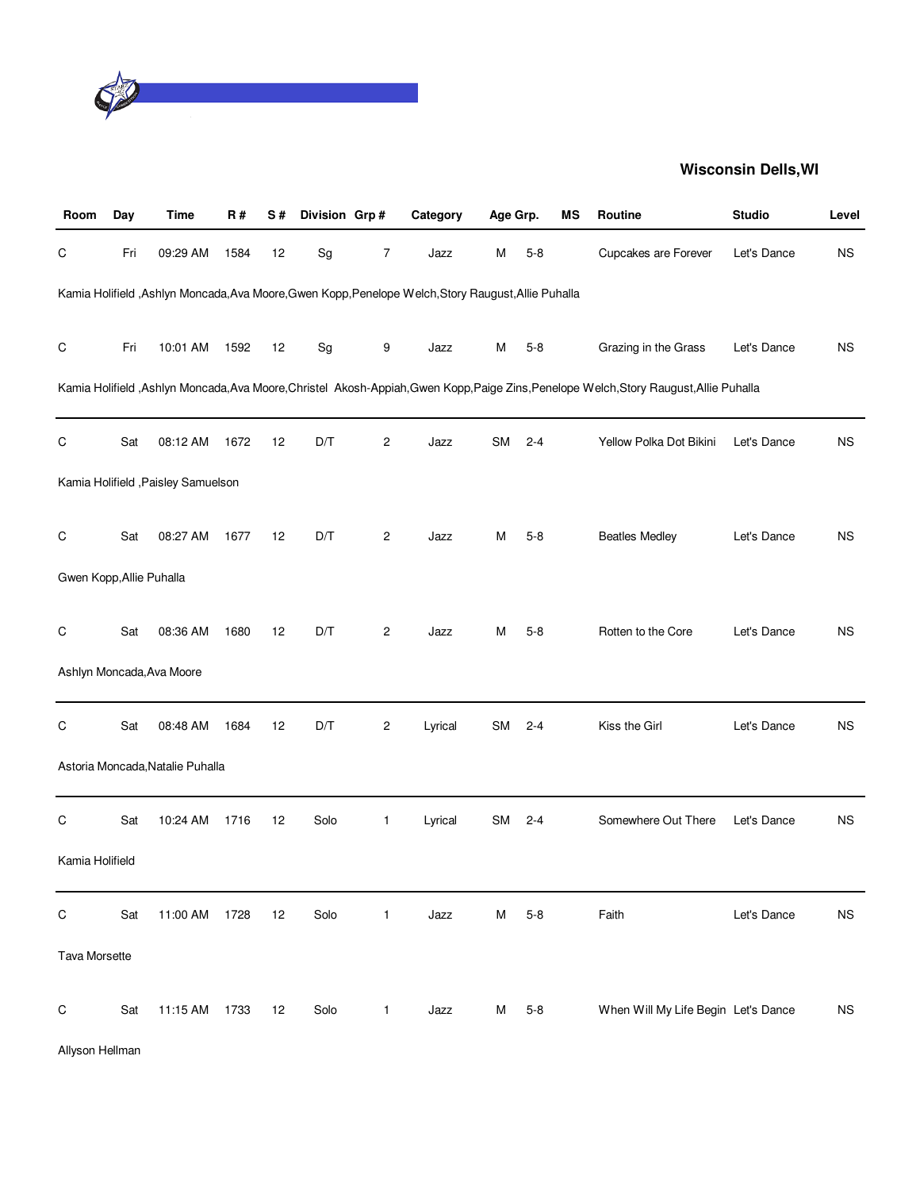

| Room                     | Day | <b>Time</b>                         | <b>R#</b> | S# | Division Grp# |                | Category                                                                                             | Age Grp.  |         | МS | Routine                                                                                                                         | <b>Studio</b> | Level     |
|--------------------------|-----|-------------------------------------|-----------|----|---------------|----------------|------------------------------------------------------------------------------------------------------|-----------|---------|----|---------------------------------------------------------------------------------------------------------------------------------|---------------|-----------|
| C                        | Fri | 09:29 AM                            | 1584      | 12 | Sg            | 7              | Jazz                                                                                                 | M         | $5 - 8$ |    | Cupcakes are Forever                                                                                                            | Let's Dance   | NS.       |
|                          |     |                                     |           |    |               |                | Kamia Holifield , Ashlyn Moncada, Ava Moore, Gwen Kopp, Penelope Welch, Story Raugust, Allie Puhalla |           |         |    |                                                                                                                                 |               |           |
| C                        | Fri | 10:01 AM                            | 1592      | 12 | Sg            | 9              | Jazz                                                                                                 | M         | $5 - 8$ |    | Grazing in the Grass                                                                                                            | Let's Dance   | NS.       |
|                          |     |                                     |           |    |               |                |                                                                                                      |           |         |    | Kamia Holifield ,Ashlyn Moncada,Ava Moore,Christel Akosh-Appiah,Gwen Kopp,Paige Zins,Penelope Welch,Story Raugust,Allie Puhalla |               |           |
| C                        | Sat | 08:12 AM                            | 1672      | 12 | D/T           | $\overline{c}$ | Jazz                                                                                                 | <b>SM</b> | $2 - 4$ |    | Yellow Polka Dot Bikini                                                                                                         | Let's Dance   | <b>NS</b> |
|                          |     | Kamia Holifield , Paisley Samuelson |           |    |               |                |                                                                                                      |           |         |    |                                                                                                                                 |               |           |
| C                        | Sat | 08:27 AM                            | 1677      | 12 | D/T           | $\overline{c}$ | Jazz                                                                                                 | м         | $5-8$   |    | <b>Beatles Medley</b>                                                                                                           | Let's Dance   | NS.       |
| Gwen Kopp, Allie Puhalla |     |                                     |           |    |               |                |                                                                                                      |           |         |    |                                                                                                                                 |               |           |
| C                        | Sat | 08:36 AM                            | 1680      | 12 | D/T           | 2              | Jazz                                                                                                 | м         | $5-8$   |    | Rotten to the Core                                                                                                              | Let's Dance   | NS.       |
|                          |     | Ashlyn Moncada, Ava Moore           |           |    |               |                |                                                                                                      |           |         |    |                                                                                                                                 |               |           |
| $\mathsf C$              | Sat | 08:48 AM                            | 1684      | 12 | D/T           | 2              | Lyrical                                                                                              | <b>SM</b> | $2 - 4$ |    | Kiss the Girl                                                                                                                   | Let's Dance   | NS.       |
|                          |     | Astoria Moncada, Natalie Puhalla    |           |    |               |                |                                                                                                      |           |         |    |                                                                                                                                 |               |           |
| C                        | Sat | 10:24 AM                            | 1716      | 12 | Solo          | 1              | Lyrical                                                                                              | <b>SM</b> | $2 - 4$ |    | Somewhere Out There                                                                                                             | Let's Dance   | NS.       |
| Kamia Holifield          |     |                                     |           |    |               |                |                                                                                                      |           |         |    |                                                                                                                                 |               |           |
| $\mathsf C$              | Sat | 11:00 AM                            | 1728      | 12 | Solo          | 1              | Jazz                                                                                                 | M         | $5 - 8$ |    | Faith                                                                                                                           | Let's Dance   | <b>NS</b> |
| <b>Tava Morsette</b>     |     |                                     |           |    |               |                |                                                                                                      |           |         |    |                                                                                                                                 |               |           |
| $\mathsf C$              | Sat | 11:15 AM                            | 1733      | 12 | Solo          | 1              | Jazz                                                                                                 | M         | $5 - 8$ |    | When Will My Life Begin Let's Dance                                                                                             |               | <b>NS</b> |

Allyson Hellman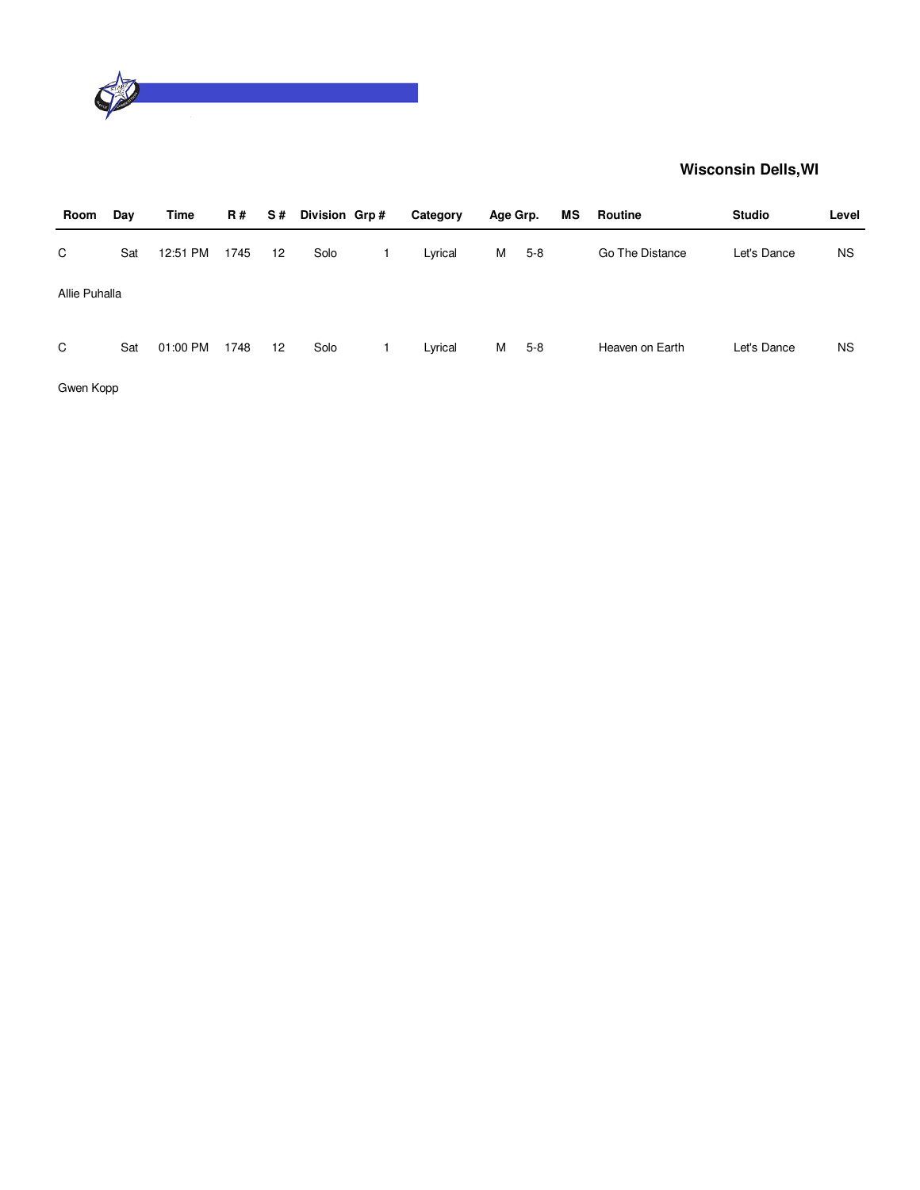

| Room          | Day | Time     | <b>R#</b> | S# | Division Grp# | Category | Age Grp. |       | MS | Routine         | <b>Studio</b> | Level |
|---------------|-----|----------|-----------|----|---------------|----------|----------|-------|----|-----------------|---------------|-------|
| C             | Sat | 12:51 PM | 1745      | 12 | Solo          | Lyrical  | М        | $5-8$ |    | Go The Distance | Let's Dance   | NS.   |
| Allie Puhalla |     |          |           |    |               |          |          |       |    |                 |               |       |
| C             | Sat | 01:00 PM | 1748      | 12 | Solo          | Lyrical  | М        | $5-8$ |    | Heaven on Earth | Let's Dance   | NS.   |

Gwen Kopp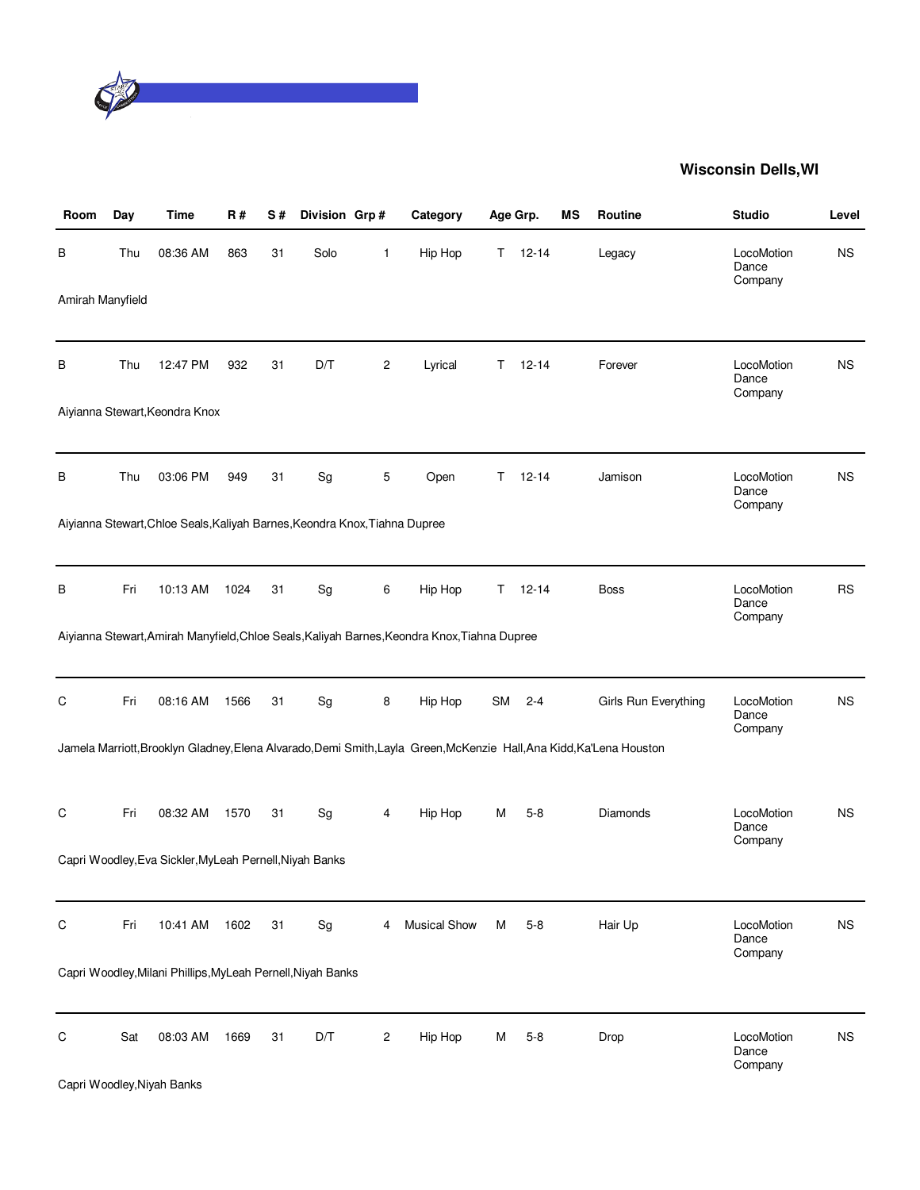

| Room             | Day | <b>Time</b>                                                                | R#   | <b>S#</b> | Division Grp# |            | Category                                                                                                             | Age Grp.  |           | МS | Routine              | <b>Studio</b>                  | Level     |
|------------------|-----|----------------------------------------------------------------------------|------|-----------|---------------|------------|----------------------------------------------------------------------------------------------------------------------|-----------|-----------|----|----------------------|--------------------------------|-----------|
| В                | Thu | 08:36 AM                                                                   | 863  | 31        | Solo          | 1          | Hip Hop                                                                                                              | Τ         | $12 - 14$ |    | Legacy               | LocoMotion<br>Dance<br>Company | <b>NS</b> |
| Amirah Manyfield |     |                                                                            |      |           |               |            |                                                                                                                      |           |           |    |                      |                                |           |
| В                | Thu | 12:47 PM                                                                   | 932  | 31        | D/T           | 2          | Lyrical                                                                                                              | Τ         | $12 - 14$ |    | Forever              | LocoMotion<br>Dance<br>Company | <b>NS</b> |
|                  |     | Aiyianna Stewart, Keondra Knox                                             |      |           |               |            |                                                                                                                      |           |           |    |                      |                                |           |
| в                | Thu | 03:06 PM                                                                   | 949  | 31        | Sg            | 5          | Open                                                                                                                 | T.        | $12 - 14$ |    | Jamison              | LocoMotion<br>Dance<br>Company | <b>NS</b> |
|                  |     | Aiyianna Stewart, Chloe Seals, Kaliyah Barnes, Keondra Knox, Tiahna Dupree |      |           |               |            |                                                                                                                      |           |           |    |                      |                                |           |
| B                | Fri | 10:13 AM                                                                   | 1024 | 31        | Sg            | 6          | Hip Hop                                                                                                              | T.        | $12 - 14$ |    | Boss                 | LocoMotion<br>Dance<br>Company | <b>RS</b> |
|                  |     |                                                                            |      |           |               |            | Aiyianna Stewart, Amirah Manyfield, Chloe Seals, Kaliyah Barnes, Keondra Knox, Tiahna Dupree                         |           |           |    |                      |                                |           |
| C                | Fri | 08:16 AM                                                                   | 1566 | 31        | Sg            | 8          | Hip Hop                                                                                                              | <b>SM</b> | $2 - 4$   |    | Girls Run Everything | LocoMotion<br>Dance<br>Company | <b>NS</b> |
|                  |     |                                                                            |      |           |               |            | Jamela Marriott, Brooklyn Gladney, Elena Alvarado, Demi Smith, Layla Green, McKenzie Hall, Ana Kidd, Ka'Lena Houston |           |           |    |                      |                                |           |
| С                | Fri | 08:32 AM                                                                   | 1570 | 31        | Sg            | 4          | Hip Hop                                                                                                              | М         | $5-8$     |    | <b>Diamonds</b>      | LocoMotion<br>Dance<br>Company | <b>NS</b> |
|                  |     | Capri Woodley, Eva Sickler, MyLeah Pernell, Niyah Banks                    |      |           |               |            |                                                                                                                      |           |           |    |                      |                                |           |
| C                | Fri | 10:41 AM                                                                   | 1602 | 31        | Sg            | 4          | <b>Musical Show</b>                                                                                                  | M         | $5-8$     |    | Hair Up              | LocoMotion<br>Dance<br>Company | <b>NS</b> |
|                  |     | Capri Woodley, Milani Phillips, MyLeah Pernell, Niyah Banks                |      |           |               |            |                                                                                                                      |           |           |    |                      |                                |           |
| С                | Sat | 08:03 AM<br>Capri Woodley, Niyah Banks                                     | 1669 | 31        | D/T           | $\sqrt{2}$ | Hip Hop                                                                                                              | м         | $5 - 8$   |    | Drop                 | LocoMotion<br>Dance<br>Company | <b>NS</b> |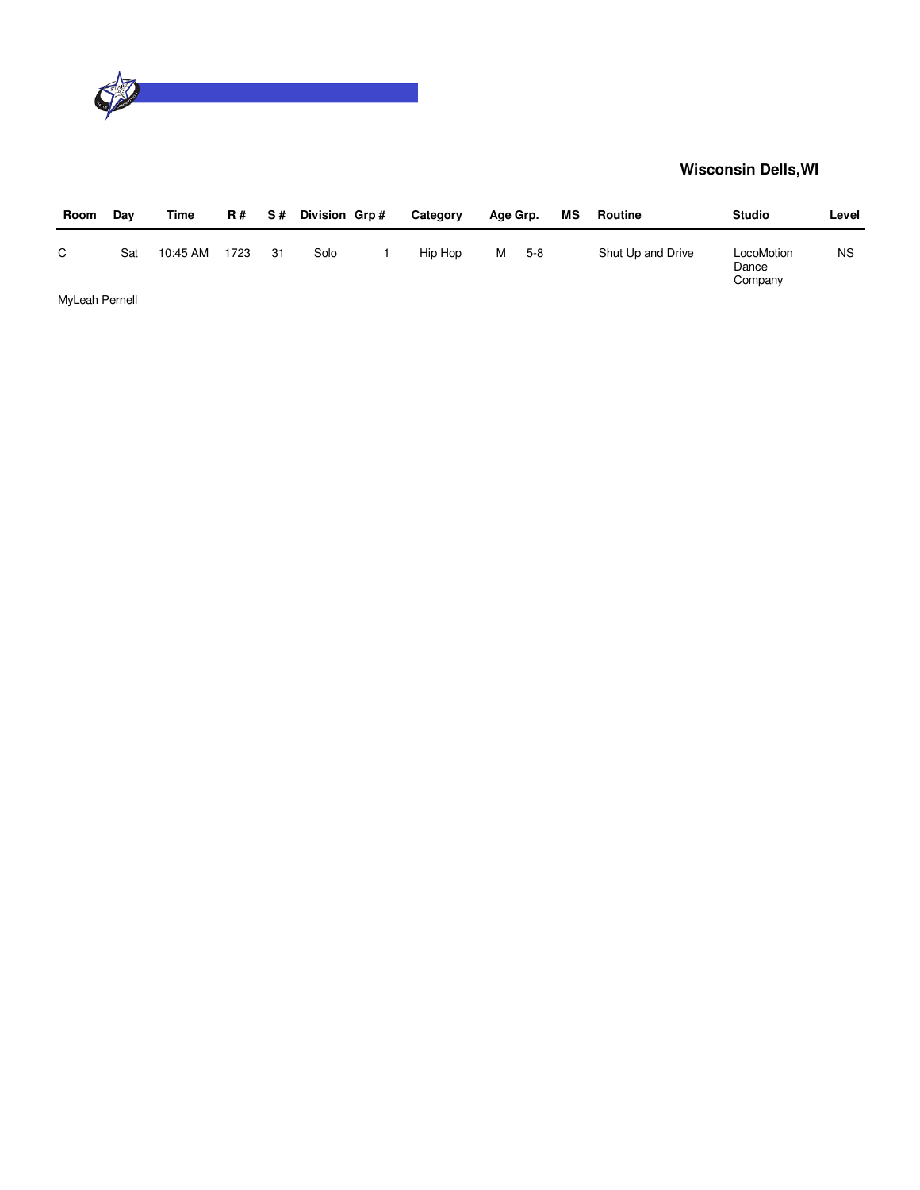

| Room           | Dav | Time     | R#   | <b>S#</b> | Division Grp# | Category | Age Grp. |       | МS | Routine           | <b>Studio</b>                  | Level     |
|----------------|-----|----------|------|-----------|---------------|----------|----------|-------|----|-------------------|--------------------------------|-----------|
| C              | Sat | 10:45 AM | 1723 | -31       | Solo          | Hip Hop  | м        | $5-8$ |    | Shut Up and Drive | LocoMotion<br>Dance<br>Company | <b>NS</b> |
| MyLeah Pernell |     |          |      |           |               |          |          |       |    |                   |                                |           |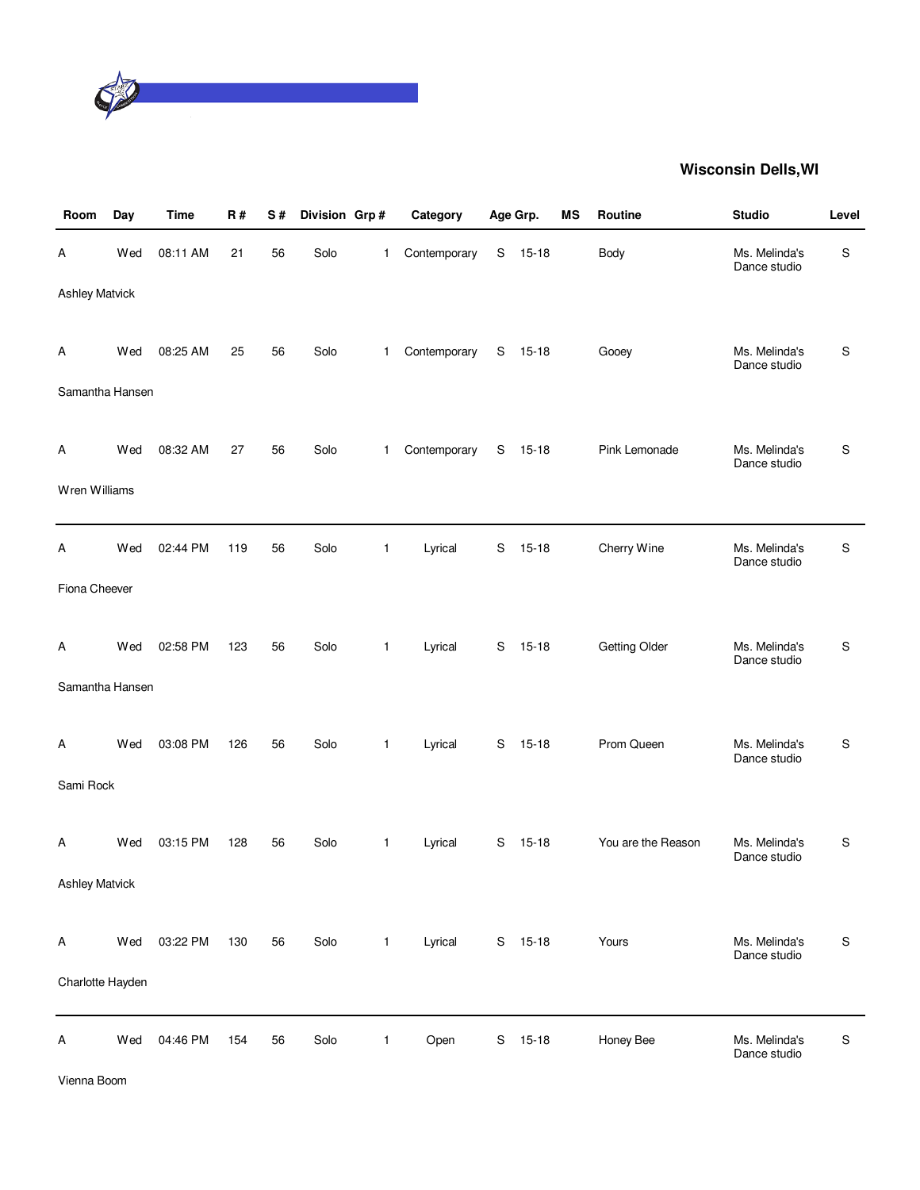

| Room                  | Day | <b>Time</b> | R#  | S# | Division Grp# |              | Category     |   | Age Grp.  | ΜS | Routine              | <b>Studio</b>                 | Level         |
|-----------------------|-----|-------------|-----|----|---------------|--------------|--------------|---|-----------|----|----------------------|-------------------------------|---------------|
| Α                     | Wed | 08:11 AM    | 21  | 56 | Solo          | 1            | Contemporary | S | $15 - 18$ |    | Body                 | Ms. Melinda's<br>Dance studio | S             |
| <b>Ashley Matvick</b> |     |             |     |    |               |              |              |   |           |    |                      |                               |               |
| A                     | Wed | 08:25 AM    | 25  | 56 | Solo          | 1            | Contemporary | S | 15-18     |    | Gooey                | Ms. Melinda's<br>Dance studio | S             |
| Samantha Hansen       |     |             |     |    |               |              |              |   |           |    |                      |                               |               |
| A                     | Wed | 08:32 AM    | 27  | 56 | Solo          | $\mathbf{1}$ | Contemporary | S | $15 - 18$ |    | Pink Lemonade        | Ms. Melinda's<br>Dance studio | S             |
| Wren Williams         |     |             |     |    |               |              |              |   |           |    |                      |                               |               |
| Α                     | Wed | 02:44 PM    | 119 | 56 | Solo          | 1            | Lyrical      | S | $15 - 18$ |    | Cherry Wine          | Ms. Melinda's<br>Dance studio | S             |
| Fiona Cheever         |     |             |     |    |               |              |              |   |           |    |                      |                               |               |
| A                     | Wed | 02:58 PM    | 123 | 56 | Solo          | 1            | Lyrical      | S | $15 - 18$ |    | <b>Getting Older</b> | Ms. Melinda's<br>Dance studio | S             |
| Samantha Hansen       |     |             |     |    |               |              |              |   |           |    |                      |                               |               |
| A                     | Wed | 03:08 PM    | 126 | 56 | Solo          | 1            | Lyrical      | S | $15 - 18$ |    | Prom Queen           | Ms. Melinda's<br>Dance studio | S             |
| Sami Rock             |     |             |     |    |               |              |              |   |           |    |                      |                               |               |
| A                     | Wed | 03:15 PM    | 128 | 56 | Solo          | 1            | Lyrical      | S | $15 - 18$ |    | You are the Reason   | Ms. Melinda's<br>Dance studio | S             |
| <b>Ashley Matvick</b> |     |             |     |    |               |              |              |   |           |    |                      |                               |               |
| A                     | Wed | 03:22 PM    | 130 | 56 | Solo          | 1            | Lyrical      |   | S 15-18   |    | Yours                | Ms. Melinda's<br>Dance studio | S             |
| Charlotte Hayden      |     |             |     |    |               |              |              |   |           |    |                      |                               |               |
| Α                     | Wed | 04:46 PM    | 154 | 56 | Solo          | 1            | Open         | S | $15 - 18$ |    | Honey Bee            | Ms. Melinda's<br>Dance studio | ${\mathsf S}$ |

Vienna Boom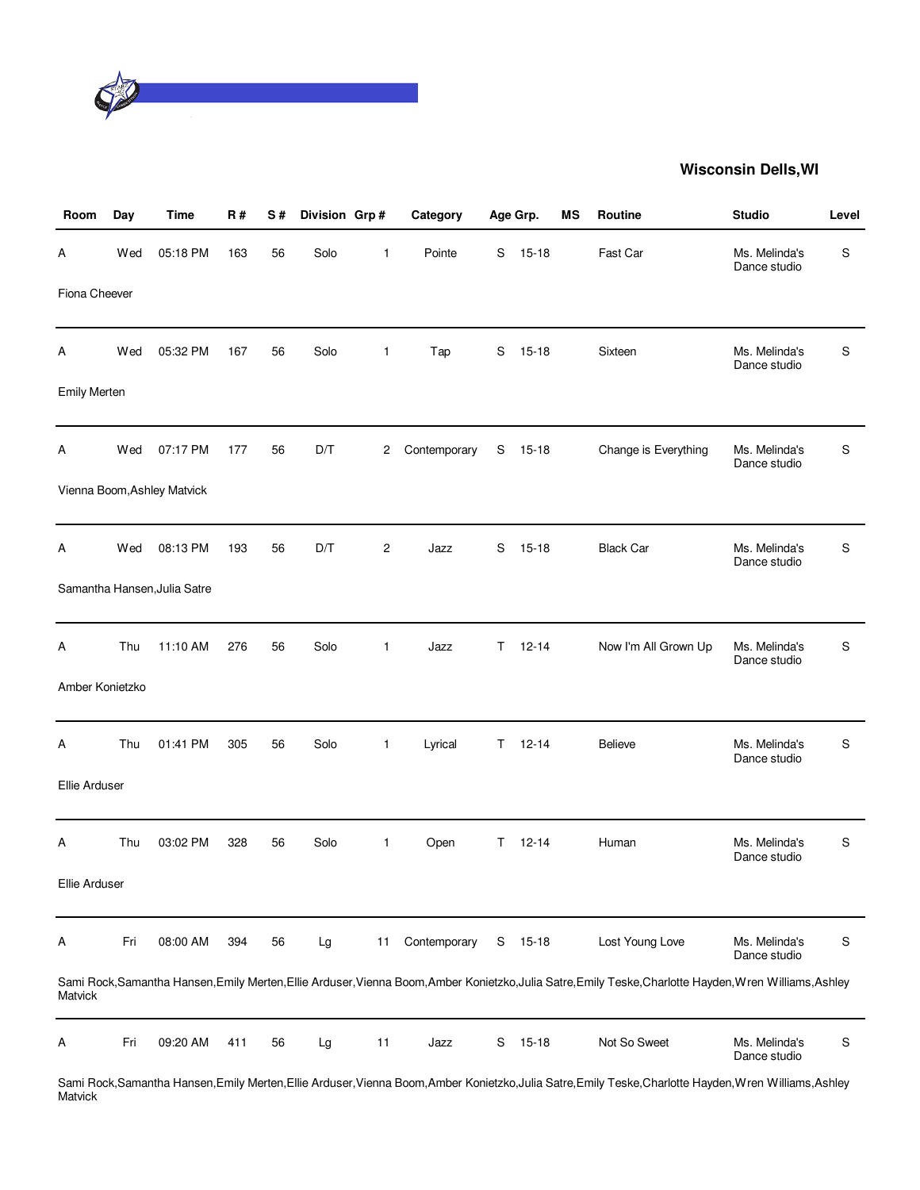

| Room                | Day | <b>Time</b>                  | R#  | S# | Division Grp# |              | Category     |    | Age Grp.  | MS | Routine                                                                                                                                                  | <b>Studio</b>                 | Level |
|---------------------|-----|------------------------------|-----|----|---------------|--------------|--------------|----|-----------|----|----------------------------------------------------------------------------------------------------------------------------------------------------------|-------------------------------|-------|
| А                   | Wed | 05:18 PM                     | 163 | 56 | Solo          | 1            | Pointe       | S  | $15 - 18$ |    | Fast Car                                                                                                                                                 | Ms. Melinda's<br>Dance studio | S     |
| Fiona Cheever       |     |                              |     |    |               |              |              |    |           |    |                                                                                                                                                          |                               |       |
| Α                   | Wed | 05:32 PM                     | 167 | 56 | Solo          | $\mathbf{1}$ | Tap          | S  | $15 - 18$ |    | Sixteen                                                                                                                                                  | Ms. Melinda's<br>Dance studio | S     |
| <b>Emily Merten</b> |     |                              |     |    |               |              |              |    |           |    |                                                                                                                                                          |                               |       |
| Α                   | Wed | 07:17 PM                     | 177 | 56 | D/T           | 2            | Contemporary | S  | $15 - 18$ |    | Change is Everything                                                                                                                                     | Ms. Melinda's<br>Dance studio | S     |
|                     |     | Vienna Boom, Ashley Matvick  |     |    |               |              |              |    |           |    |                                                                                                                                                          |                               |       |
| Α                   | Wed | 08:13 PM                     | 193 | 56 | D/T           | 2            | Jazz         | S  | $15 - 18$ |    | <b>Black Car</b>                                                                                                                                         | Ms. Melinda's<br>Dance studio | S     |
|                     |     | Samantha Hansen, Julia Satre |     |    |               |              |              |    |           |    |                                                                                                                                                          |                               |       |
| А                   | Thu | 11:10 AM                     | 276 | 56 | Solo          | $\mathbf{1}$ | Jazz         | T. | $12 - 14$ |    | Now I'm All Grown Up                                                                                                                                     | Ms. Melinda's<br>Dance studio | S     |
| Amber Konietzko     |     |                              |     |    |               |              |              |    |           |    |                                                                                                                                                          |                               |       |
| А                   | Thu | 01:41 PM                     | 305 | 56 | Solo          | $\mathbf{1}$ | Lyrical      | T. | $12 - 14$ |    | <b>Believe</b>                                                                                                                                           | Ms. Melinda's<br>Dance studio | S     |
| Ellie Arduser       |     |                              |     |    |               |              |              |    |           |    |                                                                                                                                                          |                               |       |
| Α                   | Thu | 03:02 PM                     | 328 | 56 | Solo          | $\mathbf{1}$ | Open         | T. | $12 - 14$ |    | Human                                                                                                                                                    | Ms. Melinda's<br>Dance studio | S     |
| Ellie Arduser       |     |                              |     |    |               |              |              |    |           |    |                                                                                                                                                          |                               |       |
| Α                   | Fri | 08:00 AM                     | 394 | 56 | Lg            | 11           | Contemporary | S  | $15 - 18$ |    | Lost Young Love                                                                                                                                          | Ms. Melinda's<br>Dance studio | S     |
| Matvick             |     |                              |     |    |               |              |              |    |           |    | Sami Rock, Samantha Hansen, Emily Merten, Ellie Arduser, Vienna Boom, Amber Konietzko, Julia Satre, Emily Teske, Charlotte Hayden, Wren Williams, Ashley |                               |       |
| Α                   | Fri | 09:20 AM                     | 411 | 56 | Lg            | 11           | Jazz         | S  | $15 - 18$ |    | Not So Sweet                                                                                                                                             | Ms. Melinda's<br>Dance studio | S     |
|                     |     |                              |     |    |               |              |              |    |           |    | Sami Rook Samantha Hanson Emily Morton Ellio Ardusor Vionna Room Ambor Konigtzko, Julia Satro Emily Tosko Charlotto Haydon Wron Williams, Ashloy         |                               |       |

Sami Rock,Samantha Hansen,Emily Merten,Ellie Arduser,Vienna Boom,Amber Konietzko,Julia Satre,Emily Teske,Charlotte Hayden,Wren Williams,Ashley Matvick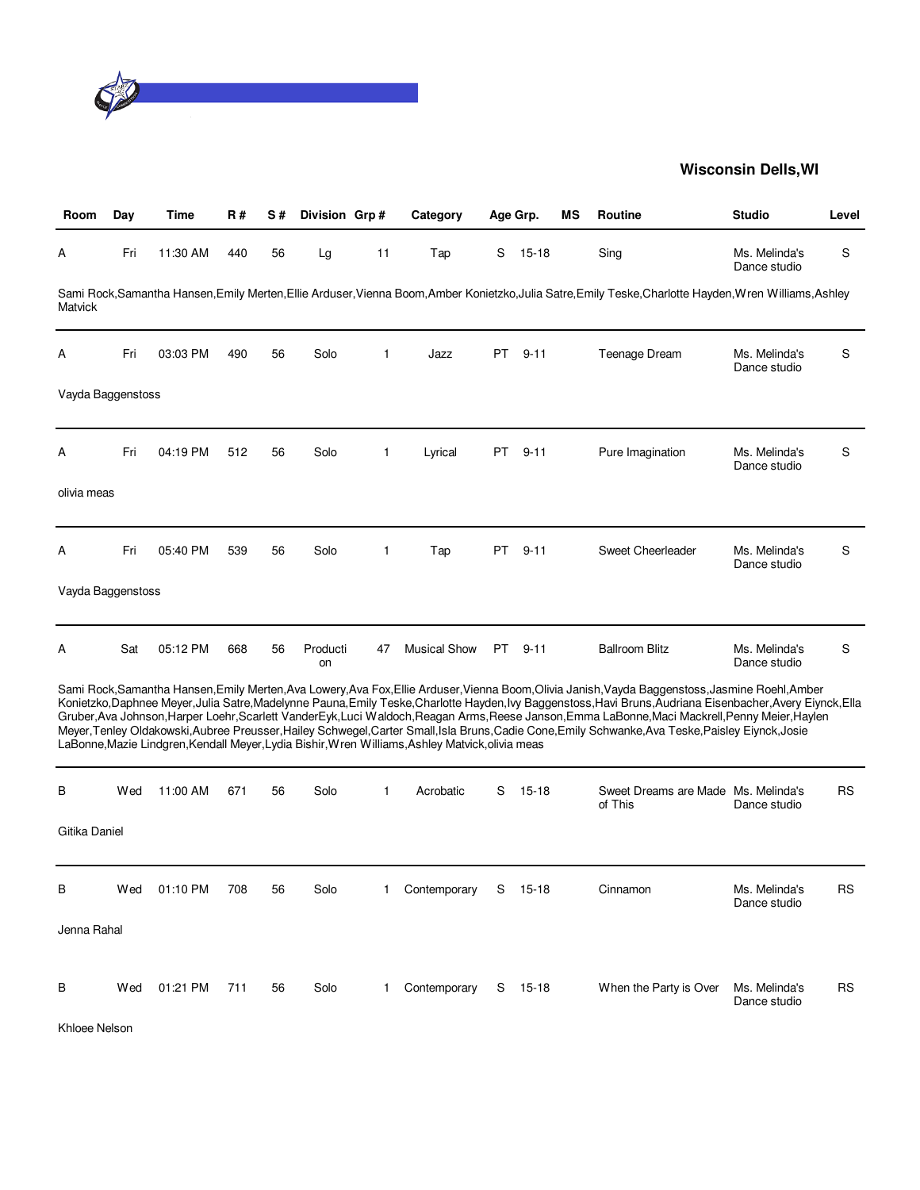

| Room              | Day | Time     | R#  | S# | Division Grp#  |              | Category                                                                                         |     | Age Grp.  | ΜS | <b>Routine</b>                                                                                                                                                                                                                                                                                                                                                                                                                                                                                                                                                                                                              | <b>Studio</b>                 | Level     |
|-------------------|-----|----------|-----|----|----------------|--------------|--------------------------------------------------------------------------------------------------|-----|-----------|----|-----------------------------------------------------------------------------------------------------------------------------------------------------------------------------------------------------------------------------------------------------------------------------------------------------------------------------------------------------------------------------------------------------------------------------------------------------------------------------------------------------------------------------------------------------------------------------------------------------------------------------|-------------------------------|-----------|
| Α                 | Fri | 11:30 AM | 440 | 56 | Lg             | 11           | Tap                                                                                              | S   | $15 - 18$ |    | Sing                                                                                                                                                                                                                                                                                                                                                                                                                                                                                                                                                                                                                        | Ms. Melinda's<br>Dance studio | S         |
| Matvick           |     |          |     |    |                |              |                                                                                                  |     |           |    | Sami Rock, Samantha Hansen, Emily Merten, Ellie Arduser, Vienna Boom, Amber Konietzko, Julia Satre, Emily Teske, Charlotte Hayden, Wren Williams, Ashley                                                                                                                                                                                                                                                                                                                                                                                                                                                                    |                               |           |
| Α                 | Fri | 03:03 PM | 490 | 56 | Solo           | $\mathbf{1}$ | Jazz                                                                                             | PT. | $9 - 11$  |    | Teenage Dream                                                                                                                                                                                                                                                                                                                                                                                                                                                                                                                                                                                                               | Ms. Melinda's<br>Dance studio | S         |
| Vayda Baggenstoss |     |          |     |    |                |              |                                                                                                  |     |           |    |                                                                                                                                                                                                                                                                                                                                                                                                                                                                                                                                                                                                                             |                               |           |
| A                 | Fri | 04:19 PM | 512 | 56 | Solo           | 1            | Lyrical                                                                                          | PT  | $9 - 11$  |    | Pure Imagination                                                                                                                                                                                                                                                                                                                                                                                                                                                                                                                                                                                                            | Ms. Melinda's<br>Dance studio | S         |
| olivia meas       |     |          |     |    |                |              |                                                                                                  |     |           |    |                                                                                                                                                                                                                                                                                                                                                                                                                                                                                                                                                                                                                             |                               |           |
| Α                 | Fri | 05:40 PM | 539 | 56 | Solo           | $\mathbf{1}$ | Tap                                                                                              | PT  | $9 - 11$  |    | Sweet Cheerleader                                                                                                                                                                                                                                                                                                                                                                                                                                                                                                                                                                                                           | Ms. Melinda's<br>Dance studio | S         |
| Vayda Baggenstoss |     |          |     |    |                |              |                                                                                                  |     |           |    |                                                                                                                                                                                                                                                                                                                                                                                                                                                                                                                                                                                                                             |                               |           |
| Α                 | Sat | 05:12 PM | 668 | 56 | Producti<br>on | 47           | <b>Musical Show</b>                                                                              |     | PT 9-11   |    | <b>Ballroom Blitz</b>                                                                                                                                                                                                                                                                                                                                                                                                                                                                                                                                                                                                       | Ms. Melinda's<br>Dance studio | S         |
|                   |     |          |     |    |                |              | LaBonne, Mazie Lindgren, Kendall Meyer, Lydia Bishir, Wren Williams, Ashley Matvick, olivia meas |     |           |    | Sami Rock, Samantha Hansen, Emily Merten, Ava Lowery, Ava Fox, Ellie Arduser, Vienna Boom, Olivia Janish, Vayda Baggenstoss, Jasmine Roehl, Amber<br>Konietzko, Daphnee Meyer, Julia Satre, Madelynne Pauna, Emily Teske, Charlotte Hayden, Ivy Baggenstoss, Havi Bruns, Audriana Eisenbacher, Avery Eiynck, Ella<br>Gruber, Ava Johnson, Harper Loehr, Scarlett VanderEyk, Luci Waldoch, Reagan Arms, Reese Janson, Emma LaBonne, Maci Mackrell, Penny Meier, Haylen<br>Meyer, Tenley Oldakowski, Aubree Preusser, Hailey Schwegel, Carter Small, Isla Bruns, Cadie Cone, Emily Schwanke, Ava Teske, Paisley Eiynck, Josie |                               |           |
| B                 | Wed | 11:00 AM | 671 | 56 | Solo           | $\mathbf 1$  | Acrobatic                                                                                        | S   | $15 - 18$ |    | Sweet Dreams are Made Ms. Melinda's<br>of This                                                                                                                                                                                                                                                                                                                                                                                                                                                                                                                                                                              | Dance studio                  | <b>RS</b> |
| Gitika Daniel     |     |          |     |    |                |              |                                                                                                  |     |           |    |                                                                                                                                                                                                                                                                                                                                                                                                                                                                                                                                                                                                                             |                               |           |
| В                 | Wed | 01:10 PM | 708 | 56 | Solo           | 1            | Contemporary                                                                                     | S   | $15 - 18$ |    | Cinnamon                                                                                                                                                                                                                                                                                                                                                                                                                                                                                                                                                                                                                    | Ms. Melinda's<br>Dance studio | <b>RS</b> |
| Jenna Rahal       |     |          |     |    |                |              |                                                                                                  |     |           |    |                                                                                                                                                                                                                                                                                                                                                                                                                                                                                                                                                                                                                             |                               |           |
| в                 | Wed | 01:21 PM | 711 | 56 | Solo           | 1            | Contemporary                                                                                     |     | $S$ 15-18 |    | When the Party is Over                                                                                                                                                                                                                                                                                                                                                                                                                                                                                                                                                                                                      | Ms. Melinda's<br>Dance studio | <b>RS</b> |

Khloee Nelson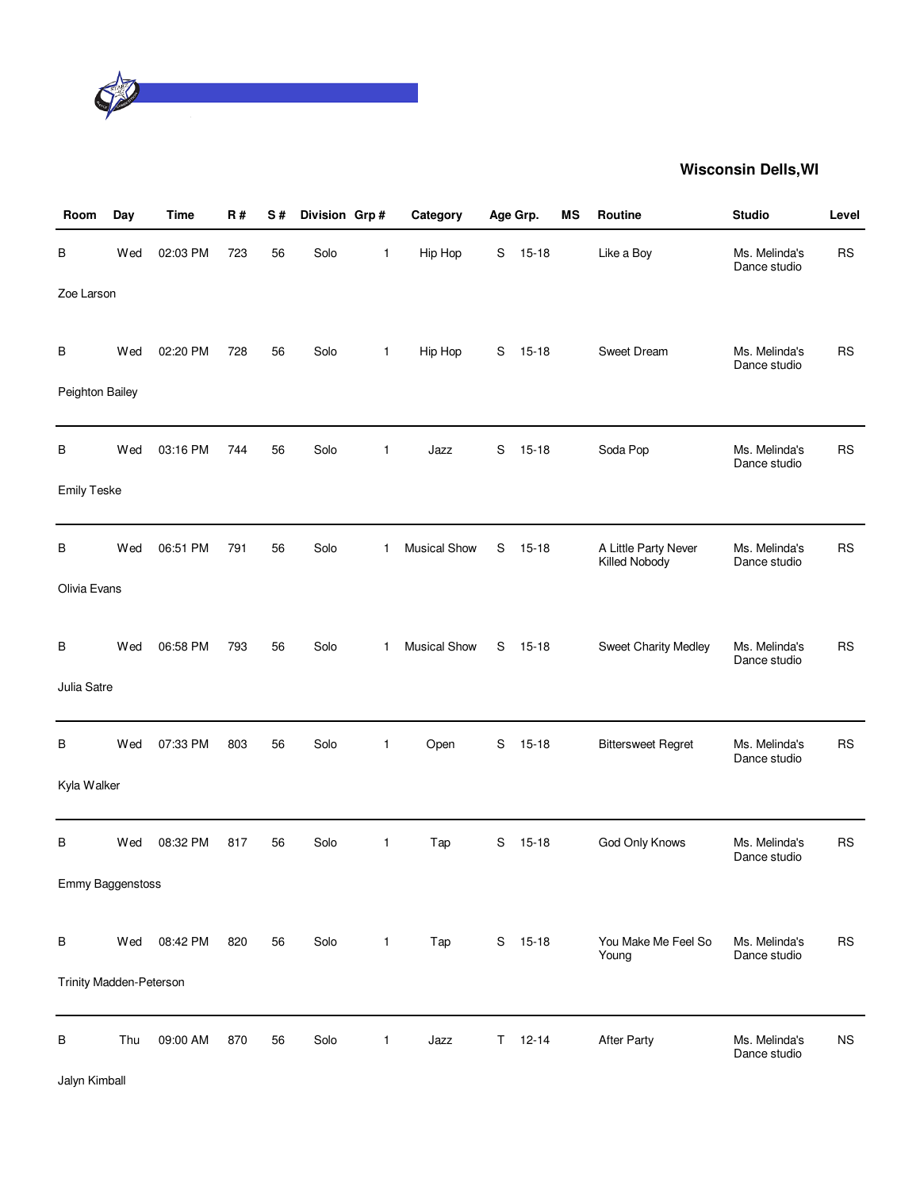

| Room                    | Day | <b>Time</b> | R#  | S# | Division Grp# |              | Category            |    | Age Grp.  | MS | Routine                               | <b>Studio</b>                 | Level       |
|-------------------------|-----|-------------|-----|----|---------------|--------------|---------------------|----|-----------|----|---------------------------------------|-------------------------------|-------------|
| В                       | Wed | 02:03 PM    | 723 | 56 | Solo          | 1            | Hip Hop             | S  | $15 - 18$ |    | Like a Boy                            | Ms. Melinda's<br>Dance studio | <b>RS</b>   |
| Zoe Larson              |     |             |     |    |               |              |                     |    |           |    |                                       |                               |             |
| В                       | Wed | 02:20 PM    | 728 | 56 | Solo          | $\mathbf{1}$ | Hip Hop             | S  | $15 - 18$ |    | Sweet Dream                           | Ms. Melinda's<br>Dance studio | <b>RS</b>   |
| Peighton Bailey         |     |             |     |    |               |              |                     |    |           |    |                                       |                               |             |
| В                       | Wed | 03:16 PM    | 744 | 56 | Solo          | 1            | Jazz                | S  | $15 - 18$ |    | Soda Pop                              | Ms. Melinda's<br>Dance studio | <b>RS</b>   |
| <b>Emily Teske</b>      |     |             |     |    |               |              |                     |    |           |    |                                       |                               |             |
| В                       | Wed | 06:51 PM    | 791 | 56 | Solo          | $\mathbf{1}$ | <b>Musical Show</b> | S  | $15 - 18$ |    | A Little Party Never<br>Killed Nobody | Ms. Melinda's<br>Dance studio | <b>RS</b>   |
| Olivia Evans            |     |             |     |    |               |              |                     |    |           |    |                                       |                               |             |
| В                       | Wed | 06:58 PM    | 793 | 56 | Solo          | 1            | <b>Musical Show</b> | S  | $15 - 18$ |    | Sweet Charity Medley                  | Ms. Melinda's<br>Dance studio | <b>RS</b>   |
| Julia Satre             |     |             |     |    |               |              |                     |    |           |    |                                       |                               |             |
| В                       | Wed | 07:33 PM    | 803 | 56 | Solo          | 1            | Open                | S  | $15 - 18$ |    | <b>Bittersweet Regret</b>             | Ms. Melinda's<br>Dance studio | <b>RS</b>   |
| Kyla Walker             |     |             |     |    |               |              |                     |    |           |    |                                       |                               |             |
| В                       | Wed | 08:32 PM    | 817 | 56 | Solo          | $\mathbf{1}$ | Tap                 | S  | $15 - 18$ |    | God Only Knows                        | Ms. Melinda's<br>Dance studio | <b>RS</b>   |
| Emmy Baggenstoss        |     |             |     |    |               |              |                     |    |           |    |                                       |                               |             |
| В                       | Wed | 08:42 PM    | 820 | 56 | Solo          | $\mathbf{1}$ | Tap                 | S  | $15 - 18$ |    | You Make Me Feel So                   | Ms. Melinda's                 | <b>RS</b>   |
| Trinity Madden-Peterson |     |             |     |    |               |              |                     |    |           |    | Young                                 | Dance studio                  |             |
| В                       | Thu | 09:00 AM    | 870 | 56 | Solo          | 1            | Jazz                | T. | $12 - 14$ |    | <b>After Party</b>                    | Ms. Melinda's<br>Dance studio | $_{\rm NS}$ |

Jalyn Kimball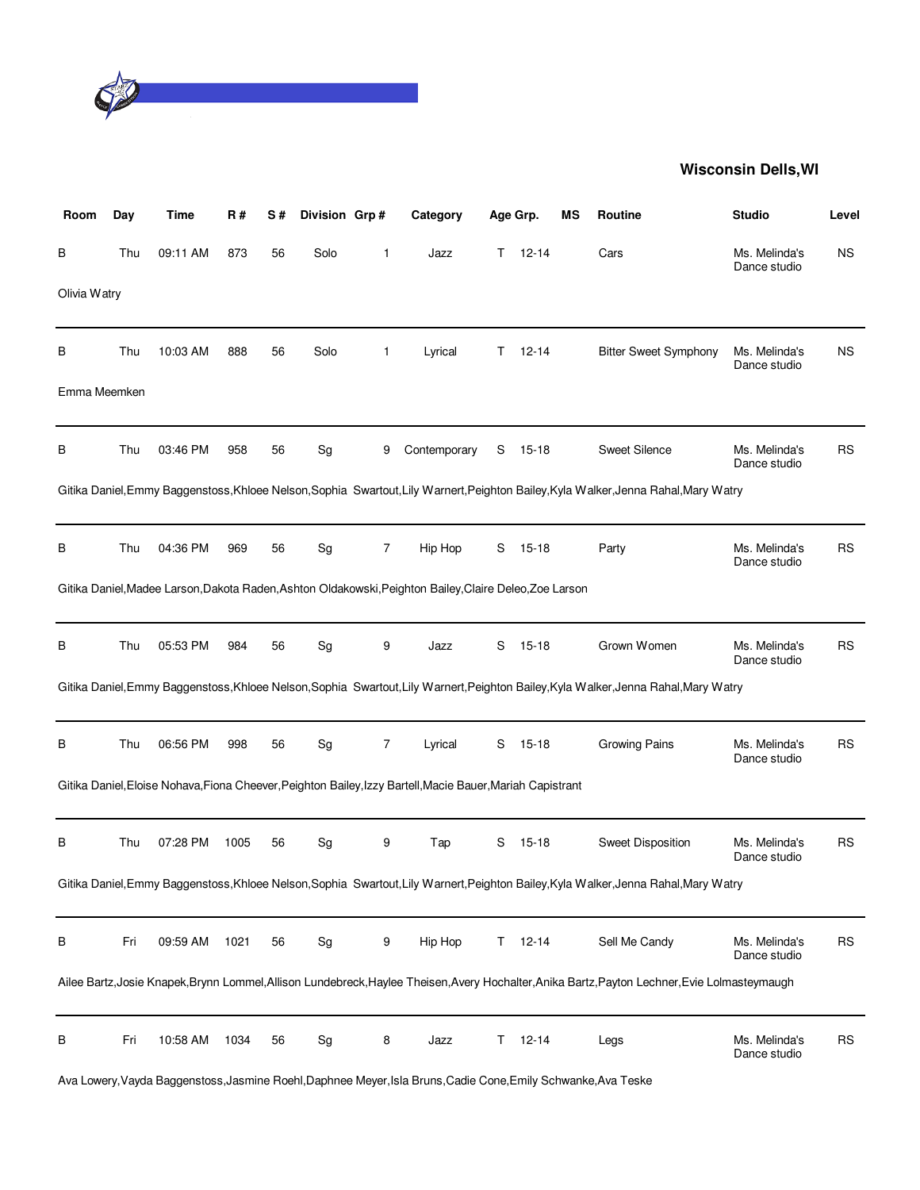

| Room         | Day | Time     | R#   | S# | Division Grp#                |              | Category                                                                                                   | Age Grp. |           | ΜS | <b>Routine</b>                                                                                                                                 | <b>Studio</b>                 | Level     |
|--------------|-----|----------|------|----|------------------------------|--------------|------------------------------------------------------------------------------------------------------------|----------|-----------|----|------------------------------------------------------------------------------------------------------------------------------------------------|-------------------------------|-----------|
| В            | Thu | 09:11 AM | 873  | 56 | Solo                         | $\mathbf{1}$ | Jazz                                                                                                       | T.       | $12 - 14$ |    | Cars                                                                                                                                           | Ms. Melinda's<br>Dance studio | <b>NS</b> |
| Olivia Watry |     |          |      |    |                              |              |                                                                                                            |          |           |    |                                                                                                                                                |                               |           |
| В            | Thu | 10:03 AM | 888  | 56 | Solo                         | 1            | Lyrical                                                                                                    | T.       | $12 - 14$ |    | <b>Bitter Sweet Symphony</b>                                                                                                                   | Ms. Melinda's<br>Dance studio | ΝS        |
| Emma Meemken |     |          |      |    |                              |              |                                                                                                            |          |           |    |                                                                                                                                                |                               |           |
| В            | Thu | 03:46 PM | 958  | 56 | Sg                           | 9            | Contemporary                                                                                               | S        | 15-18     |    | Sweet Silence                                                                                                                                  | Ms. Melinda's<br>Dance studio | RS        |
|              |     |          |      |    |                              |              |                                                                                                            |          |           |    | Gitika Daniel, Emmy Baggenstoss, Khloee Nelson, Sophia Swartout, Lily Warnert, Peighton Bailey, Kyla Walker, Jenna Rahal, Mary Watry           |                               |           |
| В            | Thu | 04:36 PM | 969  | 56 | Sg                           | 7            | Hip Hop                                                                                                    | S        | $15 - 18$ |    | Party                                                                                                                                          | Ms. Melinda's<br>Dance studio | <b>RS</b> |
|              |     |          |      |    |                              |              | Gitika Daniel, Madee Larson, Dakota Raden, Ashton Oldakowski, Peighton Bailey, Claire Deleo, Zoe Larson    |          |           |    |                                                                                                                                                |                               |           |
| В            | Thu | 05:53 PM | 984  | 56 | Sg                           | 9            | Jazz                                                                                                       | S        | $15 - 18$ |    | Grown Women                                                                                                                                    | Ms. Melinda's<br>Dance studio | RS        |
|              |     |          |      |    |                              |              |                                                                                                            |          |           |    | Gitika Daniel, Emmy Baggenstoss, Khloee Nelson, Sophia Swartout, Lily Warnert, Peighton Bailey, Kyla Walker, Jenna Rahal, Mary Watry           |                               |           |
| В            | Thu | 06:56 PM | 998  | 56 | Sg                           | 7            | Lyrical                                                                                                    | S        | $15 - 18$ |    | Growing Pains                                                                                                                                  | Ms. Melinda's<br>Dance studio | <b>RS</b> |
|              |     |          |      |    |                              |              | Gitika Daniel, Eloise Nohava, Fiona Cheever, Peighton Bailey, Izzy Bartell, Macie Bauer, Mariah Capistrant |          |           |    |                                                                                                                                                |                               |           |
| В            | Thu | 07:28 PM | 1005 | 56 | Sg                           | 9            | Tap                                                                                                        | S        | 15-18     |    | <b>Sweet Disposition</b>                                                                                                                       | Ms. Melinda's<br>Dance studio | <b>RS</b> |
|              |     |          |      |    |                              |              |                                                                                                            |          |           |    | Gitika Daniel, Emmy Baggenstoss, Khloee Nelson, Sophia Swartout, Lily Warnert, Peighton Bailey, Kyla Walker, Jenna Rahal, Mary Watry           |                               |           |
| В            | Fri | 09:59 AM | 1021 | 56 | $\operatorname{\mathsf{Sg}}$ | 9            | Hip Hop                                                                                                    | T.       | $12 - 14$ |    | Sell Me Candy                                                                                                                                  | Ms. Melinda's<br>Dance studio | <b>RS</b> |
|              |     |          |      |    |                              |              |                                                                                                            |          |           |    | Ailee Bartz, Josie Knapek, Brynn Lommel, Allison Lundebreck, Haylee Theisen, Avery Hochalter, Anika Bartz, Payton Lechner, Evie Lolmasteymaugh |                               |           |
| В            | Fri | 10:58 AM | 1034 | 56 | Sg                           | 8            | Jazz                                                                                                       | T.       | $12 - 14$ |    | Legs                                                                                                                                           | Ms. Melinda's<br>Dance studio | <b>RS</b> |

Ava Lowery,Vayda Baggenstoss,Jasmine Roehl,Daphnee Meyer,Isla Bruns,Cadie Cone,Emily Schwanke,Ava Teske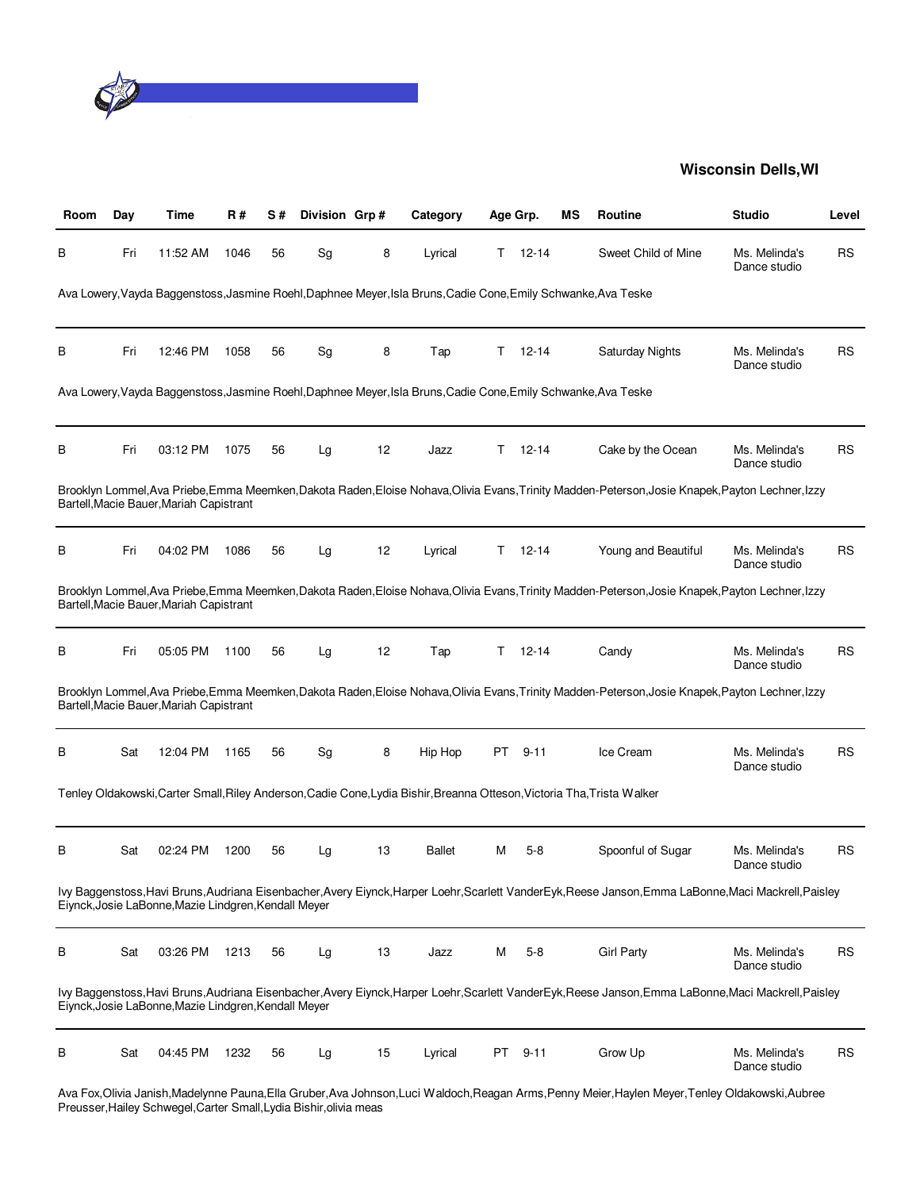

| Room | Day | Time                                                 | R#   | S# | Division Grp# |    | Category                                                                                                                | Age Grp. |           | ΜS | Routine                                                                                                                                               | <b>Studio</b>                 | Level     |
|------|-----|------------------------------------------------------|------|----|---------------|----|-------------------------------------------------------------------------------------------------------------------------|----------|-----------|----|-------------------------------------------------------------------------------------------------------------------------------------------------------|-------------------------------|-----------|
| В    | Fri | 11:52 AM                                             | 1046 | 56 | Sg            | 8  | Lyrical                                                                                                                 | T.       | $12 - 14$ |    | Sweet Child of Mine                                                                                                                                   | Ms. Melinda's<br>Dance studio | RS        |
|      |     |                                                      |      |    |               |    | Ava Lowery, Vayda Baggenstoss, Jasmine Roehl, Daphnee Meyer, Isla Bruns, Cadie Cone, Emily Schwanke, Ava Teske          |          |           |    |                                                                                                                                                       |                               |           |
| В    | Fri | 12:46 PM                                             | 1058 | 56 | Sg            | 8  | Tap                                                                                                                     | T.       | $12 - 14$ |    | <b>Saturday Nights</b>                                                                                                                                | Ms. Melinda's<br>Dance studio | RS        |
|      |     |                                                      |      |    |               |    | Ava Lowery, Vayda Baggenstoss, Jasmine Roehl, Daphnee Meyer, Isla Bruns, Cadie Cone, Emily Schwanke, Ava Teske          |          |           |    |                                                                                                                                                       |                               |           |
| в    | Fri | 03:12 PM                                             | 1075 | 56 | Lg            | 12 | Jazz                                                                                                                    | T.       | $12 - 14$ |    | Cake by the Ocean                                                                                                                                     | Ms. Melinda's<br>Dance studio | RS        |
|      |     | Bartell, Macie Bauer, Mariah Capistrant              |      |    |               |    |                                                                                                                         |          |           |    | Brooklyn Lommel, Ava Priebe, Emma Meemken, Dakota Raden, Eloise Nohava, Olivia Evans, Trinity Madden-Peterson, Josie Knapek, Payton Lechner, Izzy     |                               |           |
| в    | Fri | 04:02 PM                                             | 1086 | 56 | Lg            | 12 | Lyrical                                                                                                                 | T.       | $12 - 14$ |    | Young and Beautiful                                                                                                                                   | Ms. Melinda's<br>Dance studio | <b>RS</b> |
|      |     | Bartell, Macie Bauer, Mariah Capistrant              |      |    |               |    |                                                                                                                         |          |           |    | Brooklyn Lommel, Ava Priebe, Emma Meemken, Dakota Raden, Eloise Nohava, Olivia Evans, Trinity Madden-Peterson, Josie Knapek, Payton Lechner, Izzy     |                               |           |
| в    | Fri | 05:05 PM                                             | 1100 | 56 | Lg            | 12 | Tap                                                                                                                     | Τ        | $12 - 14$ |    | Candy                                                                                                                                                 | Ms. Melinda's<br>Dance studio | <b>RS</b> |
|      |     | Bartell, Macie Bauer, Mariah Capistrant              |      |    |               |    |                                                                                                                         |          |           |    | Brooklyn Lommel, Ava Priebe, Emma Meemken, Dakota Raden, Eloise Nohava, Olivia Evans, Trinity Madden-Peterson, Josie Knapek, Payton Lechner, Izzy     |                               |           |
| в    | Sat | 12:04 PM                                             | 1165 | 56 | Sg            | 8  | Hip Hop                                                                                                                 | PT.      | $9 - 11$  |    | Ice Cream                                                                                                                                             | Ms. Melinda's<br>Dance studio | <b>RS</b> |
|      |     |                                                      |      |    |               |    | Tenley Oldakowski, Carter Small, Riley Anderson, Cadie Cone, Lydia Bishir, Breanna Otteson, Victoria Tha, Trista Walker |          |           |    |                                                                                                                                                       |                               |           |
| в    | Sat | 02:24 PM                                             | 1200 | 56 | Lg            | 13 | Ballet                                                                                                                  | М        | $5-8$     |    | Spoonful of Sugar                                                                                                                                     | Ms. Melinda's<br>Dance studio | RS        |
|      |     | Eiynck, Josie LaBonne, Mazie Lindgren, Kendall Meyer |      |    |               |    |                                                                                                                         |          |           |    | Ivy Baggenstoss, Havi Bruns, Audriana Eisenbacher, Avery Eiynck, Harper Loehr, Scarlett VanderEyk, Reese Janson, Emma LaBonne, Maci Mackrell, Paisley |                               |           |
| В    | Sat | 03:26 PM                                             | 1213 | 56 | Lg            | 13 | Jazz                                                                                                                    | Μ        | $5 - 8$   |    | <b>Girl Party</b>                                                                                                                                     | Ms. Melinda's<br>Dance studio | <b>RS</b> |
|      |     | Eiynck, Josie LaBonne, Mazie Lindgren, Kendall Meyer |      |    |               |    |                                                                                                                         |          |           |    | Ivy Baggenstoss, Havi Bruns, Audriana Eisenbacher, Avery Eiynck, Harper Loehr, Scarlett VanderEyk, Reese Janson, Emma LaBonne, Maci Mackrell, Paisley |                               |           |
| В    | Sat | 04:45 PM                                             | 1232 | 56 | Lg            | 15 | Lyrical                                                                                                                 |          | PT 9-11   |    | Grow Up                                                                                                                                               | Ms. Melinda's<br>Dance studio | <b>RS</b> |
|      |     |                                                      |      |    |               |    |                                                                                                                         |          |           |    |                                                                                                                                                       |                               |           |

Ava Fox,Olivia Janish,Madelynne Pauna,Ella Gruber,Ava Johnson,Luci Waldoch,Reagan Arms,Penny Meier,Haylen Meyer,Tenley Oldakowski,Aubree Preusser,Hailey Schwegel,Carter Small,Lydia Bishir,olivia meas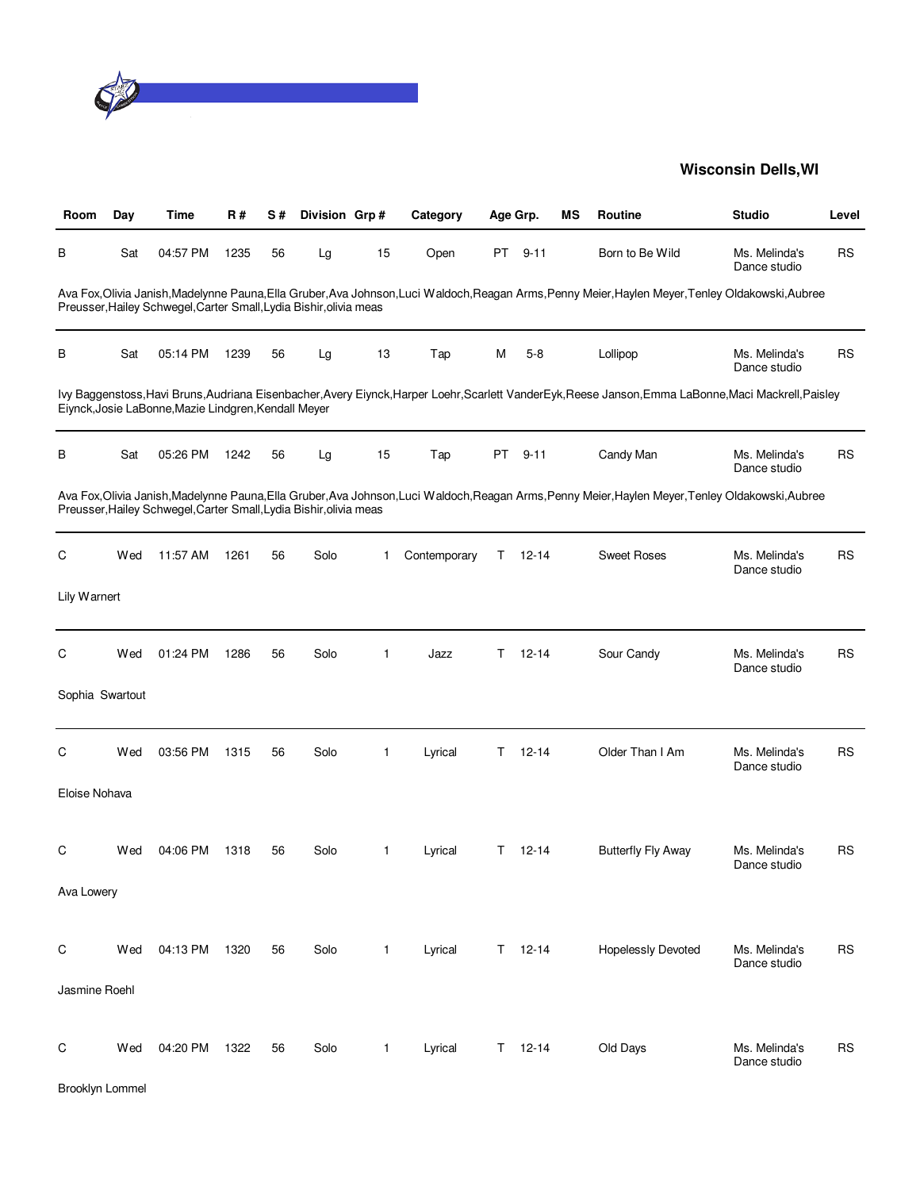

| Room            | Day | Time                                                               | <b>R#</b> | S# | Division Grp# |              | Category     |    | Age Grp.      | ΜS | Routine                                                                                                                                               | <b>Studio</b>                 | Level     |
|-----------------|-----|--------------------------------------------------------------------|-----------|----|---------------|--------------|--------------|----|---------------|----|-------------------------------------------------------------------------------------------------------------------------------------------------------|-------------------------------|-----------|
| В               | Sat | 04:57 PM                                                           | 1235      | 56 | Lg            | 15           | Open         | PT | $9 - 11$      |    | Born to Be Wild                                                                                                                                       | Ms. Melinda's<br>Dance studio | <b>RS</b> |
|                 |     | Preusser, Hailey Schwegel, Carter Small, Lydia Bishir, olivia meas |           |    |               |              |              |    |               |    | Ava Fox,Olivia Janish,Madelynne Pauna,Ella Gruber,Ava Johnson,Luci Waldoch,Reagan Arms,Penny Meier,Haylen Meyer,Tenley Oldakowski,Aubree              |                               |           |
| в               | Sat | 05:14 PM                                                           | 1239      | 56 | Lg            | 13           | Tap          | М  | $5-8$         |    | Lollipop                                                                                                                                              | Ms. Melinda's<br>Dance studio | <b>RS</b> |
|                 |     | Eiynck, Josie LaBonne, Mazie Lindgren, Kendall Meyer               |           |    |               |              |              |    |               |    | lvy Baggenstoss, Havi Bruns, Audriana Eisenbacher, Avery Eiynck, Harper Loehr, Scarlett VanderEyk, Reese Janson, Emma LaBonne, Maci Mackrell, Paisley |                               |           |
| В               | Sat | 05:26 PM                                                           | 1242      | 56 | Lg            | 15           | Tap          | PT | $9 - 11$      |    | Candy Man                                                                                                                                             | Ms. Melinda's<br>Dance studio | <b>RS</b> |
|                 |     | Preusser, Hailey Schwegel, Carter Small, Lydia Bishir, olivia meas |           |    |               |              |              |    |               |    | Ava Fox,Olivia Janish,Madelynne Pauna,Ella Gruber,Ava Johnson,Luci Waldoch,Reagan Arms,Penny Meier,Haylen Meyer,Tenley Oldakowski,Aubree              |                               |           |
| C               | Wed | 11:57 AM                                                           | 1261      | 56 | Solo          | 1            | Contemporary | Τ  | $12 - 14$     |    | <b>Sweet Roses</b>                                                                                                                                    | Ms. Melinda's<br>Dance studio | <b>RS</b> |
| Lily Warnert    |     |                                                                    |           |    |               |              |              |    |               |    |                                                                                                                                                       |                               |           |
| C               | Wed | 01:24 PM                                                           | 1286      | 56 | Solo          | 1            | Jazz         | T. | $12 - 14$     |    | Sour Candy                                                                                                                                            | Ms. Melinda's<br>Dance studio | <b>RS</b> |
| Sophia Swartout |     |                                                                    |           |    |               |              |              |    |               |    |                                                                                                                                                       |                               |           |
| С               | Wed | 03:56 PM                                                           | 1315      | 56 | Solo          | 1            | Lyrical      | Τ  | $12 - 14$     |    | Older Than I Am                                                                                                                                       | Ms. Melinda's<br>Dance studio | <b>RS</b> |
| Eloise Nohava   |     |                                                                    |           |    |               |              |              |    |               |    |                                                                                                                                                       |                               |           |
| C               | Wed | 04:06 PM                                                           | 1318      | 56 | Solo          | 1            | Lyrical      | T. | $12 - 14$     |    | <b>Butterfly Fly Away</b>                                                                                                                             | Ms. Melinda's<br>Dance studio | <b>RS</b> |
| Ava Lowery      |     |                                                                    |           |    |               |              |              |    |               |    |                                                                                                                                                       |                               |           |
| С               | Wed | 04:13 PM                                                           | 1320      | 56 | Solo          | $\mathbf{1}$ | Lyrical      |    | $T = 12 - 14$ |    | <b>Hopelessly Devoted</b>                                                                                                                             | Ms. Melinda's<br>Dance studio | <b>RS</b> |
| Jasmine Roehl   |     |                                                                    |           |    |               |              |              |    |               |    |                                                                                                                                                       |                               |           |
| C               | Wed | 04:20 PM                                                           | 1322      | 56 | Solo          | 1            | Lyrical      | T. | $12 - 14$     |    | Old Days                                                                                                                                              | Ms. Melinda's<br>Dance studio | <b>RS</b> |
| Brooklyn Lommel |     |                                                                    |           |    |               |              |              |    |               |    |                                                                                                                                                       |                               |           |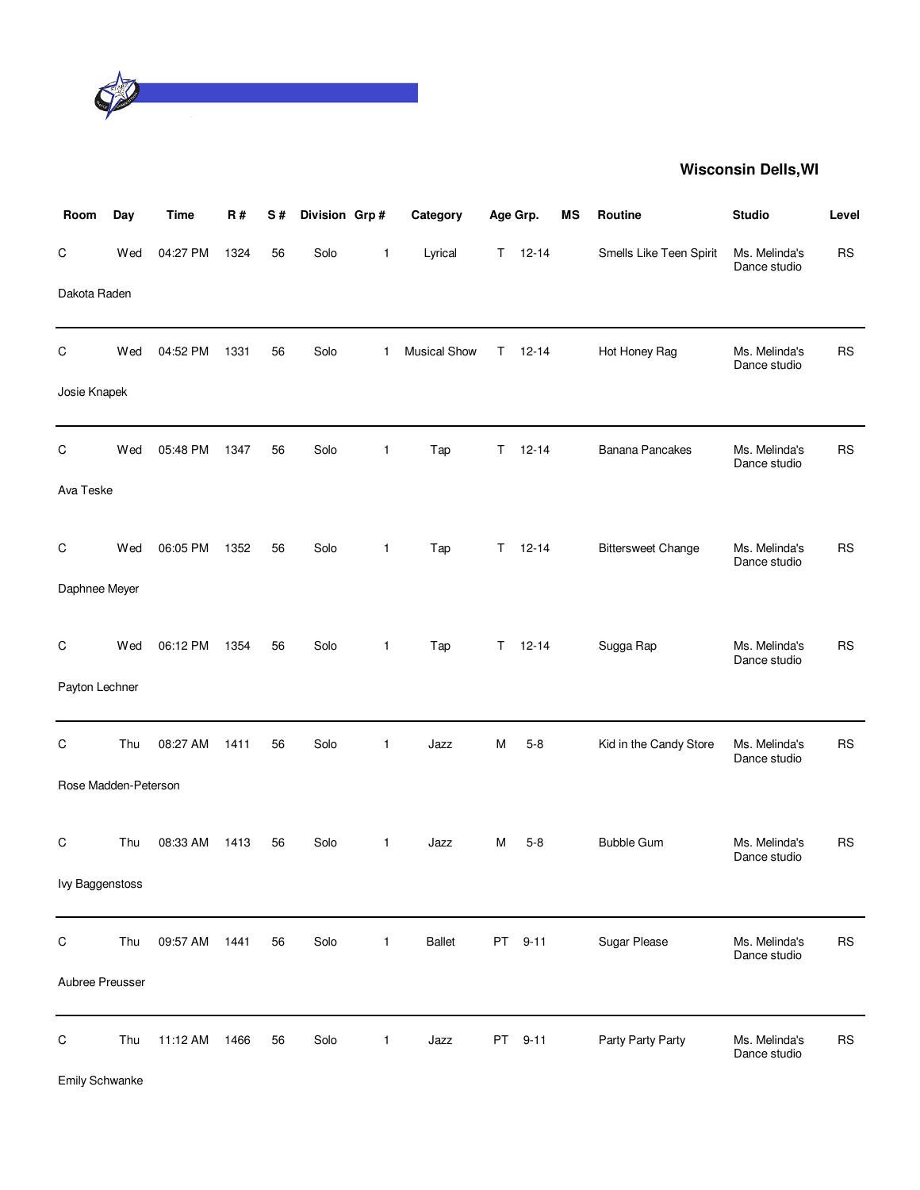

| Room                 | Day | <b>Time</b> | R#   | S# | Division Grp# |              | Category            |    | Age Grp.  | MS | Routine                   | <b>Studio</b>                 | Level     |
|----------------------|-----|-------------|------|----|---------------|--------------|---------------------|----|-----------|----|---------------------------|-------------------------------|-----------|
| $\mathsf C$          | Wed | 04:27 PM    | 1324 | 56 | Solo          | 1            | Lyrical             | T. | $12 - 14$ |    | Smells Like Teen Spirit   | Ms. Melinda's<br>Dance studio | <b>RS</b> |
| Dakota Raden         |     |             |      |    |               |              |                     |    |           |    |                           |                               |           |
| $\mathsf C$          | Wed | 04:52 PM    | 1331 | 56 | Solo          | $\mathbf{1}$ | <b>Musical Show</b> | Τ  | $12 - 14$ |    | Hot Honey Rag             | Ms. Melinda's<br>Dance studio | <b>RS</b> |
| Josie Knapek         |     |             |      |    |               |              |                     |    |           |    |                           |                               |           |
| $\mathsf C$          | Wed | 05:48 PM    | 1347 | 56 | Solo          | 1            | Tap                 | T. | $12 - 14$ |    | <b>Banana Pancakes</b>    | Ms. Melinda's<br>Dance studio | <b>RS</b> |
| Ava Teske            |     |             |      |    |               |              |                     |    |           |    |                           |                               |           |
| $\mathsf C$          | Wed | 06:05 PM    | 1352 | 56 | Solo          | $\mathbf{1}$ | Tap                 | T. | $12 - 14$ |    | <b>Bittersweet Change</b> | Ms. Melinda's                 | <b>RS</b> |
| Daphnee Meyer        |     |             |      |    |               |              |                     |    |           |    |                           | Dance studio                  |           |
| C                    | Wed | 06:12 PM    | 1354 | 56 | Solo          | 1            | Tap                 | T. | $12 - 14$ |    | Sugga Rap                 | Ms. Melinda's                 | <b>RS</b> |
| Payton Lechner       |     |             |      |    |               |              |                     |    |           |    |                           | Dance studio                  |           |
| C                    | Thu | 08:27 AM    | 1411 | 56 | Solo          | $\mathbf{1}$ | Jazz                | м  | $5 - 8$   |    | Kid in the Candy Store    | Ms. Melinda's                 | <b>RS</b> |
| Rose Madden-Peterson |     |             |      |    |               |              |                     |    |           |    |                           | Dance studio                  |           |
| C                    | Thu | 08:33 AM    | 1413 | 56 | Solo          | 1            | Jazz                | м  | $5 - 8$   |    | <b>Bubble Gum</b>         | Ms. Melinda's                 | <b>RS</b> |
| Ivy Baggenstoss      |     |             |      |    |               |              |                     |    |           |    |                           | Dance studio                  |           |
|                      |     |             |      |    |               |              |                     |    |           |    |                           |                               |           |
| $\mathsf C$          | Thu | 09:57 AM    | 1441 | 56 | Solo          | 1            | <b>Ballet</b>       | PT | $9 - 11$  |    | Sugar Please              | Ms. Melinda's<br>Dance studio | <b>RS</b> |
| Aubree Preusser      |     |             |      |    |               |              |                     |    |           |    |                           |                               |           |
| $\mathsf C$          | Thu | 11:12 AM    | 1466 | 56 | Solo          | 1            | Jazz                | PT | $9 - 11$  |    | Party Party Party         | Ms. Melinda's<br>Dance studio | <b>RS</b> |

Emily Schwanke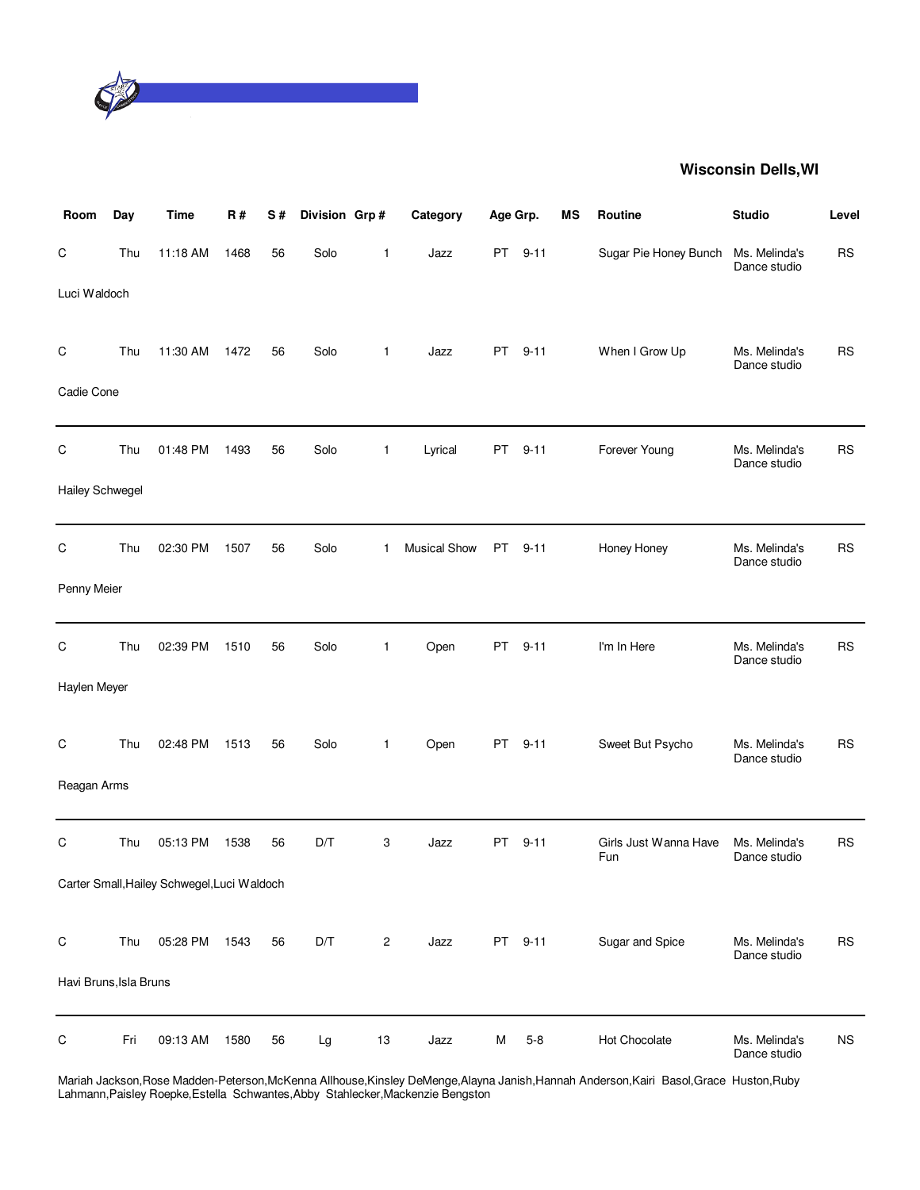

| Room                   | Day | <b>Time</b>                                 | <b>R#</b> | S# | Division Grp# |                | Category            | Age Grp.  |          | MS | Routine                      | <b>Studio</b>                 | Level       |
|------------------------|-----|---------------------------------------------|-----------|----|---------------|----------------|---------------------|-----------|----------|----|------------------------------|-------------------------------|-------------|
| С                      | Thu | 11:18 AM                                    | 1468      | 56 | Solo          | 1              | Jazz                | PT.       | $9 - 11$ |    | Sugar Pie Honey Bunch        | Ms. Melinda's<br>Dance studio | <b>RS</b>   |
| Luci Waldoch           |     |                                             |           |    |               |                |                     |           |          |    |                              |                               |             |
| С                      | Thu | 11:30 AM                                    | 1472      | 56 | Solo          | $\mathbf{1}$   | Jazz                | <b>PT</b> | $9 - 11$ |    | When I Grow Up               | Ms. Melinda's<br>Dance studio | <b>RS</b>   |
| Cadie Cone             |     |                                             |           |    |               |                |                     |           |          |    |                              |                               |             |
| C                      | Thu | 01:48 PM                                    | 1493      | 56 | Solo          | 1              | Lyrical             | PT        | $9 - 11$ |    | Forever Young                | Ms. Melinda's<br>Dance studio | <b>RS</b>   |
| Hailey Schwegel        |     |                                             |           |    |               |                |                     |           |          |    |                              |                               |             |
| C                      | Thu | 02:30 PM                                    | 1507      | 56 | Solo          | 1              | <b>Musical Show</b> | PT        | $9 - 11$ |    | Honey Honey                  | Ms. Melinda's<br>Dance studio | <b>RS</b>   |
| Penny Meier            |     |                                             |           |    |               |                |                     |           |          |    |                              |                               |             |
| C                      | Thu | 02:39 PM                                    | 1510      | 56 | Solo          | 1              | Open                | PT.       | $9 - 11$ |    | I'm In Here                  | Ms. Melinda's<br>Dance studio | <b>RS</b>   |
| Haylen Meyer           |     |                                             |           |    |               |                |                     |           |          |    |                              |                               |             |
| С                      | Thu | 02:48 PM                                    | 1513      | 56 | Solo          | $\mathbf{1}$   | Open                | PT.       | $9 - 11$ |    | Sweet But Psycho             | Ms. Melinda's<br>Dance studio | <b>RS</b>   |
| Reagan Arms            |     |                                             |           |    |               |                |                     |           |          |    |                              |                               |             |
| $\mathsf C$            | Thu | 05:13 PM                                    | 1538      | 56 | D/T           | 3              | Jazz                | PT.       | $9 - 11$ |    | Girls Just Wanna Have<br>Fun | Ms. Melinda's<br>Dance studio | <b>RS</b>   |
|                        |     | Carter Small, Hailey Schwegel, Luci Waldoch |           |    |               |                |                     |           |          |    |                              |                               |             |
| С                      | Thu | 05:28 PM                                    | 1543      | 56 | D/T           | $\overline{c}$ | Jazz                |           | PT 9-11  |    | Sugar and Spice              | Ms. Melinda's<br>Dance studio | <b>RS</b>   |
| Havi Bruns, Isla Bruns |     |                                             |           |    |               |                |                     |           |          |    |                              |                               |             |
| C                      | Fri | 09:13 AM                                    | 1580      | 56 | Lg            | 13             | Jazz                | M         | $5 - 8$  |    | Hot Chocolate                | Ms. Melinda's<br>Dance studio | $_{\rm NS}$ |

Mariah Jackson,Rose Madden-Peterson,McKenna Allhouse,Kinsley DeMenge,Alayna Janish,Hannah Anderson,Kairi Basol,Grace Huston,Ruby Lahmann,Paisley Roepke,Estella Schwantes,Abby Stahlecker,Mackenzie Bengston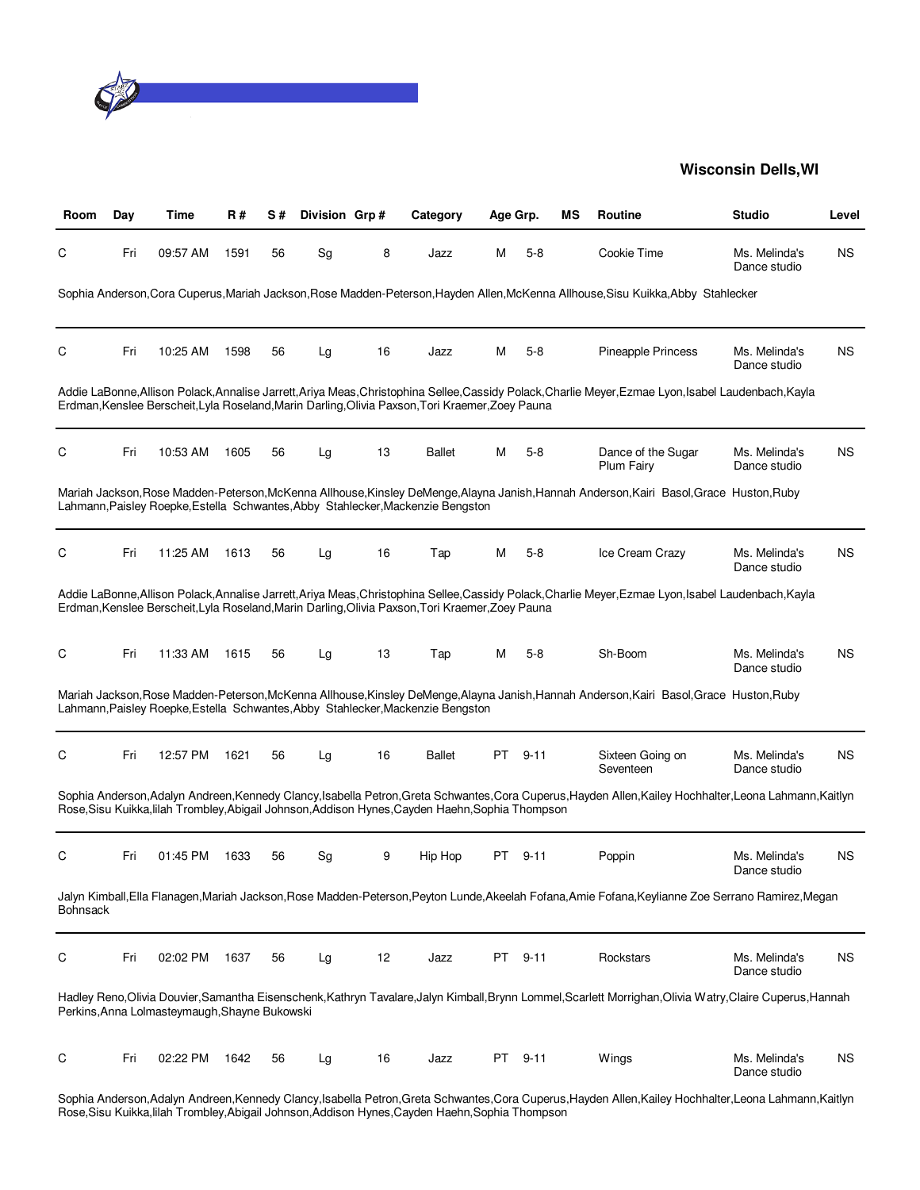

| Room            | Day | Time                                          | R#   | S# | Division Grp#                |    | Category                                                                                         | Age Grp. |          | ΜS | <b>Routine</b>                                                                                                                                           | <b>Studio</b>                 | Level     |
|-----------------|-----|-----------------------------------------------|------|----|------------------------------|----|--------------------------------------------------------------------------------------------------|----------|----------|----|----------------------------------------------------------------------------------------------------------------------------------------------------------|-------------------------------|-----------|
| С               | Fri | 09:57 AM                                      | 1591 | 56 | Sg                           | 8  | Jazz                                                                                             | М        | $5 - 8$  |    | Cookie Time                                                                                                                                              | Ms. Melinda's<br>Dance studio | <b>NS</b> |
|                 |     |                                               |      |    |                              |    |                                                                                                  |          |          |    | Sophia Anderson, Cora Cuperus, Mariah Jackson, Rose Madden-Peterson, Hayden Allen, McKenna Allhouse, Sisu Kuikka, Abby Stahlecker                        |                               |           |
| C               | Fri | 10:25 AM                                      | 1598 | 56 | Lg                           | 16 | Jazz                                                                                             | М        | $5 - 8$  |    | Pineapple Princess                                                                                                                                       | Ms. Melinda's<br>Dance studio | ΝS        |
|                 |     |                                               |      |    |                              |    | Erdman, Kenslee Berscheit, Lyla Roseland, Marin Darling, Olivia Paxson, Tori Kraemer, Zoey Pauna |          |          |    | Addie LaBonne,Allison Polack,Annalise Jarrett,Ariya Meas,Christophina Sellee,Cassidy Polack,Charlie Meyer,Ezmae Lyon,Isabel Laudenbach,Kayla             |                               |           |
| C               | Fri | 10:53 AM                                      | 1605 | 56 | Lg                           | 13 | <b>Ballet</b>                                                                                    | м        | $5 - 8$  |    | Dance of the Sugar<br><b>Plum Fairy</b>                                                                                                                  | Ms. Melinda's<br>Dance studio | <b>NS</b> |
|                 |     |                                               |      |    |                              |    | Lahmann, Paisley Roepke, Estella Schwantes, Abby Stahlecker, Mackenzie Bengston                  |          |          |    | Mariah Jackson, Rose Madden-Peterson, McKenna Allhouse, Kinsley DeMenge, Alayna Janish, Hannah Anderson, Kairi Basol, Grace Huston, Ruby                 |                               |           |
| C               | Fri | 11:25 AM                                      | 1613 | 56 | Lg                           | 16 | Tap                                                                                              | м        | $5-8$    |    | Ice Cream Crazy                                                                                                                                          | Ms. Melinda's<br>Dance studio | ΝS        |
|                 |     |                                               |      |    |                              |    | Erdman, Kenslee Berscheit, Lyla Roseland, Marin Darling, Olivia Paxson, Tori Kraemer, Zoey Pauna |          |          |    | Addie LaBonne, Allison Polack, Annalise Jarrett, Ariya Meas, Christophina Sellee, Cassidy Polack, Charlie Meyer, Ezmae Lyon, Isabel Laudenbach, Kayla    |                               |           |
| C               | Fri | 11:33 AM                                      | 1615 | 56 | Lg                           | 13 | Tap                                                                                              | М        | $5-8$    |    | Sh-Boom                                                                                                                                                  | Ms. Melinda's<br>Dance studio | ΝS        |
|                 |     |                                               |      |    |                              |    | Lahmann, Paisley Roepke, Estella Schwantes, Abby Stahlecker, Mackenzie Bengston                  |          |          |    | Mariah Jackson, Rose Madden-Peterson, McKenna Allhouse, Kinsley DeMenge, Alayna Janish, Hannah Anderson, Kairi Basol, Grace Huston, Ruby                 |                               |           |
| C               | Fri | 12:57 PM                                      | 1621 | 56 | Lg                           | 16 | Ballet                                                                                           |          | PT 9-11  |    | Sixteen Going on<br>Seventeen                                                                                                                            | Ms. Melinda's<br>Dance studio | <b>NS</b> |
|                 |     |                                               |      |    |                              |    | Rose, Sisu Kuikka, lilah Trombley, Abigail Johnson, Addison Hynes, Cayden Haehn, Sophia Thompson |          |          |    | Sophia Anderson, Adalyn Andreen, Kennedy Clancy, Isabella Petron, Greta Schwantes, Cora Cuperus, Hayden Allen, Kailey Hochhalter, Leona Lahmann, Kaitlyn |                               |           |
| C               | Fri | 01:45 PM                                      | 1633 | 56 | $\operatorname{\mathsf{Sg}}$ | 9  | Hip Hop                                                                                          | PT       | $9 - 11$ |    | Poppin                                                                                                                                                   | Ms. Melinda's<br>Dance studio | ΝS        |
| <b>Bohnsack</b> |     |                                               |      |    |                              |    |                                                                                                  |          |          |    | Jalyn Kimball, Ella Flanagen, Mariah Jackson, Rose Madden-Peterson, Peyton Lunde, Akeelah Fofana, Amie Fofana, Keylianne Zoe Serrano Ramirez, Megan      |                               |           |
| C               | Fri | 02:02 PM                                      | 1637 | 56 | Lg                           | 12 | Jazz                                                                                             | PT       | $9 - 11$ |    | Rockstars                                                                                                                                                | Ms. Melinda's<br>Dance studio | ΝS        |
|                 |     | Perkins, Anna Lolmasteymaugh, Shayne Bukowski |      |    |                              |    |                                                                                                  |          |          |    | Hadley Reno,Olivia Douvier,Samantha Eisenschenk,Kathryn Tavalare,Jalyn Kimball,Brynn Lommel,Scarlett Morrighan,Olivia Watry,Claire Cuperus,Hannah        |                               |           |
| C               | Fri | 02:22 PM                                      | 1642 | 56 | Lg                           | 16 | Jazz                                                                                             | PT.      | $9 - 11$ |    | Wings                                                                                                                                                    | Ms. Melinda's<br>Dance studio | ΝS        |

Sophia Anderson,Adalyn Andreen,Kennedy Clancy,Isabella Petron,Greta Schwantes,Cora Cuperus,Hayden Allen,Kailey Hochhalter,Leona Lahmann,Kaitlyn Rose,Sisu Kuikka,lilah Trombley,Abigail Johnson,Addison Hynes,Cayden Haehn,Sophia Thompson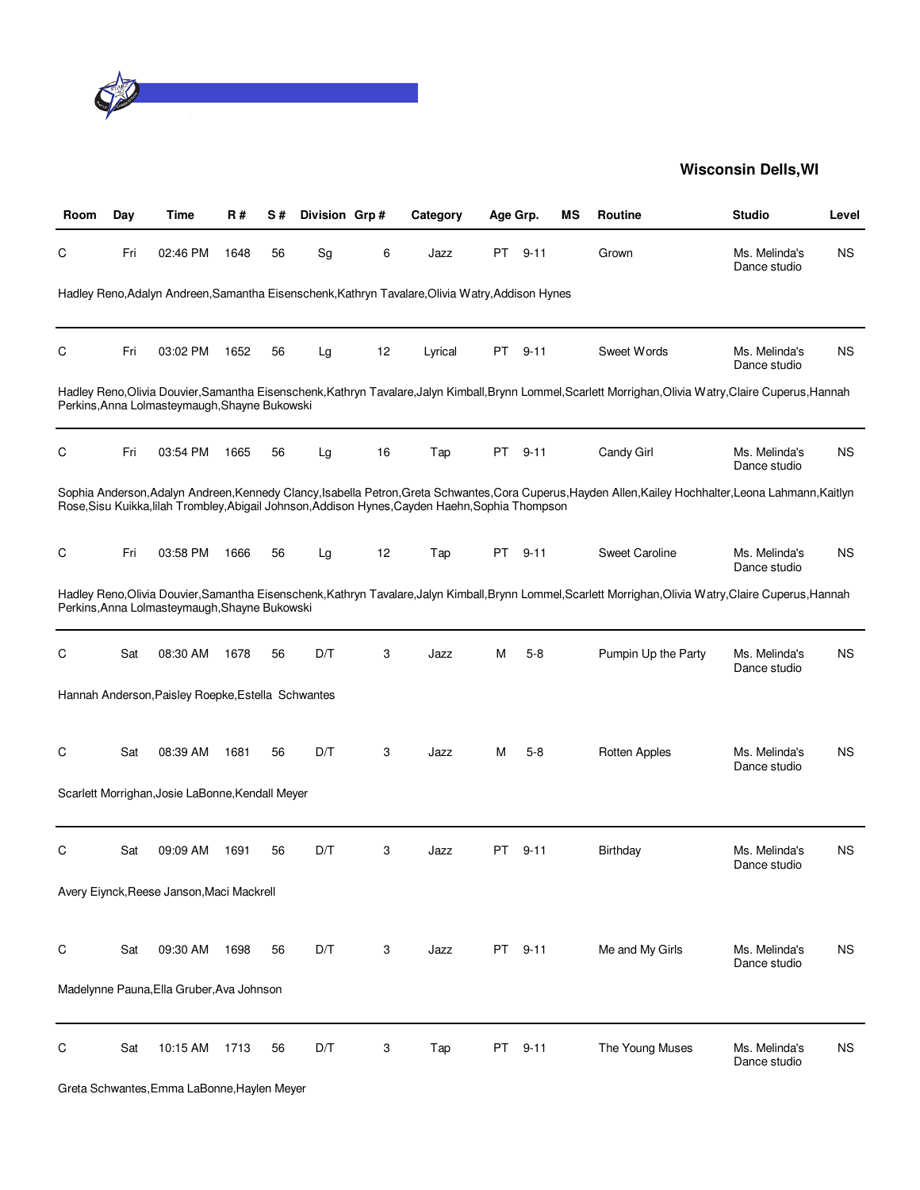

| Room | Day | Time                                               | R#   | S# | Division Grp# |    | Category                                                                                         | Age Grp. |          | ΜS | <b>Routine</b>                                                                                                                                           | <b>Studio</b>                 | Level     |
|------|-----|----------------------------------------------------|------|----|---------------|----|--------------------------------------------------------------------------------------------------|----------|----------|----|----------------------------------------------------------------------------------------------------------------------------------------------------------|-------------------------------|-----------|
| С    | Fri | 02:46 PM                                           | 1648 | 56 | Sg            | 6  | Jazz                                                                                             | PT.      | $9 - 11$ |    | Grown                                                                                                                                                    | Ms. Melinda's<br>Dance studio | <b>NS</b> |
|      |     |                                                    |      |    |               |    | Hadley Reno, Adalyn Andreen, Samantha Eisenschenk, Kathryn Tavalare, Olivia Watry, Addison Hynes |          |          |    |                                                                                                                                                          |                               |           |
| С    | Fri | 03:02 PM                                           | 1652 | 56 | Lg            | 12 | Lyrical                                                                                          | PT       | $9 - 11$ |    | Sweet Words                                                                                                                                              | Ms. Melinda's<br>Dance studio | ΝS        |
|      |     | Perkins, Anna Lolmasteymaugh, Shayne Bukowski      |      |    |               |    |                                                                                                  |          |          |    | Hadley Reno,Olivia Douvier,Samantha Eisenschenk,Kathryn Tavalare,Jalyn Kimball,Brynn Lommel,Scarlett Morrighan,Olivia Watry,Claire Cuperus,Hannah        |                               |           |
| С    | Fri | 03:54 PM                                           | 1665 | 56 | Lg            | 16 | Tap                                                                                              | PT       | $9 - 11$ |    | Candy Girl                                                                                                                                               | Ms. Melinda's<br>Dance studio | ΝS        |
|      |     |                                                    |      |    |               |    | Rose, Sisu Kuikka, lilah Trombley, Abigail Johnson, Addison Hynes, Cayden Haehn, Sophia Thompson |          |          |    | Sophia Anderson, Adalyn Andreen, Kennedy Clancy, Isabella Petron, Greta Schwantes, Cora Cuperus, Hayden Allen, Kailey Hochhalter, Leona Lahmann, Kaitlyn |                               |           |
| С    | Fri | 03:58 PM                                           | 1666 | 56 | Lg            | 12 | Tap                                                                                              | PT.      | $9 - 11$ |    | <b>Sweet Caroline</b>                                                                                                                                    | Ms. Melinda's<br>Dance studio | ΝS        |
|      |     | Perkins, Anna Lolmasteymaugh, Shayne Bukowski      |      |    |               |    |                                                                                                  |          |          |    | Hadley Reno,Olivia Douvier,Samantha Eisenschenk,Kathryn Tavalare,Jalyn Kimball,Brynn Lommel,Scarlett Morrighan,Olivia Watry,Claire Cuperus,Hannah        |                               |           |
| С    | Sat | 08:30 AM                                           | 1678 | 56 | D/T           | 3  | Jazz                                                                                             | M        | $5 - 8$  |    | Pumpin Up the Party                                                                                                                                      | Ms. Melinda's<br>Dance studio | <b>NS</b> |
|      |     | Hannah Anderson, Paisley Roepke, Estella Schwantes |      |    |               |    |                                                                                                  |          |          |    |                                                                                                                                                          |                               |           |
| C    | Sat | 08:39 AM                                           | 1681 | 56 | D/T           | 3  | Jazz                                                                                             | м        | $5 - 8$  |    | <b>Rotten Apples</b>                                                                                                                                     | Ms. Melinda's<br>Dance studio | ΝS        |
|      |     | Scarlett Morrighan, Josie LaBonne, Kendall Meyer   |      |    |               |    |                                                                                                  |          |          |    |                                                                                                                                                          |                               |           |
| С    | Sat | 09:09 AM                                           | 1691 | 56 | D/T           | 3  | Jazz                                                                                             | PT.      | $9 - 11$ |    | Birthday                                                                                                                                                 | Ms. Melinda's<br>Dance studio | ΝS        |
|      |     | Avery Eiynck, Reese Janson, Maci Mackrell          |      |    |               |    |                                                                                                  |          |          |    |                                                                                                                                                          |                               |           |
| С    | Sat | 09:30 AM                                           | 1698 | 56 | D/T           | 3  | Jazz                                                                                             |          | PT 9-11  |    | Me and My Girls                                                                                                                                          | Ms. Melinda's<br>Dance studio | <b>NS</b> |
|      |     | Madelynne Pauna, Ella Gruber, Ava Johnson          |      |    |               |    |                                                                                                  |          |          |    |                                                                                                                                                          |                               |           |
| C    | Sat | 10:15 AM                                           | 1713 | 56 | D/T           | 3  | Tap                                                                                              | PT       | $9 - 11$ |    | The Young Muses                                                                                                                                          | Ms. Melinda's<br>Dance studio | <b>NS</b> |
|      |     |                                                    |      |    |               |    |                                                                                                  |          |          |    |                                                                                                                                                          |                               |           |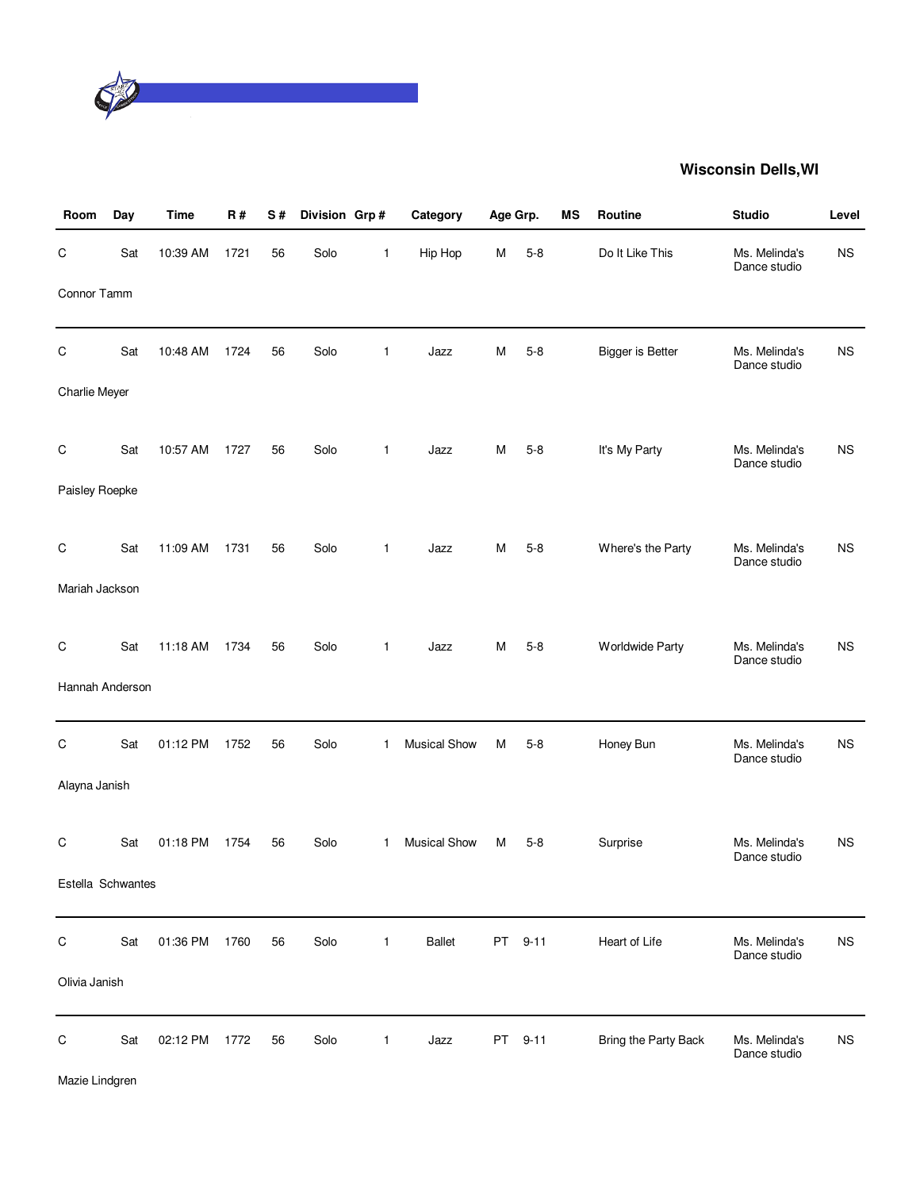

| Room                 | Day | <b>Time</b> | <b>R#</b> | S# | Division Grp# |              | Category            | Age Grp. |         | MS | Routine                 | <b>Studio</b>                 | Level     |
|----------------------|-----|-------------|-----------|----|---------------|--------------|---------------------|----------|---------|----|-------------------------|-------------------------------|-----------|
| C                    | Sat | 10:39 AM    | 1721      | 56 | Solo          | 1            | Hip Hop             | M        | $5 - 8$ |    | Do It Like This         | Ms. Melinda's<br>Dance studio | <b>NS</b> |
| Connor Tamm          |     |             |           |    |               |              |                     |          |         |    |                         |                               |           |
| $\mathsf C$          | Sat | 10:48 AM    | 1724      | 56 | Solo          | $\mathbf{1}$ | Jazz                | M        | $5 - 8$ |    | <b>Bigger is Better</b> | Ms. Melinda's<br>Dance studio | <b>NS</b> |
| <b>Charlie Meyer</b> |     |             |           |    |               |              |                     |          |         |    |                         |                               |           |
| $\mathsf C$          | Sat | 10:57 AM    | 1727      | 56 | Solo          | $\mathbf{1}$ | Jazz                | М        | $5 - 8$ |    | It's My Party           | Ms. Melinda's<br>Dance studio | <b>NS</b> |
| Paisley Roepke       |     |             |           |    |               |              |                     |          |         |    |                         |                               |           |
| $\mathsf C$          | Sat | 11:09 AM    | 1731      | 56 | Solo          | $\mathbf{1}$ | Jazz                | М        | $5 - 8$ |    | Where's the Party       | Ms. Melinda's                 | <b>NS</b> |
| Mariah Jackson       |     |             |           |    |               |              |                     |          |         |    |                         | Dance studio                  |           |
| C                    | Sat | 11:18 AM    | 1734      | 56 | Solo          | $\mathbf{1}$ | Jazz                | м        | $5-8$   |    | <b>Worldwide Party</b>  | Ms. Melinda's                 | <b>NS</b> |
| Hannah Anderson      |     |             |           |    |               |              |                     |          |         |    |                         | Dance studio                  |           |
|                      |     |             |           |    |               |              |                     |          |         |    |                         |                               |           |
| $\mathsf C$          | Sat | 01:12 PM    | 1752      | 56 | Solo          | $\mathbf{1}$ | <b>Musical Show</b> | M        | $5 - 8$ |    | Honey Bun               | Ms. Melinda's<br>Dance studio | <b>NS</b> |
| Alayna Janish        |     |             |           |    |               |              |                     |          |         |    |                         |                               |           |
| C                    | Sat | 01:18 PM    | 1754      | 56 | Solo          | 1            | <b>Musical Show</b> | м        | $5 - 8$ |    | Surprise                | Ms. Melinda's<br>Dance studio | <b>NS</b> |
| Estella Schwantes    |     |             |           |    |               |              |                     |          |         |    |                         |                               |           |
| $\mathsf C$          | Sat | 01:36 PM    | 1760      | 56 | Solo          | $\mathbf{1}$ | <b>Ballet</b>       |          | PT 9-11 |    | Heart of Life           | Ms. Melinda's                 | <b>NS</b> |
| Olivia Janish        |     |             |           |    |               |              |                     |          |         |    |                         | Dance studio                  |           |
| $\mathsf C$          | Sat | 02:12 PM    | 1772      | 56 | Solo          | $\mathbf{1}$ | Jazz                |          | PT 9-11 |    | Bring the Party Back    | Ms. Melinda's<br>Dance studio | <b>NS</b> |

Mazie Lindgren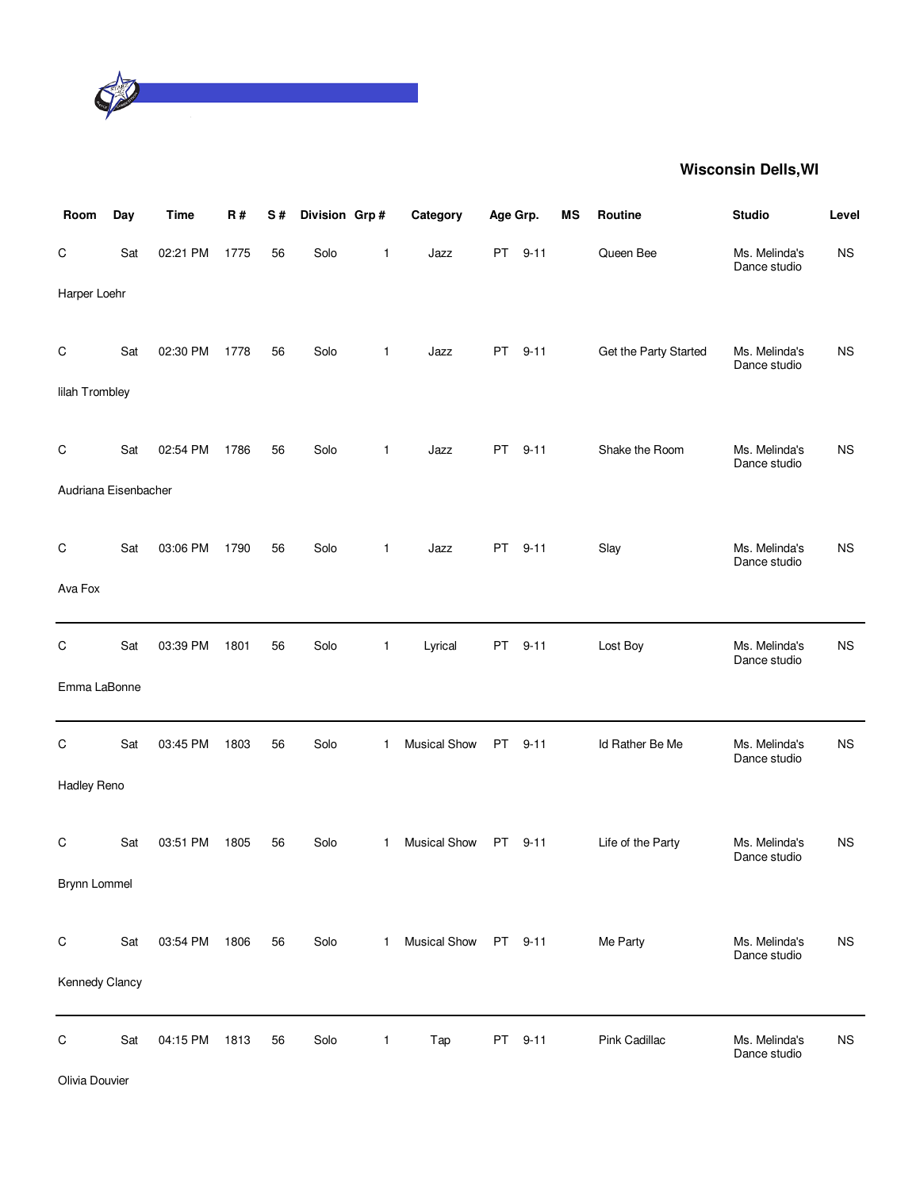

| Room                 | Day | <b>Time</b> | R#   | S# | Division Grp# |              | Category            | Age Grp.  |          | MS | Routine               | <b>Studio</b>                 | Level     |
|----------------------|-----|-------------|------|----|---------------|--------------|---------------------|-----------|----------|----|-----------------------|-------------------------------|-----------|
| $\mathsf C$          | Sat | 02:21 PM    | 1775 | 56 | Solo          | $\mathbf{1}$ | Jazz                |           | PT 9-11  |    | Queen Bee             | Ms. Melinda's<br>Dance studio | <b>NS</b> |
| Harper Loehr         |     |             |      |    |               |              |                     |           |          |    |                       |                               |           |
| $\mathsf C$          | Sat | 02:30 PM    | 1778 | 56 | Solo          | $\mathbf{1}$ | Jazz                | PT        | $9 - 11$ |    | Get the Party Started | Ms. Melinda's<br>Dance studio | <b>NS</b> |
| lilah Trombley       |     |             |      |    |               |              |                     |           |          |    |                       |                               |           |
| C                    | Sat | 02:54 PM    | 1786 | 56 | Solo          | $\mathbf{1}$ | Jazz                | PT        | $9 - 11$ |    | Shake the Room        | Ms. Melinda's<br>Dance studio | <b>NS</b> |
| Audriana Eisenbacher |     |             |      |    |               |              |                     |           |          |    |                       |                               |           |
| $\mathsf C$          | Sat | 03:06 PM    | 1790 | 56 | Solo          | $\mathbf{1}$ | Jazz                | PT        | $9 - 11$ |    | Slay                  | Ms. Melinda's<br>Dance studio | <b>NS</b> |
| Ava Fox              |     |             |      |    |               |              |                     |           |          |    |                       |                               |           |
| C                    | Sat | 03:39 PM    | 1801 | 56 | Solo          | $\mathbf{1}$ | Lyrical             | PT        | $9 - 11$ |    | Lost Boy              | Ms. Melinda's<br>Dance studio | <b>NS</b> |
| Emma LaBonne         |     |             |      |    |               |              |                     |           |          |    |                       |                               |           |
| $\mathsf C$          | Sat | 03:45 PM    | 1803 | 56 | Solo          | $\mathbf{1}$ | <b>Musical Show</b> | <b>PT</b> | $9 - 11$ |    | Id Rather Be Me       | Ms. Melinda's<br>Dance studio | <b>NS</b> |
| Hadley Reno          |     |             |      |    |               |              |                     |           |          |    |                       |                               |           |
| C                    | Sat | 03:51 PM    | 1805 | 56 | Solo          | $\mathbf{1}$ | <b>Musical Show</b> | PT        | $9 - 11$ |    | Life of the Party     | Ms. Melinda's<br>Dance studio | <b>NS</b> |
| Brynn Lommel         |     |             |      |    |               |              |                     |           |          |    |                       |                               |           |
| $\mathsf C$          | Sat | 03:54 PM    | 1806 | 56 | Solo          | $\mathbf{1}$ | <b>Musical Show</b> |           | PT 9-11  |    | Me Party              | Ms. Melinda's<br>Dance studio | <b>NS</b> |
| Kennedy Clancy       |     |             |      |    |               |              |                     |           |          |    |                       |                               |           |
| $\mathsf C$          | Sat | 04:15 PM    | 1813 | 56 | Solo          | $\mathbf{1}$ | Tap                 | <b>PT</b> | $9 - 11$ |    | Pink Cadillac         | Ms. Melinda's<br>Dance studio | <b>NS</b> |

Olivia Douvier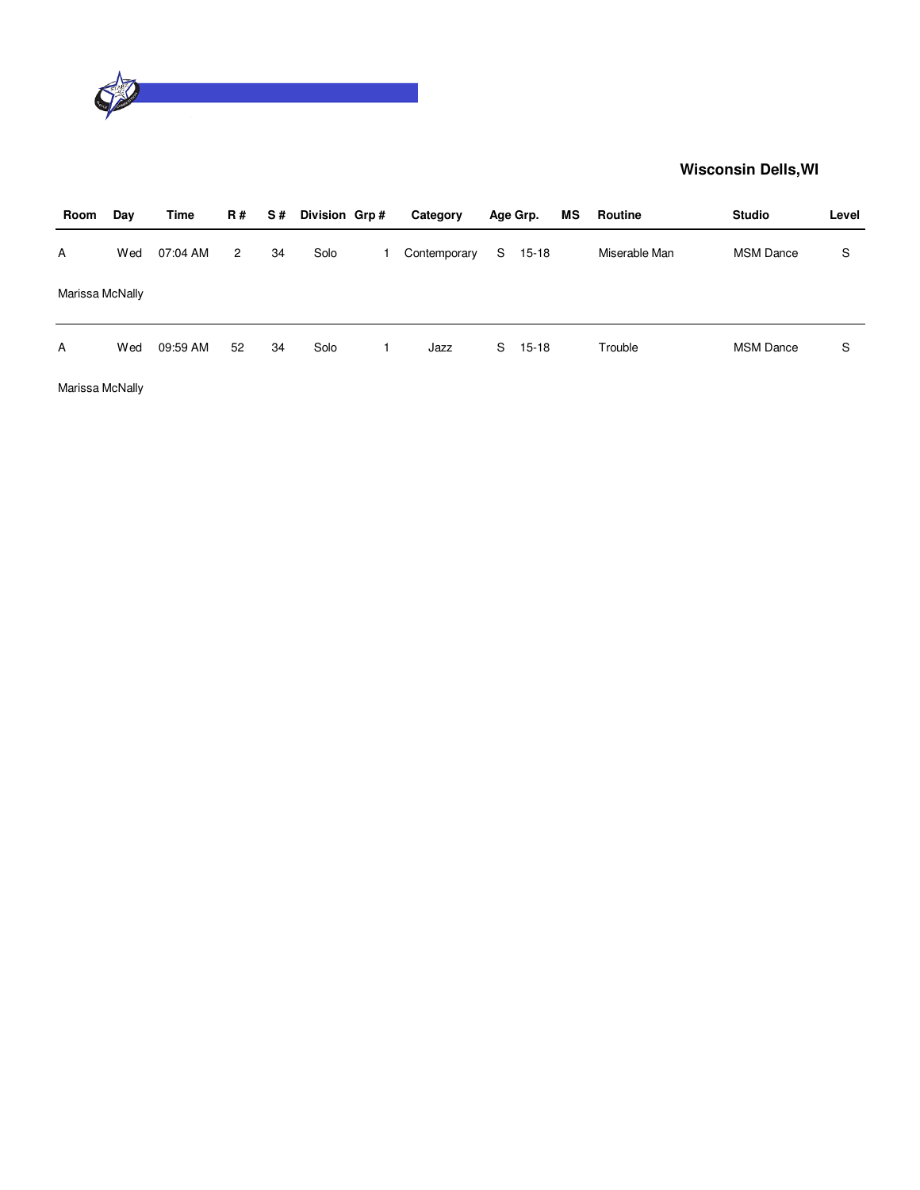

| Room            | Day | Time     | R #          | S# | Division Grp# | Category     |    | Age Grp. | MS | Routine       | <b>Studio</b>    | Level |
|-----------------|-----|----------|--------------|----|---------------|--------------|----|----------|----|---------------|------------------|-------|
| A               | Wed | 07:04 AM | $\mathbf{2}$ | 34 | Solo          | Contemporary | S  | $15-18$  |    | Miserable Man | <b>MSM Dance</b> | S     |
| Marissa McNally |     |          |              |    |               |              |    |          |    |               |                  |       |
| A               | Wed | 09:59 AM | 52           | 34 | Solo          | Jazz         | S. | $15-18$  |    | Trouble       | <b>MSM Dance</b> | S     |

Marissa McNally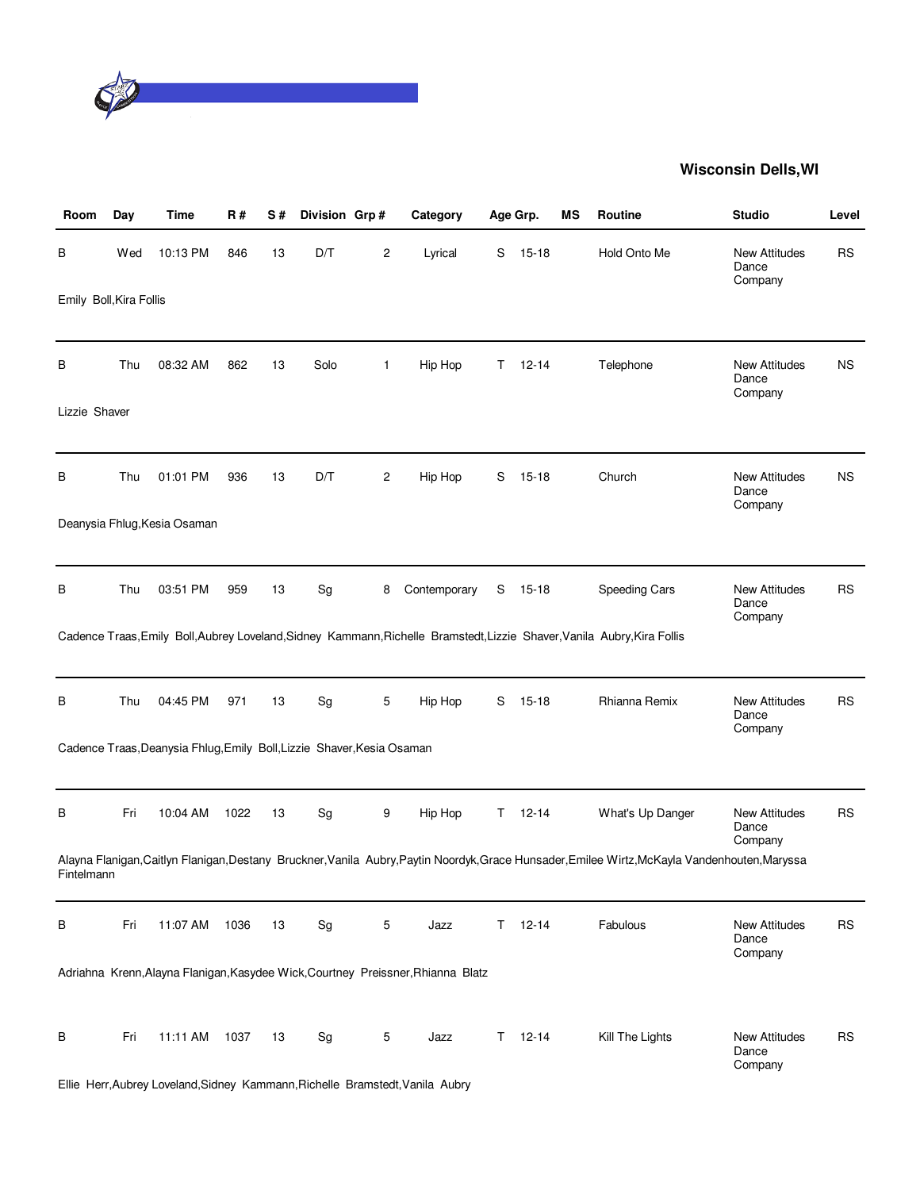

| Room                    | Day | Time                                                                   | R#   | S# | Division Grp# |              | Category                                                                         |   | Age Grp.      | МS | <b>Routine</b>                                                                                                                                 | <b>Studio</b>                            | Level     |
|-------------------------|-----|------------------------------------------------------------------------|------|----|---------------|--------------|----------------------------------------------------------------------------------|---|---------------|----|------------------------------------------------------------------------------------------------------------------------------------------------|------------------------------------------|-----------|
| В                       | Wed | 10:13 PM                                                               | 846  | 13 | D/T           | 2            | Lyrical                                                                          | S | $15 - 18$     |    | Hold Onto Me                                                                                                                                   | <b>New Attitudes</b><br>Dance<br>Company | <b>RS</b> |
| Emily Boll, Kira Follis |     |                                                                        |      |    |               |              |                                                                                  |   |               |    |                                                                                                                                                |                                          |           |
| В                       | Thu | 08:32 AM                                                               | 862  | 13 | Solo          | $\mathbf{1}$ | Hip Hop                                                                          | Τ | $12 - 14$     |    | Telephone                                                                                                                                      | <b>New Attitudes</b><br>Dance<br>Company | <b>NS</b> |
| Lizzie Shaver           |     |                                                                        |      |    |               |              |                                                                                  |   |               |    |                                                                                                                                                |                                          |           |
| в                       | Thu | 01:01 PM                                                               | 936  | 13 | D/T           | 2            | Hip Hop                                                                          | S | $15 - 18$     |    | Church                                                                                                                                         | <b>New Attitudes</b><br>Dance<br>Company | <b>NS</b> |
|                         |     | Deanysia Fhlug, Kesia Osaman                                           |      |    |               |              |                                                                                  |   |               |    |                                                                                                                                                |                                          |           |
| в                       | Thu | 03:51 PM                                                               | 959  | 13 | Sg            | 8            | Contemporary                                                                     | S | $15 - 18$     |    | Speeding Cars                                                                                                                                  | <b>New Attitudes</b><br>Dance<br>Company | RS        |
|                         |     |                                                                        |      |    |               |              |                                                                                  |   |               |    | Cadence Traas, Emily Boll, Aubrey Loveland, Sidney Kammann, Richelle Bramstedt, Lizzie Shaver, Vanila Aubry, Kira Follis                       |                                          |           |
| В                       | Thu | 04:45 PM                                                               | 971  | 13 | Sg            | 5            | Hip Hop                                                                          | S | $15 - 18$     |    | Rhianna Remix                                                                                                                                  | <b>New Attitudes</b><br>Dance<br>Company | <b>RS</b> |
|                         |     | Cadence Traas, Deanysia Fhlug, Emily Boll, Lizzie Shaver, Kesia Osaman |      |    |               |              |                                                                                  |   |               |    |                                                                                                                                                |                                          |           |
| В                       | Fri | 10:04 AM                                                               | 1022 | 13 | Sg            | 9            | Hip Hop                                                                          | Τ | $12 - 14$     |    | What's Up Danger                                                                                                                               | New Attitudes<br>Dance<br>Company        | <b>RS</b> |
| Fintelmann              |     |                                                                        |      |    |               |              |                                                                                  |   |               |    | Alayna Flanigan, Caitlyn Flanigan, Destany Bruckner, Vanila Aubry, Paytin Noordyk, Grace Hunsader, Emilee Wirtz, McKayla Vandenhouten, Maryssa |                                          |           |
| В                       | Fri | 11:07 AM                                                               | 1036 | 13 | Sg            | 5            | Jazz                                                                             | Τ | $12 - 14$     |    | Fabulous                                                                                                                                       | <b>New Attitudes</b><br>Dance<br>Company | <b>RS</b> |
|                         |     |                                                                        |      |    |               |              | Adriahna Krenn, Alayna Flanigan, Kasydee Wick, Courtney Preissner, Rhianna Blatz |   |               |    |                                                                                                                                                |                                          |           |
| В                       | Fri | 11:11 AM                                                               | 1037 | 13 | Sg            | 5            | Jazz                                                                             |   | $T = 12 - 14$ |    | Kill The Lights                                                                                                                                | <b>New Attitudes</b><br>Dance<br>Company | <b>RS</b> |
|                         |     |                                                                        |      |    |               |              | Ellie Herr, Aubrey Loveland, Sidney Kammann, Richelle Bramstedt, Vanila Aubry    |   |               |    |                                                                                                                                                |                                          |           |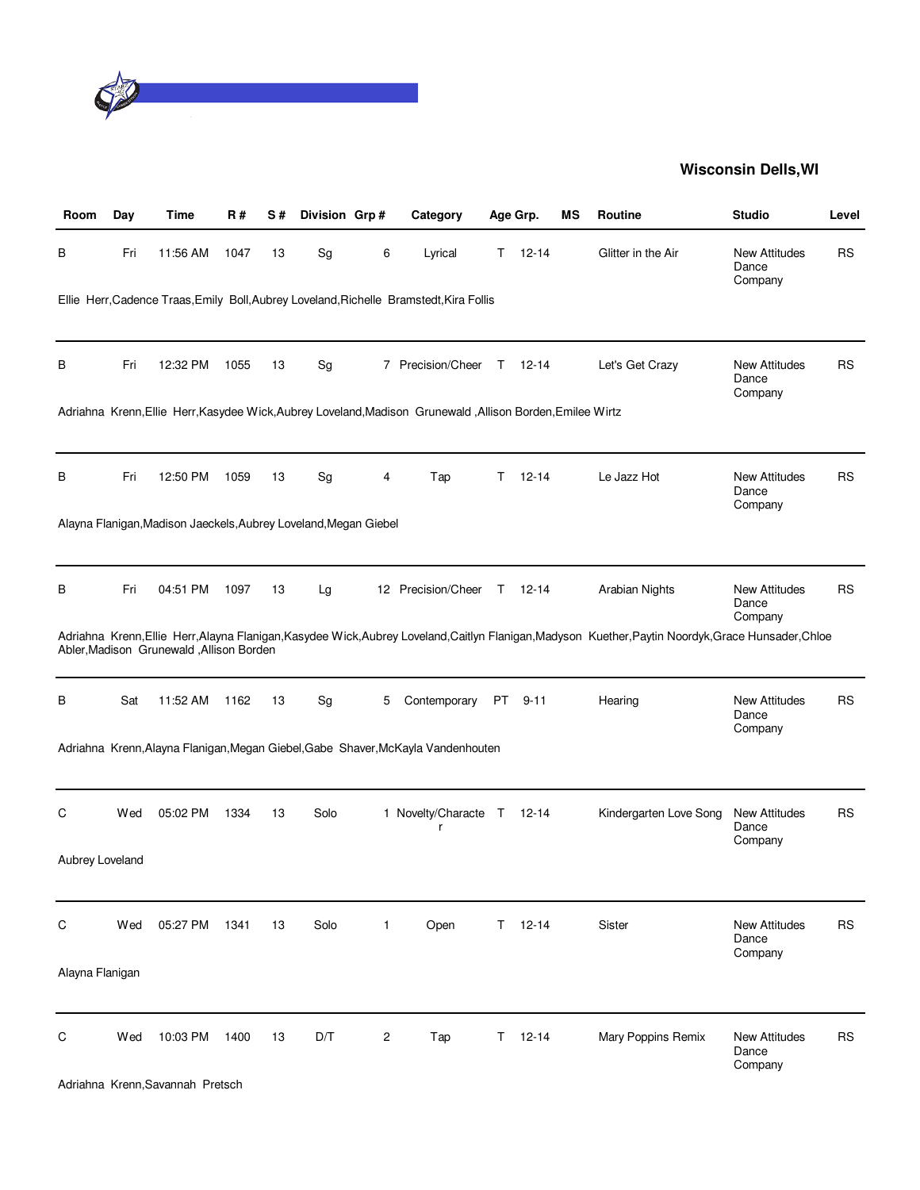

| Room            | Day | Time                                                             | R#   | S# | Division Grp# |   | Category                                                                                                   |        | Age Grp.  | МS | <b>Routine</b>                                                                                                                                       | <b>Studio</b>                            | Level     |
|-----------------|-----|------------------------------------------------------------------|------|----|---------------|---|------------------------------------------------------------------------------------------------------------|--------|-----------|----|------------------------------------------------------------------------------------------------------------------------------------------------------|------------------------------------------|-----------|
| В               | Fri | 11:56 AM                                                         | 1047 | 13 | Sg            | 6 | Lyrical                                                                                                    | Τ      | $12 - 14$ |    | Glitter in the Air                                                                                                                                   | <b>New Attitudes</b><br>Dance<br>Company | RS        |
|                 |     |                                                                  |      |    |               |   | Ellie Herr, Cadence Traas, Emily Boll, Aubrey Loveland, Richelle Bramstedt, Kira Follis                    |        |           |    |                                                                                                                                                      |                                          |           |
| В               | Fri | 12:32 PM                                                         | 1055 | 13 | Sg            |   | 7 Precision/Cheer                                                                                          | $\top$ | $12 - 14$ |    | Let's Get Crazy                                                                                                                                      | <b>New Attitudes</b><br>Dance<br>Company | <b>RS</b> |
|                 |     |                                                                  |      |    |               |   | Adriahna Krenn, Ellie Herr, Kasydee Wick, Aubrey Loveland, Madison Grunewald, Allison Borden, Emilee Wirtz |        |           |    |                                                                                                                                                      |                                          |           |
| в               | Fri | 12:50 PM                                                         | 1059 | 13 | Sg            | 4 | Tap                                                                                                        | Τ      | $12 - 14$ |    | Le Jazz Hot                                                                                                                                          | <b>New Attitudes</b><br>Dance<br>Company | RS        |
|                 |     | Alayna Flanigan, Madison Jaeckels, Aubrey Loveland, Megan Giebel |      |    |               |   |                                                                                                            |        |           |    |                                                                                                                                                      |                                          |           |
| B               | Fri | 04:51 PM                                                         | 1097 | 13 | Lg            |   | 12 Precision/Cheer                                                                                         |        | T 12-14   |    | Arabian Nights                                                                                                                                       | <b>New Attitudes</b><br>Dance<br>Company | RS        |
|                 |     | Abler, Madison Grunewald, Allison Borden                         |      |    |               |   |                                                                                                            |        |           |    | Adriahna Krenn, Ellie Herr, Alayna Flanigan, Kasydee Wick, Aubrey Loveland, Caitlyn Flanigan, Madyson Kuether, Paytin Noordyk, Grace Hunsader, Chloe |                                          |           |
| В               | Sat | 11:52 AM                                                         | 1162 | 13 | Sg            | 5 | Contemporary                                                                                               | PT .   | $9 - 11$  |    | Hearing                                                                                                                                              | <b>New Attitudes</b><br>Dance<br>Company | <b>RS</b> |
|                 |     |                                                                  |      |    |               |   | Adriahna Krenn, Alayna Flanigan, Megan Giebel, Gabe Shaver, McKayla Vandenhouten                           |        |           |    |                                                                                                                                                      |                                          |           |
| С               | Wed | 05:02 PM                                                         | 1334 | 13 | Solo          |   | 1 Novelty/Characte T<br>r                                                                                  |        | 12-14     |    | Kindergarten Love Song                                                                                                                               | <b>New Attitudes</b><br>Dance<br>Company | <b>RS</b> |
| Aubrey Loveland |     |                                                                  |      |    |               |   |                                                                                                            |        |           |    |                                                                                                                                                      |                                          |           |
| C               | Wed | 05:27 PM                                                         | 1341 | 13 | Solo          | 1 | Open                                                                                                       | T.     | $12 - 14$ |    | Sister                                                                                                                                               | <b>New Attitudes</b><br>Dance<br>Company | RS        |
| Alayna Flanigan |     |                                                                  |      |    |               |   |                                                                                                            |        |           |    |                                                                                                                                                      |                                          |           |
| С               | Wed | 10:03 PM                                                         | 1400 | 13 | D/T           | 2 | Tap                                                                                                        | T.     | $12 - 14$ |    | Mary Poppins Remix                                                                                                                                   | <b>New Attitudes</b><br>Dance<br>Company | <b>RS</b> |
|                 |     | Adriahna Krenn, Savannah Pretsch                                 |      |    |               |   |                                                                                                            |        |           |    |                                                                                                                                                      |                                          |           |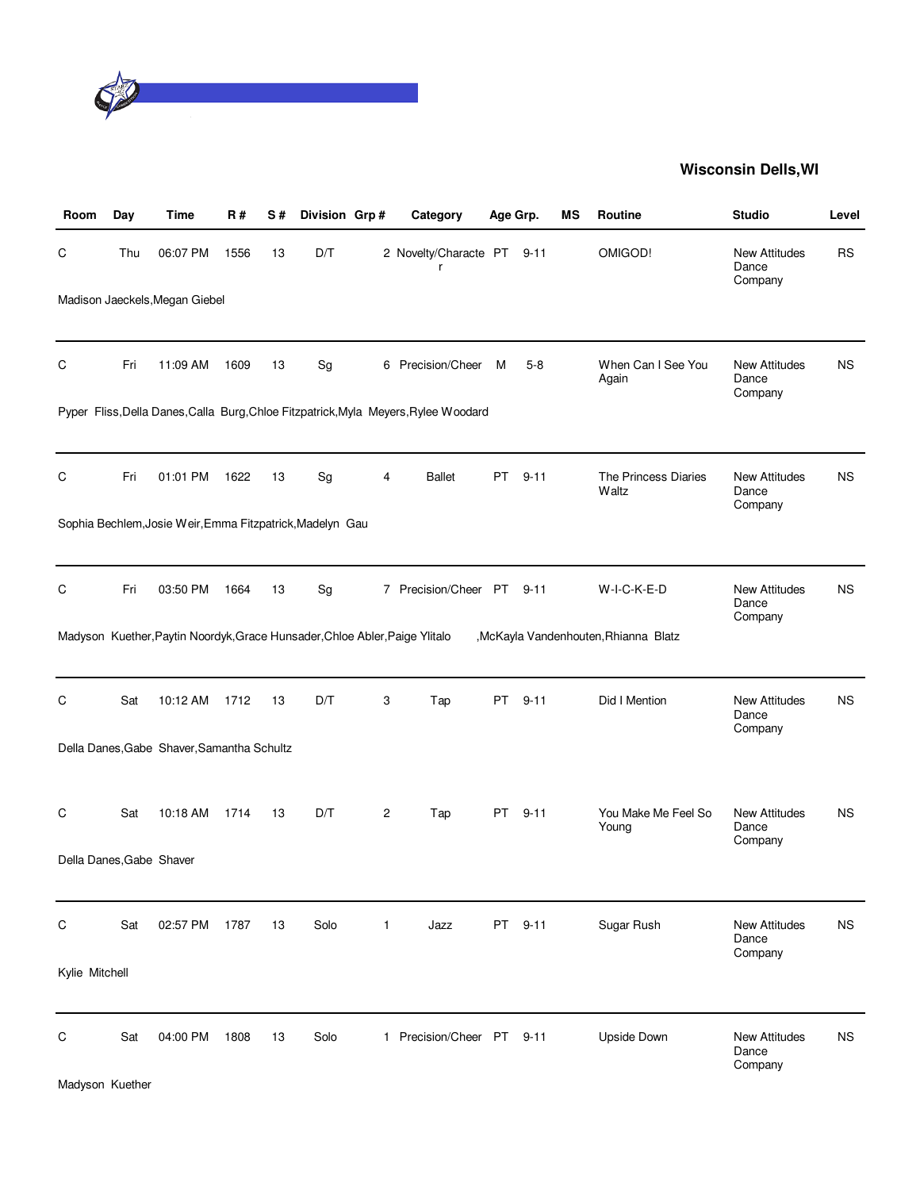

| Room           | Day | Time                                                                        | R#   | S# | Division Grp# |              | Category                                                                            | Age Grp. |          | ΜS | <b>Routine</b>                       | <b>Studio</b>                            | Level     |
|----------------|-----|-----------------------------------------------------------------------------|------|----|---------------|--------------|-------------------------------------------------------------------------------------|----------|----------|----|--------------------------------------|------------------------------------------|-----------|
| C              | Thu | 06:07 PM                                                                    | 1556 | 13 | D/T           |              | 2 Novelty/Characte PT                                                               |          | $9 - 11$ |    | OMIGOD!                              | <b>New Attitudes</b><br>Dance<br>Company | RS        |
|                |     | Madison Jaeckels, Megan Giebel                                              |      |    |               |              |                                                                                     |          |          |    |                                      |                                          |           |
| C              | Fri | 11:09 AM                                                                    | 1609 | 13 | Sg            |              | 6 Precision/Cheer                                                                   | M        | $5-8$    |    | When Can I See You<br>Again          | <b>New Attitudes</b><br>Dance<br>Company | ΝS        |
|                |     |                                                                             |      |    |               |              | Pyper Fliss, Della Danes, Calla Burg, Chloe Fitzpatrick, Myla Meyers, Rylee Woodard |          |          |    |                                      |                                          |           |
| C              | Fri | 01:01 PM                                                                    | 1622 | 13 | Sg            | 4            | <b>Ballet</b>                                                                       | PT       | $9 - 11$ |    | The Princess Diaries<br>Waltz        | <b>New Attitudes</b><br>Dance<br>Company | ΝS        |
|                |     | Sophia Bechlem, Josie Weir, Emma Fitzpatrick, Madelyn Gau                   |      |    |               |              |                                                                                     |          |          |    |                                      |                                          |           |
| C              | Fri | 03:50 PM                                                                    | 1664 | 13 | Sg            |              | 7 Precision/Cheer PT 9-11                                                           |          |          |    | W-I-C-K-E-D                          | <b>New Attitudes</b><br>Dance<br>Company | ΝS        |
|                |     | Madyson Kuether, Paytin Noordyk, Grace Hunsader, Chloe Abler, Paige Ylitalo |      |    |               |              |                                                                                     |          |          |    | ,McKayla Vandenhouten, Rhianna Blatz |                                          |           |
| C              | Sat | 10:12 AM                                                                    | 1712 | 13 | D/T           | 3            | Tap                                                                                 | PT       | $9 - 11$ |    | Did I Mention                        | <b>New Attitudes</b><br>Dance<br>Company | <b>NS</b> |
|                |     | Della Danes, Gabe Shaver, Samantha Schultz                                  |      |    |               |              |                                                                                     |          |          |    |                                      |                                          |           |
| C              | Sat | 10:18 AM                                                                    | 1714 | 13 | D/T           | 2            | Tap                                                                                 | PT       | $9 - 11$ |    | You Make Me Feel So<br>Young         | <b>New Attitudes</b><br>Dance<br>Company | <b>NS</b> |
|                |     | Della Danes, Gabe Shaver                                                    |      |    |               |              |                                                                                     |          |          |    |                                      |                                          |           |
| C              | Sat | 02:57 PM                                                                    | 1787 | 13 | Solo          | $\mathbf{1}$ | Jazz                                                                                | PT       | $9 - 11$ |    | Sugar Rush                           | New Attitudes<br>Dance<br>Company        | <b>NS</b> |
| Kylie Mitchell |     |                                                                             |      |    |               |              |                                                                                     |          |          |    |                                      |                                          |           |
| C              | Sat | 04:00 PM                                                                    | 1808 | 13 | Solo          |              | 1 Precision/Cheer PT                                                                |          | $9 - 11$ |    | Upside Down                          | <b>New Attitudes</b><br>Dance<br>Company | <b>NS</b> |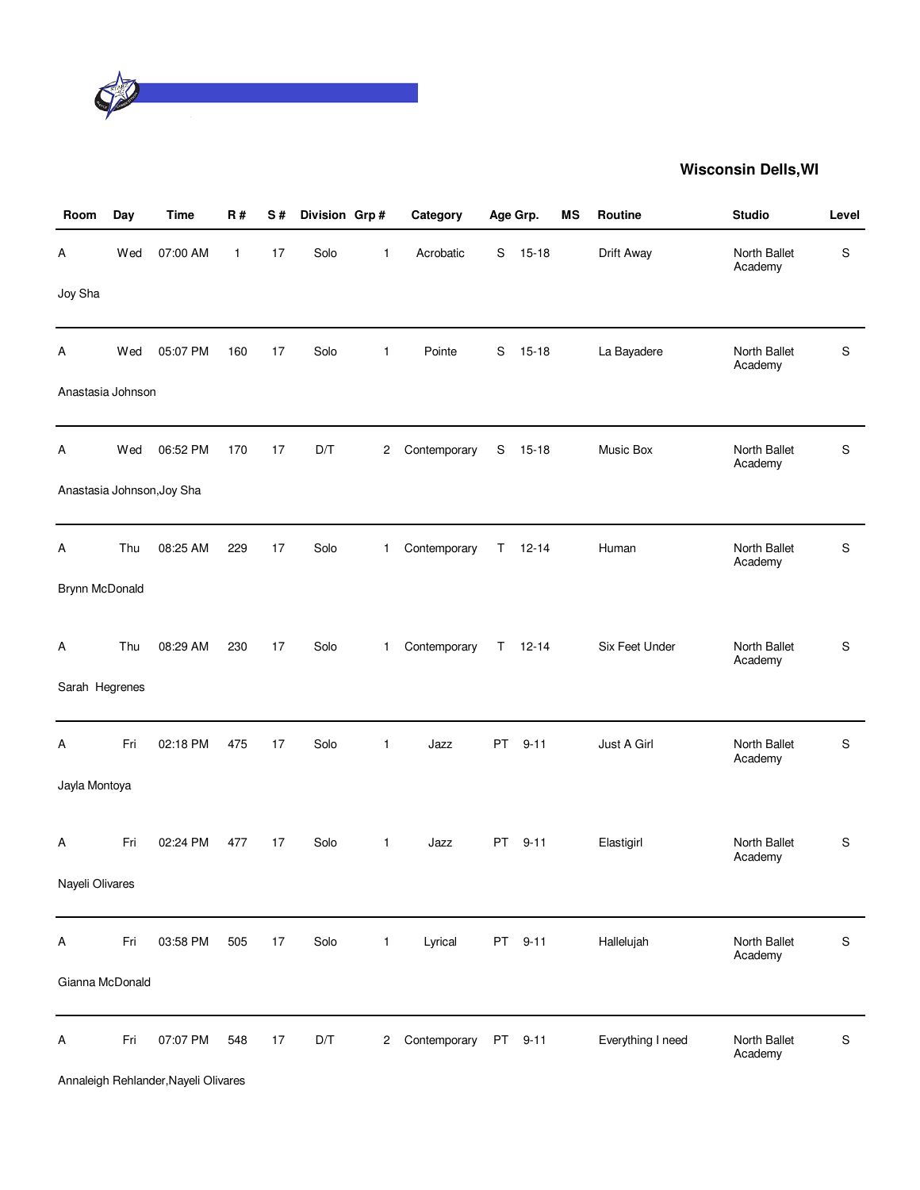

| Room              | Day | <b>Time</b>                | R#           | S# | Division Grp# |                | Category     |    | Age Grp.  | MS | Routine           | <b>Studio</b>           | Level         |
|-------------------|-----|----------------------------|--------------|----|---------------|----------------|--------------|----|-----------|----|-------------------|-------------------------|---------------|
| А                 | Wed | 07:00 AM                   | $\mathbf{1}$ | 17 | Solo          | $\mathbf{1}$   | Acrobatic    | S  | $15 - 18$ |    | Drift Away        | North Ballet<br>Academy | ${\mathbb S}$ |
| Joy Sha           |     |                            |              |    |               |                |              |    |           |    |                   |                         |               |
| Α                 | Wed | 05:07 PM                   | 160          | 17 | Solo          | $\mathbf{1}$   | Pointe       | S  | $15 - 18$ |    | La Bayadere       | North Ballet<br>Academy | S             |
| Anastasia Johnson |     |                            |              |    |               |                |              |    |           |    |                   |                         |               |
| А                 | Wed | 06:52 PM                   | 170          | 17 | D/T           | 2              | Contemporary | S  | $15 - 18$ |    | Music Box         | North Ballet<br>Academy | S             |
|                   |     | Anastasia Johnson, Joy Sha |              |    |               |                |              |    |           |    |                   |                         |               |
| А                 | Thu | 08:25 AM                   | 229          | 17 | Solo          | 1              | Contemporary | T  | $12 - 14$ |    | Human             | North Ballet<br>Academy | S             |
| Brynn McDonald    |     |                            |              |    |               |                |              |    |           |    |                   |                         |               |
| Α                 | Thu | 08:29 AM                   | 230          | 17 | Solo          | $\mathbf{1}$   | Contemporary | T. | $12 - 14$ |    | Six Feet Under    | North Ballet<br>Academy | S             |
| Sarah Hegrenes    |     |                            |              |    |               |                |              |    |           |    |                   |                         |               |
| Α                 | Fri | 02:18 PM                   | 475          | 17 | Solo          | $\mathbf{1}$   | Jazz         | PT | $9 - 11$  |    | Just A Girl       | North Ballet<br>Academy | ${\mathbb S}$ |
| Jayla Montoya     |     |                            |              |    |               |                |              |    |           |    |                   |                         |               |
| A                 | Fri | 02:24 PM                   | 477          | 17 | Solo          | $\mathbf{1}$   | Jazz         | PT | $9 - 11$  |    | Elastigirl        | North Ballet<br>Academy | S             |
| Nayeli Olivares   |     |                            |              |    |               |                |              |    |           |    |                   |                         |               |
| A                 | Fri | 03:58 PM                   | 505          | 17 | Solo          | $\mathbf{1}$   | Lyrical      | PT | $9 - 11$  |    | Hallelujah        | North Ballet<br>Academy | S             |
| Gianna McDonald   |     |                            |              |    |               |                |              |    |           |    |                   |                         |               |
| A                 | Fri | 07:07 PM                   | 548          | 17 | D/T           | $\overline{c}$ | Contemporary |    | PT 9-11   |    | Everything I need | North Ballet<br>Academy | ${\sf S}$     |

Annaleigh Rehlander,Nayeli Olivares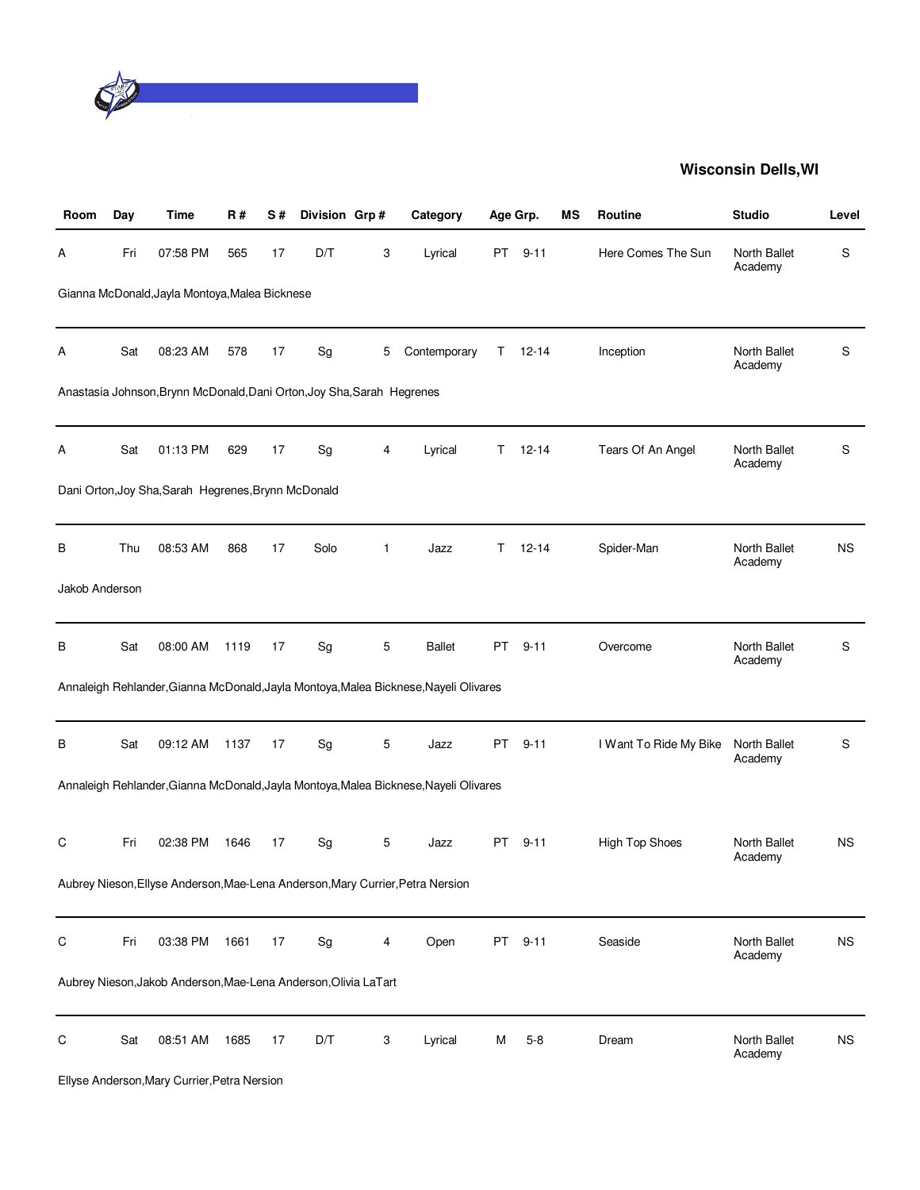

| Room           | Day | <b>Time</b>                                                            | R#   | S# | Division Grp# |   | Category                                                                             |    | Age Grp.  | ΜS | <b>Routine</b>         | <b>Studio</b>           | Level     |
|----------------|-----|------------------------------------------------------------------------|------|----|---------------|---|--------------------------------------------------------------------------------------|----|-----------|----|------------------------|-------------------------|-----------|
| А              | Fri | 07:58 PM                                                               | 565  | 17 | D/T           | 3 | Lyrical                                                                              | PT | $9 - 11$  |    | Here Comes The Sun     | North Ballet<br>Academy | S         |
|                |     | Gianna McDonald, Jayla Montoya, Malea Bicknese                         |      |    |               |   |                                                                                      |    |           |    |                        |                         |           |
| А              | Sat | 08:23 AM                                                               | 578  | 17 | Sg            | 5 | Contemporary                                                                         | T. | $12 - 14$ |    | Inception              | North Ballet<br>Academy | S         |
|                |     | Anastasia Johnson, Brynn McDonald, Dani Orton, Joy Sha, Sarah Hegrenes |      |    |               |   |                                                                                      |    |           |    |                        |                         |           |
| А              | Sat | 01:13 PM                                                               | 629  | 17 | Sg            | 4 | Lyrical                                                                              | T. | $12 - 14$ |    | Tears Of An Angel      | North Ballet<br>Academy | S         |
|                |     | Dani Orton, Joy Sha, Sarah Hegrenes, Brynn McDonald                    |      |    |               |   |                                                                                      |    |           |    |                        |                         |           |
| В              | Thu | 08:53 AM                                                               | 868  | 17 | Solo          | 1 | Jazz                                                                                 | Τ  | $12 - 14$ |    | Spider-Man             | North Ballet<br>Academy | <b>NS</b> |
| Jakob Anderson |     |                                                                        |      |    |               |   |                                                                                      |    |           |    |                        |                         |           |
| в              | Sat | 08:00 AM                                                               | 1119 | 17 | Sg            | 5 | <b>Ballet</b>                                                                        | PT | $9 - 11$  |    | Overcome               | North Ballet<br>Academy | S         |
|                |     |                                                                        |      |    |               |   | Annaleigh Rehlander, Gianna McDonald, Jayla Montoya, Malea Bicknese, Nayeli Olivares |    |           |    |                        |                         |           |
| В              | Sat | 09:12 AM                                                               | 1137 | 17 | Sg            | 5 | Jazz                                                                                 | PT | $9 - 11$  |    | I Want To Ride My Bike | North Ballet<br>Academy | S         |
|                |     |                                                                        |      |    |               |   | Annaleigh Rehlander, Gianna McDonald, Jayla Montoya, Malea Bicknese, Nayeli Olivares |    |           |    |                        |                         |           |
| С              | Fri | 02:38 PM                                                               | 1646 | 17 | Sg            | 5 | Jazz                                                                                 | PT | $9 - 11$  |    | High Top Shoes         | North Ballet<br>Academy | <b>NS</b> |
|                |     |                                                                        |      |    |               |   | Aubrey Nieson, Ellyse Anderson, Mae-Lena Anderson, Mary Currier, Petra Nersion       |    |           |    |                        |                         |           |
| С              | Fri | 03:38 PM                                                               | 1661 | 17 | Sg            | 4 | Open                                                                                 | PT | $9 - 11$  |    | Seaside                | North Ballet<br>Academy | <b>NS</b> |
|                |     | Aubrey Nieson, Jakob Anderson, Mae-Lena Anderson, Olivia LaTart        |      |    |               |   |                                                                                      |    |           |    |                        |                         |           |
| C              | Sat | 08:51 AM                                                               | 1685 | 17 | D/T           | 3 | Lyrical                                                                              | М  | $5 - 8$   |    | Dream                  | North Ballet<br>Academy | <b>NS</b> |
|                |     | Ellyse Anderson, Mary Currier, Petra Nersion                           |      |    |               |   |                                                                                      |    |           |    |                        |                         |           |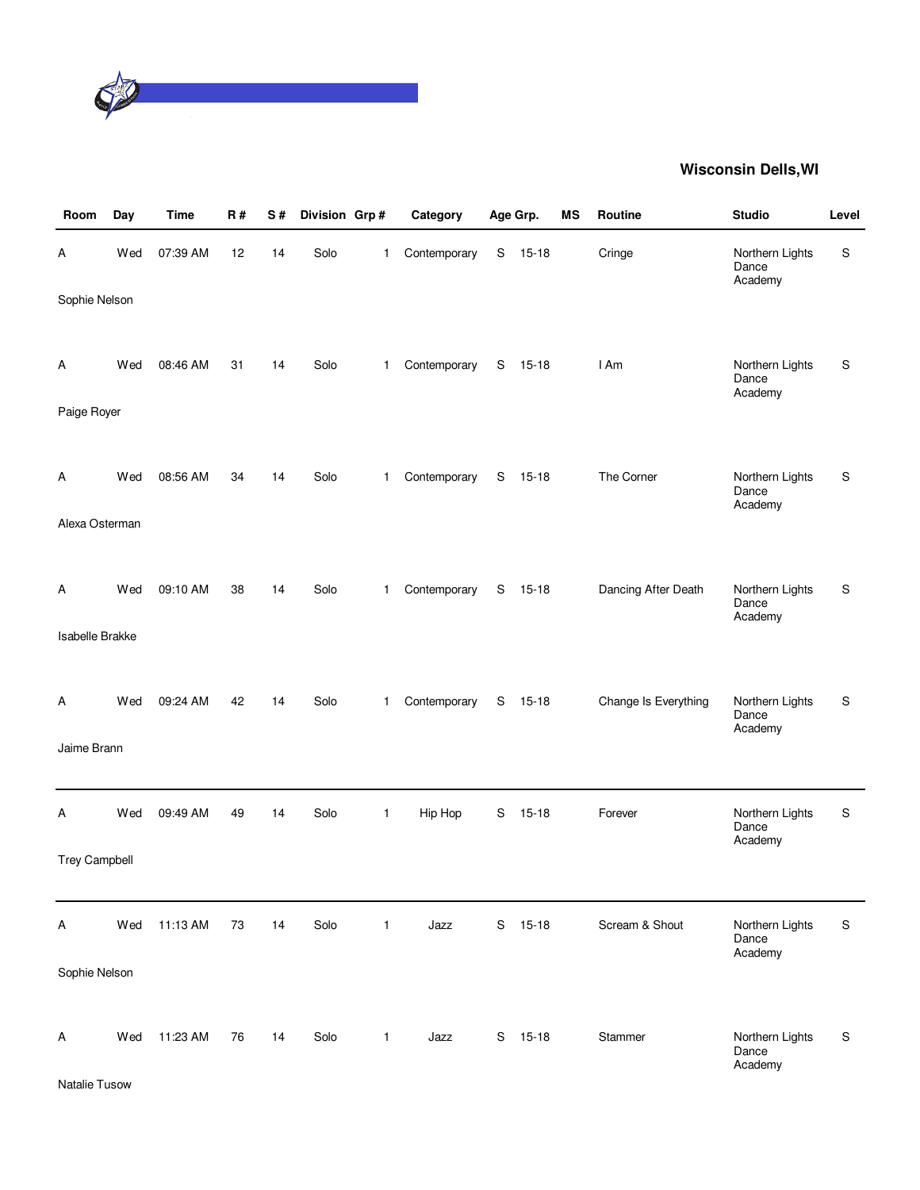

| Room                      | Day | <b>Time</b> | R# | S# | Division Grp# |              | Category     |   | Age Grp.  | MS | Routine              | <b>Studio</b>                       | Level         |
|---------------------------|-----|-------------|----|----|---------------|--------------|--------------|---|-----------|----|----------------------|-------------------------------------|---------------|
| Α                         | Wed | 07:39 AM    | 12 | 14 | Solo          | 1            | Contemporary | S | $15 - 18$ |    | Cringe               | Northern Lights<br>Dance<br>Academy | S             |
| Sophie Nelson             |     |             |    |    |               |              |              |   |           |    |                      |                                     |               |
| A                         | Wed | 08:46 AM    | 31 | 14 | Solo          | 1            | Contemporary | S | $15 - 18$ |    | I Am                 | Northern Lights<br>Dance            | S             |
| Paige Royer               |     |             |    |    |               |              |              |   |           |    |                      | Academy                             |               |
|                           |     |             |    |    |               |              |              |   |           |    |                      |                                     |               |
| Α                         | Wed | 08:56 AM    | 34 | 14 | Solo          | 1            | Contemporary | S | $15 - 18$ |    | The Corner           | Northern Lights<br>Dance<br>Academy | S             |
| Alexa Osterman            |     |             |    |    |               |              |              |   |           |    |                      |                                     |               |
|                           |     |             |    |    |               |              |              |   |           |    |                      |                                     |               |
| Α                         | Wed | 09:10 AM    | 38 | 14 | Solo          | 1            | Contemporary | S | $15 - 18$ |    | Dancing After Death  | Northern Lights<br>Dance            | S             |
| <b>Isabelle Brakke</b>    |     |             |    |    |               |              |              |   |           |    |                      | Academy                             |               |
|                           |     |             |    |    |               |              |              |   |           |    |                      |                                     |               |
| A                         | Wed | 09:24 AM    | 42 | 14 | Solo          | 1.           | Contemporary | S | $15 - 18$ |    | Change Is Everything | Northern Lights<br>Dance            | S             |
| Jaime Brann               |     |             |    |    |               |              |              |   |           |    |                      | Academy                             |               |
|                           |     |             |    |    |               |              |              |   |           |    |                      |                                     |               |
| Α                         | Wed | 09:49 AM    | 49 | 14 | Solo          | $\mathbf{1}$ | Hip Hop      | S | $15 - 18$ |    | Forever              | Northern Lights<br>Dance            | S             |
| <b>Trey Campbell</b>      |     |             |    |    |               |              |              |   |           |    |                      | Academy                             |               |
|                           |     |             |    |    |               |              |              |   |           |    |                      |                                     |               |
| $\boldsymbol{\mathsf{A}}$ | Wed | 11:13 AM    | 73 | 14 | Solo          | $\mathbf{1}$ | Jazz         | S | $15 - 18$ |    | Scream & Shout       | Northern Lights<br>Dance<br>Academy | ${\mathbb S}$ |
| Sophie Nelson             |     |             |    |    |               |              |              |   |           |    |                      |                                     |               |
|                           |     |             |    |    |               |              |              |   |           |    |                      |                                     |               |
| A                         | Wed | 11:23 AM    | 76 | 14 | Solo          | $\mathbf{1}$ | Jazz         | S | $15 - 18$ |    | Stammer              | Northern Lights<br>Dance<br>Academy | ${\mathbb S}$ |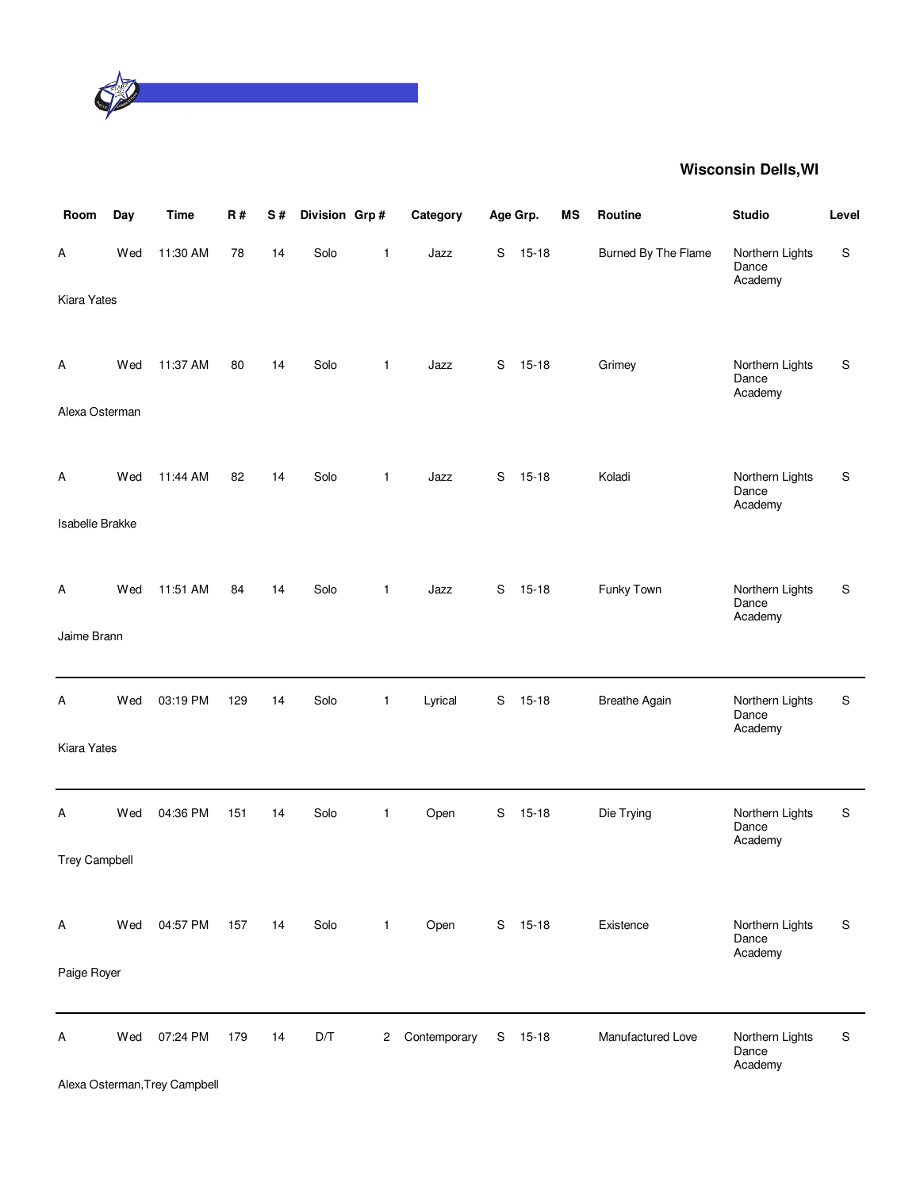

| Room                   | Day | <b>Time</b> | R#  | $\mathbf S$ # | Division Grp# |                | Category     |             | Age Grp.  | <b>MS</b> | Routine              | <b>Studio</b>                       | Level |
|------------------------|-----|-------------|-----|---------------|---------------|----------------|--------------|-------------|-----------|-----------|----------------------|-------------------------------------|-------|
| Α                      | Wed | 11:30 AM    | 78  | 14            | Solo          | $\mathbf{1}$   | Jazz         | S           | $15 - 18$ |           | Burned By The Flame  | Northern Lights<br>Dance<br>Academy | S     |
| <b>Kiara Yates</b>     |     |             |     |               |               |                |              |             |           |           |                      |                                     |       |
|                        |     |             |     |               |               |                |              |             |           |           |                      |                                     |       |
| Α                      | Wed | 11:37 AM    | 80  | 14            | Solo          | 1              | Jazz         | S           | $15 - 18$ |           | Grimey               | Northern Lights<br>Dance<br>Academy | S     |
| Alexa Osterman         |     |             |     |               |               |                |              |             |           |           |                      |                                     |       |
|                        |     |             |     |               |               |                |              |             |           |           |                      |                                     |       |
| Α                      | Wed | 11:44 AM    | 82  | 14            | Solo          | 1              | Jazz         | S           | $15 - 18$ |           | Koladi               | Northern Lights<br>Dance            | S     |
| <b>Isabelle Brakke</b> |     |             |     |               |               |                |              |             |           |           |                      | Academy                             |       |
|                        |     |             |     |               |               |                |              |             |           |           |                      |                                     |       |
| A                      | Wed | 11:51 AM    | 84  | 14            | Solo          | $\mathbf{1}$   | Jazz         | $\mathbf S$ | $15 - 18$ |           | Funky Town           | Northern Lights<br>Dance            | S     |
| Jaime Brann            |     |             |     |               |               |                |              |             |           |           |                      | Academy                             |       |
|                        |     |             |     |               |               |                |              |             |           |           |                      |                                     |       |
| Α                      | Wed | 03:19 PM    | 129 | 14            | Solo          | $\mathbf{1}$   | Lyrical      | S           | $15 - 18$ |           | <b>Breathe Again</b> | Northern Lights<br>Dance            | S     |
| Kiara Yates            |     |             |     |               |               |                |              |             |           |           |                      | Academy                             |       |
|                        |     |             |     |               |               |                |              |             |           |           |                      |                                     |       |
| Α                      | Wed | 04:36 PM    | 151 | 14            | Solo          | 1              | Open         | S           | $15 - 18$ |           | Die Trying           | Northern Lights<br>Dance            | S     |
| <b>Trey Campbell</b>   |     |             |     |               |               |                |              |             |           |           |                      | Academy                             |       |
|                        |     |             |     |               |               |                |              |             |           |           |                      |                                     |       |
| A                      | Wed | 04:57 PM    | 157 | 14            | Solo          | $\mathbf{1}$   | Open         |             | S 15-18   |           | Existence            | Northern Lights                     | S     |
|                        |     |             |     |               |               |                |              |             |           |           |                      | Dance<br>Academy                    |       |
| Paige Royer            |     |             |     |               |               |                |              |             |           |           |                      |                                     |       |
| A                      | Wed | 07:24 PM    | 179 | 14            | D/T           | $\overline{c}$ | Contemporary | S           | $15 - 18$ |           | Manufactured Love    | Northern Lights                     | S     |
|                        |     |             |     |               |               |                |              |             |           |           |                      | Dance<br>Academy                    |       |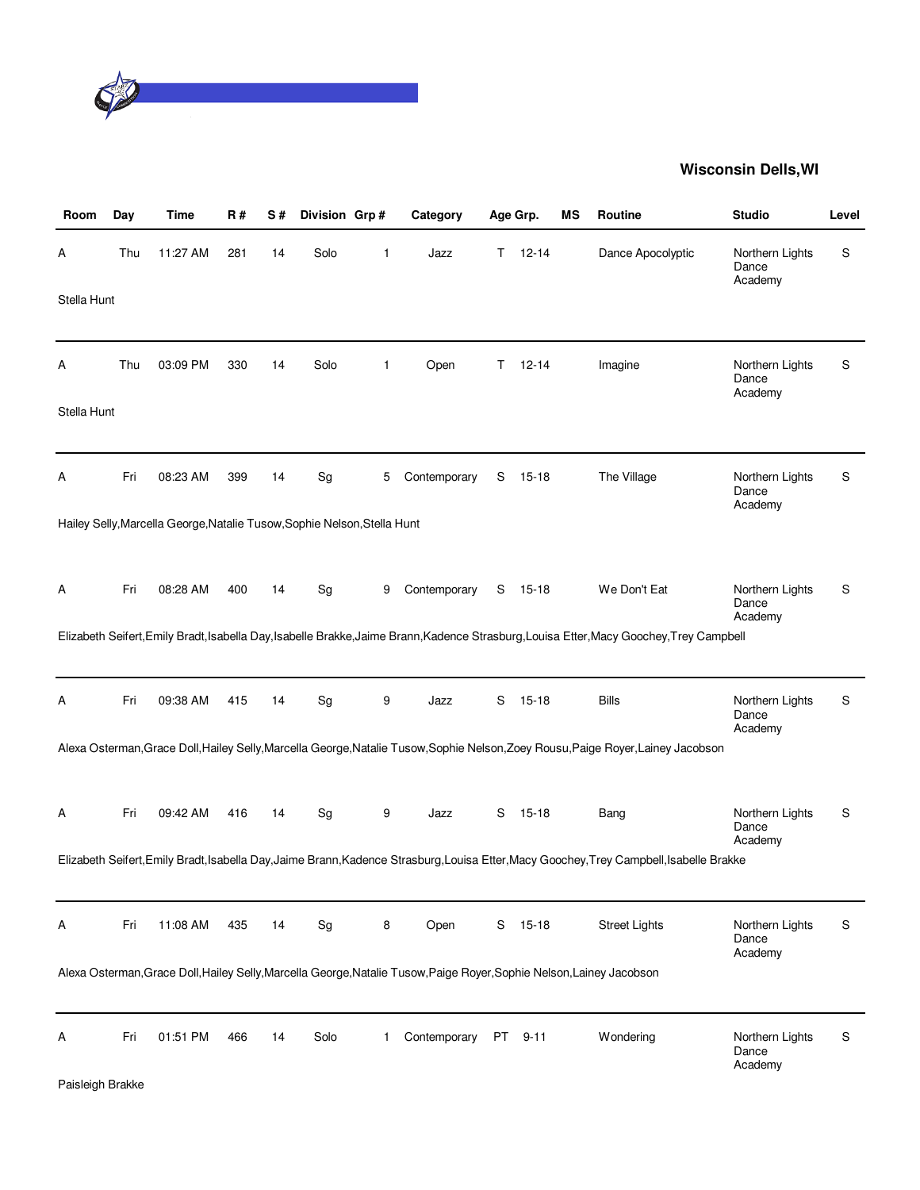

| Room                  | Day | Time                                                                     | R#  | S# | Division Grp# |             | Category                                                                                                              |     | Age Grp.  | МS | <b>Routine</b>                                                                                                                           | <b>Studio</b>                       | Level |
|-----------------------|-----|--------------------------------------------------------------------------|-----|----|---------------|-------------|-----------------------------------------------------------------------------------------------------------------------|-----|-----------|----|------------------------------------------------------------------------------------------------------------------------------------------|-------------------------------------|-------|
| A                     | Thu | 11:27 AM                                                                 | 281 | 14 | Solo          | 1           | Jazz                                                                                                                  | Τ   | $12 - 14$ |    | Dance Apocolyptic                                                                                                                        | Northern Lights<br>Dance<br>Academy | S     |
| Stella Hunt           |     |                                                                          |     |    |               |             |                                                                                                                       |     |           |    |                                                                                                                                          |                                     |       |
| A                     | Thu | 03:09 PM                                                                 | 330 | 14 | Solo          | 1           | Open                                                                                                                  | Τ   | $12 - 14$ |    | Imagine                                                                                                                                  | Northern Lights<br>Dance<br>Academy | S     |
| Stella Hunt           |     |                                                                          |     |    |               |             |                                                                                                                       |     |           |    |                                                                                                                                          |                                     |       |
| Α                     | Fri | 08:23 AM                                                                 | 399 | 14 | Sg            | 5           | Contemporary                                                                                                          | S   | $15 - 18$ |    | The Village                                                                                                                              | Northern Lights<br>Dance<br>Academy | S     |
|                       |     | Hailey Selly, Marcella George, Natalie Tusow, Sophie Nelson, Stella Hunt |     |    |               |             |                                                                                                                       |     |           |    |                                                                                                                                          |                                     |       |
| Α                     | Fri | 08:28 AM                                                                 | 400 | 14 | Sg            | 9           | Contemporary                                                                                                          | S   | 15-18     |    | We Don't Eat                                                                                                                             | Northern Lights<br>Dance<br>Academy | S     |
|                       |     |                                                                          |     |    |               |             |                                                                                                                       |     |           |    | Elizabeth Seifert, Emily Bradt, Isabella Day, Isabelle Brakke, Jaime Brann, Kadence Strasburg, Louisa Etter, Macy Goochey, Trey Campbell |                                     |       |
| Α                     | Fri | 09:38 AM                                                                 | 415 | 14 | Sg            | 9           | Jazz                                                                                                                  | S   | $15 - 18$ |    | <b>Bills</b>                                                                                                                             | Northern Lights<br>Dance<br>Academy | S     |
|                       |     |                                                                          |     |    |               |             |                                                                                                                       |     |           |    | Alexa Osterman, Grace Doll, Hailey Selly, Marcella George, Natalie Tusow, Sophie Nelson, Zoey Rousu, Paige Royer, Lainey Jacobson        |                                     |       |
| A                     | Fri | 09:42 AM                                                                 | 416 | 14 | Sg            | 9           | Jazz                                                                                                                  | S   | $15 - 18$ |    | Bang                                                                                                                                     | Northern Lights<br>Dance<br>Academy | S     |
|                       |     |                                                                          |     |    |               |             |                                                                                                                       |     |           |    | Elizabeth Seifert, Emily Bradt, Isabella Day, Jaime Brann, Kadence Strasburg, Louisa Etter, Macy Goochey, Trey Campbell, Isabelle Brakke |                                     |       |
| Α                     | Fri | 11:08 AM                                                                 | 435 | 14 | Sg            | 8           | Open                                                                                                                  | S   | $15-18$   |    | <b>Street Lights</b>                                                                                                                     | Northern Lights<br>Dance<br>Academy | S     |
|                       |     |                                                                          |     |    |               |             | Alexa Osterman, Grace Doll, Hailey Selly, Marcella George, Natalie Tusow, Paige Royer, Sophie Nelson, Lainey Jacobson |     |           |    |                                                                                                                                          |                                     |       |
| Α<br>Paisleigh Brakke | Fri | 01:51 PM                                                                 | 466 | 14 | Solo          | $\mathbf 1$ | Contemporary                                                                                                          | PT. | $9 - 11$  |    | Wondering                                                                                                                                | Northern Lights<br>Dance<br>Academy | S     |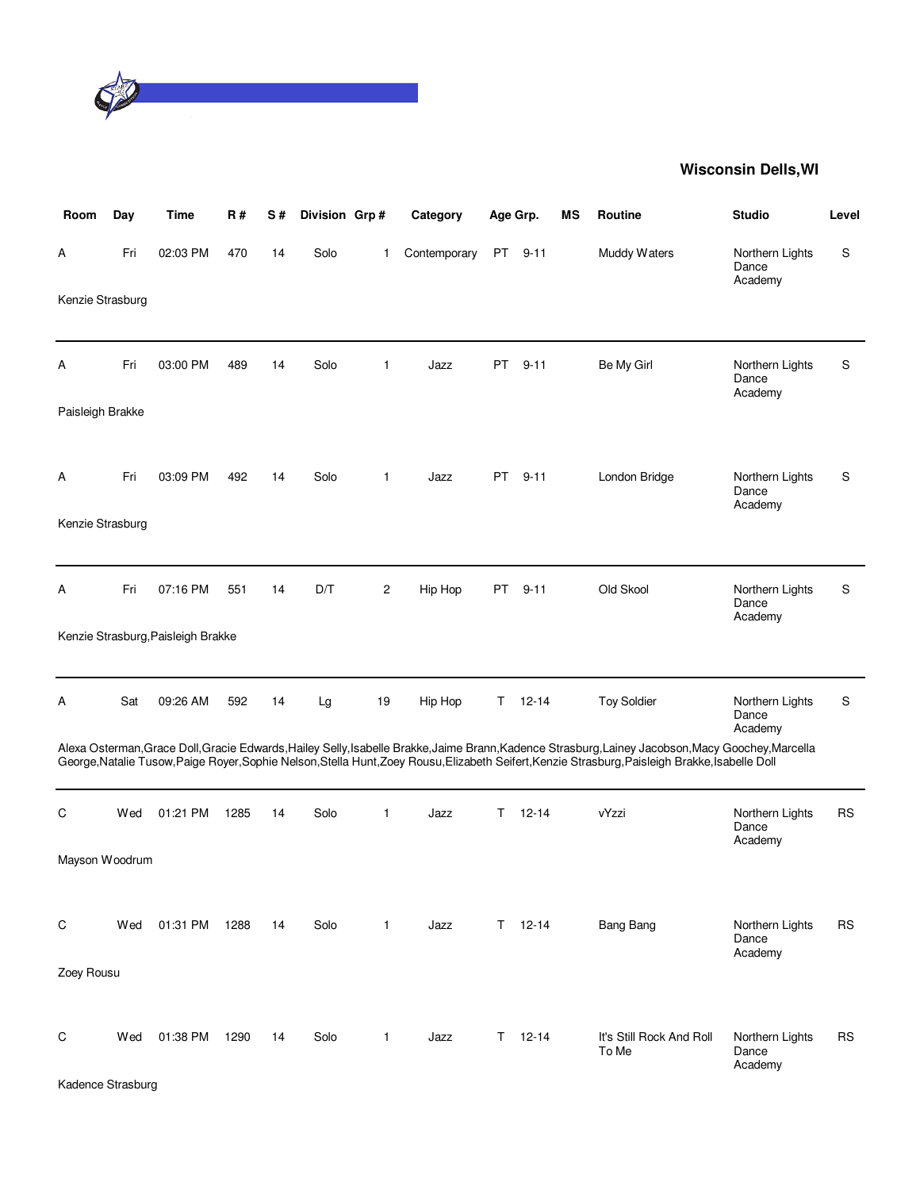

| Room              | Day | <b>Time</b>                        | R#   | S# | Division Grp# |                | Category     |     | Age Grp.      | ΜS | Routine                                                                                                                                                                                                                                                                                                | <b>Studio</b>                       | Level     |
|-------------------|-----|------------------------------------|------|----|---------------|----------------|--------------|-----|---------------|----|--------------------------------------------------------------------------------------------------------------------------------------------------------------------------------------------------------------------------------------------------------------------------------------------------------|-------------------------------------|-----------|
| А                 | Fri | 02:03 PM                           | 470  | 14 | Solo          | 1              | Contemporary | PT  | $9 - 11$      |    | Muddy Waters                                                                                                                                                                                                                                                                                           | Northern Lights<br>Dance<br>Academy | S         |
| Kenzie Strasburg  |     |                                    |      |    |               |                |              |     |               |    |                                                                                                                                                                                                                                                                                                        |                                     |           |
| Α                 | Fri | 03:00 PM                           | 489  | 14 | Solo          | 1              | Jazz         | PT  | $9 - 11$      |    | Be My Girl                                                                                                                                                                                                                                                                                             | Northern Lights<br>Dance<br>Academy | S         |
| Paisleigh Brakke  |     |                                    |      |    |               |                |              |     |               |    |                                                                                                                                                                                                                                                                                                        |                                     |           |
| Α                 | Fri | 03:09 PM                           | 492  | 14 | Solo          | $\mathbf{1}$   | Jazz         | PT. | $9 - 11$      |    | London Bridge                                                                                                                                                                                                                                                                                          | Northern Lights<br>Dance<br>Academy | S         |
| Kenzie Strasburg  |     |                                    |      |    |               |                |              |     |               |    |                                                                                                                                                                                                                                                                                                        |                                     |           |
| Α                 | Fri | 07:16 PM                           | 551  | 14 | D/T           | $\overline{c}$ | Hip Hop      | PT  | $9 - 11$      |    | Old Skool                                                                                                                                                                                                                                                                                              | Northern Lights<br>Dance<br>Academy | S         |
|                   |     | Kenzie Strasburg, Paisleigh Brakke |      |    |               |                |              |     |               |    |                                                                                                                                                                                                                                                                                                        |                                     |           |
| А                 | Sat | 09:26 AM                           | 592  | 14 | Lg            | 19             | Hip Hop      | Τ   | $12 - 14$     |    | <b>Toy Soldier</b>                                                                                                                                                                                                                                                                                     | Northern Lights<br>Dance<br>Academy | S         |
|                   |     |                                    |      |    |               |                |              |     |               |    | Alexa Osterman, Grace Doll, Gracie Edwards, Hailey Selly, Isabelle Brakke, Jaime Brann, Kadence Strasburg, Lainey Jacobson, Macy Goochey, Marcella<br>George, Natalie Tusow, Paige Royer, Sophie Nelson, Stella Hunt, Zoey Rousu, Elizabeth Seifert, Kenzie Strasburg, Paisleigh Brakke, Isabelle Doll |                                     |           |
| С                 | Wed | 01:21 PM                           | 1285 | 14 | Solo          | 1              | Jazz         | т   | $12 - 14$     |    | vYzzi                                                                                                                                                                                                                                                                                                  | Northern Lights<br>Dance<br>Academy | <b>RS</b> |
| Mayson Woodrum    |     |                                    |      |    |               |                |              |     |               |    |                                                                                                                                                                                                                                                                                                        |                                     |           |
| C                 | Wed | 01:31 PM                           | 1288 | 14 | Solo          | $\mathbf{1}$   | Jazz         |     | $T = 12 - 14$ |    | <b>Bang Bang</b>                                                                                                                                                                                                                                                                                       | Northern Lights<br>Dance            | <b>RS</b> |
| Zoey Rousu        |     |                                    |      |    |               |                |              |     |               |    |                                                                                                                                                                                                                                                                                                        | Academy                             |           |
| С                 | Wed | 01:38 PM                           | 1290 | 14 | Solo          | $\mathbf{1}$   | Jazz         |     | $T = 12 - 14$ |    | It's Still Rock And Roll<br>To Me                                                                                                                                                                                                                                                                      | Northern Lights<br>Dance            | RS        |
| Kadence Strasburg |     |                                    |      |    |               |                |              |     |               |    |                                                                                                                                                                                                                                                                                                        | Academy                             |           |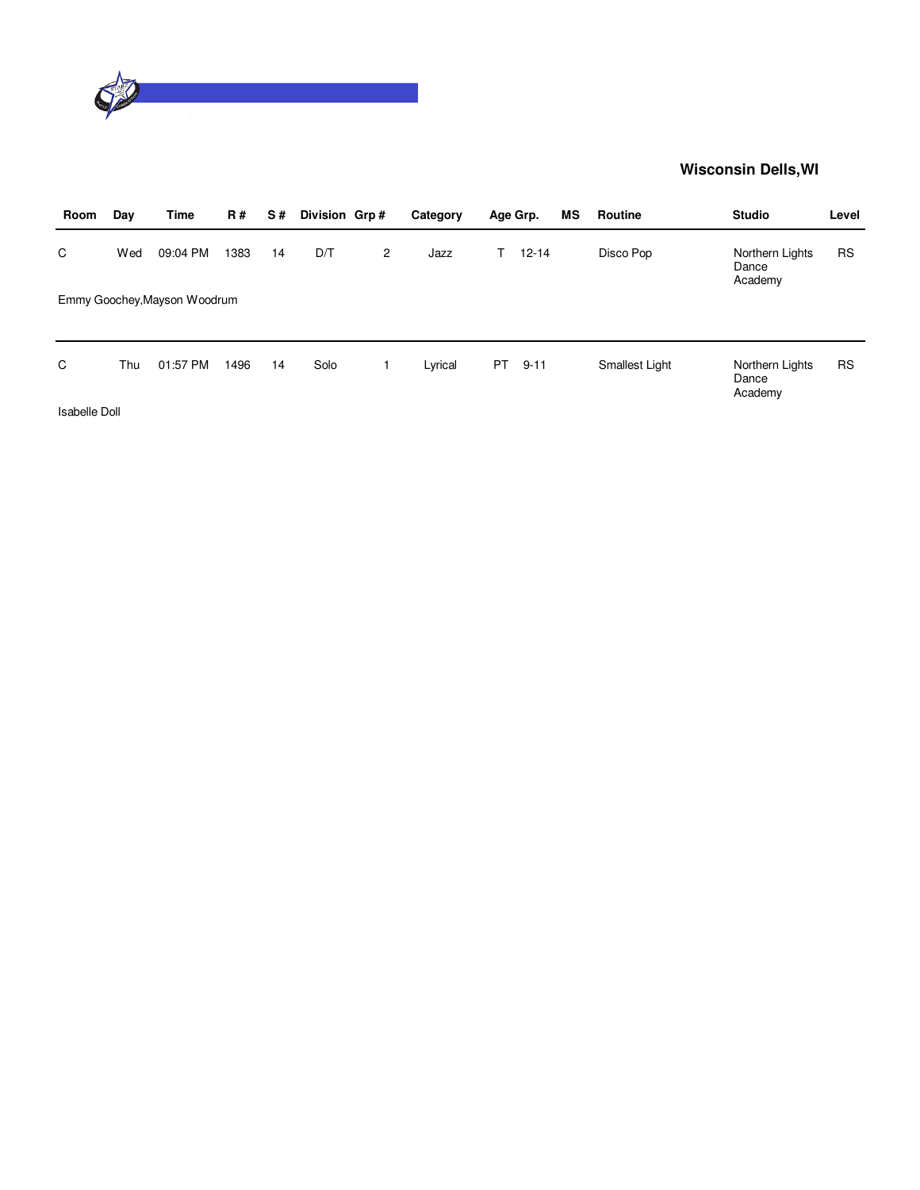

| Room | Day | Time                         | <b>R#</b> | S# | Division Grp# |   | Category | Age Grp. |           | ΜS | Routine        | <b>Studio</b>                       | Level     |
|------|-----|------------------------------|-----------|----|---------------|---|----------|----------|-----------|----|----------------|-------------------------------------|-----------|
| C    | Wed | 09:04 PM                     | 1383      | 14 | D/T           | 2 | Jazz     |          | $12 - 14$ |    | Disco Pop      | Northern Lights<br>Dance<br>Academy | <b>RS</b> |
|      |     | Emmy Goochey, Mayson Woodrum |           |    |               |   |          |          |           |    |                |                                     |           |
|      |     |                              |           |    |               |   |          |          |           |    |                |                                     |           |
| C    | Thu | 01:57 PM                     | 1496      | 14 | Solo          |   | Lyrical  | PT.      | $9 - 11$  |    | Smallest Light | Northern Lights<br>Dance<br>Academy | <b>RS</b> |

Isabelle Doll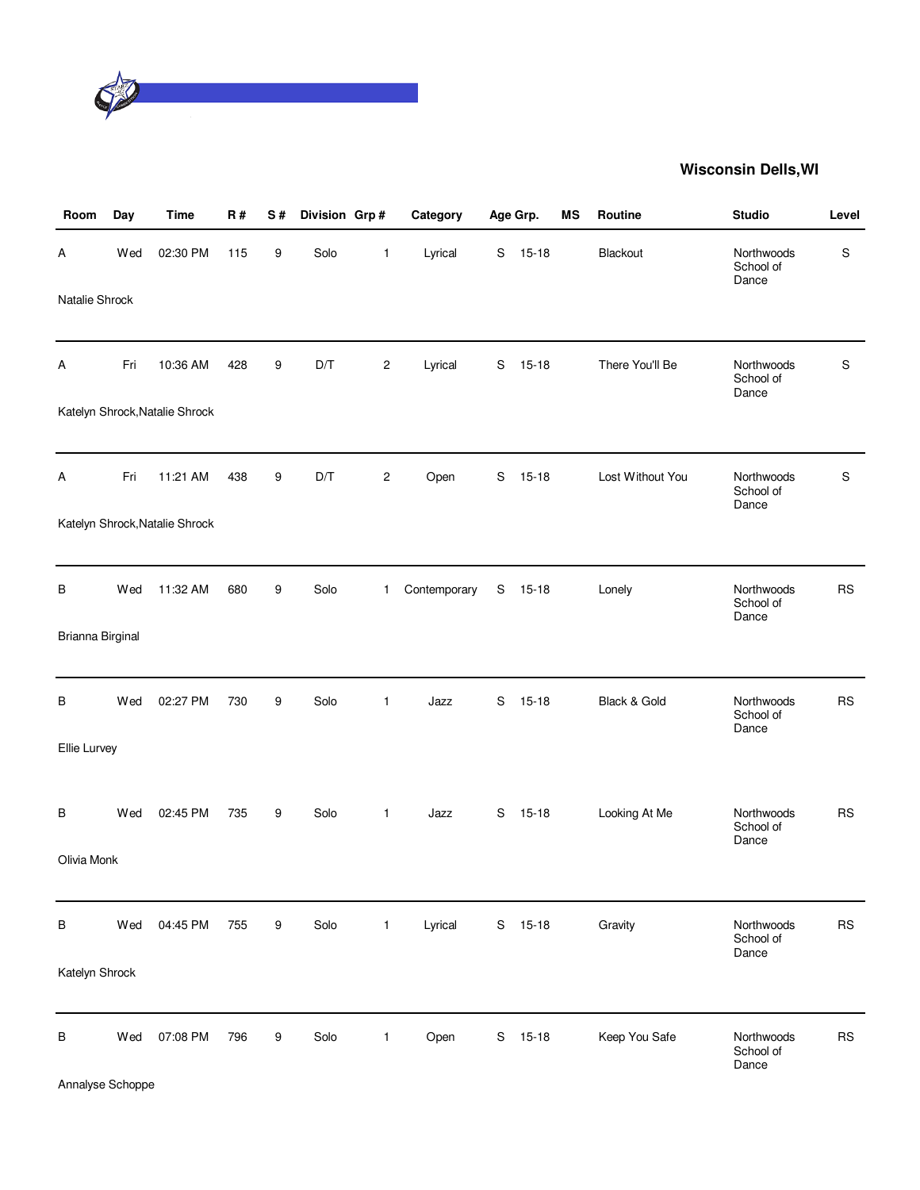

| Room             | Day | <b>Time</b>                    | <b>R#</b> | S# | Division Grp# |                         | Category     |             | Age Grp.  | <b>MS</b> | Routine          | <b>Studio</b>                    | Level       |
|------------------|-----|--------------------------------|-----------|----|---------------|-------------------------|--------------|-------------|-----------|-----------|------------------|----------------------------------|-------------|
| Α                | Wed | 02:30 PM                       | 115       | 9  | Solo          | 1                       | Lyrical      | S           | $15 - 18$ |           | Blackout         | Northwoods<br>School of<br>Dance | $\mathsf S$ |
| Natalie Shrock   |     |                                |           |    |               |                         |              |             |           |           |                  |                                  |             |
| Α                | Fri | 10:36 AM                       | 428       | 9  | D/T           | $\overline{\mathbf{c}}$ | Lyrical      | S           | $15 - 18$ |           | There You'll Be  | Northwoods<br>School of<br>Dance | $\mathsf S$ |
|                  |     | Katelyn Shrock, Natalie Shrock |           |    |               |                         |              |             |           |           |                  |                                  |             |
| Α                | Fri | 11:21 AM                       | 438       | 9  | D/T           | $\overline{c}$          | Open         | $\mathbf S$ | $15 - 18$ |           | Lost Without You | Northwoods<br>School of<br>Dance | S           |
|                  |     | Katelyn Shrock, Natalie Shrock |           |    |               |                         |              |             |           |           |                  |                                  |             |
| В                | Wed | 11:32 AM                       | 680       | 9  | Solo          | 1                       | Contemporary | S           | $15 - 18$ |           | Lonely           | Northwoods<br>School of<br>Dance | <b>RS</b>   |
| Brianna Birginal |     |                                |           |    |               |                         |              |             |           |           |                  |                                  |             |
| В                | Wed | 02:27 PM                       | 730       | 9  | Solo          | 1                       | Jazz         | S           | $15 - 18$ |           | Black & Gold     | Northwoods<br>School of<br>Dance | <b>RS</b>   |
| Ellie Lurvey     |     |                                |           |    |               |                         |              |             |           |           |                  |                                  |             |
| В                | Wed | 02:45 PM                       | 735       | 9  | Solo          | $\mathbf{1}$            | Jazz         | S           | $15 - 18$ |           | Looking At Me    | Northwoods<br>School of<br>Dance | <b>RS</b>   |
| Olivia Monk      |     |                                |           |    |               |                         |              |             |           |           |                  |                                  |             |
| В                | Wed | 04:45 PM                       | 755       | 9  | Solo          | $\mathbf{1}$            | Lyrical      |             | S 15-18   |           | Gravity          | Northwoods<br>School of<br>Dance | <b>RS</b>   |
| Katelyn Shrock   |     |                                |           |    |               |                         |              |             |           |           |                  |                                  |             |
| B                | Wed | 07:08 PM                       | 796       | 9  | Solo          | $\mathbf{1}$            | Open         | S           | $15 - 18$ |           | Keep You Safe    | Northwoods<br>School of<br>Dance | <b>RS</b>   |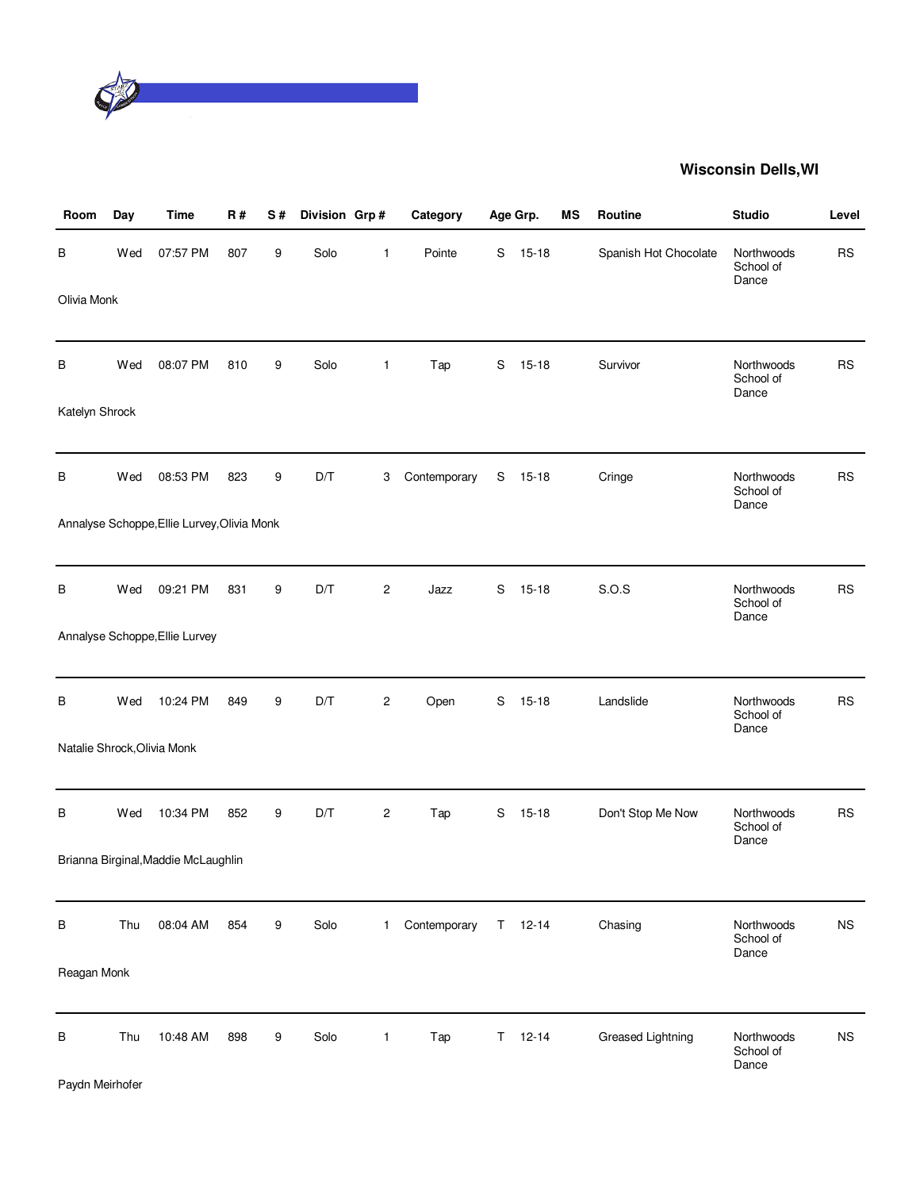

| Room           | Day | <b>Time</b>                                 | <b>R#</b> | S# | Division Grp# |                | Category     |    | Age Grp.  | <b>MS</b> | Routine               | <b>Studio</b>                    | Level     |
|----------------|-----|---------------------------------------------|-----------|----|---------------|----------------|--------------|----|-----------|-----------|-----------------------|----------------------------------|-----------|
| В              | Wed | 07:57 PM                                    | 807       | 9  | Solo          | 1              | Pointe       | S  | $15 - 18$ |           | Spanish Hot Chocolate | Northwoods<br>School of<br>Dance | <b>RS</b> |
| Olivia Monk    |     |                                             |           |    |               |                |              |    |           |           |                       |                                  |           |
| В              | Wed | 08:07 PM                                    | 810       | 9  | Solo          | 1              | Tap          | S  | $15 - 18$ |           | Survivor              | Northwoods<br>School of<br>Dance | <b>RS</b> |
| Katelyn Shrock |     |                                             |           |    |               |                |              |    |           |           |                       |                                  |           |
| В              | Wed | 08:53 PM                                    | 823       | 9  | D/T           | 3              | Contemporary | S  | $15-18$   |           | Cringe                | Northwoods<br>School of<br>Dance | <b>RS</b> |
|                |     | Annalyse Schoppe, Ellie Lurvey, Olivia Monk |           |    |               |                |              |    |           |           |                       |                                  |           |
| В              | Wed | 09:21 PM                                    | 831       | 9  | D/T           | $\overline{c}$ | Jazz         | S  | $15 - 18$ |           | S.O.S                 | Northwoods<br>School of<br>Dance | <b>RS</b> |
|                |     | Annalyse Schoppe, Ellie Lurvey              |           |    |               |                |              |    |           |           |                       |                                  |           |
| В              | Wed | 10:24 PM                                    | 849       | 9  | D/T           | $\overline{c}$ | Open         | S  | $15 - 18$ |           | Landslide             | Northwoods<br>School of<br>Dance | <b>RS</b> |
|                |     | Natalie Shrock, Olivia Monk                 |           |    |               |                |              |    |           |           |                       |                                  |           |
| В              | Wed | 10:34 PM                                    | 852       | 9  | D/T           | $\sqrt{2}$     | Tap          | S  | $15 - 18$ |           | Don't Stop Me Now     | Northwoods<br>School of<br>Dance | <b>RS</b> |
|                |     | Brianna Birginal, Maddie McLaughlin         |           |    |               |                |              |    |           |           |                       |                                  |           |
| В              | Thu | 08:04 AM                                    | 854       | 9  | Solo          | 1.             | Contemporary | T. | $12 - 14$ |           | Chasing               | Northwoods<br>School of<br>Dance | <b>NS</b> |
| Reagan Monk    |     |                                             |           |    |               |                |              |    |           |           |                       |                                  |           |
| B              | Thu | 10:48 AM                                    | 898       | 9  | Solo          | 1              | Tap          | T. | $12 - 14$ |           | Greased Lightning     | Northwoods<br>School of<br>Dance | <b>NS</b> |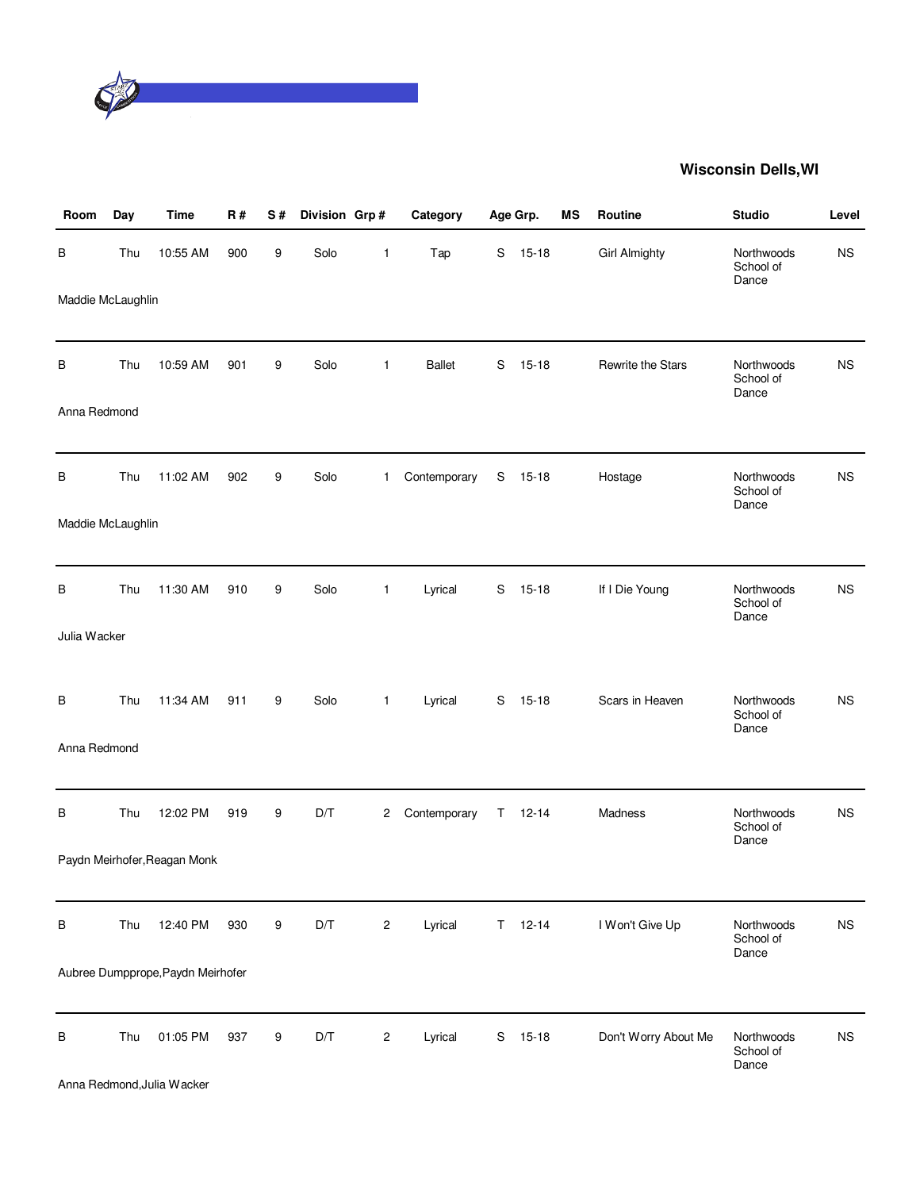

| Room              | Day | <b>Time</b>                            | <b>R#</b> | S# | Division Grp# |              | Category      |    | Age Grp.      | <b>MS</b> | Routine              | <b>Studio</b>                    | Level     |
|-------------------|-----|----------------------------------------|-----------|----|---------------|--------------|---------------|----|---------------|-----------|----------------------|----------------------------------|-----------|
| В                 | Thu | 10:55 AM                               | 900       | 9  | Solo          | $\mathbf{1}$ | Tap           | S  | $15 - 18$     |           | <b>Girl Almighty</b> | Northwoods<br>School of<br>Dance | <b>NS</b> |
| Maddie McLaughlin |     |                                        |           |    |               |              |               |    |               |           |                      |                                  |           |
| В                 | Thu | 10:59 AM                               | 901       | 9  | Solo          | $\mathbf{1}$ | <b>Ballet</b> | S  | $15 - 18$     |           | Rewrite the Stars    | Northwoods<br>School of<br>Dance | <b>NS</b> |
| Anna Redmond      |     |                                        |           |    |               |              |               |    |               |           |                      |                                  |           |
| B                 | Thu | 11:02 AM                               | 902       | 9  | Solo          | $\mathbf{1}$ | Contemporary  | S  | $15 - 18$     |           | Hostage              | Northwoods<br>School of<br>Dance | <b>NS</b> |
| Maddie McLaughlin |     |                                        |           |    |               |              |               |    |               |           |                      |                                  |           |
| В                 | Thu | 11:30 AM                               | 910       | 9  | Solo          | $\mathbf{1}$ | Lyrical       | S  | $15 - 18$     |           | If I Die Young       | Northwoods<br>School of<br>Dance | <b>NS</b> |
| Julia Wacker      |     |                                        |           |    |               |              |               |    |               |           |                      |                                  |           |
| В                 | Thu | 11:34 AM                               | 911       | 9  | Solo          | $\mathbf{1}$ | Lyrical       | S  | $15 - 18$     |           | Scars in Heaven      | Northwoods<br>School of<br>Dance | <b>NS</b> |
| Anna Redmond      |     |                                        |           |    |               |              |               |    |               |           |                      |                                  |           |
| В                 | Thu | 12:02 PM                               | 919       | 9  | D/T           | 2            | Contemporary  | T. | $12 - 14$     |           | Madness              | Northwoods<br>School of<br>Dance | <b>NS</b> |
|                   |     | Paydn Meirhofer, Reagan Monk           |           |    |               |              |               |    |               |           |                      |                                  |           |
| В                 | Thu | 12:40 PM                               | 930       | 9  | D/T           | $\sqrt{2}$   | Lyrical       |    | $T = 12 - 14$ |           | I Won't Give Up      | Northwoods<br>School of<br>Dance | <b>NS</b> |
|                   |     | Aubree Dumpprope, Paydn Meirhofer      |           |    |               |              |               |    |               |           |                      |                                  |           |
| В                 | Thu | 01:05 PM<br>Anna Redmond, Julia Wacker | 937       | 9  | D/T           | $\sqrt{2}$   | Lyrical       | S  | $15-18$       |           | Don't Worry About Me | Northwoods<br>School of<br>Dance | <b>NS</b> |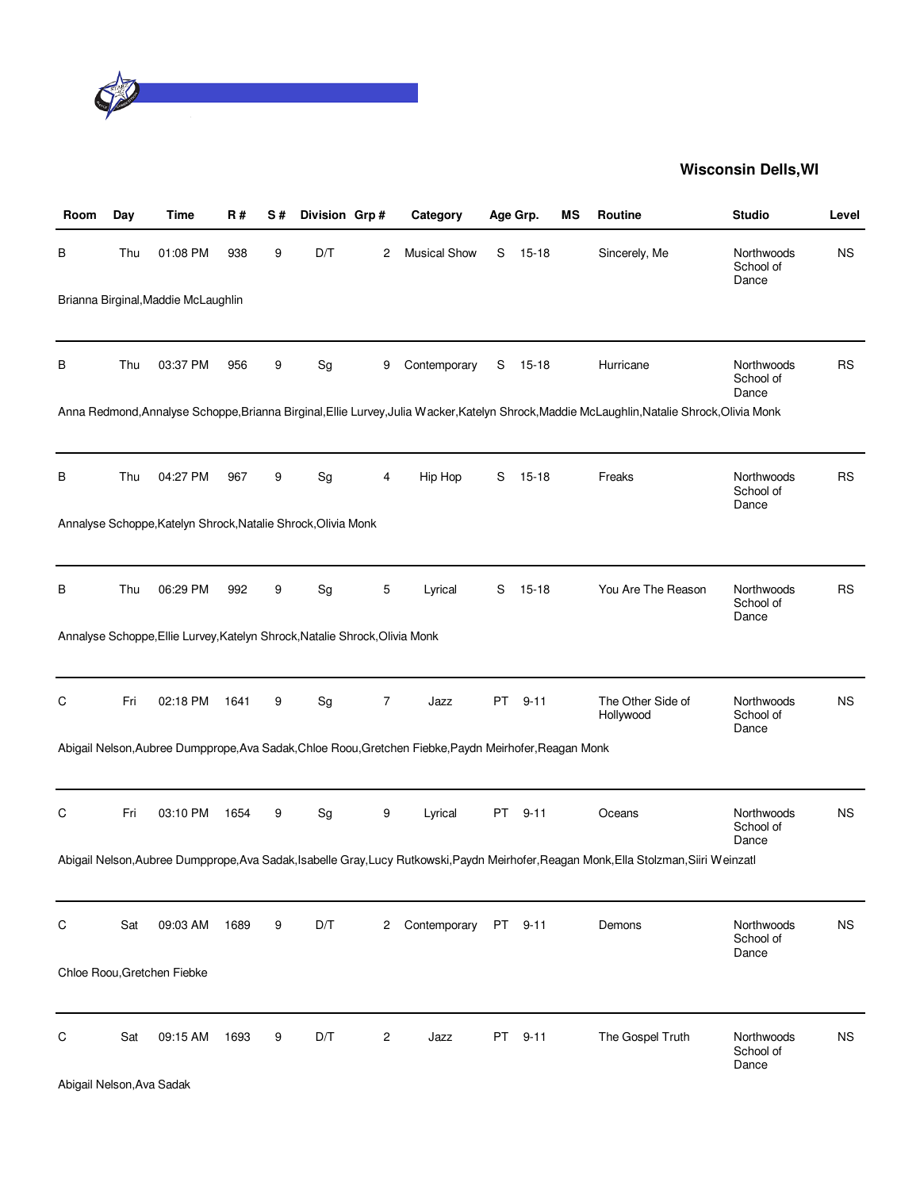

| Room                      | Day | Time                                                                        | R#   | S# | Division Grp# |   | Category                                                                                               |    | Age Grp.  | ΜS | Routine                                                                                                                                      | <b>Studio</b>                    | Level     |
|---------------------------|-----|-----------------------------------------------------------------------------|------|----|---------------|---|--------------------------------------------------------------------------------------------------------|----|-----------|----|----------------------------------------------------------------------------------------------------------------------------------------------|----------------------------------|-----------|
| В                         | Thu | 01:08 PM                                                                    | 938  | 9  | D/T           | 2 | <b>Musical Show</b>                                                                                    | S  | $15 - 18$ |    | Sincerely, Me                                                                                                                                | Northwoods<br>School of<br>Dance | <b>NS</b> |
|                           |     | Brianna Birginal, Maddie McLaughlin                                         |      |    |               |   |                                                                                                        |    |           |    |                                                                                                                                              |                                  |           |
| В                         | Thu | 03:37 PM                                                                    | 956  | 9  | Sg            | 9 | Contemporary                                                                                           | S  | $15 - 18$ |    | Hurricane                                                                                                                                    | Northwoods<br>School of<br>Dance | <b>RS</b> |
|                           |     |                                                                             |      |    |               |   |                                                                                                        |    |           |    | Anna Redmond, Annalyse Schoppe, Brianna Birginal, Ellie Lurvey, Julia Wacker, Katelyn Shrock, Maddie McLaughlin, Natalie Shrock, Olivia Monk |                                  |           |
| В                         | Thu | 04:27 PM                                                                    | 967  | 9  | Sg            | 4 | Hip Hop                                                                                                | S  | $15 - 18$ |    | Freaks                                                                                                                                       | Northwoods<br>School of<br>Dance | <b>RS</b> |
|                           |     | Annalyse Schoppe, Katelyn Shrock, Natalie Shrock, Olivia Monk               |      |    |               |   |                                                                                                        |    |           |    |                                                                                                                                              |                                  |           |
| В                         | Thu | 06:29 PM                                                                    | 992  | 9  | Sg            | 5 | Lyrical                                                                                                | S  | $15 - 18$ |    | You Are The Reason                                                                                                                           | Northwoods<br>School of<br>Dance | <b>RS</b> |
|                           |     | Annalyse Schoppe, Ellie Lurvey, Katelyn Shrock, Natalie Shrock, Olivia Monk |      |    |               |   |                                                                                                        |    |           |    |                                                                                                                                              |                                  |           |
| C                         | Fri | 02:18 PM                                                                    | 1641 | 9  | Sg            | 7 | Jazz                                                                                                   |    | PT 9-11   |    | The Other Side of<br>Hollywood                                                                                                               | Northwoods<br>School of<br>Dance | <b>NS</b> |
|                           |     |                                                                             |      |    |               |   | Abigail Nelson, Aubree Dumpprope, Ava Sadak, Chloe Roou, Gretchen Fiebke, Paydn Meirhofer, Reagan Monk |    |           |    |                                                                                                                                              |                                  |           |
| C                         | Fri | 03:10 PM                                                                    | 1654 | 9  | Sg            | 9 | Lyrical                                                                                                | PT | $9 - 11$  |    | Oceans                                                                                                                                       | Northwoods<br>School of<br>Dance | <b>NS</b> |
|                           |     |                                                                             |      |    |               |   |                                                                                                        |    |           |    | Abigail Nelson, Aubree Dumpprope, Ava Sadak, Isabelle Gray, Lucy Rutkowski, Paydn Meirhofer, Reagan Monk, Ella Stolzman, Siiri Weinzatl      |                                  |           |
| C                         | Sat | 09:03 AM                                                                    | 1689 | 9  | D/T           | 2 | Contemporary                                                                                           |    | PT 9-11   |    | Demons                                                                                                                                       | Northwoods<br>School of<br>Dance | <b>NS</b> |
|                           |     | Chloe Roou, Gretchen Fiebke                                                 |      |    |               |   |                                                                                                        |    |           |    |                                                                                                                                              |                                  |           |
| С                         | Sat | 09:15 AM                                                                    | 1693 | 9  | D/T           | 2 | Jazz                                                                                                   | PT | $9 - 11$  |    | The Gospel Truth                                                                                                                             | Northwoods<br>School of<br>Dance | ΝS        |
| Abigail Nelson, Ava Sadak |     |                                                                             |      |    |               |   |                                                                                                        |    |           |    |                                                                                                                                              |                                  |           |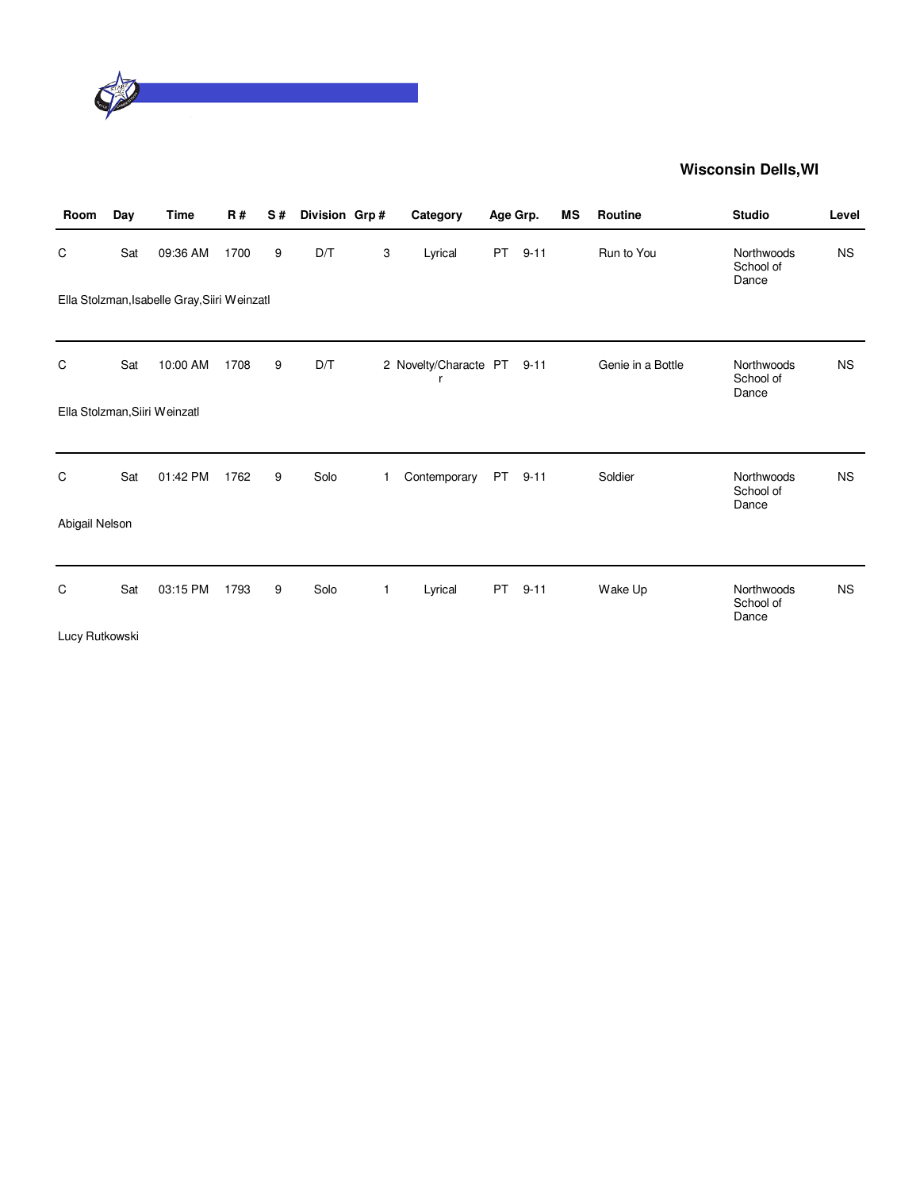

| Room           | Day | <b>Time</b>                                  | <b>R#</b> | S# | Division Grp# |   | Category                        |           | Age Grp. | MS | Routine           | <b>Studio</b>                    | Level     |
|----------------|-----|----------------------------------------------|-----------|----|---------------|---|---------------------------------|-----------|----------|----|-------------------|----------------------------------|-----------|
| C              | Sat | 09:36 AM                                     | 1700      | 9  | D/T           | 3 | Lyrical                         | <b>PT</b> | $9 - 11$ |    | Run to You        | Northwoods<br>School of<br>Dance | <b>NS</b> |
|                |     | Ella Stolzman, Isabelle Gray, Siiri Weinzatl |           |    |               |   |                                 |           |          |    |                   |                                  |           |
|                |     |                                              |           |    |               |   |                                 |           |          |    |                   |                                  |           |
| C              | Sat | 10:00 AM                                     | 1708      | 9  | D/T           |   | 2 Novelty/Characte PT 9-11<br>r |           |          |    | Genie in a Bottle | Northwoods<br>School of<br>Dance | <b>NS</b> |
|                |     | Ella Stolzman, Siiri Weinzatl                |           |    |               |   |                                 |           |          |    |                   |                                  |           |
|                |     |                                              |           |    |               |   |                                 |           |          |    |                   |                                  |           |
| C              | Sat | 01:42 PM                                     | 1762      | 9  | Solo          | 1 | Contemporary                    | PT        | $9 - 11$ |    | Soldier           | Northwoods<br>School of<br>Dance | <b>NS</b> |
| Abigail Nelson |     |                                              |           |    |               |   |                                 |           |          |    |                   |                                  |           |
|                |     |                                              |           |    |               |   |                                 |           |          |    |                   |                                  |           |
| C              | Sat | 03:15 PM                                     | 1793      | 9  | Solo          | 1 | Lyrical                         | <b>PT</b> | $9 - 11$ |    | Wake Up           | Northwoods<br>School of<br>Dance | <b>NS</b> |
| Lucy Rutkowski |     |                                              |           |    |               |   |                                 |           |          |    |                   |                                  |           |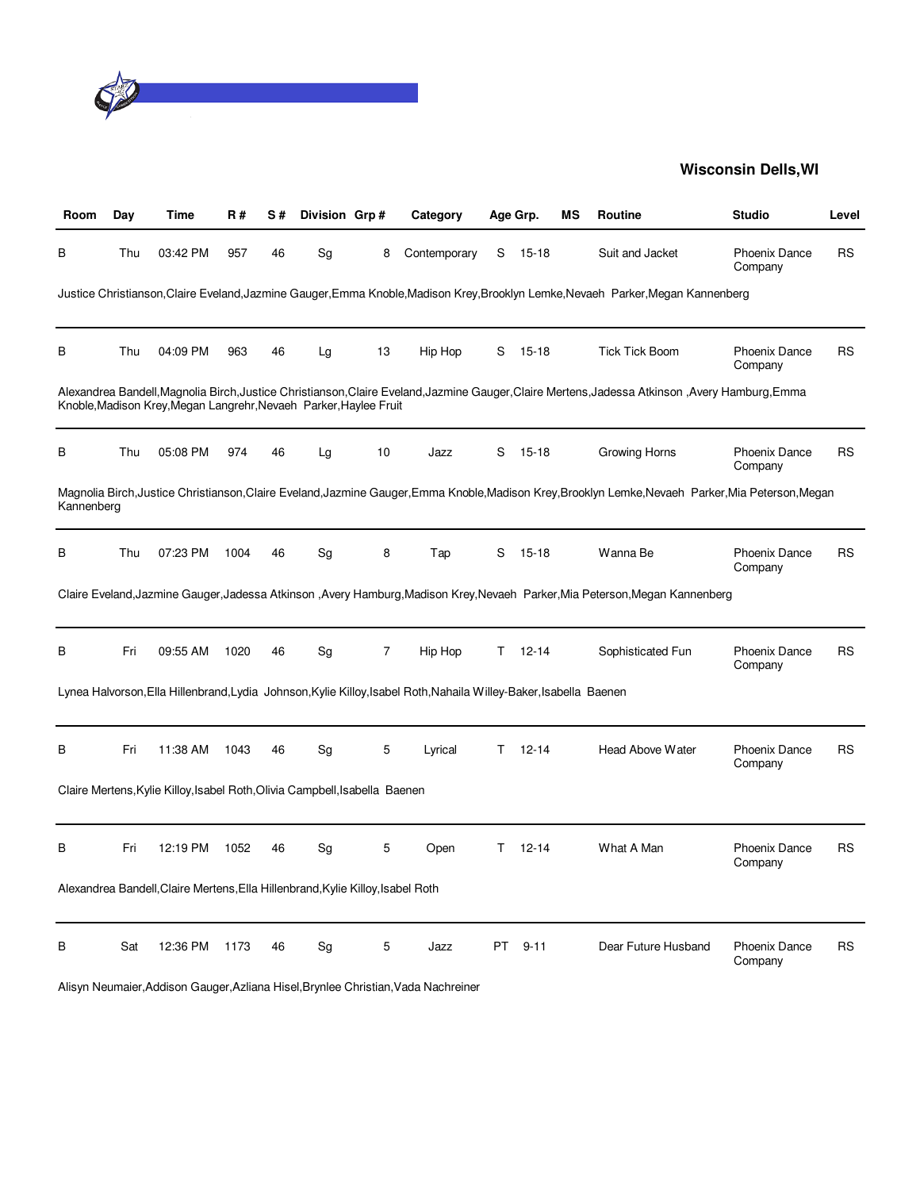

| Room       | Day | Time                                                                            | <b>R#</b> | S# | Division Grp# |                | Category                                                                                                           |     | Age Grp.  | ΜS | <b>Routine</b>                                                                                                                                      | <b>Studio</b>                   | Level     |
|------------|-----|---------------------------------------------------------------------------------|-----------|----|---------------|----------------|--------------------------------------------------------------------------------------------------------------------|-----|-----------|----|-----------------------------------------------------------------------------------------------------------------------------------------------------|---------------------------------|-----------|
| B          | Thu | 03:42 PM                                                                        | 957       | 46 | Sg            | 8              | Contemporary                                                                                                       | S   | $15 - 18$ |    | Suit and Jacket                                                                                                                                     | Phoenix Dance<br>Company        | <b>RS</b> |
|            |     |                                                                                 |           |    |               |                |                                                                                                                    |     |           |    | Justice Christianson,Claire Eveland,Jazmine Gauger,Emma Knoble,Madison Krey,Brooklyn Lemke,Nevaeh Parker,Megan Kannenberg                           |                                 |           |
| B          | Thu | 04:09 PM                                                                        | 963       | 46 | Lg            | 13             | Hip Hop                                                                                                            | S   | 15-18     |    | <b>Tick Tick Boom</b>                                                                                                                               | Phoenix Dance<br>Company        | <b>RS</b> |
|            |     | Knoble, Madison Krey, Megan Langrehr, Nevaeh Parker, Haylee Fruit               |           |    |               |                |                                                                                                                    |     |           |    | Alexandrea Bandell,Magnolia Birch,Justice Christianson,Claire Eveland,Jazmine Gauger,Claire Mertens,Jadessa Atkinson,Avery Hamburg,Emma             |                                 |           |
| В          | Thu | 05:08 PM                                                                        | 974       | 46 | Lg            | 10             | Jazz                                                                                                               | S   | $15 - 18$ |    | Growing Horns                                                                                                                                       | Phoenix Dance<br>Company        | <b>RS</b> |
| Kannenberg |     |                                                                                 |           |    |               |                |                                                                                                                    |     |           |    | Magnolia Birch, Justice Christianson, Claire Eveland, Jazmine Gauger, Emma Knoble, Madison Krey, Brooklyn Lemke, Nevaeh Parker, Mia Peterson, Megan |                                 |           |
| B          | Thu | 07:23 PM                                                                        | 1004      | 46 | Sg            | 8              | Tap                                                                                                                | S   | $15 - 18$ |    | Wanna Be                                                                                                                                            | <b>Phoenix Dance</b><br>Company | <b>RS</b> |
|            |     |                                                                                 |           |    |               |                |                                                                                                                    |     |           |    | Claire Eveland, Jazmine Gauger, Jadessa Atkinson, Avery Hamburg, Madison Krey, Nevaeh Parker, Mia Peterson, Megan Kannenberg                        |                                 |           |
| B          | Fri | 09:55 AM                                                                        | 1020      | 46 | Sg            | $\overline{7}$ | Hip Hop                                                                                                            | T.  | 12-14     |    | Sophisticated Fun                                                                                                                                   | <b>Phoenix Dance</b><br>Company | <b>RS</b> |
|            |     |                                                                                 |           |    |               |                | Lynea Halvorson, Ella Hillenbrand, Lydia Johnson, Kylie Killoy, Isabel Roth, Nahaila Willey-Baker, Isabella Baenen |     |           |    |                                                                                                                                                     |                                 |           |
| B          | Fri | 11:38 AM                                                                        | 1043      | 46 | Sg            | 5              | Lyrical                                                                                                            | Τ   | $12 - 14$ |    | <b>Head Above Water</b>                                                                                                                             | <b>Phoenix Dance</b><br>Company | <b>RS</b> |
|            |     | Claire Mertens, Kylie Killoy, Isabel Roth, Olivia Campbell, Isabella Baenen     |           |    |               |                |                                                                                                                    |     |           |    |                                                                                                                                                     |                                 |           |
| B          | Fri | 12:19 PM                                                                        | 1052      | 46 | Sg            | 5              | Open                                                                                                               | T.  | $12 - 14$ |    | What A Man                                                                                                                                          | <b>Phoenix Dance</b><br>Company | <b>RS</b> |
|            |     | Alexandrea Bandell, Claire Mertens, Ella Hillenbrand, Kylie Killoy, Isabel Roth |           |    |               |                |                                                                                                                    |     |           |    |                                                                                                                                                     |                                 |           |
| B          | Sat | 12:36 PM                                                                        | 1173      | 46 | Sg            | 5              | Jazz                                                                                                               | PT. | $9 - 11$  |    | Dear Future Husband                                                                                                                                 | <b>Phoenix Dance</b><br>Company | <b>RS</b> |

Alisyn Neumaier,Addison Gauger,Azliana Hisel,Brynlee Christian,Vada Nachreiner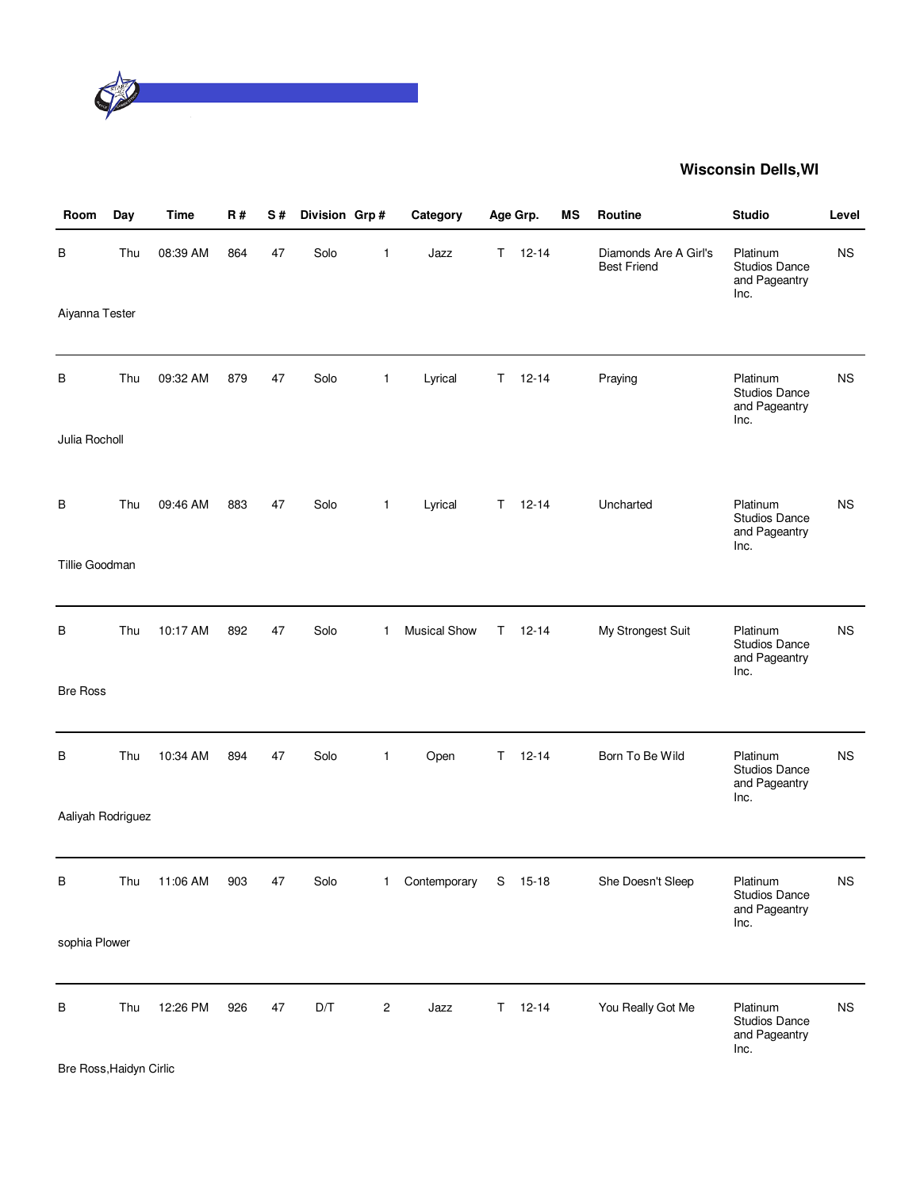

| Room              | Day | Time     | <b>R#</b> | S# | Division Grp# |                | Category     |    | Age Grp.      | <b>MS</b> | Routine                                     | <b>Studio</b>                                             | Level     |
|-------------------|-----|----------|-----------|----|---------------|----------------|--------------|----|---------------|-----------|---------------------------------------------|-----------------------------------------------------------|-----------|
| В                 | Thu | 08:39 AM | 864       | 47 | Solo          | 1              | Jazz         |    | $T = 12 - 14$ |           | Diamonds Are A Girl's<br><b>Best Friend</b> | Platinum<br><b>Studios Dance</b><br>and Pageantry<br>Inc. | <b>NS</b> |
| Aiyanna Tester    |     |          |           |    |               |                |              |    |               |           |                                             |                                                           |           |
| В                 | Thu | 09:32 AM | 879       | 47 | Solo          | $\mathbf{1}$   | Lyrical      | T. | $12 - 14$     |           | Praying                                     | Platinum<br><b>Studios Dance</b><br>and Pageantry<br>Inc. | <b>NS</b> |
| Julia Rocholl     |     |          |           |    |               |                |              |    |               |           |                                             |                                                           |           |
| В                 | Thu | 09:46 AM | 883       | 47 | Solo          | $\mathbf{1}$   | Lyrical      | T. | $12 - 14$     |           | Uncharted                                   | Platinum<br><b>Studios Dance</b><br>and Pageantry<br>Inc. | <b>NS</b> |
| Tillie Goodman    |     |          |           |    |               |                |              |    |               |           |                                             |                                                           |           |
| В                 | Thu | 10:17 AM | 892       | 47 | Solo          | 1              | Musical Show |    | $T = 12-14$   |           | My Strongest Suit                           | Platinum<br><b>Studios Dance</b><br>and Pageantry<br>Inc. | <b>NS</b> |
| <b>Bre Ross</b>   |     |          |           |    |               |                |              |    |               |           |                                             |                                                           |           |
| B                 | Thu | 10:34 AM | 894       | 47 | Solo          | 1              | Open         | T. | $12 - 14$     |           | Born To Be Wild                             | Platinum<br><b>Studios Dance</b><br>and Pageantry<br>Inc. | <b>NS</b> |
| Aaliyah Rodriguez |     |          |           |    |               |                |              |    |               |           |                                             |                                                           |           |
| В                 | Thu | 11:06 AM | 903       | 47 | Solo          | $\mathbf{1}$   | Contemporary |    | S 15-18       |           | She Doesn't Sleep                           | Platinum<br><b>Studios Dance</b><br>and Pageantry         | ΝS        |
| sophia Plower     |     |          |           |    |               |                |              |    |               |           |                                             | Inc.                                                      |           |
| В                 | Thu | 12:26 PM | 926       | 47 | D/T           | $\overline{c}$ | Jazz         |    | $T = 12 - 14$ |           | You Really Got Me                           | Platinum<br><b>Studios Dance</b><br>and Pageantry<br>Inc. | <b>NS</b> |

Bre Ross,Haidyn Cirlic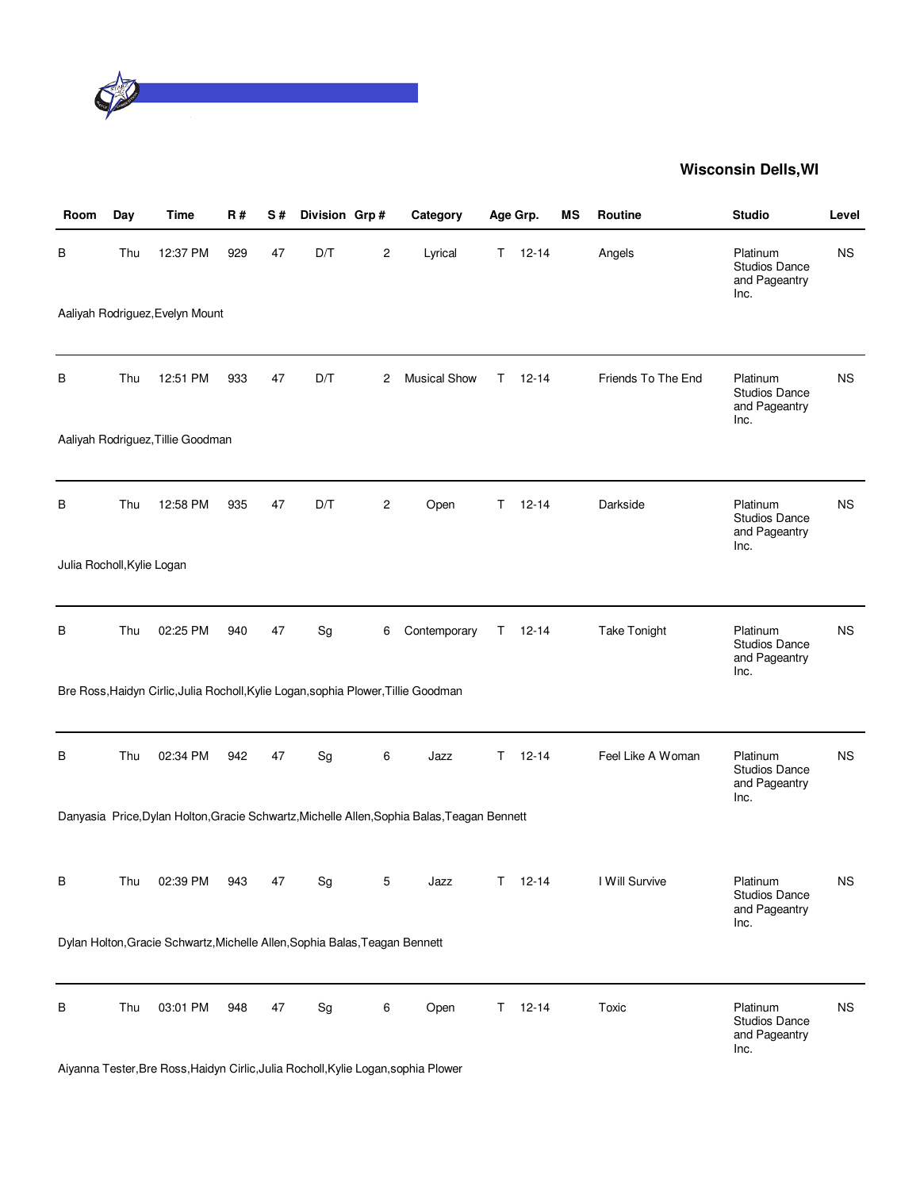

| Room                       | Day | <b>Time</b>                                                                        | R#  | S# | Division Grp# |                | Category                                                                                    |    | Age Grp.      | <b>MS</b> | Routine             | <b>Studio</b>                                             | Level     |
|----------------------------|-----|------------------------------------------------------------------------------------|-----|----|---------------|----------------|---------------------------------------------------------------------------------------------|----|---------------|-----------|---------------------|-----------------------------------------------------------|-----------|
| В                          | Thu | 12:37 PM                                                                           | 929 | 47 | D/T           | $\overline{c}$ | Lyrical                                                                                     | T. | $12 - 14$     |           | Angels              | Platinum<br><b>Studios Dance</b><br>and Pageantry<br>Inc. | <b>NS</b> |
|                            |     | Aaliyah Rodriguez, Evelyn Mount                                                    |     |    |               |                |                                                                                             |    |               |           |                     |                                                           |           |
| В                          | Thu | 12:51 PM                                                                           | 933 | 47 | D/T           | 2              | <b>Musical Show</b>                                                                         | T. | 12-14         |           | Friends To The End  | Platinum<br><b>Studios Dance</b><br>and Pageantry<br>Inc. | ΝS        |
|                            |     | Aaliyah Rodriguez, Tillie Goodman                                                  |     |    |               |                |                                                                                             |    |               |           |                     |                                                           |           |
| В                          | Thu | 12:58 PM                                                                           | 935 | 47 | D/T           | 2              | Open                                                                                        | T. | $12 - 14$     |           | Darkside            | Platinum<br><b>Studios Dance</b><br>and Pageantry<br>Inc. | <b>NS</b> |
| Julia Rocholl, Kylie Logan |     |                                                                                    |     |    |               |                |                                                                                             |    |               |           |                     |                                                           |           |
| В                          | Thu | 02:25 PM                                                                           | 940 | 47 | Sg            | 6              | Contemporary                                                                                | T. | $12 - 14$     |           | <b>Take Tonight</b> | Platinum<br><b>Studios Dance</b><br>and Pageantry<br>Inc. | <b>NS</b> |
|                            |     | Bre Ross, Haidyn Cirlic, Julia Rocholl, Kylie Logan, sophia Plower, Tillie Goodman |     |    |               |                |                                                                                             |    |               |           |                     |                                                           |           |
| В                          | Thu | 02:34 PM                                                                           | 942 | 47 | Sg            | 6              | Jazz                                                                                        | T. | $12 - 14$     |           | Feel Like A Woman   | Platinum<br><b>Studios Dance</b><br>and Pageantry<br>Inc. | <b>NS</b> |
|                            |     |                                                                                    |     |    |               |                | Danyasia Price, Dylan Holton, Gracie Schwartz, Michelle Allen, Sophia Balas, Teagan Bennett |    |               |           |                     |                                                           |           |
| В                          | Thu | 02:39 PM                                                                           | 943 | 47 | Sg            | 5              | Jazz                                                                                        | Τ  | 12-14         |           | I Will Survive      | Platinum<br><b>Studios Dance</b><br>and Pageantry<br>Inc. | ΝS        |
|                            |     | Dylan Holton, Gracie Schwartz, Michelle Allen, Sophia Balas, Teagan Bennett        |     |    |               |                |                                                                                             |    |               |           |                     |                                                           |           |
| В                          | Thu | 03:01 PM                                                                           | 948 | 47 | Sg            | 6              | Open                                                                                        |    | $T = 12 - 14$ |           | Toxic               | Platinum<br><b>Studios Dance</b><br>and Pageantry<br>Inc. | <b>NS</b> |

Aiyanna Tester,Bre Ross,Haidyn Cirlic,Julia Rocholl,Kylie Logan,sophia Plower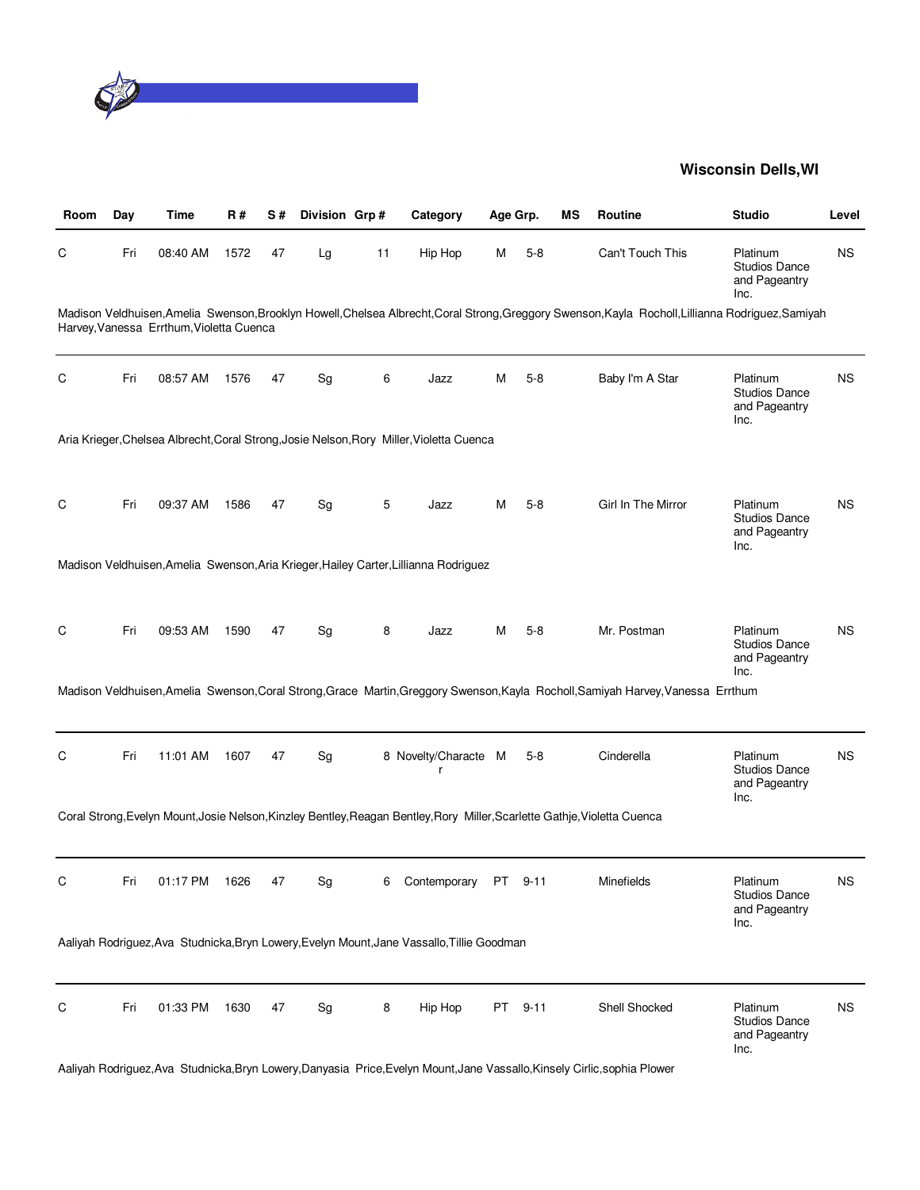

| Room | Day | Time                                     | <b>R#</b> | S# | Division Grp#                |    | Category                                                                                                                  |   | Age Grp. | ΜS | <b>Routine</b>                                                                                                                                     | <b>Studio</b>                                             | Level     |
|------|-----|------------------------------------------|-----------|----|------------------------------|----|---------------------------------------------------------------------------------------------------------------------------|---|----------|----|----------------------------------------------------------------------------------------------------------------------------------------------------|-----------------------------------------------------------|-----------|
| C    | Fri | 08:40 AM                                 | 1572      | 47 | Lg                           | 11 | Hip Hop                                                                                                                   | м | $5 - 8$  |    | Can't Touch This                                                                                                                                   | Platinum<br><b>Studios Dance</b><br>and Pageantry<br>Inc. | <b>NS</b> |
|      |     | Harvey, Vanessa Errthum, Violetta Cuenca |           |    |                              |    |                                                                                                                           |   |          |    | Madison Veldhuisen, Amelia Swenson, Brooklyn Howell, Chelsea Albrecht, Coral Strong, Greggory Swenson, Kayla Rocholl, Lillianna Rodriguez, Samiyah |                                                           |           |
| C    | Fri | 08:57 AM                                 | 1576      | 47 | Sg                           | 6  | Jazz                                                                                                                      | м | $5-8$    |    | Baby I'm A Star                                                                                                                                    | Platinum<br><b>Studios Dance</b><br>and Pageantry<br>Inc. | <b>NS</b> |
|      |     |                                          |           |    |                              |    | Aria Krieger, Chelsea Albrecht, Coral Strong, Josie Nelson, Rory Miller, Violetta Cuenca                                  |   |          |    |                                                                                                                                                    |                                                           |           |
| C    | Fri | 09:37 AM                                 | 1586      | 47 | Sg                           | 5  | Jazz                                                                                                                      | M | $5-8$    |    | Girl In The Mirror                                                                                                                                 | Platinum<br><b>Studios Dance</b><br>and Pageantry<br>Inc. | <b>NS</b> |
|      |     |                                          |           |    |                              |    | Madison Veldhuisen, Amelia Swenson, Aria Krieger, Hailey Carter, Lillianna Rodriguez                                      |   |          |    |                                                                                                                                                    |                                                           |           |
| C    | Fri | 09:53 AM                                 | 1590      | 47 | Sg                           | 8  | Jazz                                                                                                                      | м | $5-8$    |    | Mr. Postman                                                                                                                                        | Platinum<br><b>Studios Dance</b><br>and Pageantry<br>Inc. | <b>NS</b> |
|      |     |                                          |           |    |                              |    |                                                                                                                           |   |          |    | Madison Veldhuisen, Amelia Swenson, Coral Strong, Grace Martin, Greggory Swenson, Kayla Rocholl, Samiyah Harvey, Vanessa Errthum                   |                                                           |           |
| C    | Fri | 11:01 AM                                 | 1607      | 47 | Sg                           |    | 8 Novelty/Characte M<br>r                                                                                                 |   | $5-8$    |    | Cinderella                                                                                                                                         | Platinum<br><b>Studios Dance</b><br>and Pageantry<br>Inc. | <b>NS</b> |
|      |     |                                          |           |    |                              |    | Coral Strong, Evelyn Mount, Josie Nelson, Kinzley Bentley, Reagan Bentley, Rory Miller, Scarlette Gathje, Violetta Cuenca |   |          |    |                                                                                                                                                    |                                                           |           |
| C    | Fri | 01:17 PM                                 | 1626      | 47 | $\operatorname{\mathsf{Sg}}$ | 6  | Contemporary PT 9-11                                                                                                      |   |          |    | Minefields                                                                                                                                         | Platinum<br>Studios Dance<br>and Pageantry<br>Inc.        | <b>NS</b> |
|      |     |                                          |           |    |                              |    | Aaliyah Rodriguez, Ava Studnicka, Bryn Lowery, Evelyn Mount, Jane Vassallo, Tillie Goodman                                |   |          |    |                                                                                                                                                    |                                                           |           |
| C    | Fri | 01:33 PM                                 | 1630      | 47 | Sg                           | 8  | Hip Hop                                                                                                                   |   | PT 9-11  |    | Shell Shocked                                                                                                                                      | Platinum<br><b>Studios Dance</b><br>and Pageantry<br>Inc. | <b>NS</b> |

Aaliyah Rodriguez,Ava Studnicka,Bryn Lowery,Danyasia Price,Evelyn Mount,Jane Vassallo,Kinsely Cirlic,sophia Plower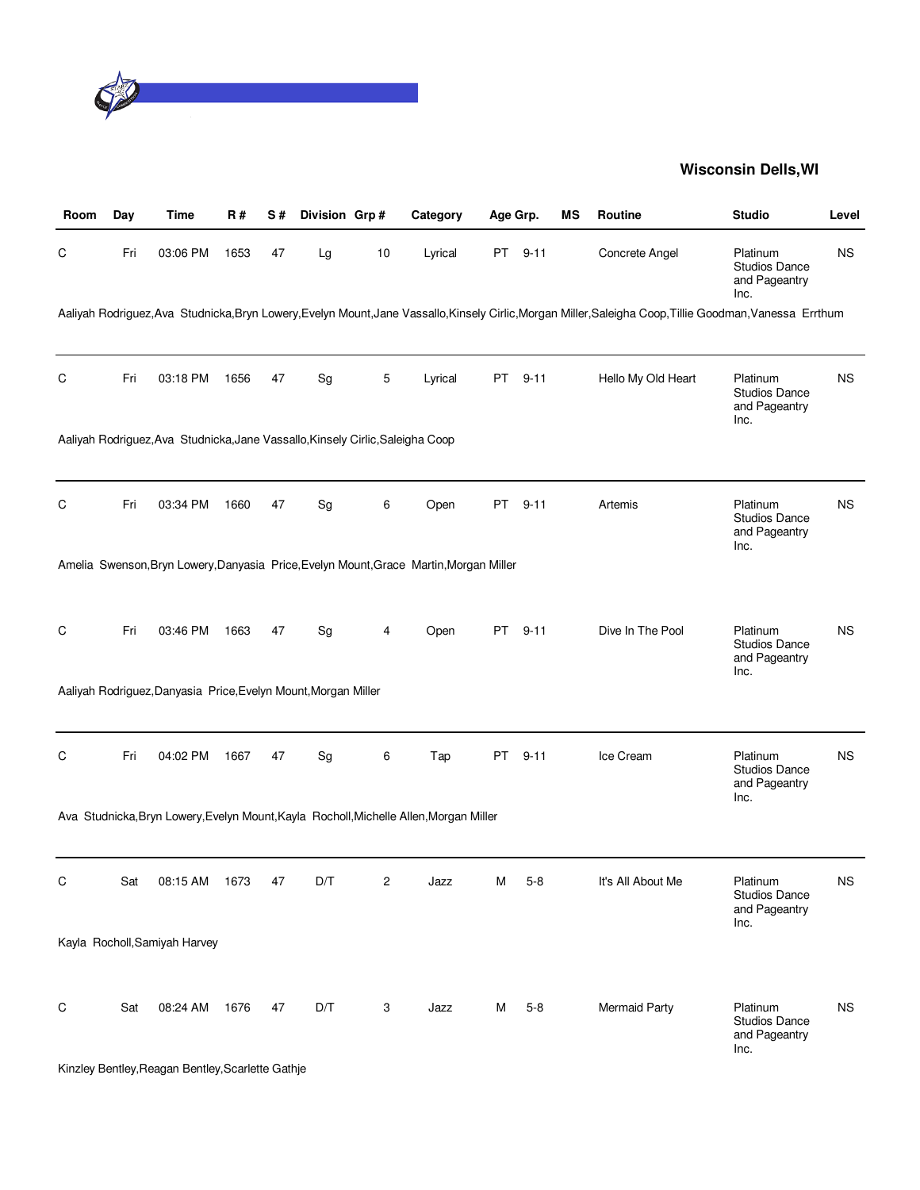

| Room        | Day | <b>Time</b>                                                                    | <b>R#</b> | S# | Division Grp# |                         | Category                                                                               | Age Grp.                                                                                                                                                                                                                       |          | ΜS | Routine                                                                                                                                                   | <b>Studio</b>                                             | Level     |
|-------------|-----|--------------------------------------------------------------------------------|-----------|----|---------------|-------------------------|----------------------------------------------------------------------------------------|--------------------------------------------------------------------------------------------------------------------------------------------------------------------------------------------------------------------------------|----------|----|-----------------------------------------------------------------------------------------------------------------------------------------------------------|-----------------------------------------------------------|-----------|
| C           | Fri | 03:06 PM                                                                       | 1653      | 47 | Lg            | 10                      | Lyrical                                                                                | PT and the post of the content of the content of the content of the content of the content of the content of the content of the content of the content of the content of the content of the content of the content of the cont | $9 - 11$ |    | Concrete Angel                                                                                                                                            | Platinum<br><b>Studios Dance</b><br>and Pageantry<br>Inc. | <b>NS</b> |
|             |     |                                                                                |           |    |               |                         |                                                                                        |                                                                                                                                                                                                                                |          |    | Aaliyah Rodriguez, Ava Studnicka, Bryn Lowery, Evelyn Mount, Jane Vassallo, Kinsely Cirlic, Morgan Miller, Saleigha Coop, Tillie Goodman, Vanessa Errthum |                                                           |           |
| C           | Fri | 03:18 PM                                                                       | 1656      | 47 | Sg            | 5                       | Lyrical                                                                                | PT                                                                                                                                                                                                                             | $9 - 11$ |    | Hello My Old Heart                                                                                                                                        | Platinum<br><b>Studios Dance</b><br>and Pageantry<br>Inc. | <b>NS</b> |
|             |     | Aaliyah Rodriguez, Ava Studnicka, Jane Vassallo, Kinsely Cirlic, Saleigha Coop |           |    |               |                         |                                                                                        |                                                                                                                                                                                                                                |          |    |                                                                                                                                                           |                                                           |           |
| C           | Fri | 03:34 PM                                                                       | 1660      | 47 | Sg            | 6                       | Open                                                                                   | PT                                                                                                                                                                                                                             | $9 - 11$ |    | Artemis                                                                                                                                                   | Platinum<br><b>Studios Dance</b><br>and Pageantry<br>Inc. | <b>NS</b> |
|             |     |                                                                                |           |    |               |                         | Amelia Swenson, Bryn Lowery, Danyasia Price, Evelyn Mount, Grace Martin, Morgan Miller |                                                                                                                                                                                                                                |          |    |                                                                                                                                                           |                                                           |           |
| C           | Fri | 03:46 PM                                                                       | 1663      | 47 | Sg            | 4                       | Open                                                                                   | PT                                                                                                                                                                                                                             | $9 - 11$ |    | Dive In The Pool                                                                                                                                          | Platinum<br><b>Studios Dance</b><br>and Pageantry<br>Inc. | <b>NS</b> |
|             |     | Aaliyah Rodriguez, Danyasia Price, Evelyn Mount, Morgan Miller                 |           |    |               |                         |                                                                                        |                                                                                                                                                                                                                                |          |    |                                                                                                                                                           |                                                           |           |
| C           | Fri | 04:02 PM                                                                       | 1667      | 47 | Sg            | 6                       | Tap                                                                                    | PT                                                                                                                                                                                                                             | $9 - 11$ |    | Ice Cream                                                                                                                                                 | Platinum<br><b>Studios Dance</b><br>and Pageantry<br>Inc. | <b>NS</b> |
|             |     |                                                                                |           |    |               |                         | Ava Studnicka, Bryn Lowery, Evelyn Mount, Kayla Rocholl, Michelle Allen, Morgan Miller |                                                                                                                                                                                                                                |          |    |                                                                                                                                                           |                                                           |           |
| $\mathsf C$ | Sat | 08:15 AM                                                                       | 1673      | 47 | D/T           | $\overline{\mathbf{c}}$ | Jazz                                                                                   | M                                                                                                                                                                                                                              | $5 - 8$  |    | It's All About Me                                                                                                                                         | Platinum<br><b>Studios Dance</b><br>and Pageantry<br>Inc. | <b>NS</b> |
|             |     | Kayla Rocholl, Samiyah Harvey                                                  |           |    |               |                         |                                                                                        |                                                                                                                                                                                                                                |          |    |                                                                                                                                                           |                                                           |           |
| C           | Sat | 08:24 AM                                                                       | 1676      | 47 | D/T           | 3                       | Jazz                                                                                   | M                                                                                                                                                                                                                              | $5 - 8$  |    | <b>Mermaid Party</b>                                                                                                                                      | Platinum<br><b>Studios Dance</b><br>and Pageantry<br>Inc. | <b>NS</b> |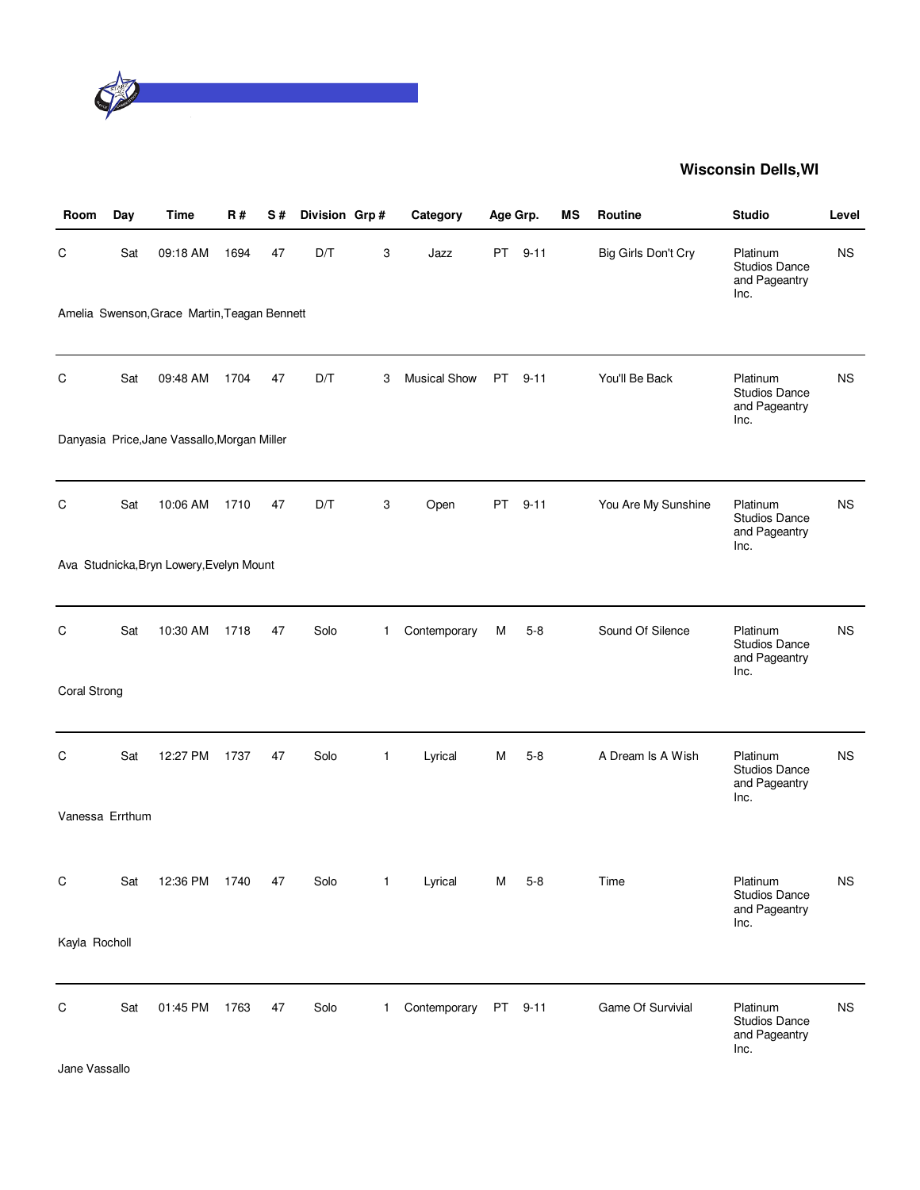

| Room            | Day | Time                                         | R#   | S# | Division Grp# |              | Category            | Age Grp. |          | ΜS | Routine             | <b>Studio</b>                                             | Level     |
|-----------------|-----|----------------------------------------------|------|----|---------------|--------------|---------------------|----------|----------|----|---------------------|-----------------------------------------------------------|-----------|
| С               | Sat | 09:18 AM                                     | 1694 | 47 | D/T           | 3            | Jazz                | PT       | $9 - 11$ |    | Big Girls Don't Cry | Platinum<br><b>Studios Dance</b><br>and Pageantry<br>Inc. | <b>NS</b> |
|                 |     | Amelia Swenson, Grace Martin, Teagan Bennett |      |    |               |              |                     |          |          |    |                     |                                                           |           |
| C               | Sat | 09:48 AM                                     | 1704 | 47 | D/T           | 3            | <b>Musical Show</b> | PT       | $9 - 11$ |    | You'll Be Back      | Platinum<br><b>Studios Dance</b><br>and Pageantry<br>Inc. | <b>NS</b> |
|                 |     | Danyasia Price, Jane Vassallo, Morgan Miller |      |    |               |              |                     |          |          |    |                     |                                                           |           |
| C               | Sat | 10:06 AM                                     | 1710 | 47 | D/T           | 3            | Open                | PT       | $9 - 11$ |    | You Are My Sunshine | Platinum<br>Studios Dance<br>and Pageantry<br>Inc.        | <b>NS</b> |
|                 |     | Ava Studnicka, Bryn Lowery, Evelyn Mount     |      |    |               |              |                     |          |          |    |                     |                                                           |           |
| C               | Sat | 10:30 AM                                     | 1718 | 47 | Solo          | $\mathbf{1}$ | Contemporary        | M        | $5 - 8$  |    | Sound Of Silence    | Platinum<br><b>Studios Dance</b><br>and Pageantry<br>Inc. | <b>NS</b> |
| Coral Strong    |     |                                              |      |    |               |              |                     |          |          |    |                     |                                                           |           |
| C               | Sat | 12:27 PM                                     | 1737 | 47 | Solo          | 1            | Lyrical             | M        | $5 - 8$  |    | A Dream Is A Wish   | Platinum<br>Studios Dance<br>and Pageantry<br>Inc.        | <b>NS</b> |
| Vanessa Errthum |     |                                              |      |    |               |              |                     |          |          |    |                     |                                                           |           |
| C               | Sat | 12:36 PM                                     | 1740 | 47 | Solo          | 1            | Lyrical             | M        | $5 - 8$  |    | Time                | Platinum<br>Studios Dance<br>and Pageantry                | <b>NS</b> |
| Kayla Rocholl   |     |                                              |      |    |               |              |                     |          |          |    |                     | Inc.                                                      |           |
| C               | Sat | 01:45 PM                                     | 1763 | 47 | Solo          | $\mathbf{1}$ | Contemporary        |          | PT 9-11  |    | Game Of Survivial   | Platinum<br>Studios Dance<br>and Pageantry<br>Inc.        | <b>NS</b> |

Jane Vassallo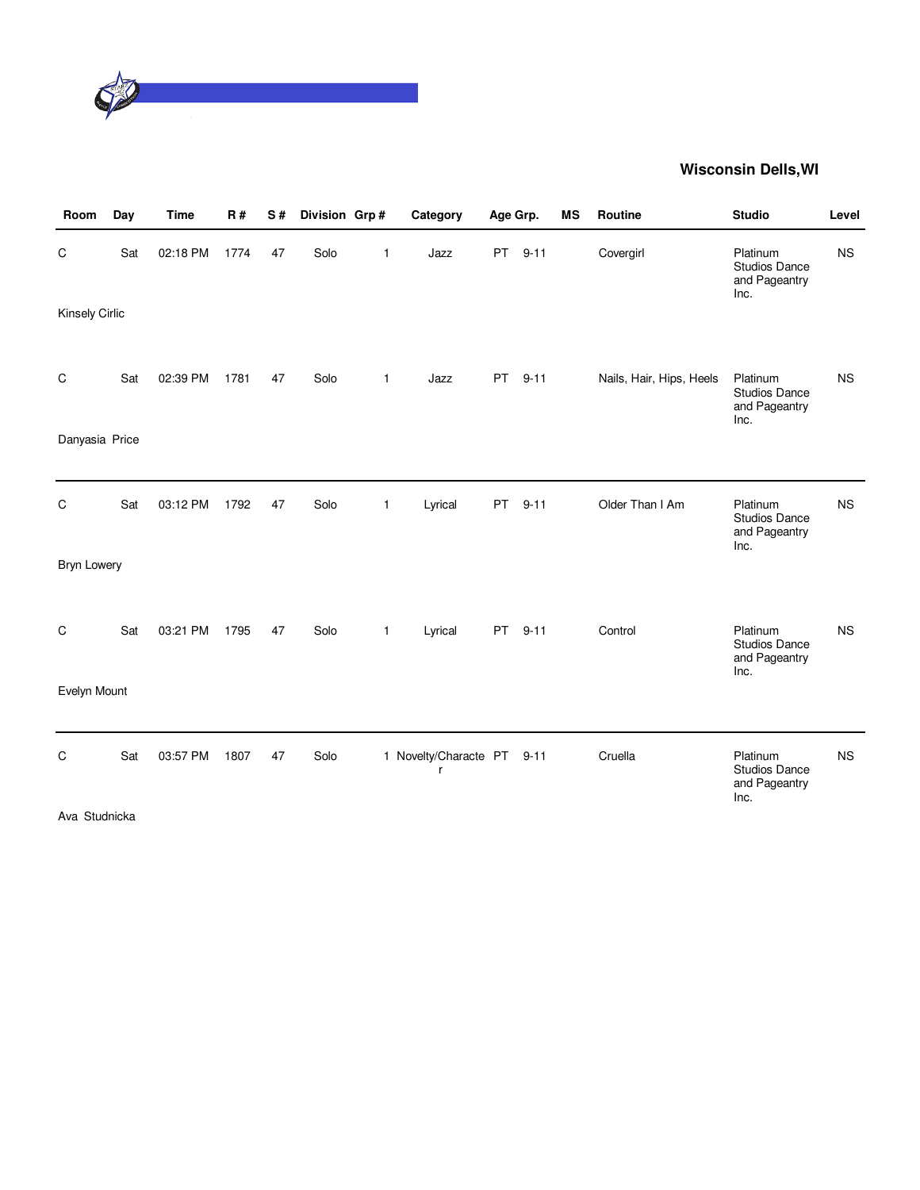

| Room                       | Day | <b>Time</b> | R#   | S# | Division Grp# |              | Category                        | Age Grp.  |          | <b>MS</b> | Routine                  | <b>Studio</b>                                             | Level     |
|----------------------------|-----|-------------|------|----|---------------|--------------|---------------------------------|-----------|----------|-----------|--------------------------|-----------------------------------------------------------|-----------|
| С<br><b>Kinsely Cirlic</b> | Sat | 02:18 PM    | 1774 | 47 | Solo          | 1            | Jazz                            | PT        | $9 - 11$ |           | Covergirl                | Platinum<br><b>Studios Dance</b><br>and Pageantry<br>Inc. | <b>NS</b> |
|                            |     |             |      |    |               |              |                                 |           |          |           |                          |                                                           |           |
| C                          | Sat | 02:39 PM    | 1781 | 47 | Solo          | $\mathbf{1}$ | Jazz                            | <b>PT</b> | $9 - 11$ |           | Nails, Hair, Hips, Heels | Platinum<br>Studios Dance<br>and Pageantry<br>Inc.        | <b>NS</b> |
| Danyasia Price             |     |             |      |    |               |              |                                 |           |          |           |                          |                                                           |           |
|                            |     |             |      |    |               |              |                                 |           |          |           |                          |                                                           |           |
| C                          | Sat | 03:12 PM    | 1792 | 47 | Solo          | 1            | Lyrical                         | <b>PT</b> | $9 - 11$ |           | Older Than I Am          | Platinum<br><b>Studios Dance</b><br>and Pageantry<br>Inc. | <b>NS</b> |
| <b>Bryn Lowery</b>         |     |             |      |    |               |              |                                 |           |          |           |                          |                                                           |           |
|                            |     |             |      |    |               |              |                                 |           |          |           |                          |                                                           |           |
| C                          | Sat | 03:21 PM    | 1795 | 47 | Solo          | 1            | Lyrical                         | <b>PT</b> | $9 - 11$ |           | Control                  | Platinum<br><b>Studios Dance</b><br>and Pageantry<br>Inc. | <b>NS</b> |
| Evelyn Mount               |     |             |      |    |               |              |                                 |           |          |           |                          |                                                           |           |
|                            |     |             |      |    |               |              |                                 |           |          |           |                          |                                                           |           |
| C                          | Sat | 03:57 PM    | 1807 | 47 | Solo          |              | 1 Novelty/Characte PT 9-11<br>r |           |          |           | Cruella                  | Platinum<br><b>Studios Dance</b><br>and Pageantry<br>Inc. | <b>NS</b> |
| Ava Studnicka              |     |             |      |    |               |              |                                 |           |          |           |                          |                                                           |           |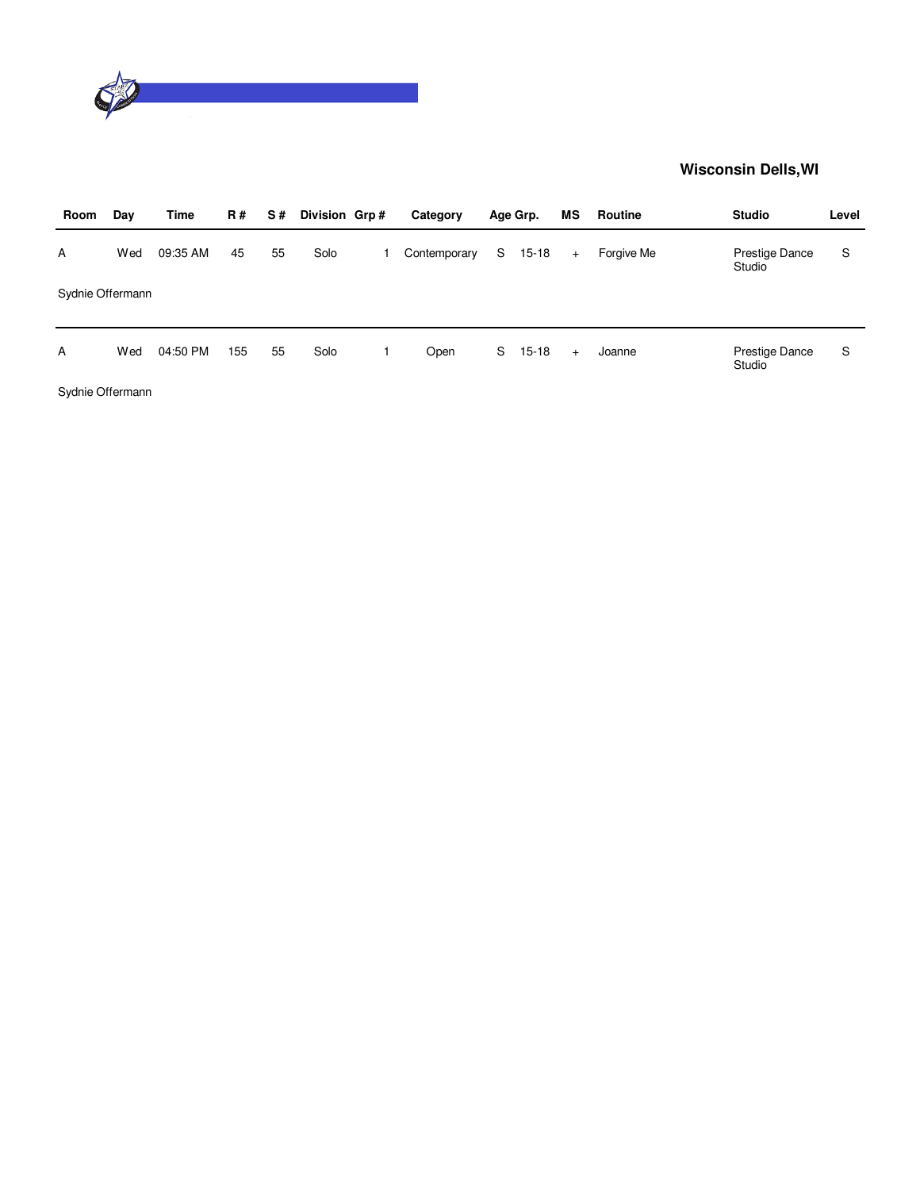

| Room             | Day | Time     | <b>R#</b> | S# | Division Grp# | Category     |   | Age Grp.  | ΜS  | Routine    | <b>Studio</b>            | Level |
|------------------|-----|----------|-----------|----|---------------|--------------|---|-----------|-----|------------|--------------------------|-------|
| A                | Wed | 09:35 AM | 45        | 55 | Solo          | Contemporary | S | $15 - 18$ | $+$ | Forgive Me | Prestige Dance<br>Studio | S     |
| Sydnie Offermann |     |          |           |    |               |              |   |           |     |            |                          |       |
| A                | Wed | 04:50 PM | 155       | 55 | Solo          | Open         | S | $15 - 18$ | $+$ | Joanne     | Prestige Dance<br>Studio | S     |
| Sydnie Offermann |     |          |           |    |               |              |   |           |     |            |                          |       |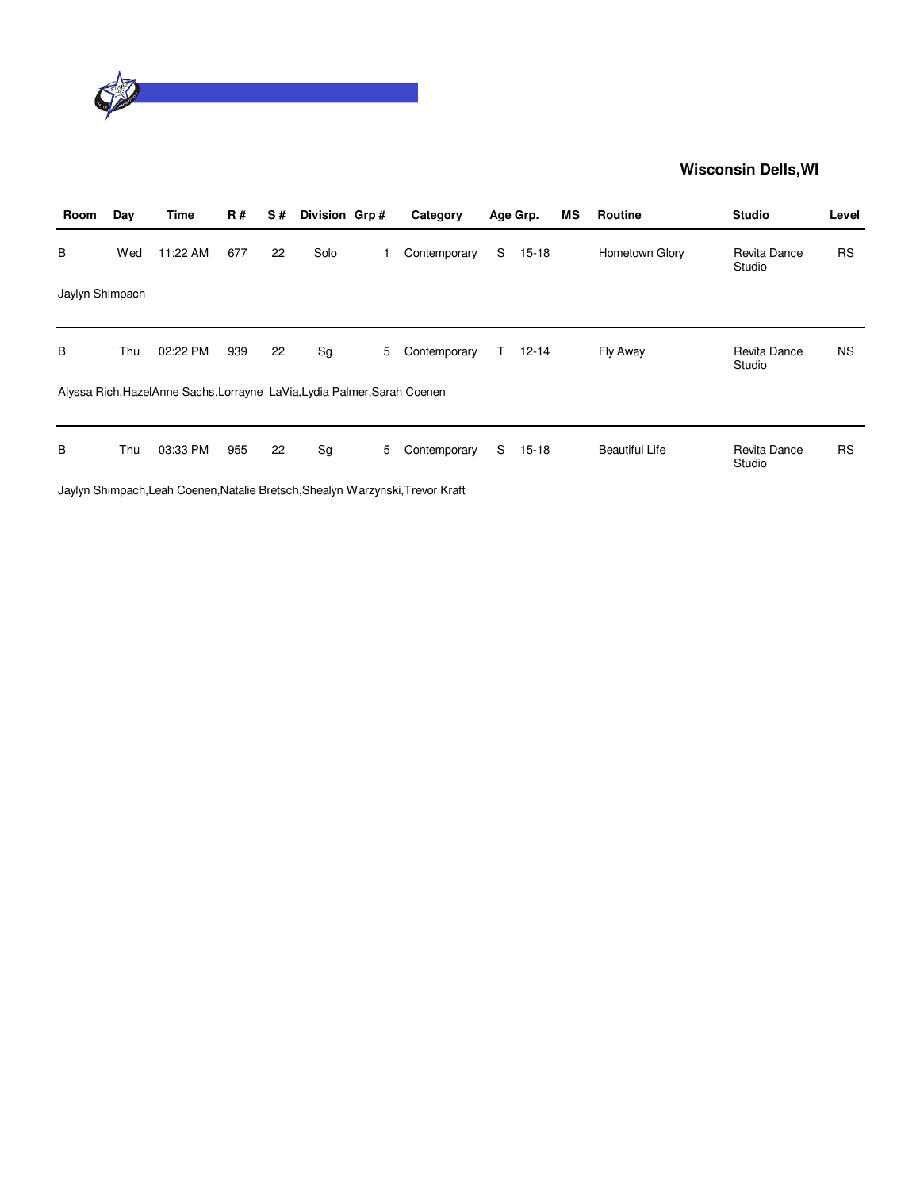

| Room            | Day | Time                                                                     | <b>R#</b> | S# | Division Grp# |   | Category                                                                       |    | Age Grp.  | <b>MS</b> | Routine               | <b>Studio</b>          | Level     |
|-----------------|-----|--------------------------------------------------------------------------|-----------|----|---------------|---|--------------------------------------------------------------------------------|----|-----------|-----------|-----------------------|------------------------|-----------|
| B               | Wed | 11:22 AM                                                                 | 677       | 22 | Solo          |   | Contemporary                                                                   | S  | $15 - 18$ |           | Hometown Glory        | Revita Dance<br>Studio | <b>RS</b> |
| Jaylyn Shimpach |     |                                                                          |           |    |               |   |                                                                                |    |           |           |                       |                        |           |
| B               | Thu | 02:22 PM                                                                 | 939       | 22 | Sg            | 5 | Contemporary                                                                   | T. | $12 - 14$ |           | Fly Away              | Revita Dance<br>Studio | <b>NS</b> |
|                 |     | Alyssa Rich, HazelAnne Sachs, Lorrayne LaVia, Lydia Palmer, Sarah Coenen |           |    |               |   |                                                                                |    |           |           |                       |                        |           |
| В               | Thu | 03:33 PM                                                                 | 955       | 22 | Sg            | 5 | Contemporary                                                                   | S  | $15 - 18$ |           | <b>Beautiful Life</b> | Revita Dance<br>Studio | <b>RS</b> |
|                 |     |                                                                          |           |    |               |   | Jaylyn Shimpach, Leah Coenen, Natalie Bretsch, Shealyn Warzynski, Trevor Kraft |    |           |           |                       |                        |           |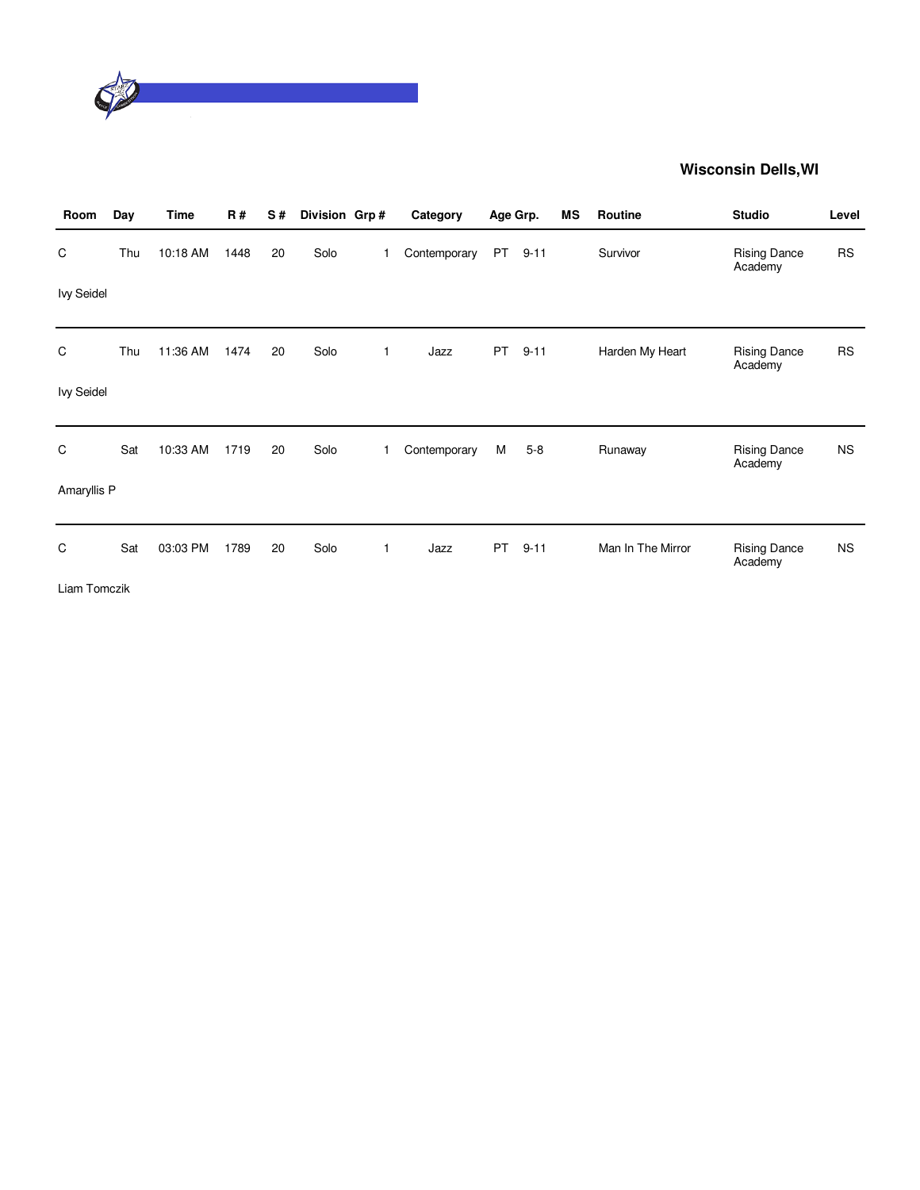

| Room              | Day | <b>Time</b> | <b>R#</b> | S# | Division Grp# |              | Category     | Age Grp.  |          | ΜS | Routine           | <b>Studio</b>                  | Level     |
|-------------------|-----|-------------|-----------|----|---------------|--------------|--------------|-----------|----------|----|-------------------|--------------------------------|-----------|
| C                 | Thu | 10:18 AM    | 1448      | 20 | Solo          | 1            | Contemporary | PT        | $9 - 11$ |    | Survivor          | <b>Rising Dance</b><br>Academy | <b>RS</b> |
| <b>Ivy Seidel</b> |     |             |           |    |               |              |              |           |          |    |                   |                                |           |
| C                 | Thu | 11:36 AM    | 1474      | 20 | Solo          | $\mathbf{1}$ | Jazz         | <b>PT</b> | $9 - 11$ |    | Harden My Heart   | <b>Rising Dance</b><br>Academy | <b>RS</b> |
| <b>Ivy Seidel</b> |     |             |           |    |               |              |              |           |          |    |                   |                                |           |
| C                 | Sat | 10:33 AM    | 1719      | 20 | Solo          | 1            | Contemporary | М         | $5 - 8$  |    | Runaway           | <b>Rising Dance</b><br>Academy | <b>NS</b> |
| Amaryllis P       |     |             |           |    |               |              |              |           |          |    |                   |                                |           |
| C                 | Sat | 03:03 PM    | 1789      | 20 | Solo          | $\mathbf{1}$ | Jazz         | <b>PT</b> | $9 - 11$ |    | Man In The Mirror | <b>Rising Dance</b><br>Academy | <b>NS</b> |
| Liam Tomczik      |     |             |           |    |               |              |              |           |          |    |                   |                                |           |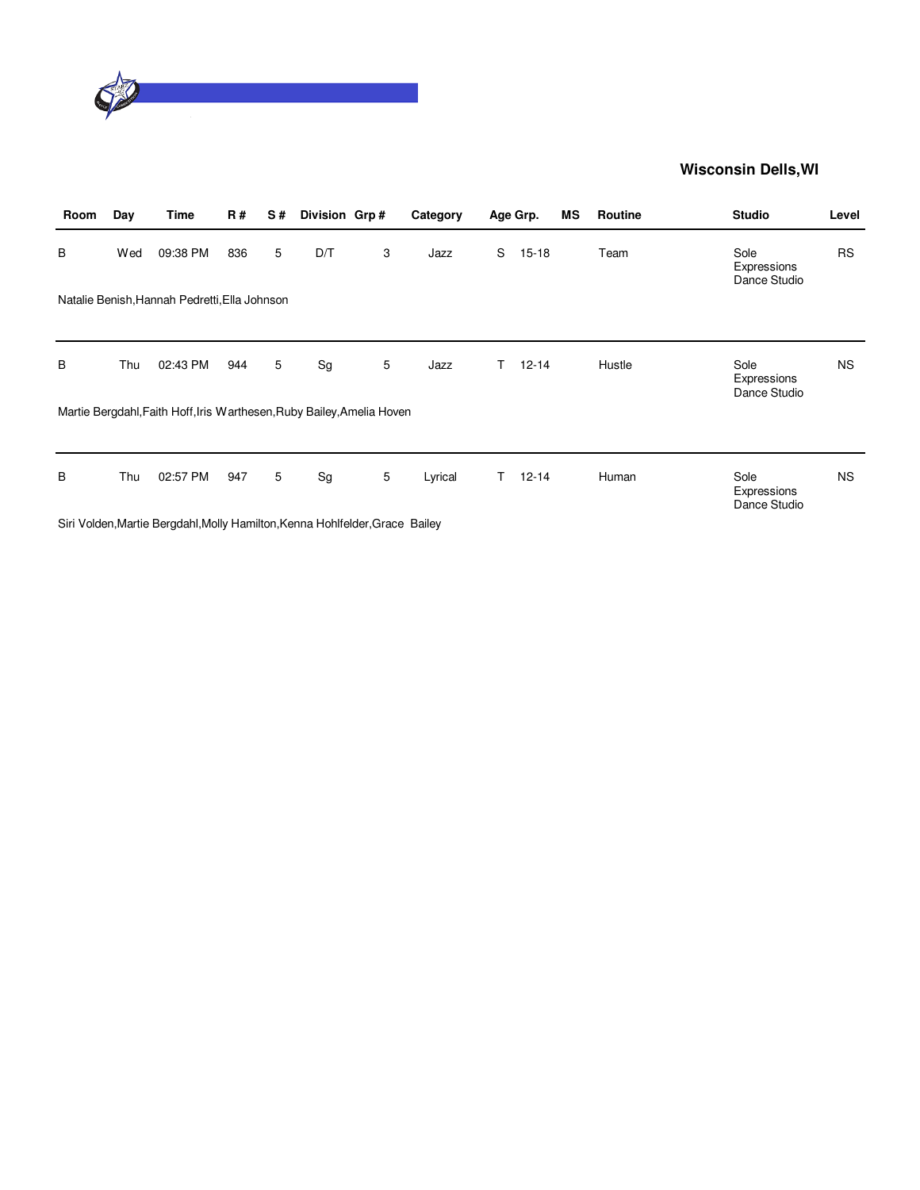

| Room | Day | Time                                                                   | <b>R#</b> | S# | Division Grp# |   | Category |    | Age Grp.  | <b>MS</b> | Routine | <b>Studio</b>                       | Level     |
|------|-----|------------------------------------------------------------------------|-----------|----|---------------|---|----------|----|-----------|-----------|---------|-------------------------------------|-----------|
| B    | Wed | 09:38 PM                                                               | 836       | 5  | D/T           | 3 | Jazz     | S  | $15 - 18$ |           | Team    | Sole<br>Expressions<br>Dance Studio | <b>RS</b> |
|      |     | Natalie Benish, Hannah Pedretti, Ella Johnson                          |           |    |               |   |          |    |           |           |         |                                     |           |
| B    | Thu | 02:43 PM                                                               | 944       | 5  | Sg            | 5 | Jazz     | T. | $12 - 14$ |           | Hustle  | Sole<br>Expressions<br>Dance Studio | <b>NS</b> |
|      |     | Martie Bergdahl, Faith Hoff, Iris Warthesen, Ruby Bailey, Amelia Hoven |           |    |               |   |          |    |           |           |         |                                     |           |
| B    | Thu | 02:57 PM                                                               | 947       | 5  | Sg            | 5 | Lyrical  | T. | $12 - 14$ |           | Human   | Sole<br>Expressions<br>Dance Studio | <b>NS</b> |
| _    |     |                                                                        |           |    |               |   |          |    |           |           |         |                                     |           |

Siri Volden,Martie Bergdahl,Molly Hamilton,Kenna Hohlfelder,Grace Bailey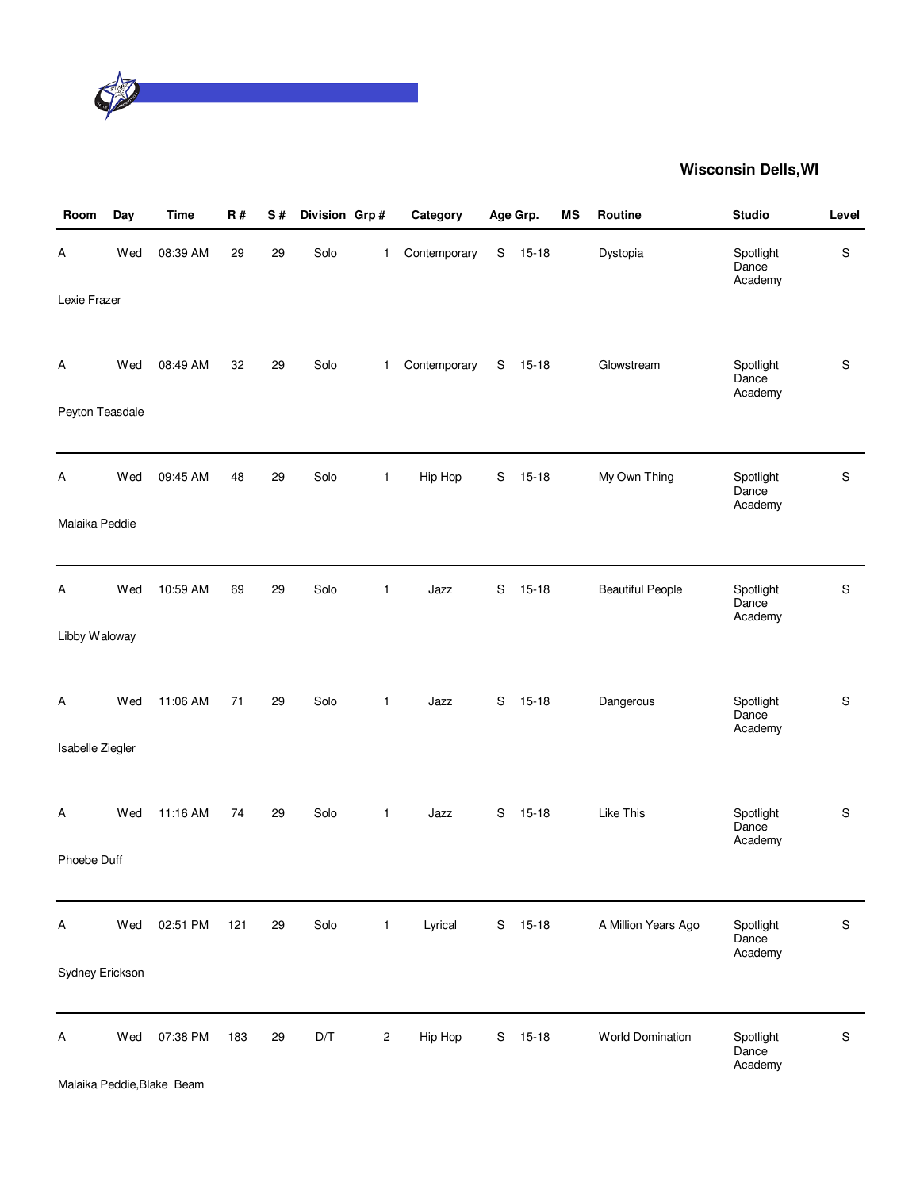

| Room             | Day | <b>Time</b> | R#  | $\mathbf S$ # | Division Grp# |              | Category     |   | Age Grp.  | MS | Routine                 | <b>Studio</b>                 | Level |
|------------------|-----|-------------|-----|---------------|---------------|--------------|--------------|---|-----------|----|-------------------------|-------------------------------|-------|
| Α                | Wed | 08:39 AM    | 29  | 29            | Solo          | 1            | Contemporary | S | $15 - 18$ |    | Dystopia                | Spotlight<br>Dance<br>Academy | S     |
| Lexie Frazer     |     |             |     |               |               |              |              |   |           |    |                         |                               |       |
| Α                | Wed | 08:49 AM    | 32  | 29            | Solo          | $\mathbf{1}$ | Contemporary | S | $15 - 18$ |    | Glowstream              | Spotlight<br>Dance<br>Academy | S     |
| Peyton Teasdale  |     |             |     |               |               |              |              |   |           |    |                         |                               |       |
| А                | Wed | 09:45 AM    | 48  | 29            | Solo          | $\mathbf{1}$ | Hip Hop      | S | $15 - 18$ |    | My Own Thing            | Spotlight<br>Dance<br>Academy | S     |
| Malaika Peddie   |     |             |     |               |               |              |              |   |           |    |                         |                               |       |
| Α                | Wed | 10:59 AM    | 69  | 29            | Solo          | $\mathbf{1}$ | Jazz         | S | $15 - 18$ |    | <b>Beautiful People</b> | Spotlight<br>Dance<br>Academy | S     |
| Libby Waloway    |     |             |     |               |               |              |              |   |           |    |                         |                               |       |
| A                | Wed | 11:06 AM    | 71  | 29            | Solo          | 1            | Jazz         | S | $15 - 18$ |    | Dangerous               | Spotlight<br>Dance<br>Academy | S     |
| Isabelle Ziegler |     |             |     |               |               |              |              |   |           |    |                         |                               |       |
| Α                | Wed | 11:16 AM    | 74  | 29            | Solo          | 1            | Jazz         | S | $15 - 18$ |    | Like This               | Spotlight<br>Dance<br>Academy | S     |
| Phoebe Duff      |     |             |     |               |               |              |              |   |           |    |                         |                               |       |
| Α                | Wed | 02:51 PM    | 121 | 29            | Solo          | $\mathbf{1}$ | Lyrical      | S | $15 - 18$ |    | A Million Years Ago     | Spotlight<br>Dance<br>Academy | S     |
| Sydney Erickson  |     |             |     |               |               |              |              |   |           |    |                         |                               |       |
| Α                | Wed | 07:38 PM    | 183 | 29            | D/T           | 2            | Hip Hop      | S | $15 - 18$ |    | World Domination        | Spotlight<br>Dance<br>Academy | S     |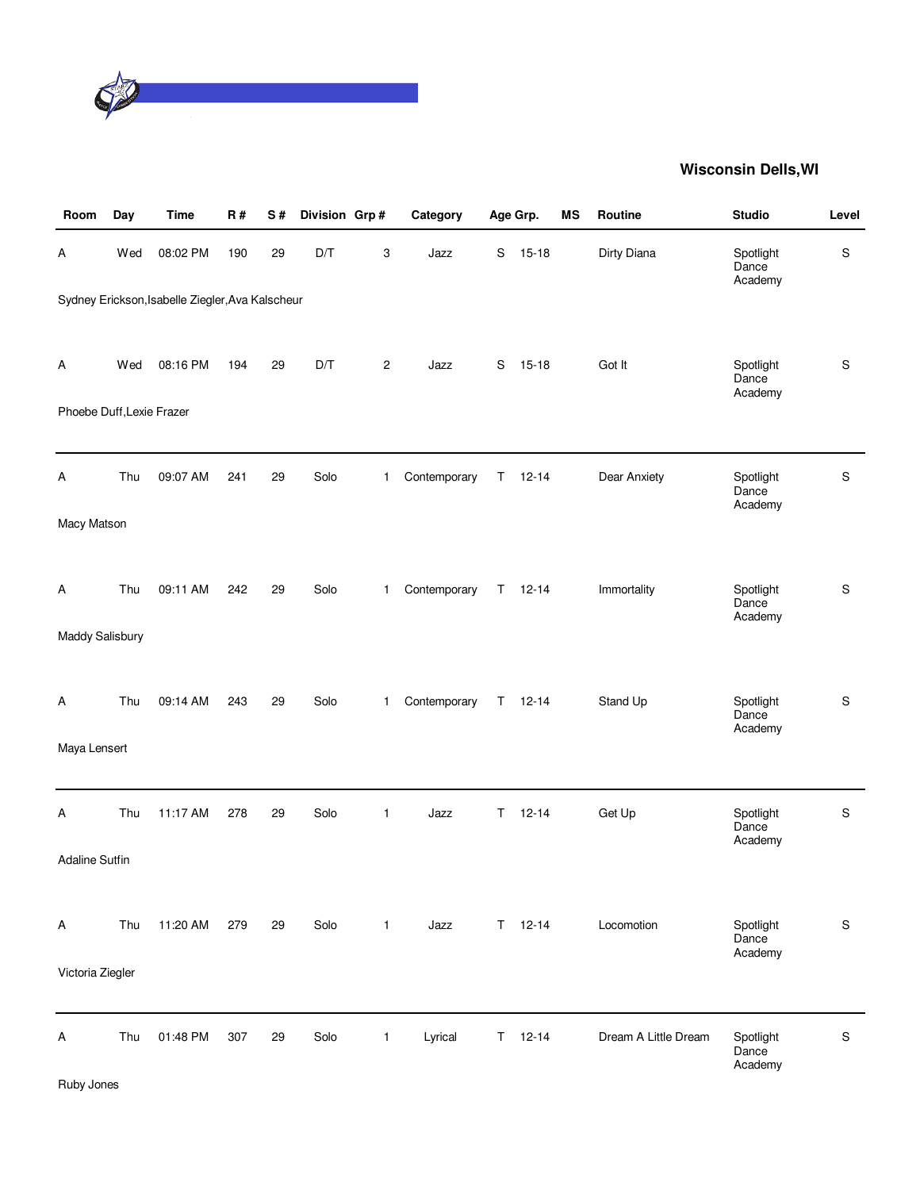

| Room                      | Day | Time                                             | <b>R#</b> | S# | Division Grp# |                | Category     |             | Age Grp.  | MS | Routine              | <b>Studio</b>                 | Level         |
|---------------------------|-----|--------------------------------------------------|-----------|----|---------------|----------------|--------------|-------------|-----------|----|----------------------|-------------------------------|---------------|
| Α                         | Wed | 08:02 PM                                         | 190       | 29 | D/T           | 3              | Jazz         | $\mathbf S$ | $15 - 18$ |    | Dirty Diana          | Spotlight<br>Dance<br>Academy | S             |
|                           |     | Sydney Erickson, Isabelle Ziegler, Ava Kalscheur |           |    |               |                |              |             |           |    |                      |                               |               |
| Α                         | Wed | 08:16 PM                                         | 194       | 29 | D/T           | $\overline{c}$ | Jazz         | S           | $15 - 18$ |    | Got It               | Spotlight<br>Dance<br>Academy | S             |
| Phoebe Duff, Lexie Frazer |     |                                                  |           |    |               |                |              |             |           |    |                      |                               |               |
| Α                         | Thu | 09:07 AM                                         | 241       | 29 | Solo          | 1.             | Contemporary | Τ           | $12 - 14$ |    | Dear Anxiety         | Spotlight<br>Dance<br>Academy | S             |
| Macy Matson               |     |                                                  |           |    |               |                |              |             |           |    |                      |                               |               |
| A                         | Thu | 09:11 AM                                         | 242       | 29 | Solo          | $\mathbf{1}$   | Contemporary | Τ           | $12 - 14$ |    | Immortality          | Spotlight<br>Dance<br>Academy | S             |
| Maddy Salisbury           |     |                                                  |           |    |               |                |              |             |           |    |                      |                               |               |
| Α                         | Thu | 09:14 AM                                         | 243       | 29 | Solo          | 1              | Contemporary | T.          | $12 - 14$ |    | Stand Up             | Spotlight<br>Dance<br>Academy | $\mathsf S$   |
| Maya Lensert              |     |                                                  |           |    |               |                |              |             |           |    |                      |                               |               |
| Α                         | Thu | 11:17 AM                                         | 278       | 29 | Solo          | $\mathbf{1}$   | Jazz         | Τ           | $12 - 14$ |    | Get Up               | Spotlight<br>Dance<br>Academy | $\mathbf S$   |
| <b>Adaline Sutfin</b>     |     |                                                  |           |    |               |                |              |             |           |    |                      |                               |               |
| Α                         | Thu | 11:20 AM                                         | 279       | 29 | Solo          | $\mathbf{1}$   | Jazz         | T.          | $12 - 14$ |    | Locomotion           | Spotlight<br>Dance<br>Academy | S             |
| Victoria Ziegler          |     |                                                  |           |    |               |                |              |             |           |    |                      |                               |               |
| Α                         | Thu | 01:48 PM                                         | 307       | 29 | Solo          | $\mathbf{1}$   | Lyrical      | T.          | $12 - 14$ |    | Dream A Little Dream | Spotlight<br>Dance<br>Academy | ${\mathsf S}$ |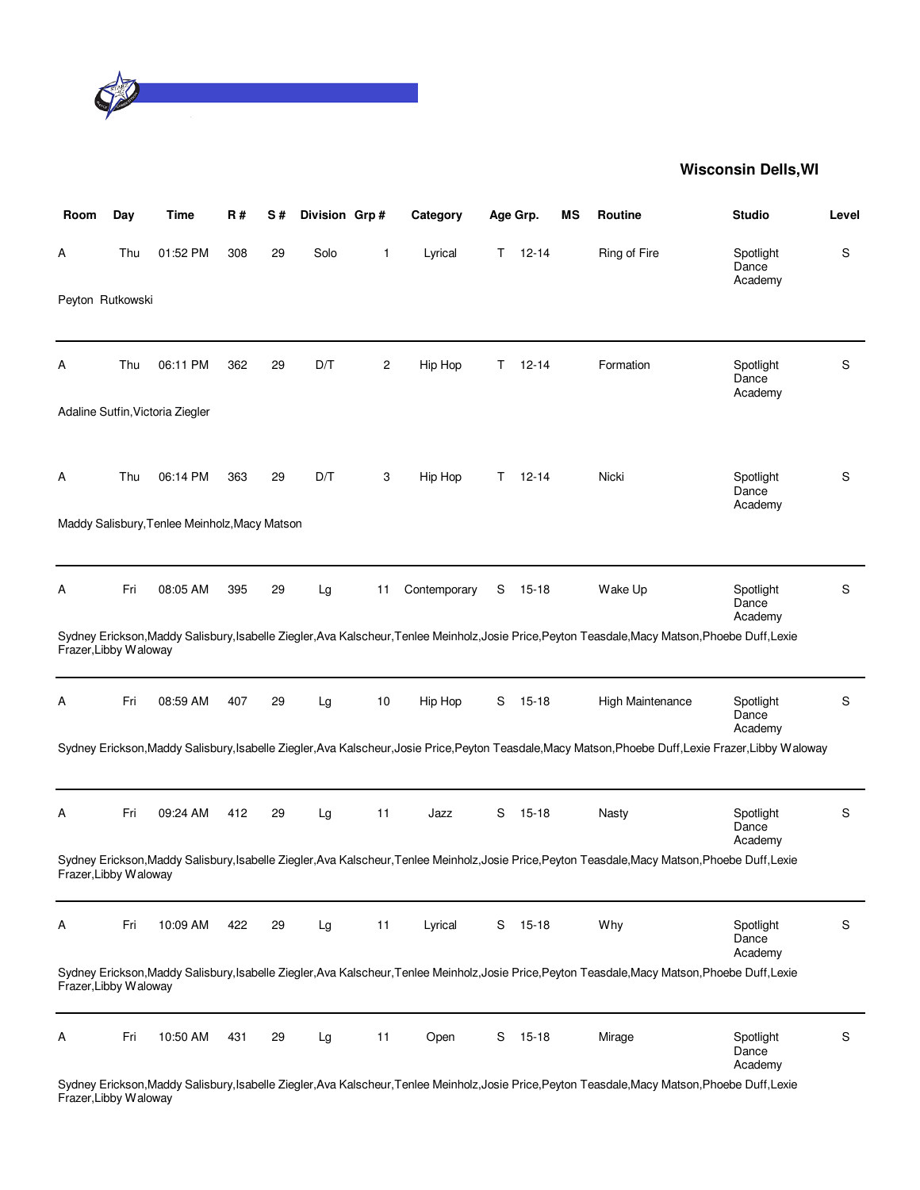

| Room                  | Day | Time                                          | R#  | S# | Division Grp# |              | Category     |    | Age Grp.  | ΜS | <b>Routine</b>                                                                                                                                         | <b>Studio</b>                 | Level |
|-----------------------|-----|-----------------------------------------------|-----|----|---------------|--------------|--------------|----|-----------|----|--------------------------------------------------------------------------------------------------------------------------------------------------------|-------------------------------|-------|
| A                     | Thu | 01:52 PM                                      | 308 | 29 | Solo          | $\mathbf{1}$ | Lyrical      | Τ  | $12 - 14$ |    | Ring of Fire                                                                                                                                           | Spotlight<br>Dance<br>Academy | S     |
| Peyton Rutkowski      |     |                                               |     |    |               |              |              |    |           |    |                                                                                                                                                        |                               |       |
| A                     | Thu | 06:11 PM                                      | 362 | 29 | D/T           | 2            | Hip Hop      | Τ  | $12 - 14$ |    | Formation                                                                                                                                              | Spotlight<br>Dance<br>Academy | S     |
|                       |     | Adaline Sutfin, Victoria Ziegler              |     |    |               |              |              |    |           |    |                                                                                                                                                        |                               |       |
| Α                     | Thu | 06:14 PM                                      | 363 | 29 | D/T           | 3            | Hip Hop      | T. | $12 - 14$ |    | Nicki                                                                                                                                                  | Spotlight<br>Dance<br>Academy | S     |
|                       |     | Maddy Salisbury, Tenlee Meinholz, Macy Matson |     |    |               |              |              |    |           |    |                                                                                                                                                        |                               |       |
| Α                     | Fri | 08:05 AM                                      | 395 | 29 | Lg            | 11           | Contemporary | S  | 15-18     |    | Wake Up                                                                                                                                                | Spotlight<br>Dance<br>Academy | S     |
| Frazer, Libby Waloway |     |                                               |     |    |               |              |              |    |           |    | Sydney Erickson, Maddy Salisbury, Isabelle Ziegler, Ava Kalscheur, Tenlee Meinholz, Josie Price, Peyton Teasdale, Macy Matson, Phoebe Duff, Lexie      |                               |       |
| Α                     | Fri | 08:59 AM                                      | 407 | 29 | Lg            | 10           | Hip Hop      | S  | $15 - 18$ |    | High Maintenance                                                                                                                                       | Spotlight<br>Dance<br>Academy | S     |
|                       |     |                                               |     |    |               |              |              |    |           |    | Sydney Erickson, Maddy Salisbury, Isabelle Ziegler, Ava Kalscheur, Josie Price, Peyton Teasdale, Macy Matson, Phoebe Duff, Lexie Frazer, Libby Waloway |                               |       |
| Α                     | Fri | 09:24 AM                                      | 412 | 29 | Lg            | 11           | Jazz         | S  | $15 - 18$ |    | Nasty                                                                                                                                                  | Spotlight<br>Dance<br>Academy | S     |
| Frazer, Libby Waloway |     |                                               |     |    |               |              |              |    |           |    | Sydney Erickson, Maddy Salisbury, Isabelle Ziegler, Ava Kalscheur, Tenlee Meinholz, Josie Price, Peyton Teasdale, Macy Matson, Phoebe Duff, Lexie      |                               |       |
| Α                     | Fri | 10:09 AM                                      | 422 | 29 | Lg            | 11           | Lyrical      | S  | $15 - 18$ |    | Why                                                                                                                                                    | Spotlight<br>Dance<br>Academy | S     |
| Frazer, Libby Waloway |     |                                               |     |    |               |              |              |    |           |    | Sydney Erickson, Maddy Salisbury, Isabelle Ziegler, Ava Kalscheur, Tenlee Meinholz, Josie Price, Peyton Teasdale, Macy Matson, Phoebe Duff, Lexie      |                               |       |
| A                     | Fri | 10:50 AM                                      | 431 | 29 | Lg            | 11           | Open         | S  | $15-18$   |    | Mirage<br>Sydney Frickson Maddy Salisbury Isabelle Ziegler Ava Kalscheur Teplee Meinholz, Josie Price Peyton Teasdale Macy Matson Phoebe Duff Levie    | Spotlight<br>Dance<br>Academy | S     |

Sydney Erickson,Maddy Salisbury,Isabelle Ziegler,Ava Kalscheur,Tenlee Meinholz,Josie Price,Peyton Teasdale,Macy Matson,Phoebe Duff,Lexie Frazer,Libby Waloway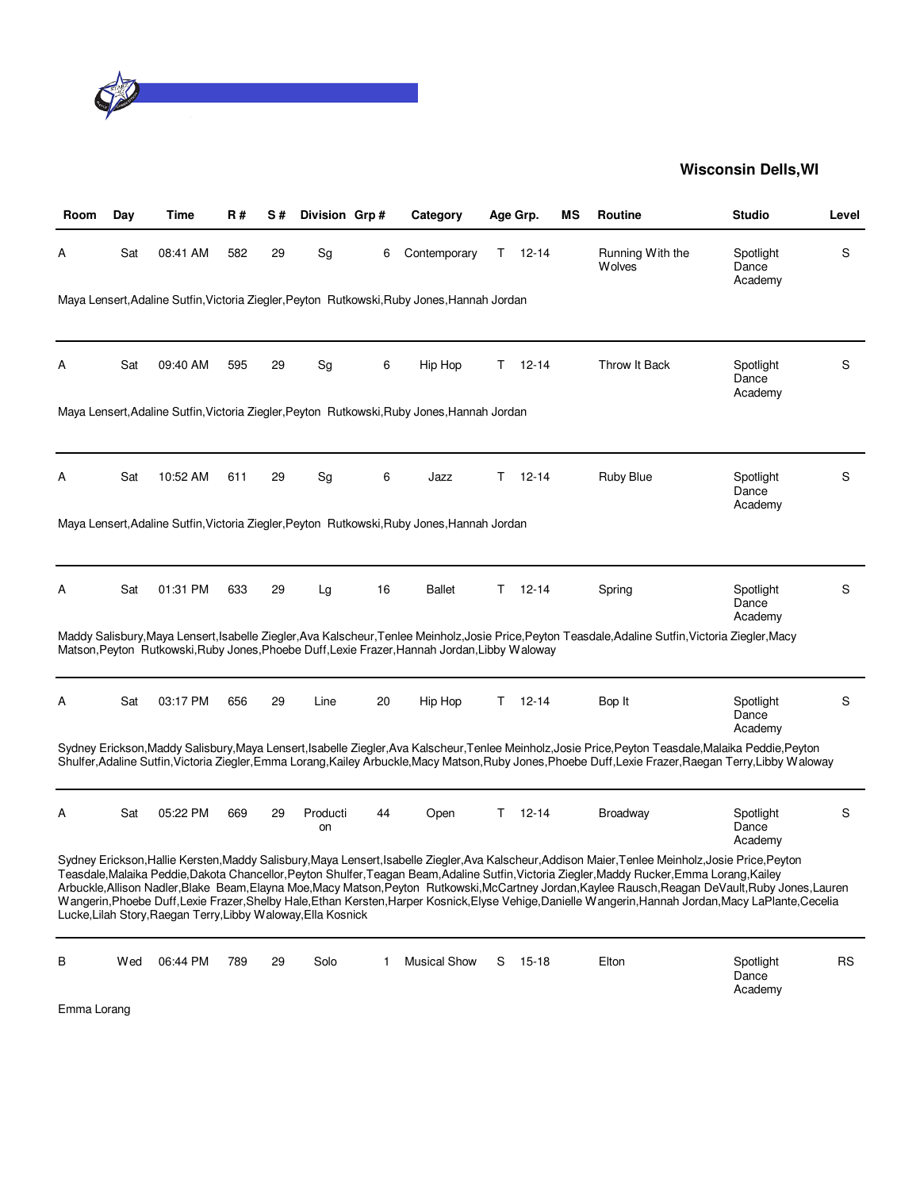

| Room | Dav | Time                                                          | R#  | S# | Division Grp#  |    | Category                                                                                      |    | Age Grp.  | ΜS | Routine                                                                                                                                                                                                                                                                                                                                                                                                                                                                                                                                                                                                                  | <b>Studio</b>                 | Level     |
|------|-----|---------------------------------------------------------------|-----|----|----------------|----|-----------------------------------------------------------------------------------------------|----|-----------|----|--------------------------------------------------------------------------------------------------------------------------------------------------------------------------------------------------------------------------------------------------------------------------------------------------------------------------------------------------------------------------------------------------------------------------------------------------------------------------------------------------------------------------------------------------------------------------------------------------------------------------|-------------------------------|-----------|
| Α    | Sat | 08:41 AM                                                      | 582 | 29 | Sg             | 6  | Contemporary                                                                                  | т  | $12 - 14$ |    | Running With the<br><b>Wolves</b>                                                                                                                                                                                                                                                                                                                                                                                                                                                                                                                                                                                        | Spotlight<br>Dance<br>Academy | S         |
|      |     |                                                               |     |    |                |    | Maya Lensert, Adaline Sutfin, Victoria Ziegler, Peyton Rutkowski, Ruby Jones, Hannah Jordan   |    |           |    |                                                                                                                                                                                                                                                                                                                                                                                                                                                                                                                                                                                                                          |                               |           |
| A    | Sat | 09:40 AM                                                      | 595 | 29 | Sg             | 6  | Hip Hop                                                                                       | T. | $12 - 14$ |    | Throw It Back                                                                                                                                                                                                                                                                                                                                                                                                                                                                                                                                                                                                            | Spotlight<br>Dance<br>Academy | S         |
|      |     |                                                               |     |    |                |    | Maya Lensert, Adaline Sutfin, Victoria Ziegler, Peyton Rutkowski, Ruby Jones, Hannah Jordan   |    |           |    |                                                                                                                                                                                                                                                                                                                                                                                                                                                                                                                                                                                                                          |                               |           |
| Α    | Sat | 10:52 AM                                                      | 611 | 29 | Sg             | 6  | Jazz                                                                                          | T. | $12 - 14$ |    | Ruby Blue                                                                                                                                                                                                                                                                                                                                                                                                                                                                                                                                                                                                                | Spotlight<br>Dance<br>Academy | S         |
|      |     |                                                               |     |    |                |    | Maya Lensert, Adaline Sutfin, Victoria Ziegler, Peyton Rutkowski, Ruby Jones, Hannah Jordan   |    |           |    |                                                                                                                                                                                                                                                                                                                                                                                                                                                                                                                                                                                                                          |                               |           |
| Α    | Sat | 01:31 PM                                                      | 633 | 29 | Lg             | 16 | <b>Ballet</b>                                                                                 | T. | $12 - 14$ |    | Spring                                                                                                                                                                                                                                                                                                                                                                                                                                                                                                                                                                                                                   | Spotlight<br>Dance<br>Academy | S         |
|      |     |                                                               |     |    |                |    | Matson, Peyton Rutkowski, Ruby Jones, Phoebe Duff, Lexie Frazer, Hannah Jordan, Libby Waloway |    |           |    | Maddy Salisbury, Maya Lensert, Isabelle Ziegler, Ava Kalscheur, Tenlee Meinholz, Josie Price, Peyton Teasdale, Adaline Sutfin, Victoria Ziegler, Macy                                                                                                                                                                                                                                                                                                                                                                                                                                                                    |                               |           |
| Α    | Sat | 03:17 PM                                                      | 656 | 29 | Line           | 20 | Hip Hop                                                                                       | T. | $12 - 14$ |    | Bop It                                                                                                                                                                                                                                                                                                                                                                                                                                                                                                                                                                                                                   | Spotlight<br>Dance<br>Academy | S         |
|      |     |                                                               |     |    |                |    |                                                                                               |    |           |    | Sydney Erickson, Maddy Salisbury, Maya Lensert, Isabelle Ziegler, Ava Kalscheur, Tenlee Meinholz, Josie Price, Peyton Teasdale, Malaika Peddie, Peyton<br>Shulfer, Adaline Sutfin, Victoria Ziegler, Emma Lorang, Kailey Arbuckle, Macy Matson, Ruby Jones, Phoebe Duff, Lexie Frazer, Raegan Terry, Libby Waloway                                                                                                                                                                                                                                                                                                       |                               |           |
| A    | Sat | 05:22 PM                                                      | 669 | 29 | Producti<br>on | 44 | Open                                                                                          | T. | $12 - 14$ |    | <b>Broadway</b>                                                                                                                                                                                                                                                                                                                                                                                                                                                                                                                                                                                                          | Spotlight<br>Dance<br>Academy | S         |
|      |     | Lucke, Lilah Story, Raegan Terry, Libby Waloway, Ella Kosnick |     |    |                |    |                                                                                               |    |           |    | Sydney Erickson, Hallie Kersten, Maddy Salisbury, Maya Lensert, Isabelle Ziegler, Ava Kalscheur, Addison Maier, Tenlee Meinholz, Josie Price, Peyton<br>Teasdale, Malaika Peddie, Dakota Chancellor, Peyton Shulfer, Teagan Beam, Adaline Sutfin, Victoria Ziegler, Maddy Rucker, Emma Lorang, Kailey<br>Arbuckle, Allison Nadler, Blake Beam, Elayna Moe, Macy Matson, Peyton Rutkowski, McCartney Jordan, Kaylee Rausch, Reagan DeVault, Ruby Jones, Lauren<br>Wangerin, Phoebe Duff, Lexie Frazer, Shelby Hale, Ethan Kersten, Harper Kosnick, Elyse Vehige, Danielle Wangerin, Hannah Jordan, Macy LaPlante, Cecelia |                               |           |
| в    | Wed | 06:44 PM                                                      | 789 | 29 | Solo           | 1  | <b>Musical Show</b>                                                                           | S  | 15-18     |    | Elton                                                                                                                                                                                                                                                                                                                                                                                                                                                                                                                                                                                                                    | Spotlight<br>Dance            | <b>RS</b> |

Academy

Emma Lorang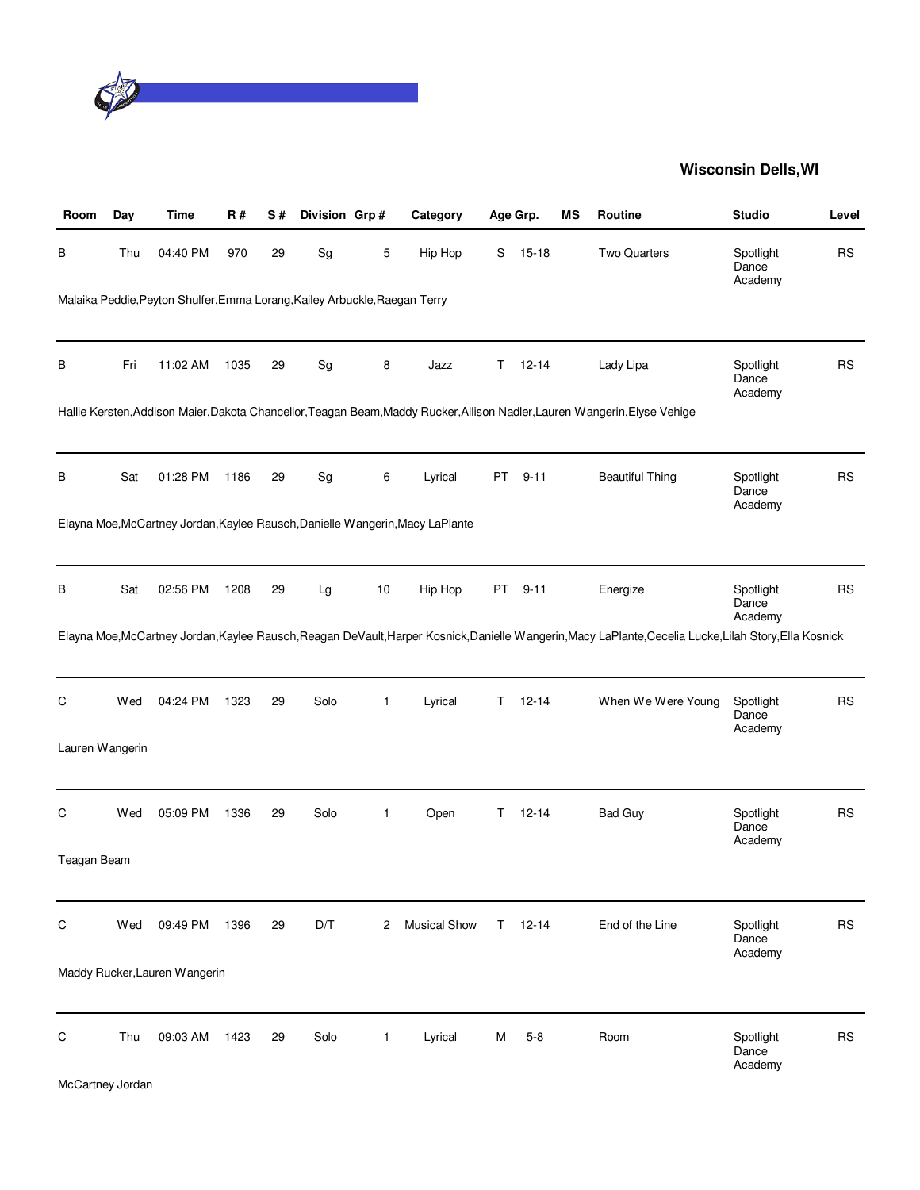

| Room                  | Day | <b>Time</b>                                                                | R#   | S# | Division Grp# |              | Category                                                                      |    | Age Grp.  | ΜS | <b>Routine</b>                                                                                                                                          | <b>Studio</b>                 | Level     |
|-----------------------|-----|----------------------------------------------------------------------------|------|----|---------------|--------------|-------------------------------------------------------------------------------|----|-----------|----|---------------------------------------------------------------------------------------------------------------------------------------------------------|-------------------------------|-----------|
| В                     | Thu | 04:40 PM                                                                   | 970  | 29 | Sg            | 5            | Hip Hop                                                                       | S  | $15 - 18$ |    | <b>Two Quarters</b>                                                                                                                                     | Spotlight<br>Dance<br>Academy | <b>RS</b> |
|                       |     | Malaika Peddie, Peyton Shulfer, Emma Lorang, Kailey Arbuckle, Raegan Terry |      |    |               |              |                                                                               |    |           |    |                                                                                                                                                         |                               |           |
| В                     | Fri | 11:02 AM                                                                   | 1035 | 29 | Sg            | 8            | Jazz                                                                          | Τ  | $12 - 14$ |    | Lady Lipa                                                                                                                                               | Spotlight<br>Dance<br>Academy | <b>RS</b> |
|                       |     |                                                                            |      |    |               |              |                                                                               |    |           |    | Hallie Kersten, Addison Maier, Dakota Chancellor, Teagan Beam, Maddy Rucker, Allison Nadler, Lauren Wangerin, Elyse Vehige                              |                               |           |
| В                     | Sat | 01:28 PM                                                                   | 1186 | 29 | Sg            | 6            | Lyrical                                                                       | PT | $9 - 11$  |    | <b>Beautiful Thing</b>                                                                                                                                  | Spotlight<br>Dance<br>Academy | <b>RS</b> |
|                       |     |                                                                            |      |    |               |              | Elayna Moe, McCartney Jordan, Kaylee Rausch, Danielle Wangerin, Macy LaPlante |    |           |    |                                                                                                                                                         |                               |           |
| В                     | Sat | 02:56 PM                                                                   | 1208 | 29 | Lg            | 10           | Hip Hop                                                                       |    | PT 9-11   |    | Energize                                                                                                                                                | Spotlight<br>Dance<br>Academy | <b>RS</b> |
|                       |     |                                                                            |      |    |               |              |                                                                               |    |           |    | Elayna Moe, McCartney Jordan, Kaylee Rausch, Reagan DeVault, Harper Kosnick, Danielle Wangerin, Macy LaPlante, Cecelia Lucke, Lilah Story, Ella Kosnick |                               |           |
| C                     | Wed | 04:24 PM                                                                   | 1323 | 29 | Solo          | 1            | Lyrical                                                                       | T. | $12 - 14$ |    | When We Were Young                                                                                                                                      | Spotlight<br>Dance<br>Academy | <b>RS</b> |
| Lauren Wangerin       |     |                                                                            |      |    |               |              |                                                                               |    |           |    |                                                                                                                                                         |                               |           |
| C                     | Wed | 05:09 PM                                                                   | 1336 | 29 | Solo          | 1            | Open                                                                          | T. | $12 - 14$ |    | <b>Bad Guy</b>                                                                                                                                          | Spotlight<br>Dance<br>Academy | <b>RS</b> |
| Teagan Beam           |     |                                                                            |      |    |               |              |                                                                               |    |           |    |                                                                                                                                                         |                               |           |
| C                     | Wed | 09:49 PM                                                                   | 1396 | 29 | D/T           | 2            | <b>Musical Show</b>                                                           | T. | $12 - 14$ |    | End of the Line                                                                                                                                         | Spotlight<br>Dance<br>Academy | <b>RS</b> |
|                       |     | Maddy Rucker, Lauren Wangerin                                              |      |    |               |              |                                                                               |    |           |    |                                                                                                                                                         |                               |           |
| C<br>McCartney Jordan | Thu | 09:03 AM                                                                   | 1423 | 29 | Solo          | $\mathbf{1}$ | Lyrical                                                                       | м  | $5 - 8$   |    | Room                                                                                                                                                    | Spotlight<br>Dance<br>Academy | <b>RS</b> |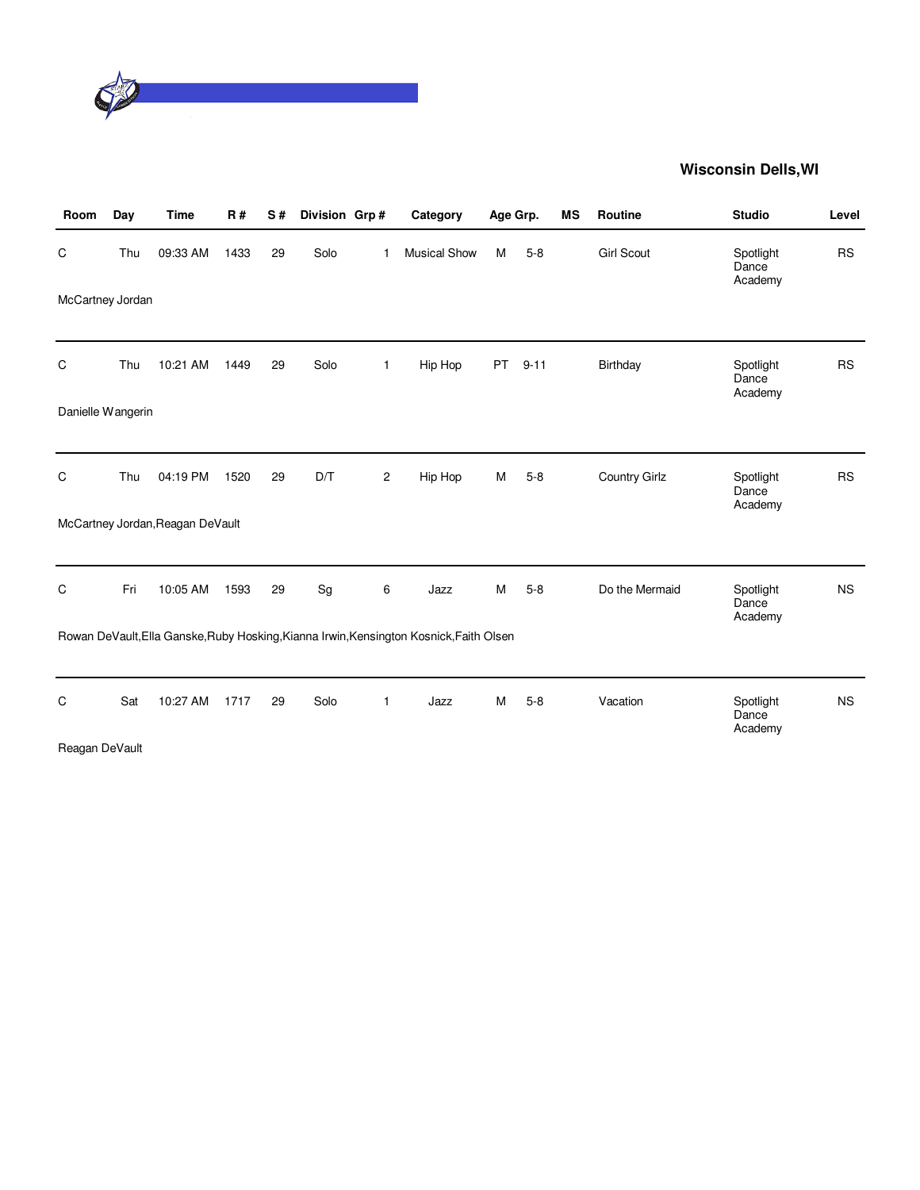

| Room              | Day | Time                             | <b>R#</b> | S# | Division Grp# |                | Category                                                                                | Age Grp. |          | <b>MS</b> | Routine              | <b>Studio</b>                 | Level     |
|-------------------|-----|----------------------------------|-----------|----|---------------|----------------|-----------------------------------------------------------------------------------------|----------|----------|-----------|----------------------|-------------------------------|-----------|
| C                 | Thu | 09:33 AM                         | 1433      | 29 | Solo          | 1              | <b>Musical Show</b>                                                                     | M        | $5 - 8$  |           | <b>Girl Scout</b>    | Spotlight<br>Dance<br>Academy | <b>RS</b> |
| McCartney Jordan  |     |                                  |           |    |               |                |                                                                                         |          |          |           |                      |                               |           |
| C                 | Thu | 10:21 AM                         | 1449      | 29 | Solo          | $\mathbf{1}$   | Hip Hop                                                                                 | PT       | $9 - 11$ |           | Birthday             | Spotlight<br>Dance<br>Academy | <b>RS</b> |
| Danielle Wangerin |     |                                  |           |    |               |                |                                                                                         |          |          |           |                      |                               |           |
| C                 | Thu | 04:19 PM                         | 1520      | 29 | D/T           | $\overline{c}$ | Hip Hop                                                                                 | М        | $5 - 8$  |           | <b>Country Girlz</b> | Spotlight<br>Dance<br>Academy | <b>RS</b> |
|                   |     | McCartney Jordan, Reagan DeVault |           |    |               |                |                                                                                         |          |          |           |                      |                               |           |
| C                 | Fri | 10:05 AM                         | 1593      | 29 | Sg            | 6              | Jazz                                                                                    | М        | $5-8$    |           | Do the Mermaid       | Spotlight<br>Dance<br>Academy | <b>NS</b> |
|                   |     |                                  |           |    |               |                | Rowan DeVault, Ella Ganske, Ruby Hosking, Kianna Irwin, Kensington Kosnick, Faith Olsen |          |          |           |                      |                               |           |
| C                 | Sat | 10:27 AM                         | 1717      | 29 | Solo          | 1              | Jazz                                                                                    | М        | $5 - 8$  |           | Vacation             | Spotlight<br>Dance<br>Academy | <b>NS</b> |
| Reagan DeVault    |     |                                  |           |    |               |                |                                                                                         |          |          |           |                      |                               |           |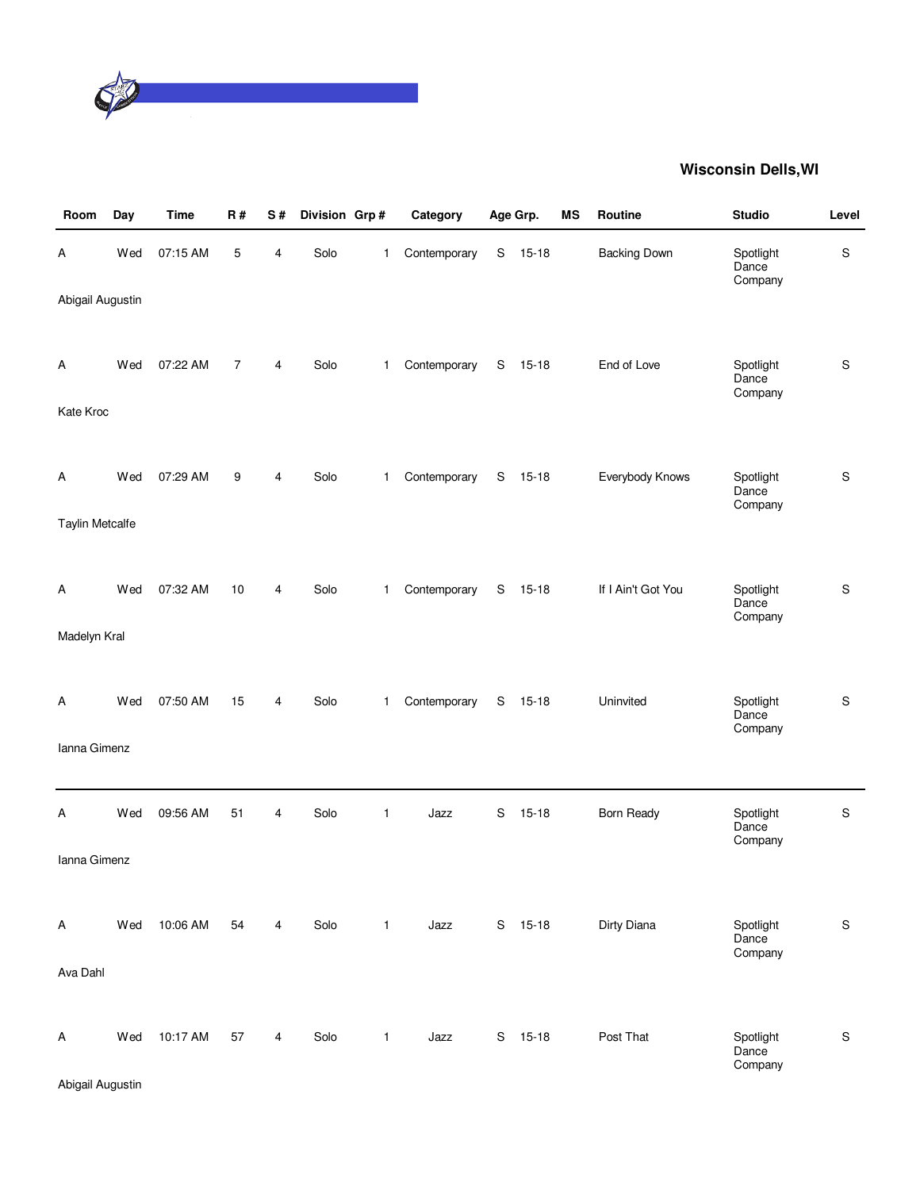

| Room                   | Day | <b>Time</b> | R#             | S# | Division Grp# |              | Category     |             | Age Grp.  | ΜS | Routine             | <b>Studio</b>                 | Level         |
|------------------------|-----|-------------|----------------|----|---------------|--------------|--------------|-------------|-----------|----|---------------------|-------------------------------|---------------|
| Α                      | Wed | 07:15 AM    | 5              | 4  | Solo          | 1            | Contemporary | S           | $15 - 18$ |    | <b>Backing Down</b> | Spotlight<br>Dance<br>Company | S             |
| Abigail Augustin       |     |             |                |    |               |              |              |             |           |    |                     |                               |               |
| Α                      | Wed | 07:22 AM    | $\overline{7}$ | 4  | Solo          | $\mathbf{1}$ | Contemporary | S           | $15-18$   |    | End of Love         | Spotlight<br>Dance<br>Company | $\mathsf S$   |
| Kate Kroc              |     |             |                |    |               |              |              |             |           |    |                     |                               |               |
| Α                      | Wed | 07:29 AM    | 9              | 4  | Solo          | $\mathbf{1}$ | Contemporary | S           | $15 - 18$ |    | Everybody Knows     | Spotlight<br>Dance<br>Company | $\mathsf S$   |
| <b>Taylin Metcalfe</b> |     |             |                |    |               |              |              |             |           |    |                     |                               |               |
| Α                      | Wed | 07:32 AM    | 10             | 4  | Solo          | $\mathbf{1}$ | Contemporary | S           | 15-18     |    | If I Ain't Got You  | Spotlight<br>Dance<br>Company | ${\mathbb S}$ |
| Madelyn Kral           |     |             |                |    |               |              |              |             |           |    |                     |                               |               |
| Α                      | Wed | 07:50 AM    | 15             | 4  | Solo          | $\mathbf{1}$ | Contemporary | $\mathbf S$ | $15 - 18$ |    | Uninvited           | Spotlight<br>Dance<br>Company | $\mathsf S$   |
| Ianna Gimenz           |     |             |                |    |               |              |              |             |           |    |                     |                               |               |
| А                      | Wed | 09:56 AM    | 51             | 4  | Solo          | 1            | Jazz         | S           | $15 - 18$ |    | Born Ready          | Spotlight<br>Dance<br>Company | ${\mathbb S}$ |
| Ianna Gimenz           |     |             |                |    |               |              |              |             |           |    |                     |                               |               |
| Α                      | Wed | 10:06 AM    | 54             | 4  | Solo          | $\mathbf{1}$ | Jazz         | S           | $15-18$   |    | Dirty Diana         | Spotlight<br>Dance<br>Company | $\mathsf S$   |
| Ava Dahl               |     |             |                |    |               |              |              |             |           |    |                     |                               |               |
| Α                      | Wed | 10:17 AM    | 57             | 4  | Solo          | $\mathbf{1}$ | Jazz         |             | S 15-18   |    | Post That           | Spotlight<br>Dance<br>Company | $\mathsf S$   |
| Abigail Augustin       |     |             |                |    |               |              |              |             |           |    |                     |                               |               |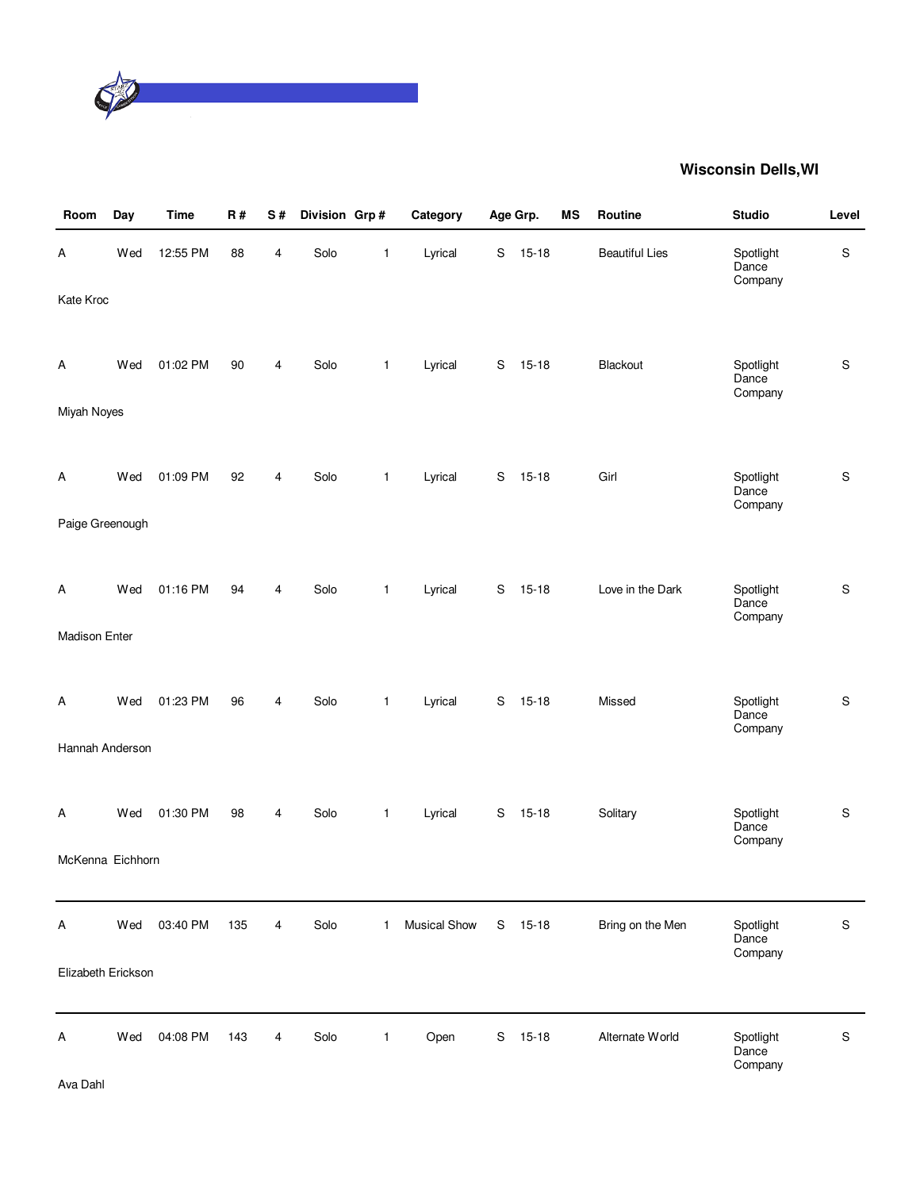

| Room               | Day | <b>Time</b> | <b>R#</b> | $\mathbf S$ #           | Division Grp# |              | Category     |   | Age Grp.  | ΜS | Routine               | <b>Studio</b>                 | Level         |
|--------------------|-----|-------------|-----------|-------------------------|---------------|--------------|--------------|---|-----------|----|-----------------------|-------------------------------|---------------|
| А                  | Wed | 12:55 PM    | 88        | $\overline{\mathbf{4}}$ | Solo          | $\mathbf{1}$ | Lyrical      | S | $15 - 18$ |    | <b>Beautiful Lies</b> | Spotlight<br>Dance<br>Company | $\mathbf S$   |
| Kate Kroc          |     |             |           |                         |               |              |              |   |           |    |                       |                               |               |
| Α                  | Wed | 01:02 PM    | 90        | 4                       | Solo          | 1            | Lyrical      | S | $15 - 18$ |    | Blackout              | Spotlight<br>Dance<br>Company | ${\mathsf S}$ |
| Miyah Noyes        |     |             |           |                         |               |              |              |   |           |    |                       |                               |               |
| Α                  | Wed | 01:09 PM    | 92        | 4                       | Solo          | 1            | Lyrical      | S | $15 - 18$ |    | Girl                  | Spotlight<br>Dance<br>Company | $\mathbf S$   |
| Paige Greenough    |     |             |           |                         |               |              |              |   |           |    |                       |                               |               |
| Α                  | Wed | 01:16 PM    | 94        | 4                       | Solo          | 1            | Lyrical      | S | $15 - 18$ |    | Love in the Dark      | Spotlight<br>Dance<br>Company | ${\mathsf S}$ |
| Madison Enter      |     |             |           |                         |               |              |              |   |           |    |                       |                               |               |
| A                  | Wed | 01:23 PM    | 96        | 4                       | Solo          | 1            | Lyrical      | S | $15 - 18$ |    | Missed                | Spotlight<br>Dance<br>Company | $\mathbf S$   |
| Hannah Anderson    |     |             |           |                         |               |              |              |   |           |    |                       |                               |               |
| Α                  | Wed | 01:30 PM    | 98        | 4                       | Solo          | 1            | Lyrical      | S | $15 - 18$ |    | Solitary              | Spotlight<br>Dance<br>Company | $\mathbf S$   |
| McKenna Eichhorn   |     |             |           |                         |               |              |              |   |           |    |                       |                               |               |
| Α                  | Wed | 03:40 PM    | 135       | 4                       | Solo          | $\mathbf{1}$ | Musical Show | S | $15 - 18$ |    | Bring on the Men      | Spotlight<br>Dance<br>Company | S             |
| Elizabeth Erickson |     |             |           |                         |               |              |              |   |           |    |                       |                               |               |
| Α                  | Wed | 04:08 PM    | 143       | 4                       | Solo          | 1            | Open         | S | $15 - 18$ |    | Alternate World       | Spotlight<br>Dance<br>Company | S             |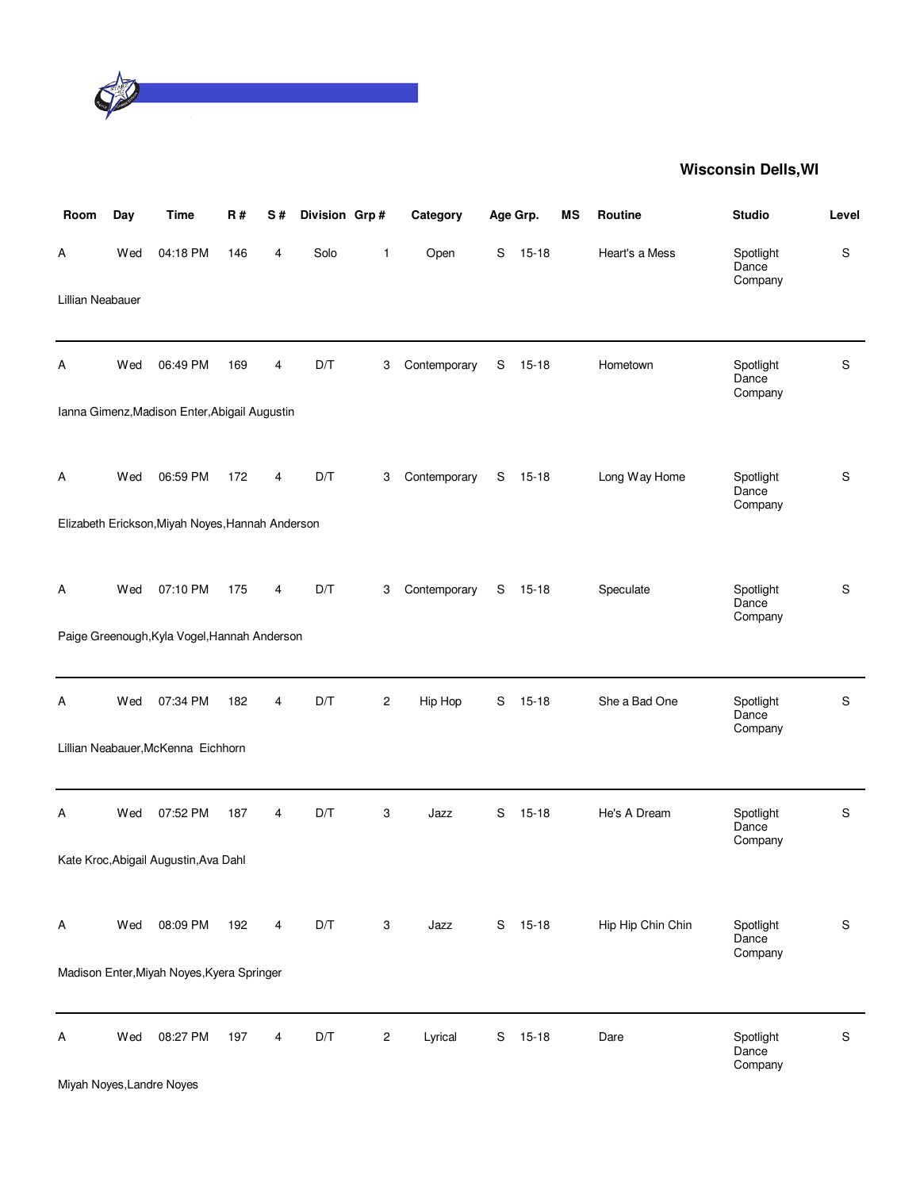

| Room             | Day | <b>Time</b>                                      | <b>R#</b> | S# | Division Grp# |                         | Category     |   | Age Grp.  | <b>MS</b> | Routine           | <b>Studio</b>                 | Level       |
|------------------|-----|--------------------------------------------------|-----------|----|---------------|-------------------------|--------------|---|-----------|-----------|-------------------|-------------------------------|-------------|
| А                | Wed | 04:18 PM                                         | 146       | 4  | Solo          | 1                       | Open         | S | $15 - 18$ |           | Heart's a Mess    | Spotlight<br>Dance<br>Company | S           |
| Lillian Neabauer |     |                                                  |           |    |               |                         |              |   |           |           |                   |                               |             |
| А                | Wed | 06:49 PM                                         | 169       | 4  | D/T           | 3                       | Contemporary | S | $15 - 18$ |           | Hometown          | Spotlight<br>Dance<br>Company | S           |
|                  |     | Ianna Gimenz, Madison Enter, Abigail Augustin    |           |    |               |                         |              |   |           |           |                   |                               |             |
| Α                | Wed | 06:59 PM                                         | 172       | 4  | D/T           | 3                       | Contemporary | S | $15-18$   |           | Long Way Home     | Spotlight<br>Dance<br>Company | $\mathsf S$ |
|                  |     | Elizabeth Erickson, Miyah Noyes, Hannah Anderson |           |    |               |                         |              |   |           |           |                   |                               |             |
| Α                | Wed | 07:10 PM                                         | 175       | 4  | D/T           | 3                       | Contemporary |   | S 15-18   |           | Speculate         | Spotlight<br>Dance<br>Company | $\mathsf S$ |
|                  |     | Paige Greenough, Kyla Vogel, Hannah Anderson     |           |    |               |                         |              |   |           |           |                   |                               |             |
| Α                | Wed | 07:34 PM                                         | 182       | 4  | D/T           | $\overline{c}$          | Hip Hop      | S | $15 - 18$ |           | She a Bad One     | Spotlight<br>Dance<br>Company | S           |
|                  |     | Lillian Neabauer, McKenna Eichhorn               |           |    |               |                         |              |   |           |           |                   |                               |             |
| А                | Wed | 07:52 PM                                         | 187       | 4  | D/T           | 3                       | Jazz         | S | $15 - 18$ |           | He's A Dream      | Spotlight<br>Dance<br>Company | $\mathbf S$ |
|                  |     | Kate Kroc, Abigail Augustin, Ava Dahl            |           |    |               |                         |              |   |           |           |                   |                               |             |
| A                | Wed | 08:09 PM                                         | 192       | 4  | D/T           | 3                       | Jazz         | S | $15-18$   |           | Hip Hip Chin Chin | Spotlight<br>Dance<br>Company | S           |
|                  |     | Madison Enter, Miyah Noyes, Kyera Springer       |           |    |               |                         |              |   |           |           |                   |                               |             |
| Α                | Wed | 08:27 PM                                         | 197       | 4  | D/T           | $\overline{\mathbf{c}}$ | Lyrical      | S | $15-18$   |           | Dare              | Spotlight<br>Dance<br>Company | S           |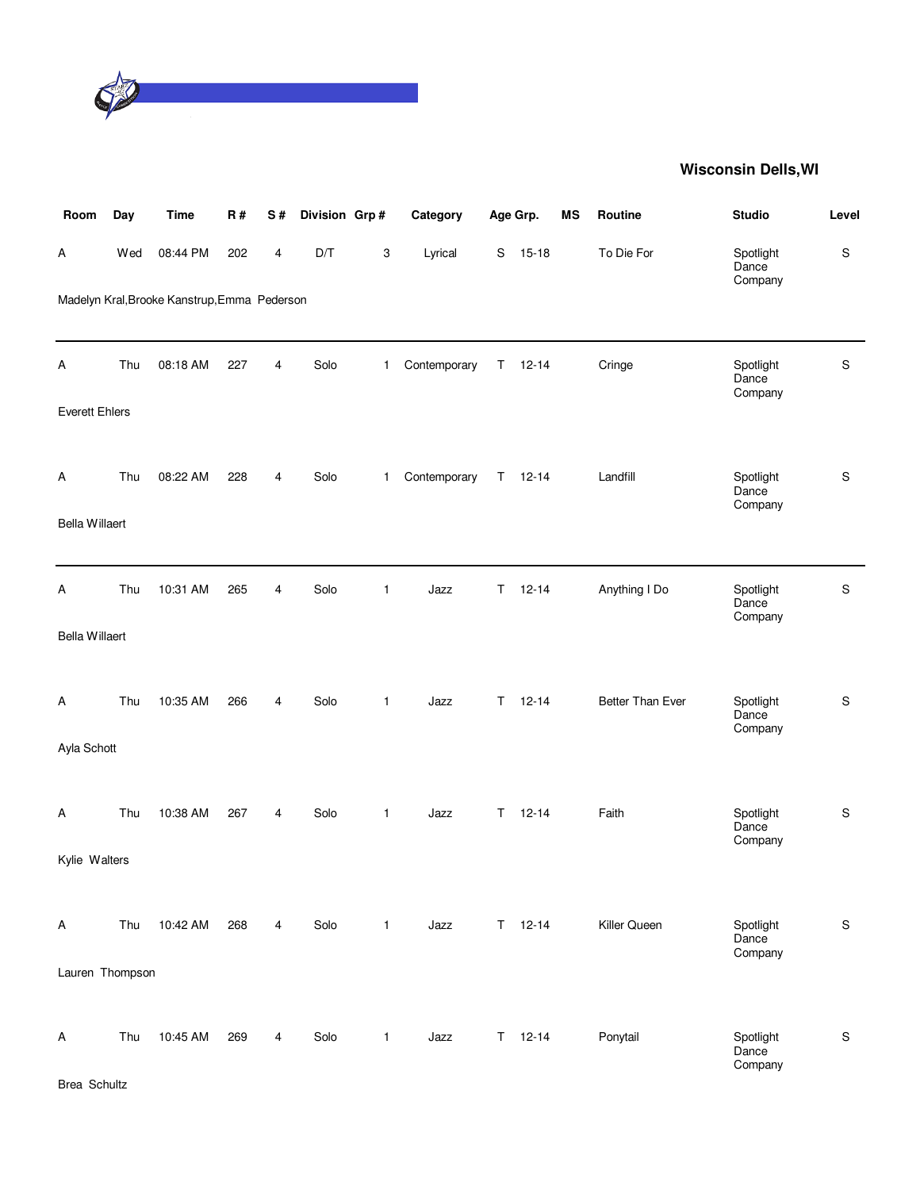

| Room                  | Day | <b>Time</b>                                  | R#  | S#                      | Division Grp#           |              | Category     |    | Age Grp.    | <b>MS</b> | Routine          | <b>Studio</b>                 | Level         |
|-----------------------|-----|----------------------------------------------|-----|-------------------------|-------------------------|--------------|--------------|----|-------------|-----------|------------------|-------------------------------|---------------|
| Α                     | Wed | 08:44 PM                                     | 202 | $\overline{\mathbf{4}}$ | $\mathsf{D}/\mathsf{T}$ | 3            | Lyrical      | S  | $15 - 18$   |           | To Die For       | Spotlight<br>Dance<br>Company | S             |
|                       |     | Madelyn Kral, Brooke Kanstrup, Emma Pederson |     |                         |                         |              |              |    |             |           |                  |                               |               |
| A                     | Thu | 08:18 AM                                     | 227 | 4                       | Solo                    | $\mathbf{1}$ | Contemporary | Τ  | $12 - 14$   |           | Cringe           | Spotlight<br>Dance<br>Company | ${\mathbb S}$ |
| <b>Everett Ehlers</b> |     |                                              |     |                         |                         |              |              |    |             |           |                  |                               |               |
| Α                     | Thu | 08:22 AM                                     | 228 | 4                       | Solo                    | $\mathbf{1}$ | Contemporary | T. | $12 - 14$   |           | Landfill         | Spotlight<br>Dance<br>Company | S             |
| <b>Bella Willaert</b> |     |                                              |     |                         |                         |              |              |    |             |           |                  |                               |               |
| Α                     | Thu | 10:31 AM                                     | 265 | 4                       | Solo                    | $\mathbf{1}$ | Jazz         | T  | $12 - 14$   |           | Anything I Do    | Spotlight<br>Dance<br>Company | ${\mathbb S}$ |
| <b>Bella Willaert</b> |     |                                              |     |                         |                         |              |              |    |             |           |                  |                               |               |
| A                     | Thu | 10:35 AM                                     | 266 | 4                       | Solo                    | $\mathbf{1}$ | Jazz         | T. | $12 - 14$   |           | Better Than Ever | Spotlight<br>Dance<br>Company | $\mathsf S$   |
| Ayla Schott           |     |                                              |     |                         |                         |              |              |    |             |           |                  |                               |               |
| Α                     | Thu | 10:38 AM                                     | 267 | 4                       | Solo                    | $\mathbf{1}$ | Jazz         | T. | $12 - 14$   |           | Faith            | Spotlight<br>Dance<br>Company | ${\mathbb S}$ |
| Kylie Walters         |     |                                              |     |                         |                         |              |              |    |             |           |                  |                               |               |
| A                     | Thu | 10:42 AM                                     | 268 | 4                       | Solo                    | $\mathbf{1}$ | Jazz         |    | $T = 12-14$ |           | Killer Queen     | Spotlight<br>Dance<br>Company | $\mathsf S$   |
| Lauren Thompson       |     |                                              |     |                         |                         |              |              |    |             |           |                  |                               |               |
| A                     | Thu | 10:45 AM                                     | 269 | 4                       | Solo                    | $\mathbf{1}$ | Jazz         | T. | $12 - 14$   |           | Ponytail         | Spotlight<br>Dance<br>Company | $\mathbb S$   |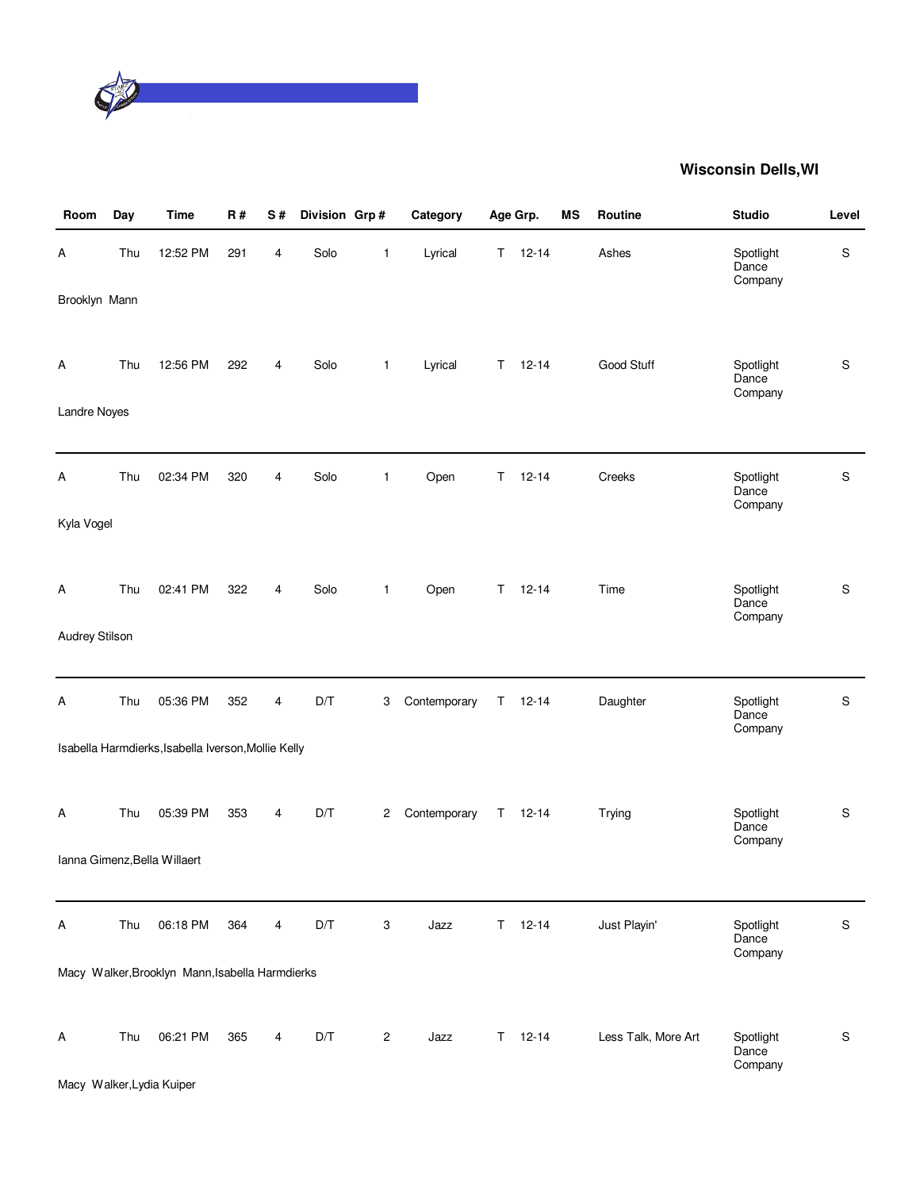

| Room           | Day | <b>Time</b>                                         | R#  | S# | Division Grp# |                | Category     |    | Age Grp.      | MS | Routine             | <b>Studio</b>                 | Level |
|----------------|-----|-----------------------------------------------------|-----|----|---------------|----------------|--------------|----|---------------|----|---------------------|-------------------------------|-------|
| Α              | Thu | 12:52 PM                                            | 291 | 4  | Solo          | 1              | Lyrical      | T. | $12 - 14$     |    | Ashes               | Spotlight<br>Dance<br>Company | S     |
| Brooklyn Mann  |     |                                                     |     |    |               |                |              |    |               |    |                     |                               |       |
| А              | Thu | 12:56 PM                                            | 292 | 4  | Solo          | $\mathbf{1}$   | Lyrical      | T. | $12 - 14$     |    | Good Stuff          | Spotlight<br>Dance<br>Company | S     |
| Landre Noyes   |     |                                                     |     |    |               |                |              |    |               |    |                     |                               |       |
| Α              | Thu | 02:34 PM                                            | 320 | 4  | Solo          | $\mathbf{1}$   | Open         | T. | $12 - 14$     |    | Creeks              | Spotlight<br>Dance            | S     |
| Kyla Vogel     |     |                                                     |     |    |               |                |              |    |               |    |                     | Company                       |       |
| А              | Thu | 02:41 PM                                            | 322 | 4  | Solo          | $\mathbf{1}$   | Open         | T. | $12 - 14$     |    | Time                | Spotlight<br>Dance<br>Company | S     |
| Audrey Stilson |     |                                                     |     |    |               |                |              |    |               |    |                     |                               |       |
| А              | Thu | 05:36 PM                                            | 352 | 4  | D/T           | 3              | Contemporary | T. | $12 - 14$     |    | Daughter            | Spotlight<br>Dance<br>Company | S     |
|                |     | Isabella Harmdierks, Isabella Iverson, Mollie Kelly |     |    |               |                |              |    |               |    |                     |                               |       |
| А              | Thu | 05:39 PM                                            | 353 | 4  | D/T           | $\overline{c}$ | Contemporary | Τ  | $12 - 14$     |    | Trying              | Spotlight<br>Dance<br>Company | S     |
|                |     | Ianna Gimenz, Bella Willaert                        |     |    |               |                |              |    |               |    |                     |                               |       |
| A              | Thu | 06:18 PM                                            | 364 | 4  | D/T           | 3              | Jazz         | T. | $12 - 14$     |    | Just Playin'        | Spotlight<br>Dance<br>Company | S     |
|                |     | Macy Walker, Brooklyn Mann, Isabella Harmdierks     |     |    |               |                |              |    |               |    |                     |                               |       |
| A              | Thu | 06:21 PM                                            | 365 | 4  | D/T           | 2              | Jazz         |    | $T = 12 - 14$ |    | Less Talk, More Art | Spotlight<br>Dance<br>Company | S     |

Macy Walker,Lydia Kuiper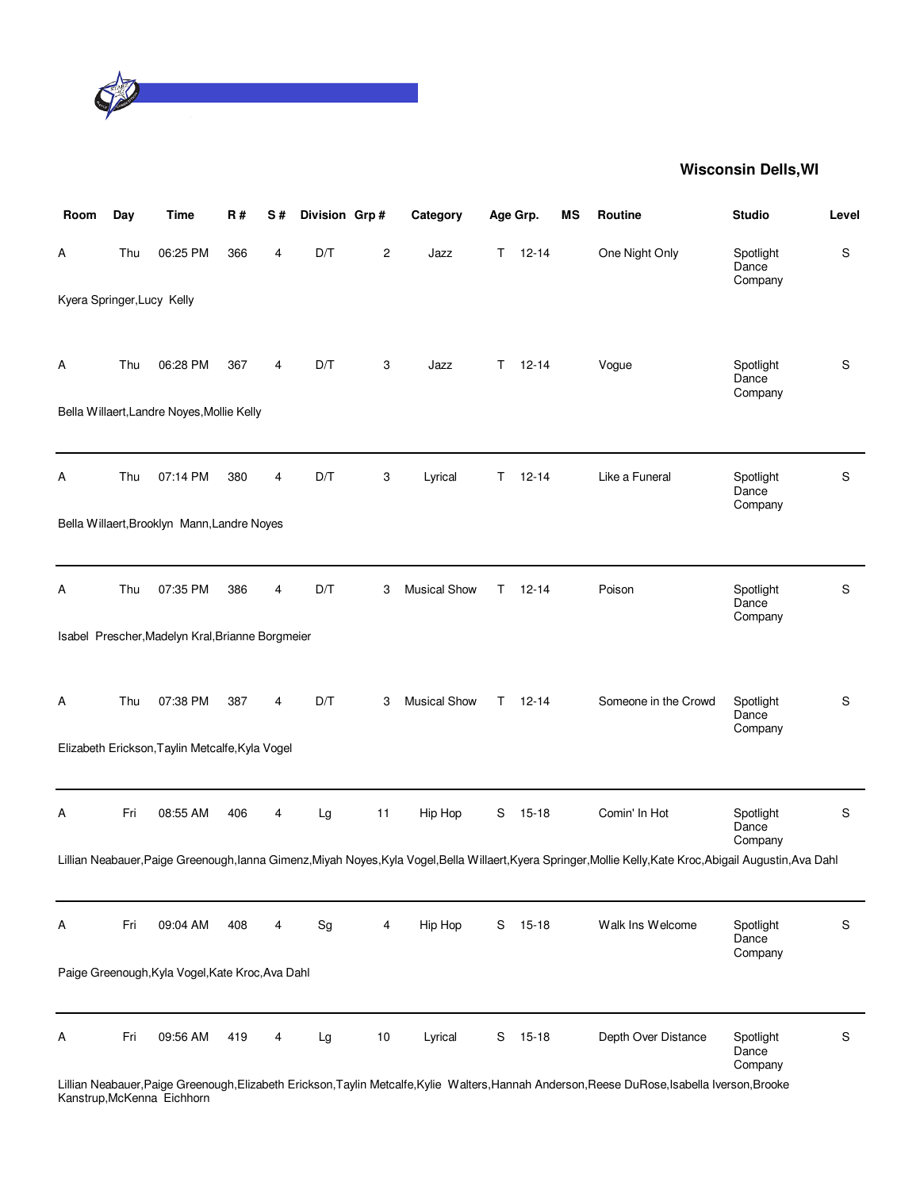

| Room                       | Day | <b>Time</b>                                      | <b>R#</b> | S# | Division Grp# |                | Category            |    | Age Grp.  | MS | Routine                                                                                                                                                        | <b>Studio</b>                 | Level         |
|----------------------------|-----|--------------------------------------------------|-----------|----|---------------|----------------|---------------------|----|-----------|----|----------------------------------------------------------------------------------------------------------------------------------------------------------------|-------------------------------|---------------|
| Α                          | Thu | 06:25 PM                                         | 366       | 4  | D/T           | $\overline{c}$ | Jazz                | Τ  | $12 - 14$ |    | One Night Only                                                                                                                                                 | Spotlight<br>Dance<br>Company | ${\mathbb S}$ |
| Kyera Springer, Lucy Kelly |     |                                                  |           |    |               |                |                     |    |           |    |                                                                                                                                                                |                               |               |
| Α                          | Thu | 06:28 PM                                         | 367       | 4  | D/T           | 3              | Jazz                | T. | $12 - 14$ |    | Vogue                                                                                                                                                          | Spotlight<br>Dance<br>Company | ${\mathbb S}$ |
|                            |     | Bella Willaert, Landre Noyes, Mollie Kelly       |           |    |               |                |                     |    |           |    |                                                                                                                                                                |                               |               |
| Α                          | Thu | 07:14 PM                                         | 380       | 4  | D/T           | 3              | Lyrical             | Т  | $12 - 14$ |    | Like a Funeral                                                                                                                                                 | Spotlight<br>Dance<br>Company | ${\mathbb S}$ |
|                            |     | Bella Willaert, Brooklyn Mann, Landre Noyes      |           |    |               |                |                     |    |           |    |                                                                                                                                                                |                               |               |
| Α                          | Thu | 07:35 PM                                         | 386       | 4  | D/T           | 3              | <b>Musical Show</b> | T  | $12 - 14$ |    | Poison                                                                                                                                                         | Spotlight<br>Dance<br>Company | ${\mathbb S}$ |
|                            |     | Isabel Prescher, Madelyn Kral, Brianne Borgmeier |           |    |               |                |                     |    |           |    |                                                                                                                                                                |                               |               |
| Α                          | Thu | 07:38 PM                                         | 387       | 4  | D/T           | 3              | <b>Musical Show</b> | Τ  | $12 - 14$ |    | Someone in the Crowd                                                                                                                                           | Spotlight<br>Dance<br>Company | ${\mathbb S}$ |
|                            |     | Elizabeth Erickson, Taylin Metcalfe, Kyla Vogel  |           |    |               |                |                     |    |           |    |                                                                                                                                                                |                               |               |
| Α                          | Fri | 08:55 AM                                         | 406       | 4  | Lg            | 11             | Hip Hop             | S  | 15-18     |    | Comin' In Hot                                                                                                                                                  | Spotlight<br>Dance<br>Company | ${\mathbb S}$ |
|                            |     |                                                  |           |    |               |                |                     |    |           |    | Lillian Neabauer, Paige Greenough, lanna Gimenz, Miyah Noyes, Kyla Vogel, Bella Willaert, Kyera Springer, Mollie Kelly, Kate Kroc, Abigail Augustin, Ava Dahl  |                               |               |
| Α                          | Fri | 09:04 AM                                         | 408       | 4  | Sg            | 4              | Hip Hop             | S  | $15 - 18$ |    | Walk Ins Welcome                                                                                                                                               | Spotlight<br>Dance<br>Company | S             |
|                            |     | Paige Greenough, Kyla Vogel, Kate Kroc, Ava Dahl |           |    |               |                |                     |    |           |    |                                                                                                                                                                |                               |               |
| Α                          | Fri | 09:56 AM                                         | 419       | 4  | Lg            | 10             | Lyrical             | S  | $15-18$   |    | Depth Over Distance<br>Lillian Noobauer Raige Croopeugh Elizabeth Erickson Taylin Metoalfe Kylie, Walters Hannah Anderson Reese DuRese Isabella Iverson Brooke | Spotlight<br>Dance<br>Company | S             |

Lillian Neabauer,Paige Greenough,Elizabeth Erickson,Taylin Metcalfe,Kylie Walters,Hannah Anderson,Reese DuRose,Isabella Iverson,Brooke Kanstrup,McKenna Eichhorn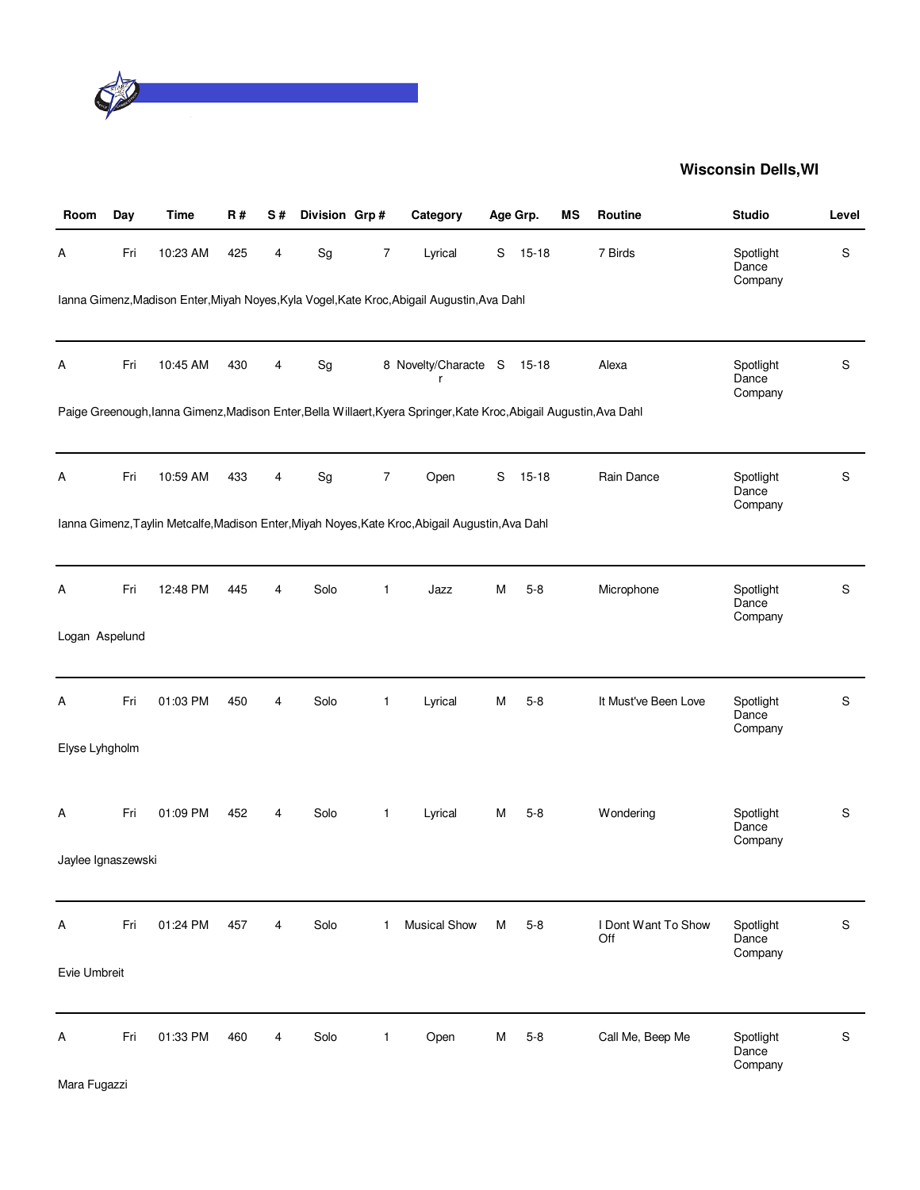

| Room               | Day | Time     | <b>R#</b> | S# | Division Grp# |                  | Category                                                                                                            |   | Age Grp.  | <b>MS</b> | Routine                    | <b>Studio</b>                 | Level       |
|--------------------|-----|----------|-----------|----|---------------|------------------|---------------------------------------------------------------------------------------------------------------------|---|-----------|-----------|----------------------------|-------------------------------|-------------|
| Α                  | Fri | 10:23 AM | 425       | 4  | Sg            | $\boldsymbol{7}$ | Lyrical                                                                                                             | S | $15 - 18$ |           | 7 Birds                    | Spotlight<br>Dance<br>Company | S           |
|                    |     |          |           |    |               |                  | Ianna Gimenz, Madison Enter, Miyah Noyes, Kyla Vogel, Kate Kroc, Abigail Augustin, Ava Dahl                         |   |           |           |                            |                               |             |
| Α                  | Fri | 10:45 AM | 430       | 4  | Sg            |                  | 8 Novelty/Characte S<br>r                                                                                           |   | 15-18     |           | Alexa                      | Spotlight<br>Dance<br>Company | $\mathsf S$ |
|                    |     |          |           |    |               |                  | Paige Greenough, lanna Gimenz, Madison Enter, Bella Willaert, Kyera Springer, Kate Kroc, Abigail Augustin, Ava Dahl |   |           |           |                            |                               |             |
| Α                  | Fri | 10:59 AM | 433       | 4  | Sg            | $\overline{7}$   | Open                                                                                                                | S | $15 - 18$ |           | Rain Dance                 | Spotlight<br>Dance<br>Company | S           |
|                    |     |          |           |    |               |                  | Ianna Gimenz, Taylin Metcalfe, Madison Enter, Miyah Noyes, Kate Kroc, Abigail Augustin, Ava Dahl                    |   |           |           |                            |                               |             |
| А                  | Fri | 12:48 PM | 445       | 4  | Solo          | $\mathbf{1}$     | Jazz                                                                                                                | M | $5-8$     |           | Microphone                 | Spotlight<br>Dance<br>Company | $\mathsf S$ |
| Logan Aspelund     |     |          |           |    |               |                  |                                                                                                                     |   |           |           |                            |                               |             |
| Α                  | Fri | 01:03 PM | 450       | 4  | Solo          | 1                | Lyrical                                                                                                             | M | $5 - 8$   |           | It Must've Been Love       | Spotlight<br>Dance<br>Company | S           |
| Elyse Lyhgholm     |     |          |           |    |               |                  |                                                                                                                     |   |           |           |                            |                               |             |
| Α                  | Fri | 01:09 PM | 452       | 4  | Solo          | $\mathbf{1}$     | Lyrical                                                                                                             | M | $5 - 8$   |           | Wondering                  | Spotlight<br>Dance<br>Company | $\mathsf S$ |
| Jaylee Ignaszewski |     |          |           |    |               |                  |                                                                                                                     |   |           |           |                            |                               |             |
| Α                  | Fri | 01:24 PM | 457       | 4  | Solo          | $\mathbf{1}$     | <b>Musical Show</b>                                                                                                 | М | $5 - 8$   |           | I Dont Want To Show<br>Off | Spotlight<br>Dance<br>Company | S           |
| Evie Umbreit       |     |          |           |    |               |                  |                                                                                                                     |   |           |           |                            |                               |             |
| Α                  | Fri | 01:33 PM | 460       | 4  | Solo          | 1                | Open                                                                                                                | M | $5 - 8$   |           | Call Me, Beep Me           | Spotlight<br>Dance<br>Company | $\mathbb S$ |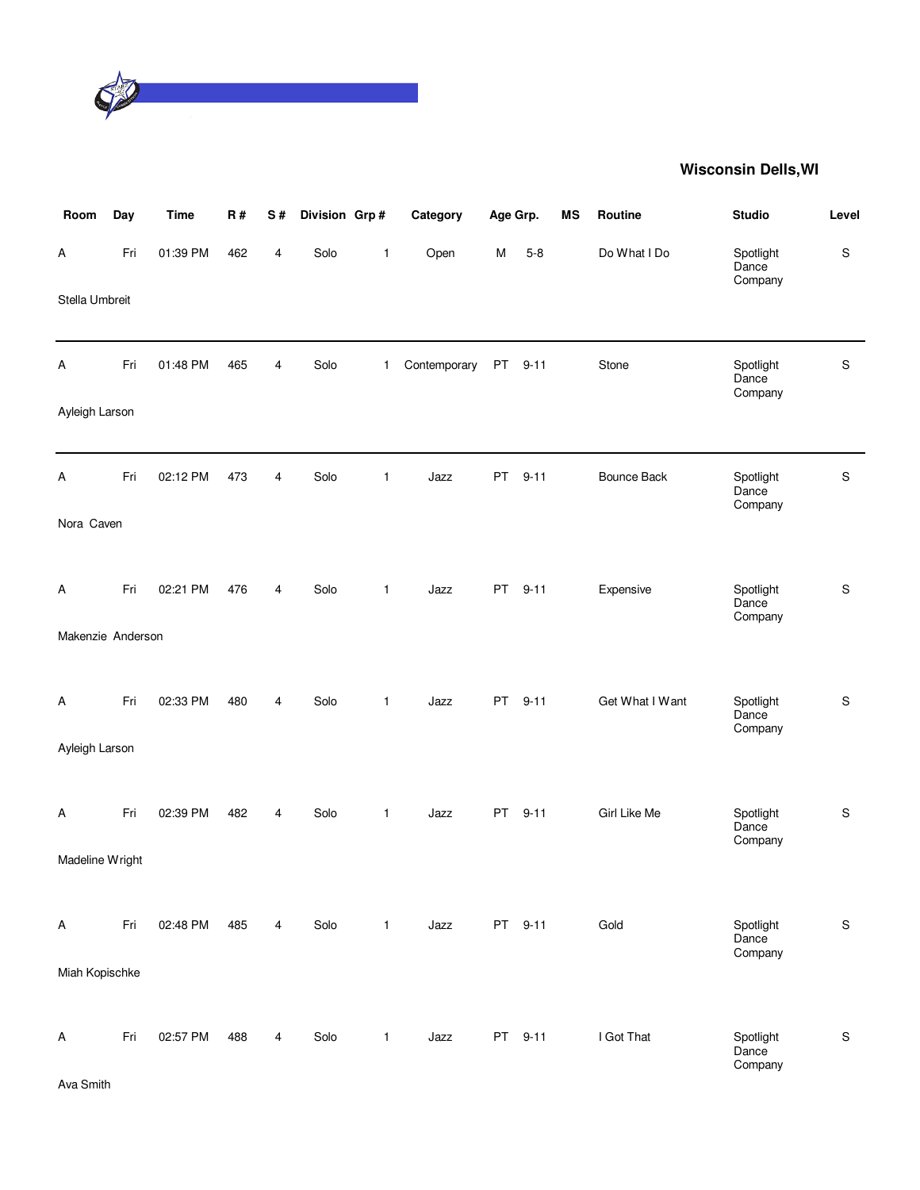

| Room                    | Day | <b>Time</b> | R#  | $\mathbf S$ # | Division Grp# |              | Category     | Age Grp.  |          | MS | Routine            | <b>Studio</b>                 | Level       |
|-------------------------|-----|-------------|-----|---------------|---------------|--------------|--------------|-----------|----------|----|--------------------|-------------------------------|-------------|
| А                       | Fri | 01:39 PM    | 462 | 4             | Solo          | 1            | Open         | M         | $5 - 8$  |    | Do What I Do       | Spotlight<br>Dance<br>Company | ${\sf S}$   |
| Stella Umbreit          |     |             |     |               |               |              |              |           |          |    |                    |                               |             |
| Α                       | Fri | 01:48 PM    | 465 | 4             | Solo          | 1            | Contemporary | PT        | $9 - 11$ |    | Stone              | Spotlight<br>Dance<br>Company | $\mathsf S$ |
| Ayleigh Larson          |     |             |     |               |               |              |              |           |          |    |                    |                               |             |
| А                       | Fri | 02:12 PM    | 473 | 4             | Solo          | 1            | Jazz         | PT        | $9 - 11$ |    | <b>Bounce Back</b> | Spotlight<br>Dance<br>Company | S           |
| Nora Caven              |     |             |     |               |               |              |              |           |          |    |                    |                               |             |
| A                       | Fri | 02:21 PM    | 476 | 4             | Solo          | $\mathbf{1}$ | Jazz         | PT        | $9 - 11$ |    | Expensive          | Spotlight<br>Dance<br>Company | ${\sf S}$   |
| Makenzie Anderson       |     |             |     |               |               |              |              |           |          |    |                    |                               |             |
| A                       | Fri | 02:33 PM    | 480 | 4             | Solo          | $\mathbf{1}$ | Jazz         | <b>PT</b> | $9 - 11$ |    | Get What I Want    | Spotlight<br>Dance<br>Company | ${\sf S}$   |
| Ayleigh Larson          |     |             |     |               |               |              |              |           |          |    |                    |                               |             |
| А                       | Fri | 02:39 PM    | 482 | 4             | Solo          | $\mathbf{1}$ | Jazz         | <b>PT</b> | $9 - 11$ |    | Girl Like Me       | Spotlight<br>Dance<br>Company | S           |
| Madeline Wright         |     |             |     |               |               |              |              |           |          |    |                    |                               |             |
| $\overline{\mathsf{A}}$ | Fri | 02:48 PM    | 485 | 4             | Solo          | $\mathbf{1}$ | Jazz         |           | PT 9-11  |    | Gold               | Spotlight<br>Dance<br>Company | S           |
| Miah Kopischke          |     |             |     |               |               |              |              |           |          |    |                    |                               |             |
| A                       | Fri | 02:57 PM    | 488 | 4             | Solo          | $\mathbf{1}$ | Jazz         | <b>PT</b> | $9 - 11$ |    | I Got That         | Spotlight<br>Dance<br>Company | $\mathsf S$ |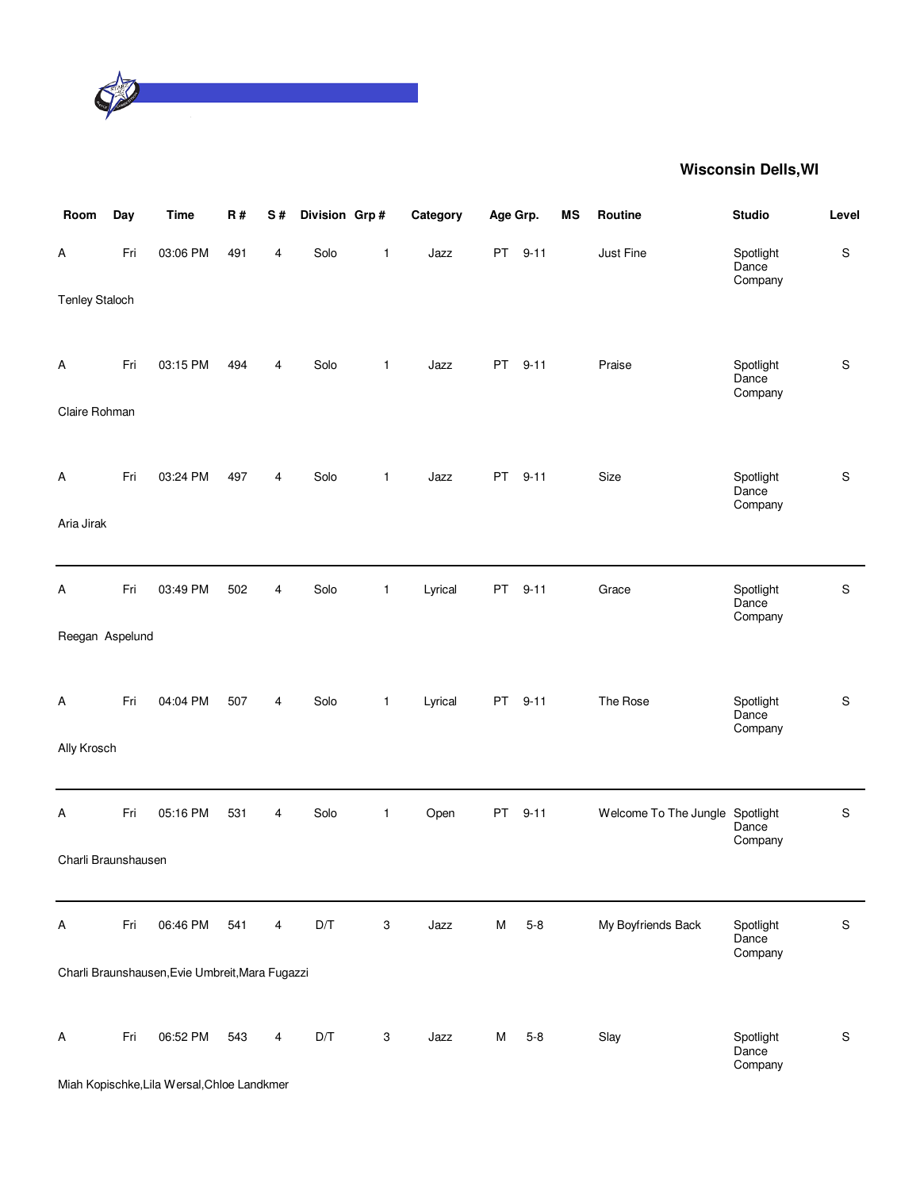

| Room                  | Day | <b>Time</b>                                     | R#  | S#             | Division Grp# |   | Category | Age Grp.  |          | <b>MS</b> | Routine                         | <b>Studio</b>                 | Level       |
|-----------------------|-----|-------------------------------------------------|-----|----------------|---------------|---|----------|-----------|----------|-----------|---------------------------------|-------------------------------|-------------|
| А                     | Fri | 03:06 PM                                        | 491 | 4              | Solo          | 1 | Jazz     | <b>PT</b> | $9 - 11$ |           | Just Fine                       | Spotlight<br>Dance<br>Company | $\mathsf S$ |
| <b>Tenley Staloch</b> |     |                                                 |     |                |               |   |          |           |          |           |                                 |                               |             |
| А                     | Fri | 03:15 PM                                        | 494 | 4              | Solo          | 1 | Jazz     | <b>PT</b> | $9 - 11$ |           | Praise                          | Spotlight<br>Dance<br>Company | $\mathsf S$ |
| Claire Rohman         |     |                                                 |     |                |               |   |          |           |          |           |                                 |                               |             |
| Α                     | Fri | 03:24 PM                                        | 497 | 4              | Solo          | 1 | Jazz     | <b>PT</b> | $9 - 11$ |           | Size                            | Spotlight<br>Dance<br>Company | $\mathsf S$ |
| Aria Jirak            |     |                                                 |     |                |               |   |          |           |          |           |                                 |                               |             |
| А                     | Fri | 03:49 PM                                        | 502 | 4              | Solo          | 1 | Lyrical  | PT        | $9 - 11$ |           | Grace                           | Spotlight<br>Dance<br>Company | $\mathsf S$ |
| Reegan Aspelund       |     |                                                 |     |                |               |   |          |           |          |           |                                 |                               |             |
| А                     | Fri | 04:04 PM                                        | 507 | 4              | Solo          | 1 | Lyrical  | PT        | $9 - 11$ |           | The Rose                        | Spotlight<br>Dance<br>Company | $\mathsf S$ |
| Ally Krosch           |     |                                                 |     |                |               |   |          |           |          |           |                                 |                               |             |
| Α                     | Fri | 05:16 PM                                        | 531 | 4              | Solo          | 1 | Open     | PT        | $9 - 11$ |           | Welcome To The Jungle Spotlight | Dance<br>Company              | $\mathbf S$ |
| Charli Braunshausen   |     |                                                 |     |                |               |   |          |           |          |           |                                 |                               |             |
| A                     | Fri | 06:46 PM                                        | 541 | $\overline{4}$ | D/T           | 3 | Jazz     | M         | $5 - 8$  |           | My Boyfriends Back              | Spotlight<br>Dance<br>Company | $\mathsf S$ |
|                       |     | Charli Braunshausen, Evie Umbreit, Mara Fugazzi |     |                |               |   |          |           |          |           |                                 |                               |             |
| А                     | Fri | 06:52 PM                                        | 543 | 4              | D/T           | 3 | Jazz     | M         | $5 - 8$  |           | Slay                            | Spotlight<br>Dance<br>Company | $\mathbf S$ |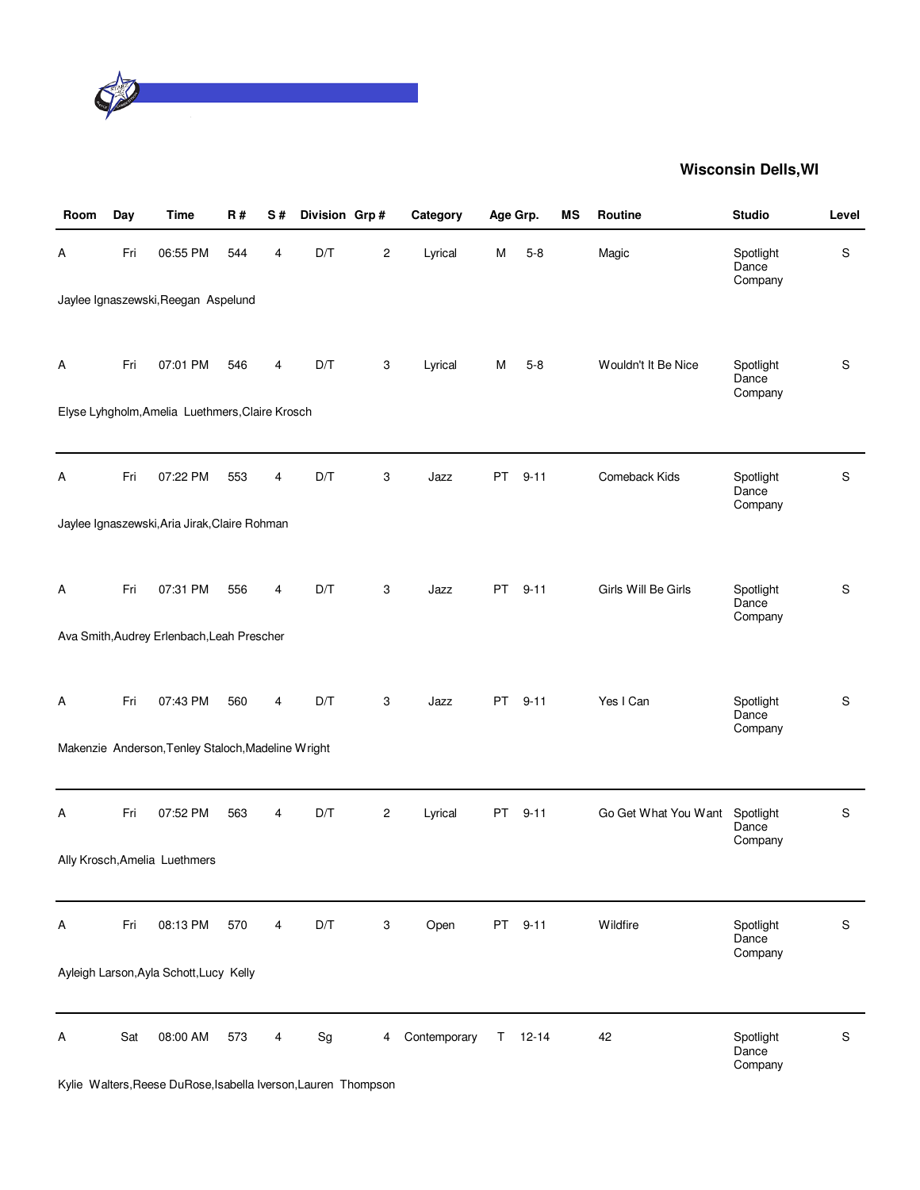

| Room | Day | <b>Time</b>                                        | R#  | S# | Division Grp# |   | Category     |           | Age Grp.  | ΜS | Routine              | <b>Studio</b>                 | Level |
|------|-----|----------------------------------------------------|-----|----|---------------|---|--------------|-----------|-----------|----|----------------------|-------------------------------|-------|
| Α    | Fri | 06:55 PM                                           | 544 | 4  | D/T           | 2 | Lyrical      | Μ         | $5 - 8$   |    | Magic                | Spotlight<br>Dance<br>Company | S     |
|      |     | Jaylee Ignaszewski, Reegan Aspelund                |     |    |               |   |              |           |           |    |                      |                               |       |
| Α    | Fri | 07:01 PM                                           | 546 | 4  | D/T           | 3 | Lyrical      | М         | $5 - 8$   |    | Wouldn't It Be Nice  | Spotlight<br>Dance<br>Company | S     |
|      |     | Elyse Lyhgholm, Amelia Luethmers, Claire Krosch    |     |    |               |   |              |           |           |    |                      |                               |       |
|      |     |                                                    |     |    |               |   |              |           |           |    |                      |                               |       |
| Α    | Fri | 07:22 PM                                           | 553 | 4  | D/T           | 3 | Jazz         | <b>PT</b> | $9 - 11$  |    | Comeback Kids        | Spotlight<br>Dance<br>Company | S     |
|      |     | Jaylee Ignaszewski, Aria Jirak, Claire Rohman      |     |    |               |   |              |           |           |    |                      |                               |       |
|      |     |                                                    |     |    |               |   |              |           |           |    |                      |                               |       |
| А    | Fri | 07:31 PM                                           | 556 | 4  | D/T           | 3 | Jazz         | <b>PT</b> | $9 - 11$  |    | Girls Will Be Girls  | Spotlight<br>Dance<br>Company | S     |
|      |     | Ava Smith, Audrey Erlenbach, Leah Prescher         |     |    |               |   |              |           |           |    |                      |                               |       |
|      |     |                                                    |     |    |               |   |              |           |           |    |                      |                               |       |
| Α    | Fri | 07:43 PM                                           | 560 | 4  | D/T           | 3 | Jazz         | PT.       | $9 - 11$  |    | Yes I Can            | Spotlight<br>Dance<br>Company | S     |
|      |     | Makenzie Anderson, Tenley Staloch, Madeline Wright |     |    |               |   |              |           |           |    |                      |                               |       |
|      |     |                                                    |     |    |               |   |              |           |           |    |                      |                               |       |
| А    | Fri | 07:52 PM                                           | 563 | 4  | D/T           | 2 | Lyrical      | PT        | $9 - 11$  |    | Go Get What You Want | Spotlight<br>Dance            | S     |
|      |     | Ally Krosch, Amelia Luethmers                      |     |    |               |   |              |           |           |    |                      | Company                       |       |
|      |     |                                                    |     |    |               |   |              |           |           |    |                      |                               |       |
| Α    | Fri | 08:13 PM                                           | 570 | 4  | D/T           | 3 | Open         | <b>PT</b> | $9 - 11$  |    | Wildfire             | Spotlight<br>Dance<br>Company | S     |
|      |     | Ayleigh Larson, Ayla Schott, Lucy Kelly            |     |    |               |   |              |           |           |    |                      |                               |       |
|      |     |                                                    |     |    |               |   |              |           |           |    |                      |                               |       |
| А    | Sat | 08:00 AM                                           | 573 | 4  | Sg            | 4 | Contemporary | Τ         | $12 - 14$ |    | 42                   | Spotlight<br>Dance<br>Company | S     |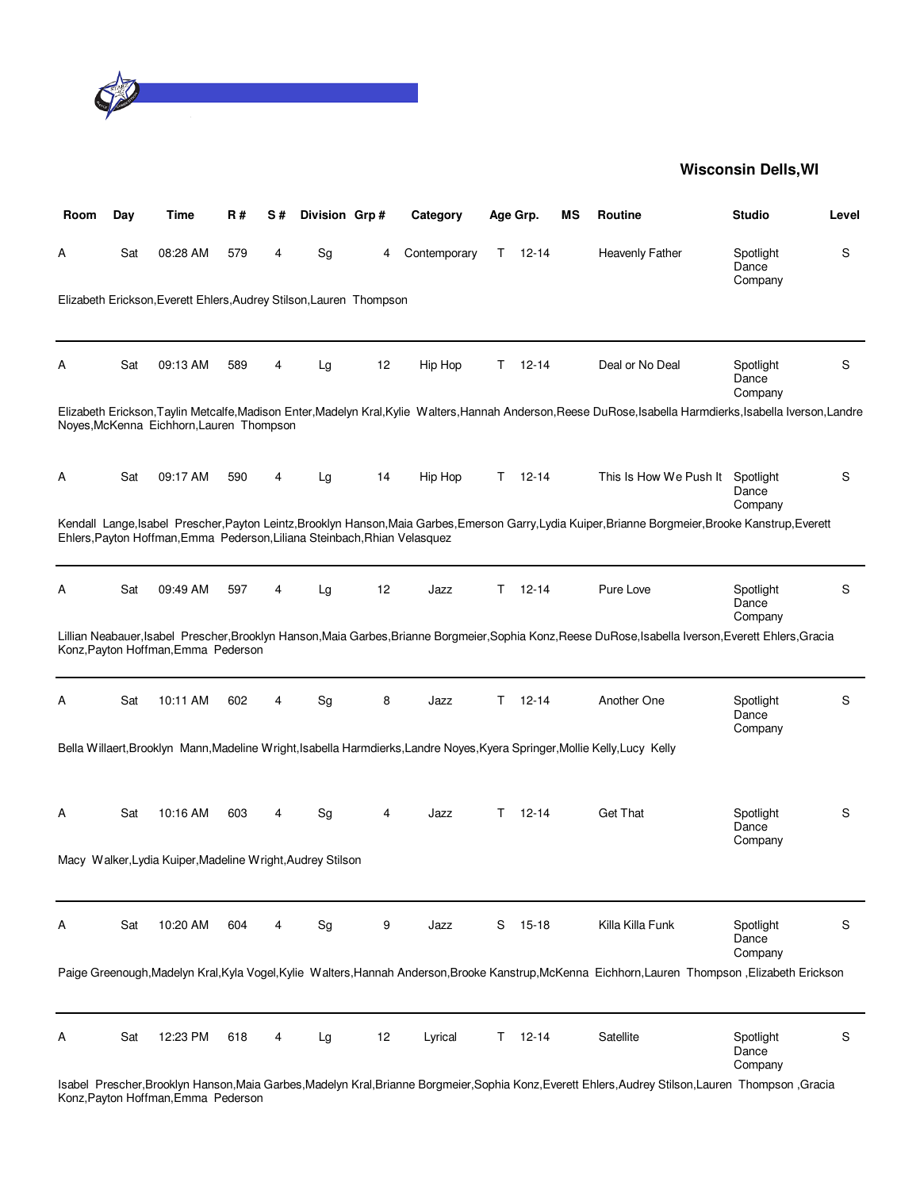

| Room | Day | Time                                                                      | R#  | S# | Division Grp# |    | Category     |    | Age Grp.  | ΜS | <b>Routine</b>                                                                                                                                          | <b>Studio</b>                 | Level |
|------|-----|---------------------------------------------------------------------------|-----|----|---------------|----|--------------|----|-----------|----|---------------------------------------------------------------------------------------------------------------------------------------------------------|-------------------------------|-------|
| Α    | Sat | 08:28 AM                                                                  | 579 | 4  | Sg            | 4  | Contemporary | T. | 12-14     |    | <b>Heavenly Father</b>                                                                                                                                  | Spotlight<br>Dance<br>Company | S     |
|      |     | Elizabeth Erickson, Everett Ehlers, Audrey Stilson, Lauren Thompson       |     |    |               |    |              |    |           |    |                                                                                                                                                         |                               |       |
| Α    | Sat | 09:13 AM                                                                  | 589 | 4  | Lg            | 12 | Hip Hop      | T. | 12-14     |    | Deal or No Deal                                                                                                                                         | Spotlight<br>Dance<br>Company | S     |
|      |     | Noyes, McKenna Eichhorn, Lauren Thompson                                  |     |    |               |    |              |    |           |    | Elizabeth Erickson,Taylin Metcalfe,Madison Enter,Madelyn Kral,Kylie Walters,Hannah Anderson,Reese DuRose,Isabella Harmdierks,Isabella Iverson,Landre    |                               |       |
| A    | Sat | 09:17 AM                                                                  | 590 | 4  | Lg            | 14 | Hip Hop      | T. | 12-14     |    | This Is How We Push It                                                                                                                                  | Spotlight<br>Dance<br>Company | S     |
|      |     | Ehlers, Payton Hoffman, Emma Pederson, Liliana Steinbach, Rhian Velasquez |     |    |               |    |              |    |           |    | Kendall Lange, Isabel Prescher, Payton Leintz, Brooklyn Hanson, Maia Garbes, Emerson Garry, Lydia Kuiper, Brianne Borgmeier, Brooke Kanstrup, Everett   |                               |       |
| Α    | Sat | 09:49 AM                                                                  | 597 | 4  | Lg            | 12 | Jazz         | T. | $12 - 14$ |    | Pure Love                                                                                                                                               | Spotlight<br>Dance<br>Company | S     |
|      |     | Konz, Payton Hoffman, Emma Pederson                                       |     |    |               |    |              |    |           |    | Lillian Neabauer, Isabel Prescher, Brooklyn Hanson, Maia Garbes, Brianne Borgmeier, Sophia Konz, Reese DuRose, Isabella Iverson, Everett Ehlers, Gracia |                               |       |
| Α    | Sat | 10:11 AM                                                                  | 602 | 4  | Sg            | 8  | Jazz         | T. | $12 - 14$ |    | Another One                                                                                                                                             | Spotlight<br>Dance<br>Company | S     |
|      |     |                                                                           |     |    |               |    |              |    |           |    | Bella Willaert, Brooklyn Mann, Madeline Wright, Isabella Harmdierks, Landre Noyes, Kyera Springer, Mollie Kelly, Lucy Kelly                             |                               |       |
| Α    | Sat | 10:16 AM                                                                  | 603 | 4  | Sg            | 4  | Jazz         | т  | $12 - 14$ |    | <b>Get That</b>                                                                                                                                         | Spotlight<br>Dance<br>Company | S     |
|      |     | Macy Walker, Lydia Kuiper, Madeline Wright, Audrey Stilson                |     |    |               |    |              |    |           |    |                                                                                                                                                         |                               |       |
| A    | Sat | 10:20 AM                                                                  | 604 | 4  | Sg            | 9  | Jazz         | S  | 15-18     |    | Killa Killa Funk                                                                                                                                        | Spotlight<br>Dance<br>Company | S     |
|      |     |                                                                           |     |    |               |    |              |    |           |    | Paige Greenough, Madelyn Kral, Kyla Vogel, Kylie Walters, Hannah Anderson, Brooke Kanstrup, McKenna Eichhorn, Lauren Thompson, Elizabeth Erickson       |                               |       |
| A    | Sat | 12:23 PM                                                                  | 618 | 4  | Lg            | 12 | Lyrical      | T. | $12 - 14$ |    | Satellite<br>ooklyn Hanson Maia Carbos Madolyn Krol Prianno Poramojor Sophia Konz Evorott Eblors Audroy Stilson Lauron, Thompson                        | Spotlight<br>Dance<br>Company | S     |

Isabel Prescher,Brooklyn Hanson,Maia Garbes,Madelyn Kral,Brianne Borgmeier,Sophia Konz,Everett Ehlers,Audrey Stilson,Lauren Thompson ,Gracia Konz,Payton Hoffman,Emma Pederson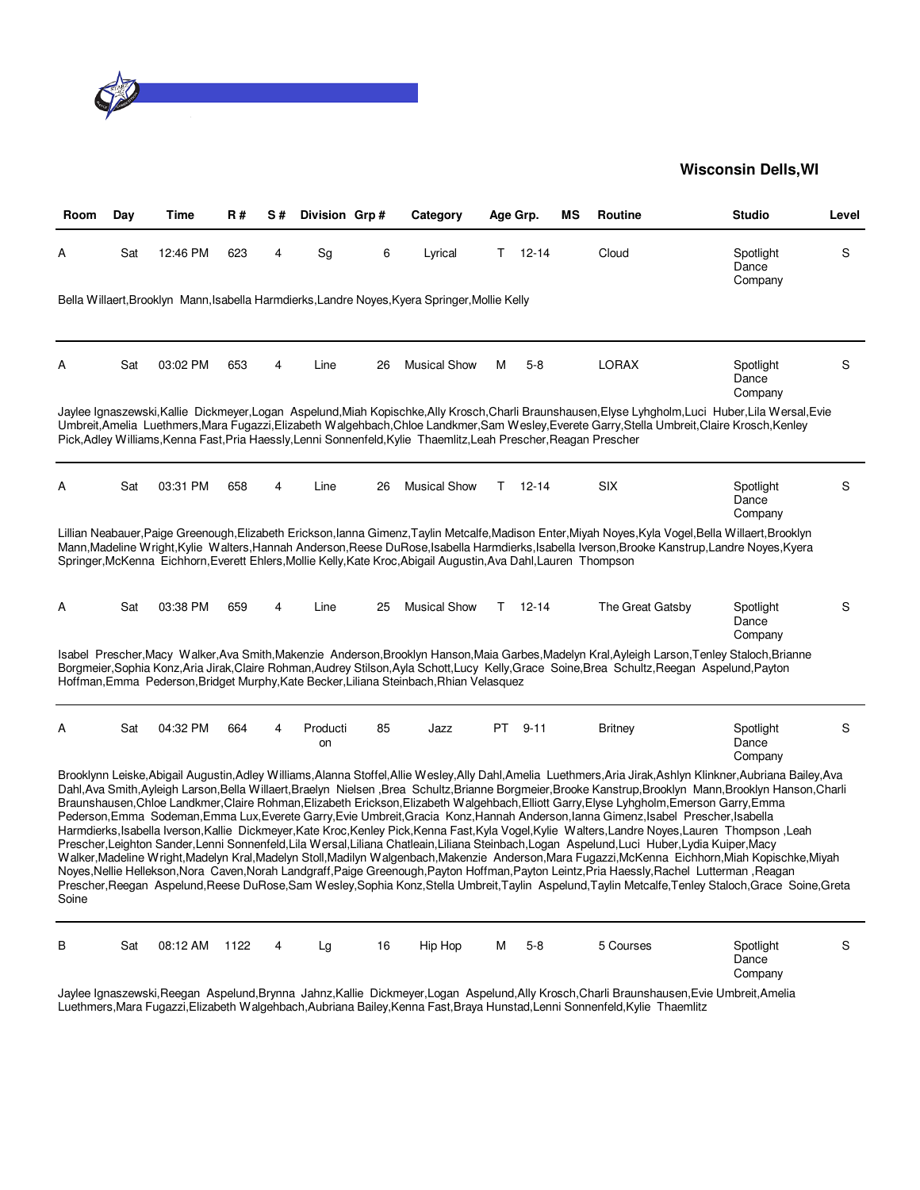

| Room  | Day | Time     | <b>R#</b> | S# | Division Grp#  |    | Category                                                                                                          |     | Age Grp.  | ΜS | Routine                                                                                                                                                                                                                                                                                                                                                                                                                                                                                                                                                                                                                                                                                                                                                                                                                                                                                                                                                                                                                                                                                                                                                                                                                                                                                                                               | <b>Studio</b>                 | Level |
|-------|-----|----------|-----------|----|----------------|----|-------------------------------------------------------------------------------------------------------------------|-----|-----------|----|---------------------------------------------------------------------------------------------------------------------------------------------------------------------------------------------------------------------------------------------------------------------------------------------------------------------------------------------------------------------------------------------------------------------------------------------------------------------------------------------------------------------------------------------------------------------------------------------------------------------------------------------------------------------------------------------------------------------------------------------------------------------------------------------------------------------------------------------------------------------------------------------------------------------------------------------------------------------------------------------------------------------------------------------------------------------------------------------------------------------------------------------------------------------------------------------------------------------------------------------------------------------------------------------------------------------------------------|-------------------------------|-------|
| Α     | Sat | 12:46 PM | 623       | 4  | Sa             | 6  | Lyrical                                                                                                           | т   | $12 - 14$ |    | Cloud                                                                                                                                                                                                                                                                                                                                                                                                                                                                                                                                                                                                                                                                                                                                                                                                                                                                                                                                                                                                                                                                                                                                                                                                                                                                                                                                 | Spotlight<br>Dance<br>Company | S     |
|       |     |          |           |    |                |    | Bella Willaert, Brooklyn Mann, Isabella Harmdierks, Landre Noyes, Kyera Springer, Mollie Kelly                    |     |           |    |                                                                                                                                                                                                                                                                                                                                                                                                                                                                                                                                                                                                                                                                                                                                                                                                                                                                                                                                                                                                                                                                                                                                                                                                                                                                                                                                       |                               |       |
| А     | Sat | 03:02 PM | 653       | 4  | Line           | 26 | <b>Musical Show</b>                                                                                               | м   | $5-8$     |    | <b>LORAX</b>                                                                                                                                                                                                                                                                                                                                                                                                                                                                                                                                                                                                                                                                                                                                                                                                                                                                                                                                                                                                                                                                                                                                                                                                                                                                                                                          | Spotlight<br>Dance<br>Company | S     |
|       |     |          |           |    |                |    | Pick, Adley Williams, Kenna Fast, Pria Haessly, Lenni Sonnenfeld, Kylie Thaemlitz, Leah Prescher, Reagan Prescher |     |           |    | Jaylee Ignaszewski.Kallie Dickmeyer.Logan Aspelund.Miah Kopischke.Ally Krosch.Charli Braunshausen.Elyse Lyhgholm.Luci Huber.Lila Wersal.Evie<br>Umbreit,Amelia Luethmers,Mara Fugazzi,Elizabeth Walgehbach,Chloe Landkmer,Sam Wesley,Everete Garry,Stella Umbreit,Claire Krosch,Kenley                                                                                                                                                                                                                                                                                                                                                                                                                                                                                                                                                                                                                                                                                                                                                                                                                                                                                                                                                                                                                                                |                               |       |
| A     | Sat | 03:31 PM | 658       | 4  | Line           | 26 | <b>Musical Show</b>                                                                                               | T   | $12 - 14$ |    | <b>SIX</b>                                                                                                                                                                                                                                                                                                                                                                                                                                                                                                                                                                                                                                                                                                                                                                                                                                                                                                                                                                                                                                                                                                                                                                                                                                                                                                                            | Spotlight<br>Dance<br>Company | S     |
|       |     |          |           |    |                |    | Springer, McKenna Eichhorn, Everett Ehlers, Mollie Kelly, Kate Kroc, Abigail Augustin, Ava Dahl, Lauren Thompson  |     |           |    | Lillian Neabauer,Paige Greenough,Elizabeth Erickson,Ianna Gimenz,Taylin Metcalfe,Madison Enter,Miyah Noyes,Kyla Vogel,Bella Willaert,Brooklyn<br>Mann,Madeline Wright,Kylie Walters,Hannah Anderson,Reese DuRose,Isabella Harmdierks,Isabella Iverson,Brooke Kanstrup,Landre Noyes,Kyera                                                                                                                                                                                                                                                                                                                                                                                                                                                                                                                                                                                                                                                                                                                                                                                                                                                                                                                                                                                                                                              |                               |       |
| A     | Sat | 03:38 PM | 659       | 4  | Line           | 25 | <b>Musical Show</b>                                                                                               | т   | $12 - 14$ |    | The Great Gatsby                                                                                                                                                                                                                                                                                                                                                                                                                                                                                                                                                                                                                                                                                                                                                                                                                                                                                                                                                                                                                                                                                                                                                                                                                                                                                                                      | Spotlight<br>Dance<br>Company | S     |
|       |     |          |           |    |                |    | Hoffman, Emma Pederson, Bridget Murphy, Kate Becker, Liliana Steinbach, Rhian Velasquez                           |     |           |    | Isabel Prescher,Macy Walker,Ava Smith,Makenzie Anderson,Brooklyn Hanson,Maia Garbes,Madelyn Kral,Ayleigh Larson,Tenley Staloch,Brianne<br>Borgmeier, Sophia Konz, Aria Jirak, Claire Rohman, Audrey Stilson, Ayla Schott, Lucy Kelly, Grace Soine, Brea Schultz, Reegan Aspelund, Payton                                                                                                                                                                                                                                                                                                                                                                                                                                                                                                                                                                                                                                                                                                                                                                                                                                                                                                                                                                                                                                              |                               |       |
| Α     | Sat | 04:32 PM | 664       | 4  | Producti<br>on | 85 | Jazz                                                                                                              | PT. | $9 - 11$  |    | <b>Britney</b>                                                                                                                                                                                                                                                                                                                                                                                                                                                                                                                                                                                                                                                                                                                                                                                                                                                                                                                                                                                                                                                                                                                                                                                                                                                                                                                        | Spotlight<br>Dance<br>Company | S     |
| Soine |     |          |           |    |                |    |                                                                                                                   |     |           |    | Brooklynn Leiske,Abigail Augustin,Adley Williams,Alanna Stoffel,Allie Wesley,Ally Dahl,Amelia Luethmers,Aria Jirak,Ashlyn Klinkner,Aubriana Bailey,Ava<br>Dahl,Ava Smith,Ayleigh Larson,Bella Willaert,Braelyn Nielsen ,Brea Schultz,Brianne Borgmeier,Brooke Kanstrup,Brooklyn Mann,Brooklyn Hanson,Charli<br>Braunshausen,Chloe Landkmer,Claire Rohman,Elizabeth Erickson,Elizabeth Walgehbach,Elliott Garry,Elyse Lyhgholm,Emerson Garry,Emma<br>Pederson, Emma Sodeman, Emma Lux, Everete Garry, Evie Umbreit, Gracia Konz, Hannah Anderson, lanna Gimenz, Isabel Prescher, Isabella<br>Harmdierks, Isabella Iverson, Kallie Dickmeyer, Kate Kroc, Kenley Pick, Kenna Fast, Kyla Vogel, Kylie Walters, Landre Noyes, Lauren Thompson, Leah<br>Prescher,Leighton Sander,Lenni Sonnenfeld,Lila Wersal,Liliana Chatleain,Liliana Steinbach,Logan Aspelund,Luci Huber,Lydia Kuiper,Macy<br>Walker,Madeline Wright,Madelyn Kral,Madelyn Stoll,Madilyn Walgenbach,Makenzie Anderson,Mara Fugazzi,McKenna Eichhorn,Miah Kopischke,Miyah<br>Noyes,Nellie Hellekson,Nora Caven,Norah Landgraff,Paige Greenough,Payton Hoffman,Payton Leintz,Pria Haessly,Rachel Lutterman,Reagan<br>Prescher, Reegan Aspelund, Reese DuRose, Sam Wesley, Sophia Konz, Stella Umbreit, Taylin Aspelund, Taylin Metcalfe, Tenley Staloch, Grace Soine, Greta |                               |       |
| в     | Sat | 08:12 AM | 1122      | 4  | La             | 16 | Hip Hop                                                                                                           | M   | $5-8$     |    | 5 Courses                                                                                                                                                                                                                                                                                                                                                                                                                                                                                                                                                                                                                                                                                                                                                                                                                                                                                                                                                                                                                                                                                                                                                                                                                                                                                                                             | Spotlight<br>Dance<br>Company | S     |

Jaylee Ignaszewski,Reegan Aspelund,Brynna Jahnz,Kallie Dickmeyer,Logan Aspelund,Ally Krosch,Charli Braunshausen,Evie Umbreit,Amelia Luethmers,Mara Fugazzi,Elizabeth Walgehbach,Aubriana Bailey,Kenna Fast,Braya Hunstad,Lenni Sonnenfeld,Kylie Thaemlitz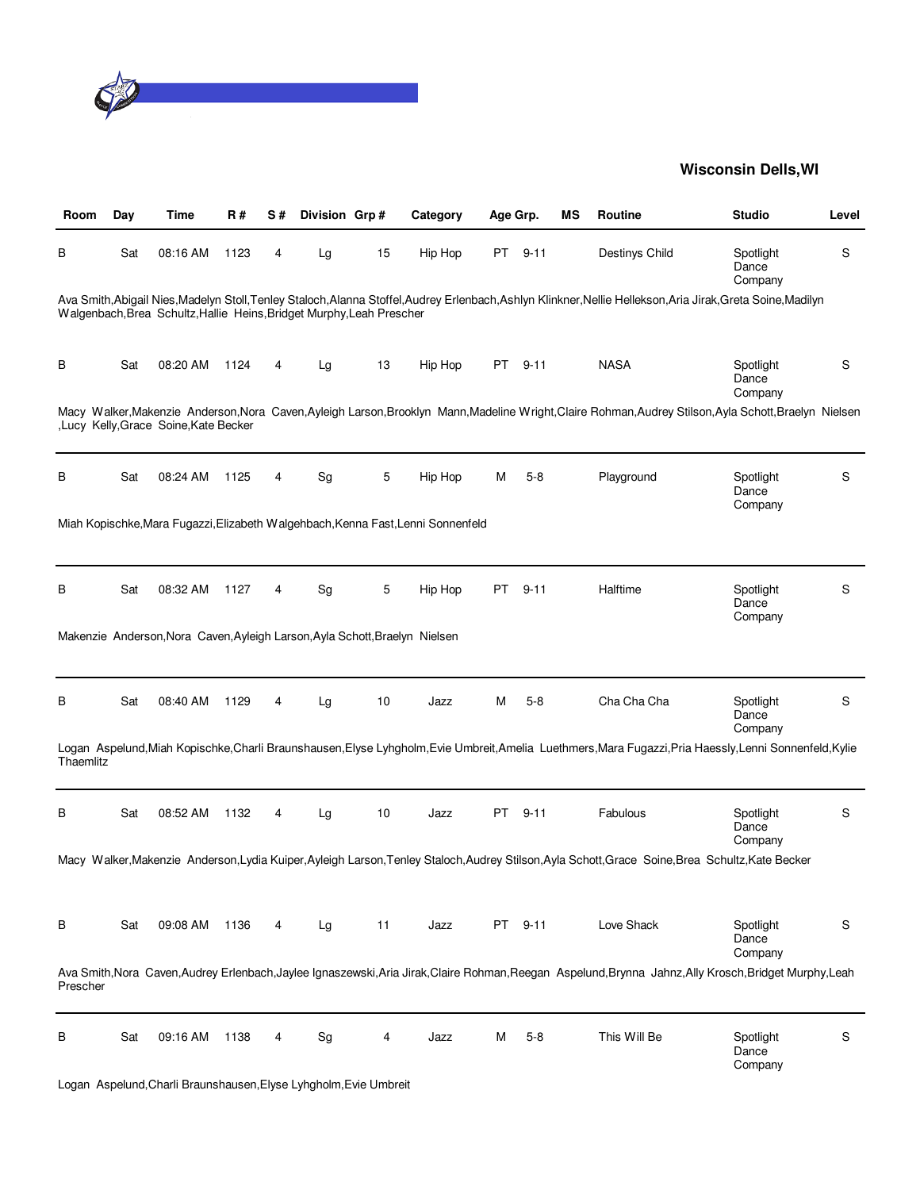

| Room      | Day | Time                                                                        | R#   | S# | Division Grp# |    | Category                                                                         | Age Grp. |          | МS | Routine                                                                                                                                                       | <b>Studio</b>                 | Level |
|-----------|-----|-----------------------------------------------------------------------------|------|----|---------------|----|----------------------------------------------------------------------------------|----------|----------|----|---------------------------------------------------------------------------------------------------------------------------------------------------------------|-------------------------------|-------|
| В         | Sat | 08:16 AM                                                                    | 1123 | 4  | Lg            | 15 | Hip Hop                                                                          |          | PT 9-11  |    | Destinys Child                                                                                                                                                | Spotlight<br>Dance<br>Company | S     |
|           |     | Walgenbach, Brea Schultz, Hallie Heins, Bridget Murphy, Leah Prescher       |      |    |               |    |                                                                                  |          |          |    | Ava Smith, Abigail Nies, Madelyn Stoll, Tenley Staloch, Alanna Stoffel, Audrey Erlenbach, Ashlyn Klinkner, Nellie Hellekson, Aria Jirak, Greta Soine, Madilyn |                               |       |
| В         | Sat | 08:20 AM                                                                    | 1124 | 4  | Lg            | 13 | Hip Hop                                                                          | PT       | $9 - 11$ |    | <b>NASA</b>                                                                                                                                                   | Spotlight<br>Dance<br>Company | S     |
|           |     | ,Lucy Kelly, Grace Soine, Kate Becker                                       |      |    |               |    |                                                                                  |          |          |    | Macy Walker, Makenzie Anderson, Nora Caven, Ayleigh Larson, Brooklyn Mann, Madeline Wright, Claire Rohman, Audrey Stilson, Ayla Schott, Braelyn Nielsen       |                               |       |
| В         | Sat | 08:24 AM                                                                    | 1125 | 4  | Sg            | 5  | Hip Hop                                                                          | M        | $5-8$    |    | Playground                                                                                                                                                    | Spotlight<br>Dance<br>Company | S     |
|           |     |                                                                             |      |    |               |    | Miah Kopischke, Mara Fugazzi, Elizabeth Walgehbach, Kenna Fast, Lenni Sonnenfeld |          |          |    |                                                                                                                                                               |                               |       |
| В         | Sat | 08:32 AM                                                                    | 1127 | 4  | Sg            | 5  | Hip Hop                                                                          | PT       | $9 - 11$ |    | Halftime                                                                                                                                                      | Spotlight<br>Dance<br>Company | S     |
|           |     | Makenzie Anderson, Nora Caven, Ayleigh Larson, Ayla Schott, Braelyn Nielsen |      |    |               |    |                                                                                  |          |          |    |                                                                                                                                                               |                               |       |
| В         | Sat | 08:40 AM                                                                    | 1129 | 4  | Lg            | 10 | Jazz                                                                             | M        | $5 - 8$  |    | Cha Cha Cha                                                                                                                                                   | Spotlight<br>Dance<br>Company | S     |
| Thaemlitz |     |                                                                             |      |    |               |    |                                                                                  |          |          |    | Logan Aspelund, Miah Kopischke, Charli Braunshausen, Elyse Lyhgholm, Evie Umbreit, Amelia Luethmers, Mara Fugazzi, Pria Haessly, Lenni Sonnenfeld, Kylie      |                               |       |
| В         | Sat | 08:52 AM                                                                    | 1132 | 4  | Lg            | 10 | Jazz                                                                             | PT       | $9 - 11$ |    | Fabulous                                                                                                                                                      | Spotlight<br>Dance<br>Company | S     |
|           |     |                                                                             |      |    |               |    |                                                                                  |          |          |    | Macy Walker, Makenzie Anderson, Lydia Kuiper, Ayleigh Larson, Tenley Staloch, Audrey Stilson, Ayla Schott, Grace Soine, Brea Schultz, Kate Becker             |                               |       |
| В         | Sat | 09:08 AM                                                                    | 1136 | 4  | Lg            | 11 | Jazz                                                                             |          | PT 9-11  |    | Love Shack                                                                                                                                                    | Spotlight<br>Dance<br>Company | S     |
| Prescher  |     |                                                                             |      |    |               |    |                                                                                  |          |          |    | Ava Smith, Nora Caven, Audrey Erlenbach, Jaylee Ignaszewski, Aria Jirak, Claire Rohman, Reegan Aspelund, Brynna Jahnz, Ally Krosch, Bridget Murphy, Leah      |                               |       |
| В         | Sat | 09:16 AM                                                                    | 1138 | 4  | Sg            | 4  | Jazz                                                                             | M        | $5 - 8$  |    | This Will Be                                                                                                                                                  | Spotlight<br>Dance<br>Company | S     |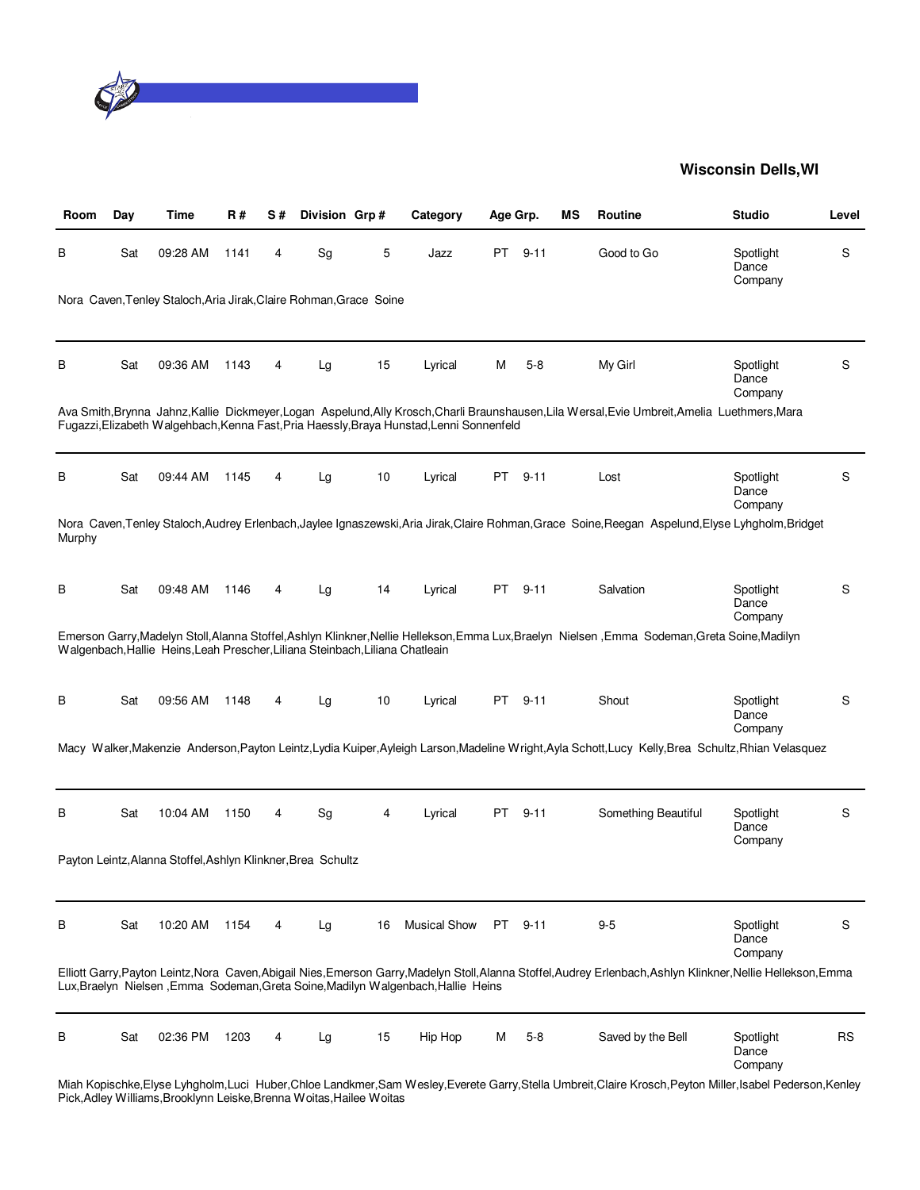

| Room   | Day | Time                                                                          | R#   | S# | Division Grp#                |    | Category                                                                                 | Age Grp. |          | ΜS | Routine                                                                                                                                                                           | <b>Studio</b>                 | Level     |
|--------|-----|-------------------------------------------------------------------------------|------|----|------------------------------|----|------------------------------------------------------------------------------------------|----------|----------|----|-----------------------------------------------------------------------------------------------------------------------------------------------------------------------------------|-------------------------------|-----------|
| в      | Sat | 09:28 AM                                                                      | 1141 | 4  | Sg                           | 5  | Jazz                                                                                     | PT       | $9 - 11$ |    | Good to Go                                                                                                                                                                        | Spotlight<br>Dance<br>Company | S         |
|        |     | Nora Caven, Tenley Staloch, Aria Jirak, Claire Rohman, Grace Soine            |      |    |                              |    |                                                                                          |          |          |    |                                                                                                                                                                                   |                               |           |
| В      | Sat | 09:36 AM                                                                      | 1143 | 4  | Lg                           | 15 | Lyrical                                                                                  | M        | $5 - 8$  |    | My Girl                                                                                                                                                                           | Spotlight<br>Dance<br>Company | S         |
|        |     |                                                                               |      |    |                              |    | Fugazzi, Elizabeth Walgehbach, Kenna Fast, Pria Haessly, Braya Hunstad, Lenni Sonnenfeld |          |          |    | Ava Smith, Brynna Jahnz, Kallie Dickmeyer, Logan Aspelund, Ally Krosch, Charli Braunshausen, Lila Wersal, Evie Umbreit, Amelia Luethmers, Mara                                    |                               |           |
| В      | Sat | 09:44 AM                                                                      | 1145 | 4  | Lg                           | 10 | Lyrical                                                                                  | PT.      | $9 - 11$ |    | Lost                                                                                                                                                                              | Spotlight<br>Dance<br>Company | S         |
| Murphy |     |                                                                               |      |    |                              |    |                                                                                          |          |          |    | Nora Caven, Tenley Staloch, Audrey Erlenbach, Jaylee Ignaszewski, Aria Jirak, Claire Rohman, Grace Soine, Reegan Aspelund, Elyse Lyhgholm, Bridget                                |                               |           |
| В      | Sat | 09:48 AM                                                                      | 1146 | 4  | Lg                           | 14 | Lyrical                                                                                  | PT.      | $9 - 11$ |    | Salvation                                                                                                                                                                         | Spotlight<br>Dance<br>Company | S         |
|        |     | Walgenbach, Hallie Heins, Leah Prescher, Liliana Steinbach, Liliana Chatleain |      |    |                              |    |                                                                                          |          |          |    | Emerson Garry, Madelyn Stoll, Alanna Stoffel, Ashlyn Klinkner, Nellie Hellekson, Emma Lux, Braelyn Nielsen, Emma Sodeman, Greta Soine, Madilyn                                    |                               |           |
| В      | Sat | 09:56 AM                                                                      | 1148 | 4  | Lg                           | 10 | Lyrical                                                                                  |          | PT 9-11  |    | Shout                                                                                                                                                                             | Spotlight<br>Dance<br>Company | S         |
|        |     |                                                                               |      |    |                              |    |                                                                                          |          |          |    | Macy Walker, Makenzie Anderson, Payton Leintz, Lydia Kuiper, Ayleigh Larson, Madeline Wright, Ayla Schott, Lucy Kelly, Brea Schultz, Rhian Velasquez                              |                               |           |
| В      | Sat | 10:04 AM                                                                      | 1150 | 4  | $\operatorname{\mathsf{Sg}}$ | 4  | Lyrical                                                                                  | PT       | $9 - 11$ |    | Something Beautiful                                                                                                                                                               | Spotlight<br>Dance<br>Company | S         |
|        |     | Payton Leintz, Alanna Stoffel, Ashlyn Klinkner, Brea Schultz                  |      |    |                              |    |                                                                                          |          |          |    |                                                                                                                                                                                   |                               |           |
| В      | Sat | 10:20 AM                                                                      | 1154 | 4  | Lg                           | 16 | <b>Musical Show</b>                                                                      |          | PT 9-11  |    | $9 - 5$                                                                                                                                                                           | Spotlight<br>Dance<br>Company | S         |
|        |     |                                                                               |      |    |                              |    | Lux, Braelyn Nielsen, Emma Sodeman, Greta Soine, Madilyn Walgenbach, Hallie Heins        |          |          |    | Elliott Garry, Payton Leintz, Nora Caven, Abigail Nies, Emerson Garry, Madelyn Stoll, Alanna Stoffel, Audrey Erlenbach, Ashlyn Klinkner, Nellie Hellekson, Emma                   |                               |           |
| В      | Sat | 02:36 PM                                                                      | 1203 | 4  | Lg                           | 15 | Hip Hop                                                                                  | м        | $5 - 8$  |    | Saved by the Bell<br>Miah Kopischke, Elyse Lyhgholm, Luci Huber, Chloe Landkmer, Sam Wesley, Everete Garry, Stella Umbreit, Claire Krosch, Peyton Miller, Isabel Pederson, Kenley | Spotlight<br>Dance<br>Company | <b>RS</b> |

Pick,Adley Williams,Brooklynn Leiske,Brenna Woitas,Hailee Woitas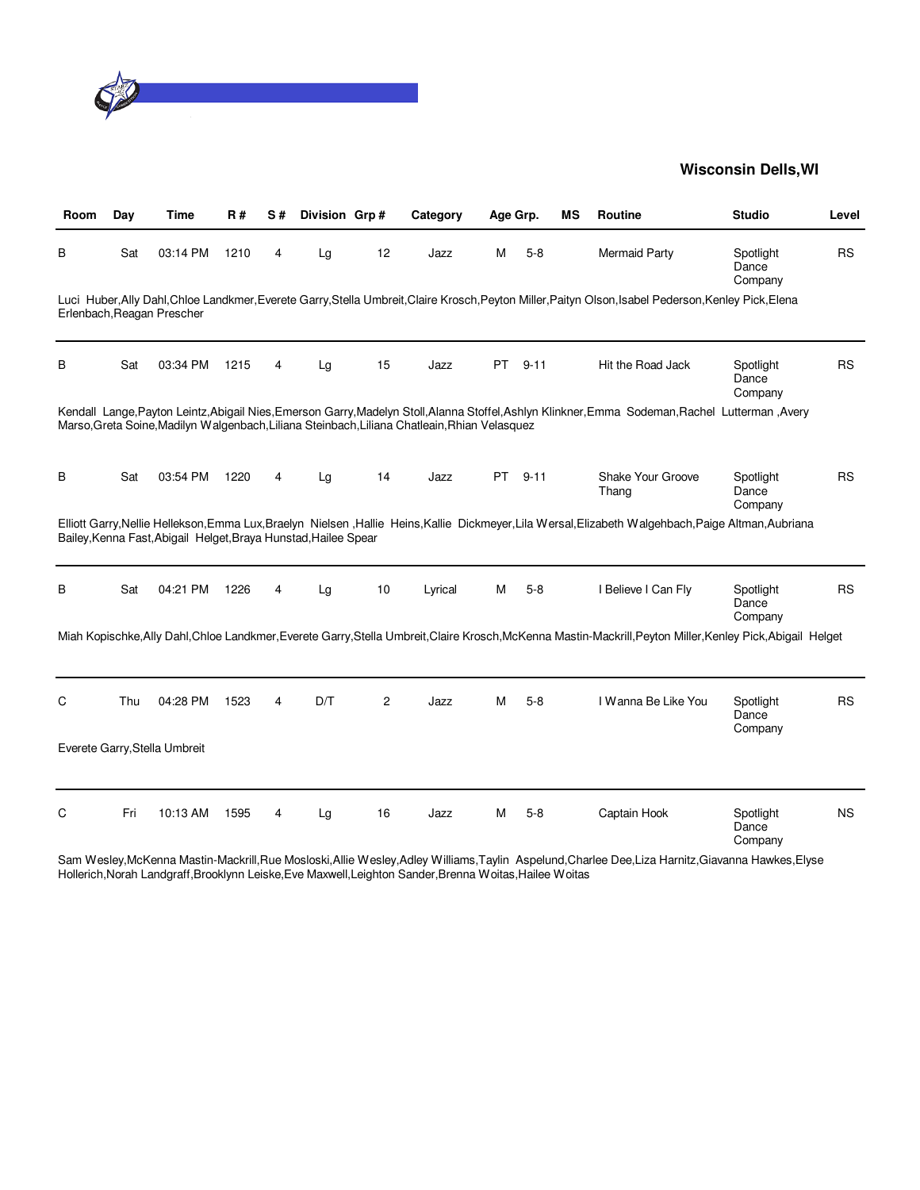

| Room | Day | <b>Time</b>                                                     | <b>R#</b> | S# | Division Grp# |                | Category                                                                                      | Age Grp.  |          | ΜS | Routine                                                                                                                                                      | <b>Studio</b>                 | Level     |
|------|-----|-----------------------------------------------------------------|-----------|----|---------------|----------------|-----------------------------------------------------------------------------------------------|-----------|----------|----|--------------------------------------------------------------------------------------------------------------------------------------------------------------|-------------------------------|-----------|
| в    | Sat | 03:14 PM                                                        | 1210      | 4  | Lg            | 12             | Jazz                                                                                          | м         | $5-8$    |    | <b>Mermaid Party</b>                                                                                                                                         | Spotlight<br>Dance<br>Company | <b>RS</b> |
|      |     | Erlenbach, Reagan Prescher                                      |           |    |               |                |                                                                                               |           |          |    | Luci Huber, Ally Dahl, Chloe Landkmer, Everete Garry, Stella Umbreit, Claire Krosch, Peyton Miller, Paityn Olson, Isabel Pederson, Kenley Pick, Elena        |                               |           |
| B    | Sat | 03:34 PM                                                        | 1215      | 4  | Lg            | 15             | Jazz                                                                                          | <b>PT</b> | $9 - 11$ |    | Hit the Road Jack                                                                                                                                            | Spotlight<br>Dance<br>Company | <b>RS</b> |
|      |     |                                                                 |           |    |               |                | Marso, Greta Soine, Madilyn Walgenbach, Liliana Steinbach, Liliana Chatleain, Rhian Velasquez |           |          |    | Kendall Lange, Payton Leintz, Abigail Nies, Emerson Garry, Madelyn Stoll, Alanna Stoffel, Ashlyn Klinkner, Emma Sodeman, Rachel Lutterman, Avery             |                               |           |
| в    | Sat | 03:54 PM                                                        | 1220      | 4  | Lg            | 14             | Jazz                                                                                          | PT        | $9 - 11$ |    | Shake Your Groove<br>Thang                                                                                                                                   | Spotlight<br>Dance<br>Company | <b>RS</b> |
|      |     | Bailey, Kenna Fast, Abigail Helget, Braya Hunstad, Hailee Spear |           |    |               |                |                                                                                               |           |          |    | Elliott Garry, Nellie Hellekson, Emma Lux, Braelyn Nielsen, Hallie Heins, Kallie Dickmeyer, Lila Wersal, Elizabeth Walgehbach, Paige Altman, Aubriana        |                               |           |
| в    | Sat | 04:21 PM                                                        | 1226      | 4  | Lg            | 10             | Lyrical                                                                                       | м         | $5-8$    |    | I Believe I Can Fly                                                                                                                                          | Spotlight<br>Dance<br>Company | <b>RS</b> |
|      |     |                                                                 |           |    |               |                |                                                                                               |           |          |    | Miah Kopischke, Ally Dahl, Chloe Landkmer, Everete Garry, Stella Umbreit, Claire Krosch, McKenna Mastin-Mackrill, Peyton Miller, Kenley Pick, Abigail Helget |                               |           |
| С    | Thu | 04:28 PM                                                        | 1523      | 4  | D/T           | $\overline{c}$ | Jazz                                                                                          | м         | $5-8$    |    | I Wanna Be Like You                                                                                                                                          | Spotlight<br>Dance<br>Company | <b>RS</b> |
|      |     | Everete Garry, Stella Umbreit                                   |           |    |               |                |                                                                                               |           |          |    |                                                                                                                                                              |                               |           |
| C    | Fri | 10:13 AM                                                        | 1595      | 4  | Lg            | 16             | Jazz                                                                                          | м         | $5-8$    |    | Captain Hook                                                                                                                                                 | Spotlight<br>Dance<br>Company | <b>NS</b> |

Sam Wesley,McKenna Mastin-Mackrill,Rue Mosloski,Allie Wesley,Adley Williams,Taylin Aspelund,Charlee Dee,Liza Harnitz,Giavanna Hawkes,Elyse Hollerich,Norah Landgraff,Brooklynn Leiske,Eve Maxwell,Leighton Sander,Brenna Woitas,Hailee Woitas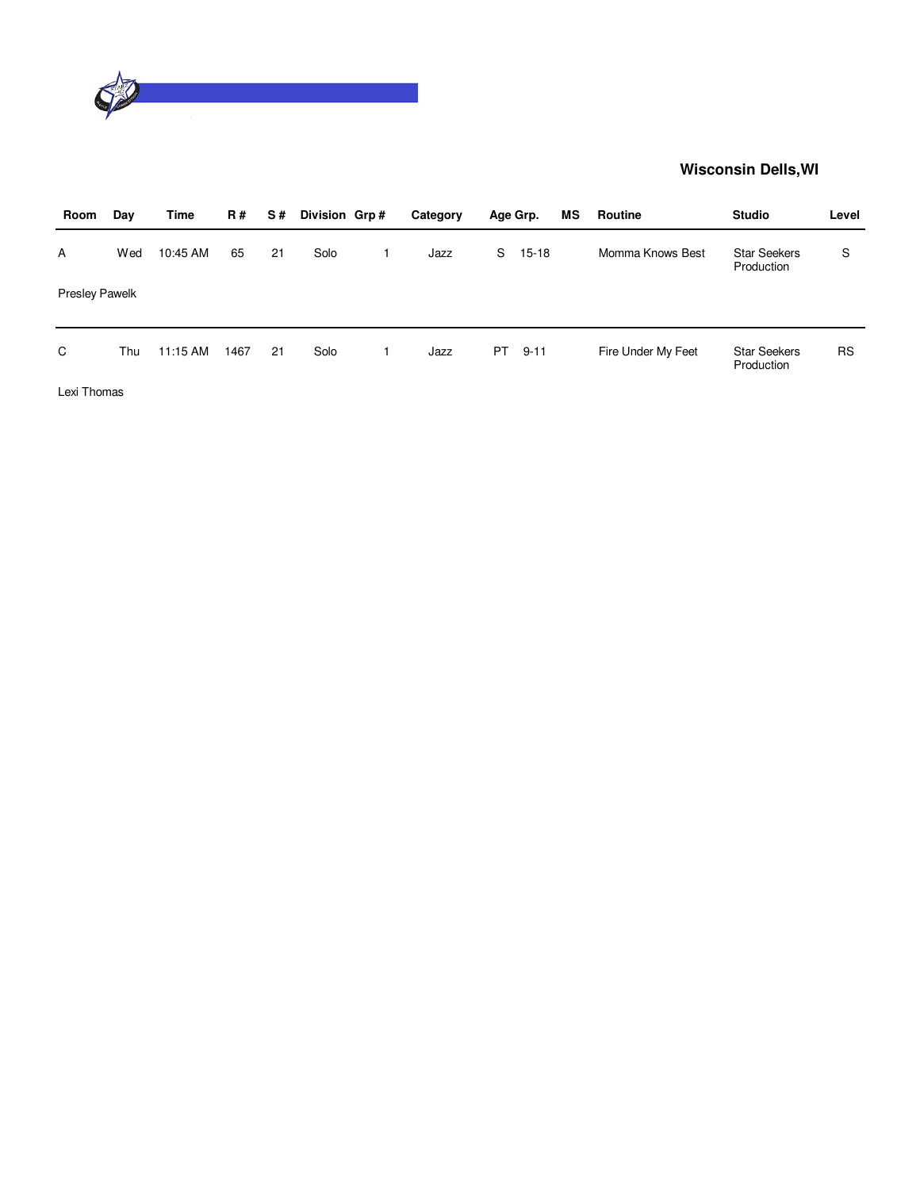

| Room                  | Day | Time     | <b>R#</b> | S# | Division Grp# | Category |     | Age Grp.  | МS | Routine            | <b>Studio</b>                     | Level     |
|-----------------------|-----|----------|-----------|----|---------------|----------|-----|-----------|----|--------------------|-----------------------------------|-----------|
| A                     | Wed | 10:45 AM | 65        | 21 | Solo          | Jazz     | S   | $15 - 18$ |    | Momma Knows Best   | <b>Star Seekers</b><br>Production | S         |
| <b>Presley Pawelk</b> |     |          |           |    |               |          |     |           |    |                    |                                   |           |
| C                     | Thu | 11:15 AM | 1467      | 21 | Solo          | Jazz     | PT. | $9 - 11$  |    | Fire Under My Feet | <b>Star Seekers</b><br>Production | <b>RS</b> |
| Lexi Thomas           |     |          |           |    |               |          |     |           |    |                    |                                   |           |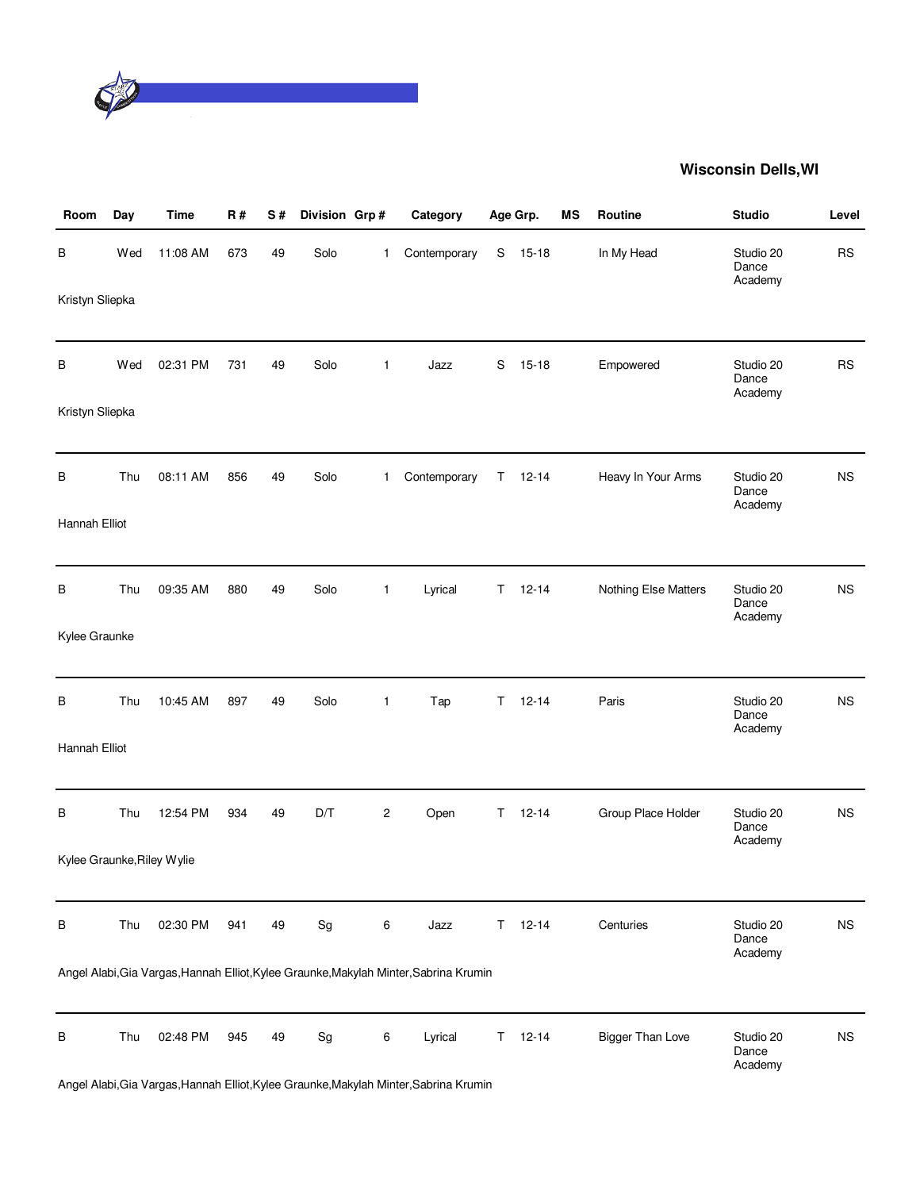

| Room            | Day | <b>Time</b>                | R#  | S# | Division Grp# |                | Category                                                                              |    | Age Grp.  | MS | Routine                 | <b>Studio</b>                 | Level     |
|-----------------|-----|----------------------------|-----|----|---------------|----------------|---------------------------------------------------------------------------------------|----|-----------|----|-------------------------|-------------------------------|-----------|
| В               | Wed | 11:08 AM                   | 673 | 49 | Solo          | 1              | Contemporary                                                                          | S  | $15 - 18$ |    | In My Head              | Studio 20<br>Dance<br>Academy | <b>RS</b> |
| Kristyn Sliepka |     |                            |     |    |               |                |                                                                                       |    |           |    |                         |                               |           |
| В               | Wed | 02:31 PM                   | 731 | 49 | Solo          | 1              | Jazz                                                                                  | S  | $15 - 18$ |    | Empowered               | Studio 20<br>Dance<br>Academy | <b>RS</b> |
| Kristyn Sliepka |     |                            |     |    |               |                |                                                                                       |    |           |    |                         |                               |           |
| В               | Thu | 08:11 AM                   | 856 | 49 | Solo          | 1              | Contemporary                                                                          | Τ  | $12 - 14$ |    | Heavy In Your Arms      | Studio 20<br>Dance<br>Academy | <b>NS</b> |
| Hannah Elliot   |     |                            |     |    |               |                |                                                                                       |    |           |    |                         |                               |           |
| В               | Thu | 09:35 AM                   | 880 | 49 | Solo          | $\mathbf{1}$   | Lyrical                                                                               | T  | $12 - 14$ |    | Nothing Else Matters    | Studio 20<br>Dance<br>Academy | <b>NS</b> |
| Kylee Graunke   |     |                            |     |    |               |                |                                                                                       |    |           |    |                         |                               |           |
| В               | Thu | 10:45 AM                   | 897 | 49 | Solo          | 1              | Tap                                                                                   | T. | $12 - 14$ |    | Paris                   | Studio 20<br>Dance<br>Academy | <b>NS</b> |
| Hannah Elliot   |     |                            |     |    |               |                |                                                                                       |    |           |    |                         |                               |           |
| В               | Thu | 12:54 PM                   | 934 | 49 | D/T           | $\overline{c}$ | Open                                                                                  | Τ  | $12 - 14$ |    | Group Place Holder      | Studio 20<br>Dance<br>Academy | <b>NS</b> |
|                 |     | Kylee Graunke, Riley Wylie |     |    |               |                |                                                                                       |    |           |    |                         |                               |           |
| В               | Thu | 02:30 PM                   | 941 | 49 | Sg            | 6              | Jazz                                                                                  | T. | $12 - 14$ |    | Centuries               | Studio 20<br>Dance<br>Academy | <b>NS</b> |
|                 |     |                            |     |    |               |                | Angel Alabi, Gia Vargas, Hannah Elliot, Kylee Graunke, Makylah Minter, Sabrina Krumin |    |           |    |                         |                               |           |
| В               | Thu | 02:48 PM                   | 945 | 49 | Sg            | 6              | Lyrical                                                                               | T. | $12 - 14$ |    | <b>Bigger Than Love</b> | Studio 20<br>Dance<br>Academy | <b>NS</b> |
|                 |     |                            |     |    |               |                | Angel Alabi, Gia Vargas, Hannah Elliot, Kylee Graunke, Makylah Minter, Sabrina Krumin |    |           |    |                         |                               |           |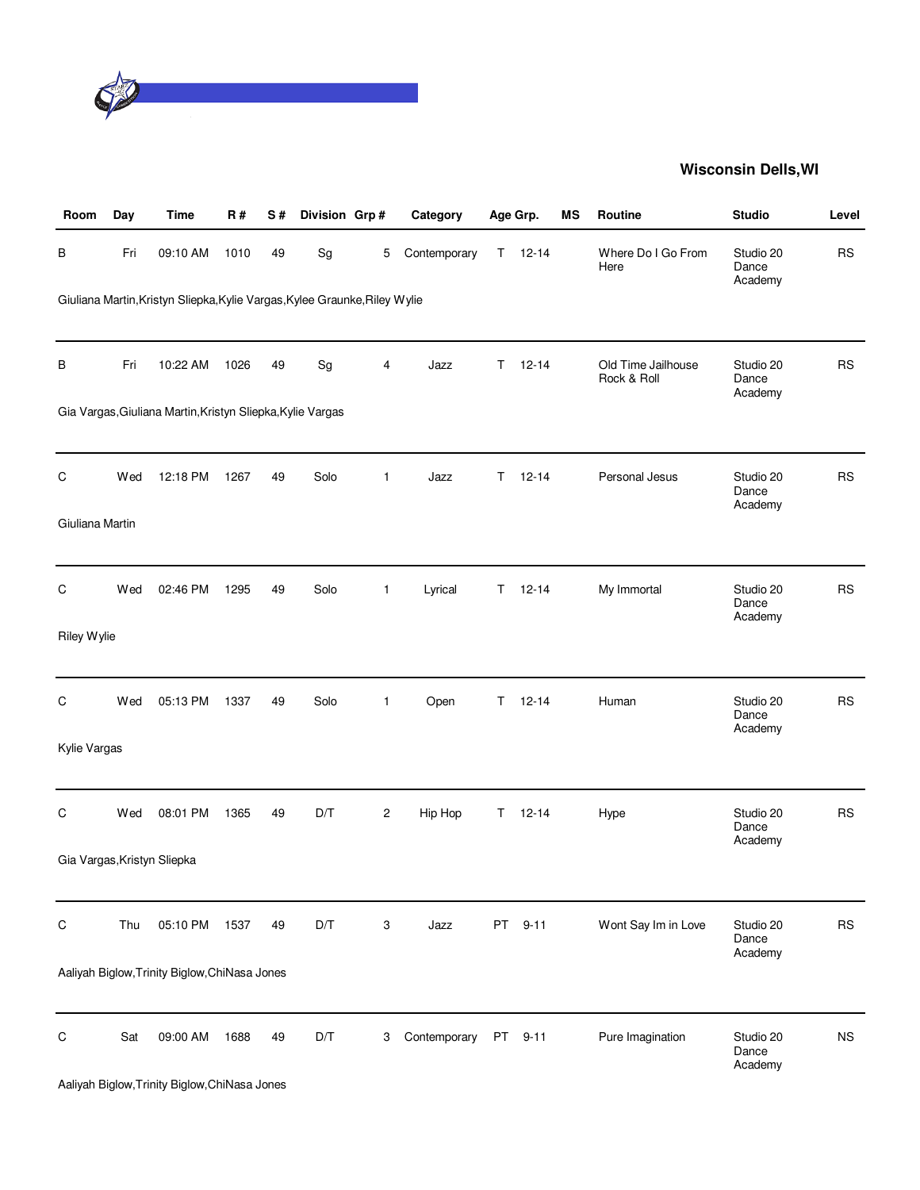

| Room            | Day | <b>Time</b>                                                                | <b>R#</b> | S# | Division Grp# |                | Category     |    | Age Grp.  | MS | <b>Routine</b>                    | <b>Studio</b>                 | Level     |
|-----------------|-----|----------------------------------------------------------------------------|-----------|----|---------------|----------------|--------------|----|-----------|----|-----------------------------------|-------------------------------|-----------|
| В               | Fri | 09:10 AM                                                                   | 1010      | 49 | Sg            | 5              | Contemporary | T. | $12 - 14$ |    | Where Do I Go From<br>Here        | Studio 20<br>Dance<br>Academy | <b>RS</b> |
|                 |     | Giuliana Martin, Kristyn Sliepka, Kylie Vargas, Kylee Graunke, Riley Wylie |           |    |               |                |              |    |           |    |                                   |                               |           |
| В               | Fri | 10:22 AM                                                                   | 1026      | 49 | Sg            | 4              | Jazz         | T  | $12 - 14$ |    | Old Time Jailhouse<br>Rock & Roll | Studio 20<br>Dance<br>Academy | <b>RS</b> |
|                 |     | Gia Vargas, Giuliana Martin, Kristyn Sliepka, Kylie Vargas                 |           |    |               |                |              |    |           |    |                                   |                               |           |
| C               | Wed | 12:18 PM                                                                   | 1267      | 49 | Solo          | 1              | Jazz         | T. | $12 - 14$ |    | Personal Jesus                    | Studio 20<br>Dance<br>Academy | <b>RS</b> |
| Giuliana Martin |     |                                                                            |           |    |               |                |              |    |           |    |                                   |                               |           |
| C               | Wed | 02:46 PM                                                                   | 1295      | 49 | Solo          | $\mathbf{1}$   | Lyrical      | T. | $12 - 14$ |    | My Immortal                       | Studio 20<br>Dance<br>Academy | <b>RS</b> |
| Riley Wylie     |     |                                                                            |           |    |               |                |              |    |           |    |                                   |                               |           |
| C               | Wed | 05:13 PM                                                                   | 1337      | 49 | Solo          | 1              | Open         | Τ  | $12 - 14$ |    | Human                             | Studio 20<br>Dance<br>Academy | <b>RS</b> |
| Kylie Vargas    |     |                                                                            |           |    |               |                |              |    |           |    |                                   |                               |           |
| С               | Wed | 08:01 PM                                                                   | 1365      | 49 | D/T           | $\overline{c}$ | Hip Hop      | T. | $12 - 14$ |    | Hype                              | Studio 20<br>Dance<br>Academy | <b>RS</b> |
|                 |     | Gia Vargas, Kristyn Sliepka                                                |           |    |               |                |              |    |           |    |                                   |                               |           |
| С               | Thu | 05:10 PM                                                                   | 1537      | 49 | D/T           | 3              | Jazz         | PT | $9 - 11$  |    | Wont Say Im in Love               | Studio 20<br>Dance<br>Academy | <b>RS</b> |
|                 |     | Aaliyah Biglow, Trinity Biglow, ChiNasa Jones                              |           |    |               |                |              |    |           |    |                                   |                               |           |
| C               | Sat | 09:00 AM                                                                   | 1688      | 49 | D/T           | 3              | Contemporary | PT | $9 - 11$  |    | Pure Imagination                  | Studio 20<br>Dance<br>Academy | <b>NS</b> |
|                 |     | Aaliyah Biglow, Trinity Biglow, ChiNasa Jones                              |           |    |               |                |              |    |           |    |                                   |                               |           |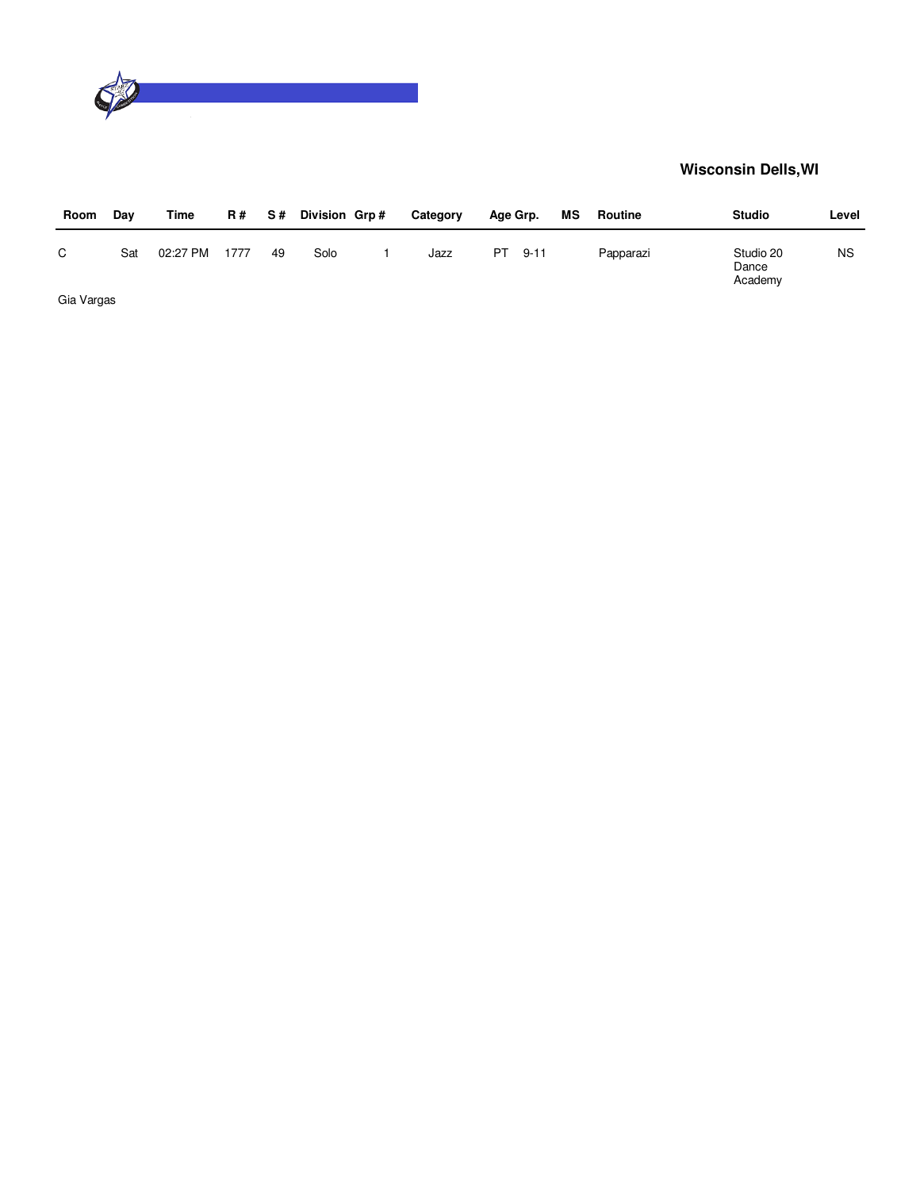

| Room       | Day | Time     | <b>R#</b> | S # | Division Grp# | Category | Age Grp. |      | ΜS | Routine   | <b>Studio</b> |                      | Level     |
|------------|-----|----------|-----------|-----|---------------|----------|----------|------|----|-----------|---------------|----------------------|-----------|
| C          | Sat | 02:27 PM | 1777      | 49  | Solo          | Jazz     | PT       | 9-11 |    | Papparazi | Dance         | Studio 20<br>Academy | <b>NS</b> |
| Gia Vargas |     |          |           |     |               |          |          |      |    |           |               |                      |           |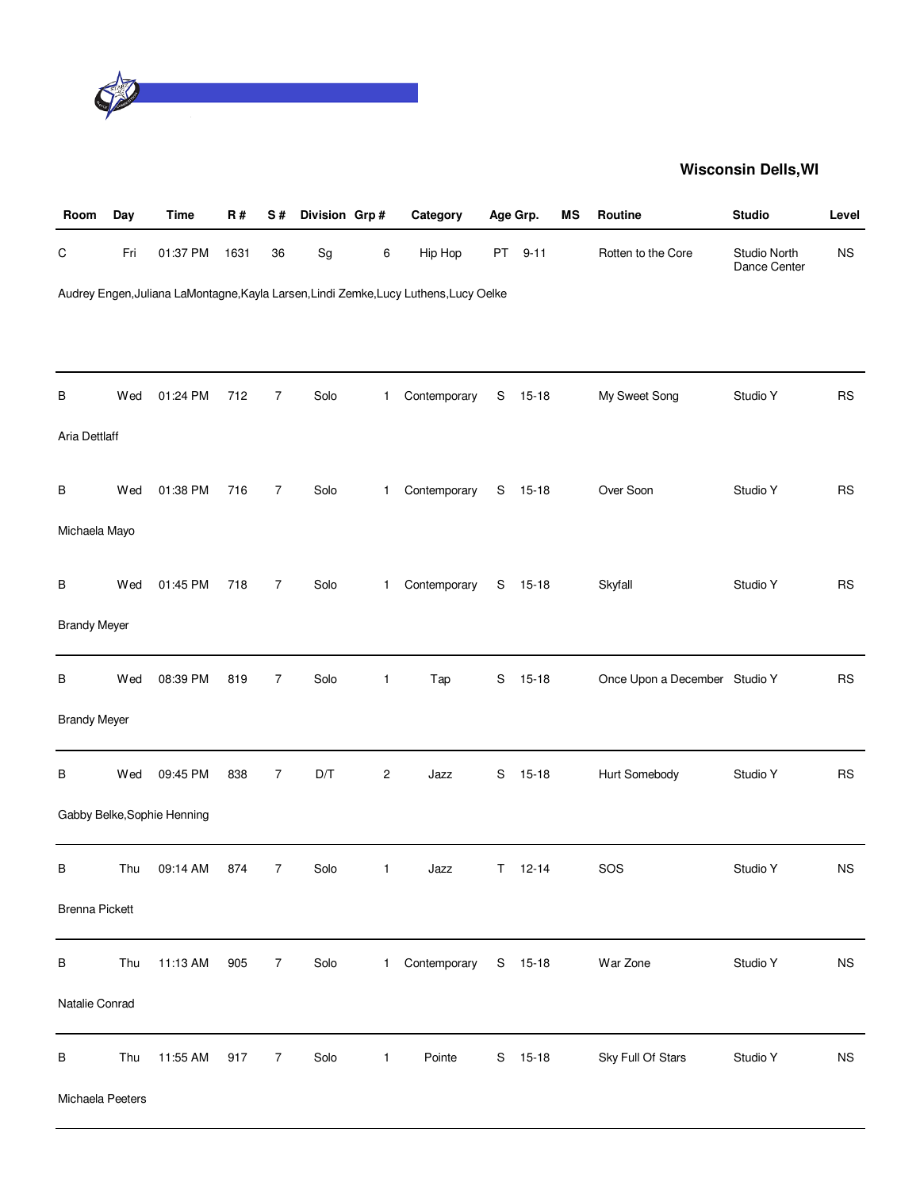

| Room                  | Day | <b>Time</b>                 | R#   | $\mathbf S$ #  | Division Grp#                |              | Category                                                                              |             | Age Grp.  | MS | Routine                       | <b>Studio</b>                | Level       |
|-----------------------|-----|-----------------------------|------|----------------|------------------------------|--------------|---------------------------------------------------------------------------------------|-------------|-----------|----|-------------------------------|------------------------------|-------------|
| ${\rm C}$             | Fri | 01:37 PM                    | 1631 | 36             | $\operatorname{\mathsf{Sg}}$ | 6            | Hip Hop                                                                               | PT          | $9 - 11$  |    | Rotten to the Core            | Studio North<br>Dance Center | <b>NS</b>   |
|                       |     |                             |      |                |                              |              | Audrey Engen, Juliana LaMontagne, Kayla Larsen, Lindi Zemke, Lucy Luthens, Lucy Oelke |             |           |    |                               |                              |             |
|                       |     |                             |      |                |                              |              |                                                                                       |             |           |    |                               |                              |             |
|                       |     |                             |      |                |                              |              |                                                                                       |             |           |    |                               |                              |             |
| В                     | Wed | 01:24 PM                    | 712  | $\overline{7}$ | Solo                         | 1.           | Contemporary                                                                          | S           | $15 - 18$ |    | My Sweet Song                 | Studio Y                     | <b>RS</b>   |
| Aria Dettlaff         |     |                             |      |                |                              |              |                                                                                       |             |           |    |                               |                              |             |
| В                     | Wed | 01:38 PM                    | 716  | $\overline{7}$ | Solo                         | 1            | Contemporary                                                                          |             | S 15-18   |    | Over Soon                     | Studio Y                     | <b>RS</b>   |
| Michaela Mayo         |     |                             |      |                |                              |              |                                                                                       |             |           |    |                               |                              |             |
|                       |     |                             |      |                |                              |              |                                                                                       |             |           |    |                               |                              |             |
| В                     | Wed | 01:45 PM                    | 718  | $\overline{7}$ | Solo                         | 1            | Contemporary                                                                          | S           | $15 - 18$ |    | Skyfall                       | Studio Y                     | <b>RS</b>   |
| <b>Brandy Meyer</b>   |     |                             |      |                |                              |              |                                                                                       |             |           |    |                               |                              |             |
| В                     | Wed | 08:39 PM                    | 819  | $\overline{7}$ | Solo                         | 1            | Tap                                                                                   | S           | $15 - 18$ |    | Once Upon a December Studio Y |                              | <b>RS</b>   |
| <b>Brandy Meyer</b>   |     |                             |      |                |                              |              |                                                                                       |             |           |    |                               |                              |             |
|                       |     |                             |      |                |                              |              |                                                                                       |             |           |    |                               |                              |             |
| В                     | Wed | 09:45 PM                    | 838  | $\overline{7}$ | $\mathsf{D}/\mathsf{T}$      | $\sqrt{2}$   | Jazz                                                                                  | $\mathsf S$ | $15 - 18$ |    | Hurt Somebody                 | Studio Y                     | RS          |
|                       |     | Gabby Belke, Sophie Henning |      |                |                              |              |                                                                                       |             |           |    |                               |                              |             |
| В                     | Thu | 09:14 AM                    | 874  | $\overline{7}$ | Solo                         | 1            | Jazz                                                                                  | T.          | $12 - 14$ |    | SOS                           | Studio Y                     | <b>NS</b>   |
| <b>Brenna Pickett</b> |     |                             |      |                |                              |              |                                                                                       |             |           |    |                               |                              |             |
| В                     | Thu | 11:13 AM                    | 905  | 7              | Solo                         | 1            | Contemporary                                                                          |             | S 15-18   |    | War Zone                      | Studio Y                     | $_{\rm NS}$ |
| Natalie Conrad        |     |                             |      |                |                              |              |                                                                                       |             |           |    |                               |                              |             |
| В                     | Thu | 11:55 AM                    | 917  | $\overline{7}$ | Solo                         | $\mathbf{1}$ | Pointe                                                                                | S           | $15 - 18$ |    | Sky Full Of Stars             | Studio Y                     | $_{\rm NS}$ |
| Michaela Peeters      |     |                             |      |                |                              |              |                                                                                       |             |           |    |                               |                              |             |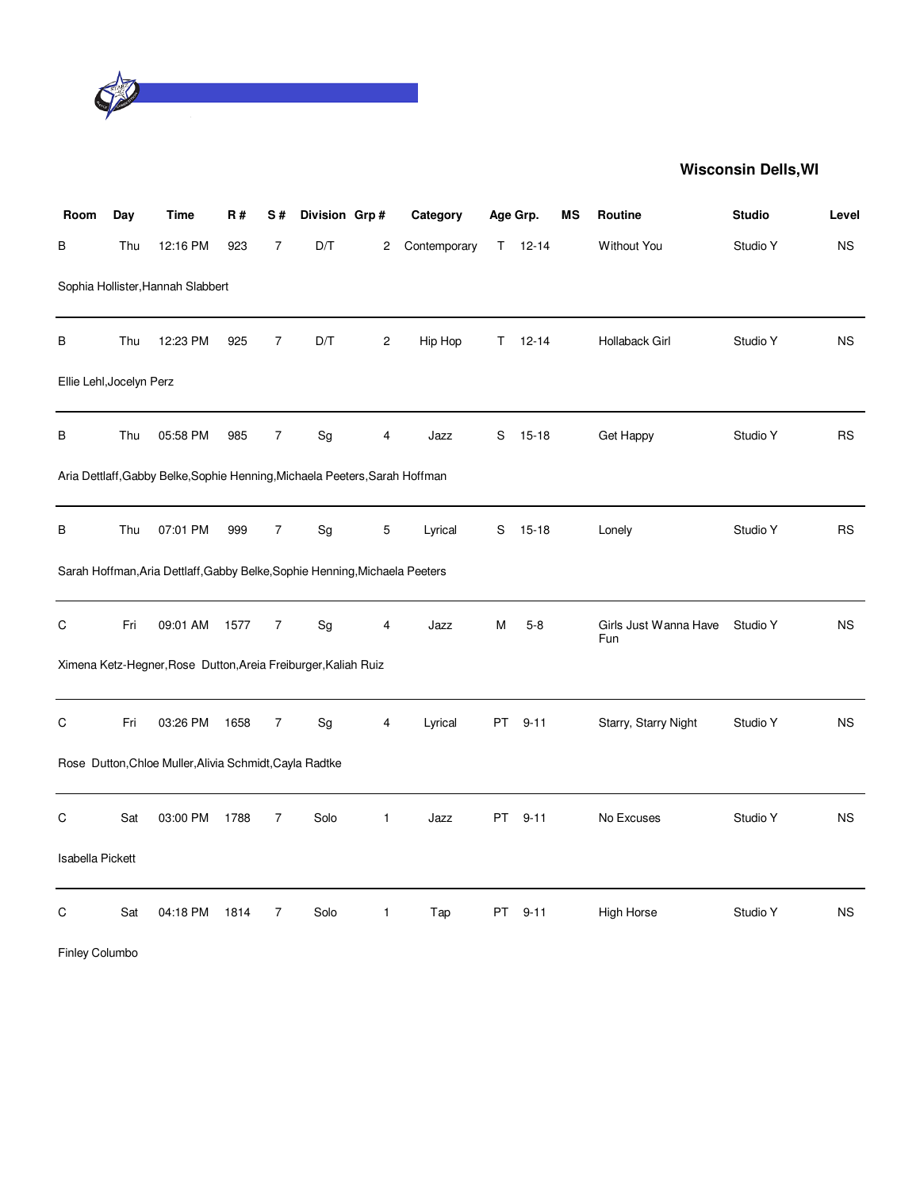

| Room                     | Day | <b>Time</b>                                                                 | <b>R#</b> | S#             | Division Grp# |              | Category     |     | Age Grp.      | МS | Routine                      | <b>Studio</b> | Level     |
|--------------------------|-----|-----------------------------------------------------------------------------|-----------|----------------|---------------|--------------|--------------|-----|---------------|----|------------------------------|---------------|-----------|
| В                        | Thu | 12:16 PM                                                                    | 923       | $\overline{7}$ | D/T           | 2            | Contemporary |     | $T = 12 - 14$ |    | <b>Without You</b>           | Studio Y      | <b>NS</b> |
|                          |     | Sophia Hollister, Hannah Slabbert                                           |           |                |               |              |              |     |               |    |                              |               |           |
| В                        | Thu | 12:23 PM                                                                    | 925       | 7              | D/T           | 2            | Hip Hop      | T.  | $12 - 14$     |    | Hollaback Girl               | Studio Y      | <b>NS</b> |
| Ellie Lehl, Jocelyn Perz |     |                                                                             |           |                |               |              |              |     |               |    |                              |               |           |
| В                        | Thu | 05:58 PM                                                                    | 985       | 7              | Sg            | 4            | Jazz         | S   | $15-18$       |    | Get Happy                    | Studio Y      | <b>RS</b> |
|                          |     | Aria Dettlaff, Gabby Belke, Sophie Henning, Michaela Peeters, Sarah Hoffman |           |                |               |              |              |     |               |    |                              |               |           |
| В                        | Thu | 07:01 PM                                                                    | 999       | $\overline{7}$ | Sg            | 5            | Lyrical      | S   | $15 - 18$     |    | Lonely                       | Studio Y      | <b>RS</b> |
|                          |     | Sarah Hoffman, Aria Dettlaff, Gabby Belke, Sophie Henning, Michaela Peeters |           |                |               |              |              |     |               |    |                              |               |           |
| С                        | Fri | 09:01 AM                                                                    | 1577      | 7              | Sg            | 4            | Jazz         | М   | $5-8$         |    | Girls Just Wanna Have<br>Fun | Studio Y      | <b>NS</b> |
|                          |     | Ximena Ketz-Hegner, Rose Dutton, Areia Freiburger, Kaliah Ruiz              |           |                |               |              |              |     |               |    |                              |               |           |
| С                        | Fri | 03:26 PM                                                                    | 1658      | 7              | Sg            | 4            | Lyrical      | PT  | $9 - 11$      |    | Starry, Starry Night         | Studio Y      | <b>NS</b> |
|                          |     | Rose Dutton, Chloe Muller, Alivia Schmidt, Cayla Radtke                     |           |                |               |              |              |     |               |    |                              |               |           |
| С                        | Sat | 03:00 PM                                                                    | 1788      | $\overline{7}$ | Solo          | $\mathbf{1}$ | Jazz         | PT. | $9 - 11$      |    | No Excuses                   | Studio Y      | <b>NS</b> |
| <b>Isabella Pickett</b>  |     |                                                                             |           |                |               |              |              |     |               |    |                              |               |           |
| $\mathsf C$              | Sat | 04:18 PM                                                                    | 1814      | $\overline{7}$ | Solo          | $\mathbf{1}$ | Tap          | PT  | $9 - 11$      |    | High Horse                   | Studio Y      | <b>NS</b> |
| Finley Columbo           |     |                                                                             |           |                |               |              |              |     |               |    |                              |               |           |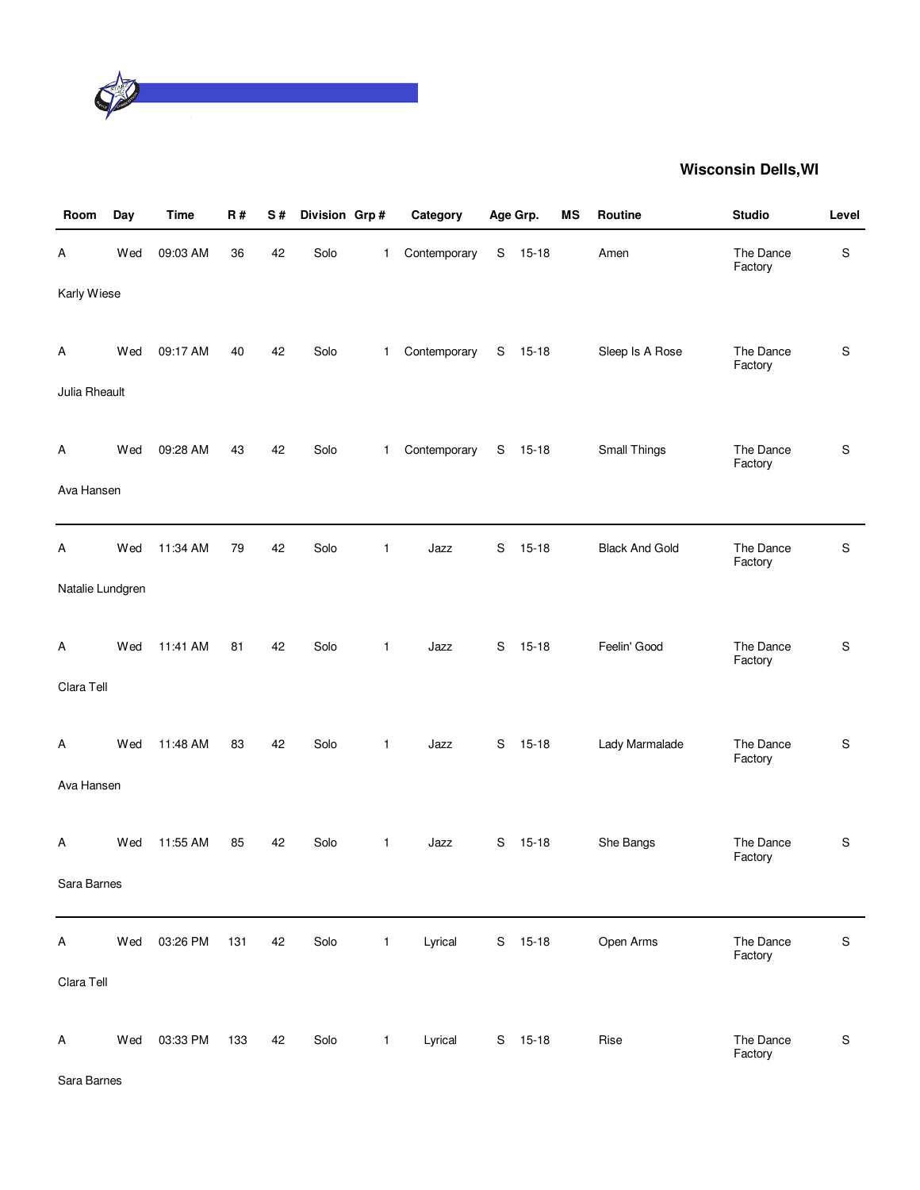

| Room             | Day | <b>Time</b> | R#  | S# | Division Grp# |                | Category     |             | Age Grp.  | ΜS | Routine               | <b>Studio</b>        | Level         |
|------------------|-----|-------------|-----|----|---------------|----------------|--------------|-------------|-----------|----|-----------------------|----------------------|---------------|
| Α                | Wed | 09:03 AM    | 36  | 42 | Solo          | 1              | Contemporary | S           | $15 - 18$ |    | Amen                  | The Dance<br>Factory | $\mathbf S$   |
| Karly Wiese      |     |             |     |    |               |                |              |             |           |    |                       |                      |               |
| A                | Wed | 09:17 AM    | 40  | 42 | Solo          | $\mathbf{1}$   | Contemporary | $\mathbf S$ | $15 - 18$ |    | Sleep Is A Rose       | The Dance<br>Factory | S             |
| Julia Rheault    |     |             |     |    |               |                |              |             |           |    |                       |                      |               |
| A                | Wed | 09:28 AM    | 43  | 42 | Solo          | $\mathbf{1}$   | Contemporary | S           | 15-18     |    | Small Things          | The Dance<br>Factory | S             |
| Ava Hansen       |     |             |     |    |               |                |              |             |           |    |                       |                      |               |
| A                | Wed | 11:34 AM    | 79  | 42 | Solo          | 1              | Jazz         | S           | $15 - 18$ |    | <b>Black And Gold</b> | The Dance<br>Factory | ${\mathsf S}$ |
| Natalie Lundgren |     |             |     |    |               |                |              |             |           |    |                       |                      |               |
| A                | Wed | 11:41 AM    | 81  | 42 | Solo          | $\mathbf{1}$   | Jazz         | S           | $15-18$   |    | Feelin' Good          | The Dance<br>Factory | S             |
| Clara Tell       |     |             |     |    |               |                |              |             |           |    |                       |                      |               |
| A                | Wed | 11:48 AM    | 83  | 42 | Solo          | $\mathbf{1}$   | Jazz         | $\mathbf S$ | $15-18$   |    | Lady Marmalade        | The Dance<br>Factory | S             |
| Ava Hansen       |     |             |     |    |               |                |              |             |           |    |                       |                      |               |
| Α                | Wed | 11:55 AM    | 85  | 42 | Solo          | $\mathbf{1}$   | Jazz         | S           | $15-18$   |    | She Bangs             | The Dance<br>Factory | $\mathsf S$   |
| Sara Barnes      |     |             |     |    |               |                |              |             |           |    |                       |                      |               |
| Α                | Wed | 03:26 PM    | 131 | 42 | Solo          | $\overline{1}$ | Lyrical      |             | S 15-18   |    | Open Arms             | The Dance<br>Factory | ${\mathsf S}$ |
| Clara Tell       |     |             |     |    |               |                |              |             |           |    |                       |                      |               |
| Α                | Wed | 03:33 PM    | 133 | 42 | Solo          | $\mathbf{1}$   | Lyrical      | S           | $15 - 18$ |    | Rise                  | The Dance<br>Factory | ${\mathsf S}$ |

Sara Barnes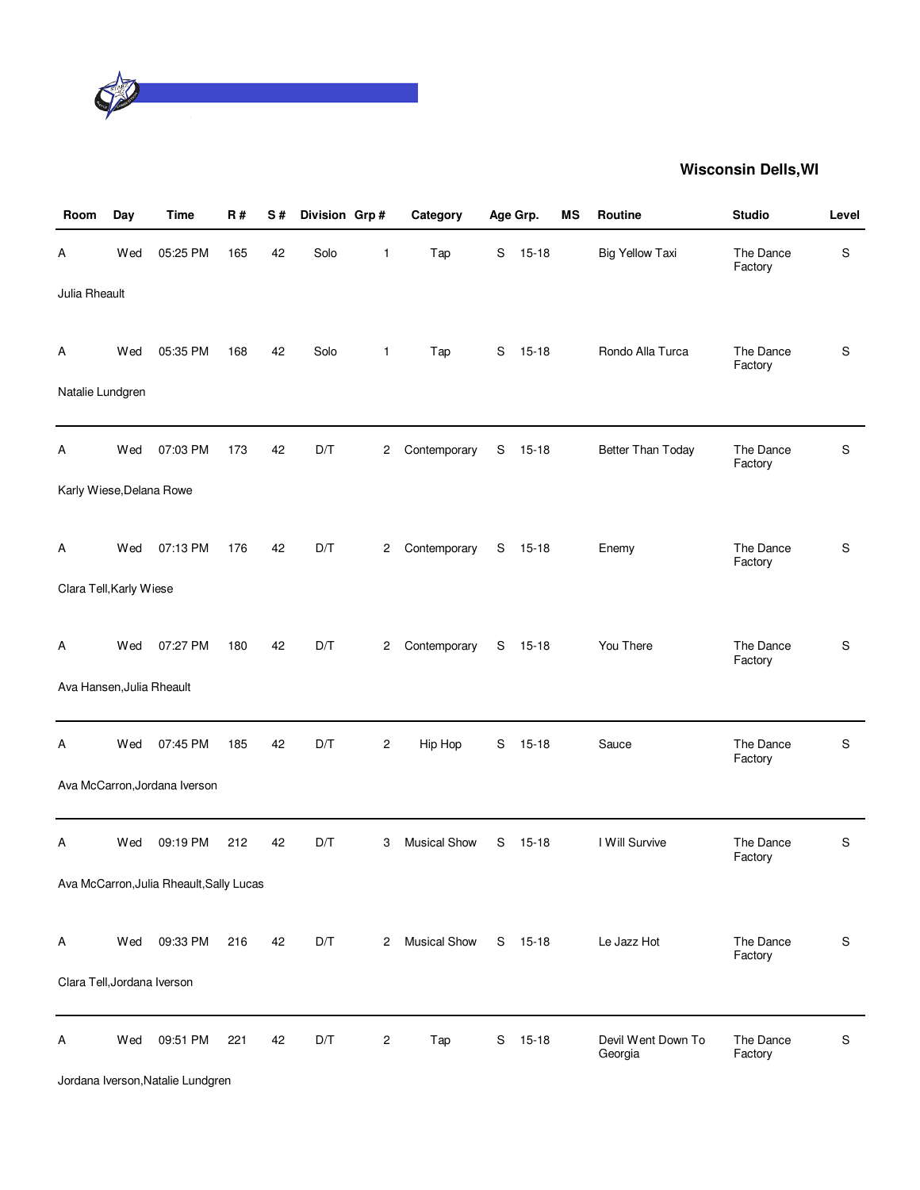

| Room                        | Day | <b>Time</b>                              | <b>R#</b> | S# | Division Grp# |                | Category            |   | Age Grp.  | ΜS | Routine                       | <b>Studio</b>        | Level         |
|-----------------------------|-----|------------------------------------------|-----------|----|---------------|----------------|---------------------|---|-----------|----|-------------------------------|----------------------|---------------|
| Α                           | Wed | 05:25 PM                                 | 165       | 42 | Solo          | 1              | Tap                 | S | $15 - 18$ |    | <b>Big Yellow Taxi</b>        | The Dance<br>Factory | S             |
| Julia Rheault               |     |                                          |           |    |               |                |                     |   |           |    |                               |                      |               |
| A                           | Wed | 05:35 PM                                 | 168       | 42 | Solo          | $\mathbf{1}$   | Tap                 |   | S 15-18   |    | Rondo Alla Turca              | The Dance<br>Factory | S             |
| Natalie Lundgren            |     |                                          |           |    |               |                |                     |   |           |    |                               |                      |               |
| А                           | Wed | 07:03 PM                                 | 173       | 42 | D/T           | 2              | Contemporary        | S | $15 - 18$ |    | Better Than Today             | The Dance<br>Factory | S             |
| Karly Wiese, Delana Rowe    |     |                                          |           |    |               |                |                     |   |           |    |                               |                      |               |
| Α                           | Wed | 07:13 PM                                 | 176       | 42 | D/T           | 2              | Contemporary        | S | 15-18     |    | Enemy                         | The Dance<br>Factory | S             |
| Clara Tell, Karly Wiese     |     |                                          |           |    |               |                |                     |   |           |    |                               |                      |               |
| A                           | Wed | 07:27 PM                                 | 180       | 42 | D/T           | 2              | Contemporary        | S | 15-18     |    | You There                     | The Dance<br>Factory | S             |
| Ava Hansen, Julia Rheault   |     |                                          |           |    |               |                |                     |   |           |    |                               |                      |               |
| Α                           | Wed | 07:45 PM                                 | 185       | 42 | D/T           | $\overline{c}$ | Hip Hop             | S | $15 - 18$ |    | Sauce                         | The Dance<br>Factory | S             |
|                             |     | Ava McCarron, Jordana Iverson            |           |    |               |                |                     |   |           |    |                               |                      |               |
| Α                           | Wed | 09:19 PM                                 | 212       | 42 | D/T           | 3              | <b>Musical Show</b> | S | 15-18     |    | I Will Survive                | The Dance<br>Factory | S             |
|                             |     | Ava McCarron, Julia Rheault, Sally Lucas |           |    |               |                |                     |   |           |    |                               |                      |               |
| Α                           | Wed | 09:33 PM                                 | 216       | 42 | D/T           | 2              | <b>Musical Show</b> |   | S 15-18   |    | Le Jazz Hot                   | The Dance<br>Factory | S             |
| Clara Tell, Jordana Iverson |     |                                          |           |    |               |                |                     |   |           |    |                               |                      |               |
| Α                           | Wed | 09:51 PM                                 | 221       | 42 | D/T           | $\sqrt{2}$     | Tap                 | S | $15 - 18$ |    | Devil Went Down To<br>Georgia | The Dance<br>Factory | ${\mathsf S}$ |

Jordana Iverson,Natalie Lundgren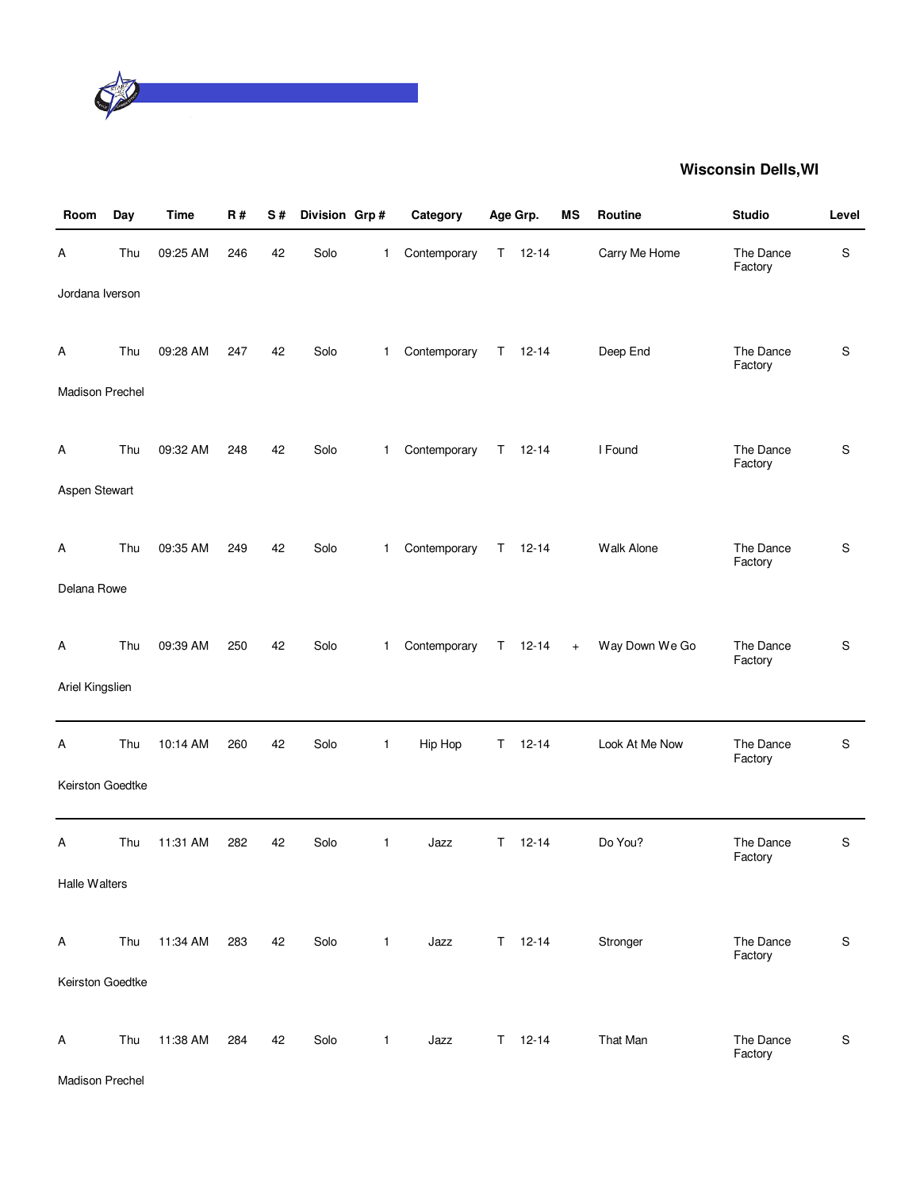

| Room                        | Day | Time     | <b>R#</b> | S# | Division Grp# |              | Category     |    | Age Grp.      | ΜS  | <b>Routine</b> | <b>Studio</b>        | Level         |
|-----------------------------|-----|----------|-----------|----|---------------|--------------|--------------|----|---------------|-----|----------------|----------------------|---------------|
| Α                           | Thu | 09:25 AM | 246       | 42 | Solo          | 1            | Contemporary | T. | $12 - 14$     |     | Carry Me Home  | The Dance<br>Factory | $\mathbf S$   |
| Jordana Iverson             |     |          |           |    |               |              |              |    |               |     |                |                      |               |
| Α<br><b>Madison Prechel</b> | Thu | 09:28 AM | 247       | 42 | Solo          | $\mathbf{1}$ | Contemporary |    | $T = 12 - 14$ |     | Deep End       | The Dance<br>Factory | S             |
|                             |     |          |           |    |               |              |              |    |               |     |                |                      |               |
| A                           | Thu | 09:32 AM | 248       | 42 | Solo          | $\mathbf{1}$ | Contemporary | T. | $12 - 14$     |     | I Found        | The Dance<br>Factory | S             |
| Aspen Stewart               |     |          |           |    |               |              |              |    |               |     |                |                      |               |
| A                           | Thu | 09:35 AM | 249       | 42 | Solo          | $\mathbf{1}$ | Contemporary | T  | $12 - 14$     |     | Walk Alone     | The Dance<br>Factory | S             |
| Delana Rowe                 |     |          |           |    |               |              |              |    |               |     |                |                      |               |
| Α                           | Thu | 09:39 AM | 250       | 42 | Solo          | $\mathbf{1}$ | Contemporary | T. | $12 - 14$     | $+$ | Way Down We Go | The Dance<br>Factory | S             |
| Ariel Kingslien             |     |          |           |    |               |              |              |    |               |     |                |                      |               |
| Α                           | Thu | 10:14 AM | 260       | 42 | Solo          | 1            | Hip Hop      | Τ  | $12 - 14$     |     | Look At Me Now | The Dance<br>Factory | $\mathbf S$   |
| Keirston Goedtke            |     |          |           |    |               |              |              |    |               |     |                |                      |               |
| Α                           | Thu | 11:31 AM | 282       | 42 | Solo          | $\mathbf{1}$ | Jazz         | T. | $12 - 14$     |     | Do You?        | The Dance<br>Factory | S             |
| Halle Walters               |     |          |           |    |               |              |              |    |               |     |                |                      |               |
| Α                           | Thu | 11:34 AM | 283       | 42 | Solo          | $\mathbf{1}$ | Jazz         |    | $T = 12 - 14$ |     | Stronger       | The Dance<br>Factory | ${\mathsf S}$ |
| Keirston Goedtke            |     |          |           |    |               |              |              |    |               |     |                |                      |               |
| A                           | Thu | 11:38 AM | 284       | 42 | Solo          | $\mathbf{1}$ | Jazz         |    | $T = 12 - 14$ |     | That Man       | The Dance<br>Factory | ${\mathsf S}$ |

Madison Prechel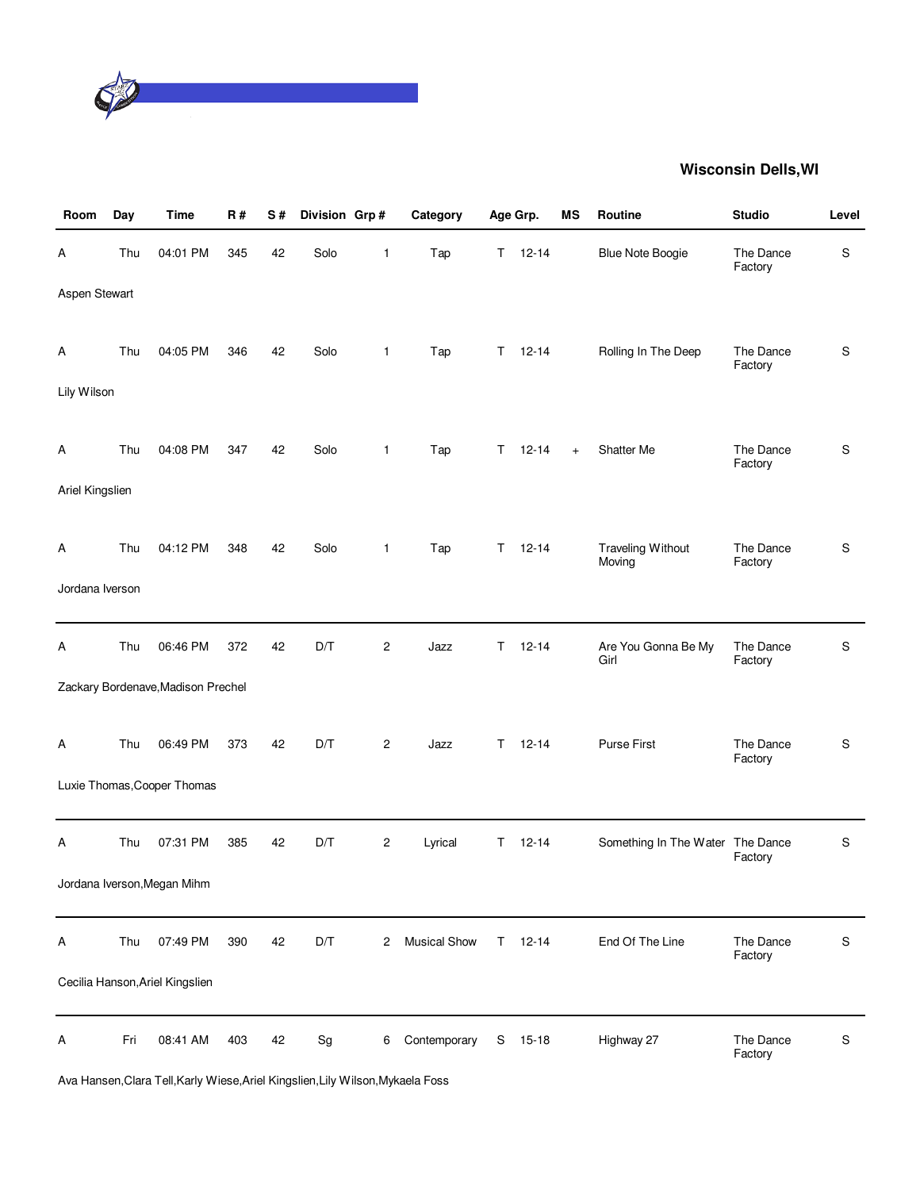

| Room            | Day | <b>Time</b>                        | <b>R#</b> | S# | Division Grp#                |                | Category            |    | Age Grp.      | MS        | Routine                          | <b>Studio</b>        | Level         |
|-----------------|-----|------------------------------------|-----------|----|------------------------------|----------------|---------------------|----|---------------|-----------|----------------------------------|----------------------|---------------|
| Α               | Thu | 04:01 PM                           | 345       | 42 | Solo                         | 1              | Tap                 | T. | $12 - 14$     |           | <b>Blue Note Boogie</b>          | The Dance<br>Factory | S             |
| Aspen Stewart   |     |                                    |           |    |                              |                |                     |    |               |           |                                  |                      |               |
| A               | Thu | 04:05 PM                           | 346       | 42 | Solo                         | $\mathbf{1}$   | Tap                 | T. | $12 - 14$     |           | Rolling In The Deep              | The Dance<br>Factory | $\mathsf S$   |
| Lily Wilson     |     |                                    |           |    |                              |                |                     |    |               |           |                                  |                      |               |
| A               | Thu | 04:08 PM                           | 347       | 42 | Solo                         | $\mathbf{1}$   | Tap                 | T. | $12 - 14$     | $\ddot{}$ | Shatter Me                       | The Dance<br>Factory | S             |
| Ariel Kingslien |     |                                    |           |    |                              |                |                     |    |               |           |                                  |                      |               |
| A               | Thu | 04:12 PM                           | 348       | 42 | Solo                         | $\mathbf{1}$   | Tap                 | T. | $12 - 14$     |           | Traveling Without<br>Moving      | The Dance<br>Factory | S             |
| Jordana Iverson |     |                                    |           |    |                              |                |                     |    |               |           |                                  |                      |               |
| A               | Thu | 06:46 PM                           | 372       | 42 | D/T                          | 2              | Jazz                | T. | $12 - 14$     |           | Are You Gonna Be My<br>Girl      | The Dance<br>Factory | S             |
|                 |     | Zackary Bordenave, Madison Prechel |           |    |                              |                |                     |    |               |           |                                  |                      |               |
| A               | Thu | 06:49 PM                           | 373       | 42 | D/T                          | $\overline{c}$ | Jazz                | т  | $12 - 14$     |           | Purse First                      | The Dance<br>Factory | S             |
|                 |     | Luxie Thomas, Cooper Thomas        |           |    |                              |                |                     |    |               |           |                                  |                      |               |
| Α               | Thu | 07:31 PM                           | 385       | 42 | D/T                          | 2              | Lyrical             | T. | $12 - 14$     |           | Something In The Water The Dance | Factory              | S             |
|                 |     | Jordana Iverson, Megan Mihm        |           |    |                              |                |                     |    |               |           |                                  |                      |               |
| A               | Thu | 07:49 PM                           | 390       | 42 | D/T                          | 2              | <b>Musical Show</b> |    | $T = 12 - 14$ |           | End Of The Line                  | The Dance<br>Factory | S             |
|                 |     | Cecilia Hanson, Ariel Kingslien    |           |    |                              |                |                     |    |               |           |                                  |                      |               |
| Α               | Fri | 08:41 AM                           | 403       | 42 | $\operatorname{\mathsf{Sg}}$ | 6              | Contemporary        | S  | 15-18         |           | Highway 27                       | The Dance<br>Factory | ${\mathsf S}$ |

Ava Hansen,Clara Tell,Karly Wiese,Ariel Kingslien,Lily Wilson,Mykaela Foss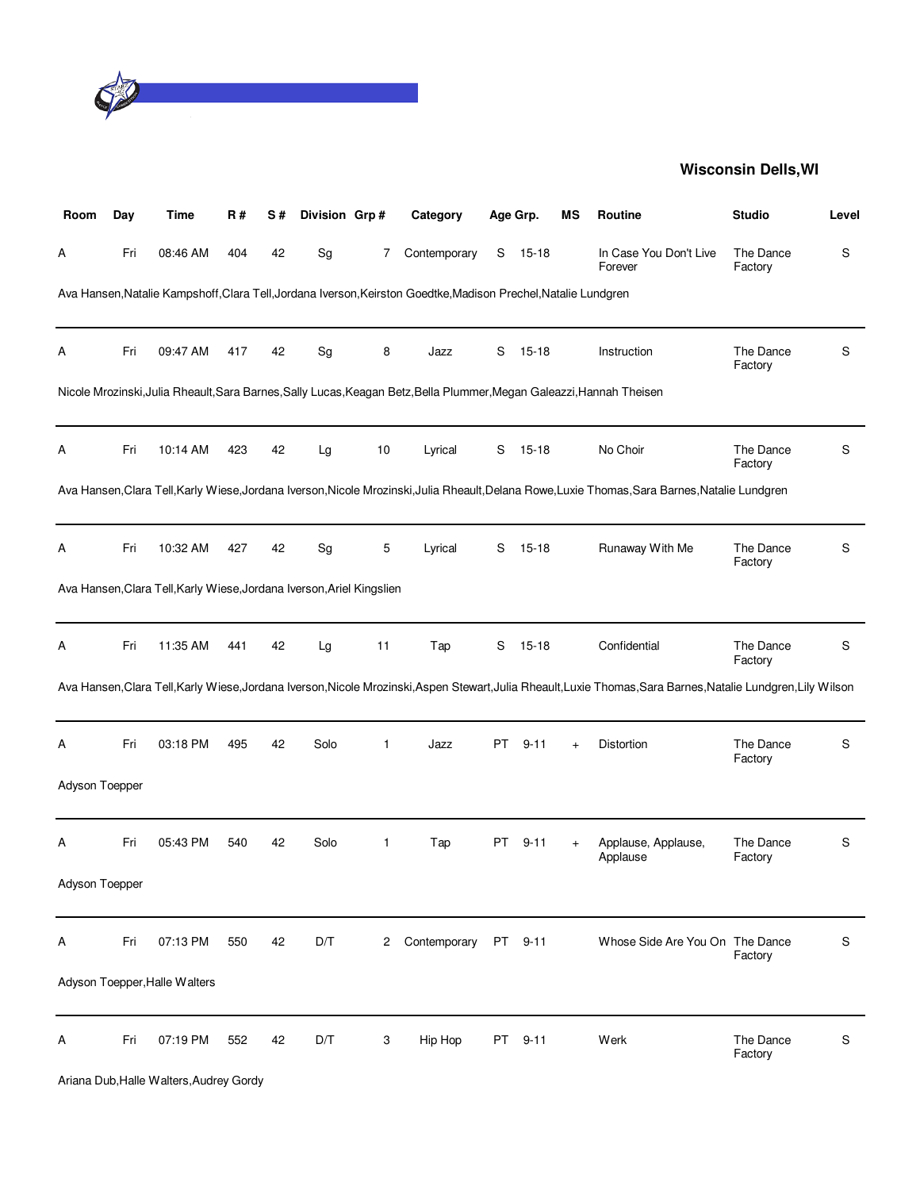

| Room           | Day | <b>Time</b>                                                           | R#  | S# | Division Grp# |    | Category                                                                                                              |     | Age Grp. | ΜS  | Routine                                                                                                                                                        | <b>Studio</b>        | Level |
|----------------|-----|-----------------------------------------------------------------------|-----|----|---------------|----|-----------------------------------------------------------------------------------------------------------------------|-----|----------|-----|----------------------------------------------------------------------------------------------------------------------------------------------------------------|----------------------|-------|
| А              | Fri | 08:46 AM                                                              | 404 | 42 | Sg            | 7  | Contemporary                                                                                                          | S   | 15-18    |     | In Case You Don't Live<br>Forever                                                                                                                              | The Dance<br>Factory | S     |
|                |     |                                                                       |     |    |               |    | Ava Hansen, Natalie Kampshoff, Clara Tell, Jordana Iverson, Keirston Goedtke, Madison Prechel, Natalie Lundgren       |     |          |     |                                                                                                                                                                |                      |       |
| А              | Fri | 09:47 AM                                                              | 417 | 42 | Sg            | 8  | Jazz                                                                                                                  | S   | $15-18$  |     | Instruction                                                                                                                                                    | The Dance<br>Factory | S     |
|                |     |                                                                       |     |    |               |    | Nicole Mrozinski, Julia Rheault, Sara Barnes, Sally Lucas, Keagan Betz, Bella Plummer, Megan Galeazzi, Hannah Theisen |     |          |     |                                                                                                                                                                |                      |       |
| А              | Fri | 10:14 AM                                                              | 423 | 42 | Lg            | 10 | Lyrical                                                                                                               | S   | 15-18    |     | No Choir                                                                                                                                                       | The Dance<br>Factory | S     |
|                |     |                                                                       |     |    |               |    |                                                                                                                       |     |          |     | Ava Hansen, Clara Tell, Karly Wiese, Jordana Iverson, Nicole Mrozinski, Julia Rheault, Delana Rowe, Luxie Thomas, Sara Barnes, Natalie Lundgren                |                      |       |
| А              | Fri | 10:32 AM                                                              | 427 | 42 | Sg            | 5  | Lyrical                                                                                                               | S   | 15-18    |     | Runaway With Me                                                                                                                                                | The Dance<br>Factory | S     |
|                |     | Ava Hansen, Clara Tell, Karly Wiese, Jordana Iverson, Ariel Kingslien |     |    |               |    |                                                                                                                       |     |          |     |                                                                                                                                                                |                      |       |
| Α              | Fri | 11:35 AM                                                              | 441 | 42 | Lg            | 11 | Tap                                                                                                                   | S   | 15-18    |     | Confidential                                                                                                                                                   | The Dance<br>Factory | S     |
|                |     |                                                                       |     |    |               |    |                                                                                                                       |     |          |     | Ava Hansen, Clara Tell, Karly Wiese, Jordana Iverson, Nicole Mrozinski, Aspen Stewart, Julia Rheault, Luxie Thomas, Sara Barnes, Natalie Lundgren, Lily Wilson |                      |       |
| Α              | Fri | 03:18 PM                                                              | 495 | 42 | Solo          | 1  | Jazz                                                                                                                  | PT. | $9 - 11$ | $+$ | Distortion                                                                                                                                                     | The Dance<br>Factory | S     |
| Adyson Toepper |     |                                                                       |     |    |               |    |                                                                                                                       |     |          |     |                                                                                                                                                                |                      |       |
| Α              | Fri | 05:43 PM                                                              | 540 | 42 | Solo          | 1  | Tap                                                                                                                   | PT. | $9 - 11$ |     | Applause, Applause,<br>Applause                                                                                                                                | The Dance<br>Factory | S     |
| Adyson Toepper |     |                                                                       |     |    |               |    |                                                                                                                       |     |          |     |                                                                                                                                                                |                      |       |
| Α              | Fri | 07:13 PM                                                              | 550 | 42 | D/T           | 2  | Contemporary                                                                                                          | PT  | $9 - 11$ |     | Whose Side Are You On The Dance                                                                                                                                | Factory              | S     |
|                |     | Adyson Toepper, Halle Walters                                         |     |    |               |    |                                                                                                                       |     |          |     |                                                                                                                                                                |                      |       |
| Α              | Fri | 07:19 PM                                                              | 552 | 42 | D/T           | 3  | Hip Hop                                                                                                               | PT  | $9 - 11$ |     | Werk                                                                                                                                                           | The Dance<br>Factory | S     |
|                |     | Ariana Dub, Halle Walters, Audrey Gordy                               |     |    |               |    |                                                                                                                       |     |          |     |                                                                                                                                                                |                      |       |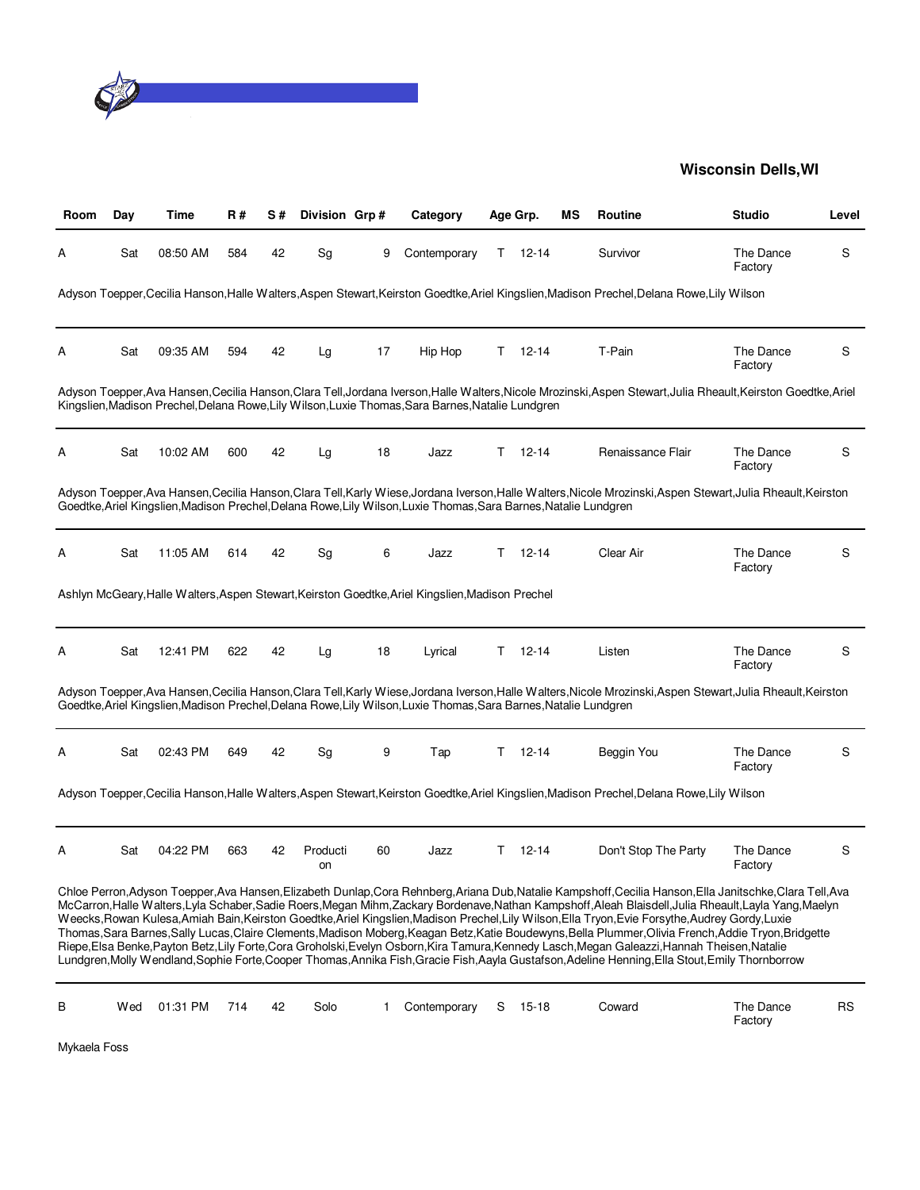

| Room | Day | Time     | R#  | S# | Division Grp#  |    | Category                                                                                                         |    | Age Grp.  | ΜS | <b>Routine</b>                                                                                                                                                                                                                                                                                                                                                                                                                                                                                                                                                                                                                                                                                                                                                                                                                                                                                                                  | <b>Studio</b>        | Level     |
|------|-----|----------|-----|----|----------------|----|------------------------------------------------------------------------------------------------------------------|----|-----------|----|---------------------------------------------------------------------------------------------------------------------------------------------------------------------------------------------------------------------------------------------------------------------------------------------------------------------------------------------------------------------------------------------------------------------------------------------------------------------------------------------------------------------------------------------------------------------------------------------------------------------------------------------------------------------------------------------------------------------------------------------------------------------------------------------------------------------------------------------------------------------------------------------------------------------------------|----------------------|-----------|
| А    | Sat | 08:50 AM | 584 | 42 | Sg             | 9  | Contemporary                                                                                                     | T. | 12-14     |    | Survivor                                                                                                                                                                                                                                                                                                                                                                                                                                                                                                                                                                                                                                                                                                                                                                                                                                                                                                                        | The Dance<br>Factory | S         |
|      |     |          |     |    |                |    |                                                                                                                  |    |           |    | Adyson Toepper, Cecilia Hanson, Halle Walters, Aspen Stewart, Keirston Goedtke, Ariel Kingslien, Madison Prechel, Delana Rowe, Lily Wilson                                                                                                                                                                                                                                                                                                                                                                                                                                                                                                                                                                                                                                                                                                                                                                                      |                      |           |
| А    | Sat | 09:35 AM | 594 | 42 | Lg             | 17 | Hip Hop                                                                                                          | T. | $12 - 14$ |    | T-Pain                                                                                                                                                                                                                                                                                                                                                                                                                                                                                                                                                                                                                                                                                                                                                                                                                                                                                                                          | The Dance<br>Factory | S         |
|      |     |          |     |    |                |    | Kingslien, Madison Prechel, Delana Rowe, Lily Wilson, Luxie Thomas, Sara Barnes, Natalie Lundgren                |    |           |    | Adyson Toepper, Ava Hansen, Cecilia Hanson, Clara Tell, Jordana Iverson, Halle Walters, Nicole Mrozinski, Aspen Stewart, Julia Rheault, Keirston Goedtke, Ariel                                                                                                                                                                                                                                                                                                                                                                                                                                                                                                                                                                                                                                                                                                                                                                 |                      |           |
| А    | Sat | 10:02 AM | 600 | 42 | Lg             | 18 | Jazz                                                                                                             | т  | $12 - 14$ |    | Renaissance Flair                                                                                                                                                                                                                                                                                                                                                                                                                                                                                                                                                                                                                                                                                                                                                                                                                                                                                                               | The Dance<br>Factory | S         |
|      |     |          |     |    |                |    | Goedtke, Ariel Kingslien, Madison Prechel, Delana Rowe, Lily Wilson, Luxie Thomas, Sara Barnes, Natalie Lundgren |    |           |    | Adyson Toepper, Ava Hansen, Cecilia Hanson, Clara Tell, Karly Wiese, Jordana Iverson, Halle Walters, Nicole Mrozinski, Aspen Stewart, Julia Rheault, Keirston                                                                                                                                                                                                                                                                                                                                                                                                                                                                                                                                                                                                                                                                                                                                                                   |                      |           |
| A    | Sat | 11:05 AM | 614 | 42 | Sg             | 6  | Jazz                                                                                                             | Τ  | $12 - 14$ |    | Clear Air                                                                                                                                                                                                                                                                                                                                                                                                                                                                                                                                                                                                                                                                                                                                                                                                                                                                                                                       | The Dance<br>Factory | S         |
|      |     |          |     |    |                |    | Ashlyn McGeary, Halle Walters, Aspen Stewart, Keirston Goedtke, Ariel Kingslien, Madison Prechel                 |    |           |    |                                                                                                                                                                                                                                                                                                                                                                                                                                                                                                                                                                                                                                                                                                                                                                                                                                                                                                                                 |                      |           |
| А    | Sat | 12:41 PM | 622 | 42 | Lg             | 18 | Lyrical                                                                                                          | Τ  | $12 - 14$ |    | Listen                                                                                                                                                                                                                                                                                                                                                                                                                                                                                                                                                                                                                                                                                                                                                                                                                                                                                                                          | The Dance<br>Factory | S         |
|      |     |          |     |    |                |    | Goedtke, Ariel Kingslien, Madison Prechel, Delana Rowe, Lily Wilson, Luxie Thomas, Sara Barnes, Natalie Lundgren |    |           |    | Adyson Toepper, Ava Hansen, Cecilia Hanson, Clara Tell, Karly Wiese, Jordana Iverson, Halle Walters, Nicole Mrozinski, Aspen Stewart, Julia Rheault, Keirston                                                                                                                                                                                                                                                                                                                                                                                                                                                                                                                                                                                                                                                                                                                                                                   |                      |           |
| Α    | Sat | 02:43 PM | 649 | 42 | Sg             | 9  | Tap                                                                                                              | T. | $12 - 14$ |    | Beggin You                                                                                                                                                                                                                                                                                                                                                                                                                                                                                                                                                                                                                                                                                                                                                                                                                                                                                                                      | The Dance<br>Factory | S         |
|      |     |          |     |    |                |    |                                                                                                                  |    |           |    | Adyson Toepper, Cecilia Hanson, Halle Walters, Aspen Stewart, Keirston Goedtke, Ariel Kingslien, Madison Prechel, Delana Rowe, Lily Wilson                                                                                                                                                                                                                                                                                                                                                                                                                                                                                                                                                                                                                                                                                                                                                                                      |                      |           |
| Α    | Sat | 04:22 PM | 663 | 42 | Producti<br>on | 60 | Jazz                                                                                                             | T. | $12 - 14$ |    | Don't Stop The Party                                                                                                                                                                                                                                                                                                                                                                                                                                                                                                                                                                                                                                                                                                                                                                                                                                                                                                            | The Dance<br>Factory | S         |
|      |     |          |     |    |                |    |                                                                                                                  |    |           |    | Chloe Perron, Adyson Toepper, Ava Hansen, Elizabeth Dunlap, Cora Rehnberg, Ariana Dub, Natalie Kampshoff, Cecilia Hanson, Ella Janitschke, Clara Tell, Ava<br>McCarron,Halle Walters,Lyla Schaber,Sadie Roers,Megan Mihm,Zackary Bordenave,Nathan Kampshoff,Aleah Blaisdell,Julia Rheault,Layla Yang,Maelyn<br>Weecks, Rowan Kulesa, Amiah Bain, Keirston Goedtke, Ariel Kingslien, Madison Prechel, Lily Wilson, Ella Tryon, Evie Forsythe, Audrey Gordy, Luxie<br>Thomas, Sara Barnes, Sally Lucas, Claire Clements, Madison Moberg, Keagan Betz, Katie Boudewyns, Bella Plummer, Olivia French, Addie Tryon, Bridgette<br>Riepe, Elsa Benke, Payton Betz, Lily Forte, Cora Groholski, Evelyn Osborn, Kira Tamura, Kennedy Lasch, Megan Galeazzi, Hannah Theisen, Natalie<br>Lundgren, Molly Wendland, Sophie Forte, Cooper Thomas, Annika Fish, Gracie Fish, Aayla Gustafson, Adeline Henning, Ella Stout, Emily Thornborrow |                      |           |
| В    | Wed | 01:31 PM | 714 | 42 | Solo           | 1  | Contemporary                                                                                                     | S  | 15-18     |    | Coward                                                                                                                                                                                                                                                                                                                                                                                                                                                                                                                                                                                                                                                                                                                                                                                                                                                                                                                          | The Dance<br>Factory | <b>RS</b> |

Mykaela Foss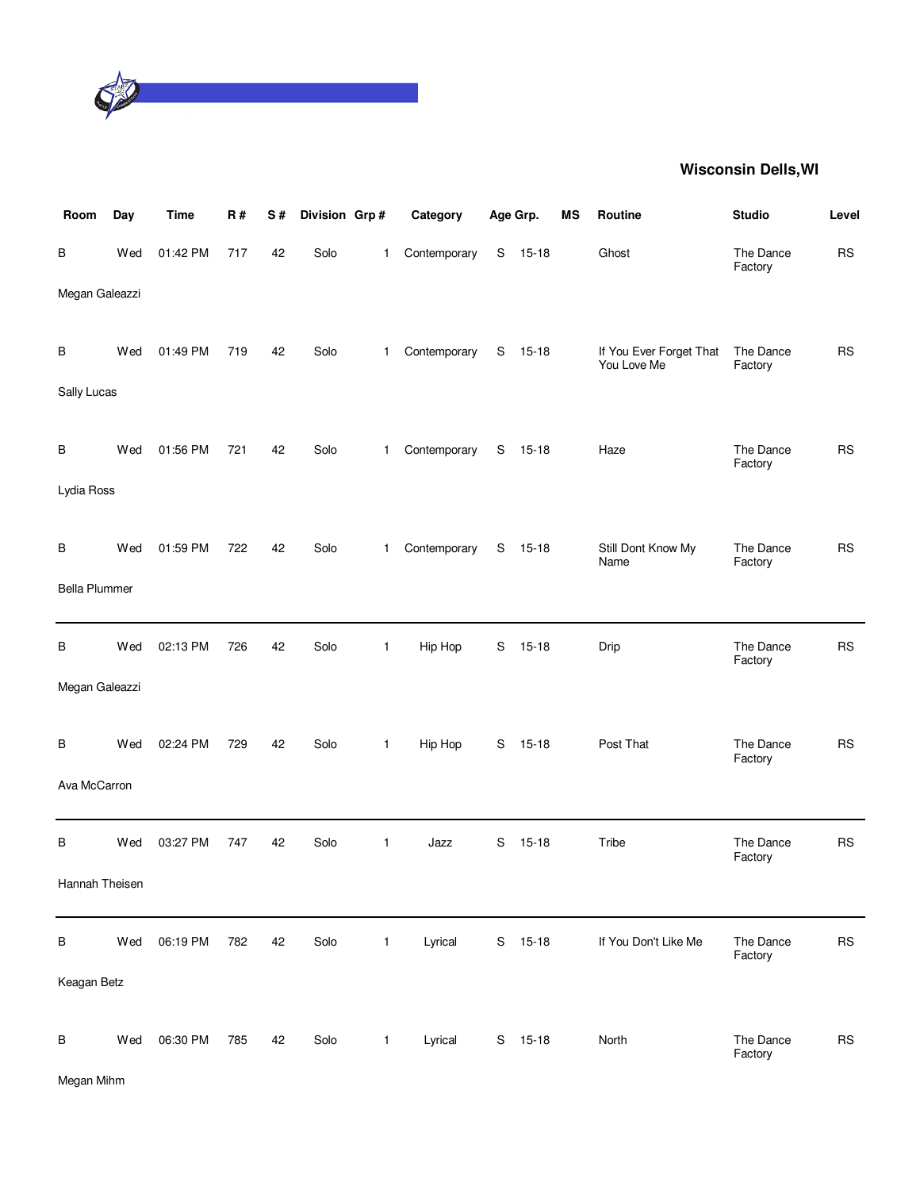

| Room                 | Day | <b>Time</b> | R#  | S# | Division Grp# |              | Category     | Age Grp. |           | MS | Routine                                | <b>Studio</b>        | Level     |
|----------------------|-----|-------------|-----|----|---------------|--------------|--------------|----------|-----------|----|----------------------------------------|----------------------|-----------|
| В                    | Wed | 01:42 PM    | 717 | 42 | Solo          | $\mathbf{1}$ | Contemporary |          | S 15-18   |    | Ghost                                  | The Dance<br>Factory | <b>RS</b> |
| Megan Galeazzi       |     |             |     |    |               |              |              |          |           |    |                                        |                      |           |
| В                    | Wed | 01:49 PM    | 719 | 42 | Solo          | $\mathbf{1}$ | Contemporary | S        | $15 - 18$ |    | If You Ever Forget That<br>You Love Me | The Dance<br>Factory | <b>RS</b> |
| Sally Lucas          |     |             |     |    |               |              |              |          |           |    |                                        |                      |           |
| В                    | Wed | 01:56 PM    | 721 | 42 | Solo          | $\mathbf{1}$ | Contemporary | S        | $15 - 18$ |    | Haze                                   | The Dance<br>Factory | <b>RS</b> |
| Lydia Ross           |     |             |     |    |               |              |              |          |           |    |                                        |                      |           |
| В                    | Wed | 01:59 PM    | 722 | 42 | Solo          | $\mathbf{1}$ | Contemporary | S        | $15 - 18$ |    | Still Dont Know My<br>Name             | The Dance<br>Factory | <b>RS</b> |
| <b>Bella Plummer</b> |     |             |     |    |               |              |              |          |           |    |                                        |                      |           |
| В                    | Wed | 02:13 PM    | 726 | 42 | Solo          | $\mathbf{1}$ | Hip Hop      | S        | $15 - 18$ |    | Drip                                   | The Dance<br>Factory | <b>RS</b> |
| Megan Galeazzi       |     |             |     |    |               |              |              |          |           |    |                                        |                      |           |
| B                    | Wed | 02:24 PM    | 729 | 42 | Solo          | $\mathbf{1}$ | Hip Hop      | S        | $15 - 18$ |    | Post That                              | The Dance<br>Factory | <b>RS</b> |
| Ava McCarron         |     |             |     |    |               |              |              |          |           |    |                                        |                      |           |
| В                    | Wed | 03:27 PM    | 747 | 42 | Solo          | $\mathbf{1}$ | Jazz         | S        | $15 - 18$ |    | Tribe                                  | The Dance<br>Factory | <b>RS</b> |
| Hannah Theisen       |     |             |     |    |               |              |              |          |           |    |                                        |                      |           |
| В                    | Wed | 06:19 PM    | 782 | 42 | Solo          | $\mathbf{1}$ | Lyrical      |          | S 15-18   |    | If You Don't Like Me                   | The Dance<br>Factory | <b>RS</b> |
| Keagan Betz          |     |             |     |    |               |              |              |          |           |    |                                        |                      |           |
| B                    | Wed | 06:30 PM    | 785 | 42 | Solo          | $\mathbf{1}$ | Lyrical      | S        | $15 - 18$ |    | North                                  | The Dance<br>Factory | RS        |

Megan Mihm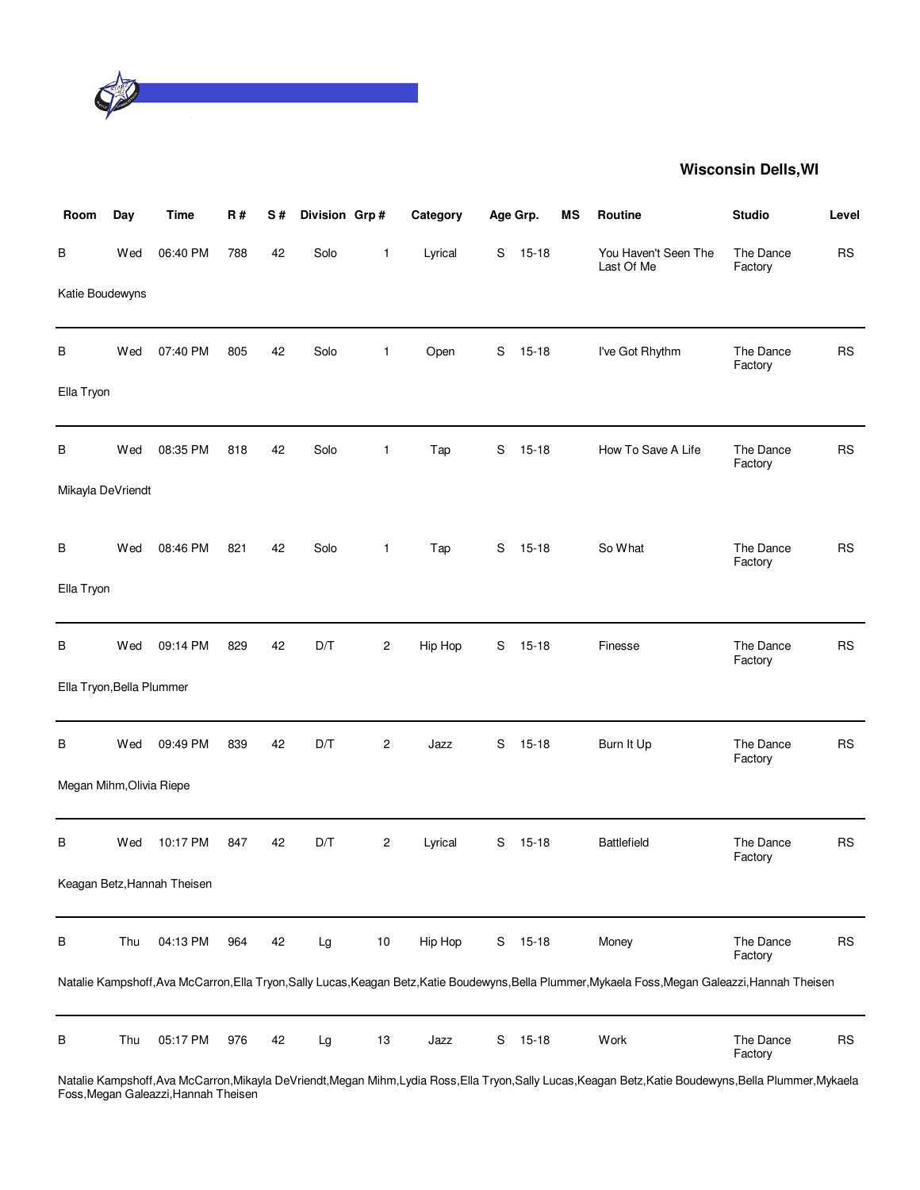

| Room                      | Day | <b>Time</b>                 | <b>R#</b> | S# | Division Grp# |                | Category |             | Age Grp.  | MS | Routine                                                                                                                                             | <b>Studio</b>        | Level     |
|---------------------------|-----|-----------------------------|-----------|----|---------------|----------------|----------|-------------|-----------|----|-----------------------------------------------------------------------------------------------------------------------------------------------------|----------------------|-----------|
| В                         | Wed | 06:40 PM                    | 788       | 42 | Solo          | 1              | Lyrical  | S           | $15 - 18$ |    | You Haven't Seen The<br>Last Of Me                                                                                                                  | The Dance<br>Factory | <b>RS</b> |
| Katie Boudewyns           |     |                             |           |    |               |                |          |             |           |    |                                                                                                                                                     |                      |           |
| В                         | Wed | 07:40 PM                    | 805       | 42 | Solo          | $\mathbf{1}$   | Open     | S           | $15 - 18$ |    | I've Got Rhythm                                                                                                                                     | The Dance<br>Factory | <b>RS</b> |
| Ella Tryon                |     |                             |           |    |               |                |          |             |           |    |                                                                                                                                                     |                      |           |
| В                         | Wed | 08:35 PM                    | 818       | 42 | Solo          | 1              | Tap      | S           | $15 - 18$ |    | How To Save A Life                                                                                                                                  | The Dance<br>Factory | <b>RS</b> |
| Mikayla DeVriendt         |     |                             |           |    |               |                |          |             |           |    |                                                                                                                                                     |                      |           |
| В                         | Wed | 08:46 PM                    | 821       | 42 | Solo          | $\mathbf{1}$   | Tap      | S           | $15 - 18$ |    | So What                                                                                                                                             | The Dance<br>Factory | <b>RS</b> |
| Ella Tryon                |     |                             |           |    |               |                |          |             |           |    |                                                                                                                                                     |                      |           |
| В                         | Wed | 09:14 PM                    | 829       | 42 | D/T           | $\overline{c}$ | Hip Hop  | S           | $15 - 18$ |    | Finesse                                                                                                                                             | The Dance<br>Factory | <b>RS</b> |
| Ella Tryon, Bella Plummer |     |                             |           |    |               |                |          |             |           |    |                                                                                                                                                     |                      |           |
| В                         | Wed | 09:49 PM                    | 839       | 42 | D/T           | $\overline{c}$ | Jazz     | $\mathbf S$ | $15 - 18$ |    | Burn It Up                                                                                                                                          | The Dance<br>Factory | <b>RS</b> |
| Megan Mihm, Olivia Riepe  |     |                             |           |    |               |                |          |             |           |    |                                                                                                                                                     |                      |           |
| В                         | Wed | 10:17 PM                    | 847       | 42 | D/T           | $\overline{c}$ | Lyrical  | S           | $15 - 18$ |    | <b>Battlefield</b>                                                                                                                                  | The Dance<br>Factory | <b>RS</b> |
|                           |     | Keagan Betz, Hannah Theisen |           |    |               |                |          |             |           |    |                                                                                                                                                     |                      |           |
| В                         | Thu | 04:13 PM                    | 964       | 42 | Lg            | $10$           | Hip Hop  | S           | $15 - 18$ |    | Money                                                                                                                                               | The Dance<br>Factory | <b>RS</b> |
|                           |     |                             |           |    |               |                |          |             |           |    | Natalie Kampshoff, Ava McCarron, Ella Tryon, Sally Lucas, Keagan Betz, Katie Boudewyns, Bella Plummer, Mykaela Foss, Megan Galeazzi, Hannah Theisen |                      |           |
| B                         | Thu | 05:17 PM                    | 976       | 42 | Lg            | $13\,$         | Jazz     | S           | $15 - 18$ |    | Work                                                                                                                                                | The Dance<br>Factory | <b>RS</b> |

Natalie Kampshoff,Ava McCarron,Mikayla DeVriendt,Megan Mihm,Lydia Ross,Ella Tryon,Sally Lucas,Keagan Betz,Katie Boudewyns,Bella Plummer,Mykaela Foss,Megan Galeazzi,Hannah Theisen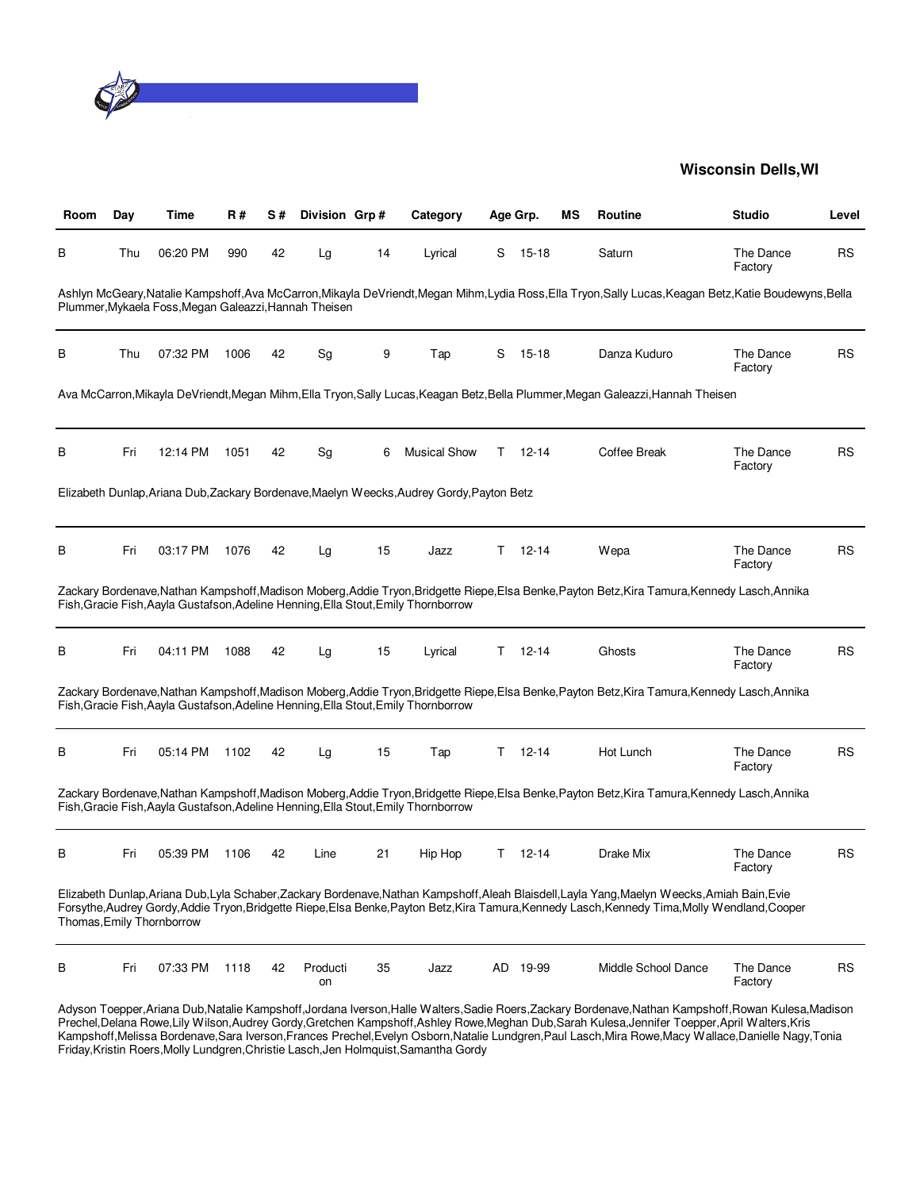

| Room | Day | Time                                                  | R#   | S# | Division Grp#  |    | Category                                                                                  |    | Age Grp.  | ΜS | Routine                                                                                                                                                                                                                                                                                          | <b>Studio</b>        | Level     |
|------|-----|-------------------------------------------------------|------|----|----------------|----|-------------------------------------------------------------------------------------------|----|-----------|----|--------------------------------------------------------------------------------------------------------------------------------------------------------------------------------------------------------------------------------------------------------------------------------------------------|----------------------|-----------|
| в    | Thu | 06:20 PM                                              | 990  | 42 | Lg             | 14 | Lyrical                                                                                   | S  | $15 - 18$ |    | Saturn                                                                                                                                                                                                                                                                                           | The Dance<br>Factory | <b>RS</b> |
|      |     | Plummer, Mykaela Foss, Megan Galeazzi, Hannah Theisen |      |    |                |    |                                                                                           |    |           |    | Ashlyn McGeary,Natalie Kampshoff,Ava McCarron,Mikayla DeVriendt,Megan Mihm,Lydia Ross,Ella Tryon,Sally Lucas,Keagan Betz,Katie Boudewyns,Bella                                                                                                                                                   |                      |           |
| В    | Thu | 07:32 PM                                              | 1006 | 42 | Sg             | 9  | Tap                                                                                       | S  | $15 - 18$ |    | Danza Kuduro                                                                                                                                                                                                                                                                                     | The Dance<br>Factory | <b>RS</b> |
|      |     |                                                       |      |    |                |    |                                                                                           |    |           |    | Ava McCarron,Mikayla DeVriendt,Megan Mihm,Ella Tryon,Sally Lucas,Keagan Betz,Bella Plummer,Megan Galeazzi,Hannah Theisen                                                                                                                                                                         |                      |           |
| в    | Fri | 12:14 PM                                              | 1051 | 42 | Sg             | 6  | <b>Musical Show</b>                                                                       | T. | 12-14     |    | Coffee Break                                                                                                                                                                                                                                                                                     | The Dance<br>Factory | RS        |
|      |     |                                                       |      |    |                |    | Elizabeth Dunlap, Ariana Dub, Zackary Bordenave, Maelyn Weecks, Audrey Gordy, Payton Betz |    |           |    |                                                                                                                                                                                                                                                                                                  |                      |           |
| В    | Fri | 03:17 PM                                              | 1076 | 42 | Lg             | 15 | Jazz                                                                                      | T. | $12 - 14$ |    | Wepa                                                                                                                                                                                                                                                                                             | The Dance<br>Factory | <b>RS</b> |
|      |     |                                                       |      |    |                |    | Fish, Gracie Fish, Aayla Gustafson, Adeline Henning, Ella Stout, Emily Thornborrow        |    |           |    | Zackary Bordenave,Nathan Kampshoff,Madison Moberg,Addie Tryon,Bridgette Riepe,Elsa Benke,Payton Betz,Kira Tamura,Kennedy Lasch,Annika                                                                                                                                                            |                      |           |
| В    | Fri | 04:11 PM                                              | 1088 | 42 | Lg             | 15 | Lyrical                                                                                   | Τ  | $12 - 14$ |    | Ghosts                                                                                                                                                                                                                                                                                           | The Dance<br>Factory | <b>RS</b> |
|      |     |                                                       |      |    |                |    | Fish, Gracie Fish, Aayla Gustafson, Adeline Henning, Ella Stout, Emily Thornborrow        |    |           |    | Zackary Bordenave,Nathan Kampshoff,Madison Moberg,Addie Tryon,Bridgette Riepe,Elsa Benke,Payton Betz,Kira Tamura,Kennedy Lasch,Annika                                                                                                                                                            |                      |           |
| В    | Fri | 05:14 PM                                              | 1102 | 42 | Lg             | 15 | Tap                                                                                       | T. | $12 - 14$ |    | Hot Lunch                                                                                                                                                                                                                                                                                        | The Dance<br>Factory | <b>RS</b> |
|      |     |                                                       |      |    |                |    | Fish, Gracie Fish, Aayla Gustafson, Adeline Henning, Ella Stout, Emily Thornborrow        |    |           |    | Zackary Bordenave, Nathan Kampshoff, Madison Moberg, Addie Tryon, Bridgette Riepe, Elsa Benke, Payton Betz, Kira Tamura, Kennedy Lasch, Annika                                                                                                                                                   |                      |           |
| в    | Fri | 05:39 PM                                              | 1106 | 42 | Line           | 21 | Hip Hop                                                                                   | T. | $12 - 14$ |    | Drake Mix                                                                                                                                                                                                                                                                                        | The Dance<br>Factory | <b>RS</b> |
|      |     | Thomas, Emily Thornborrow                             |      |    |                |    |                                                                                           |    |           |    | Elizabeth Dunlap, Ariana Dub, Lyla Schaber, Zackary Bordenave, Nathan Kampshoff, Aleah Blaisdell, Layla Yang, Maelyn Weecks, Amiah Bain, Evie<br>Forsythe, Audrey Gordy, Addie Tryon, Bridgette Riepe, Elsa Benke, Payton Betz, Kira Tamura, Kennedy Lasch, Kennedy Tima, Molly Wendland, Cooper |                      |           |
| В    | Fri | 07:33 PM                                              | 1118 | 42 | Producti<br>on | 35 | Jazz                                                                                      |    | AD 19-99  |    | Middle School Dance                                                                                                                                                                                                                                                                              | The Dance<br>Factory | <b>RS</b> |

Adyson Toepper,Ariana Dub,Natalie Kampshoff,Jordana Iverson,Halle Walters,Sadie Roers,Zackary Bordenave,Nathan Kampshoff,Rowan Kulesa,Madison Prechel,Delana Rowe,Lily Wilson,Audrey Gordy,Gretchen Kampshoff,Ashley Rowe,Meghan Dub,Sarah Kulesa,Jennifer Toepper,April Walters,Kris Kampshoff,Melissa Bordenave,Sara Iverson,Frances Prechel,Evelyn Osborn,Natalie Lundgren,Paul Lasch,Mira Rowe,Macy Wallace,Danielle Nagy,Tonia Friday,Kristin Roers,Molly Lundgren,Christie Lasch,Jen Holmquist,Samantha Gordy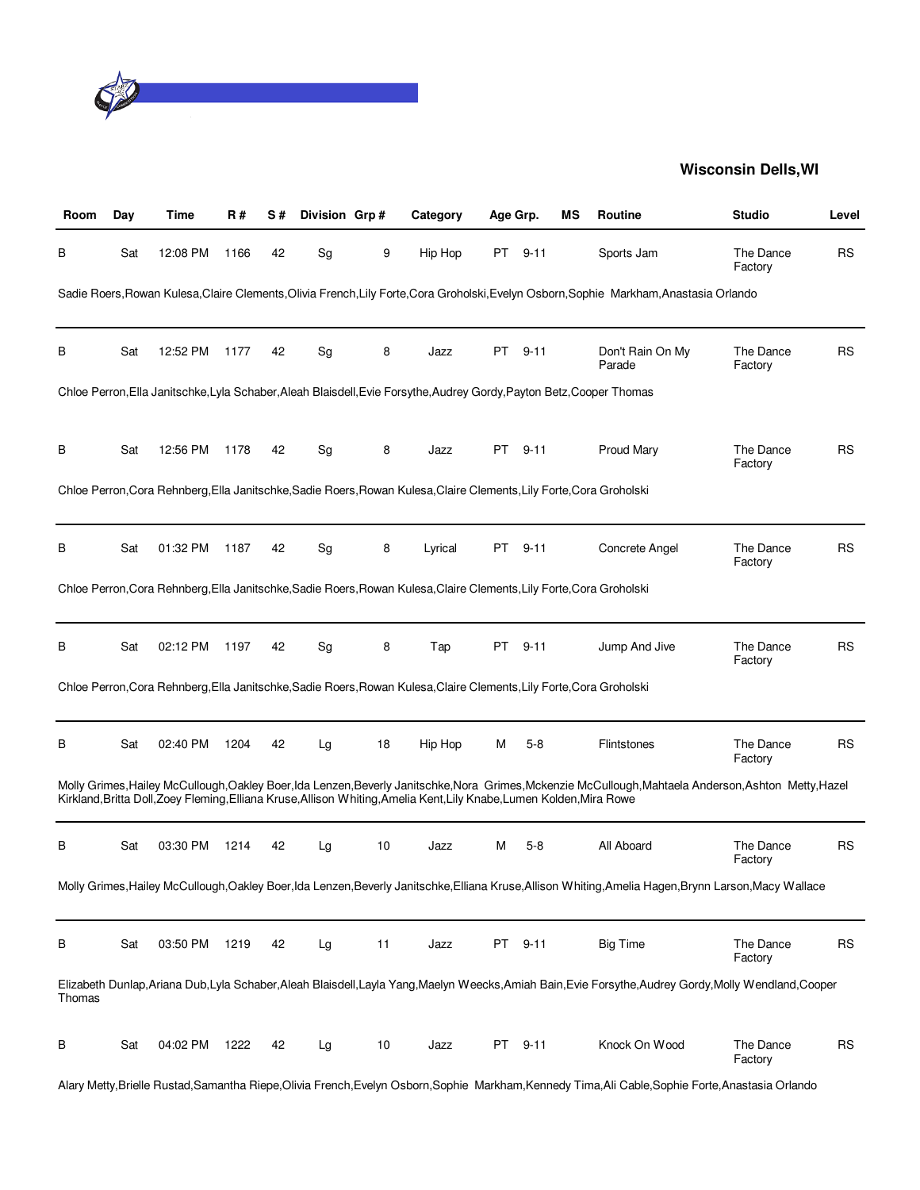

| Room   | Day | Time     | R#   | S# | Division Grp# |    | Category                                                                                                              | Age Grp. |          | ΜS | Routine                                                                                                                                                 | <b>Studio</b>        | Level     |
|--------|-----|----------|------|----|---------------|----|-----------------------------------------------------------------------------------------------------------------------|----------|----------|----|---------------------------------------------------------------------------------------------------------------------------------------------------------|----------------------|-----------|
| В      | Sat | 12:08 PM | 1166 | 42 | Sg            | 9  | Hip Hop                                                                                                               | PT       | $9 - 11$ |    | Sports Jam                                                                                                                                              | The Dance<br>Factory | <b>RS</b> |
|        |     |          |      |    |               |    |                                                                                                                       |          |          |    | Sadie Roers, Rowan Kulesa, Claire Clements, Olivia French, Lily Forte, Cora Groholski, Evelyn Osborn, Sophie Markham, Anastasia Orlando                 |                      |           |
| В      | Sat | 12:52 PM | 1177 | 42 | Sg            | 8  | Jazz                                                                                                                  | PT       | $9 - 11$ |    | Don't Rain On My<br>Parade                                                                                                                              | The Dance<br>Factory | <b>RS</b> |
|        |     |          |      |    |               |    | Chloe Perron, Ella Janitschke, Lyla Schaber, Aleah Blaisdell, Evie Forsythe, Audrey Gordy, Payton Betz, Cooper Thomas |          |          |    |                                                                                                                                                         |                      |           |
| В      | Sat | 12:56 PM | 1178 | 42 | Sg            | 8  | Jazz                                                                                                                  | PT       | $9 - 11$ |    | Proud Mary                                                                                                                                              | The Dance<br>Factory | <b>RS</b> |
|        |     |          |      |    |               |    | Chloe Perron, Cora Rehnberg, Ella Janitschke, Sadie Roers, Rowan Kulesa, Claire Clements, Lily Forte, Cora Groholski  |          |          |    |                                                                                                                                                         |                      |           |
| В      | Sat | 01:32 PM | 1187 | 42 | Sg            | 8  | Lyrical                                                                                                               | PT       | $9 - 11$ |    | Concrete Angel                                                                                                                                          | The Dance<br>Factory | RS        |
|        |     |          |      |    |               |    | Chloe Perron, Cora Rehnberg, Ella Janitschke, Sadie Roers, Rowan Kulesa, Claire Clements, Lily Forte, Cora Groholski  |          |          |    |                                                                                                                                                         |                      |           |
| В      | Sat | 02:12 PM | 1197 | 42 | Sg            | 8  | Tap                                                                                                                   | PT       | 9-11     |    | Jump And Jive                                                                                                                                           | The Dance<br>Factory | <b>RS</b> |
|        |     |          |      |    |               |    | Chloe Perron, Cora Rehnberg, Ella Janitschke, Sadie Roers, Rowan Kulesa, Claire Clements, Lily Forte, Cora Groholski  |          |          |    |                                                                                                                                                         |                      |           |
| В      | Sat | 02:40 PM | 1204 | 42 | Lg            | 18 | Hip Hop                                                                                                               | М        | $5 - 8$  |    | Flintstones                                                                                                                                             | The Dance<br>Factory | RS        |
|        |     |          |      |    |               |    | Kirkland, Britta Doll, Zoey Fleming, Elliana Kruse, Allison Whiting, Amelia Kent, Lily Knabe, Lumen Kolden, Mira Rowe |          |          |    | Molly Grimes, Hailey McCullough, Oakley Boer, Ida Lenzen, Beverly Janitschke, Nora Grimes, Mckenzie McCullough, Mahtaela Anderson, Ashton Metty, Hazel  |                      |           |
| В      | Sat | 03:30 PM | 1214 | 42 | Lg            | 10 | Jazz                                                                                                                  | м        | $5-8$    |    | All Aboard                                                                                                                                              | The Dance<br>Factory | <b>RS</b> |
|        |     |          |      |    |               |    |                                                                                                                       |          |          |    | Molly Grimes, Hailey McCullough, Oakley Boer, Ida Lenzen, Beverly Janitschke, Elliana Kruse, Allison Whiting, Amelia Hagen, Brynn Larson, Macy Wallace  |                      |           |
| в      | Sat | 03:50 PM | 1219 | 42 | Lg            | 11 | Jazz                                                                                                                  | PT       | $9 - 11$ |    | <b>Big Time</b>                                                                                                                                         | The Dance<br>Factory | <b>RS</b> |
| Thomas |     |          |      |    |               |    |                                                                                                                       |          |          |    | Elizabeth Dunlap, Ariana Dub, Lyla Schaber, Aleah Blaisdell, Layla Yang, Maelyn Weecks, Amiah Bain, Evie Forsythe, Audrey Gordy, Molly Wendland, Cooper |                      |           |
| в      | Sat | 04:02 PM | 1222 | 42 | Lg            | 10 | Jazz                                                                                                                  | PT       | $9 - 11$ |    | Knock On Wood                                                                                                                                           | The Dance<br>Factory | <b>RS</b> |
|        |     |          |      |    |               |    |                                                                                                                       |          |          |    | Alary Metty,Brielle Rustad,Samantha Riepe,Olivia French,Evelyn Osborn,Sophie Markham,Kennedy Tima,Ali Cable,Sophie Forte,Anastasia Orlando              |                      |           |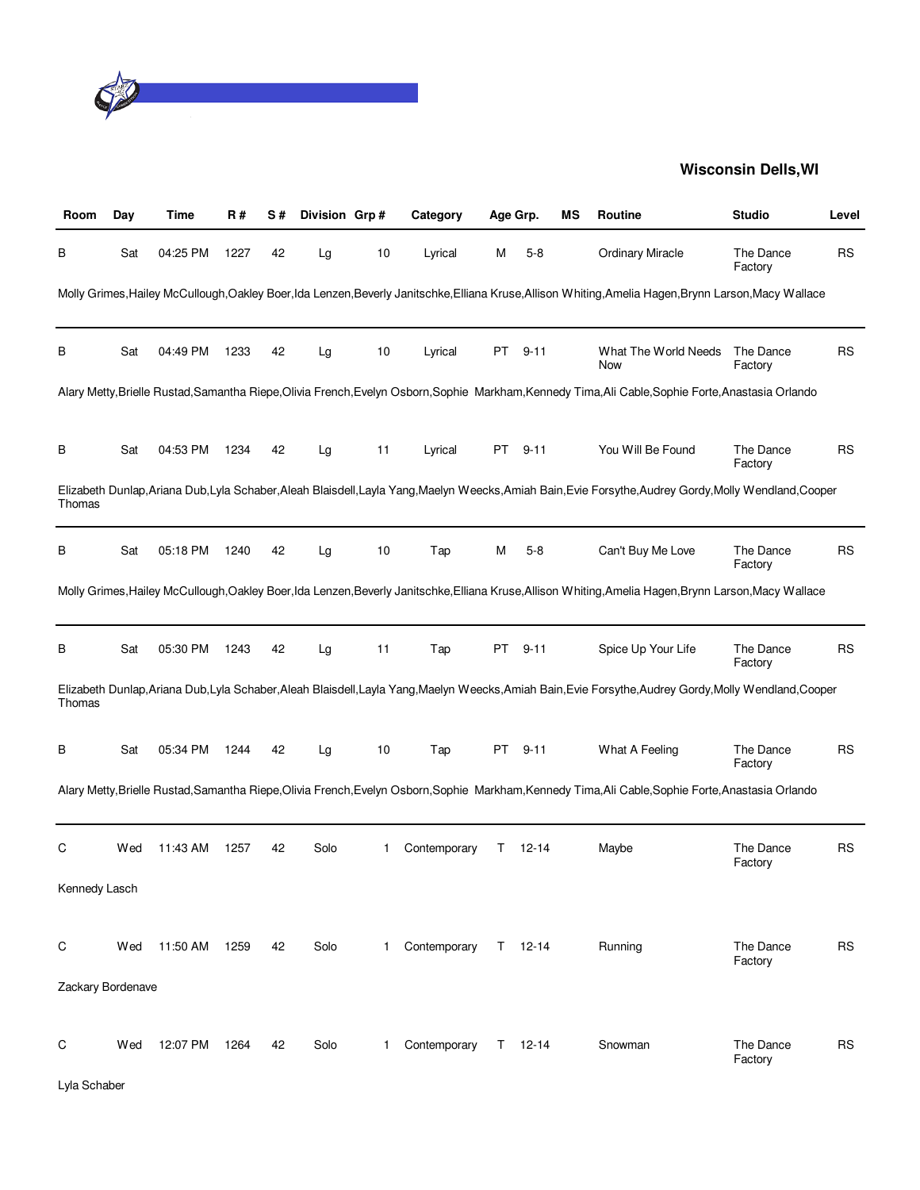

| Room              | Day | Time     | R#   | S# | Division Grp# |              | Category     | Age Grp. |               | ΜS | Routine                                                                                                                                                 | <b>Studio</b>        | Level     |
|-------------------|-----|----------|------|----|---------------|--------------|--------------|----------|---------------|----|---------------------------------------------------------------------------------------------------------------------------------------------------------|----------------------|-----------|
| В                 | Sat | 04:25 PM | 1227 | 42 | Lg            | 10           | Lyrical      | м        | $5 - 8$       |    | <b>Ordinary Miracle</b>                                                                                                                                 | The Dance<br>Factory | <b>RS</b> |
|                   |     |          |      |    |               |              |              |          |               |    | Molly Grimes, Hailey McCullough, Oakley Boer, Ida Lenzen, Beverly Janitschke, Elliana Kruse, Allison Whiting, Amelia Hagen, Brynn Larson, Macy Wallace  |                      |           |
| В                 | Sat | 04:49 PM | 1233 | 42 | Lg            | 10           | Lyrical      | PT       | $9 - 11$      |    | What The World Needs<br>Now                                                                                                                             | The Dance<br>Factory | <b>RS</b> |
|                   |     |          |      |    |               |              |              |          |               |    | Alary Metty,Brielle Rustad,Samantha Riepe,Olivia French,Evelyn Osborn,Sophie Markham,Kennedy Tima,Ali Cable,Sophie Forte,Anastasia Orlando              |                      |           |
| В                 | Sat | 04:53 PM | 1234 | 42 | Lg            | 11           | Lyrical      | PT       | $9 - 11$      |    | You Will Be Found                                                                                                                                       | The Dance<br>Factory | <b>RS</b> |
| Thomas            |     |          |      |    |               |              |              |          |               |    | Elizabeth Dunlap, Ariana Dub, Lyla Schaber, Aleah Blaisdell, Layla Yang, Maelyn Weecks, Amiah Bain, Evie Forsythe, Audrey Gordy, Molly Wendland, Cooper |                      |           |
| В                 | Sat | 05:18 PM | 1240 | 42 | Lg            | 10           | Tap          | M        | $5 - 8$       |    | Can't Buy Me Love                                                                                                                                       | The Dance<br>Factory | RS        |
|                   |     |          |      |    |               |              |              |          |               |    | Molly Grimes, Hailey McCullough, Oakley Boer, Ida Lenzen, Beverly Janitschke, Elliana Kruse, Allison Whiting, Amelia Hagen, Brynn Larson, Macy Wallace  |                      |           |
| В                 | Sat | 05:30 PM | 1243 | 42 | Lg            | 11           | Tap          | PT       | $9 - 11$      |    | Spice Up Your Life                                                                                                                                      | The Dance<br>Factory | <b>RS</b> |
| Thomas            |     |          |      |    |               |              |              |          |               |    | Elizabeth Dunlap, Ariana Dub, Lyla Schaber, Aleah Blaisdell, Layla Yang, Maelyn Weecks, Amiah Bain, Evie Forsythe, Audrey Gordy, Molly Wendland, Cooper |                      |           |
| В                 | Sat | 05:34 PM | 1244 | 42 | Lg            | 10           | Tap          | PT       | $9 - 11$      |    | What A Feeling                                                                                                                                          | The Dance<br>Factory | <b>RS</b> |
|                   |     |          |      |    |               |              |              |          |               |    | Alary Metty,Brielle Rustad,Samantha Riepe,Olivia French,Evelyn Osborn,Sophie Markham,Kennedy Tima,Ali Cable,Sophie Forte,Anastasia Orlando              |                      |           |
| С                 | Wed | 11:43 AM | 1257 | 42 | Solo          | 1            | Contemporary | Τ        | 12-14         |    | Maybe                                                                                                                                                   | The Dance<br>Factory | <b>RS</b> |
| Kennedy Lasch     |     |          |      |    |               |              |              |          |               |    |                                                                                                                                                         |                      |           |
| С                 | Wed | 11:50 AM | 1259 | 42 | Solo          | $\mathbf{1}$ | Contemporary |          | $T = 12-14$   |    | Running                                                                                                                                                 | The Dance<br>Factory | RS        |
| Zackary Bordenave |     |          |      |    |               |              |              |          |               |    |                                                                                                                                                         |                      |           |
| С                 | Wed | 12:07 PM | 1264 | 42 | Solo          | 1            | Contemporary |          | $T = 12 - 14$ |    | Snowman                                                                                                                                                 | The Dance<br>Factory | <b>RS</b> |
| Lyla Schaber      |     |          |      |    |               |              |              |          |               |    |                                                                                                                                                         |                      |           |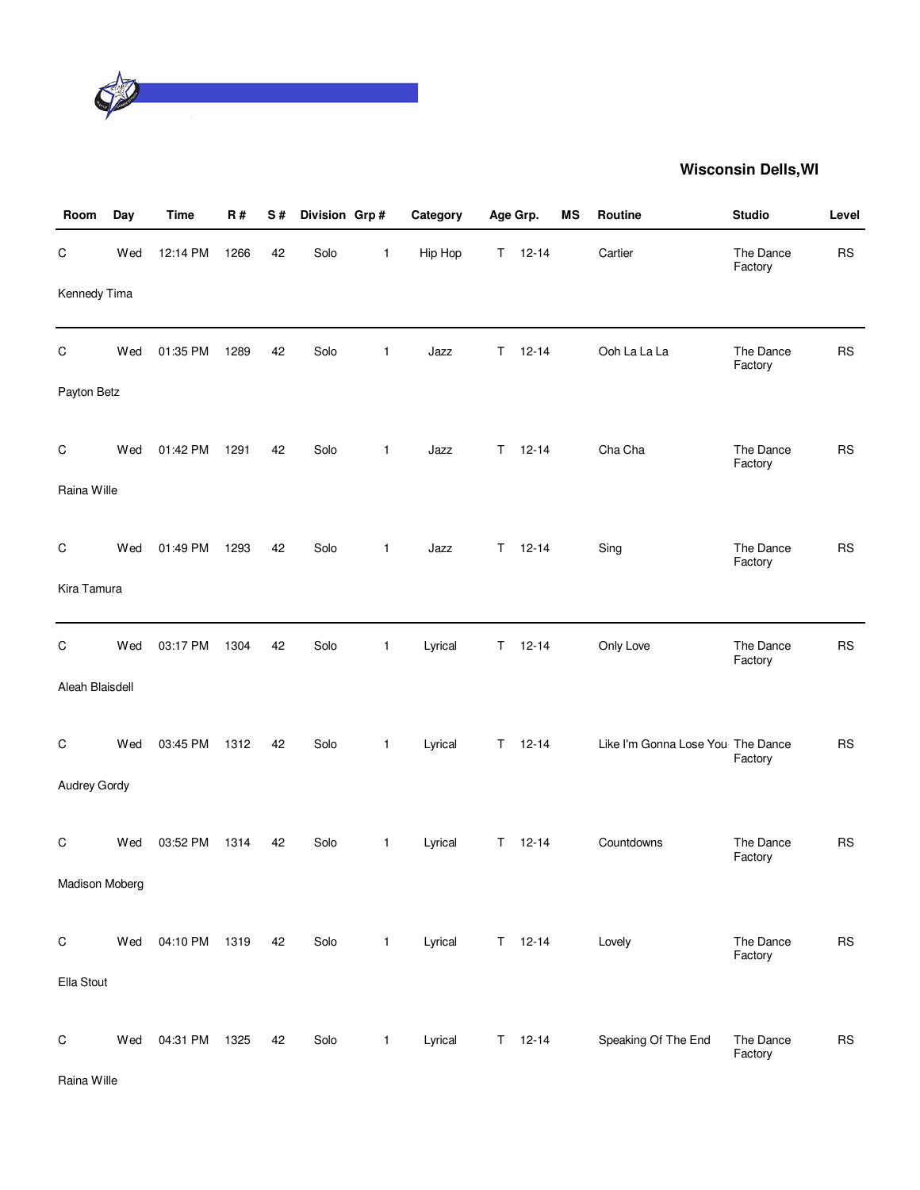

| Room            | Day | <b>Time</b> | R#   | S# | Division Grp# |              | Category | Age Grp. |               | <b>MS</b> | Routine                           | <b>Studio</b>        | Level     |
|-----------------|-----|-------------|------|----|---------------|--------------|----------|----------|---------------|-----------|-----------------------------------|----------------------|-----------|
| $\mathsf C$     | Wed | 12:14 PM    | 1266 | 42 | Solo          | 1            | Hip Hop  | T.       | $12 - 14$     |           | Cartier                           | The Dance<br>Factory | <b>RS</b> |
| Kennedy Tima    |     |             |      |    |               |              |          |          |               |           |                                   |                      |           |
| C               | Wed | 01:35 PM    | 1289 | 42 | Solo          | $\mathbf{1}$ | Jazz     | T.       | $12 - 14$     |           | Ooh La La La                      | The Dance<br>Factory | <b>RS</b> |
| Payton Betz     |     |             |      |    |               |              |          |          |               |           |                                   |                      |           |
| C               | Wed | 01:42 PM    | 1291 | 42 | Solo          | $\mathbf{1}$ | Jazz     | T.       | $12 - 14$     |           | Cha Cha                           | The Dance<br>Factory | <b>RS</b> |
| Raina Wille     |     |             |      |    |               |              |          |          |               |           |                                   |                      |           |
| C               | Wed | 01:49 PM    | 1293 | 42 | Solo          | $\mathbf{1}$ | Jazz     |          | $T = 12-14$   |           | Sing                              | The Dance<br>Factory | <b>RS</b> |
| Kira Tamura     |     |             |      |    |               |              |          |          |               |           |                                   |                      |           |
| C               | Wed | 03:17 PM    | 1304 | 42 | Solo          | 1            | Lyrical  | T.       | $12 - 14$     |           | Only Love                         | The Dance<br>Factory | <b>RS</b> |
| Aleah Blaisdell |     |             |      |    |               |              |          |          |               |           |                                   |                      |           |
| C               | Wed | 03:45 PM    | 1312 | 42 | Solo          | $\mathbf{1}$ | Lyrical  | T.       | $12 - 14$     |           | Like I'm Gonna Lose You The Dance | Factory              | <b>RS</b> |
| Audrey Gordy    |     |             |      |    |               |              |          |          |               |           |                                   |                      |           |
| C               | Wed | 03:52 PM    | 1314 | 42 | Solo          | 1            | Lyrical  | T.       | $12 - 14$     |           | Countdowns                        | The Dance<br>Factory | <b>RS</b> |
| Madison Moberg  |     |             |      |    |               |              |          |          |               |           |                                   |                      |           |
| $\mathsf C$     | Wed | 04:10 PM    | 1319 | 42 | Solo          | $\mathbf{1}$ | Lyrical  |          | $T = 12 - 14$ |           | Lovely                            | The Dance<br>Factory | <b>RS</b> |
| Ella Stout      |     |             |      |    |               |              |          |          |               |           |                                   |                      |           |
| $\mathsf C$     | Wed | 04:31 PM    | 1325 | 42 | Solo          | $\mathbf{1}$ | Lyrical  |          | $T = 12 - 14$ |           | Speaking Of The End               | The Dance<br>Factory | <b>RS</b> |
| Raina Wille     |     |             |      |    |               |              |          |          |               |           |                                   |                      |           |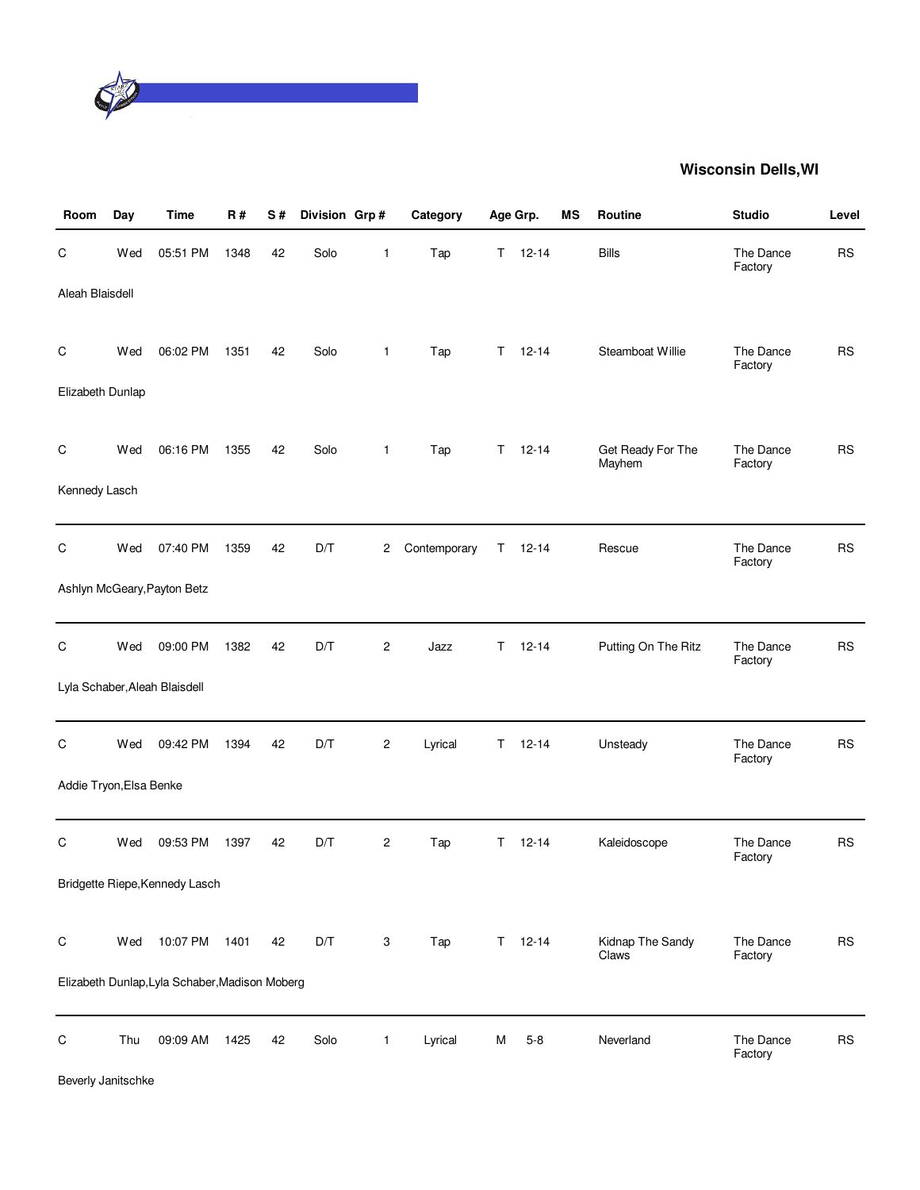

| Room                    | Day | <b>Time</b>                                    | <b>R#</b> | S# | Division Grp# |                | Category     |    | Age Grp.      | MS | Routine                     | <b>Studio</b>        | Level     |
|-------------------------|-----|------------------------------------------------|-----------|----|---------------|----------------|--------------|----|---------------|----|-----------------------------|----------------------|-----------|
| С                       | Wed | 05:51 PM                                       | 1348      | 42 | Solo          | 1              | Tap          | T. | $12 - 14$     |    | <b>Bills</b>                | The Dance<br>Factory | <b>RS</b> |
| Aleah Blaisdell         |     |                                                |           |    |               |                |              |    |               |    |                             |                      |           |
| С                       | Wed | 06:02 PM                                       | 1351      | 42 | Solo          | $\mathbf{1}$   | Tap          |    | $T = 12 - 14$ |    | Steamboat Willie            | The Dance<br>Factory | <b>RS</b> |
| Elizabeth Dunlap        |     |                                                |           |    |               |                |              |    |               |    |                             |                      |           |
| C                       | Wed | 06:16 PM                                       | 1355      | 42 | Solo          | 1              | Tap          | T. | $12 - 14$     |    | Get Ready For The<br>Mayhem | The Dance<br>Factory | <b>RS</b> |
| Kennedy Lasch           |     |                                                |           |    |               |                |              |    |               |    |                             |                      |           |
| С                       | Wed | 07:40 PM                                       | 1359      | 42 | D/T           | 2              | Contemporary | Τ  | $12 - 14$     |    | Rescue                      | The Dance<br>Factory | <b>RS</b> |
|                         |     | Ashlyn McGeary, Payton Betz                    |           |    |               |                |              |    |               |    |                             |                      |           |
| С                       | Wed | 09:00 PM                                       | 1382      | 42 | D/T           | 2              | Jazz         | T. | $12 - 14$     |    | Putting On The Ritz         | The Dance<br>Factory | <b>RS</b> |
|                         |     | Lyla Schaber, Aleah Blaisdell                  |           |    |               |                |              |    |               |    |                             |                      |           |
| C                       | Wed | 09:42 PM                                       | 1394      | 42 | D/T           | $\overline{c}$ | Lyrical      | Τ  | $12 - 14$     |    | Unsteady                    | The Dance<br>Factory | <b>RS</b> |
| Addie Tryon, Elsa Benke |     |                                                |           |    |               |                |              |    |               |    |                             |                      |           |
| C                       | Wed | 09:53 PM                                       | 1397      | 42 | D/T           | $\overline{c}$ | Tap          | Τ  | $12 - 14$     |    | Kaleidoscope                | The Dance<br>Factory | <b>RS</b> |
|                         |     | Bridgette Riepe, Kennedy Lasch                 |           |    |               |                |              |    |               |    |                             |                      |           |
| $\mathsf C$             | Wed | 10:07 PM                                       | 1401      | 42 | D/T           | 3              | Tap          | T. | $12 - 14$     |    | Kidnap The Sandy<br>Claws   | The Dance<br>Factory | <b>RS</b> |
|                         |     | Elizabeth Dunlap, Lyla Schaber, Madison Moberg |           |    |               |                |              |    |               |    |                             |                      |           |
| $\mathsf C$             | Thu | 09:09 AM                                       | 1425      | 42 | Solo          | $\mathbf{1}$   | Lyrical      | М  | $5 - 8$       |    | Neverland                   | The Dance<br>Factory | <b>RS</b> |

Beverly Janitschke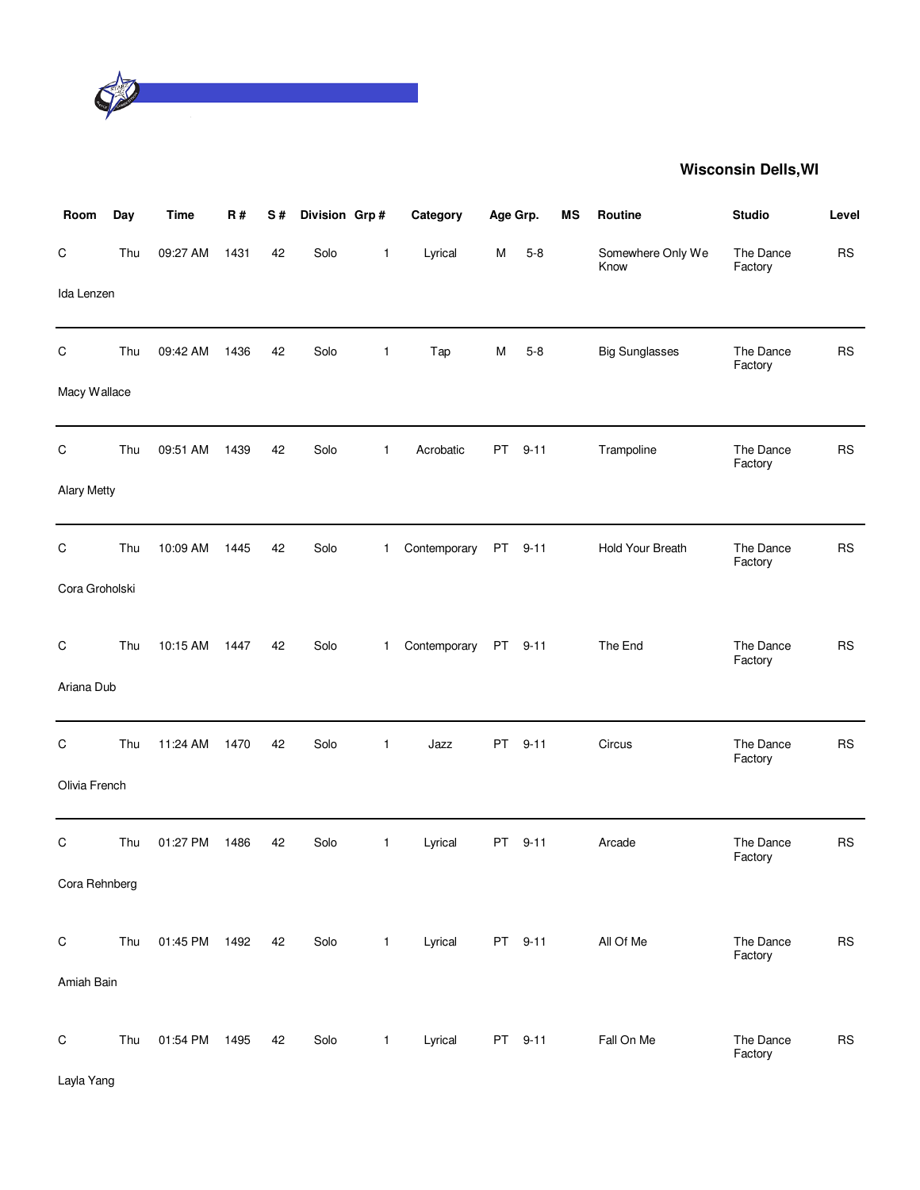

| Room               | Day | <b>Time</b>   | <b>R#</b> | S# | Division Grp# |              | Category     | Age Grp.  |          | MS | Routine                   | <b>Studio</b>        | Level     |
|--------------------|-----|---------------|-----------|----|---------------|--------------|--------------|-----------|----------|----|---------------------------|----------------------|-----------|
| C                  | Thu | 09:27 AM      | 1431      | 42 | Solo          | 1            | Lyrical      | M         | $5 - 8$  |    | Somewhere Only We<br>Know | The Dance<br>Factory | <b>RS</b> |
| Ida Lenzen         |     |               |           |    |               |              |              |           |          |    |                           |                      |           |
| C                  | Thu | 09:42 AM      | 1436      | 42 | Solo          | 1            | Tap          | M         | $5 - 8$  |    | <b>Big Sunglasses</b>     | The Dance<br>Factory | <b>RS</b> |
| Macy Wallace       |     |               |           |    |               |              |              |           |          |    |                           |                      |           |
| C                  | Thu | 09:51 AM      | 1439      | 42 | Solo          | $\mathbf{1}$ | Acrobatic    | PT.       | $9 - 11$ |    | Trampoline                | The Dance<br>Factory | <b>RS</b> |
| <b>Alary Metty</b> |     |               |           |    |               |              |              |           |          |    |                           |                      |           |
| C                  | Thu | 10:09 AM      | 1445      | 42 | Solo          | 1.           | Contemporary | PT        | $9 - 11$ |    | Hold Your Breath          | The Dance<br>Factory | <b>RS</b> |
| Cora Groholski     |     |               |           |    |               |              |              |           |          |    |                           |                      |           |
| C                  | Thu | 10:15 AM      | 1447      | 42 | Solo          | 1.           | Contemporary | <b>PT</b> | $9 - 11$ |    | The End                   | The Dance            | <b>RS</b> |
| Ariana Dub         |     |               |           |    |               |              |              |           |          |    |                           | Factory              |           |
| C                  | Thu | 11:24 AM      | 1470      | 42 | Solo          | 1            | Jazz         | PT        | $9 - 11$ |    | Circus                    | The Dance<br>Factory | <b>RS</b> |
| Olivia French      |     |               |           |    |               |              |              |           |          |    |                           |                      |           |
| C                  | Thu | 01:27 PM      | 1486      | 42 | Solo          | $\mathbf{1}$ | Lyrical      | PT        | $9 - 11$ |    | Arcade                    | The Dance<br>Factory | <b>RS</b> |
| Cora Rehnberg      |     |               |           |    |               |              |              |           |          |    |                           |                      |           |
| $\mathsf C$        | Thu | 01:45 PM 1492 |           | 42 | Solo          | $\mathbf{1}$ | Lyrical      |           | PT 9-11  |    | All Of Me                 | The Dance            | RS        |
| Amiah Bain         |     |               |           |    |               |              |              |           |          |    |                           | Factory              |           |
| $\mathsf C$        | Thu | 01:54 PM      | 1495      | 42 | Solo          | $\mathbf{1}$ | Lyrical      |           | PT 9-11  |    | Fall On Me                | The Dance            | <b>RS</b> |
| Layla Yang         |     |               |           |    |               |              |              |           |          |    |                           | Factory              |           |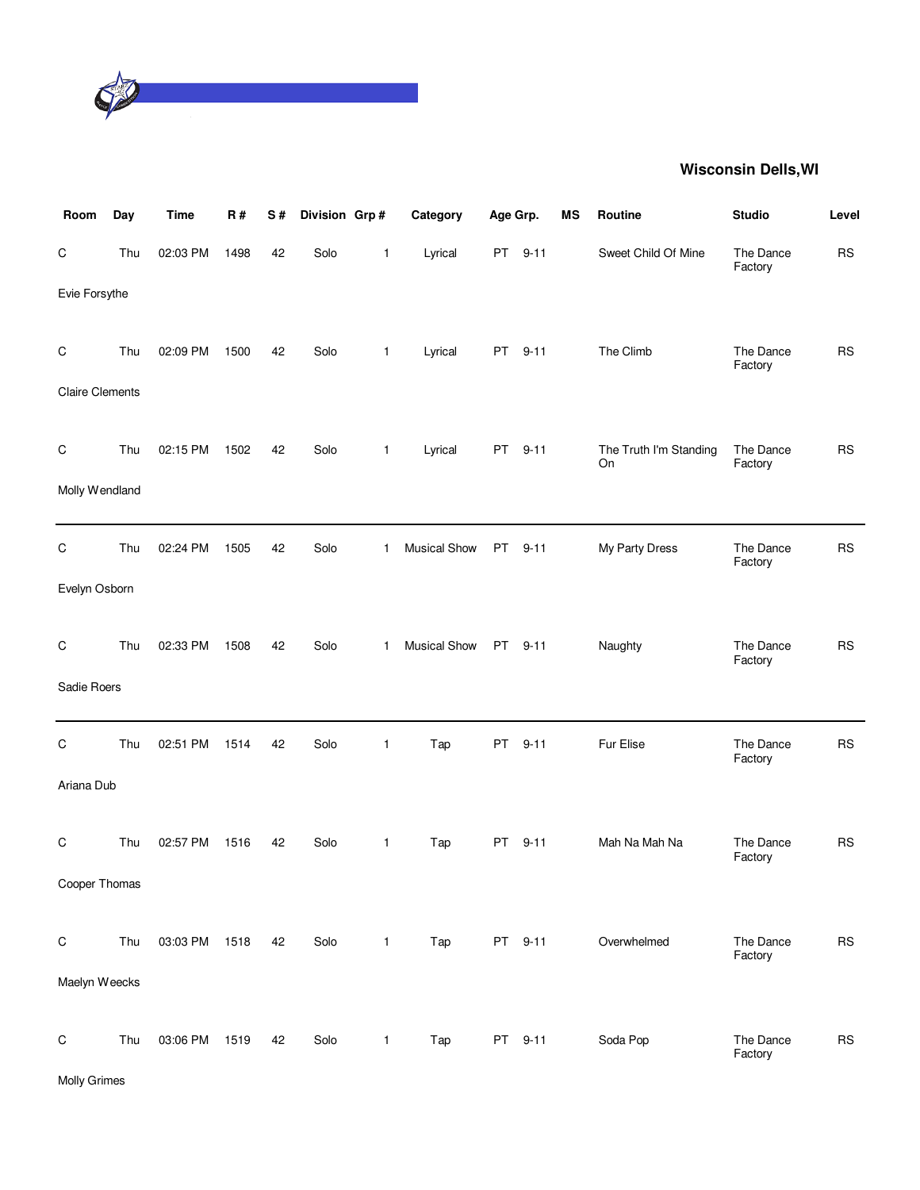

| Room                   | Day | <b>Time</b> | R#   | S# | Division Grp# |              | Category            | Age Grp. |          | <b>MS</b> | Routine                      | <b>Studio</b>        | Level     |
|------------------------|-----|-------------|------|----|---------------|--------------|---------------------|----------|----------|-----------|------------------------------|----------------------|-----------|
| C                      | Thu | 02:03 PM    | 1498 | 42 | Solo          | $\mathbf{1}$ | Lyrical             | PT       | $9 - 11$ |           | Sweet Child Of Mine          | The Dance<br>Factory | <b>RS</b> |
| Evie Forsythe          |     |             |      |    |               |              |                     |          |          |           |                              |                      |           |
| C                      | Thu | 02:09 PM    | 1500 | 42 | Solo          | $\mathbf{1}$ | Lyrical             |          | PT 9-11  |           | The Climb                    | The Dance<br>Factory | <b>RS</b> |
| <b>Claire Clements</b> |     |             |      |    |               |              |                     |          |          |           |                              |                      |           |
| $\mathsf C$            | Thu | 02:15 PM    | 1502 | 42 | Solo          | $\mathbf{1}$ | Lyrical             | PT       | $9 - 11$ |           | The Truth I'm Standing<br>On | The Dance<br>Factory | <b>RS</b> |
| Molly Wendland         |     |             |      |    |               |              |                     |          |          |           |                              |                      |           |
| C                      | Thu | 02:24 PM    | 1505 | 42 | Solo          | $\mathbf{1}$ | <b>Musical Show</b> | PT       | $9 - 11$ |           | My Party Dress               | The Dance<br>Factory | <b>RS</b> |
| Evelyn Osborn          |     |             |      |    |               |              |                     |          |          |           |                              |                      |           |
| C                      | Thu | 02:33 PM    | 1508 | 42 | Solo          | 1            | Musical Show        | PT       | $9 - 11$ |           | Naughty                      | The Dance<br>Factory | <b>RS</b> |
| Sadie Roers            |     |             |      |    |               |              |                     |          |          |           |                              |                      |           |
| $\mathsf C$            | Thu | 02:51 PM    | 1514 | 42 | Solo          | 1            | Tap                 | PT       | $9 - 11$ |           | Fur Elise                    | The Dance<br>Factory | <b>RS</b> |
| Ariana Dub             |     |             |      |    |               |              |                     |          |          |           |                              |                      |           |
| C                      | Thu | 02:57 PM    | 1516 | 42 | Solo          | $\mathbf{1}$ | Tap                 | PT       | $9 - 11$ |           | Mah Na Mah Na                | The Dance<br>Factory | <b>RS</b> |
| Cooper Thomas          |     |             |      |    |               |              |                     |          |          |           |                              |                      |           |
| $\mathsf C$            | Thu | 03:03 PM    | 1518 | 42 | Solo          | $\mathbf{1}$ | Tap                 |          | PT 9-11  |           | Overwhelmed                  | The Dance<br>Factory | <b>RS</b> |
| Maelyn Weecks          |     |             |      |    |               |              |                     |          |          |           |                              |                      |           |
| $\mathsf C$            | Thu | 03:06 PM    | 1519 | 42 | Solo          | $\mathbf{1}$ | Tap                 |          | PT 9-11  |           | Soda Pop                     | The Dance<br>Factory | <b>RS</b> |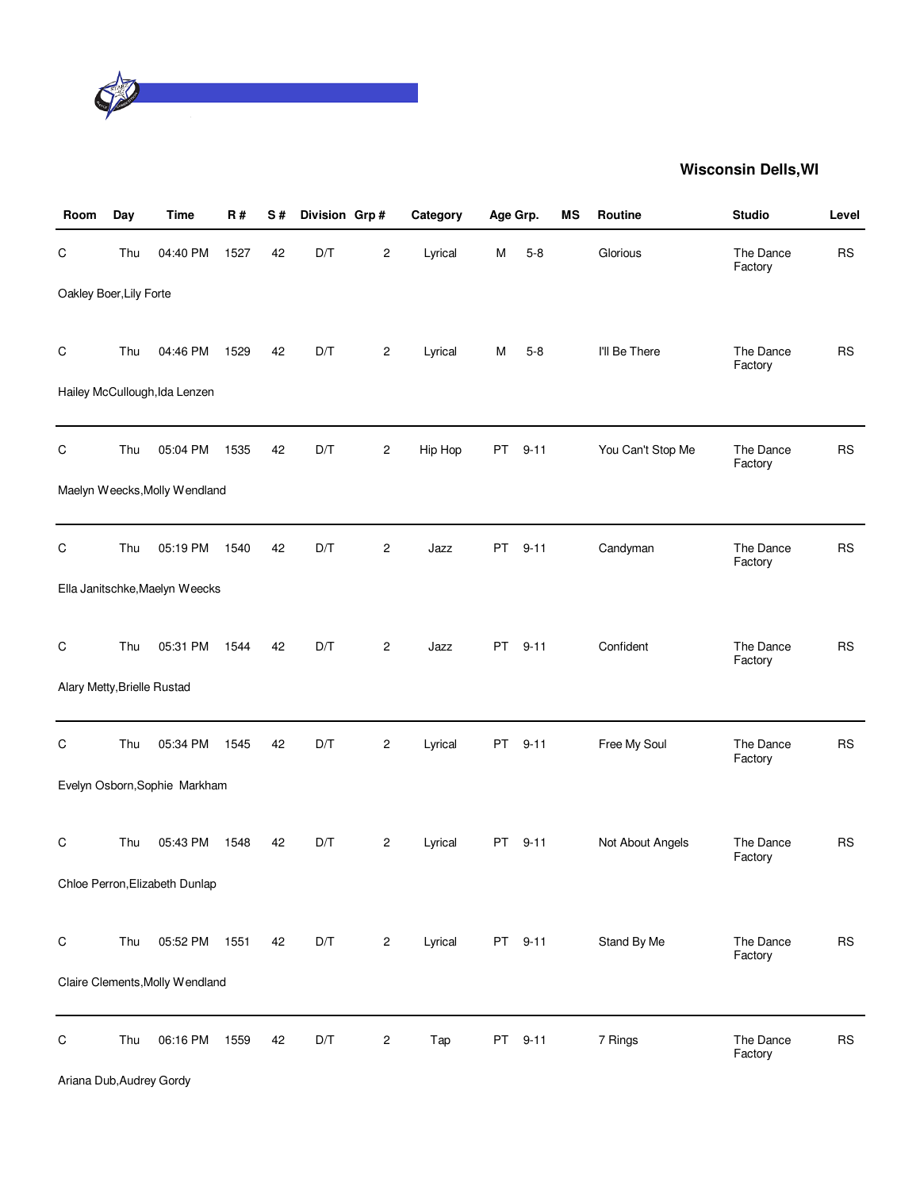

| Room                        | Day | <b>Time</b>                               | <b>R#</b> | S# | Division Grp# |                | Category | Age Grp. |          | MS | Routine           | <b>Studio</b>        | Level     |
|-----------------------------|-----|-------------------------------------------|-----------|----|---------------|----------------|----------|----------|----------|----|-------------------|----------------------|-----------|
| С                           | Thu | 04:40 PM                                  | 1527      | 42 | D/T           | 2              | Lyrical  | м        | $5 - 8$  |    | Glorious          | The Dance<br>Factory | <b>RS</b> |
| Oakley Boer, Lily Forte     |     |                                           |           |    |               |                |          |          |          |    |                   |                      |           |
| C                           | Thu | 04:46 PM<br>Hailey McCullough, Ida Lenzen | 1529      | 42 | D/T           | $\overline{c}$ | Lyrical  | М        | $5 - 8$  |    | I'll Be There     | The Dance<br>Factory | <b>RS</b> |
|                             |     |                                           |           |    |               |                |          |          |          |    |                   |                      |           |
| C                           | Thu | 05:04 PM                                  | 1535      | 42 | D/T           | $\overline{c}$ | Hip Hop  | PT       | $9 - 11$ |    | You Can't Stop Me | The Dance<br>Factory | <b>RS</b> |
|                             |     | Maelyn Weecks, Molly Wendland             |           |    |               |                |          |          |          |    |                   |                      |           |
| C                           | Thu | 05:19 PM                                  | 1540      | 42 | D/T           | $\overline{c}$ | Jazz     | PT       | $9 - 11$ |    | Candyman          | The Dance<br>Factory | <b>RS</b> |
|                             |     | Ella Janitschke, Maelyn Weecks            |           |    |               |                |          |          |          |    |                   |                      |           |
| C                           | Thu | 05:31 PM                                  | 1544      | 42 | D/T           | $\overline{c}$ | Jazz     | PT       | $9 - 11$ |    | Confident         | The Dance<br>Factory | <b>RS</b> |
| Alary Metty, Brielle Rustad |     |                                           |           |    |               |                |          |          |          |    |                   |                      |           |
| $\mathsf C$                 | Thu | 05:34 PM                                  | 1545      | 42 | D/T           | $\overline{c}$ | Lyrical  | PT       | $9 - 11$ |    | Free My Soul      | The Dance<br>Factory | <b>RS</b> |
|                             |     | Evelyn Osborn, Sophie Markham             |           |    |               |                |          |          |          |    |                   |                      |           |
| С                           | Thu | 05:43 PM                                  | 1548      | 42 | D/T           | $\overline{c}$ | Lyrical  | PT       | $9 - 11$ |    | Not About Angels  | The Dance<br>Factory | <b>RS</b> |
|                             |     | Chloe Perron, Elizabeth Dunlap            |           |    |               |                |          |          |          |    |                   |                      |           |
| $\mathsf C$                 | Thu | 05:52 PM                                  | 1551      | 42 | D/T           | $\mathbf{2}$   | Lyrical  |          | PT 9-11  |    | Stand By Me       | The Dance<br>Factory | <b>RS</b> |
|                             |     | Claire Clements, Molly Wendland           |           |    |               |                |          |          |          |    |                   |                      |           |
| С                           | Thu | 06:16 PM                                  | 1559      | 42 | D/T           | $\sqrt{2}$     | Tap      |          | PT 9-11  |    | 7 Rings           | The Dance<br>Factory | <b>RS</b> |

Ariana Dub,Audrey Gordy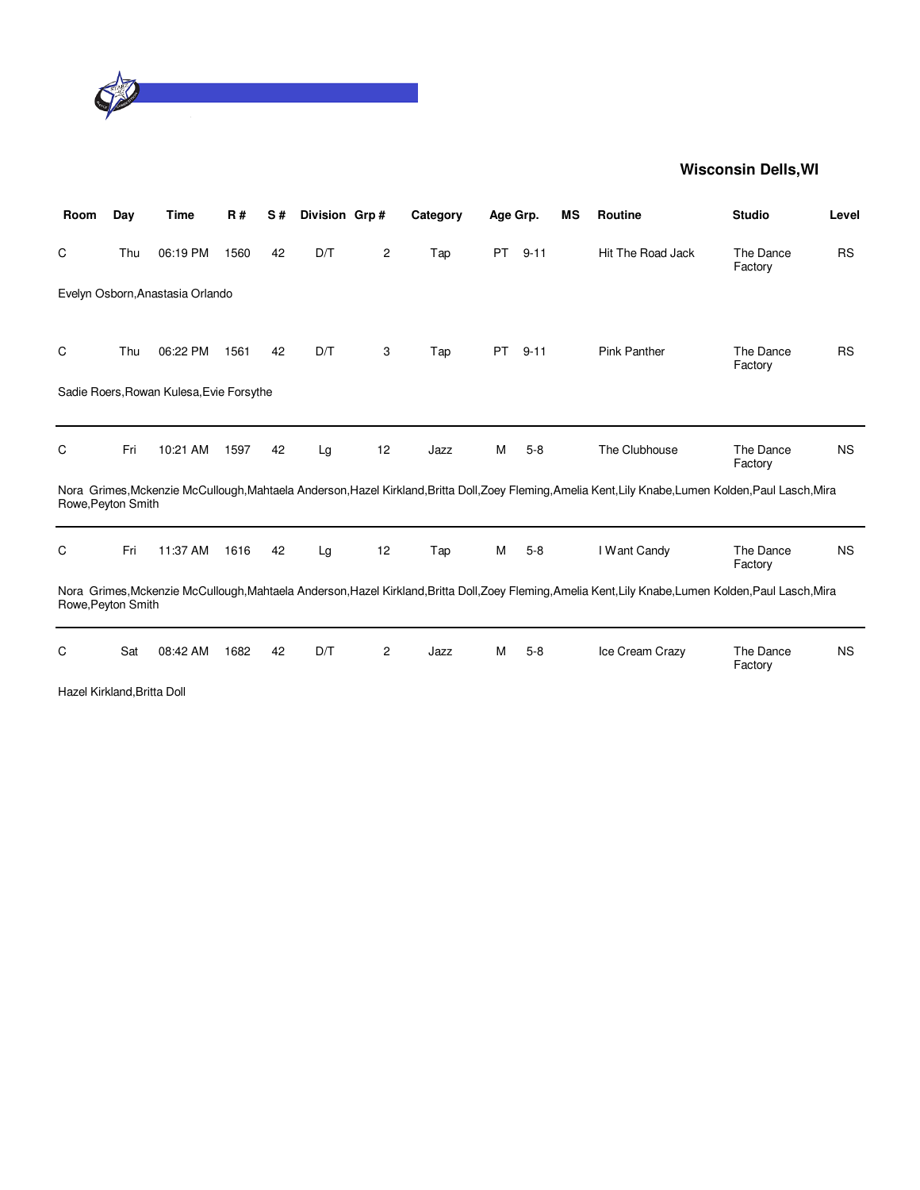

| Room                        | Day | Time                                     | <b>R#</b> | S# | Division Grp# |    | Category | Age Grp.  |          | ΜS | <b>Routine</b>                                                                                                                                          | <b>Studio</b>        | Level     |
|-----------------------------|-----|------------------------------------------|-----------|----|---------------|----|----------|-----------|----------|----|---------------------------------------------------------------------------------------------------------------------------------------------------------|----------------------|-----------|
| C                           | Thu | 06:19 PM                                 | 1560      | 42 | D/T           | 2  | Tap      | <b>PT</b> | $9 - 11$ |    | Hit The Road Jack                                                                                                                                       | The Dance<br>Factory | <b>RS</b> |
|                             |     | Evelyn Osborn, Anastasia Orlando         |           |    |               |    |          |           |          |    |                                                                                                                                                         |                      |           |
|                             |     |                                          |           |    |               |    |          |           |          |    |                                                                                                                                                         |                      |           |
| C                           | Thu | 06:22 PM                                 | 1561      | 42 | D/T           | 3  | Tap      | <b>PT</b> | $9 - 11$ |    | <b>Pink Panther</b>                                                                                                                                     | The Dance<br>Factory | <b>RS</b> |
|                             |     | Sadie Roers, Rowan Kulesa, Evie Forsythe |           |    |               |    |          |           |          |    |                                                                                                                                                         |                      |           |
|                             |     |                                          |           |    |               |    |          |           |          |    |                                                                                                                                                         |                      |           |
| C                           | Fri | 10:21 AM                                 | 1597      | 42 | Lg            | 12 | Jazz     | м         | $5 - 8$  |    | The Clubhouse                                                                                                                                           | The Dance            | <b>NS</b> |
|                             |     |                                          |           |    |               |    |          |           |          |    |                                                                                                                                                         | Factory              |           |
| Rowe, Peyton Smith          |     |                                          |           |    |               |    |          |           |          |    | Nora Grimes, Mckenzie McCullough, Mahtaela Anderson, Hazel Kirkland, Britta Doll, Zoey Fleming, Amelia Kent, Lily Knabe, Lumen Kolden, Paul Lasch, Mira |                      |           |
| C                           | Fri | 11:37 AM                                 | 1616      | 42 | Lg            | 12 | Tap      | М         | $5 - 8$  |    | I Want Candy                                                                                                                                            | The Dance            | <b>NS</b> |
|                             |     |                                          |           |    |               |    |          |           |          |    |                                                                                                                                                         | Factory              |           |
| Rowe, Peyton Smith          |     |                                          |           |    |               |    |          |           |          |    | Nora Grimes, Mckenzie McCullough, Mahtaela Anderson, Hazel Kirkland, Britta Doll, Zoey Fleming, Amelia Kent, Lily Knabe, Lumen Kolden, Paul Lasch, Mira |                      |           |
|                             |     |                                          |           |    |               |    |          |           |          |    |                                                                                                                                                         |                      |           |
| С                           | Sat | 08:42 AM                                 | 1682      | 42 | D/T           | 2  | Jazz     | м         | $5 - 8$  |    | Ice Cream Crazy                                                                                                                                         | The Dance<br>Factory | <b>NS</b> |
| Hazel Kirkland, Britta Doll |     |                                          |           |    |               |    |          |           |          |    |                                                                                                                                                         |                      |           |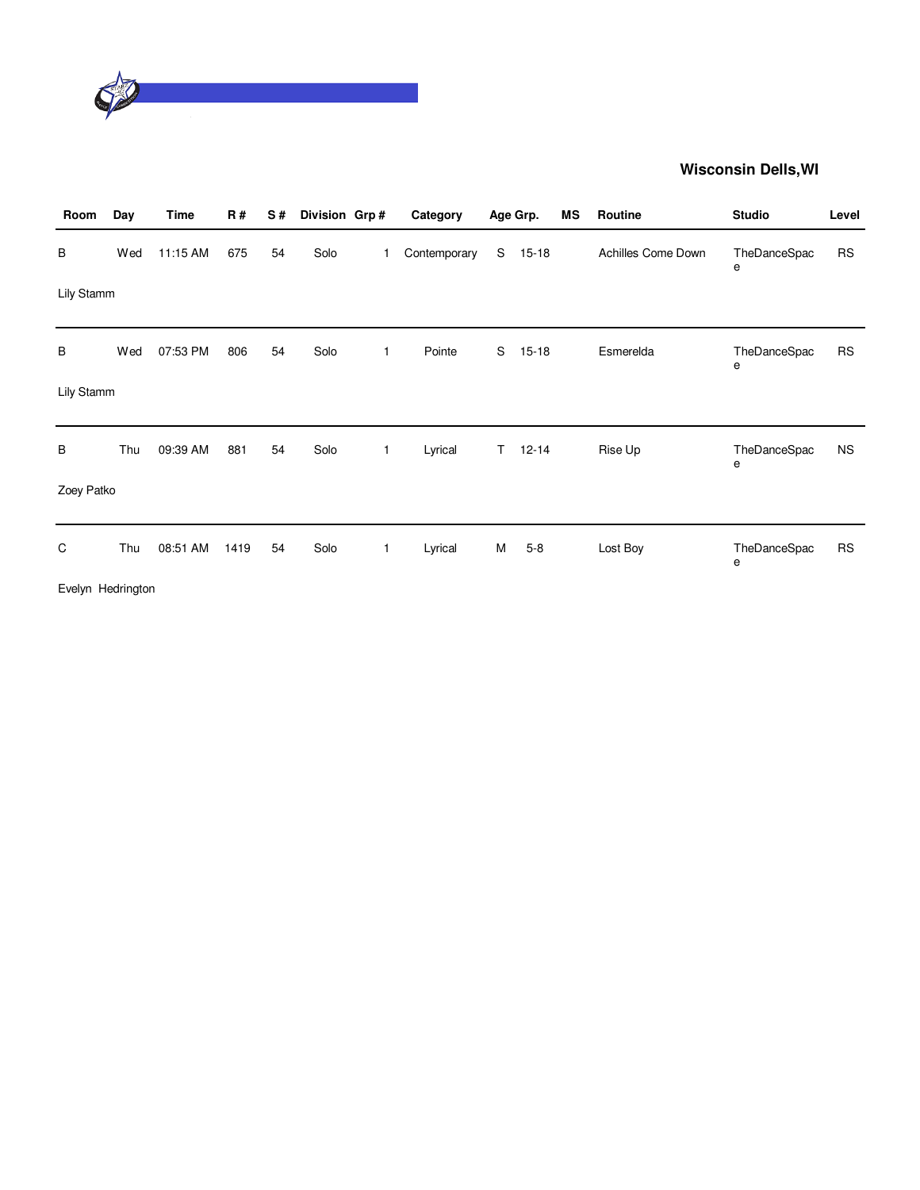

| Room              | Day | Time     | <b>R#</b> | S# | Division Grp# |   | Category     |    | Age Grp.  | MS | Routine            | <b>Studio</b>     | Level     |
|-------------------|-----|----------|-----------|----|---------------|---|--------------|----|-----------|----|--------------------|-------------------|-----------|
| B                 | Wed | 11:15 AM | 675       | 54 | Solo          | 1 | Contemporary | S  | $15 - 18$ |    | Achilles Come Down | TheDanceSpac<br>е | <b>RS</b> |
| Lily Stamm        |     |          |           |    |               |   |              |    |           |    |                    |                   |           |
| B                 | Wed | 07:53 PM | 806       | 54 | Solo          | 1 | Pointe       | S  | $15 - 18$ |    | Esmerelda          | TheDanceSpac<br>е | <b>RS</b> |
| Lily Stamm        |     |          |           |    |               |   |              |    |           |    |                    |                   |           |
| B                 | Thu | 09:39 AM | 881       | 54 | Solo          | 1 | Lyrical      | T. | $12 - 14$ |    | Rise Up            | TheDanceSpac<br>е | <b>NS</b> |
| Zoey Patko        |     |          |           |    |               |   |              |    |           |    |                    |                   |           |
| C                 | Thu | 08:51 AM | 1419      | 54 | Solo          | 1 | Lyrical      | М  | $5 - 8$   |    | Lost Boy           | TheDanceSpac<br>е | <b>RS</b> |
| Evelyn Hedrington |     |          |           |    |               |   |              |    |           |    |                    |                   |           |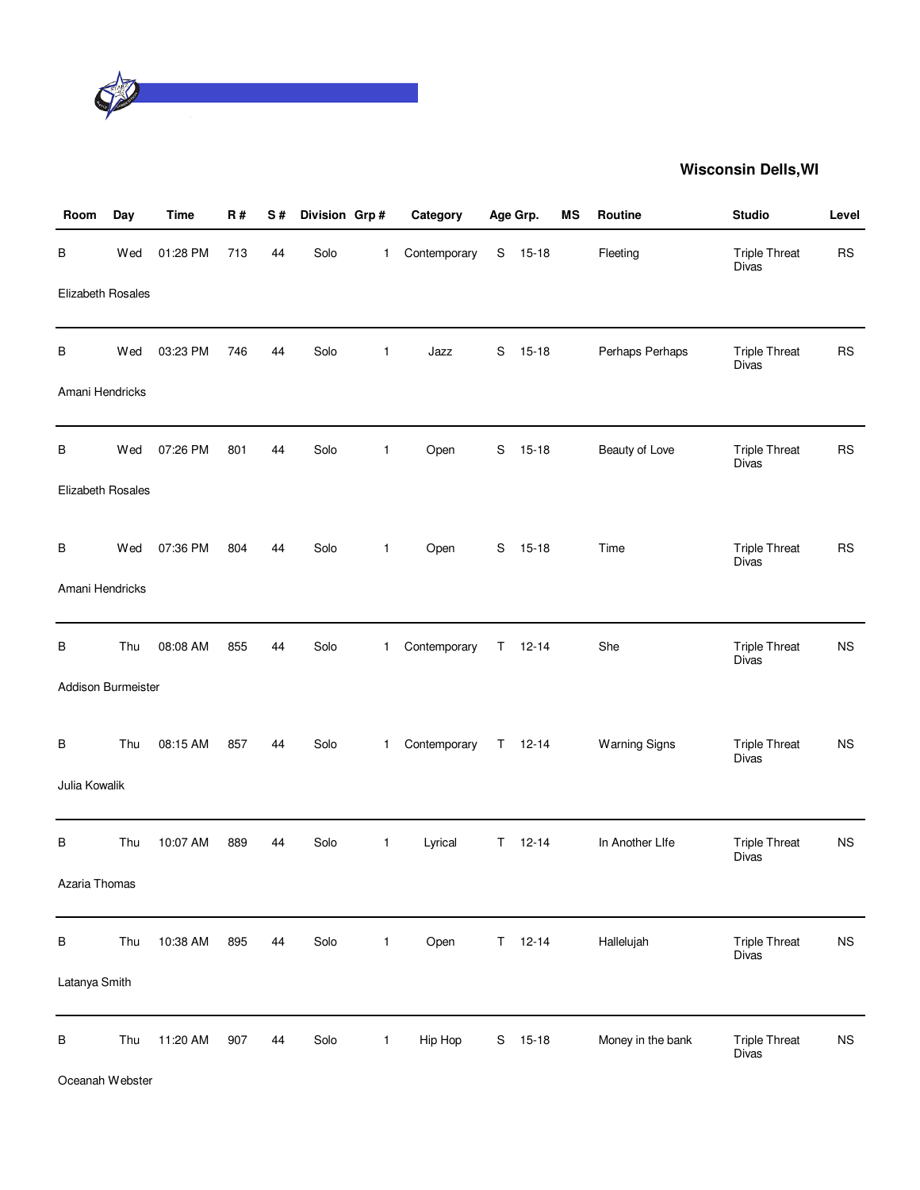

| Room               | Day | <b>Time</b> | R#  | S# | Division Grp # |              | Category     |             | Age Grp.      | <b>MS</b> | Routine              | <b>Studio</b>                        | Level       |
|--------------------|-----|-------------|-----|----|----------------|--------------|--------------|-------------|---------------|-----------|----------------------|--------------------------------------|-------------|
| В                  | Wed | 01:28 PM    | 713 | 44 | Solo           | $\mathbf{1}$ | Contemporary |             | S 15-18       |           | Fleeting             | <b>Triple Threat</b><br><b>Divas</b> | <b>RS</b>   |
| Elizabeth Rosales  |     |             |     |    |                |              |              |             |               |           |                      |                                      |             |
| B                  | Wed | 03:23 PM    | 746 | 44 | Solo           | $\mathbf{1}$ | Jazz         | S           | $15 - 18$     |           | Perhaps Perhaps      | <b>Triple Threat</b><br>Divas        | <b>RS</b>   |
| Amani Hendricks    |     |             |     |    |                |              |              |             |               |           |                      |                                      |             |
| В                  | Wed | 07:26 PM    | 801 | 44 | Solo           | $\mathbf{1}$ | Open         | S           | $15-18$       |           | Beauty of Love       | <b>Triple Threat</b><br>Divas        | <b>RS</b>   |
| Elizabeth Rosales  |     |             |     |    |                |              |              |             |               |           |                      |                                      |             |
| В                  | Wed | 07:36 PM    | 804 | 44 | Solo           | $\mathbf{1}$ | Open         |             | $S$ 15-18     |           | Time                 | <b>Triple Threat</b><br><b>Divas</b> | <b>RS</b>   |
| Amani Hendricks    |     |             |     |    |                |              |              |             |               |           |                      |                                      |             |
| В                  | Thu | 08:08 AM    | 855 | 44 | Solo           | $\mathbf{1}$ | Contemporary | $\mathsf T$ | $12 - 14$     |           | She                  | <b>Triple Threat</b><br><b>Divas</b> | NS          |
| Addison Burmeister |     |             |     |    |                |              |              |             |               |           |                      |                                      |             |
| B                  | Thu | 08:15 AM    | 857 | 44 | Solo           | $\mathbf{1}$ | Contemporary |             | $T = 12-14$   |           | <b>Warning Signs</b> | <b>Triple Threat</b><br><b>Divas</b> | <b>NS</b>   |
| Julia Kowalik      |     |             |     |    |                |              |              |             |               |           |                      |                                      |             |
| В                  | Thu | 10:07 AM    | 889 | 44 | Solo           | $\mathbf{1}$ | Lyrical      |             | $T = 12 - 14$ |           | In Another Life      | <b>Triple Threat</b><br>Divas        | <b>NS</b>   |
| Azaria Thomas      |     |             |     |    |                |              |              |             |               |           |                      |                                      |             |
| B                  | Thu | 10:38 AM    | 895 | 44 | Solo           | $\mathbf{1}$ | Open         |             | $T = 12 - 14$ |           | Hallelujah           | <b>Triple Threat</b><br>Divas        | $_{\rm NS}$ |
| Latanya Smith      |     |             |     |    |                |              |              |             |               |           |                      |                                      |             |
| В                  | Thu | 11:20 AM    | 907 | 44 | Solo           | $\mathbf{1}$ | Hip Hop      | S           | $15 - 18$     |           | Money in the bank    | <b>Triple Threat</b><br>Divas        | $_{\rm NS}$ |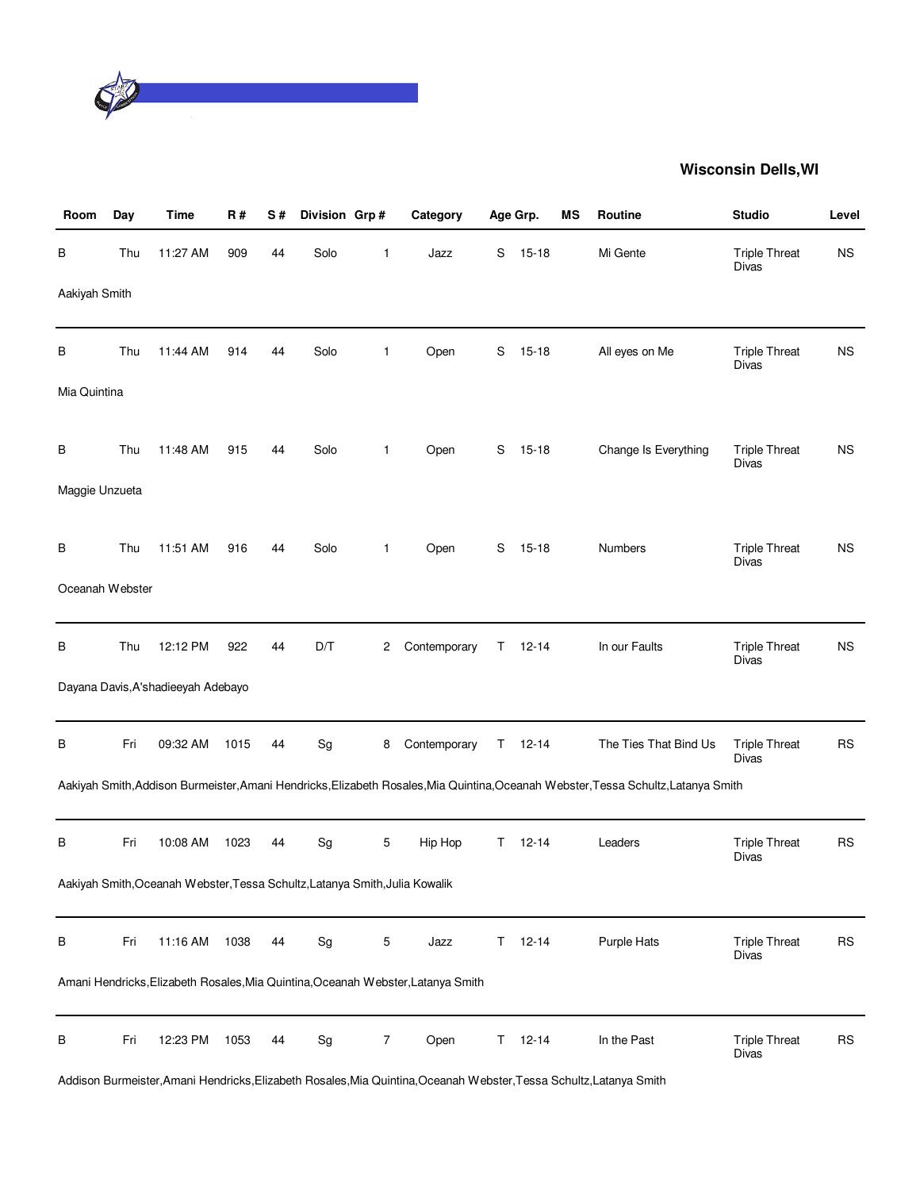

| Room            | Day | <b>Time</b>                                                                 | <b>R#</b> | S# | Division Grp#                |              | Category                                                                         |    | Age Grp.      | MS | Routine                                                                                                                            | <b>Studio</b>                        | Level     |
|-----------------|-----|-----------------------------------------------------------------------------|-----------|----|------------------------------|--------------|----------------------------------------------------------------------------------|----|---------------|----|------------------------------------------------------------------------------------------------------------------------------------|--------------------------------------|-----------|
| В               | Thu | 11:27 AM                                                                    | 909       | 44 | Solo                         | 1            | Jazz                                                                             | S  | $15 - 18$     |    | Mi Gente                                                                                                                           | <b>Triple Threat</b><br>Divas        | <b>NS</b> |
| Aakiyah Smith   |     |                                                                             |           |    |                              |              |                                                                                  |    |               |    |                                                                                                                                    |                                      |           |
| В               | Thu | 11:44 AM                                                                    | 914       | 44 | Solo                         | $\mathbf{1}$ | Open                                                                             | S  | $15 - 18$     |    | All eyes on Me                                                                                                                     | <b>Triple Threat</b><br>Divas        | <b>NS</b> |
| Mia Quintina    |     |                                                                             |           |    |                              |              |                                                                                  |    |               |    |                                                                                                                                    |                                      |           |
| В               | Thu | 11:48 AM                                                                    | 915       | 44 | Solo                         | $\mathbf{1}$ | Open                                                                             | S  | $15 - 18$     |    | Change Is Everything                                                                                                               | <b>Triple Threat</b><br><b>Divas</b> | <b>NS</b> |
| Maggie Unzueta  |     |                                                                             |           |    |                              |              |                                                                                  |    |               |    |                                                                                                                                    |                                      |           |
| В               | Thu | 11:51 AM                                                                    | 916       | 44 | Solo                         | $\mathbf{1}$ | Open                                                                             | S  | $15 - 18$     |    | <b>Numbers</b>                                                                                                                     | <b>Triple Threat</b><br><b>Divas</b> | <b>NS</b> |
| Oceanah Webster |     |                                                                             |           |    |                              |              |                                                                                  |    |               |    |                                                                                                                                    |                                      |           |
| В               | Thu | 12:12 PM                                                                    | 922       | 44 | D/T                          | 2            | Contemporary                                                                     | T. | $12 - 14$     |    | In our Faults                                                                                                                      | <b>Triple Threat</b><br><b>Divas</b> | <b>NS</b> |
|                 |     | Dayana Davis, A'shadieeyah Adebayo                                          |           |    |                              |              |                                                                                  |    |               |    |                                                                                                                                    |                                      |           |
| B               | Fri | 09:32 AM                                                                    | 1015      | 44 | Sg                           | 8            | Contemporary                                                                     |    | $T = 12 - 14$ |    | The Ties That Bind Us                                                                                                              | <b>Triple Threat</b><br>Divas        | <b>RS</b> |
|                 |     |                                                                             |           |    |                              |              |                                                                                  |    |               |    | Aakiyah Smith, Addison Burmeister, Amani Hendricks, Elizabeth Rosales, Mia Quintina, Oceanah Webster, Tessa Schultz, Latanya Smith |                                      |           |
| В               | Fri | 10:08 AM                                                                    | 1023      | 44 | Sg                           | 5            | Hip Hop                                                                          | T  | $12 - 14$     |    | Leaders                                                                                                                            | <b>Triple Threat</b><br>Divas        | <b>RS</b> |
|                 |     | Aakiyah Smith, Oceanah Webster, Tessa Schultz, Latanya Smith, Julia Kowalik |           |    |                              |              |                                                                                  |    |               |    |                                                                                                                                    |                                      |           |
| B               | Fri | 11:16 AM                                                                    | 1038      | 44 | Sg                           | 5            | Jazz                                                                             | Τ  | $12 - 14$     |    | Purple Hats                                                                                                                        | <b>Triple Threat</b><br>Divas        | <b>RS</b> |
|                 |     |                                                                             |           |    |                              |              | Amani Hendricks, Elizabeth Rosales, Mia Quintina, Oceanah Webster, Latanya Smith |    |               |    |                                                                                                                                    |                                      |           |
| В               | Fri | 12:23 PM                                                                    | 1053      | 44 | $\operatorname{\mathsf{Sg}}$ | 7            | Open                                                                             | Τ  | $12 - 14$     |    | In the Past                                                                                                                        | <b>Triple Threat</b><br>Divas        | <b>RS</b> |

Addison Burmeister,Amani Hendricks,Elizabeth Rosales,Mia Quintina,Oceanah Webster,Tessa Schultz,Latanya Smith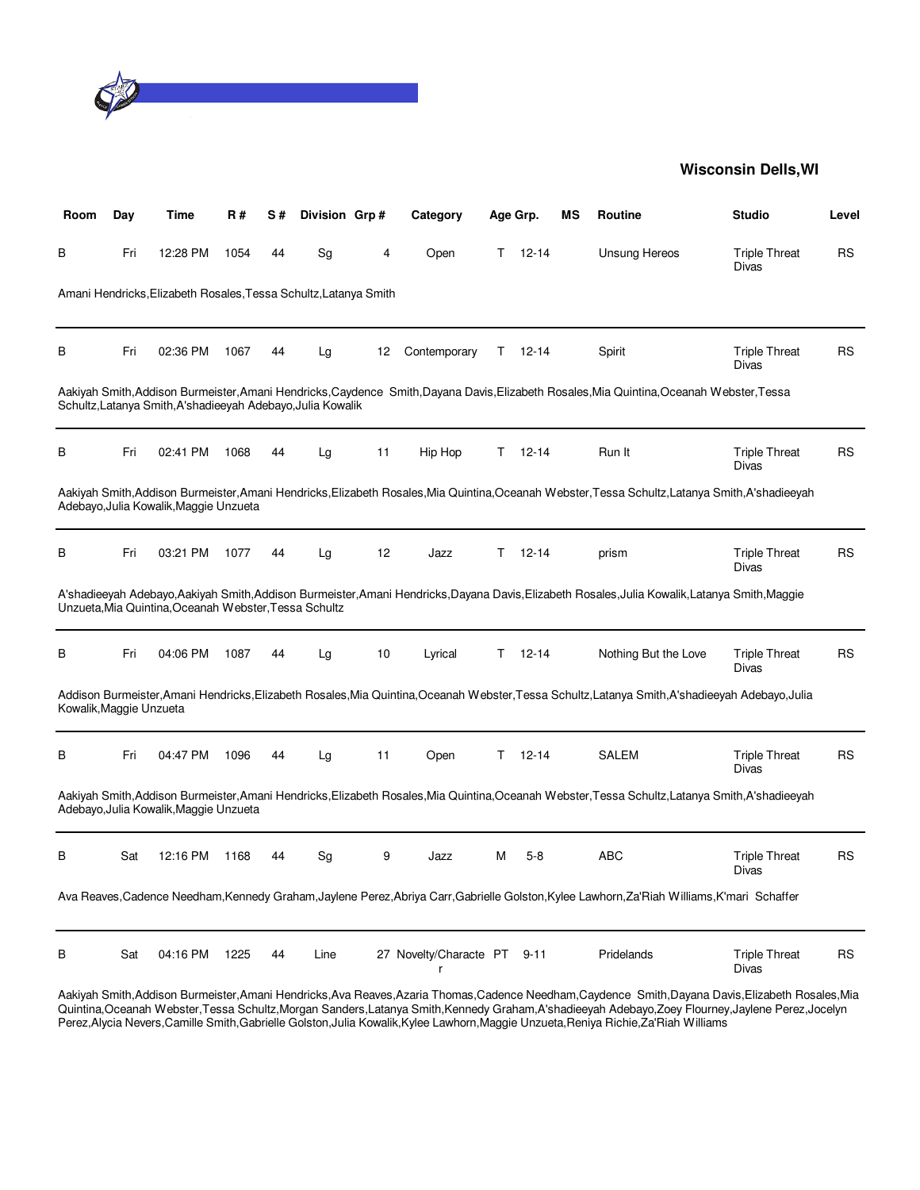

| Room                    | Day | Time                                                             | <b>R#</b> | S# | Division Grp# |    | Category               |    | Age Grp.      | ΜS | Routine                                                                                                                                          | <b>Studio</b>                 | Level     |
|-------------------------|-----|------------------------------------------------------------------|-----------|----|---------------|----|------------------------|----|---------------|----|--------------------------------------------------------------------------------------------------------------------------------------------------|-------------------------------|-----------|
| В                       | Fri | 12:28 PM                                                         | 1054      | 44 | Sg            | 4  | Open                   | T. | $12 - 14$     |    | <b>Unsung Hereos</b>                                                                                                                             | <b>Triple Threat</b><br>Divas | <b>RS</b> |
|                         |     | Amani Hendricks, Elizabeth Rosales, Tessa Schultz, Latanya Smith |           |    |               |    |                        |    |               |    |                                                                                                                                                  |                               |           |
| В                       | Fri | 02:36 PM                                                         | 1067      | 44 | Lg            | 12 | Contemporary           |    | $T = 12 - 14$ |    | Spirit                                                                                                                                           | <b>Triple Threat</b><br>Divas | <b>RS</b> |
|                         |     | Schultz, Latanya Smith, A'shadieeyah Adebayo, Julia Kowalik      |           |    |               |    |                        |    |               |    | Aakiyah Smith, Addison Burmeister, Amani Hendricks, Caydence Smith, Dayana Davis, Elizabeth Rosales, Mia Quintina, Oceanah Webster, Tessa        |                               |           |
| В                       | Fri | 02:41 PM                                                         | 1068      | 44 | Lg            | 11 | Hip Hop                | Τ  | $12 - 14$     |    | Run It                                                                                                                                           | <b>Triple Threat</b><br>Divas | <b>RS</b> |
|                         |     | Adebayo, Julia Kowalik, Maggie Unzueta                           |           |    |               |    |                        |    |               |    | Aakiyah Smith, Addison Burmeister, Amani Hendricks, Elizabeth Rosales, Mia Quintina, Oceanah Webster, Tessa Schultz, Latanya Smith, A'shadieeyah |                               |           |
| В                       | Fri | 03:21 PM                                                         | 1077      | 44 | Lg            | 12 | Jazz                   | T. | $12 - 14$     |    | prism                                                                                                                                            | <b>Triple Threat</b><br>Divas | <b>RS</b> |
|                         |     | Unzueta, Mia Quintina, Oceanah Webster, Tessa Schultz            |           |    |               |    |                        |    |               |    | A'shadieeyah Adebayo,Aakiyah Smith,Addison Burmeister,Amani Hendricks,Dayana Davis,Elizabeth Rosales,Julia Kowalik,Latanya Smith,Maggie          |                               |           |
| В                       | Fri | 04:06 PM                                                         | 1087      | 44 | Lg            | 10 | Lyrical                | T. | $12 - 14$     |    | Nothing But the Love                                                                                                                             | <b>Triple Threat</b><br>Divas | <b>RS</b> |
| Kowalik, Maggie Unzueta |     |                                                                  |           |    |               |    |                        |    |               |    | Addison Burmeister, Amani Hendricks, Elizabeth Rosales, Mia Quintina, Oceanah Webster, Tessa Schultz, Latanya Smith, A'shadieeyah Adebayo, Julia |                               |           |
| В                       | Fri | 04:47 PM                                                         | 1096      | 44 | Lg            | 11 | Open                   | Τ  | 12-14         |    | <b>SALEM</b>                                                                                                                                     | <b>Triple Threat</b><br>Divas | <b>RS</b> |
|                         |     | Adebayo, Julia Kowalik, Maggie Unzueta                           |           |    |               |    |                        |    |               |    | Aakiyah Smith, Addison Burmeister, Amani Hendricks, Elizabeth Rosales, Mia Quintina, Oceanah Webster, Tessa Schultz, Latanya Smith, A'shadieeyah |                               |           |
| B                       | Sat | 12:16 PM                                                         | 1168      | 44 | Sg            | 9  | Jazz                   | м  | $5-8$         |    | <b>ABC</b>                                                                                                                                       | <b>Triple Threat</b><br>Divas | <b>RS</b> |
|                         |     |                                                                  |           |    |               |    |                        |    |               |    | Ava Reaves, Cadence Needham, Kennedy Graham, Jaylene Perez, Abriya Carr, Gabrielle Golston, Kylee Lawhorn, Za'Riah Williams, K'mari Schaffer     |                               |           |
| В                       | Sat | 04:16 PM                                                         | 1225      | 44 | Line          |    | 27 Novelty/Characte PT |    | $9 - 11$      |    | Pridelands                                                                                                                                       | <b>Triple Threat</b><br>Divas | <b>RS</b> |

Aakiyah Smith,Addison Burmeister,Amani Hendricks,Ava Reaves,Azaria Thomas,Cadence Needham,Caydence Smith,Dayana Davis,Elizabeth Rosales,Mia Quintina,Oceanah Webster,Tessa Schultz,Morgan Sanders,Latanya Smith,Kennedy Graham,A'shadieeyah Adebayo,Zoey Flourney,Jaylene Perez,Jocelyn Perez,Alycia Nevers,Camille Smith,Gabrielle Golston,Julia Kowalik,Kylee Lawhorn,Maggie Unzueta,Reniya Richie,Za'Riah Williams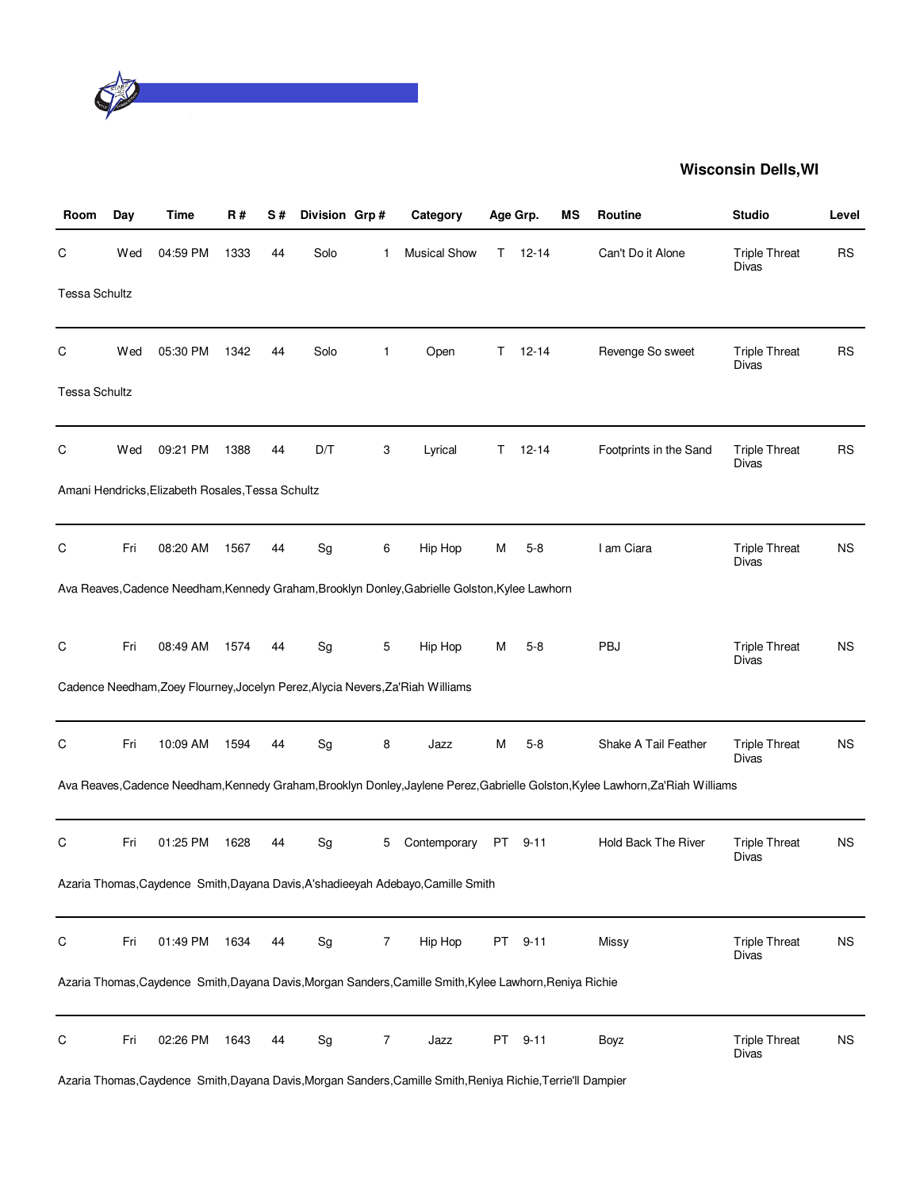

| Room                 | Day | Time                                              | <b>R#</b> | S# | Division Grp# |              | Category                                                                                                 |    | Age Grp.  | ΜS | Routine                                                                                                                         | <b>Studio</b>                        | Level     |
|----------------------|-----|---------------------------------------------------|-----------|----|---------------|--------------|----------------------------------------------------------------------------------------------------------|----|-----------|----|---------------------------------------------------------------------------------------------------------------------------------|--------------------------------------|-----------|
| С                    | Wed | 04:59 PM                                          | 1333      | 44 | Solo          | 1            | <b>Musical Show</b>                                                                                      | T. | $12 - 14$ |    | Can't Do it Alone                                                                                                               | <b>Triple Threat</b><br>Divas        | <b>RS</b> |
| <b>Tessa Schultz</b> |     |                                                   |           |    |               |              |                                                                                                          |    |           |    |                                                                                                                                 |                                      |           |
| С                    | Wed | 05:30 PM                                          | 1342      | 44 | Solo          | $\mathbf{1}$ | Open                                                                                                     | T. | $12 - 14$ |    | Revenge So sweet                                                                                                                | <b>Triple Threat</b><br>Divas        | <b>RS</b> |
| Tessa Schultz        |     |                                                   |           |    |               |              |                                                                                                          |    |           |    |                                                                                                                                 |                                      |           |
| С                    | Wed | 09:21 PM                                          | 1388      | 44 | D/T           | 3            | Lyrical                                                                                                  | T. | $12 - 14$ |    | Footprints in the Sand                                                                                                          | <b>Triple Threat</b><br>Divas        | <b>RS</b> |
|                      |     | Amani Hendricks, Elizabeth Rosales, Tessa Schultz |           |    |               |              |                                                                                                          |    |           |    |                                                                                                                                 |                                      |           |
| С                    | Fri | 08:20 AM                                          | 1567      | 44 | Sg            | 6            | Hip Hop                                                                                                  | М  | $5 - 8$   |    | I am Ciara                                                                                                                      | <b>Triple Threat</b><br>Divas        | <b>NS</b> |
|                      |     |                                                   |           |    |               |              | Ava Reaves, Cadence Needham, Kennedy Graham, Brooklyn Donley, Gabrielle Golston, Kylee Lawhorn           |    |           |    |                                                                                                                                 |                                      |           |
| C                    | Fri | 08:49 AM                                          | 1574      | 44 | Sg            | 5            | Hip Hop                                                                                                  | м  | $5-8$     |    | PBJ                                                                                                                             | <b>Triple Threat</b><br><b>Divas</b> | <b>NS</b> |
|                      |     |                                                   |           |    |               |              | Cadence Needham, Zoey Flourney, Jocelyn Perez, Alycia Nevers, Za' Riah Williams                          |    |           |    |                                                                                                                                 |                                      |           |
| С                    | Fri | 10:09 AM                                          | 1594      | 44 | Sg            | 8            | Jazz                                                                                                     | м  | $5-8$     |    | Shake A Tail Feather                                                                                                            | <b>Triple Threat</b><br>Divas        | <b>NS</b> |
|                      |     |                                                   |           |    |               |              |                                                                                                          |    |           |    | Ava Reaves, Cadence Needham, Kennedy Graham, Brooklyn Donley, Jaylene Perez, Gabrielle Golston, Kylee Lawhorn, Za'Riah Williams |                                      |           |
| С                    | Fri | 01:25 PM                                          | 1628      | 44 | Sg            | 5            | Contemporary                                                                                             | PT | $9 - 11$  |    | <b>Hold Back The River</b>                                                                                                      | <b>Triple Threat</b><br>Divas        | <b>NS</b> |
|                      |     |                                                   |           |    |               |              | Azaria Thomas, Caydence Smith, Dayana Davis, A'shadieeyah Adebayo, Camille Smith                         |    |           |    |                                                                                                                                 |                                      |           |
| С                    | Fri | 01:49 PM                                          | 1634      | 44 | Sg            | 7            | Hip Hop                                                                                                  | PT | $9 - 11$  |    | Missy                                                                                                                           | <b>Triple Threat</b><br><b>Divas</b> | <b>NS</b> |
|                      |     |                                                   |           |    |               |              | Azaria Thomas, Caydence Smith, Dayana Davis, Morgan Sanders, Camille Smith, Kylee Lawhorn, Reniya Richie |    |           |    |                                                                                                                                 |                                      |           |
| C                    | Fri | 02:26 PM                                          | 1643      | 44 | Sg            | 7            | Jazz                                                                                                     | PT | $9 - 11$  |    | Boyz                                                                                                                            | <b>Triple Threat</b><br>Divas        | <b>NS</b> |

Azaria Thomas,Caydence Smith,Dayana Davis,Morgan Sanders,Camille Smith,Reniya Richie,Terrie'll Dampier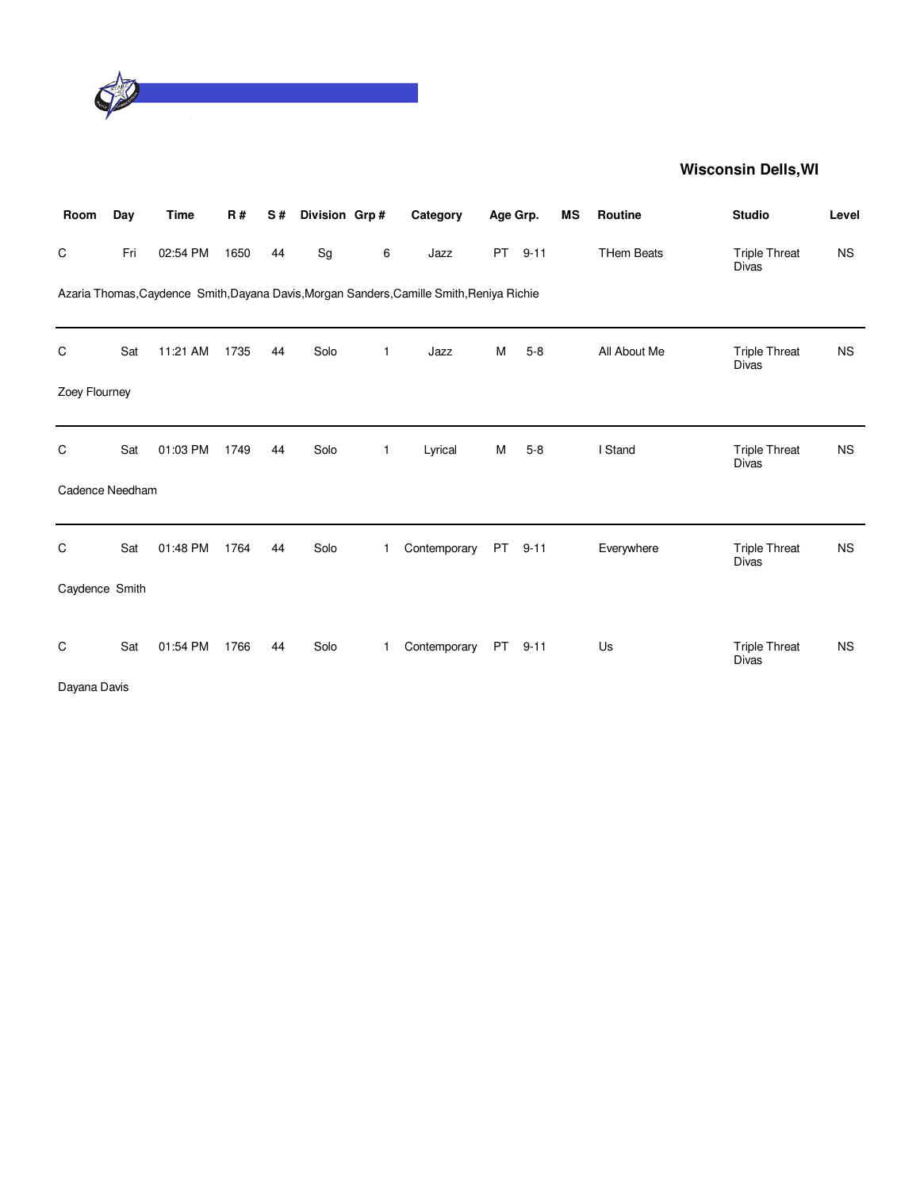

| Room            | Day | <b>Time</b> | <b>R#</b> | S# | Division Grp# |              | Category                                                                                  | Age Grp.  |          | MS | Routine           | <b>Studio</b>                        | Level     |
|-----------------|-----|-------------|-----------|----|---------------|--------------|-------------------------------------------------------------------------------------------|-----------|----------|----|-------------------|--------------------------------------|-----------|
| C               | Fri | 02:54 PM    | 1650      | 44 | Sg            | 6            | Jazz                                                                                      | <b>PT</b> | $9 - 11$ |    | <b>THem Beats</b> | <b>Triple Threat</b><br><b>Divas</b> | <b>NS</b> |
|                 |     |             |           |    |               |              | Azaria Thomas, Caydence Smith, Dayana Davis, Morgan Sanders, Camille Smith, Reniya Richie |           |          |    |                   |                                      |           |
| C               | Sat | 11:21 AM    | 1735      | 44 | Solo          | $\mathbf{1}$ | Jazz                                                                                      | M         | $5 - 8$  |    | All About Me      | <b>Triple Threat</b><br><b>Divas</b> | <b>NS</b> |
| Zoey Flourney   |     |             |           |    |               |              |                                                                                           |           |          |    |                   |                                      |           |
| C               | Sat | 01:03 PM    | 1749      | 44 | Solo          | $\mathbf{1}$ | Lyrical                                                                                   | М         | $5 - 8$  |    | I Stand           | <b>Triple Threat</b><br>Divas        | <b>NS</b> |
| Cadence Needham |     |             |           |    |               |              |                                                                                           |           |          |    |                   |                                      |           |
| C               | Sat | 01:48 PM    | 1764      | 44 | Solo          | $\mathbf{1}$ | Contemporary                                                                              | PT        | $9 - 11$ |    | Everywhere        | <b>Triple Threat</b><br><b>Divas</b> | <b>NS</b> |
| Caydence Smith  |     |             |           |    |               |              |                                                                                           |           |          |    |                   |                                      |           |
| C               | Sat | 01:54 PM    | 1766      | 44 | Solo          | 1            | Contemporary                                                                              |           | PT 9-11  |    | Us                | <b>Triple Threat</b><br><b>Divas</b> | <b>NS</b> |
| Dayana Davis    |     |             |           |    |               |              |                                                                                           |           |          |    |                   |                                      |           |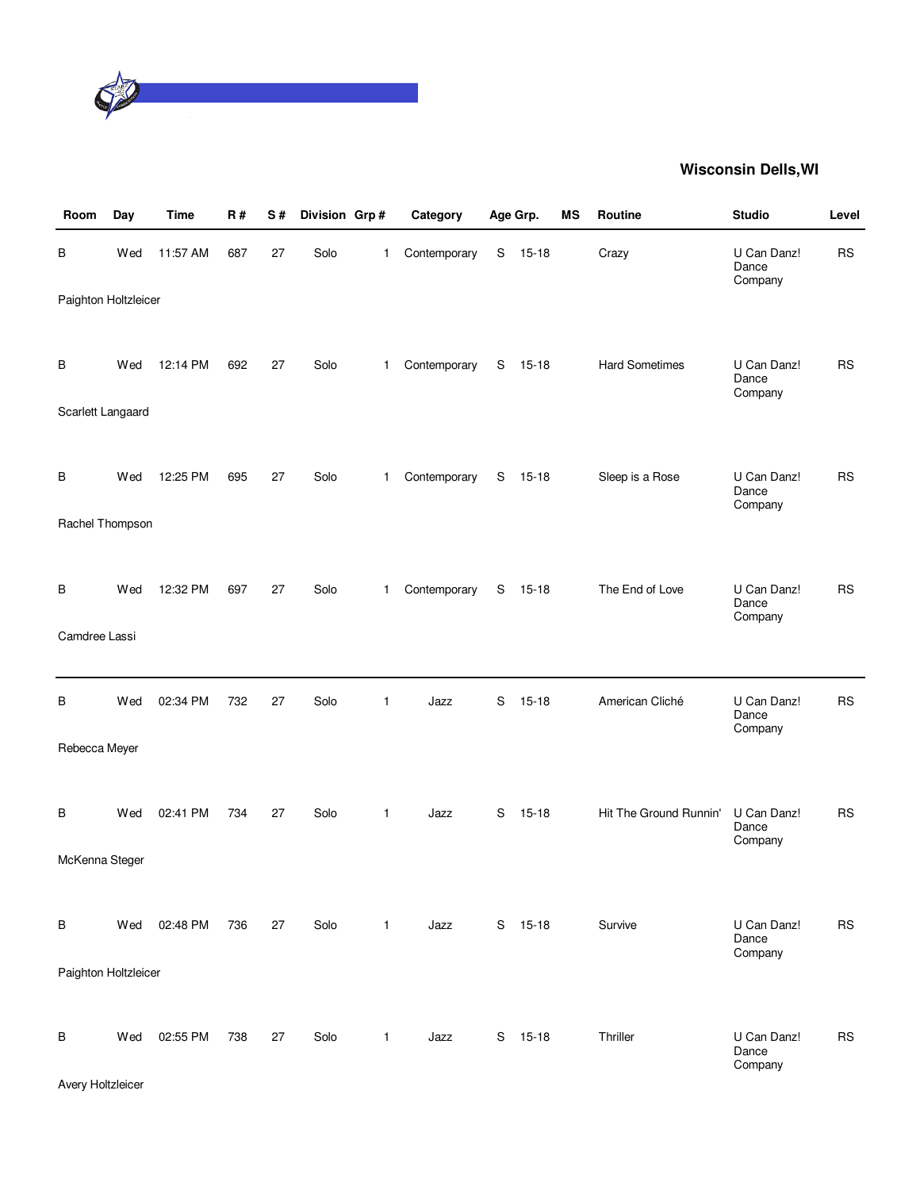

| Room                 | Day | <b>Time</b> | <b>R#</b> | S# | Division Grp# |              | Category     |   | Age Grp.  | MS | Routine                | <b>Studio</b>                   | Level     |
|----------------------|-----|-------------|-----------|----|---------------|--------------|--------------|---|-----------|----|------------------------|---------------------------------|-----------|
| В                    | Wed | 11:57 AM    | 687       | 27 | Solo          | 1            | Contemporary | S | 15-18     |    | Crazy                  | U Can Danz!<br>Dance<br>Company | <b>RS</b> |
| Paighton Holtzleicer |     |             |           |    |               |              |              |   |           |    |                        |                                 |           |
| в                    | Wed | 12:14 PM    | 692       | 27 | Solo          | $\mathbf{1}$ | Contemporary | S | $15 - 18$ |    | <b>Hard Sometimes</b>  | U Can Danz!<br>Dance            | <b>RS</b> |
| Scarlett Langaard    |     |             |           |    |               |              |              |   |           |    |                        | Company                         |           |
|                      |     |             |           |    |               |              |              |   |           |    |                        |                                 |           |
| в                    | Wed | 12:25 PM    | 695       | 27 | Solo          | $\mathbf{1}$ | Contemporary | S | 15-18     |    | Sleep is a Rose        | U Can Danz!<br>Dance<br>Company | <b>RS</b> |
| Rachel Thompson      |     |             |           |    |               |              |              |   |           |    |                        |                                 |           |
|                      |     |             |           |    |               |              |              |   |           |    |                        |                                 |           |
| В                    | Wed | 12:32 PM    | 697       | 27 | Solo          | $\mathbf{1}$ | Contemporary | S | $15 - 18$ |    | The End of Love        | U Can Danz!<br>Dance<br>Company | <b>RS</b> |
| Camdree Lassi        |     |             |           |    |               |              |              |   |           |    |                        |                                 |           |
|                      |     |             |           |    |               |              |              |   |           |    |                        |                                 |           |
| В                    | Wed | 02:34 PM    | 732       | 27 | Solo          | 1            | Jazz         | S | $15 - 18$ |    | American Cliché        | U Can Danz!<br>Dance<br>Company | <b>RS</b> |
| Rebecca Meyer        |     |             |           |    |               |              |              |   |           |    |                        |                                 |           |
|                      |     |             |           |    |               |              |              |   |           |    |                        |                                 |           |
| в                    | Wed | 02:41 PM    | 734       | 27 | Solo          | $\mathbf{1}$ | Jazz         | S | 15-18     |    | Hit The Ground Runnin' | U Can Danz!<br>Dance            | <b>RS</b> |
| McKenna Steger       |     |             |           |    |               |              |              |   |           |    |                        | Company                         |           |
|                      |     |             |           |    |               |              |              |   |           |    |                        |                                 |           |
| В                    | Wed | 02:48 PM    | 736       | 27 | Solo          | $\mathbf{1}$ | Jazz         |   | S 15-18   |    | Survive                | U Can Danz!<br>Dance            | <b>RS</b> |
| Paighton Holtzleicer |     |             |           |    |               |              |              |   |           |    |                        | Company                         |           |
|                      |     |             |           |    |               |              |              |   |           |    |                        |                                 |           |
| В                    | Wed | 02:55 PM    | 738       | 27 | Solo          | $\mathbf{1}$ | Jazz         |   | S 15-18   |    | Thriller               | U Can Danz!<br>Dance            | <b>RS</b> |
|                      |     |             |           |    |               |              |              |   |           |    |                        | Company                         |           |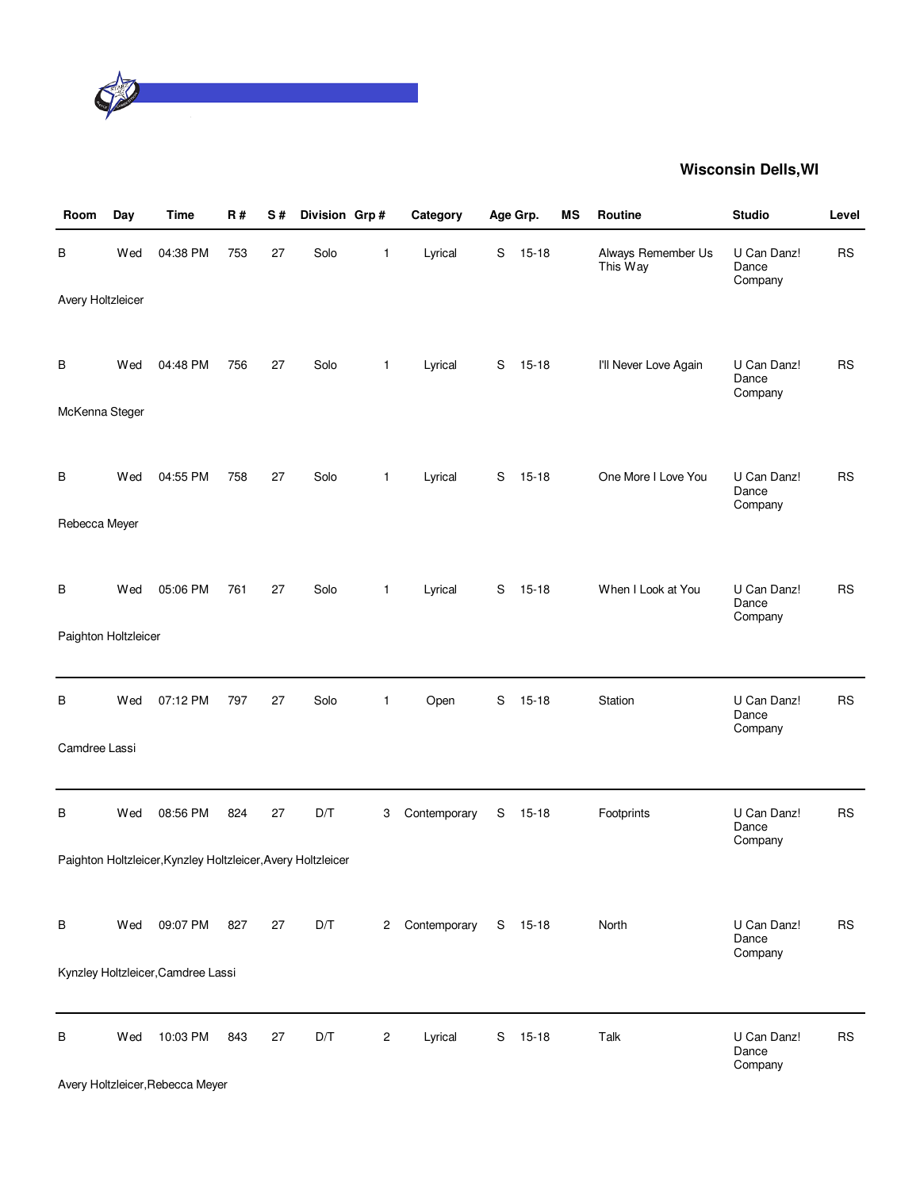

| Room                 | Day | <b>Time</b>                                                  | <b>R#</b> | S# | Division Grp#           |                | Category     |   | Age Grp.  | MS | Routine                        | <b>Studio</b>                   | Level     |
|----------------------|-----|--------------------------------------------------------------|-----------|----|-------------------------|----------------|--------------|---|-----------|----|--------------------------------|---------------------------------|-----------|
| В                    | Wed | 04:38 PM                                                     | 753       | 27 | Solo                    | 1              | Lyrical      | S | $15 - 18$ |    | Always Remember Us<br>This Way | U Can Danz!<br>Dance<br>Company | <b>RS</b> |
| Avery Holtzleicer    |     |                                                              |           |    |                         |                |              |   |           |    |                                |                                 |           |
|                      |     |                                                              |           |    |                         |                |              |   |           |    |                                |                                 |           |
| в                    | Wed | 04:48 PM                                                     | 756       | 27 | Solo                    | $\mathbf{1}$   | Lyrical      | S | $15 - 18$ |    | I'll Never Love Again          | U Can Danz!<br>Dance<br>Company | <b>RS</b> |
| McKenna Steger       |     |                                                              |           |    |                         |                |              |   |           |    |                                |                                 |           |
|                      |     |                                                              |           |    |                         |                |              |   |           |    |                                |                                 |           |
| в                    | Wed | 04:55 PM                                                     | 758       | 27 | Solo                    | $\mathbf{1}$   | Lyrical      | S | $15-18$   |    | One More I Love You            | U Can Danz!<br>Dance<br>Company | <b>RS</b> |
| Rebecca Meyer        |     |                                                              |           |    |                         |                |              |   |           |    |                                |                                 |           |
|                      |     |                                                              |           |    |                         |                |              |   |           |    |                                |                                 |           |
| В                    | Wed | 05:06 PM                                                     | 761       | 27 | Solo                    | $\mathbf{1}$   | Lyrical      | S | $15 - 18$ |    | When I Look at You             | U Can Danz!<br>Dance<br>Company | <b>RS</b> |
| Paighton Holtzleicer |     |                                                              |           |    |                         |                |              |   |           |    |                                |                                 |           |
|                      |     |                                                              |           |    |                         |                |              |   |           |    |                                |                                 |           |
| В                    | Wed | 07:12 PM                                                     | 797       | 27 | Solo                    | $\mathbf{1}$   | Open         | S | $15 - 18$ |    | Station                        | U Can Danz!<br>Dance<br>Company | <b>RS</b> |
| Camdree Lassi        |     |                                                              |           |    |                         |                |              |   |           |    |                                |                                 |           |
|                      |     |                                                              |           |    |                         |                |              |   |           |    |                                |                                 |           |
| В                    | Wed | 08:56 PM                                                     | 824       | 27 | $\mathsf{D}/\mathsf{T}$ | 3              | Contemporary | S | $15 - 18$ |    | Footprints                     | U Can Danz!<br>Dance<br>Company | <b>RS</b> |
|                      |     | Paighton Holtzleicer, Kynzley Holtzleicer, Avery Holtzleicer |           |    |                         |                |              |   |           |    |                                |                                 |           |
|                      |     |                                                              |           |    |                         |                |              |   |           |    |                                |                                 |           |
| В                    | Wed | 09:07 PM                                                     | 827       | 27 | D/T                     | $\mathbf{2}$   | Contemporary |   | S 15-18   |    | North                          | U Can Danz!<br>Dance            | <b>RS</b> |
|                      |     | Kynzley Holtzleicer, Camdree Lassi                           |           |    |                         |                |              |   |           |    |                                | Company                         |           |
|                      |     |                                                              |           |    |                         |                |              |   |           |    |                                |                                 |           |
| В                    | Wed | 10:03 PM                                                     | 843       | 27 | D/T                     | $\overline{c}$ | Lyrical      | S | $15 - 18$ |    | Talk                           | U Can Danz!                     | <b>RS</b> |
|                      |     |                                                              |           |    |                         |                |              |   |           |    |                                | Dance<br>Company                |           |

Avery Holtzleicer,Rebecca Meyer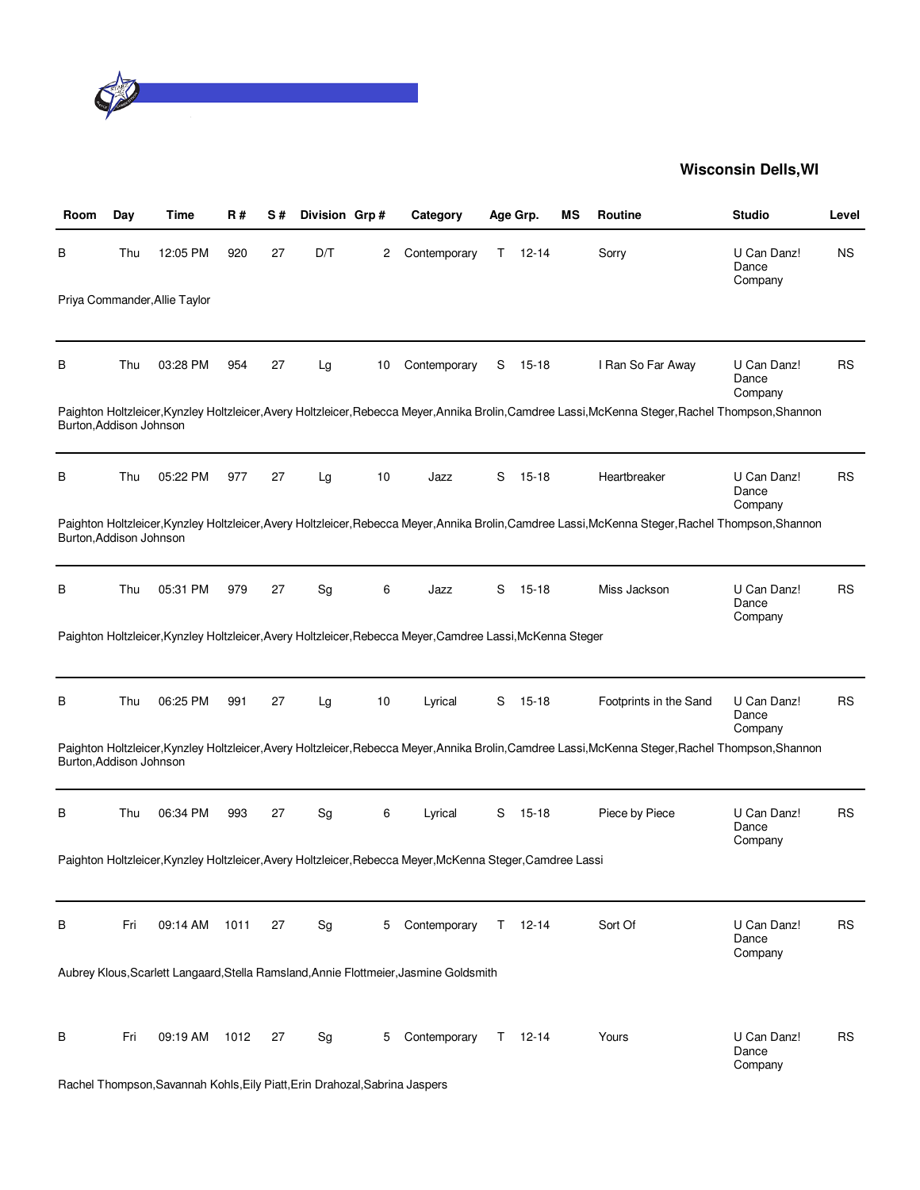

| Room                    | Day | Time                                                                        | R#   | S# | Division Grp# |    | Category                                                                                                   |    | Age Grp.      | ΜS | Routine                                                                                                                                             | <b>Studio</b>                   | Level     |
|-------------------------|-----|-----------------------------------------------------------------------------|------|----|---------------|----|------------------------------------------------------------------------------------------------------------|----|---------------|----|-----------------------------------------------------------------------------------------------------------------------------------------------------|---------------------------------|-----------|
| в                       | Thu | 12:05 PM                                                                    | 920  | 27 | D/T           | 2  | Contemporary                                                                                               | T. | $12 - 14$     |    | Sorry                                                                                                                                               | U Can Danz!<br>Dance<br>Company | <b>NS</b> |
|                         |     | Priya Commander, Allie Taylor                                               |      |    |               |    |                                                                                                            |    |               |    |                                                                                                                                                     |                                 |           |
| В                       | Thu | 03:28 PM                                                                    | 954  | 27 | Lg            | 10 | Contemporary                                                                                               | S  | $15 - 18$     |    | I Ran So Far Away                                                                                                                                   | U Can Danz!<br>Dance<br>Company | RS        |
| Burton, Addison Johnson |     |                                                                             |      |    |               |    |                                                                                                            |    |               |    | Paighton Holtzleicer, Kynzley Holtzleicer, Avery Holtzleicer, Rebecca Meyer, Annika Brolin, Camdree Lassi, McKenna Steger, Rachel Thompson, Shannon |                                 |           |
| в                       | Thu | 05:22 PM                                                                    | 977  | 27 | Lg            | 10 | Jazz                                                                                                       | S  | $15 - 18$     |    | Heartbreaker                                                                                                                                        | U Can Danz!<br>Dance<br>Company | RS        |
| Burton, Addison Johnson |     |                                                                             |      |    |               |    |                                                                                                            |    |               |    | Paighton Holtzleicer, Kynzley Holtzleicer, Avery Holtzleicer, Rebecca Meyer, Annika Brolin, Camdree Lassi, McKenna Steger, Rachel Thompson, Shannon |                                 |           |
| в                       | Thu | 05:31 PM                                                                    | 979  | 27 | Sg            | 6  | Jazz                                                                                                       | S  | $15 - 18$     |    | Miss Jackson                                                                                                                                        | U Can Danz!<br>Dance<br>Company | RS        |
|                         |     |                                                                             |      |    |               |    | Paighton Holtzleicer, Kynzley Holtzleicer, Avery Holtzleicer, Rebecca Meyer, Camdree Lassi, McKenna Steger |    |               |    |                                                                                                                                                     |                                 |           |
| В                       | Thu | 06:25 PM                                                                    | 991  | 27 | Lg            | 10 | Lyrical                                                                                                    | S  | 15-18         |    | Footprints in the Sand                                                                                                                              | U Can Danz!<br>Dance<br>Company | RS        |
| Burton, Addison Johnson |     |                                                                             |      |    |               |    |                                                                                                            |    |               |    | Paighton Holtzleicer, Kynzley Holtzleicer, Avery Holtzleicer, Rebecca Meyer, Annika Brolin, Camdree Lassi, McKenna Steger, Rachel Thompson, Shannon |                                 |           |
| В                       | Thu | 06:34 PM                                                                    | 993  | 27 | Sg            | 6  | Lyrical                                                                                                    | S  | $15 - 18$     |    | Piece by Piece                                                                                                                                      | U Can Danz!<br>Dance<br>Company | RS        |
|                         |     |                                                                             |      |    |               |    | Paighton Holtzleicer, Kynzley Holtzleicer, Avery Holtzleicer, Rebecca Meyer, McKenna Steger, Camdree Lassi |    |               |    |                                                                                                                                                     |                                 |           |
| В                       | Fri | 09:14 AM                                                                    | 1011 | 27 | Sg            | 5  | Contemporary                                                                                               |    | $T = 12 - 14$ |    | Sort Of                                                                                                                                             | U Can Danz!<br>Dance<br>Company | RS        |
|                         |     |                                                                             |      |    |               |    | Aubrey Klous, Scarlett Langaard, Stella Ramsland, Annie Flottmeier, Jasmine Goldsmith                      |    |               |    |                                                                                                                                                     |                                 |           |
| В                       | Fri | 09:19 AM                                                                    | 1012 | 27 | Sg            | 5  | Contemporary                                                                                               |    | $T = 12 - 14$ |    | Yours                                                                                                                                               | U Can Danz!<br>Dance<br>Company | RS        |
|                         |     | Rachel Thompson, Savannah Kohls, Eily Piatt, Erin Drahozal, Sabrina Jaspers |      |    |               |    |                                                                                                            |    |               |    |                                                                                                                                                     |                                 |           |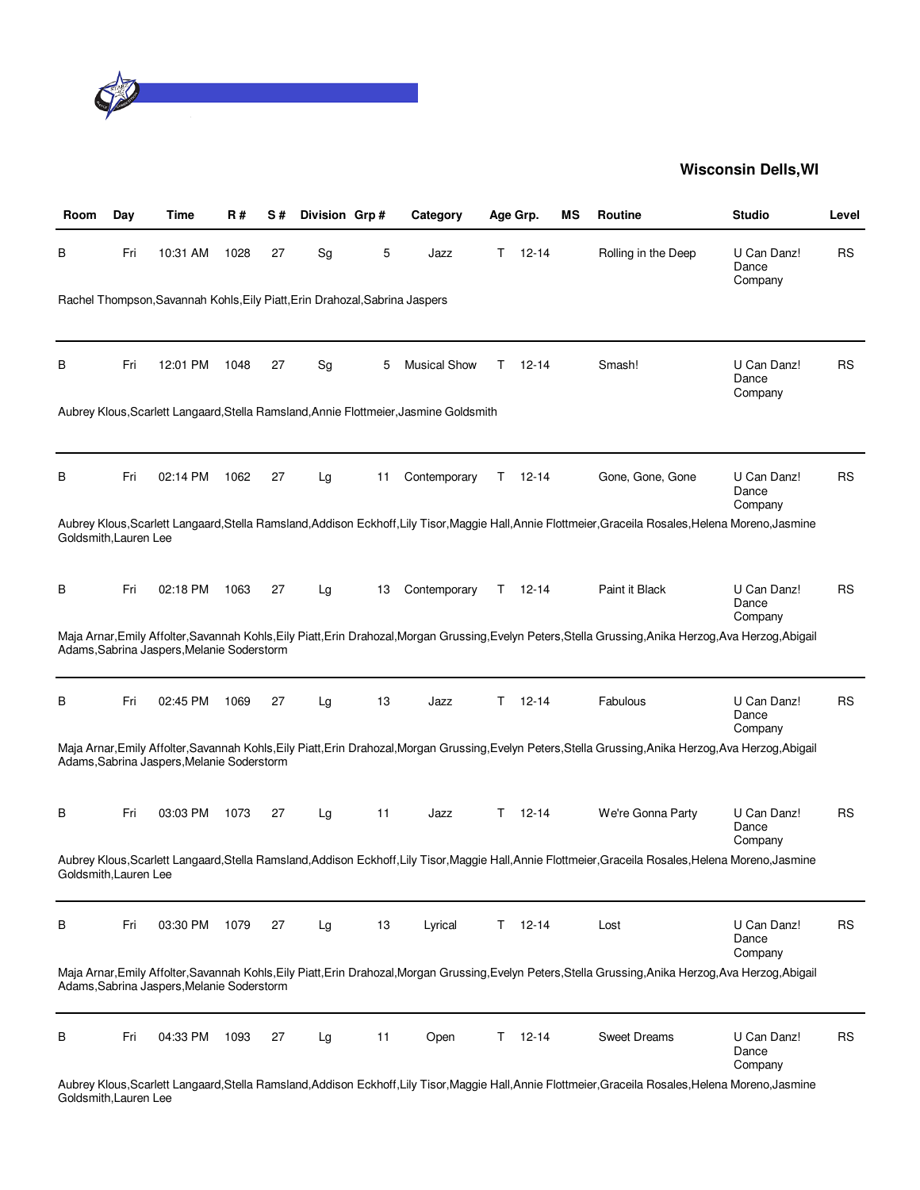

| Room                  | Day | Time                                                                        | R#   | S# | Division Grp# |    | Category                                                                              |    | Age Grp.  | ΜS | <b>Routine</b>                                                                                                                                            | <b>Studio</b>                   | Level     |
|-----------------------|-----|-----------------------------------------------------------------------------|------|----|---------------|----|---------------------------------------------------------------------------------------|----|-----------|----|-----------------------------------------------------------------------------------------------------------------------------------------------------------|---------------------------------|-----------|
| в                     | Fri | 10:31 AM                                                                    | 1028 | 27 | Sg            | 5  | Jazz                                                                                  | Τ  | 12-14     |    | Rolling in the Deep                                                                                                                                       | U Can Danz!<br>Dance<br>Company | <b>RS</b> |
|                       |     | Rachel Thompson, Savannah Kohls, Eily Piatt, Erin Drahozal, Sabrina Jaspers |      |    |               |    |                                                                                       |    |           |    |                                                                                                                                                           |                                 |           |
| В                     | Fri | 12:01 PM                                                                    | 1048 | 27 | Sg            | 5  | <b>Musical Show</b>                                                                   | Τ  | 12-14     |    | Smash!                                                                                                                                                    | U Can Danz!<br>Dance<br>Company | <b>RS</b> |
|                       |     |                                                                             |      |    |               |    | Aubrey Klous, Scarlett Langaard, Stella Ramsland, Annie Flottmeier, Jasmine Goldsmith |    |           |    |                                                                                                                                                           |                                 |           |
| В                     | Fri | 02:14 PM                                                                    | 1062 | 27 | Lg            | 11 | Contemporary                                                                          | T. | 12-14     |    | Gone, Gone, Gone                                                                                                                                          | U Can Danz!<br>Dance<br>Company | <b>RS</b> |
| Goldsmith, Lauren Lee |     |                                                                             |      |    |               |    |                                                                                       |    |           |    | Aubrey Klous, Scarlett Langaard, Stella Ramsland, Addison Eckhoff, Lily Tisor, Maggie Hall, Annie Flottmeier, Graceila Rosales, Helena Moreno, Jasmine    |                                 |           |
| В                     | Fri | 02:18 PM                                                                    | 1063 | 27 | Lg            | 13 | Contemporary                                                                          | T. | $12-14$   |    | Paint it Black                                                                                                                                            | U Can Danz!<br>Dance<br>Company | RS        |
|                       |     | Adams, Sabrina Jaspers, Melanie Soderstorm                                  |      |    |               |    |                                                                                       |    |           |    | Maja Arnar, Emily Affolter, Savannah Kohls, Eily Piatt, Erin Drahozal, Morgan Grussing, Evelyn Peters, Stella Grussing, Anika Herzog, Ava Herzog, Abigail |                                 |           |
| В                     | Fri | 02:45 PM                                                                    | 1069 | 27 | Lg            | 13 | Jazz                                                                                  | T. | 12-14     |    | Fabulous                                                                                                                                                  | U Can Danz!<br>Dance<br>Company | RS        |
|                       |     | Adams, Sabrina Jaspers, Melanie Soderstorm                                  |      |    |               |    |                                                                                       |    |           |    | Maja Arnar,Emily Affolter,Savannah Kohls,Eily Piatt,Erin Drahozal,Morgan Grussing,Evelyn Peters,Stella Grussing,Anika Herzog,Ava Herzog,Abigail           |                                 |           |
| в                     | Fri | 03:03 PM                                                                    | 1073 | 27 | Lg            | 11 | Jazz                                                                                  | T. | $12 - 14$ |    | We're Gonna Party                                                                                                                                         | U Can Danz!<br>Dance<br>Company | <b>RS</b> |
| Goldsmith, Lauren Lee |     |                                                                             |      |    |               |    |                                                                                       |    |           |    | Aubrey Klous, Scarlett Langaard, Stella Ramsland, Addison Eckhoff, Lily Tisor, Maggie Hall, Annie Flottmeier, Graceila Rosales, Helena Moreno, Jasmine    |                                 |           |
| В                     | Fri | 03:30 PM                                                                    | 1079 | 27 | Lg            | 13 | Lyrical                                                                               | T. | $12 - 14$ |    | Lost                                                                                                                                                      | U Can Danz!<br>Dance<br>Company | <b>RS</b> |
|                       |     | Adams, Sabrina Jaspers, Melanie Soderstorm                                  |      |    |               |    |                                                                                       |    |           |    | Maja Arnar, Emily Affolter, Savannah Kohls, Eily Piatt, Erin Drahozal, Morgan Grussing, Evelyn Peters, Stella Grussing, Anika Herzog, Ava Herzog, Abigail |                                 |           |
| В                     | Fri | 04:33 PM                                                                    | 1093 | 27 | Lg            | 11 | Open                                                                                  | T. | $12 - 14$ |    | <b>Sweet Dreams</b>                                                                                                                                       | U Can Danz!<br>Dance<br>Company | <b>RS</b> |
|                       |     |                                                                             |      |    |               |    |                                                                                       |    |           |    | Aubrey Klous, Scarlett Langaard, Stella Ramsland, Addison Eckhoff, Lily Tisor, Maggie Hall, Annie Flottmeier, Graceila Rosales, Helena Moreno, Jasmine    |                                 |           |

Goldsmith,Lauren Lee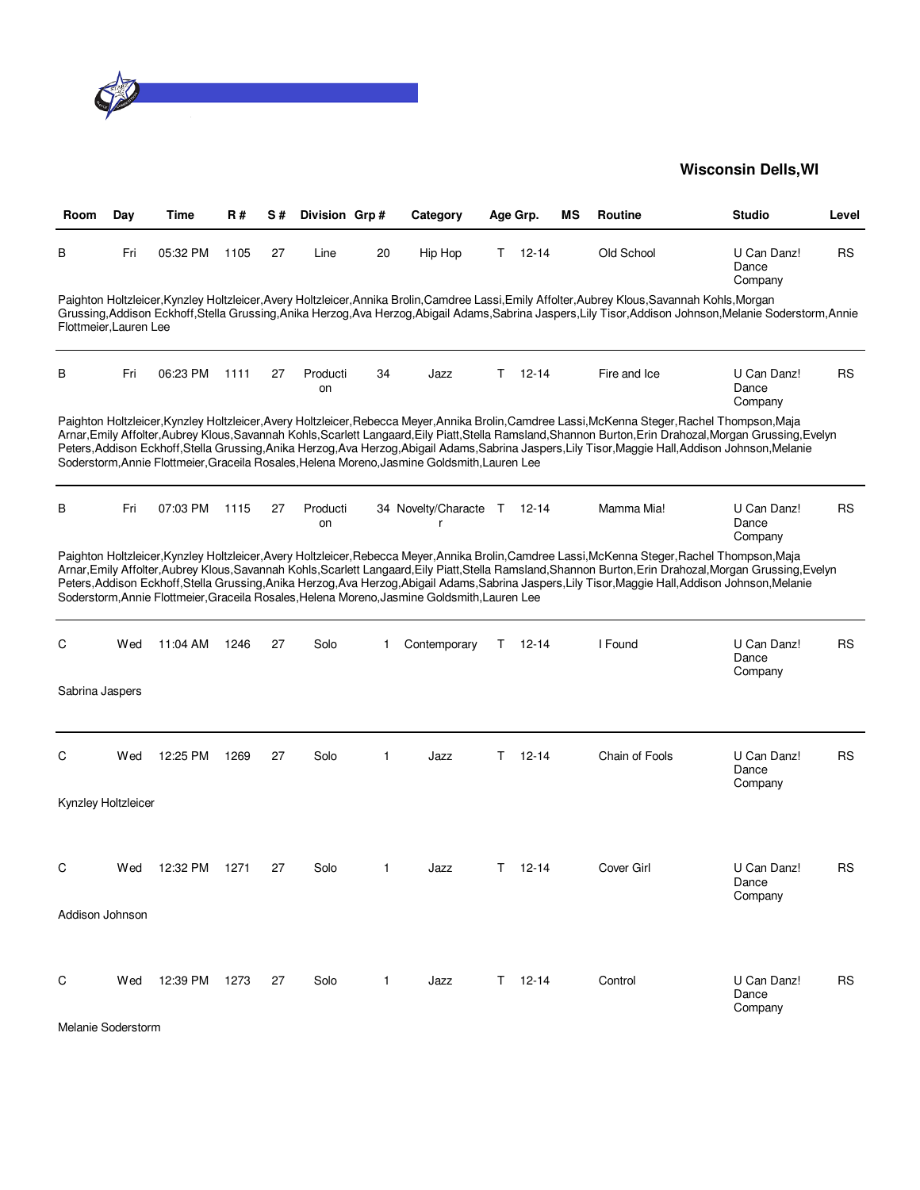

| Room                   | Day | Time     | R#   | S# | Division Grp#  |    | Category                                                                                     |    | Age Grp.  | ΜS | Routine                                                                                                                                          | <b>Studio</b>                                                                                                                                                                                                                                                                                                        | Level     |
|------------------------|-----|----------|------|----|----------------|----|----------------------------------------------------------------------------------------------|----|-----------|----|--------------------------------------------------------------------------------------------------------------------------------------------------|----------------------------------------------------------------------------------------------------------------------------------------------------------------------------------------------------------------------------------------------------------------------------------------------------------------------|-----------|
| В                      | Fri | 05:32 PM | 1105 | 27 | Line           | 20 | Hip Hop                                                                                      | T. | 12-14     |    | Old School                                                                                                                                       | U Can Danz!<br>Dance<br>Company                                                                                                                                                                                                                                                                                      | RS        |
| Flottmeier, Lauren Lee |     |          |      |    |                |    |                                                                                              |    |           |    | Paighton Holtzleicer.Kynzley Holtzleicer.Avery Holtzleicer.Annika Brolin.Camdree Lassi.Emily Affolter.Aubrey Klous.Savannah Kohls.Morgan         | Grussing, Addison Eckhoff, Stella Grussing, Anika Herzog, Ava Herzog, Abigail Adams, Sabrina Jaspers, Lily Tisor, Addison Johnson, Melanie Soderstorm, Annie                                                                                                                                                         |           |
| В                      | Fri | 06:23 PM | 1111 | 27 | Producti<br>on | 34 | Jazz                                                                                         | T. | $12 - 14$ |    | Fire and Ice                                                                                                                                     | U Can Danz!<br>Dance<br>Company                                                                                                                                                                                                                                                                                      | <b>RS</b> |
|                        |     |          |      |    |                |    | Soderstorm, Annie Flottmeier, Graceila Rosales, Helena Moreno, Jasmine Goldsmith, Lauren Lee |    |           |    | Paighton Holtzleicer, Kynzley Holtzleicer, Avery Holtzleicer, Rebecca Meyer, Annika Brolin, Camdree Lassi, McKenna Steger, Rachel Thompson, Maja | Arnar, Emily Affolter, Aubrey Klous, Savannah Kohls, Scarlett Langaard, Eily Piatt, Stella Ramsland, Shannon Burton, Erin Drahozal, Morgan Grussing, Evelyn<br>Peters, Addison Eckhoff, Stella Grussing, Anika Herzog, Ava Herzog, Abigail Adams, Sabrina Jaspers, Lily Tisor, Maggie Hall, Addison Johnson, Melanie |           |
| В                      | Fri | 07:03 PM | 1115 | 27 | Producti<br>on |    | 34 Novelty/Characte T 12-14<br>r                                                             |    |           |    | Mamma Mia!                                                                                                                                       | U Can Danz!<br>Dance<br>Company                                                                                                                                                                                                                                                                                      | <b>RS</b> |
|                        |     |          |      |    |                |    | Soderstorm, Annie Flottmeier, Graceila Rosales, Helena Moreno, Jasmine Goldsmith, Lauren Lee |    |           |    | Paighton Holtzleicer,Kynzley Holtzleicer,Avery Holtzleicer,Rebecca Meyer,Annika Brolin,Camdree Lassi,McKenna Steger,Rachel Thompson,Maja         | Arnar, Emily Affolter, Aubrey Klous, Savannah Kohls, Scarlett Langaard, Eily Piatt, Stella Ramsland, Shannon Burton, Erin Drahozal, Morgan Grussing, Evelyn<br>Peters, Addison Eckhoff, Stella Grussing, Anika Herzog, Ava Herzog, Abigail Adams, Sabrina Jaspers, Lily Tisor, Maggie Hall, Addison Johnson, Melanie |           |
| C                      | Wed | 11:04 AM | 1246 | 27 | Solo           | 1  | Contemporary                                                                                 | T. | 12-14     |    | I Found                                                                                                                                          | U Can Danz!<br>Dance<br>Company                                                                                                                                                                                                                                                                                      | <b>RS</b> |
| Sabrina Jaspers        |     |          |      |    |                |    |                                                                                              |    |           |    |                                                                                                                                                  |                                                                                                                                                                                                                                                                                                                      |           |
| C                      | Wed | 12:25 PM | 1269 | 27 | Solo           | 1  | Jazz                                                                                         | Τ  | $12 - 14$ |    | Chain of Fools                                                                                                                                   | U Can Danz!<br>Dance<br>Company                                                                                                                                                                                                                                                                                      | RS        |
| Kynzley Holtzleicer    |     |          |      |    |                |    |                                                                                              |    |           |    |                                                                                                                                                  |                                                                                                                                                                                                                                                                                                                      |           |
| C                      | Wed | 12:32 PM | 1271 | 27 | Solo           | 1  | Jazz                                                                                         | Τ  | 12-14     |    | Cover Girl                                                                                                                                       | U Can Danz!<br>Dance<br>Company                                                                                                                                                                                                                                                                                      | RS        |
| Addison Johnson        |     |          |      |    |                |    |                                                                                              |    |           |    |                                                                                                                                                  |                                                                                                                                                                                                                                                                                                                      |           |
| C                      | Wed | 12:39 PM | 1273 | 27 | Solo           | 1  | Jazz                                                                                         | T. | 12-14     |    | Control                                                                                                                                          | U Can Danz!<br>Dance<br>Company                                                                                                                                                                                                                                                                                      | RS        |

Melanie Soderstorm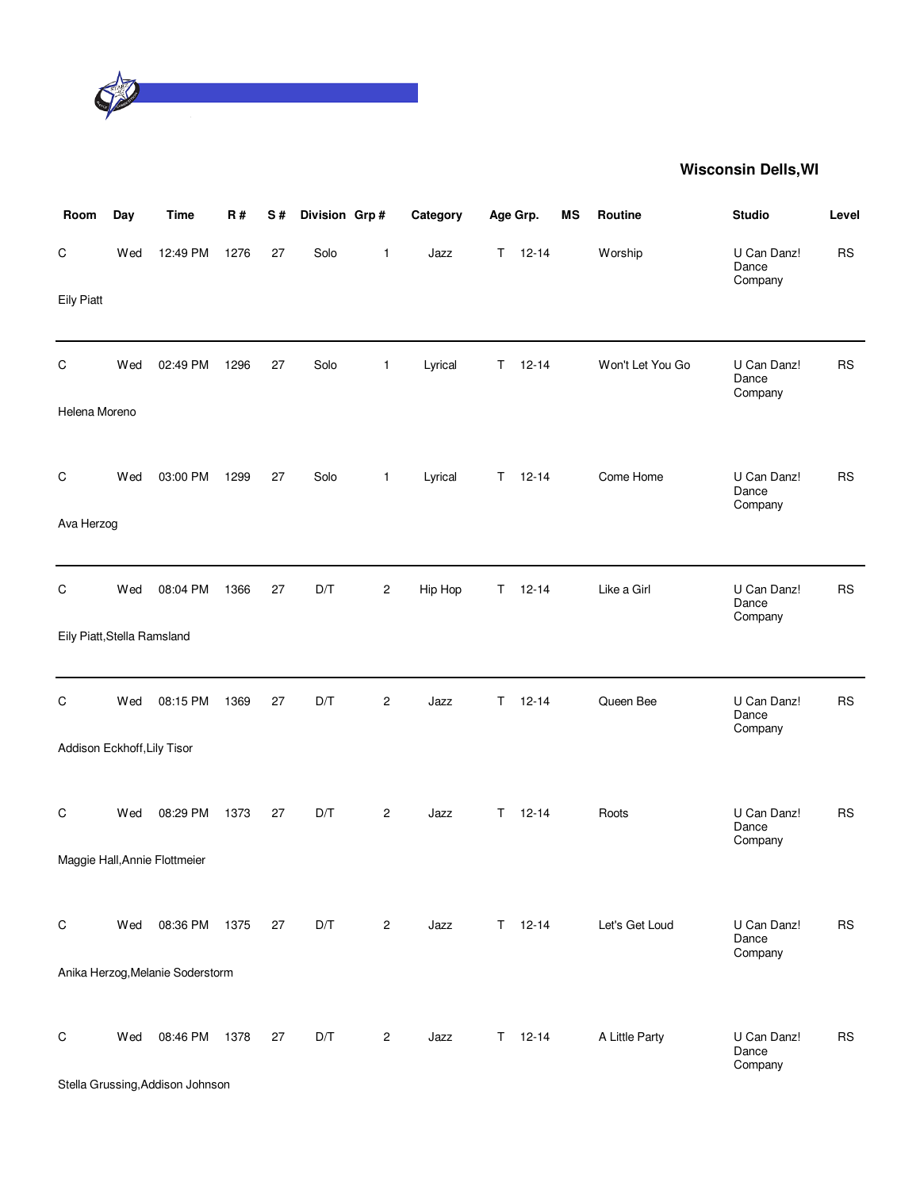

| Room                        | Day | <b>Time</b>                      | <b>R#</b> | S# | Division Grp# |                | Category |    | Age Grp.      | MS | Routine          | <b>Studio</b>                   | Level     |
|-----------------------------|-----|----------------------------------|-----------|----|---------------|----------------|----------|----|---------------|----|------------------|---------------------------------|-----------|
| C                           | Wed | 12:49 PM                         | 1276      | 27 | Solo          | 1              | Jazz     | T. | $12 - 14$     |    | Worship          | U Can Danz!<br>Dance<br>Company | <b>RS</b> |
| <b>Eily Piatt</b>           |     |                                  |           |    |               |                |          |    |               |    |                  |                                 |           |
| $\mathsf C$                 | Wed | 02:49 PM                         | 1296      | 27 | Solo          | 1              | Lyrical  | Τ  | $12 - 14$     |    | Won't Let You Go | U Can Danz!<br>Dance<br>Company | <b>RS</b> |
| Helena Moreno               |     |                                  |           |    |               |                |          |    |               |    |                  |                                 |           |
| C                           | Wed | 03:00 PM                         | 1299      | 27 | Solo          | $\mathbf{1}$   | Lyrical  | T. | $12 - 14$     |    | Come Home        | U Can Danz!<br>Dance            | <b>RS</b> |
| Ava Herzog                  |     |                                  |           |    |               |                |          |    |               |    |                  | Company                         |           |
| C                           | Wed | 08:04 PM                         | 1366      | 27 | D/T           | $\overline{c}$ | Hip Hop  | T. | $12 - 14$     |    | Like a Girl      | U Can Danz!<br>Dance            | <b>RS</b> |
| Eily Piatt, Stella Ramsland |     |                                  |           |    |               |                |          |    |               |    |                  | Company                         |           |
| C                           | Wed | 08:15 PM                         | 1369      | 27 | D/T           | 2              | Jazz     | T. | $12 - 14$     |    | Queen Bee        | U Can Danz!<br>Dance<br>Company | <b>RS</b> |
| Addison Eckhoff, Lily Tisor |     |                                  |           |    |               |                |          |    |               |    |                  |                                 |           |
| C                           | Wed | 08:29 PM                         | 1373      | 27 | D/T           | 2              | Jazz     | T. | $12 - 14$     |    | Roots            | U Can Danz!<br>Dance            | <b>RS</b> |
|                             |     | Maggie Hall, Annie Flottmeier    |           |    |               |                |          |    |               |    |                  | Company                         |           |
| C                           | Wed | 08:36 PM                         | 1375      | 27 | D/T           | $\overline{c}$ | Jazz     | T. | $12 - 14$     |    | Let's Get Loud   | U Can Danz!<br>Dance            | <b>RS</b> |
|                             |     | Anika Herzog, Melanie Soderstorm |           |    |               |                |          |    |               |    |                  | Company                         |           |
| C                           | Wed | 08:46 PM                         | 1378      | 27 | D/T           | $\overline{c}$ | Jazz     |    | $T = 12 - 14$ |    | A Little Party   | U Can Danz!<br>Dance            | <b>RS</b> |
|                             |     | Stella Grussing, Addison Johnson |           |    |               |                |          |    |               |    |                  | Company                         |           |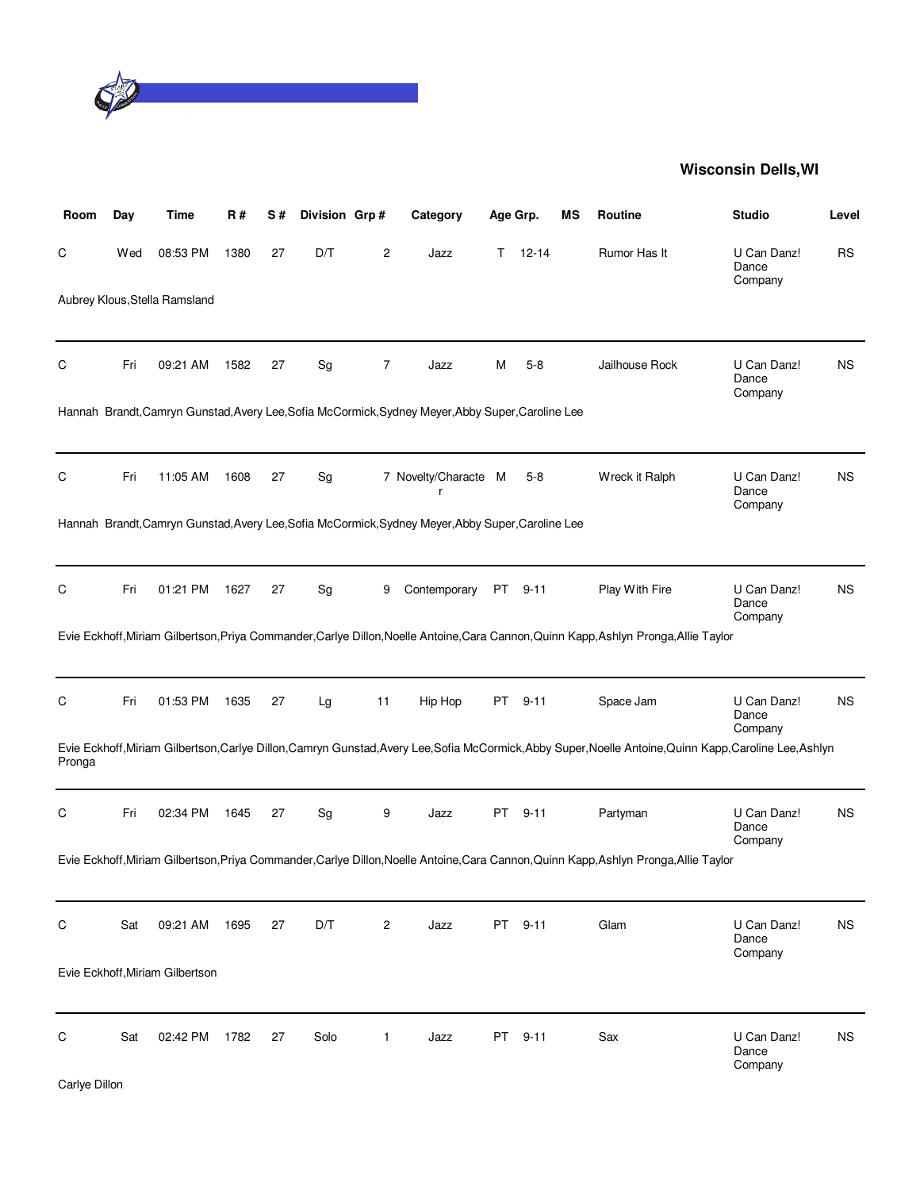

| Room   | Day | Time                            | R#   | S# | Division Grp# |                | Category                                                                                          |    | Age Grp. | ΜS | Routine                                                                                                                                                  | <b>Studio</b>                   | Level     |
|--------|-----|---------------------------------|------|----|---------------|----------------|---------------------------------------------------------------------------------------------------|----|----------|----|----------------------------------------------------------------------------------------------------------------------------------------------------------|---------------------------------|-----------|
| С      | Wed | 08:53 PM                        | 1380 | 27 | D/T           | 2              | Jazz                                                                                              | T. | 12-14    |    | Rumor Has It                                                                                                                                             | U Can Danz!<br>Dance<br>Company | <b>RS</b> |
|        |     | Aubrey Klous, Stella Ramsland   |      |    |               |                |                                                                                                   |    |          |    |                                                                                                                                                          |                                 |           |
| С      | Fri | 09:21 AM                        | 1582 | 27 | Sg            | 7              | Jazz                                                                                              | Μ  | $5-8$    |    | Jailhouse Rock                                                                                                                                           | U Can Danz!<br>Dance<br>Company | NS.       |
|        |     |                                 |      |    |               |                | Hannah Brandt, Camryn Gunstad, Avery Lee, Sofia McCormick, Sydney Meyer, Abby Super, Caroline Lee |    |          |    |                                                                                                                                                          |                                 |           |
| С      | Fri | 11:05 AM                        | 1608 | 27 | Sg            |                | 7 Novelty/Characte M<br>r                                                                         |    | $5-8$    |    | Wreck it Ralph                                                                                                                                           | U Can Danz!<br>Dance<br>Company | NS.       |
|        |     |                                 |      |    |               |                | Hannah Brandt, Camryn Gunstad, Avery Lee, Sofia McCormick, Sydney Meyer, Abby Super, Caroline Lee |    |          |    |                                                                                                                                                          |                                 |           |
| С      | Fri | 01:21 PM                        | 1627 | 27 | Sg            | 9              | Contemporary                                                                                      | PT | $9 - 11$ |    | Play With Fire                                                                                                                                           | U Can Danz!<br>Dance<br>Company | NS.       |
|        |     |                                 |      |    |               |                |                                                                                                   |    |          |    | Evie Eckhoff, Miriam Gilbertson, Priya Commander, Carlye Dillon, Noelle Antoine, Cara Cannon, Quinn Kapp, Ashlyn Pronga, Allie Taylor                    |                                 |           |
| С      | Fri | 01:53 PM                        | 1635 | 27 | Lg            | 11             | Hip Hop                                                                                           | PT | $9 - 11$ |    | Space Jam                                                                                                                                                | U Can Danz!<br>Dance<br>Company | NS.       |
| Pronga |     |                                 |      |    |               |                |                                                                                                   |    |          |    | Evie Eckhoff, Miriam Gilbertson, Carlye Dillon, Camryn Gunstad, Avery Lee, Sofia McCormick, Abby Super, Noelle Antoine, Quinn Kapp, Caroline Lee, Ashlyn |                                 |           |
| C      | Fri | 02:34 PM                        | 1645 | 27 | Sg            | 9              | Jazz                                                                                              | PT | $9 - 11$ |    | Partyman                                                                                                                                                 | U Can Danz!<br>Dance<br>Company | <b>NS</b> |
|        |     |                                 |      |    |               |                |                                                                                                   |    |          |    | Evie Eckhoff, Miriam Gilbertson, Priya Commander, Carlye Dillon, Noelle Antoine, Cara Cannon, Quinn Kapp, Ashlyn Pronga, Allie Taylor                    |                                 |           |
| C      | Sat | 09:21 AM                        | 1695 | 27 | D/T           | $\overline{2}$ | Jazz                                                                                              | PT | $9 - 11$ |    | Glam                                                                                                                                                     | U Can Danz!<br>Dance<br>Company | <b>NS</b> |
|        |     | Evie Eckhoff, Miriam Gilbertson |      |    |               |                |                                                                                                   |    |          |    |                                                                                                                                                          |                                 |           |
| C      | Sat | 02:42 PM                        | 1782 | 27 | Solo          | 1              | Jazz                                                                                              | PT | $9 - 11$ |    | Sax                                                                                                                                                      | U Can Danz!<br>Dance<br>Company | <b>NS</b> |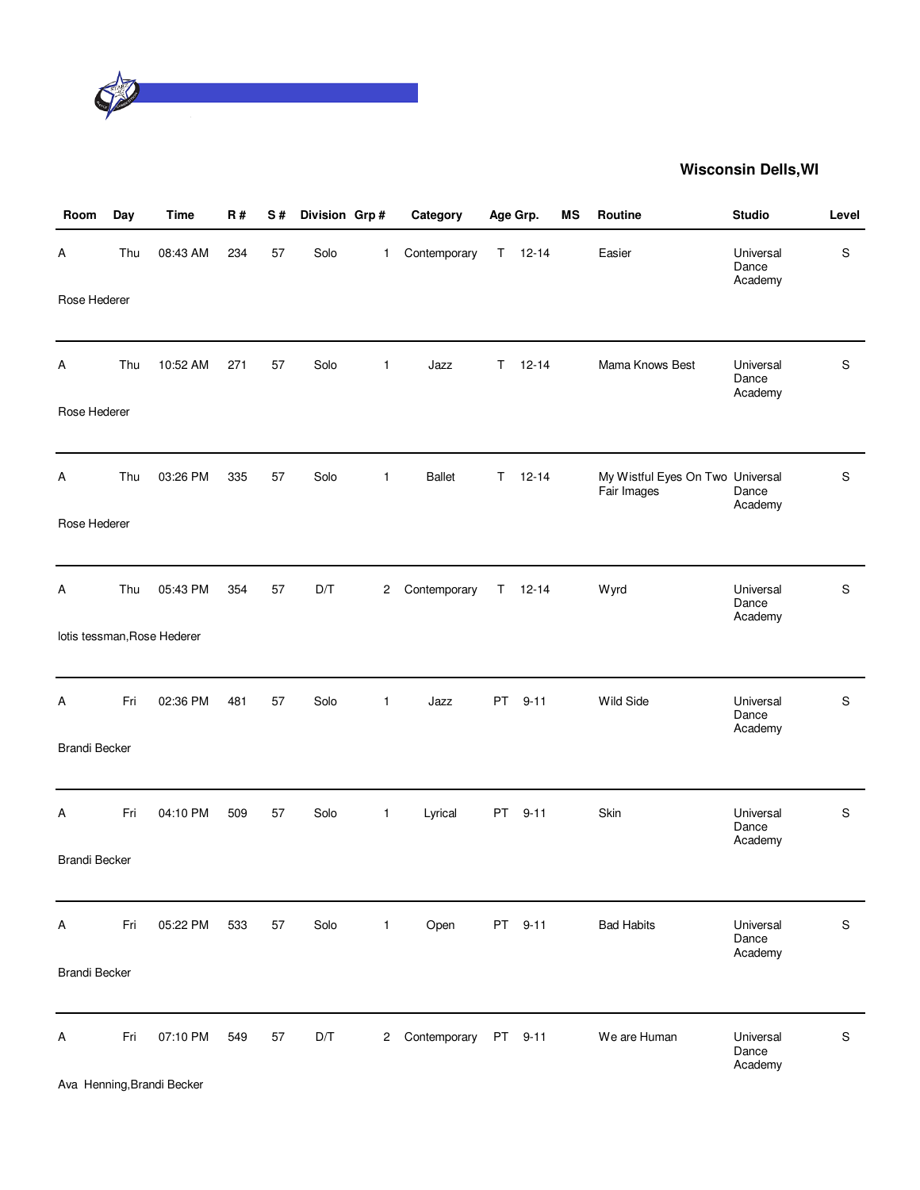

| Room                 | Day | <b>Time</b>                            | <b>R#</b> | S# | Division Grp# |              | Category      | Age Grp. |           | MS | Routine                                         | <b>Studio</b>                 | Level       |
|----------------------|-----|----------------------------------------|-----------|----|---------------|--------------|---------------|----------|-----------|----|-------------------------------------------------|-------------------------------|-------------|
| Α                    | Thu | 08:43 AM                               | 234       | 57 | Solo          | 1            | Contemporary  | T.       | $12 - 14$ |    | Easier                                          | Universal<br>Dance<br>Academy | S           |
| Rose Hederer         |     |                                        |           |    |               |              |               |          |           |    |                                                 |                               |             |
| Α                    | Thu | 10:52 AM                               | 271       | 57 | Solo          | 1            | Jazz          | T.       | $12 - 14$ |    | Mama Knows Best                                 | Universal<br>Dance<br>Academy | S           |
| Rose Hederer         |     |                                        |           |    |               |              |               |          |           |    |                                                 |                               |             |
| Α                    | Thu | 03:26 PM                               | 335       | 57 | Solo          | $\mathbf{1}$ | <b>Ballet</b> | T.       | $12 - 14$ |    | My Wistful Eyes On Two Universal<br>Fair Images | Dance<br>Academy              | $\mathsf S$ |
| Rose Hederer         |     |                                        |           |    |               |              |               |          |           |    |                                                 |                               |             |
| Α                    | Thu | 05:43 PM                               | 354       | 57 | D/T           | 2            | Contemporary  | T.       | $12 - 14$ |    | <b>Wyrd</b>                                     | Universal<br>Dance<br>Academy | $\mathbf S$ |
|                      |     | lotis tessman, Rose Hederer            |           |    |               |              |               |          |           |    |                                                 |                               |             |
| Α                    | Fri | 02:36 PM                               | 481       | 57 | Solo          | 1            | Jazz          | PT       | $9 - 11$  |    | Wild Side                                       | Universal<br>Dance<br>Academy | $\mathsf S$ |
| <b>Brandi Becker</b> |     |                                        |           |    |               |              |               |          |           |    |                                                 |                               |             |
| Α                    | Fri | 04:10 PM                               | 509       | 57 | Solo          | $\mathbf{1}$ | Lyrical       | PT       | $9 - 11$  |    | Skin                                            | Universal<br>Dance<br>Academy | $\mathbf S$ |
| <b>Brandi Becker</b> |     |                                        |           |    |               |              |               |          |           |    |                                                 |                               |             |
| Α                    | Fri | 05:22 PM                               | 533       | 57 | Solo          | $\mathbf{1}$ | Open          |          | PT 9-11   |    | <b>Bad Habits</b>                               | Universal<br>Dance<br>Academy | S           |
| <b>Brandi Becker</b> |     |                                        |           |    |               |              |               |          |           |    |                                                 |                               |             |
| А                    | Fri | 07:10 PM<br>Ava Henning, Brandi Becker | 549       | 57 | D/T           | $^{2}$       | Contemporary  |          | PT 9-11   |    | We are Human                                    | Universal<br>Dance<br>Academy | S           |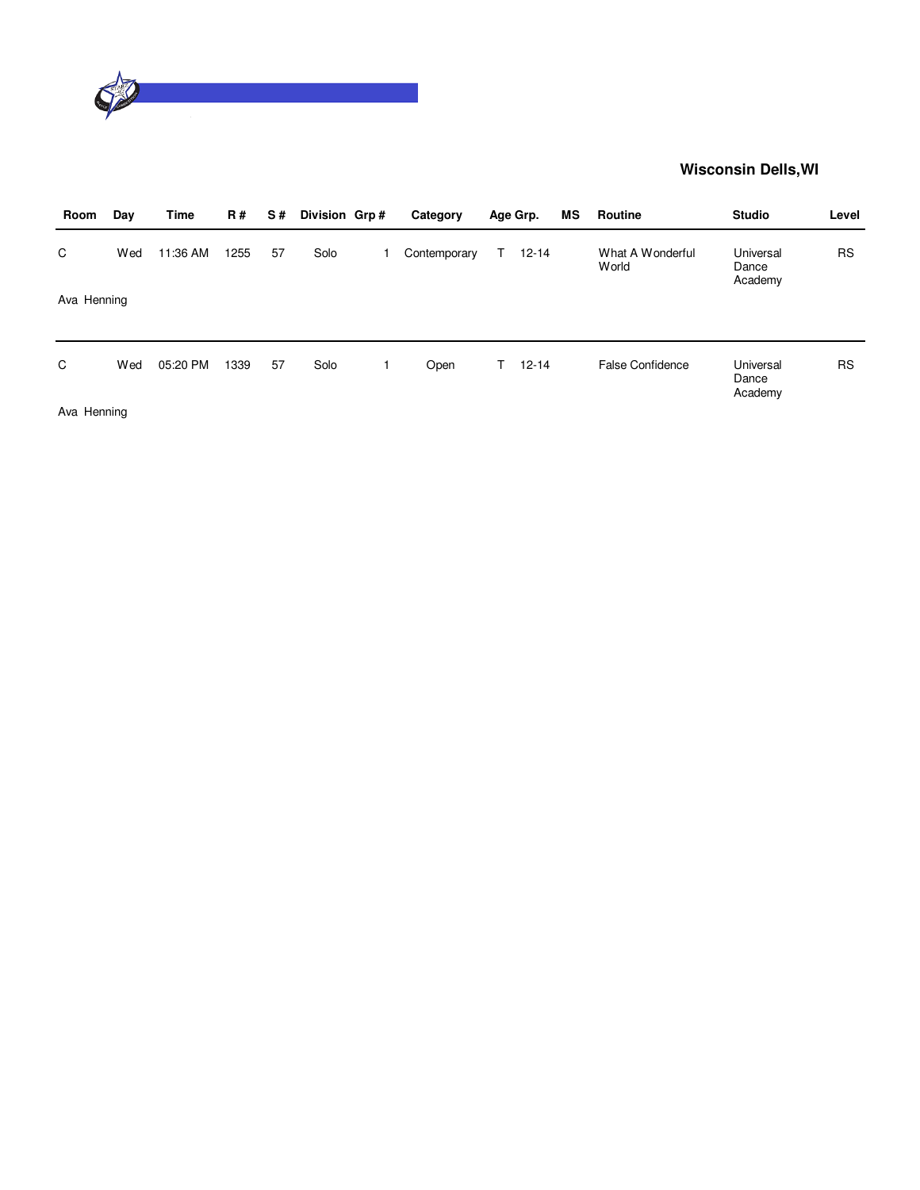

| Day         | Time     | <b>R#</b> | S# |      | Category      |           | МS       | Routine                   | <b>Studio</b>                 | Level     |
|-------------|----------|-----------|----|------|---------------|-----------|----------|---------------------------|-------------------------------|-----------|
| Wed         | 11:36 AM | 1255      | 57 | Solo | Contemporary  | $12 - 14$ |          | What A Wonderful<br>World | Universal<br>Dance<br>Academy | <b>RS</b> |
| Ava Henning |          |           |    |      |               |           |          |                           |                               |           |
| Wed         | 05:20 PM | 1339      | 57 | Solo | Open          | $12 - 14$ |          | <b>False Confidence</b>   | Universal<br>Dance<br>Academy | <b>RS</b> |
|             |          |           |    |      | Division Grp# |           | Age Grp. |                           |                               |           |

Ava Henning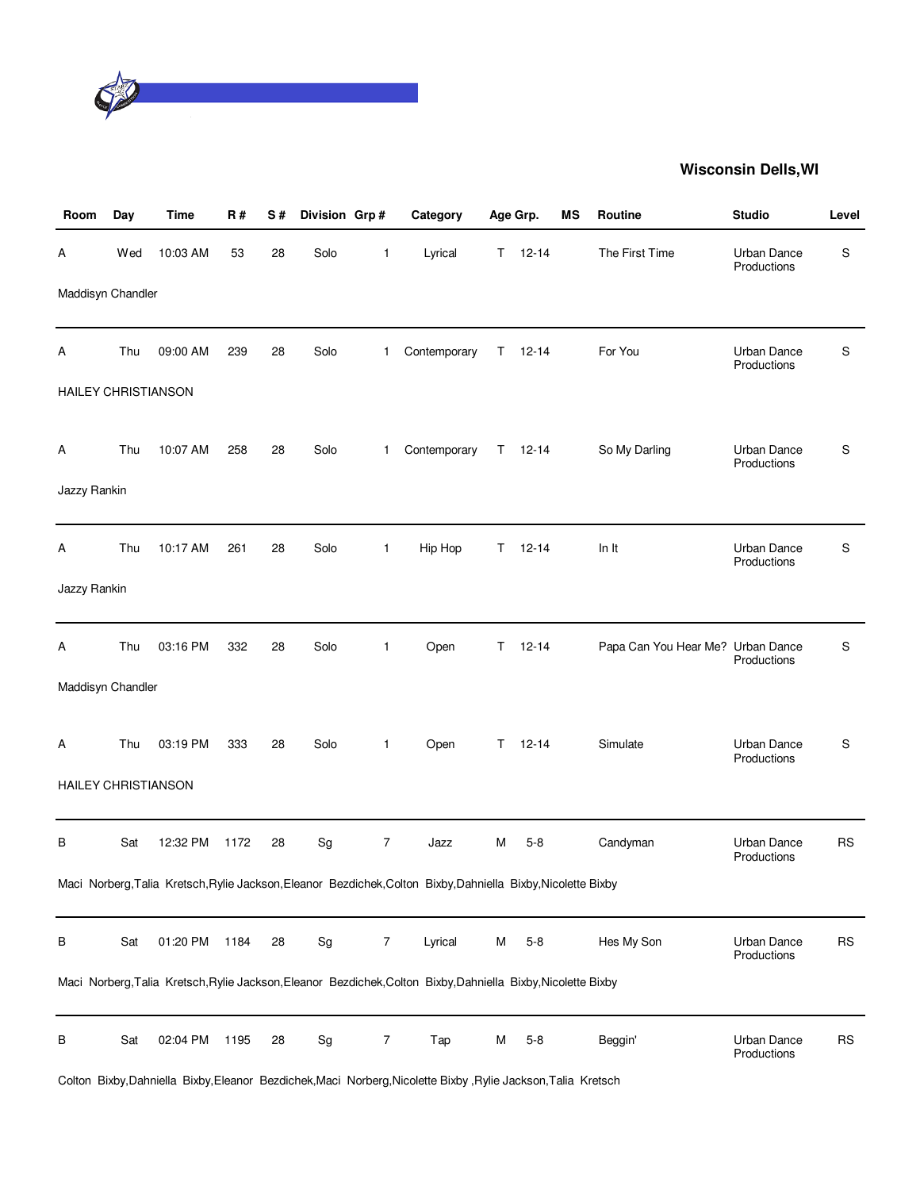

| Room                       | Day | <b>Time</b> | <b>R#</b> | S# | Division Grp#                |                | Category                                                                                                      |    | Age Grp.  | ΜS | Routine                           | <b>Studio</b>                     | Level     |
|----------------------------|-----|-------------|-----------|----|------------------------------|----------------|---------------------------------------------------------------------------------------------------------------|----|-----------|----|-----------------------------------|-----------------------------------|-----------|
| Α                          | Wed | 10:03 AM    | 53        | 28 | Solo                         | $\mathbf{1}$   | Lyrical                                                                                                       | T. | $12 - 14$ |    | The First Time                    | <b>Urban Dance</b><br>Productions | S         |
| Maddisyn Chandler          |     |             |           |    |                              |                |                                                                                                               |    |           |    |                                   |                                   |           |
| Α                          | Thu | 09:00 AM    | 239       | 28 | Solo                         | 1              | Contemporary                                                                                                  | T. | $12 - 14$ |    | For You                           | <b>Urban Dance</b><br>Productions | S         |
| HAILEY CHRISTIANSON        |     |             |           |    |                              |                |                                                                                                               |    |           |    |                                   |                                   |           |
| Α                          | Thu | 10:07 AM    | 258       | 28 | Solo                         | 1              | Contemporary                                                                                                  | T. | $12 - 14$ |    | So My Darling                     | <b>Urban Dance</b><br>Productions | S         |
| Jazzy Rankin               |     |             |           |    |                              |                |                                                                                                               |    |           |    |                                   |                                   |           |
| Α                          | Thu | 10:17 AM    | 261       | 28 | Solo                         | $\mathbf{1}$   | Hip Hop                                                                                                       | T. | $12 - 14$ |    | In It                             | <b>Urban Dance</b><br>Productions | S         |
| Jazzy Rankin               |     |             |           |    |                              |                |                                                                                                               |    |           |    |                                   |                                   |           |
| Α                          | Thu | 03:16 PM    | 332       | 28 | Solo                         | $\mathbf{1}$   | Open                                                                                                          | T. | $12 - 14$ |    | Papa Can You Hear Me? Urban Dance | Productions                       | S         |
| Maddisyn Chandler          |     |             |           |    |                              |                |                                                                                                               |    |           |    |                                   |                                   |           |
| Α                          | Thu | 03:19 PM    | 333       | 28 | Solo                         | $\mathbf{1}$   | Open                                                                                                          | T. | $12 - 14$ |    | Simulate                          | <b>Urban Dance</b><br>Productions | S         |
| <b>HAILEY CHRISTIANSON</b> |     |             |           |    |                              |                |                                                                                                               |    |           |    |                                   |                                   |           |
| В                          | Sat | 12:32 PM    | 1172      | 28 | Sg                           | $\overline{7}$ | Jazz                                                                                                          | м  | $5 - 8$   |    | Candyman                          | <b>Urban Dance</b><br>Productions | <b>RS</b> |
|                            |     |             |           |    |                              |                | Maci Norberg, Talia Kretsch, Rylie Jackson, Eleanor Bezdichek, Colton Bixby, Dahniella Bixby, Nicolette Bixby |    |           |    |                                   |                                   |           |
| В                          | Sat | 01:20 PM    | 1184      | 28 | Sg                           | $\overline{7}$ | Lyrical                                                                                                       | M  | $5 - 8$   |    | Hes My Son                        | Urban Dance<br>Productions        | <b>RS</b> |
|                            |     |             |           |    |                              |                | Maci Norberg, Talia Kretsch, Rylie Jackson, Eleanor Bezdichek, Colton Bixby, Dahniella Bixby, Nicolette Bixby |    |           |    |                                   |                                   |           |
| B                          | Sat | 02:04 PM    | 1195      | 28 | $\operatorname{\mathsf{Sg}}$ | 7              | Tap                                                                                                           | М  | $5 - 8$   |    | Beggin'                           | Urban Dance<br>Productions        | <b>RS</b> |

Colton Bixby,Dahniella Bixby,Eleanor Bezdichek,Maci Norberg,Nicolette Bixby ,Rylie Jackson,Talia Kretsch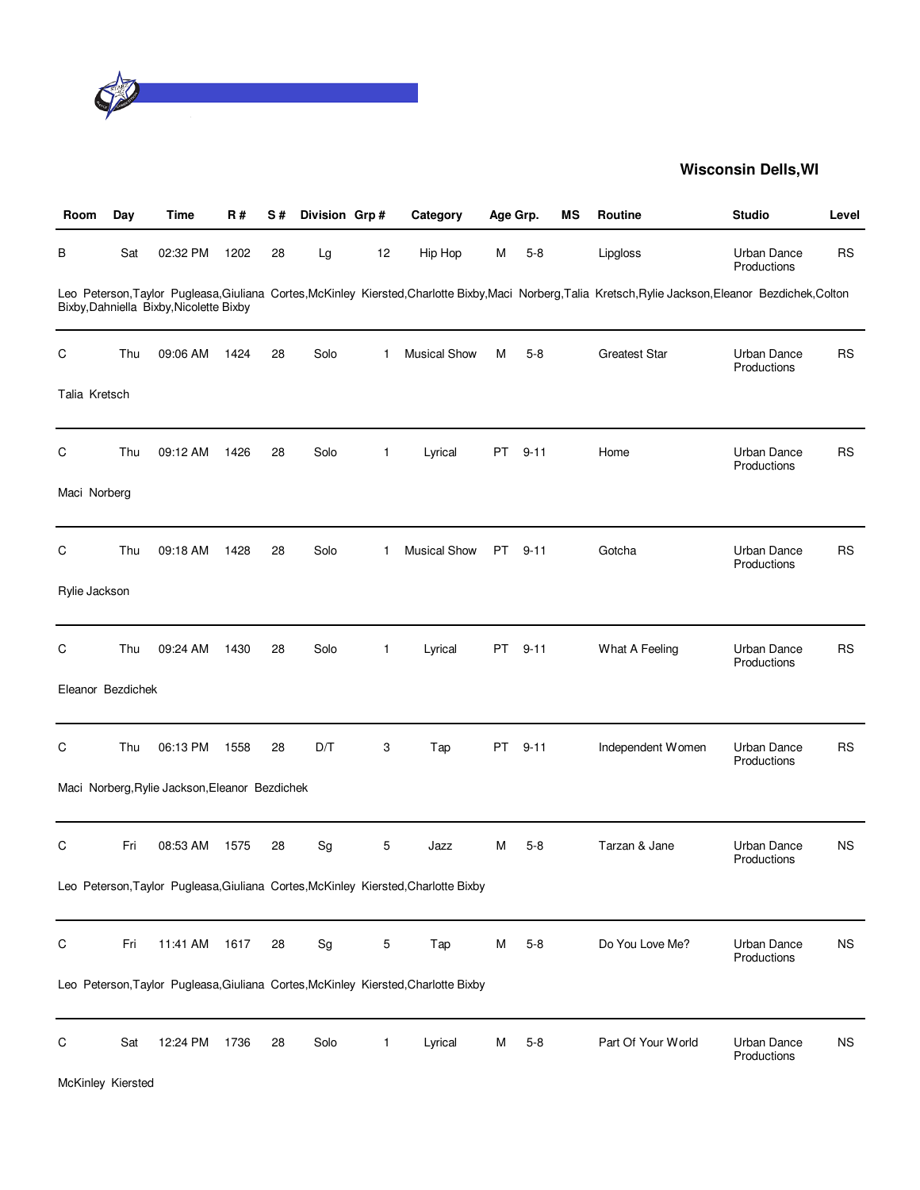

| Room              | Day | Time                                           | <b>R#</b> | S# | Division Grp#                |              | Category                                                                           | Age Grp. |          | MS | Routine                                                                                                                                                   | <b>Studio</b>                     | Level       |
|-------------------|-----|------------------------------------------------|-----------|----|------------------------------|--------------|------------------------------------------------------------------------------------|----------|----------|----|-----------------------------------------------------------------------------------------------------------------------------------------------------------|-----------------------------------|-------------|
| В                 | Sat | 02:32 PM                                       | 1202      | 28 | Lg                           | 12           | Hip Hop                                                                            | M        | $5 - 8$  |    | Lipgloss                                                                                                                                                  | Urban Dance<br>Productions        | RS          |
|                   |     | Bixby, Dahniella Bixby, Nicolette Bixby        |           |    |                              |              |                                                                                    |          |          |    | Leo Peterson, Taylor Pugleasa, Giuliana Cortes, McKinley Kiersted, Charlotte Bixby, Maci Norberg, Talia Kretsch, Rylie Jackson, Eleanor Bezdichek, Colton |                                   |             |
| C                 | Thu | 09:06 AM                                       | 1424      | 28 | Solo                         | $\mathbf{1}$ | <b>Musical Show</b>                                                                | M        | $5-8$    |    | <b>Greatest Star</b>                                                                                                                                      | <b>Urban Dance</b><br>Productions | RS          |
| Talia Kretsch     |     |                                                |           |    |                              |              |                                                                                    |          |          |    |                                                                                                                                                           |                                   |             |
| C                 | Thu | 09:12 AM                                       | 1426      | 28 | Solo                         | $\mathbf{1}$ | Lyrical                                                                            | PT.      | $9 - 11$ |    | Home                                                                                                                                                      | <b>Urban Dance</b><br>Productions | <b>RS</b>   |
| Maci Norberg      |     |                                                |           |    |                              |              |                                                                                    |          |          |    |                                                                                                                                                           |                                   |             |
| C                 | Thu | 09:18 AM                                       | 1428      | 28 | Solo                         | 1            | <b>Musical Show</b>                                                                | PT.      | $9 - 11$ |    | Gotcha                                                                                                                                                    | Urban Dance<br>Productions        | RS          |
| Rylie Jackson     |     |                                                |           |    |                              |              |                                                                                    |          |          |    |                                                                                                                                                           |                                   |             |
| C                 | Thu | 09:24 AM                                       | 1430      | 28 | Solo                         | $\mathbf{1}$ | Lyrical                                                                            | PT       | $9 - 11$ |    | What A Feeling                                                                                                                                            | <b>Urban Dance</b><br>Productions | <b>RS</b>   |
| Eleanor Bezdichek |     |                                                |           |    |                              |              |                                                                                    |          |          |    |                                                                                                                                                           |                                   |             |
| C                 | Thu | 06:13 PM                                       | 1558      | 28 | D/T                          | 3            | Tap                                                                                | PT.      | $9 - 11$ |    | Independent Women                                                                                                                                         | <b>Urban Dance</b><br>Productions | <b>RS</b>   |
|                   |     | Maci Norberg, Rylie Jackson, Eleanor Bezdichek |           |    |                              |              |                                                                                    |          |          |    |                                                                                                                                                           |                                   |             |
| С                 | Fri | 08:53 AM                                       | 1575      | 28 | Sg                           | 5            | Jazz                                                                               | M        | $5-8$    |    | Tarzan & Jane                                                                                                                                             | <b>Urban Dance</b><br>Productions | ΝS          |
|                   |     |                                                |           |    |                              |              | Leo Peterson, Taylor Pugleasa, Giuliana Cortes, McKinley Kiersted, Charlotte Bixby |          |          |    |                                                                                                                                                           |                                   |             |
| C                 | Fri | 11:41 AM                                       | 1617      | 28 | $\operatorname{\mathsf{Sg}}$ | 5            | Tap                                                                                | M        | $5 - 8$  |    | Do You Love Me?                                                                                                                                           | Urban Dance<br>Productions        | $_{\rm NS}$ |
|                   |     |                                                |           |    |                              |              | Leo Peterson, Taylor Pugleasa, Giuliana Cortes, McKinley Kiersted, Charlotte Bixby |          |          |    |                                                                                                                                                           |                                   |             |
| C                 | Sat | 12:24 PM                                       | 1736      | 28 | Solo                         | $\mathbf{1}$ | Lyrical                                                                            | M        | $5 - 8$  |    | Part Of Your World                                                                                                                                        | <b>Urban Dance</b><br>Productions | <b>NS</b>   |
| McKinley Kiersted |     |                                                |           |    |                              |              |                                                                                    |          |          |    |                                                                                                                                                           |                                   |             |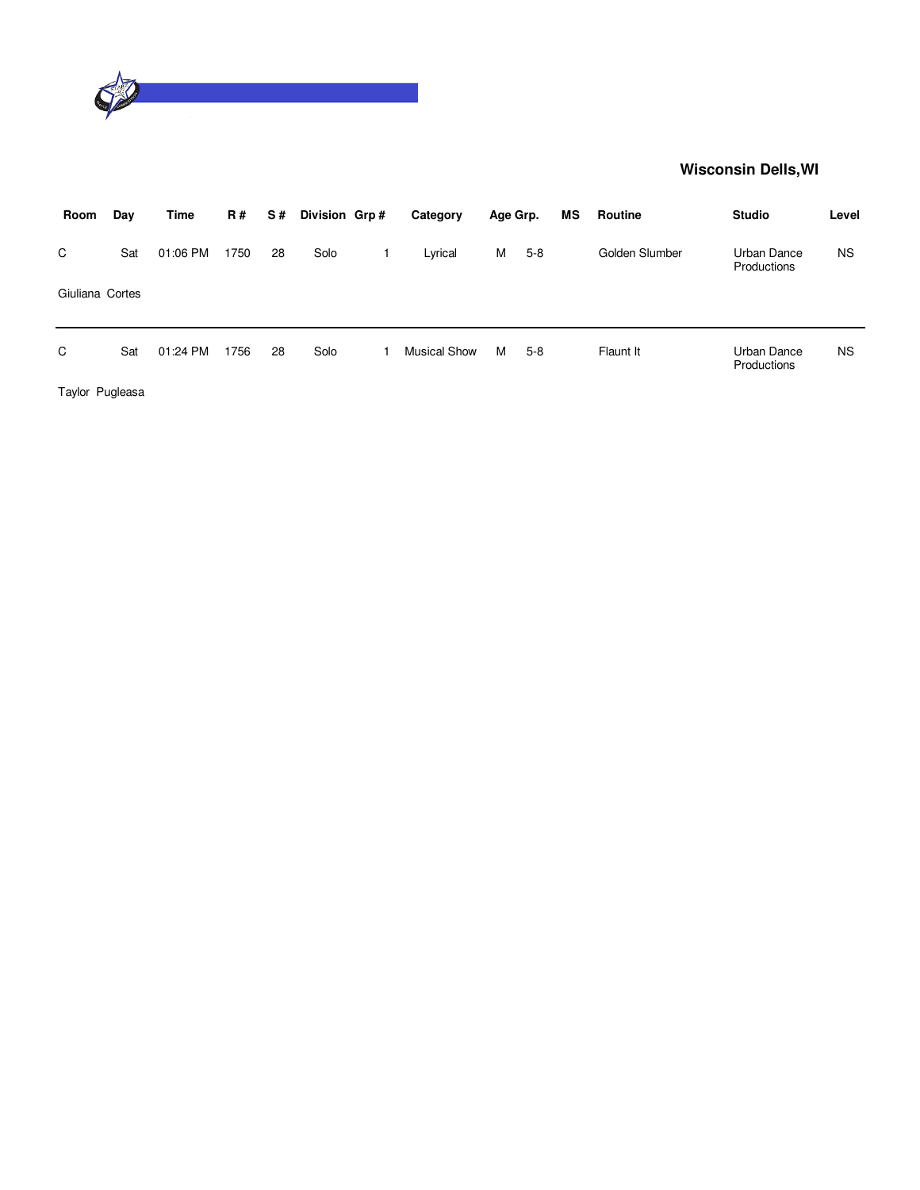

| Room            | Day | Time     | <b>R#</b> | S# | Division Grp# | Category            | Age Grp. |       | МS | Routine        | <b>Studio</b>              | Level     |
|-----------------|-----|----------|-----------|----|---------------|---------------------|----------|-------|----|----------------|----------------------------|-----------|
| C               | Sat | 01:06 PM | 1750      | 28 | Solo          | Lyrical             | M        | $5-8$ |    | Golden Slumber | Urban Dance<br>Productions | <b>NS</b> |
| Giuliana Cortes |     |          |           |    |               |                     |          |       |    |                |                            |           |
| C               | Sat | 01:24 PM | 1756      | 28 | Solo          | <b>Musical Show</b> | м        | $5-8$ |    | Flaunt It      | Urban Dance<br>Productions | <b>NS</b> |

Taylor Pugleasa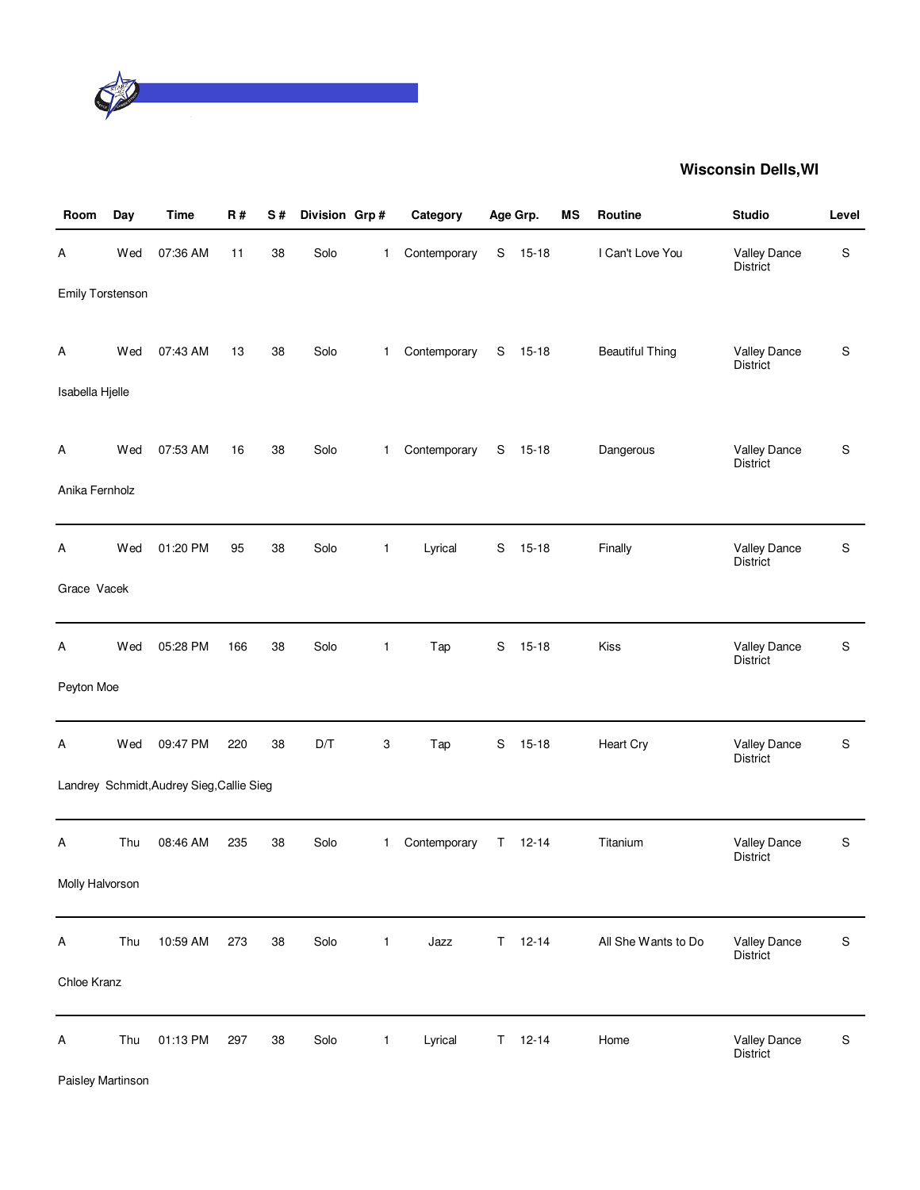

| Room             | Day | <b>Time</b>                               | R#  | S# | Division Grp# |              | Category     |    | Age Grp.  | <b>MS</b> | Routine                | <b>Studio</b>                   | Level       |
|------------------|-----|-------------------------------------------|-----|----|---------------|--------------|--------------|----|-----------|-----------|------------------------|---------------------------------|-------------|
| Α                | Wed | 07:36 AM                                  | 11  | 38 | Solo          | 1            | Contemporary | S  | $15 - 18$ |           | I Can't Love You       | <b>Valley Dance</b><br>District | S           |
| Emily Torstenson |     |                                           |     |    |               |              |              |    |           |           |                        |                                 |             |
| Α                | Wed | 07:43 AM                                  | 13  | 38 | Solo          | $\mathbf{1}$ | Contemporary |    | S 15-18   |           | <b>Beautiful Thing</b> | Valley Dance<br>District        | S           |
| Isabella Hjelle  |     |                                           |     |    |               |              |              |    |           |           |                        |                                 |             |
| A                | Wed | 07:53 AM                                  | 16  | 38 | Solo          | $\mathbf{1}$ | Contemporary |    | S 15-18   |           | Dangerous              | <b>Valley Dance</b><br>District | $\mathsf S$ |
| Anika Fernholz   |     |                                           |     |    |               |              |              |    |           |           |                        |                                 |             |
| Α                | Wed | 01:20 PM                                  | 95  | 38 | Solo          | $\mathbf{1}$ | Lyrical      | S  | $15 - 18$ |           | Finally                | <b>Valley Dance</b><br>District | $\mathsf S$ |
| Grace Vacek      |     |                                           |     |    |               |              |              |    |           |           |                        |                                 |             |
| Α                | Wed | 05:28 PM                                  | 166 | 38 | Solo          | $\mathbf{1}$ | Tap          | S  | $15 - 18$ |           | Kiss                   | Valley Dance<br>District        | S           |
| Peyton Moe       |     |                                           |     |    |               |              |              |    |           |           |                        |                                 |             |
| Α                | Wed | 09:47 PM                                  | 220 | 38 | D/T           | 3            | Tap          | S  | $15 - 18$ |           | Heart Cry              | <b>Valley Dance</b><br>District | $\mathsf S$ |
|                  |     | Landrey Schmidt, Audrey Sieg, Callie Sieg |     |    |               |              |              |    |           |           |                        |                                 |             |
| A                | Thu | 08:46 AM                                  | 235 | 38 | Solo          | 1            | Contemporary | T  | $12 - 14$ |           | Titanium               | Valley Dance<br><b>District</b> | $\mathsf S$ |
| Molly Halvorson  |     |                                           |     |    |               |              |              |    |           |           |                        |                                 |             |
| A                | Thu | 10:59 AM                                  | 273 | 38 | Solo          | $\mathbf{1}$ | Jazz         | T. | $12 - 14$ |           | All She Wants to Do    | Valley Dance<br>District        | $\mathbb S$ |
| Chloe Kranz      |     |                                           |     |    |               |              |              |    |           |           |                        |                                 |             |
| Α                | Thu | 01:13 PM                                  | 297 | 38 | Solo          | $\mathbf{1}$ | Lyrical      | T. | $12 - 14$ |           | Home                   | <b>Valley Dance</b><br>District | $\mathbb S$ |

Paisley Martinson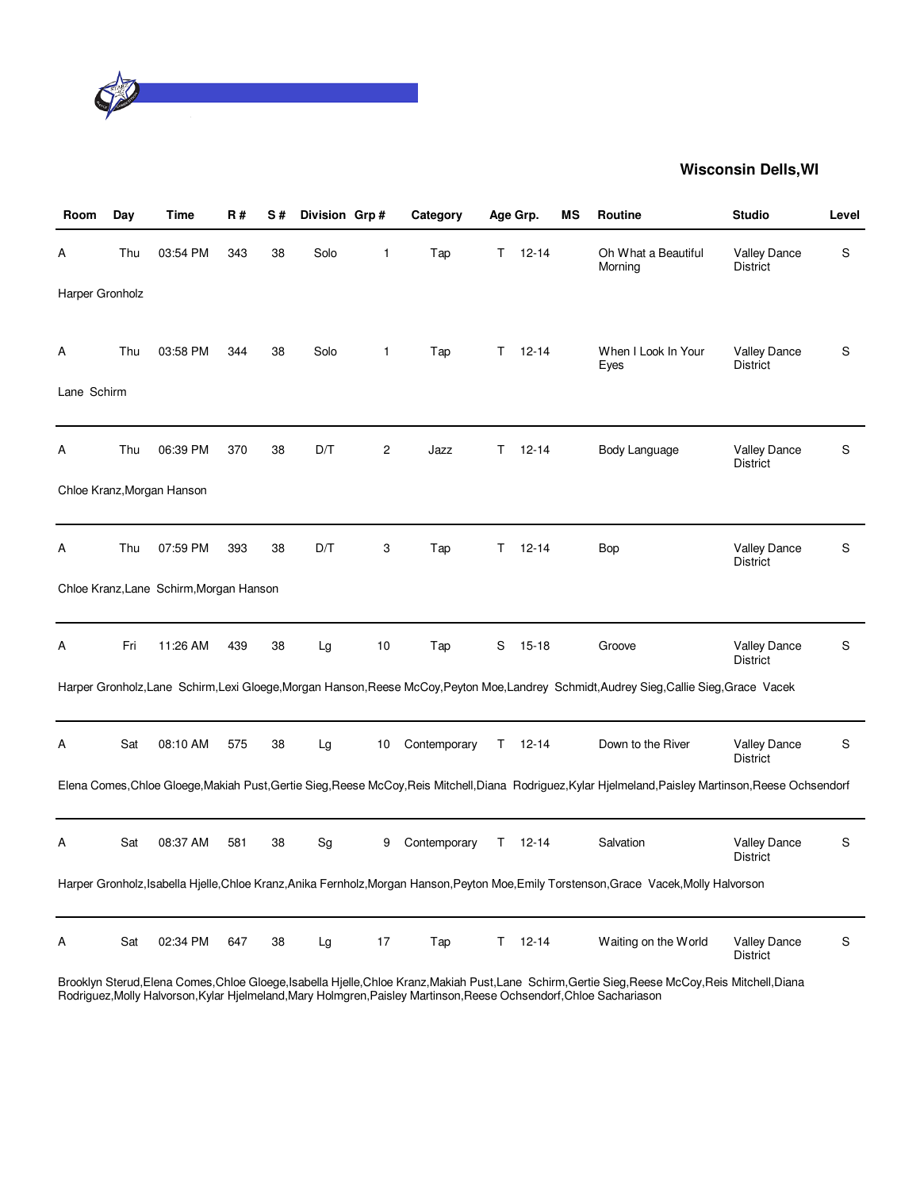

| Room            | Day | Time                                    | <b>R#</b> | S# | Division Grp# |                 | Category     |    | Age Grp.      | ΜS | <b>Routine</b>                                                                                                                                          | <b>Studio</b>                          | Level |
|-----------------|-----|-----------------------------------------|-----------|----|---------------|-----------------|--------------|----|---------------|----|---------------------------------------------------------------------------------------------------------------------------------------------------------|----------------------------------------|-------|
| Α               | Thu | 03:54 PM                                | 343       | 38 | Solo          | 1               | Tap          | T. | $12 - 14$     |    | Oh What a Beautiful<br>Morning                                                                                                                          | <b>Valley Dance</b><br><b>District</b> | S     |
| Harper Gronholz |     |                                         |           |    |               |                 |              |    |               |    |                                                                                                                                                         |                                        |       |
| Α               | Thu | 03:58 PM                                | 344       | 38 | Solo          | $\mathbf{1}$    | Tap          | T. | $12 - 14$     |    | When I Look In Your<br>Eyes                                                                                                                             | Valley Dance<br><b>District</b>        | S     |
| Lane Schirm     |     |                                         |           |    |               |                 |              |    |               |    |                                                                                                                                                         |                                        |       |
| А               | Thu | 06:39 PM                                | 370       | 38 | D/T           | 2               | Jazz         | T  | $12 - 14$     |    | Body Language                                                                                                                                           | <b>Valley Dance</b><br><b>District</b> | S     |
|                 |     | Chloe Kranz, Morgan Hanson              |           |    |               |                 |              |    |               |    |                                                                                                                                                         |                                        |       |
| Α               | Thu | 07:59 PM                                | 393       | 38 | D/T           | 3               | Tap          | т  | $12 - 14$     |    | Bop                                                                                                                                                     | <b>Valley Dance</b><br><b>District</b> | S     |
|                 |     | Chloe Kranz, Lane Schirm, Morgan Hanson |           |    |               |                 |              |    |               |    |                                                                                                                                                         |                                        |       |
| Α               | Fri | 11:26 AM                                | 439       | 38 | Lg            | 10              | Tap          | S  | $15 - 18$     |    | Groove                                                                                                                                                  | <b>Valley Dance</b><br><b>District</b> | S     |
|                 |     |                                         |           |    |               |                 |              |    |               |    | Harper Gronholz,Lane Schirm,Lexi Gloege,Morgan Hanson,Reese McCoy,Peyton Moe,Landrey Schmidt,Audrey Sieg,Callie Sieg,Grace Vacek                        |                                        |       |
| А               | Sat | 08:10 AM                                | 575       | 38 | Lg            | 10 <sup>°</sup> | Contemporary |    | $T = 12 - 14$ |    | Down to the River                                                                                                                                       | <b>Valley Dance</b><br><b>District</b> | S     |
|                 |     |                                         |           |    |               |                 |              |    |               |    | Elena Comes, Chloe Gloege, Makiah Pust, Gertie Sieg, Reese McCoy, Reis Mitchell, Diana Rodriguez, Kylar Hjelmeland, Paisley Martinson, Reese Ochsendorf |                                        |       |
| А               | Sat | 08:37 AM                                | 581       | 38 | Sg            | 9               | Contemporary | Τ  | $12 - 14$     |    | Salvation                                                                                                                                               | <b>Valley Dance</b><br><b>District</b> | S     |
|                 |     |                                         |           |    |               |                 |              |    |               |    | Harper Gronholz, Isabella Hjelle, Chloe Kranz, Anika Fernholz, Morgan Hanson, Peyton Moe, Emily Torstenson, Grace Vacek, Molly Halvorson                |                                        |       |
| А               | Sat | 02:34 PM                                | 647       | 38 | Lg            | 17              | Tap          | T. | $12 - 14$     |    | Waiting on the World                                                                                                                                    | Valley Dance<br><b>District</b>        | S     |

Brooklyn Sterud,Elena Comes,Chloe Gloege,Isabella Hjelle,Chloe Kranz,Makiah Pust,Lane Schirm,Gertie Sieg,Reese McCoy,Reis Mitchell,Diana Rodriguez,Molly Halvorson,Kylar Hjelmeland,Mary Holmgren,Paisley Martinson,Reese Ochsendorf,Chloe Sachariason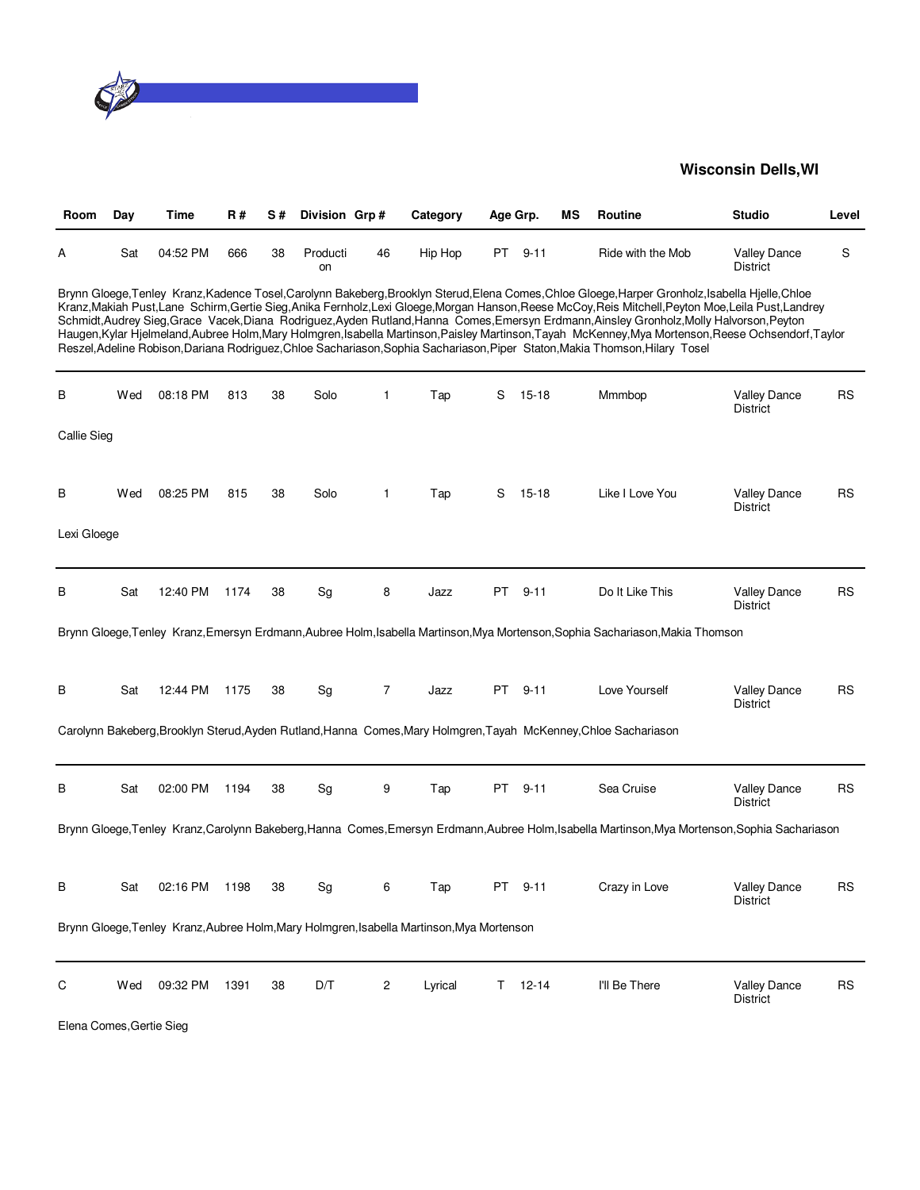

| Room               | Day | Time     | <b>R#</b> | S# | Division Grp#  |              | Category                                                                                  | Age Grp. |               | ΜS | Routine                                                                                                                                                                                                                                                                                                                                                                                                                                                                                                                                                                                                                                                                                                                                 | <b>Studio</b>                          | Level     |
|--------------------|-----|----------|-----------|----|----------------|--------------|-------------------------------------------------------------------------------------------|----------|---------------|----|-----------------------------------------------------------------------------------------------------------------------------------------------------------------------------------------------------------------------------------------------------------------------------------------------------------------------------------------------------------------------------------------------------------------------------------------------------------------------------------------------------------------------------------------------------------------------------------------------------------------------------------------------------------------------------------------------------------------------------------------|----------------------------------------|-----------|
| А                  | Sat | 04:52 PM | 666       | 38 | Producti<br>on | 46           | Hip Hop                                                                                   | PT       | 9-11          |    | Ride with the Mob                                                                                                                                                                                                                                                                                                                                                                                                                                                                                                                                                                                                                                                                                                                       | <b>Valley Dance</b><br><b>District</b> | S         |
|                    |     |          |           |    |                |              |                                                                                           |          |               |    | Brynn Gloege,Tenley Kranz,Kadence Tosel,Carolynn Bakeberg,Brooklyn Sterud,Elena Comes,Chloe Gloege,Harper Gronholz,Isabella Hielle,Chloe<br>Kranz, Makiah Pust, Lane Schirm, Gertie Sieg, Anika Fernholz, Lexi Gloege, Morgan Hanson, Reese McCoy, Reis Mitchell, Peyton Moe, Leila Pust, Landrey<br>Schmidt, Audrey Sieg, Grace Vacek, Diana Rodriguez, Ayden Rutland, Hanna Comes, Emersyn Erdmann, Ainsley Gronholz, Molly Halvorson, Peyton<br>Haugen, Kylar Hjelmeland, Aubree Holm, Mary Holmgren, Isabella Martinson, Paisley Martinson, Tayah McKenney, Mya Mortenson, Reese Ochsendorf, Taylor<br>Reszel, Adeline Robison, Dariana Rodriguez, Chloe Sachariason, Sophia Sachariason, Piper Staton, Makia Thomson, Hilary Tosel |                                        |           |
| В                  | Wed | 08:18 PM | 813       | 38 | Solo           | $\mathbf{1}$ | Tap                                                                                       | S        | $15 - 18$     |    | Mmmbop                                                                                                                                                                                                                                                                                                                                                                                                                                                                                                                                                                                                                                                                                                                                  | <b>Valley Dance</b><br><b>District</b> | RS        |
| <b>Callie Sieg</b> |     |          |           |    |                |              |                                                                                           |          |               |    |                                                                                                                                                                                                                                                                                                                                                                                                                                                                                                                                                                                                                                                                                                                                         |                                        |           |
| В                  | Wed | 08:25 PM | 815       | 38 | Solo           | $\mathbf{1}$ | Tap                                                                                       | S        | 15-18         |    | Like I Love You                                                                                                                                                                                                                                                                                                                                                                                                                                                                                                                                                                                                                                                                                                                         | <b>Valley Dance</b><br><b>District</b> | RS        |
| Lexi Gloege        |     |          |           |    |                |              |                                                                                           |          |               |    |                                                                                                                                                                                                                                                                                                                                                                                                                                                                                                                                                                                                                                                                                                                                         |                                        |           |
| В                  | Sat | 12:40 PM | 1174      | 38 | Sg             | 8            | Jazz                                                                                      | PT       | $9 - 11$      |    | Do It Like This                                                                                                                                                                                                                                                                                                                                                                                                                                                                                                                                                                                                                                                                                                                         | <b>Valley Dance</b><br><b>District</b> | <b>RS</b> |
|                    |     |          |           |    |                |              |                                                                                           |          |               |    | Brynn Gloege, Tenley Kranz, Emersyn Erdmann, Aubree Holm, Isabella Martinson, Mya Mortenson, Sophia Sachariason, Makia Thomson                                                                                                                                                                                                                                                                                                                                                                                                                                                                                                                                                                                                          |                                        |           |
| В                  | Sat | 12:44 PM | 1175      | 38 | Sg             | 7            | Jazz                                                                                      | PT.      | $9 - 11$      |    | Love Yourself                                                                                                                                                                                                                                                                                                                                                                                                                                                                                                                                                                                                                                                                                                                           | <b>Valley Dance</b><br><b>District</b> | RS        |
|                    |     |          |           |    |                |              |                                                                                           |          |               |    | Carolynn Bakeberg, Brooklyn Sterud, Ayden Rutland, Hanna Comes, Mary Holmgren, Tayah McKenney, Chloe Sachariason                                                                                                                                                                                                                                                                                                                                                                                                                                                                                                                                                                                                                        |                                        |           |
| В                  | Sat | 02:00 PM | 1194      | 38 | Sg             | 9            | Tap                                                                                       | PT.      | $9 - 11$      |    | Sea Cruise                                                                                                                                                                                                                                                                                                                                                                                                                                                                                                                                                                                                                                                                                                                              | Valley Dance<br>District               | <b>RS</b> |
|                    |     |          |           |    |                |              |                                                                                           |          |               |    | Brynn Gloege, Tenley Kranz, Carolynn Bakeberg, Hanna Comes, Emersyn Erdmann, Aubree Holm, Isabella Martinson, Mya Mortenson, Sophia Sachariason                                                                                                                                                                                                                                                                                                                                                                                                                                                                                                                                                                                         |                                        |           |
| В                  | Sat | 02:16 PM | 1198      | 38 | Sg             | 6            | Tap                                                                                       |          | PT 9-11       |    | Crazy in Love                                                                                                                                                                                                                                                                                                                                                                                                                                                                                                                                                                                                                                                                                                                           | <b>Valley Dance</b><br><b>District</b> | <b>RS</b> |
|                    |     |          |           |    |                |              | Brynn Gloege, Tenley Kranz, Aubree Holm, Mary Holmgren, Isabella Martinson, Mya Mortenson |          |               |    |                                                                                                                                                                                                                                                                                                                                                                                                                                                                                                                                                                                                                                                                                                                                         |                                        |           |
| С                  | Wed | 09:32 PM | 1391      | 38 | D/T            | 2            | Lyrical                                                                                   |          | $T = 12 - 14$ |    | I'll Be There                                                                                                                                                                                                                                                                                                                                                                                                                                                                                                                                                                                                                                                                                                                           | <b>Valley Dance</b><br><b>District</b> | <b>RS</b> |

Elena Comes,Gertie Sieg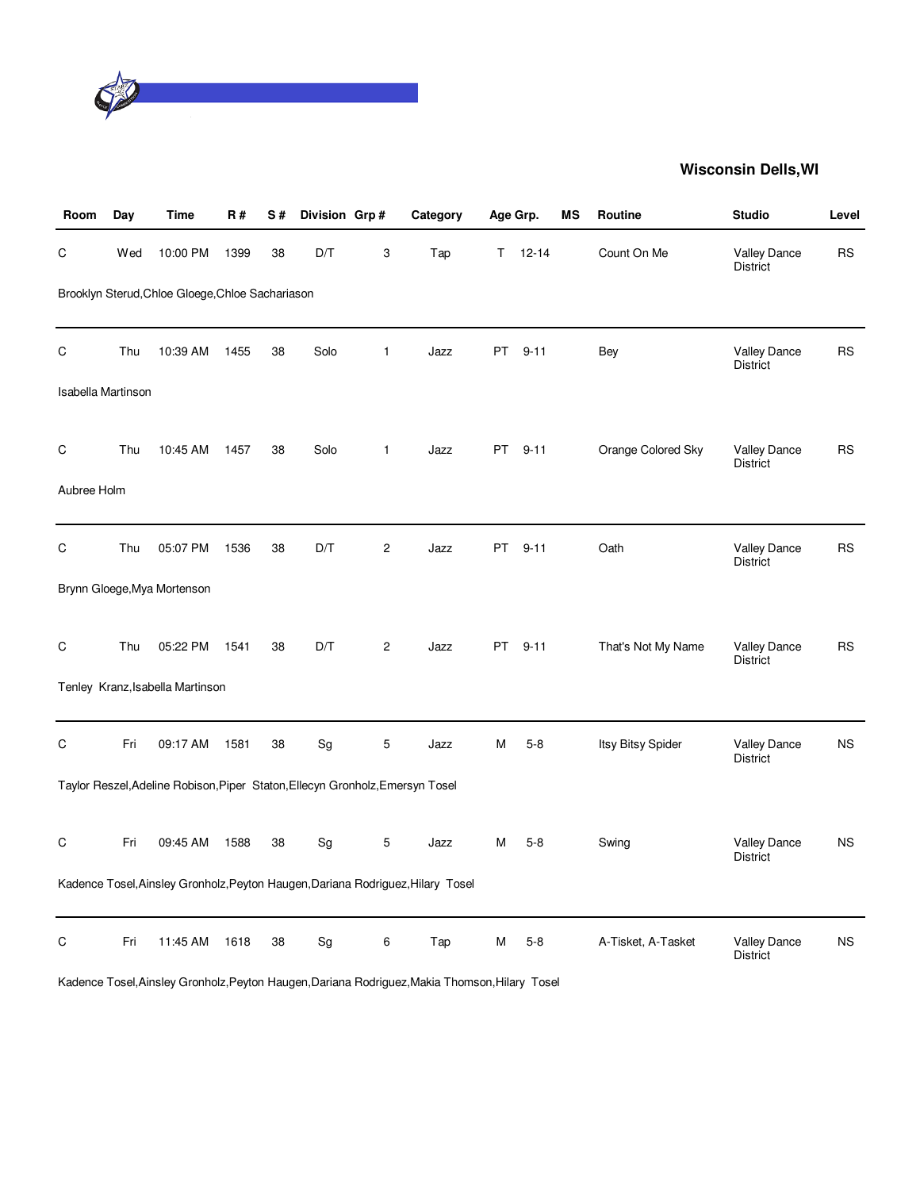

| Room               | Day | Time                                                                          | R#   | S# | Division Grp# |                | Category                                                                        | Age Grp.  |           | МS | Routine            | <b>Studio</b>                          | Level     |
|--------------------|-----|-------------------------------------------------------------------------------|------|----|---------------|----------------|---------------------------------------------------------------------------------|-----------|-----------|----|--------------------|----------------------------------------|-----------|
| $\mathsf C$        | Wed | 10:00 PM                                                                      | 1399 | 38 | D/T           | 3              | Tap                                                                             | T.        | $12 - 14$ |    | Count On Me        | Valley Dance<br><b>District</b>        | <b>RS</b> |
|                    |     | Brooklyn Sterud, Chloe Gloege, Chloe Sachariason                              |      |    |               |                |                                                                                 |           |           |    |                    |                                        |           |
| C                  | Thu | 10:39 AM                                                                      | 1455 | 38 | Solo          | $\mathbf{1}$   | Jazz                                                                            | PT        | $9 - 11$  |    | Bey                | Valley Dance<br><b>District</b>        | <b>RS</b> |
| Isabella Martinson |     |                                                                               |      |    |               |                |                                                                                 |           |           |    |                    |                                        |           |
| C                  | Thu | 10:45 AM                                                                      | 1457 | 38 | Solo          | $\mathbf{1}$   | Jazz                                                                            | PT .      | $9 - 11$  |    | Orange Colored Sky | Valley Dance<br>District               | <b>RS</b> |
| Aubree Holm        |     |                                                                               |      |    |               |                |                                                                                 |           |           |    |                    |                                        |           |
| C                  | Thu | 05:07 PM                                                                      | 1536 | 38 | D/T           | $\overline{c}$ | Jazz                                                                            | <b>PT</b> | $9 - 11$  |    | Oath               | <b>Valley Dance</b><br><b>District</b> | <b>RS</b> |
|                    |     | Brynn Gloege, Mya Mortenson                                                   |      |    |               |                |                                                                                 |           |           |    |                    |                                        |           |
| $\mathsf C$        | Thu | 05:22 PM                                                                      | 1541 | 38 | D/T           | 2              | Jazz                                                                            | PT        | $9 - 11$  |    | That's Not My Name | Valley Dance<br>District               | <b>RS</b> |
|                    |     | Tenley Kranz, Isabella Martinson                                              |      |    |               |                |                                                                                 |           |           |    |                    |                                        |           |
| $\mathsf C$        | Fri | 09:17 AM                                                                      | 1581 | 38 | Sg            | 5              | Jazz                                                                            | Μ         | $5-8$     |    | Itsy Bitsy Spider  | Valley Dance<br><b>District</b>        | <b>NS</b> |
|                    |     | Taylor Reszel, Adeline Robison, Piper Staton, Ellecyn Gronholz, Emersyn Tosel |      |    |               |                |                                                                                 |           |           |    |                    |                                        |           |
| C                  | Fri | 09:45 AM                                                                      | 1588 | 38 | Sg            | 5              | Jazz                                                                            | Μ         | $5-8$     |    | Swing              | Valley Dance<br><b>District</b>        | <b>NS</b> |
|                    |     |                                                                               |      |    |               |                | Kadence Tosel, Ainsley Gronholz, Peyton Haugen, Dariana Rodriguez, Hilary Tosel |           |           |    |                    |                                        |           |
| C                  | Fri | 11:45 AM                                                                      | 1618 | 38 | Sg            | 6              | Tap                                                                             | Μ         | $5-8$     |    | A-Tisket, A-Tasket | <b>Valley Dance</b><br><b>District</b> | <b>NS</b> |

Kadence Tosel,Ainsley Gronholz,Peyton Haugen,Dariana Rodriguez,Makia Thomson,Hilary Tosel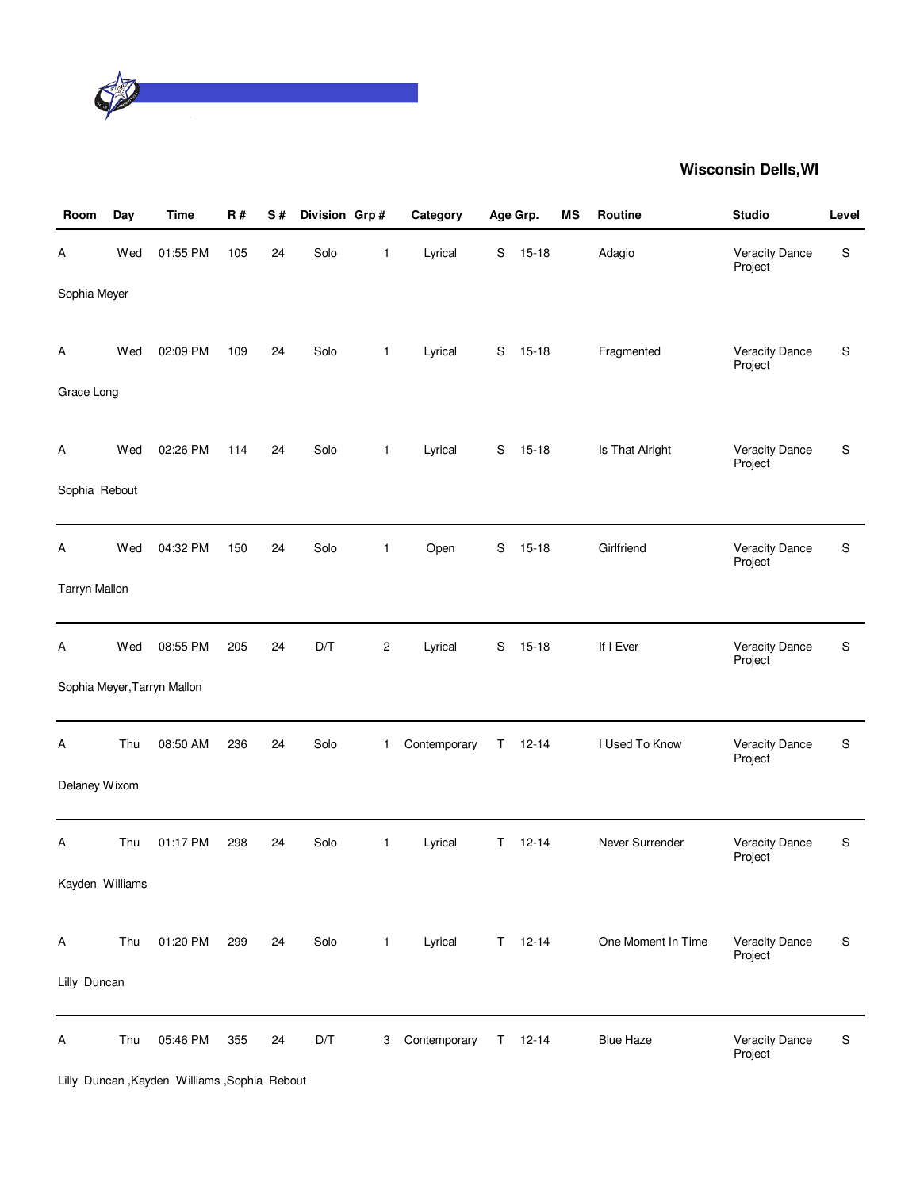

| Room                 | Day | <b>Time</b>                 | R#  | S# | Division Grp# |                         | Category     |             | Age Grp.      | <b>MS</b> | <b>Routine</b>     | <b>Studio</b>                    | Level     |
|----------------------|-----|-----------------------------|-----|----|---------------|-------------------------|--------------|-------------|---------------|-----------|--------------------|----------------------------------|-----------|
| А                    | Wed | 01:55 PM                    | 105 | 24 | Solo          | 1                       | Lyrical      | S           | $15 - 18$     |           | Adagio             | <b>Veracity Dance</b><br>Project | ${\sf S}$ |
| Sophia Meyer         |     |                             |     |    |               |                         |              |             |               |           |                    |                                  |           |
| Α                    | Wed | 02:09 PM                    | 109 | 24 | Solo          | $\mathbf{1}$            | Lyrical      | S           | $15 - 18$     |           | Fragmented         | Veracity Dance<br>Project        | S         |
| Grace Long           |     |                             |     |    |               |                         |              |             |               |           |                    |                                  |           |
| Α                    | Wed | 02:26 PM                    | 114 | 24 | Solo          | 1                       | Lyrical      | S           | $15 - 18$     |           | Is That Alright    | <b>Veracity Dance</b><br>Project | S         |
| Sophia Rebout        |     |                             |     |    |               |                         |              |             |               |           |                    |                                  |           |
| А                    | Wed | 04:32 PM                    | 150 | 24 | Solo          | $\mathbf{1}$            | Open         | $\mathbf S$ | $15 - 18$     |           | Girlfriend         | <b>Veracity Dance</b><br>Project | ${\sf S}$ |
| <b>Tarryn Mallon</b> |     |                             |     |    |               |                         |              |             |               |           |                    |                                  |           |
| А                    | Wed | 08:55 PM                    | 205 | 24 | D/T           | $\overline{\mathbf{c}}$ | Lyrical      | S           | $15 - 18$     |           | If I Ever          | <b>Veracity Dance</b><br>Project | S         |
|                      |     | Sophia Meyer, Tarryn Mallon |     |    |               |                         |              |             |               |           |                    |                                  |           |
| А                    | Thu | 08:50 AM                    | 236 | 24 | Solo          | 1                       | Contemporary | Τ           | $12 - 14$     |           | I Used To Know     | Veracity Dance<br>Project        | ${\sf S}$ |
| Delaney Wixom        |     |                             |     |    |               |                         |              |             |               |           |                    |                                  |           |
| Α                    | Thu | 01:17 PM                    | 298 | 24 | Solo          | $\mathbf{1}$            | Lyrical      | T.          | $12 - 14$     |           | Never Surrender    | Veracity Dance<br>Project        | ${\sf S}$ |
| Kayden Williams      |     |                             |     |    |               |                         |              |             |               |           |                    |                                  |           |
| Α                    | Thu | 01:20 PM                    | 299 | 24 | Solo          | $\mathbf{1}$            | Lyrical      |             | $T = 12-14$   |           | One Moment In Time | Veracity Dance<br>Project        | S         |
| Lilly Duncan         |     |                             |     |    |               |                         |              |             |               |           |                    |                                  |           |
| А                    | Thu | 05:46 PM                    | 355 | 24 | D/T           | 3                       | Contemporary |             | $T = 12 - 14$ |           | <b>Blue Haze</b>   | <b>Veracity Dance</b><br>Project | S         |

Lilly Duncan ,Kayden Williams ,Sophia Rebout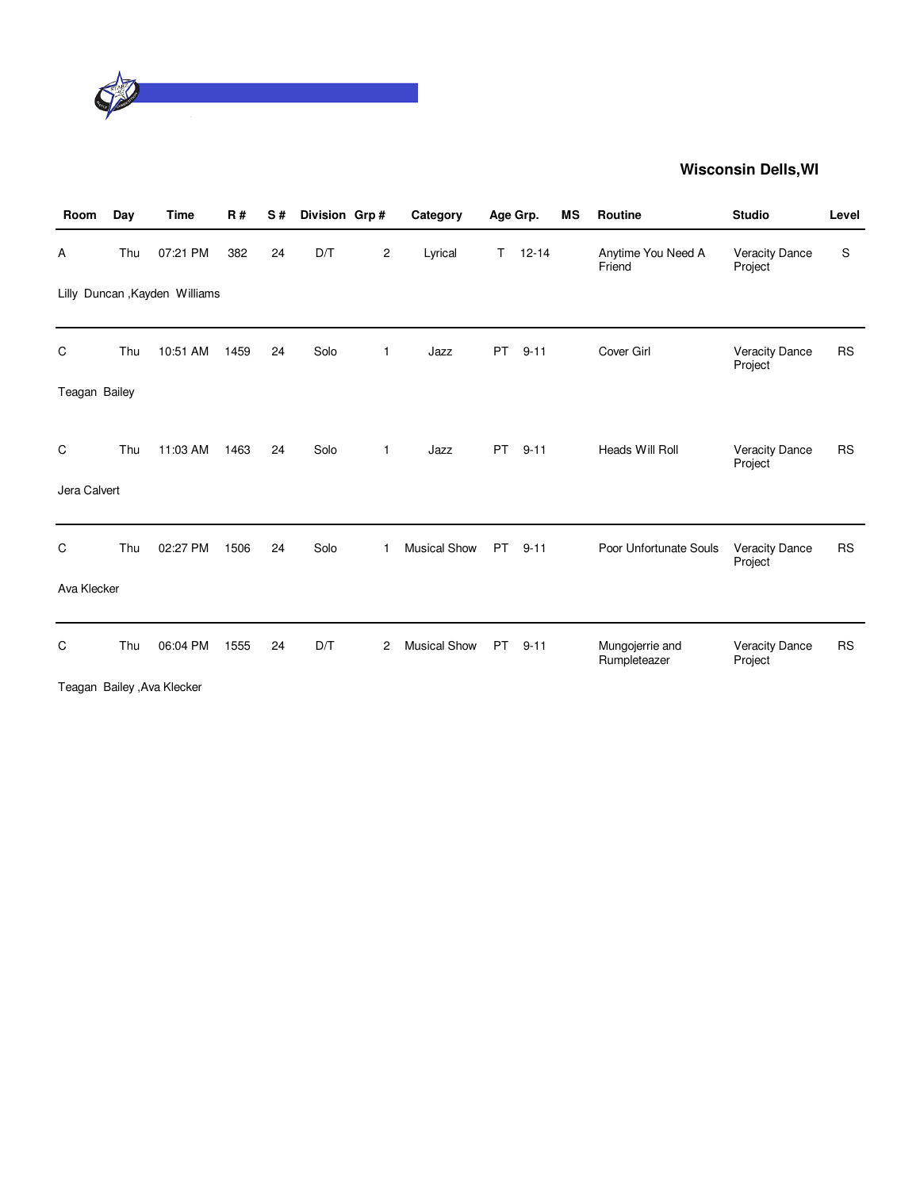

| Room          | Day | <b>Time</b>                    | R#   | S# | Division Grp # |                | Category            |           | Age Grp.  | <b>MS</b> | Routine                         | <b>Studio</b>                    | Level     |
|---------------|-----|--------------------------------|------|----|----------------|----------------|---------------------|-----------|-----------|-----------|---------------------------------|----------------------------------|-----------|
| Α             | Thu | 07:21 PM                       | 382  | 24 | D/T            | $\overline{c}$ | Lyrical             | T.        | $12 - 14$ |           | Anytime You Need A<br>Friend    | <b>Veracity Dance</b><br>Project | S         |
|               |     | Lilly Duncan , Kayden Williams |      |    |                |                |                     |           |           |           |                                 |                                  |           |
| C             | Thu | 10:51 AM                       | 1459 | 24 | Solo           | 1              | Jazz                | <b>PT</b> | $9 - 11$  |           | Cover Girl                      | <b>Veracity Dance</b><br>Project | <b>RS</b> |
| Teagan Bailey |     |                                |      |    |                |                |                     |           |           |           |                                 |                                  |           |
|               |     |                                |      |    |                |                |                     |           |           |           |                                 |                                  |           |
| C             | Thu | 11:03 AM                       | 1463 | 24 | Solo           | 1              | Jazz                | <b>PT</b> | $9 - 11$  |           | Heads Will Roll                 | Veracity Dance<br>Project        | <b>RS</b> |
| Jera Calvert  |     |                                |      |    |                |                |                     |           |           |           |                                 |                                  |           |
|               |     |                                |      |    |                |                |                     |           |           |           |                                 |                                  |           |
| C             | Thu | 02:27 PM                       | 1506 | 24 | Solo           | 1              | <b>Musical Show</b> | <b>PT</b> | $9 - 11$  |           | Poor Unfortunate Souls          | Veracity Dance<br>Project        | <b>RS</b> |
| Ava Klecker   |     |                                |      |    |                |                |                     |           |           |           |                                 |                                  |           |
|               |     |                                |      |    |                |                |                     |           |           |           |                                 |                                  |           |
| С             | Thu | 06:04 PM                       | 1555 | 24 | D/T            | 2              | <b>Musical Show</b> | <b>PT</b> | $9 - 11$  |           | Mungojerrie and<br>Rumpleteazer | <b>Veracity Dance</b><br>Project | <b>RS</b> |
|               |     | Teagan Bailey , Ava Klecker    |      |    |                |                |                     |           |           |           |                                 |                                  |           |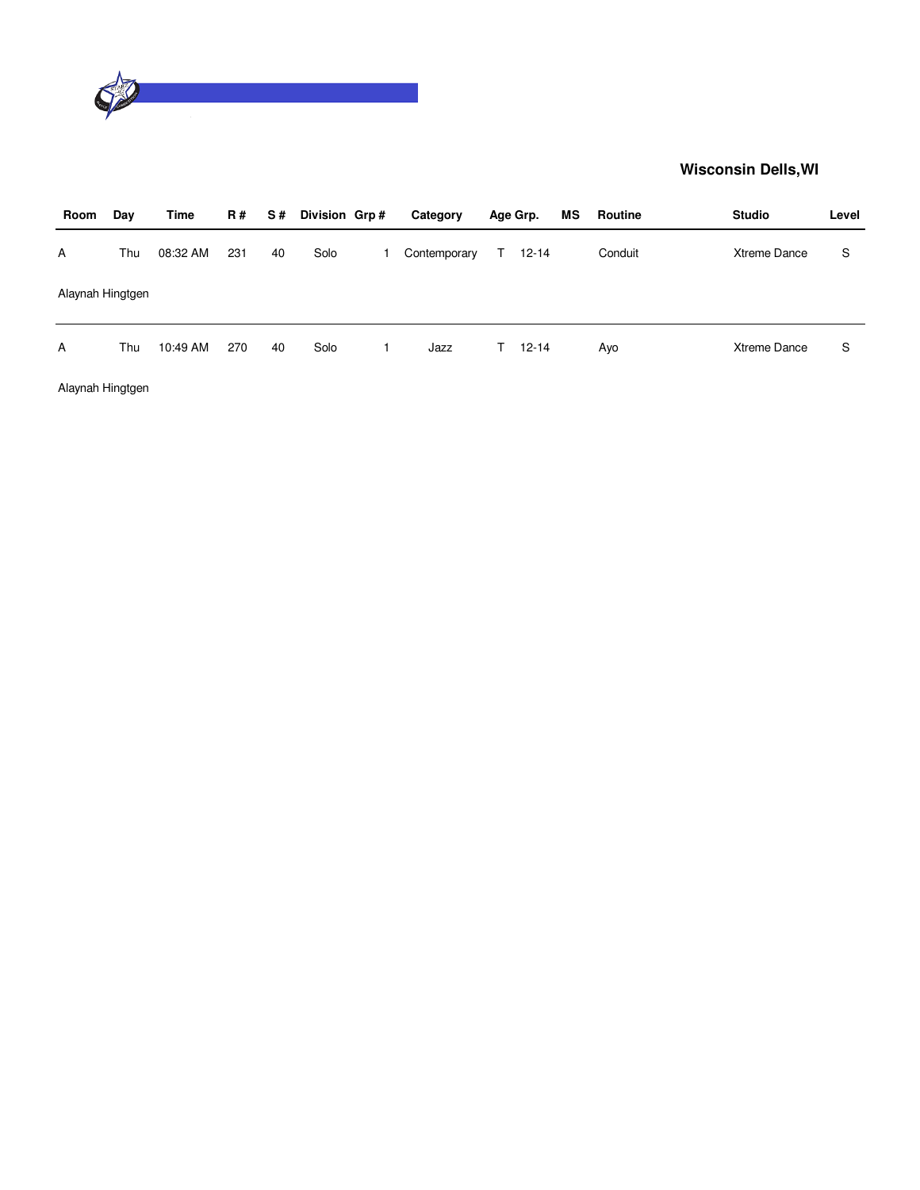

| Room             | Day | Time     | <b>R#</b> | S# | Division Grp# | Category     |    | Age Grp.  | ΜS | Routine | <b>Studio</b> | Level |
|------------------|-----|----------|-----------|----|---------------|--------------|----|-----------|----|---------|---------------|-------|
| A                | Thu | 08:32 AM | 231       | 40 | Solo          | Contemporary | T. | $12 - 14$ |    | Conduit | Xtreme Dance  | S     |
| Alaynah Hingtgen |     |          |           |    |               |              |    |           |    |         |               |       |
| A                | Thu | 10:49 AM | 270       | 40 | Solo          | Jazz         | T. | $12 - 14$ |    | Ayo     | Xtreme Dance  | S     |

Alaynah Hingtgen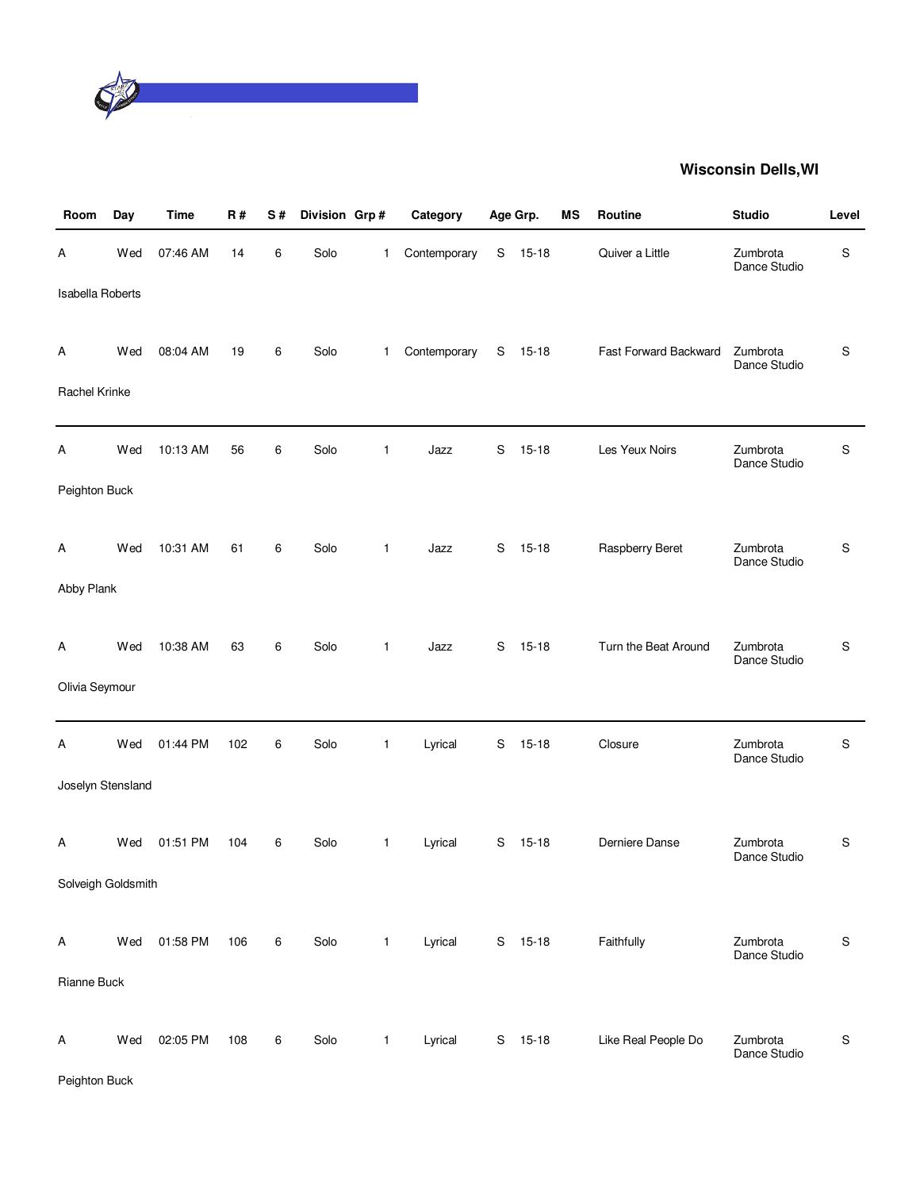

| Room                    | Day | <b>Time</b> | R#  | S# | Division Grp# |   | Category     |   | Age Grp.  | ΜS | Routine               | <b>Studio</b>            | Level         |
|-------------------------|-----|-------------|-----|----|---------------|---|--------------|---|-----------|----|-----------------------|--------------------------|---------------|
| Α                       | Wed | 07:46 AM    | 14  | 6  | Solo          | 1 | Contemporary | S | $15 - 18$ |    | Quiver a Little       | Zumbrota<br>Dance Studio | S             |
| <b>Isabella Roberts</b> |     |             |     |    |               |   |              |   |           |    |                       |                          |               |
| A                       | Wed | 08:04 AM    | 19  | 6  | Solo          | 1 | Contemporary | S | $15 - 18$ |    | Fast Forward Backward | Zumbrota<br>Dance Studio | S             |
| Rachel Krinke           |     |             |     |    |               |   |              |   |           |    |                       |                          |               |
| А                       | Wed | 10:13 AM    | 56  | 6  | Solo          | 1 | Jazz         | S | $15 - 18$ |    | Les Yeux Noirs        | Zumbrota<br>Dance Studio | S             |
| Peighton Buck           |     |             |     |    |               |   |              |   |           |    |                       |                          |               |
| A                       | Wed | 10:31 AM    | 61  | 6  | Solo          | 1 | Jazz         | S | $15 - 18$ |    | Raspberry Beret       | Zumbrota<br>Dance Studio | S             |
| Abby Plank              |     |             |     |    |               |   |              |   |           |    |                       |                          |               |
| A                       | Wed | 10:38 AM    | 63  | 6  | Solo          | 1 | Jazz         | S | $15 - 18$ |    | Turn the Beat Around  | Zumbrota<br>Dance Studio | S             |
| Olivia Seymour          |     |             |     |    |               |   |              |   |           |    |                       |                          |               |
| А                       | Wed | 01:44 PM    | 102 | 6  | Solo          | 1 | Lyrical      | S | $15 - 18$ |    | Closure               | Zumbrota<br>Dance Studio | S             |
| Joselyn Stensland       |     |             |     |    |               |   |              |   |           |    |                       |                          |               |
| Α                       | Wed | 01:51 PM    | 104 | 6  | Solo          | 1 | Lyrical      | S | $15 - 18$ |    | Derniere Danse        | Zumbrota<br>Dance Studio | S             |
| Solveigh Goldsmith      |     |             |     |    |               |   |              |   |           |    |                       |                          |               |
| Α                       | Wed | 01:58 PM    | 106 | 6  | Solo          | 1 | Lyrical      |   | S 15-18   |    | Faithfully            | Zumbrota<br>Dance Studio | ${\mathsf S}$ |
| Rianne Buck             |     |             |     |    |               |   |              |   |           |    |                       |                          |               |
| A                       | Wed | 02:05 PM    | 108 | 6  | Solo          | 1 | Lyrical      | S | $15-18$   |    | Like Real People Do   | Zumbrota<br>Dance Studio | ${\mathsf S}$ |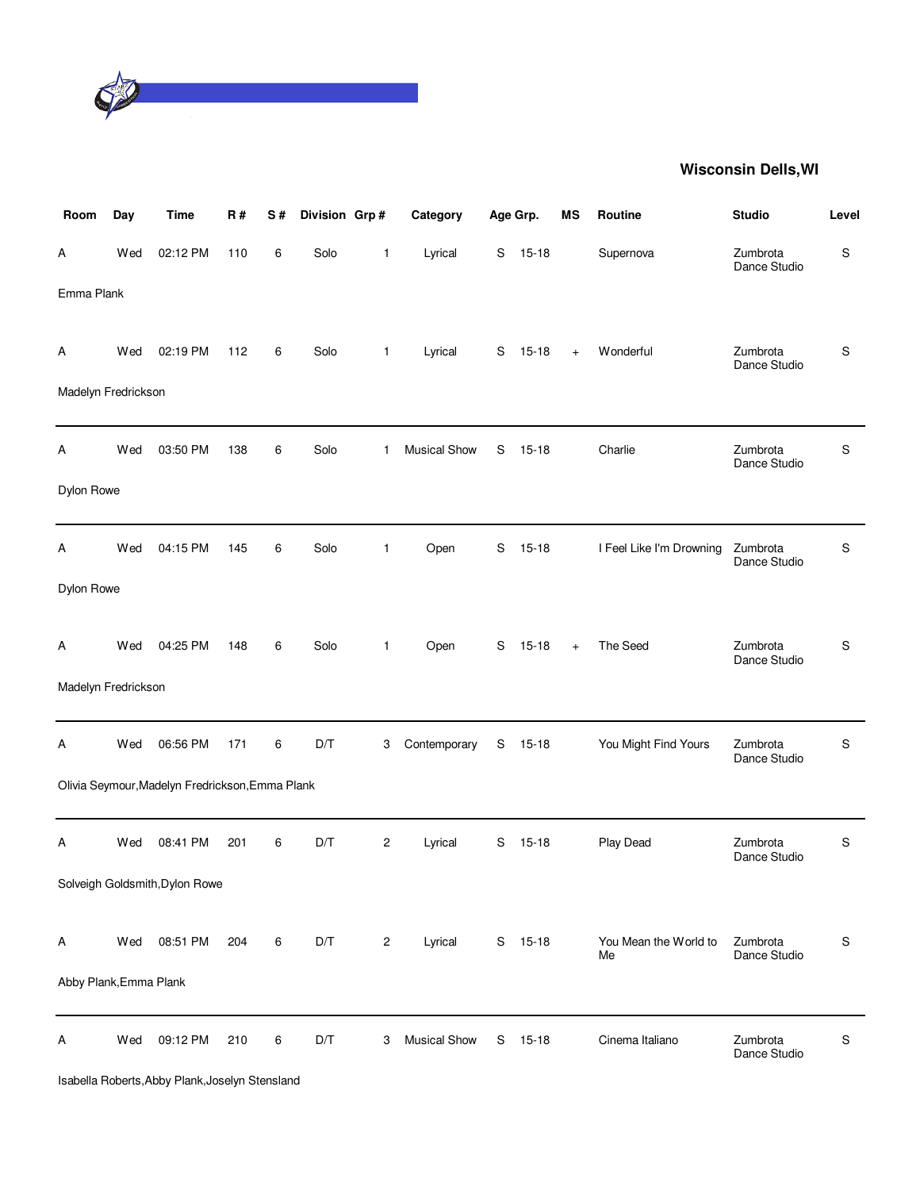

| Room                   | Day | <b>Time</b>                                     | <b>R#</b> | S# | Division Grp# |                | Category            |   | Age Grp.  | MS  | Routine                     | <b>Studio</b>            | Level |
|------------------------|-----|-------------------------------------------------|-----------|----|---------------|----------------|---------------------|---|-----------|-----|-----------------------------|--------------------------|-------|
| Α                      | Wed | 02:12 PM                                        | 110       | 6  | Solo          | $\mathbf{1}$   | Lyrical             | S | $15 - 18$ |     | Supernova                   | Zumbrota<br>Dance Studio | S     |
| Emma Plank             |     |                                                 |           |    |               |                |                     |   |           |     |                             |                          |       |
| Α                      | Wed | 02:19 PM                                        | 112       | 6  | Solo          | $\mathbf{1}$   | Lyrical             | S | $15 - 18$ | $+$ | Wonderful                   | Zumbrota<br>Dance Studio | S     |
| Madelyn Fredrickson    |     |                                                 |           |    |               |                |                     |   |           |     |                             |                          |       |
| Α                      | Wed | 03:50 PM                                        | 138       | 6  | Solo          | 1              | <b>Musical Show</b> | S | $15 - 18$ |     | Charlie                     | Zumbrota<br>Dance Studio | S     |
| Dylon Rowe             |     |                                                 |           |    |               |                |                     |   |           |     |                             |                          |       |
| Α                      | Wed | 04:15 PM                                        | 145       | 6  | Solo          | $\mathbf{1}$   | Open                | S | $15 - 18$ |     | I Feel Like I'm Drowning    | Zumbrota<br>Dance Studio | S     |
| Dylon Rowe             |     |                                                 |           |    |               |                |                     |   |           |     |                             |                          |       |
| Α                      | Wed | 04:25 PM                                        | 148       | 6  | Solo          | $\mathbf{1}$   | Open                | S | $15 - 18$ | $+$ | The Seed                    | Zumbrota<br>Dance Studio | S     |
| Madelyn Fredrickson    |     |                                                 |           |    |               |                |                     |   |           |     |                             |                          |       |
| А                      | Wed | 06:56 PM                                        | 171       | 6  | D/T           | 3              | Contemporary        | S | $15 - 18$ |     | You Might Find Yours        | Zumbrota<br>Dance Studio | S     |
|                        |     | Olivia Seymour, Madelyn Fredrickson, Emma Plank |           |    |               |                |                     |   |           |     |                             |                          |       |
| Α                      | Wed | 08:41 PM                                        | 201       | 6  | D/T           | $\overline{2}$ | Lyrical             | S | $15 - 18$ |     | Play Dead                   | Zumbrota<br>Dance Studio | S     |
|                        |     | Solveigh Goldsmith, Dylon Rowe                  |           |    |               |                |                     |   |           |     |                             |                          |       |
| Α                      | Wed | 08:51 PM                                        | 204       | 6  | D/T           | $\overline{c}$ | Lyrical             | S | $15 - 18$ |     | You Mean the World to<br>Me | Zumbrota<br>Dance Studio | S     |
| Abby Plank, Emma Plank |     |                                                 |           |    |               |                |                     |   |           |     |                             |                          |       |
| Α                      | Wed | 09:12 PM                                        | 210       | 6  | D/T           | 3              | <b>Musical Show</b> | S | $15 - 18$ |     | Cinema Italiano             | Zumbrota<br>Dance Studio | S     |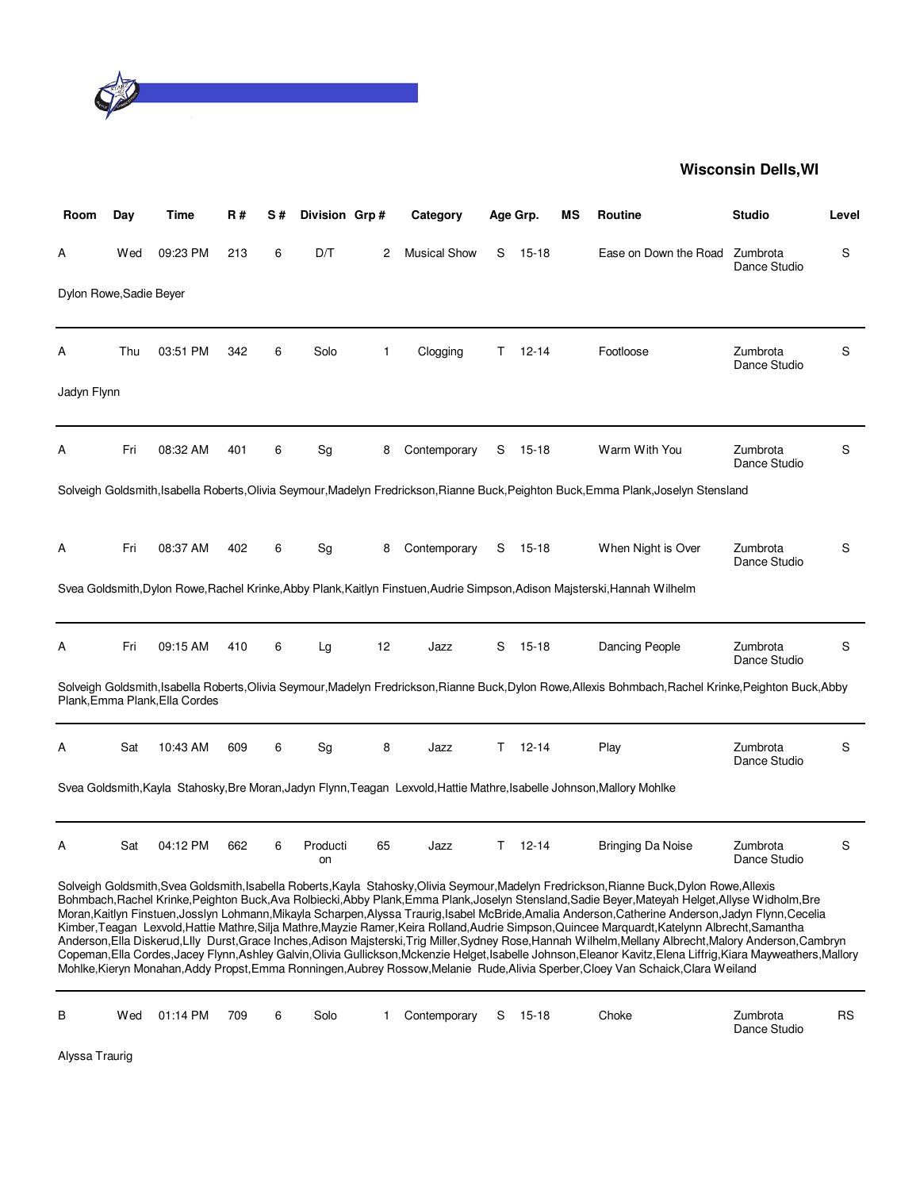

| Room                    | Day | Time                           | <b>R#</b> | S# | Division Grp#  |              | Category            |    | Age Grp.  | ΜS | Routine                                                                                                                                                                                                                                                                                                                                                                                                                                                                                                                                                                                                                                                                                                                                                                                                                                                                                                                                                                                                                                             | <b>Studio</b>            | Level |
|-------------------------|-----|--------------------------------|-----------|----|----------------|--------------|---------------------|----|-----------|----|-----------------------------------------------------------------------------------------------------------------------------------------------------------------------------------------------------------------------------------------------------------------------------------------------------------------------------------------------------------------------------------------------------------------------------------------------------------------------------------------------------------------------------------------------------------------------------------------------------------------------------------------------------------------------------------------------------------------------------------------------------------------------------------------------------------------------------------------------------------------------------------------------------------------------------------------------------------------------------------------------------------------------------------------------------|--------------------------|-------|
| А                       | Wed | 09:23 PM                       | 213       | 6  | D/T            | 2            | <b>Musical Show</b> | S  | 15-18     |    | Ease on Down the Road                                                                                                                                                                                                                                                                                                                                                                                                                                                                                                                                                                                                                                                                                                                                                                                                                                                                                                                                                                                                                               | Zumbrota<br>Dance Studio | S     |
| Dylon Rowe, Sadie Beyer |     |                                |           |    |                |              |                     |    |           |    |                                                                                                                                                                                                                                                                                                                                                                                                                                                                                                                                                                                                                                                                                                                                                                                                                                                                                                                                                                                                                                                     |                          |       |
| Α                       | Thu | 03:51 PM                       | 342       | 6  | Solo           | $\mathbf{1}$ | Clogging            | T. | $12 - 14$ |    | Footloose                                                                                                                                                                                                                                                                                                                                                                                                                                                                                                                                                                                                                                                                                                                                                                                                                                                                                                                                                                                                                                           | Zumbrota<br>Dance Studio | S     |
| Jadyn Flynn             |     |                                |           |    |                |              |                     |    |           |    |                                                                                                                                                                                                                                                                                                                                                                                                                                                                                                                                                                                                                                                                                                                                                                                                                                                                                                                                                                                                                                                     |                          |       |
| А                       | Fri | 08:32 AM                       | 401       | 6  | Sg             | 8            | Contemporary        | S  | 15-18     |    | Warm With You                                                                                                                                                                                                                                                                                                                                                                                                                                                                                                                                                                                                                                                                                                                                                                                                                                                                                                                                                                                                                                       | Zumbrota<br>Dance Studio | S     |
|                         |     |                                |           |    |                |              |                     |    |           |    | Solveigh Goldsmith, Isabella Roberts, Olivia Seymour, Madelyn Fredrickson, Rianne Buck, Peighton Buck, Emma Plank, Joselyn Stensland                                                                                                                                                                                                                                                                                                                                                                                                                                                                                                                                                                                                                                                                                                                                                                                                                                                                                                                |                          |       |
| Α                       | Fri | 08:37 AM                       | 402       | 6  | Sg             | 8            | Contemporary        | S  | 15-18     |    | When Night is Over                                                                                                                                                                                                                                                                                                                                                                                                                                                                                                                                                                                                                                                                                                                                                                                                                                                                                                                                                                                                                                  | Zumbrota<br>Dance Studio | S     |
|                         |     |                                |           |    |                |              |                     |    |           |    | Svea Goldsmith, Dylon Rowe, Rachel Krinke, Abby Plank, Kaitlyn Finstuen, Audrie Simpson, Adison Majsterski, Hannah Wilhelm                                                                                                                                                                                                                                                                                                                                                                                                                                                                                                                                                                                                                                                                                                                                                                                                                                                                                                                          |                          |       |
| А                       | Fri | 09:15 AM                       | 410       | 6  | Lg             | 12           | Jazz                | S  | 15-18     |    | Dancing People                                                                                                                                                                                                                                                                                                                                                                                                                                                                                                                                                                                                                                                                                                                                                                                                                                                                                                                                                                                                                                      | Zumbrota<br>Dance Studio | S     |
|                         |     | Plank, Emma Plank, Ella Cordes |           |    |                |              |                     |    |           |    | Solveigh Goldsmith, Isabella Roberts, Olivia Seymour, Madelyn Fredrickson, Rianne Buck, Dylon Rowe, Allexis Bohmbach, Rachel Krinke, Peighton Buck, Abby                                                                                                                                                                                                                                                                                                                                                                                                                                                                                                                                                                                                                                                                                                                                                                                                                                                                                            |                          |       |
| А                       | Sat | 10:43 AM                       | 609       | 6  | Sg             | 8            | Jazz                | т  | $12 - 14$ |    | Play                                                                                                                                                                                                                                                                                                                                                                                                                                                                                                                                                                                                                                                                                                                                                                                                                                                                                                                                                                                                                                                | Zumbrota<br>Dance Studio | S     |
|                         |     |                                |           |    |                |              |                     |    |           |    | Svea Goldsmith, Kayla Stahosky, Bre Moran, Jadyn Flynn, Teagan Lexvold, Hattie Mathre, Isabelle Johnson, Mallory Mohlke                                                                                                                                                                                                                                                                                                                                                                                                                                                                                                                                                                                                                                                                                                                                                                                                                                                                                                                             |                          |       |
| А                       | Sat | 04:12 PM                       | 662       | 6  | Producti<br>on | 65           | Jazz                | т  | $12 - 14$ |    | <b>Bringing Da Noise</b>                                                                                                                                                                                                                                                                                                                                                                                                                                                                                                                                                                                                                                                                                                                                                                                                                                                                                                                                                                                                                            | Zumbrota<br>Dance Studio | S     |
|                         |     |                                |           |    |                |              |                     |    |           |    | Solveigh Goldsmith, Svea Goldsmith, Isabella Roberts, Kayla Stahosky, Olivia Seymour, Madelyn Fredrickson, Rianne Buck, Dylon Rowe, Allexis<br>Bohmbach, Rachel Krinke, Peighton Buck, Ava Rolbiecki, Abby Plank, Emma Plank, Joselyn Stensland, Sadie Beyer, Mateyah Helget, Allyse Widholm, Bre<br>Moran,Kaitlyn Finstuen,Josslyn Lohmann,Mikayla Scharpen,Alyssa Traurig,Isabel McBride,Amalia Anderson,Catherine Anderson,Jadyn Flynn,Cecelia<br>Kimber,Teagan Lexvold,Hattie Mathre,Silja Mathre,Mayzie Ramer,Keira Rolland,Audrie Simpson,Quincee Marquardt,Katelynn Albrecht,Samantha<br>Anderson, Ella Diskerud, Llly Durst, Grace Inches, Adison Majsterski, Trig Miller, Sydney Rose, Hannah Wilhelm, Mellany Albrecht, Malory Anderson, Cambryn<br>Copeman,Ella Cordes,Jacey Flynn,Ashley Galvin,Olivia Gullickson,Mckenzie Helget,Isabelle Johnson,Eleanor Kavitz,Elena Liffrig,Kiara Mayweathers,Mallory<br>Mohlke,Kieryn Monahan,Addy Propst,Emma Ronningen,Aubrey Rossow,Melanie Rude,Alivia Sperber,Cloey Van Schaick,Clara Weiland |                          |       |
| В                       | Wed | 01:14 PM                       | 709       | 6  | Solo           | 1            | Contemporary        | S  | 15-18     |    | Choke                                                                                                                                                                                                                                                                                                                                                                                                                                                                                                                                                                                                                                                                                                                                                                                                                                                                                                                                                                                                                                               | Zumbrota<br>Dance Studio | RS    |

Alyssa Traurig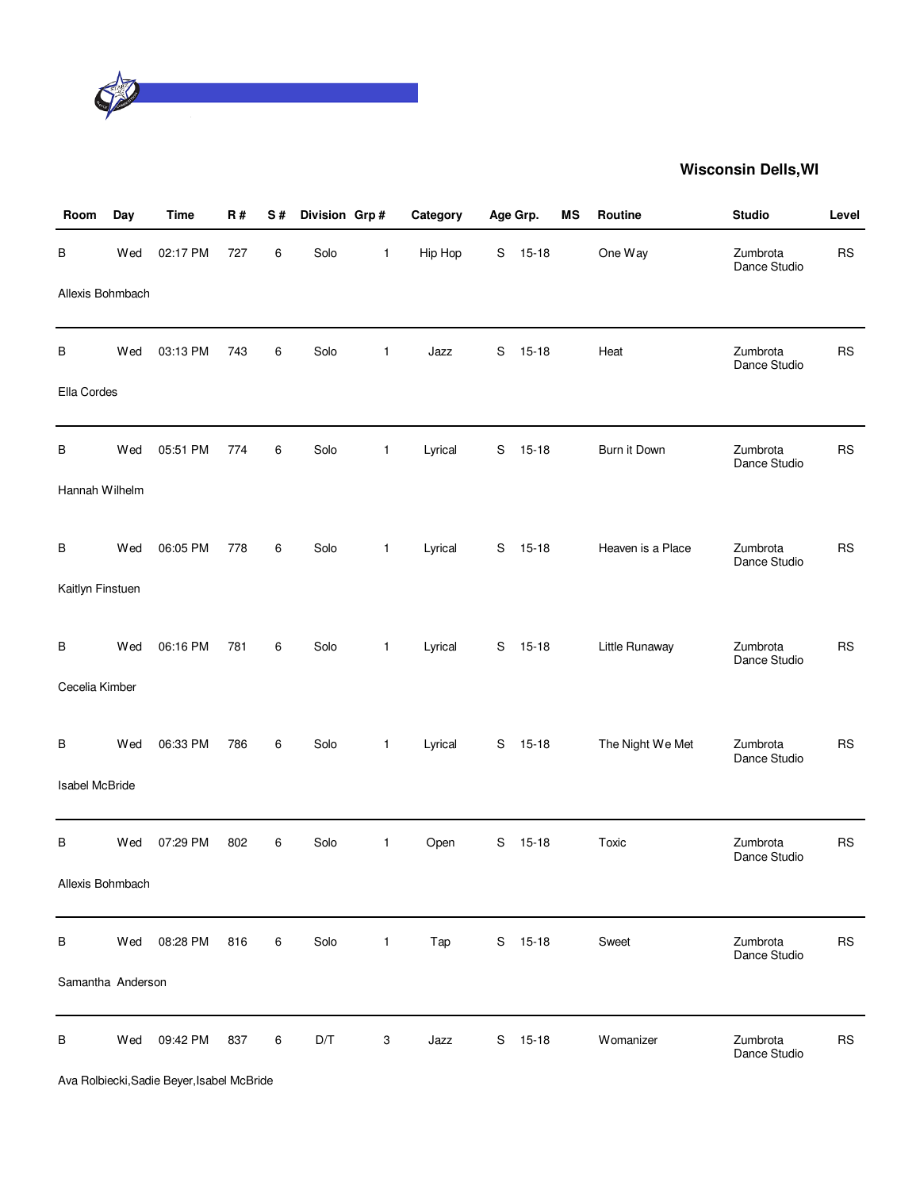

| Room                  | Day | <b>Time</b> | R#  | S# | Division Grp# |              | Category | Age Grp. |           | MS | Routine           | <b>Studio</b>            | Level     |
|-----------------------|-----|-------------|-----|----|---------------|--------------|----------|----------|-----------|----|-------------------|--------------------------|-----------|
| В                     | Wed | 02:17 PM    | 727 | 6  | Solo          | $\mathbf{1}$ | Hip Hop  | S        | $15 - 18$ |    | One Way           | Zumbrota<br>Dance Studio | <b>RS</b> |
| Allexis Bohmbach      |     |             |     |    |               |              |          |          |           |    |                   |                          |           |
| В                     | Wed | 03:13 PM    | 743 | 6  | Solo          | $\mathbf{1}$ | Jazz     | S        | $15 - 18$ |    | Heat              | Zumbrota<br>Dance Studio | <b>RS</b> |
| Ella Cordes           |     |             |     |    |               |              |          |          |           |    |                   |                          |           |
| В                     | Wed | 05:51 PM    | 774 | 6  | Solo          | $\mathbf{1}$ | Lyrical  | S        | $15 - 18$ |    | Burn it Down      | Zumbrota<br>Dance Studio | <b>RS</b> |
| Hannah Wilhelm        |     |             |     |    |               |              |          |          |           |    |                   |                          |           |
| В                     | Wed | 06:05 PM    | 778 | 6  | Solo          | $\mathbf{1}$ | Lyrical  | S        | $15 - 18$ |    | Heaven is a Place | Zumbrota                 | <b>RS</b> |
| Kaitlyn Finstuen      |     |             |     |    |               |              |          |          |           |    |                   | Dance Studio             |           |
| B                     | Wed | 06:16 PM    | 781 | 6  | Solo          | $\mathbf{1}$ | Lyrical  | S        | $15 - 18$ |    | Little Runaway    | Zumbrota                 | <b>RS</b> |
| Cecelia Kimber        |     |             |     |    |               |              |          |          |           |    |                   | Dance Studio             |           |
| В                     | Wed | 06:33 PM    | 786 | 6  | Solo          | $\mathbf{1}$ | Lyrical  | S        | $15 - 18$ |    | The Night We Met  | Zumbrota                 | <b>RS</b> |
| <b>Isabel McBride</b> |     |             |     |    |               |              |          |          |           |    |                   | Dance Studio             |           |
| В                     | Wed | 07:29 PM    | 802 | 6  | Solo          | $\mathbf{1}$ | Open     | S        | $15 - 18$ |    | Toxic             | Zumbrota<br>Dance Studio | <b>RS</b> |
| Allexis Bohmbach      |     |             |     |    |               |              |          |          |           |    |                   |                          |           |
| B                     | Wed | 08:28 PM    | 816 | 6  | Solo          | $\mathbf{1}$ | Tap      | S        | 15-18     |    | Sweet             | Zumbrota<br>Dance Studio | <b>RS</b> |
| Samantha Anderson     |     |             |     |    |               |              |          |          |           |    |                   |                          |           |
| B                     | Wed | 09:42 PM    | 837 | 6  | D/T           | 3            | Jazz     | S        | $15 - 18$ |    | Womanizer         | Zumbrota<br>Dance Studio | <b>RS</b> |

Ava Rolbiecki,Sadie Beyer,Isabel McBride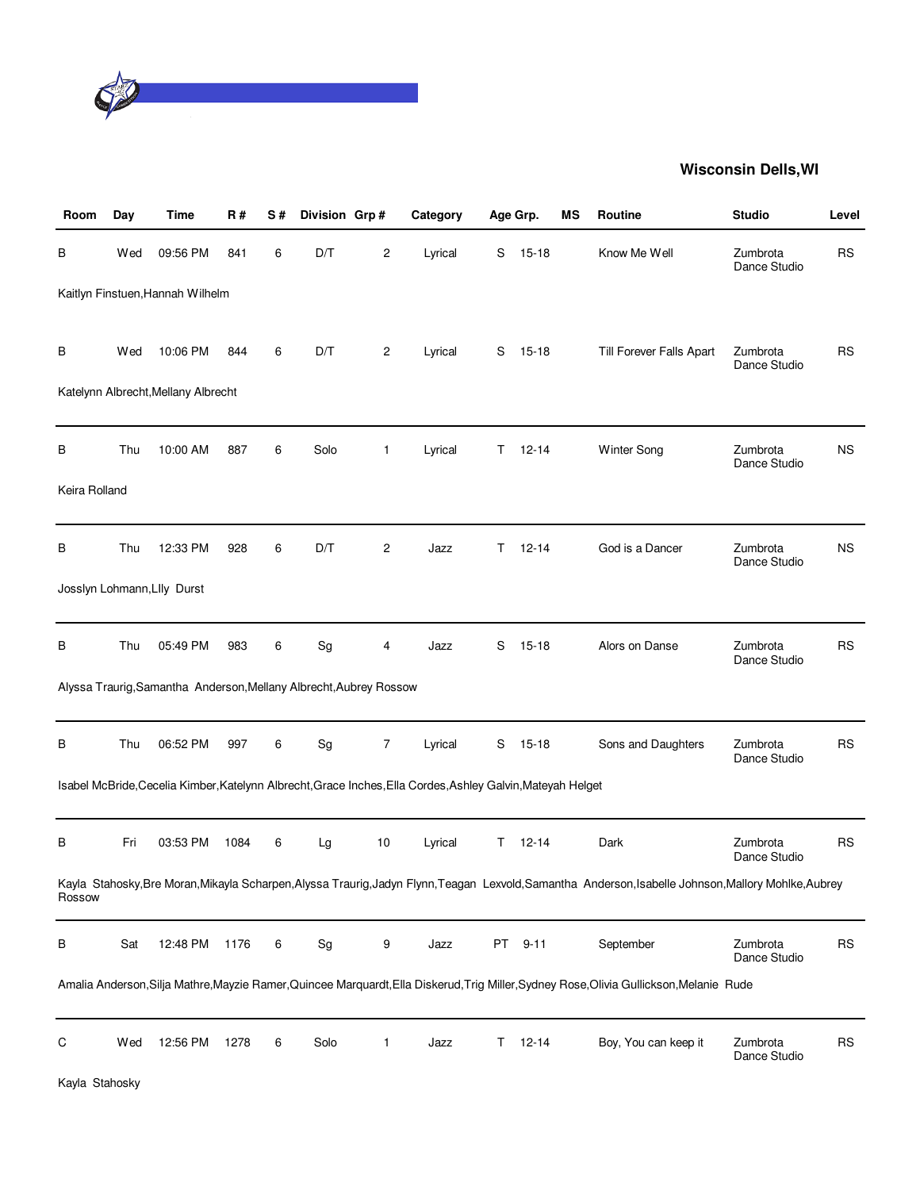

| Room           | Day | Time                                                               | R#   | S# | Division Grp#                |                | Category                                                                                                    |    | Age Grp.  | ΜS | Routine                                                                                                                                               | <b>Studio</b>            | Level     |
|----------------|-----|--------------------------------------------------------------------|------|----|------------------------------|----------------|-------------------------------------------------------------------------------------------------------------|----|-----------|----|-------------------------------------------------------------------------------------------------------------------------------------------------------|--------------------------|-----------|
| В              | Wed | 09:56 PM                                                           | 841  | 6  | D/T                          | 2              | Lyrical                                                                                                     | S  | $15 - 18$ |    | Know Me Well                                                                                                                                          | Zumbrota<br>Dance Studio | <b>RS</b> |
|                |     | Kaitlyn Finstuen, Hannah Wilhelm                                   |      |    |                              |                |                                                                                                             |    |           |    |                                                                                                                                                       |                          |           |
| В              | Wed | 10:06 PM<br>Katelynn Albrecht, Mellany Albrecht                    | 844  | 6  | D/T                          | 2              | Lyrical                                                                                                     | S  | $15 - 18$ |    | Till Forever Falls Apart                                                                                                                              | Zumbrota<br>Dance Studio | <b>RS</b> |
|                |     |                                                                    |      |    |                              |                |                                                                                                             |    |           |    |                                                                                                                                                       |                          |           |
| В              | Thu | 10:00 AM                                                           | 887  | 6  | Solo                         | $\mathbf{1}$   | Lyrical                                                                                                     | T. | $12 - 14$ |    | <b>Winter Song</b>                                                                                                                                    | Zumbrota<br>Dance Studio | <b>NS</b> |
| Keira Rolland  |     |                                                                    |      |    |                              |                |                                                                                                             |    |           |    |                                                                                                                                                       |                          |           |
| В              | Thu | 12:33 PM                                                           | 928  | 6  | D/T                          | $\overline{c}$ | Jazz                                                                                                        | T. | $12 - 14$ |    | God is a Dancer                                                                                                                                       | Zumbrota<br>Dance Studio | <b>NS</b> |
|                |     | Josslyn Lohmann, Llly Durst                                        |      |    |                              |                |                                                                                                             |    |           |    |                                                                                                                                                       |                          |           |
| В              | Thu | 05:49 PM                                                           | 983  | 6  | $\operatorname{\mathsf{Sg}}$ | 4              | Jazz                                                                                                        | S  | $15 - 18$ |    | Alors on Danse                                                                                                                                        | Zumbrota<br>Dance Studio | <b>RS</b> |
|                |     | Alyssa Traurig, Samantha Anderson, Mellany Albrecht, Aubrey Rossow |      |    |                              |                |                                                                                                             |    |           |    |                                                                                                                                                       |                          |           |
| В              | Thu | 06:52 PM                                                           | 997  | 6  | $\operatorname{\mathsf{Sg}}$ | $\overline{7}$ | Lyrical                                                                                                     | S  | $15 - 18$ |    | Sons and Daughters                                                                                                                                    | Zumbrota<br>Dance Studio | <b>RS</b> |
|                |     |                                                                    |      |    |                              |                | Isabel McBride, Cecelia Kimber, Katelynn Albrecht, Grace Inches, Ella Cordes, Ashley Galvin, Mateyah Helget |    |           |    |                                                                                                                                                       |                          |           |
| В              | Fri | 03:53 PM                                                           | 1084 | 6  | Lg                           | 10             | Lyrical                                                                                                     | Τ  | $12 - 14$ |    | Dark                                                                                                                                                  | Zumbrota<br>Dance Studio | <b>RS</b> |
| Rossow         |     |                                                                    |      |    |                              |                |                                                                                                             |    |           |    | Kayla Stahosky, Bre Moran, Mikayla Scharpen, Alyssa Traurig, Jadyn Flynn, Teagan Lexvold, Samantha Anderson, Isabelle Johnson, Mallory Mohlke, Aubrey |                          |           |
| B              | Sat | 12:48 PM                                                           | 1176 | 6  | Sg                           | 9              | Jazz                                                                                                        | PT | $9 - 11$  |    | September                                                                                                                                             | Zumbrota<br>Dance Studio | <b>RS</b> |
|                |     |                                                                    |      |    |                              |                |                                                                                                             |    |           |    | Amalia Anderson, Silja Mathre, Mayzie Ramer, Quincee Marquardt, Ella Diskerud, Trig Miller, Sydney Rose, Olivia Gullickson, Melanie Rude              |                          |           |
| C              | Wed | 12:56 PM                                                           | 1278 | 6  | Solo                         | 1              | Jazz                                                                                                        | T. | $12 - 14$ |    | Boy, You can keep it                                                                                                                                  | Zumbrota<br>Dance Studio | <b>RS</b> |
| Kayla Stahosky |     |                                                                    |      |    |                              |                |                                                                                                             |    |           |    |                                                                                                                                                       |                          |           |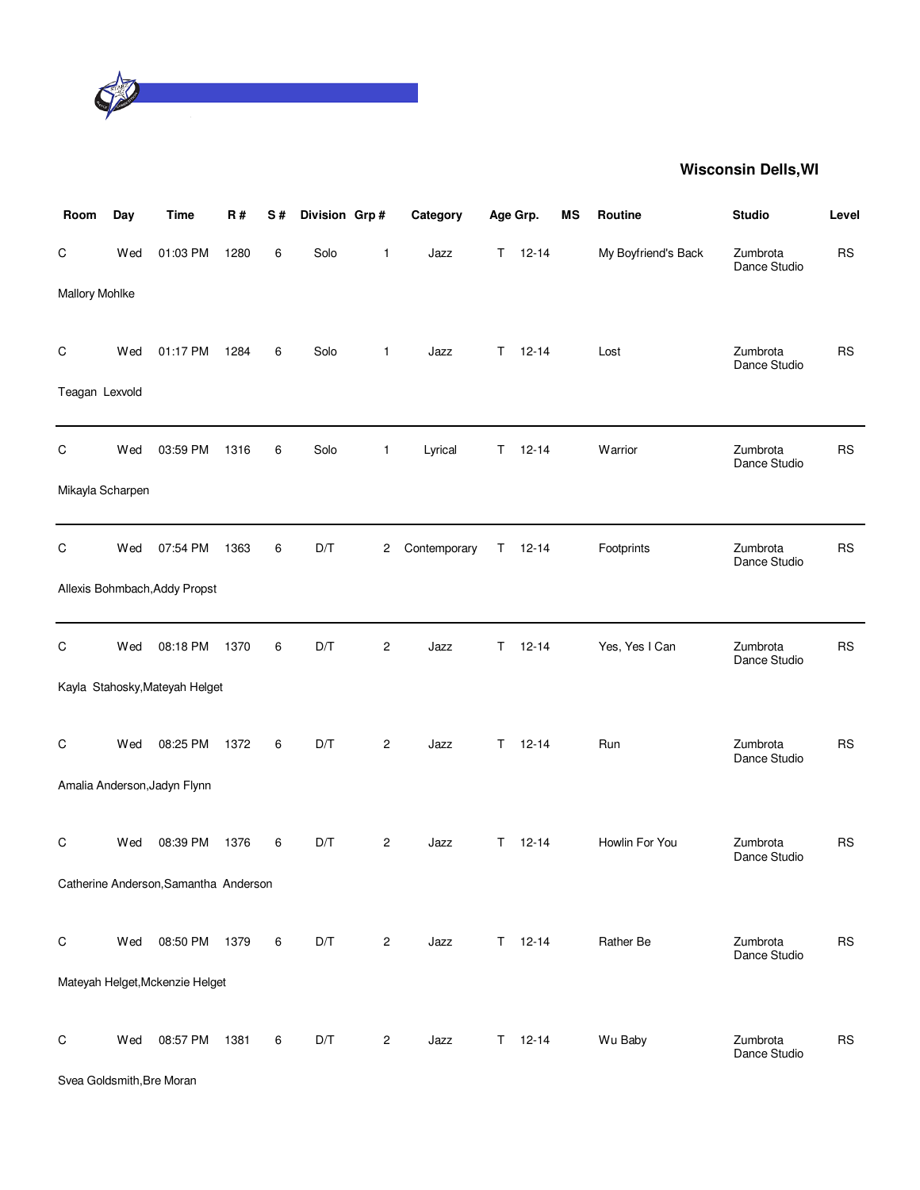

| Room                      | Day | <b>Time</b>                           | R#   | S# | Division Grp# |                         | Category     |    | Age Grp.      | ΜS | Routine             | <b>Studio</b>            | Level     |
|---------------------------|-----|---------------------------------------|------|----|---------------|-------------------------|--------------|----|---------------|----|---------------------|--------------------------|-----------|
| C                         | Wed | 01:03 PM                              | 1280 | 6  | Solo          | $\mathbf{1}$            | Jazz         | T. | $12 - 14$     |    | My Boyfriend's Back | Zumbrota<br>Dance Studio | <b>RS</b> |
| Mallory Mohlke            |     |                                       |      |    |               |                         |              |    |               |    |                     |                          |           |
| C                         | Wed | 01:17 PM                              | 1284 | 6  | Solo          | $\mathbf{1}$            | Jazz         |    | $T = 12 - 14$ |    | Lost                | Zumbrota<br>Dance Studio | <b>RS</b> |
| Teagan Lexvold            |     |                                       |      |    |               |                         |              |    |               |    |                     |                          |           |
| C                         | Wed | 03:59 PM                              | 1316 | 6  | Solo          | $\mathbf{1}$            | Lyrical      | T. | $12 - 14$     |    | Warrior             | Zumbrota<br>Dance Studio | <b>RS</b> |
| Mikayla Scharpen          |     |                                       |      |    |               |                         |              |    |               |    |                     |                          |           |
| C                         | Wed | 07:54 PM                              | 1363 | 6  | D/T           | $\overline{c}$          | Contemporary | T. | $12 - 14$     |    | Footprints          | Zumbrota<br>Dance Studio | <b>RS</b> |
|                           |     | Allexis Bohmbach, Addy Propst         |      |    |               |                         |              |    |               |    |                     |                          |           |
| C                         | Wed | 08:18 PM                              | 1370 | 6  | D/T           | $\overline{\mathbf{c}}$ | Jazz         | Τ  | $12 - 14$     |    | Yes, Yes I Can      | Zumbrota<br>Dance Studio | <b>RS</b> |
|                           |     | Kayla Stahosky, Mateyah Helget        |      |    |               |                         |              |    |               |    |                     |                          |           |
| C                         | Wed | 08:25 PM                              | 1372 | 6  | D/T           | $\overline{c}$          | Jazz         | T. | $12 - 14$     |    | Run                 | Zumbrota<br>Dance Studio | <b>RS</b> |
|                           |     | Amalia Anderson, Jadyn Flynn          |      |    |               |                         |              |    |               |    |                     |                          |           |
| C                         | Wed | 08:39 PM                              | 1376 | 6  | D/T           | 2                       | Jazz         | T. | $12 - 14$     |    | Howlin For You      | Zumbrota<br>Dance Studio | <b>RS</b> |
|                           |     | Catherine Anderson, Samantha Anderson |      |    |               |                         |              |    |               |    |                     |                          |           |
| $\mathsf C$               | Wed | 08:50 PM                              | 1379 | 6  | D/T           | $\overline{c}$          | Jazz         |    | $T = 12 - 14$ |    | Rather Be           | Zumbrota<br>Dance Studio | <b>RS</b> |
|                           |     | Mateyah Helget, Mckenzie Helget       |      |    |               |                         |              |    |               |    |                     |                          |           |
| $\mathsf C$               | Wed | 08:57 PM                              | 1381 | 6  | D/T           | $\overline{c}$          | Jazz         |    | $T = 12-14$   |    | Wu Baby             | Zumbrota<br>Dance Studio | <b>RS</b> |
| Svea Goldsmith, Bre Moran |     |                                       |      |    |               |                         |              |    |               |    |                     |                          |           |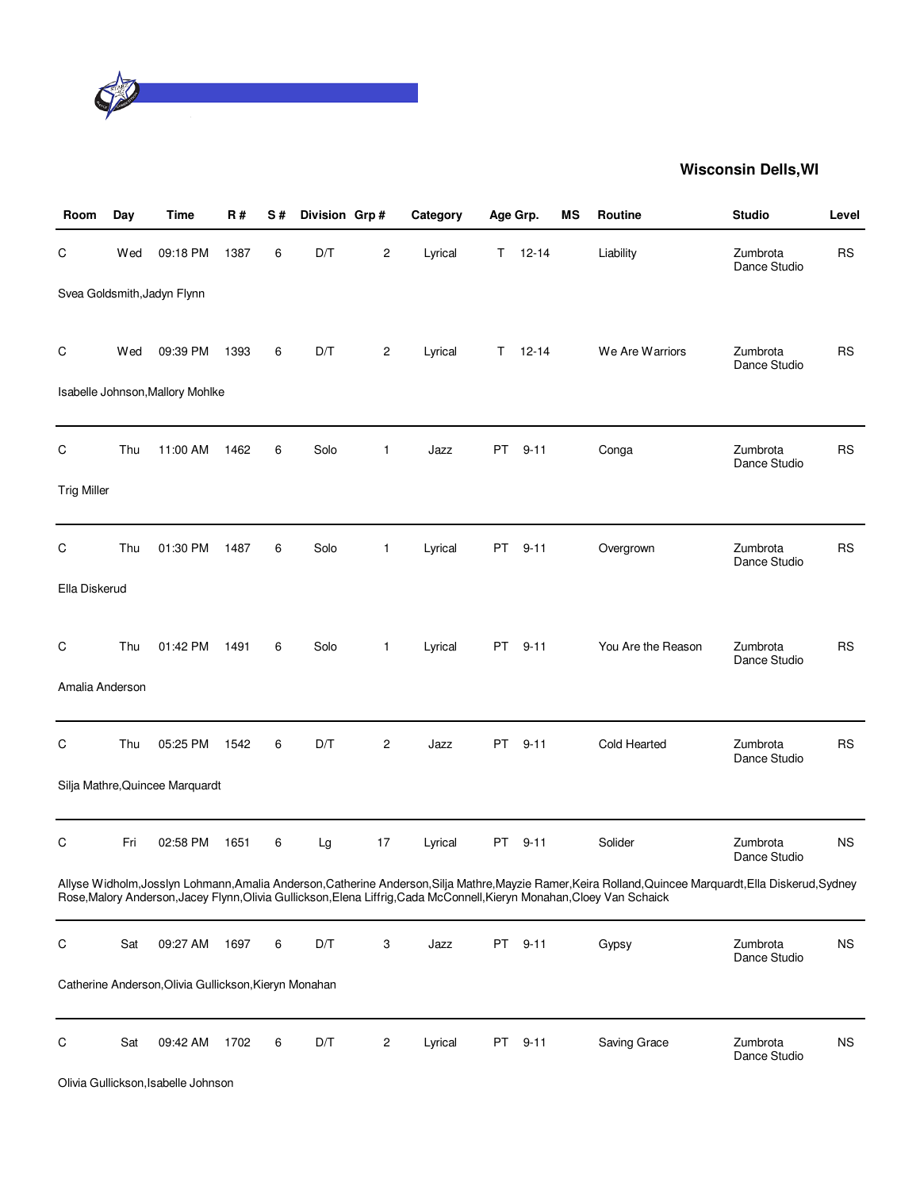

| Room               | Day | <b>Time</b>                                           | <b>R#</b> | S# | Division Grp# |                | Category | Age Grp. |           | MS | Routine                                                                                                                                                                                                                                                                     | <b>Studio</b>            | Level     |
|--------------------|-----|-------------------------------------------------------|-----------|----|---------------|----------------|----------|----------|-----------|----|-----------------------------------------------------------------------------------------------------------------------------------------------------------------------------------------------------------------------------------------------------------------------------|--------------------------|-----------|
| С                  | Wed | 09:18 PM                                              | 1387      | 6  | D/T           | 2              | Lyrical  | T.       | $12 - 14$ |    | Liability                                                                                                                                                                                                                                                                   | Zumbrota<br>Dance Studio | <b>RS</b> |
|                    |     | Svea Goldsmith, Jadyn Flynn                           |           |    |               |                |          |          |           |    |                                                                                                                                                                                                                                                                             |                          |           |
| C                  | Wed | 09:39 PM                                              | 1393      | 6  | D/T           | 2              | Lyrical  | T.       | $12 - 14$ |    | We Are Warriors                                                                                                                                                                                                                                                             | Zumbrota<br>Dance Studio | <b>RS</b> |
|                    |     | Isabelle Johnson, Mallory Mohlke                      |           |    |               |                |          |          |           |    |                                                                                                                                                                                                                                                                             |                          |           |
| С                  | Thu | 11:00 AM                                              | 1462      | 6  | Solo          | $\mathbf{1}$   | Jazz     | PT.      | $9 - 11$  |    | Conga                                                                                                                                                                                                                                                                       | Zumbrota<br>Dance Studio | <b>RS</b> |
| <b>Trig Miller</b> |     |                                                       |           |    |               |                |          |          |           |    |                                                                                                                                                                                                                                                                             |                          |           |
| С                  | Thu | 01:30 PM                                              | 1487      | 6  | Solo          | 1              | Lyrical  | PT       | $9 - 11$  |    | Overgrown                                                                                                                                                                                                                                                                   | Zumbrota<br>Dance Studio | <b>RS</b> |
| Ella Diskerud      |     |                                                       |           |    |               |                |          |          |           |    |                                                                                                                                                                                                                                                                             |                          |           |
| C                  | Thu | 01:42 PM                                              | 1491      | 6  | Solo          | $\mathbf{1}$   | Lyrical  | PT.      | $9 - 11$  |    | You Are the Reason                                                                                                                                                                                                                                                          | Zumbrota<br>Dance Studio | <b>RS</b> |
| Amalia Anderson    |     |                                                       |           |    |               |                |          |          |           |    |                                                                                                                                                                                                                                                                             |                          |           |
| С                  | Thu | 05:25 PM                                              | 1542      | 6  | D/T           | $\overline{c}$ | Jazz     | PT.      | $9 - 11$  |    | Cold Hearted                                                                                                                                                                                                                                                                | Zumbrota<br>Dance Studio | <b>RS</b> |
|                    |     | Silja Mathre, Quincee Marquardt                       |           |    |               |                |          |          |           |    |                                                                                                                                                                                                                                                                             |                          |           |
| C                  | Fri | 02:58 PM                                              | 1651      | 6  | Lg            | 17             | Lyrical  | PT       | $9 - 11$  |    | Solider                                                                                                                                                                                                                                                                     | Zumbrota<br>Dance Studio | <b>NS</b> |
|                    |     |                                                       |           |    |               |                |          |          |           |    | Allyse Widholm,Josslyn Lohmann,Amalia Anderson,Catherine Anderson,Silja Mathre,Mayzie Ramer,Keira Rolland,Quincee Marquardt,Ella Diskerud,Sydney<br>Rose, Malory Anderson, Jacey Flynn, Olivia Gullickson, Elena Liffrig, Cada McConnell, Kieryn Monahan, Cloey Van Schaick |                          |           |
| С                  | Sat | 09:27 AM                                              | 1697      | 6  | D/T           | 3              | Jazz     |          | PT 9-11   |    | Gypsy                                                                                                                                                                                                                                                                       | Zumbrota<br>Dance Studio | <b>NS</b> |
|                    |     | Catherine Anderson, Olivia Gullickson, Kieryn Monahan |           |    |               |                |          |          |           |    |                                                                                                                                                                                                                                                                             |                          |           |
| С                  | Sat | 09:42 AM                                              | 1702      | 6  | D/T           | 2              | Lyrical  |          | PT 9-11   |    | Saving Grace                                                                                                                                                                                                                                                                | Zumbrota<br>Dance Studio | <b>NS</b> |
|                    |     | Olivia Gullickson, Isabelle Johnson                   |           |    |               |                |          |          |           |    |                                                                                                                                                                                                                                                                             |                          |           |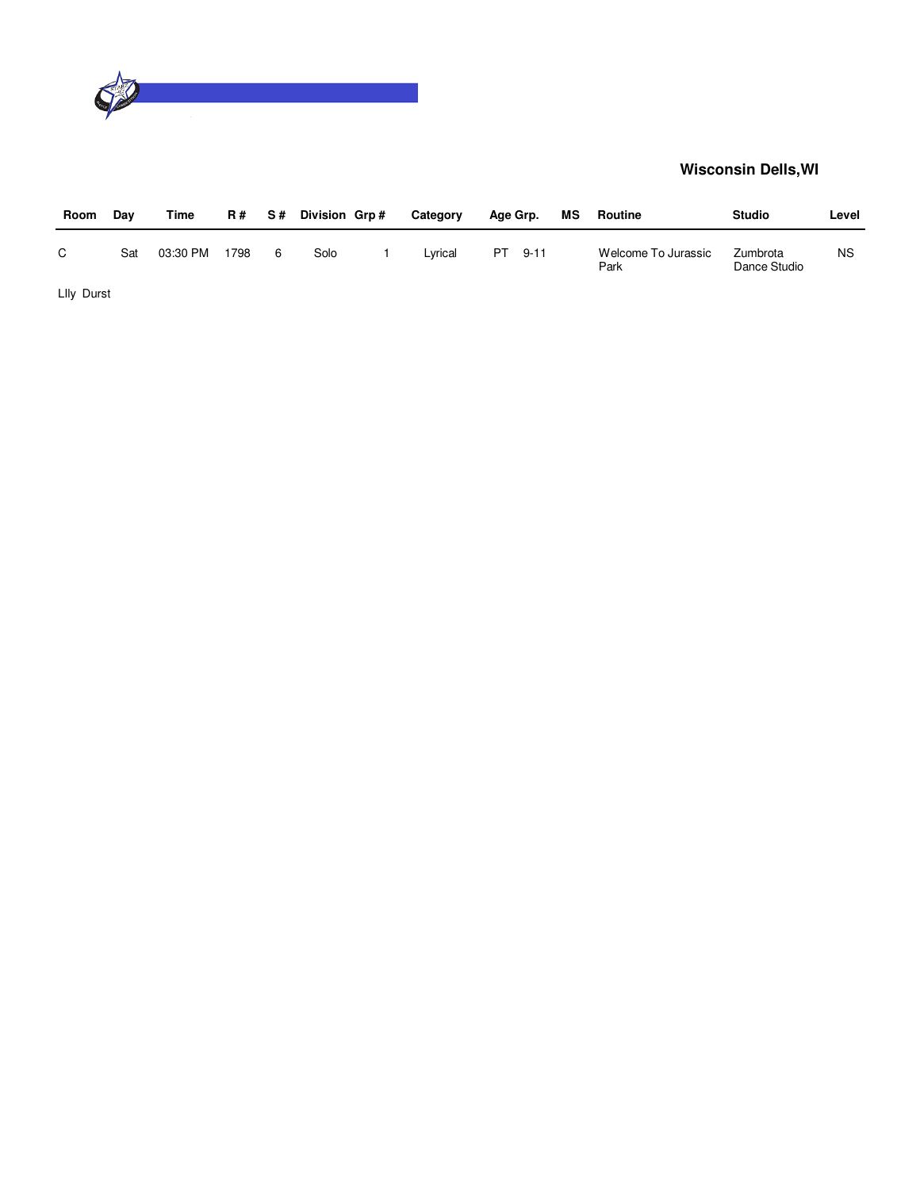

| Room       | Dav | Time     | R #  | S#  | Division Grp# | Category | Age Grp. |      | МS | Routine                     | <b>Studio</b>            | Level |
|------------|-----|----------|------|-----|---------------|----------|----------|------|----|-----------------------------|--------------------------|-------|
| C.         | Sat | 03:30 PM | 1798 | - 6 | Solo          | Lvrical  | PT.      | 9-11 |    | Welcome To Jurassic<br>Park | Zumbrota<br>Dance Studio | ΝS    |
| Llly Durst |     |          |      |     |               |          |          |      |    |                             |                          |       |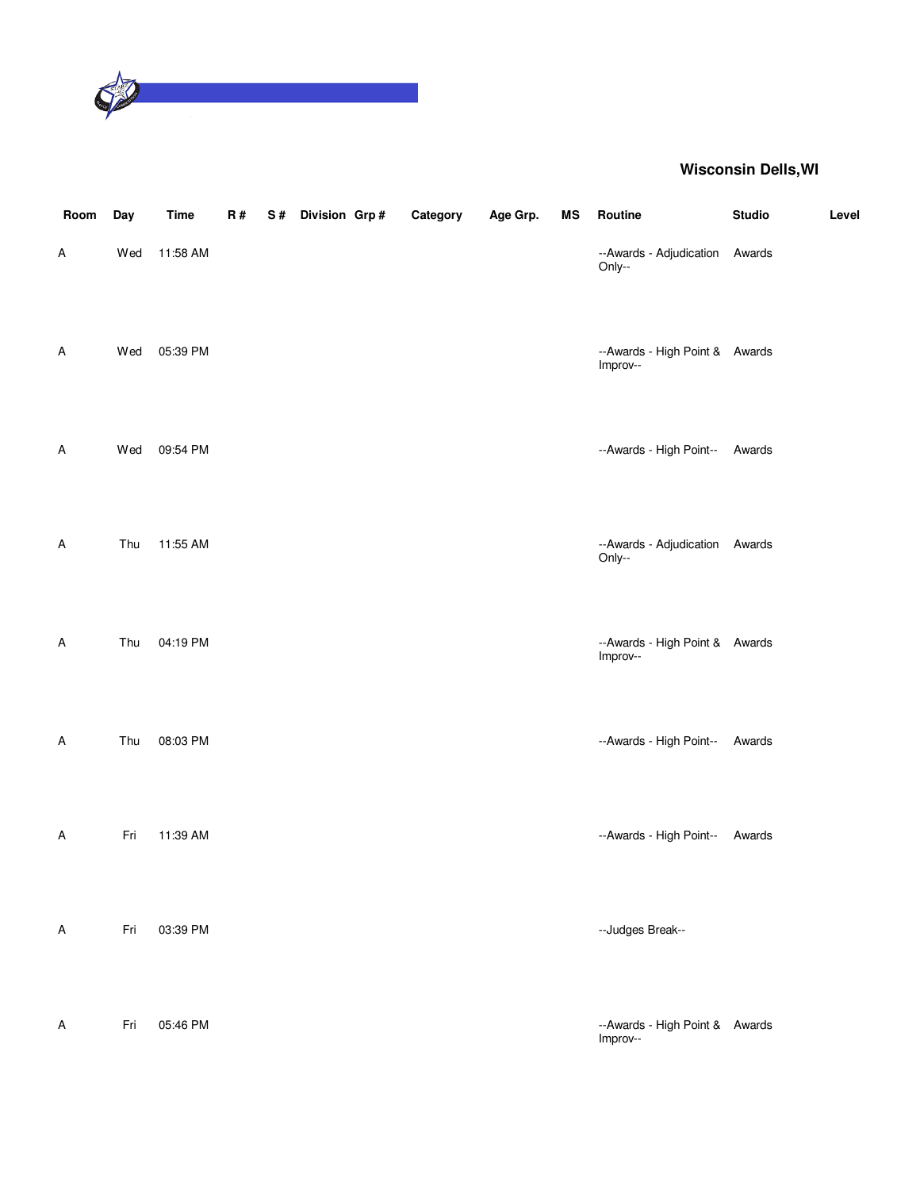

| Room                      | Day | <b>Time</b> | R# | S# | Division Grp# | Category | Age Grp. | ΜS | Routine                                    | <b>Studio</b> | Level |
|---------------------------|-----|-------------|----|----|---------------|----------|----------|----|--------------------------------------------|---------------|-------|
| Α                         | Wed | 11:58 AM    |    |    |               |          |          |    | --Awards - Adjudication<br>Only--          | Awards        |       |
| A                         | Wed | 05:39 PM    |    |    |               |          |          |    | --Awards - High Point & Awards<br>Improv-- |               |       |
| A                         | Wed | 09:54 PM    |    |    |               |          |          |    | --Awards - High Point--                    | Awards        |       |
| A                         | Thu | 11:55 AM    |    |    |               |          |          |    | --Awards - Adjudication Awards<br>Only--   |               |       |
| A                         | Thu | 04:19 PM    |    |    |               |          |          |    | --Awards - High Point & Awards<br>Improv-- |               |       |
| A                         | Thu | 08:03 PM    |    |    |               |          |          |    | --Awards - High Point--                    | Awards        |       |
| A                         | Fri | 11:39 AM    |    |    |               |          |          |    | --Awards - High Point--                    | Awards        |       |
| A                         | Fri | 03:39 PM    |    |    |               |          |          |    | --Judges Break--                           |               |       |
| $\boldsymbol{\mathsf{A}}$ | Fri | 05:46 PM    |    |    |               |          |          |    | --Awards - High Point & Awards<br>Improv-- |               |       |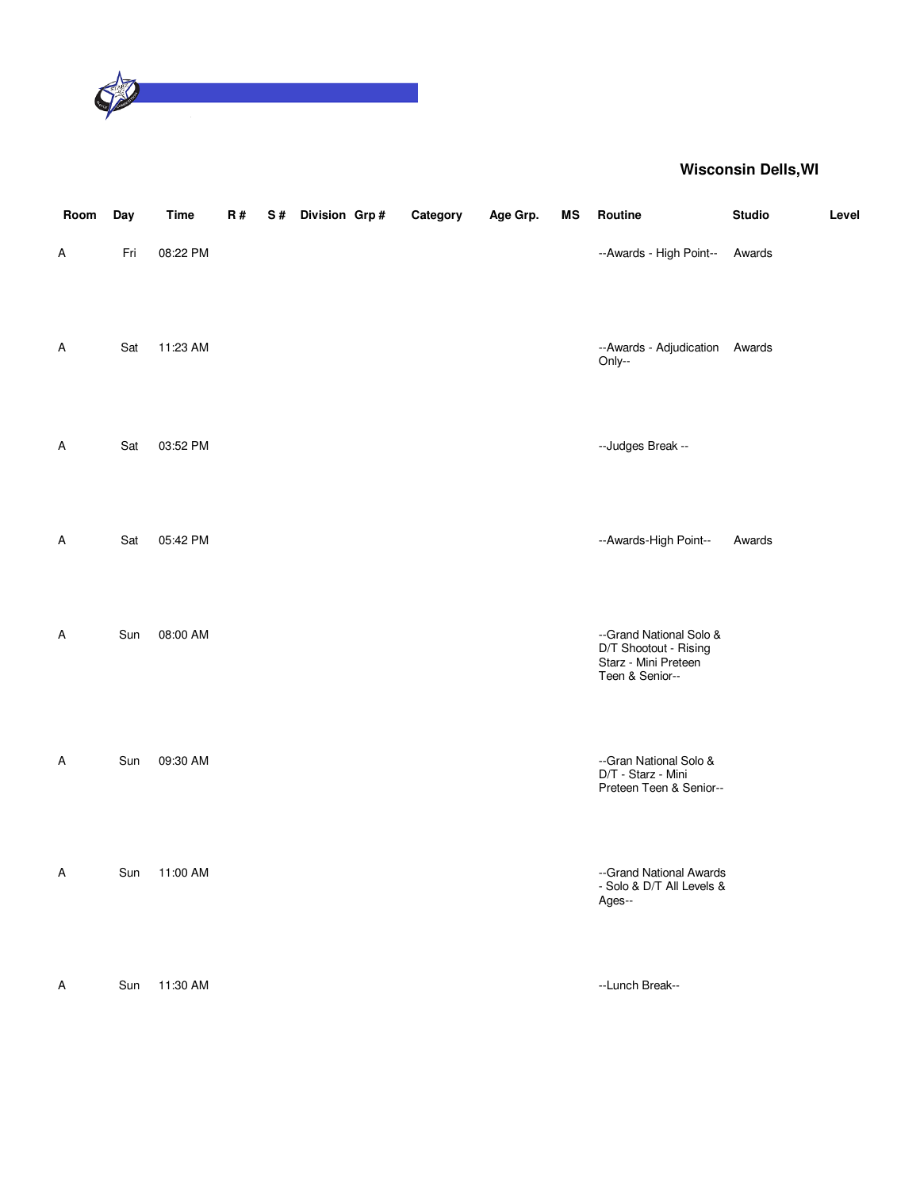

| Room | Day | <b>Time</b> | R# | S# | Division Grp# | Category | Age Grp. | MS | Routine                                                                                     | <b>Studio</b> | Level |
|------|-----|-------------|----|----|---------------|----------|----------|----|---------------------------------------------------------------------------------------------|---------------|-------|
| Α    | Fri | 08:22 PM    |    |    |               |          |          |    | --Awards - High Point--                                                                     | Awards        |       |
| Α    | Sat | 11:23 AM    |    |    |               |          |          |    | --Awards - Adjudication Awards<br>Only--                                                    |               |       |
| Α    | Sat | 03:52 PM    |    |    |               |          |          |    | --Judges Break --                                                                           |               |       |
| Α    | Sat | 05:42 PM    |    |    |               |          |          |    | --Awards-High Point--                                                                       | Awards        |       |
| Α    | Sun | 08:00 AM    |    |    |               |          |          |    | --Grand National Solo &<br>D/T Shootout - Rising<br>Starz - Mini Preteen<br>Teen & Senior-- |               |       |
| Α    | Sun | 09:30 AM    |    |    |               |          |          |    | --Gran National Solo &<br>D/T - Starz - Mini<br>Preteen Teen & Senior--                     |               |       |
| Α    | Sun | 11:00 AM    |    |    |               |          |          |    | --Grand National Awards<br>- Solo & D/T All Levels &<br>Ages--                              |               |       |
| A    | Sun | 11:30 AM    |    |    |               |          |          |    | --Lunch Break--                                                                             |               |       |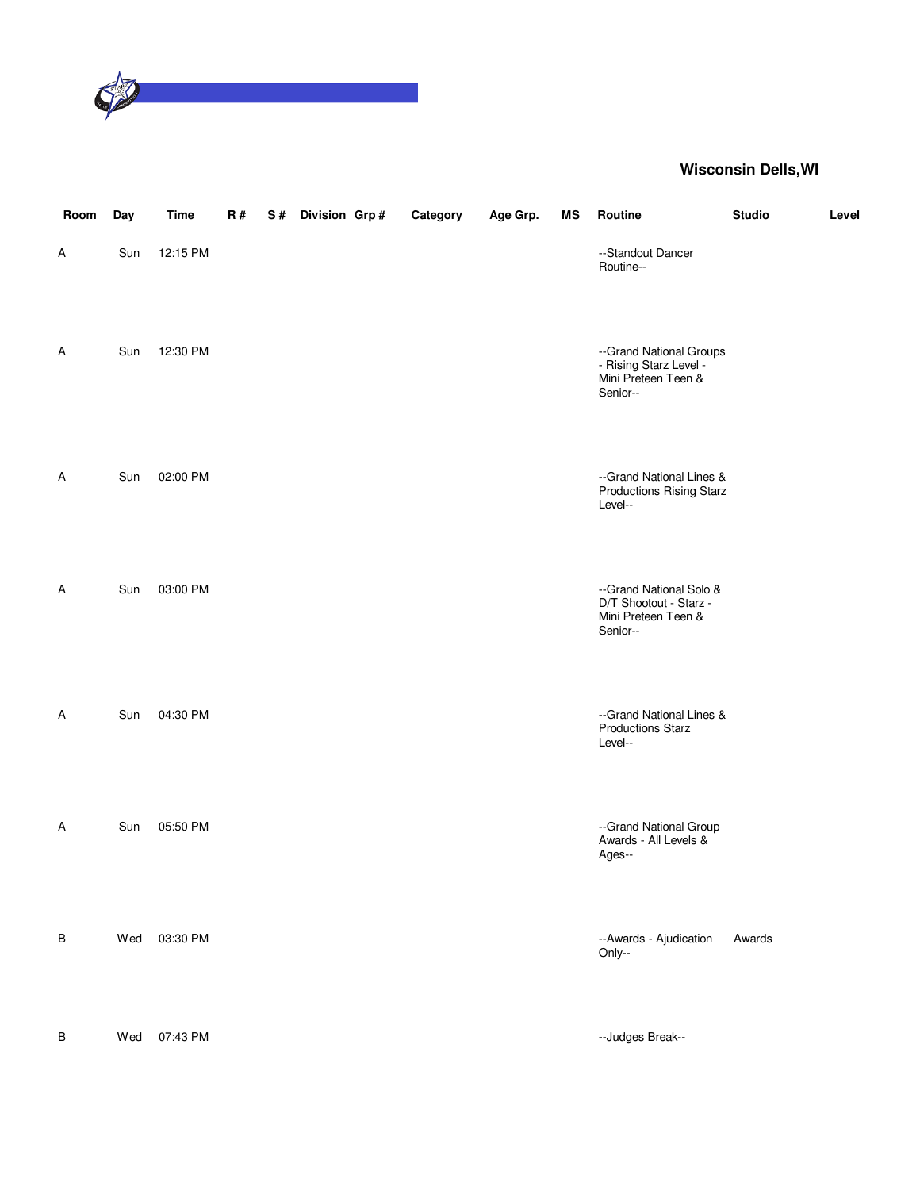

| Room    | Day | <b>Time</b> | R# | S# | Division Grp# | Category | Age Grp. | ΜS | Routine                                                                              | <b>Studio</b> | Level |
|---------|-----|-------------|----|----|---------------|----------|----------|----|--------------------------------------------------------------------------------------|---------------|-------|
| Α       | Sun | 12:15 PM    |    |    |               |          |          |    | --Standout Dancer<br>Routine--                                                       |               |       |
| A       | Sun | 12:30 PM    |    |    |               |          |          |    | --Grand National Groups<br>- Rising Starz Level -<br>Mini Preteen Teen &<br>Senior-- |               |       |
| A       | Sun | 02:00 PM    |    |    |               |          |          |    | --Grand National Lines &<br><b>Productions Rising Starz</b><br>Level--               |               |       |
| Α       | Sun | 03:00 PM    |    |    |               |          |          |    | --Grand National Solo &<br>D/T Shootout - Starz -<br>Mini Preteen Teen &<br>Senior-- |               |       |
| Α       | Sun | 04:30 PM    |    |    |               |          |          |    | --Grand National Lines &<br><b>Productions Starz</b><br>Level--                      |               |       |
| Α       | Sun | 05:50 PM    |    |    |               |          |          |    | --Grand National Group<br>Awards - All Levels &<br>Ages--                            |               |       |
| B       | Wed | 03:30 PM    |    |    |               |          |          |    | --Awards - Ajudication<br>Only--                                                     | Awards        |       |
| $\sf B$ | Wed | 07:43 PM    |    |    |               |          |          |    | --Judges Break--                                                                     |               |       |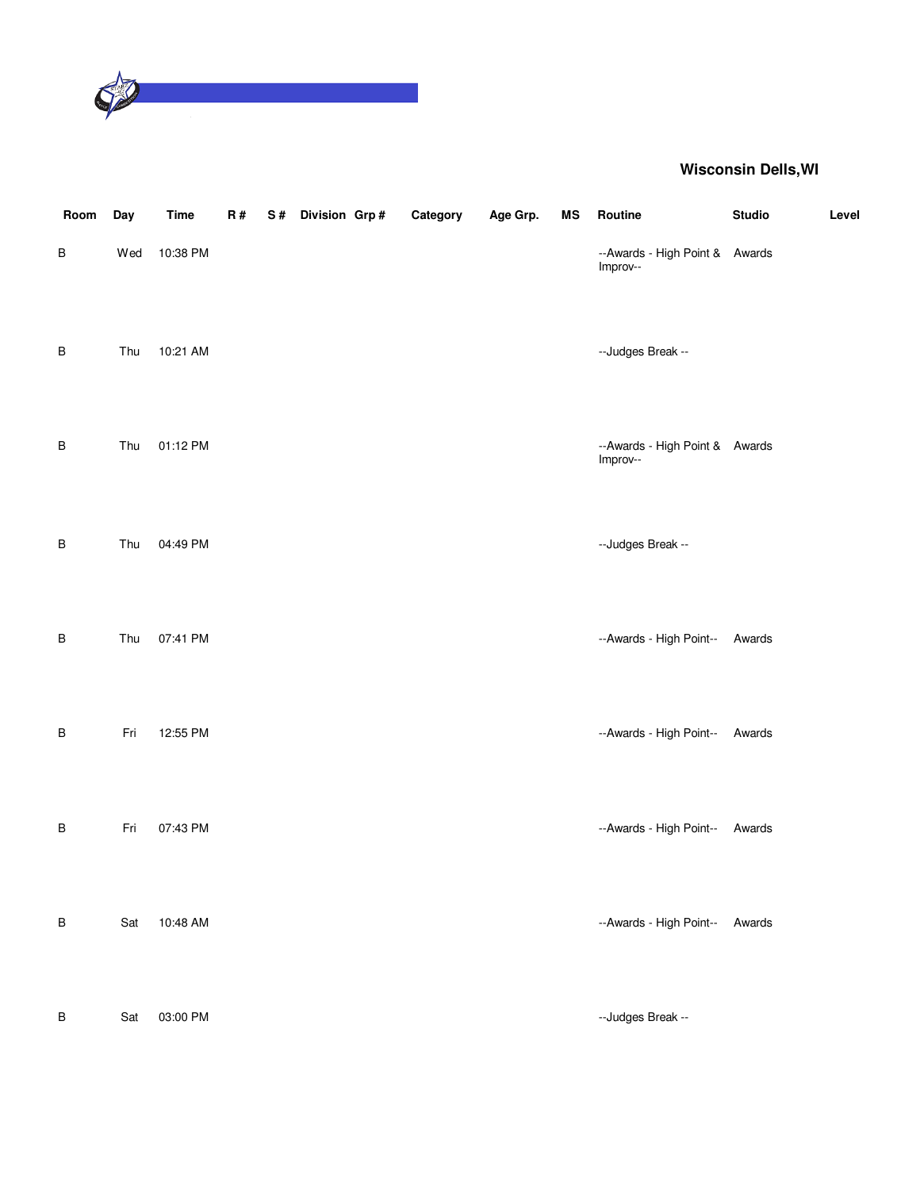

| Room    | Day | <b>Time</b> | R# | S# Division Grp# | Category | Age Grp. | <b>MS</b> | Routine                                    | <b>Studio</b> | Level |
|---------|-----|-------------|----|------------------|----------|----------|-----------|--------------------------------------------|---------------|-------|
| $\sf B$ | Wed | 10:38 PM    |    |                  |          |          |           | --Awards - High Point & Awards<br>Improv-- |               |       |
| $\sf B$ | Thu | 10:21 AM    |    |                  |          |          |           | --Judges Break --                          |               |       |
| B       | Thu | 01:12 PM    |    |                  |          |          |           | --Awards - High Point & Awards<br>Improv-- |               |       |
| $\sf B$ | Thu | 04:49 PM    |    |                  |          |          |           | --Judges Break --                          |               |       |
| B       | Thu | 07:41 PM    |    |                  |          |          |           | --Awards - High Point--                    | Awards        |       |
| B       | Fri | 12:55 PM    |    |                  |          |          |           | --Awards - High Point--                    | Awards        |       |
| $\sf B$ | Fri | 07:43 PM    |    |                  |          |          |           | --Awards - High Point--                    | Awards        |       |
| $\sf B$ | Sat | 10:48 AM    |    |                  |          |          |           | --Awards - High Point--                    | Awards        |       |
| $\sf B$ | Sat | 03:00 PM    |    |                  |          |          |           | --Judges Break --                          |               |       |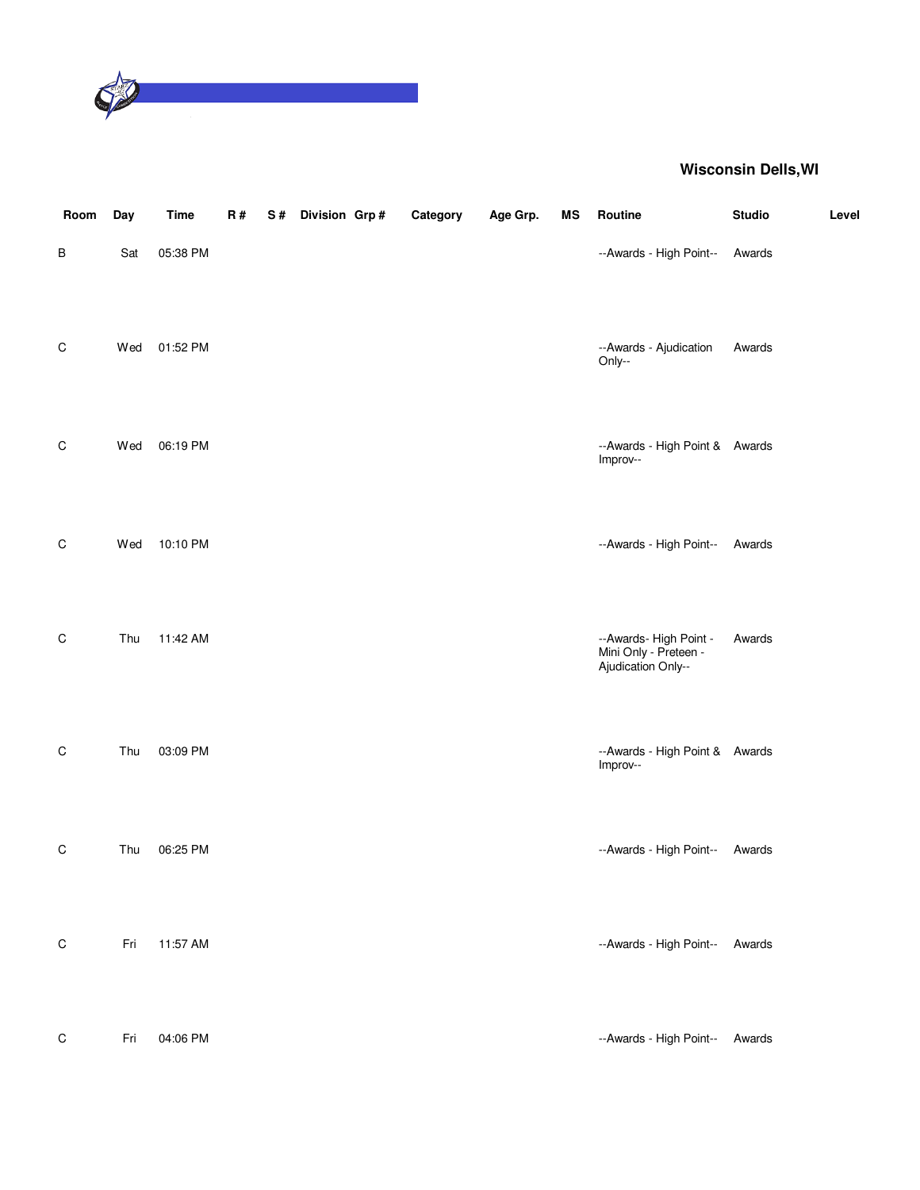

| Room        | Day | Time     | R# | S# | Division Grp# | Category | Age Grp. | MS | Routine                                                               | <b>Studio</b> | Level |
|-------------|-----|----------|----|----|---------------|----------|----------|----|-----------------------------------------------------------------------|---------------|-------|
| $\sf B$     | Sat | 05:38 PM |    |    |               |          |          |    | --Awards - High Point--                                               | Awards        |       |
| $\mathsf C$ | Wed | 01:52 PM |    |    |               |          |          |    | --Awards - Ajudication<br>Only--                                      | Awards        |       |
| $\mathsf C$ | Wed | 06:19 PM |    |    |               |          |          |    | --Awards - High Point & Awards<br>Improv--                            |               |       |
| $\mathsf C$ | Wed | 10:10 PM |    |    |               |          |          |    | --Awards - High Point--                                               | Awards        |       |
| $\mathsf C$ | Thu | 11:42 AM |    |    |               |          |          |    | --Awards- High Point -<br>Mini Only - Preteen -<br>Ajudication Only-- | Awards        |       |
| C           | Thu | 03:09 PM |    |    |               |          |          |    | --Awards - High Point & Awards<br>Improv--                            |               |       |
| $\mathsf C$ | Thu | 06:25 PM |    |    |               |          |          |    | --Awards - High Point--                                               | Awards        |       |
| $\mathsf C$ | Fri | 11:57 AM |    |    |               |          |          |    | --Awards - High Point--                                               | Awards        |       |
| $\mathsf C$ | Fri | 04:06 PM |    |    |               |          |          |    | --Awards - High Point--                                               | Awards        |       |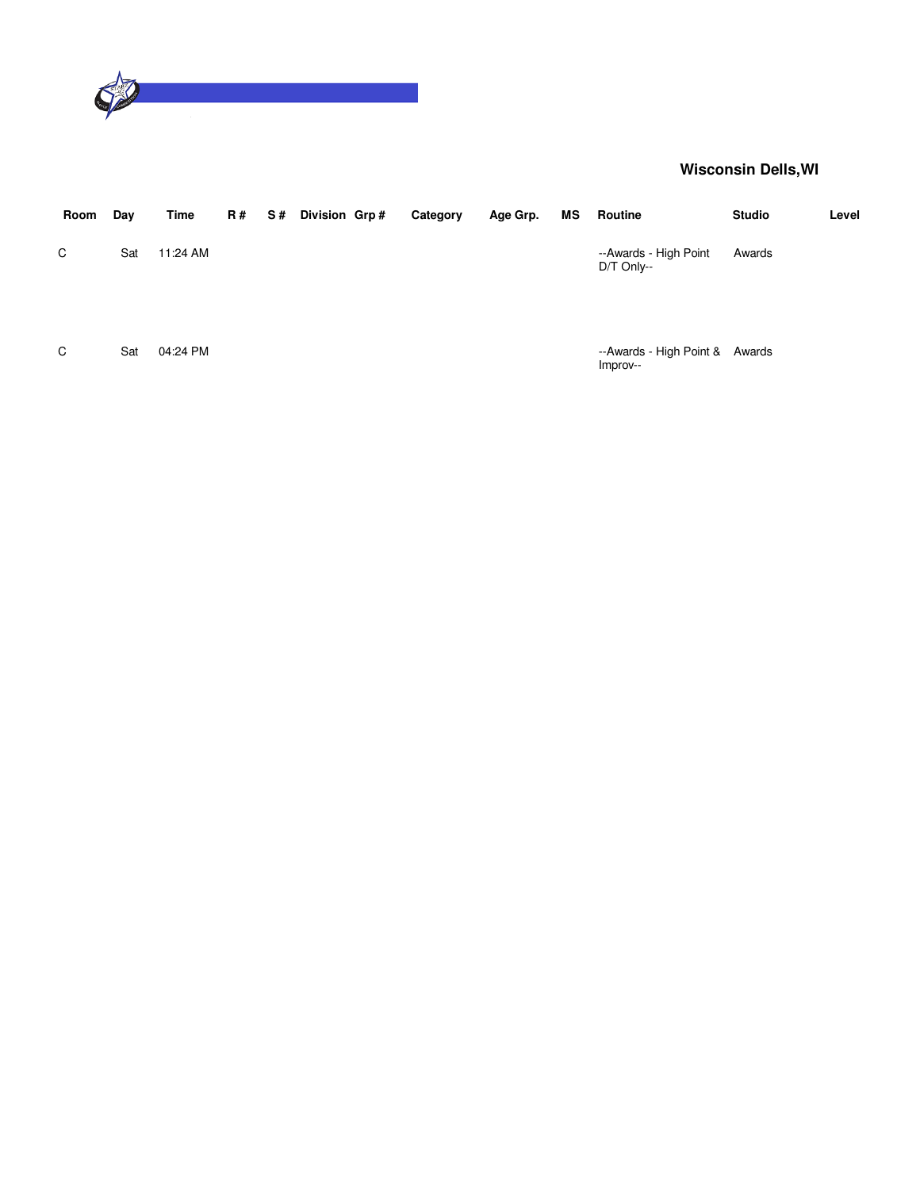

| Room | Day | Time     | <b>R#</b> | S# Division Grp# | Category | Age Grp. | MS | Routine                                    | <b>Studio</b> | Level |
|------|-----|----------|-----------|------------------|----------|----------|----|--------------------------------------------|---------------|-------|
| C    | Sat | 11:24 AM |           |                  |          |          |    | --Awards - High Point<br>$DT$ Only--       | Awards        |       |
| C    | Sat | 04:24 PM |           |                  |          |          |    | --Awards - High Point & Awards<br>Improv-- |               |       |